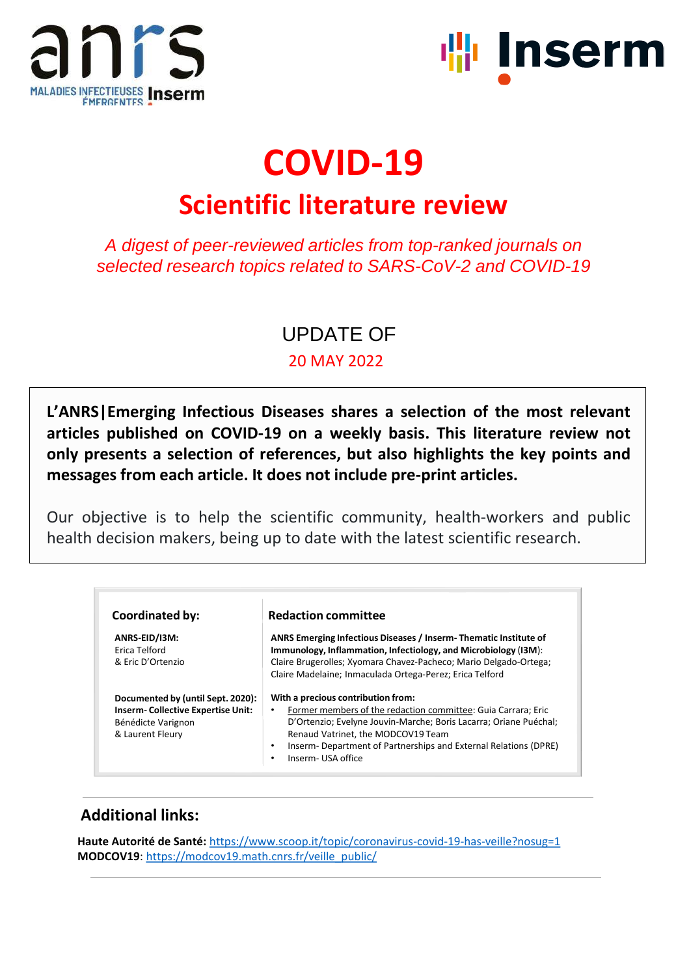



### **COVID-19**

#### **Scientific literature review**

*A digest of peer-reviewed articles from top-ranked journals on selected research topics related to SARS-CoV-2 and COVID-19*

#### UPDATE OF

20 MAY 2022

**L'ANRS|Emerging Infectious Diseases shares a selection of the most relevant articles published on COVID-19 on a weekly basis. This literature review not only presents a selection of references, but also highlights the key points and messages from each article. It does not include pre-print articles.**

Our objective is to help the scientific community, health-workers and public health decision makers, being up to date with the latest scientific research.

| Coordinated by:                                                                                                         | <b>Redaction committee</b>                                                                                                                                                                                                                                                                                         |
|-------------------------------------------------------------------------------------------------------------------------|--------------------------------------------------------------------------------------------------------------------------------------------------------------------------------------------------------------------------------------------------------------------------------------------------------------------|
| ANRS-EID/I3M:<br>Erica Telford<br>& Eric D'Ortenzio                                                                     | ANRS Emerging Infectious Diseases / Inserm-Thematic Institute of<br>Immunology, Inflammation, Infectiology, and Microbiology (I3M):<br>Claire Brugerolles; Xyomara Chavez-Pacheco; Mario Delgado-Ortega;<br>Claire Madelaine; Inmaculada Ortega-Perez; Erica Telford                                               |
| Documented by (until Sept. 2020):<br><b>Inserm-Collective Expertise Unit:</b><br>Bénédicte Varignon<br>& Laurent Fleury | With a precious contribution from:<br>Former members of the redaction committee: Guia Carrara; Eric<br>D'Ortenzio; Evelyne Jouvin-Marche; Boris Lacarra; Oriane Puéchal;<br>Renaud Vatrinet, the MODCOV19 Team<br>Inserm- Department of Partnerships and External Relations (DPRE)<br>٠<br>Inserm- USA office<br>٠ |

#### **Additional links:**

Haute Autorité de Santé: <https://www.scoop.it/topic/coronavirus-covid-19-has-veille?nosug=1> **MODCOV19**: [https://modcov19.math.cnrs.fr/veille\\_public/](https://modcov19.math.cnrs.fr/veille_public/)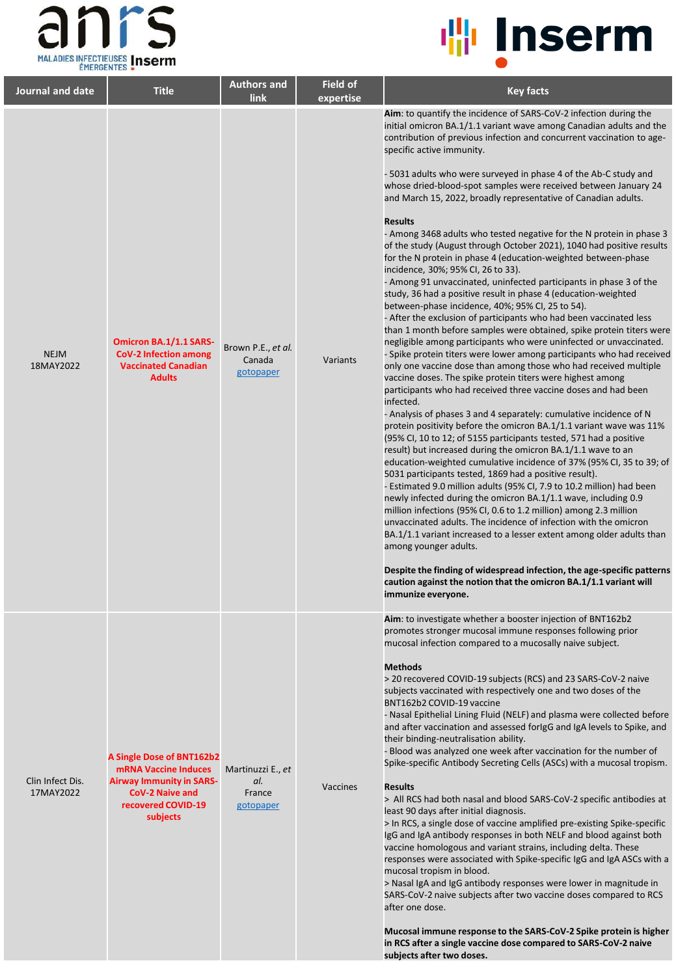| Journal and date              | <b>Title</b>                                                                                                                                     | <b>Authors and</b><br>link                      | <b>Field of</b><br>expertise | <b>Key facts</b>                                                                                                                                                                                                                                                                                                                                                                                                                                                                                                                                                                                                                                                                                                                                                                                                                                                                                                                                                                                                                                                                                                                                                                                                                                                                                                                                                                                                                                                                                                                                                                                                                                                                                                                                                                                                                                                                                                                                                                                                                                                                                                                                                                                                                                                                                                                                                                                                             |
|-------------------------------|--------------------------------------------------------------------------------------------------------------------------------------------------|-------------------------------------------------|------------------------------|------------------------------------------------------------------------------------------------------------------------------------------------------------------------------------------------------------------------------------------------------------------------------------------------------------------------------------------------------------------------------------------------------------------------------------------------------------------------------------------------------------------------------------------------------------------------------------------------------------------------------------------------------------------------------------------------------------------------------------------------------------------------------------------------------------------------------------------------------------------------------------------------------------------------------------------------------------------------------------------------------------------------------------------------------------------------------------------------------------------------------------------------------------------------------------------------------------------------------------------------------------------------------------------------------------------------------------------------------------------------------------------------------------------------------------------------------------------------------------------------------------------------------------------------------------------------------------------------------------------------------------------------------------------------------------------------------------------------------------------------------------------------------------------------------------------------------------------------------------------------------------------------------------------------------------------------------------------------------------------------------------------------------------------------------------------------------------------------------------------------------------------------------------------------------------------------------------------------------------------------------------------------------------------------------------------------------------------------------------------------------------------------------------------------------|
| <b>NEJM</b><br>18MAY2022      | <b>Omicron BA.1/1.1 SARS-</b><br><b>CoV-2 Infection among</b><br><b>Vaccinated Canadian</b><br><b>Adults</b>                                     | Brown P.E., et al.<br>Canada<br>gotopaper       | Variants                     | Aim: to quantify the incidence of SARS-CoV-2 infection during the<br>initial omicron BA.1/1.1 variant wave among Canadian adults and the<br>contribution of previous infection and concurrent vaccination to age-<br>specific active immunity.<br>- 5031 adults who were surveyed in phase 4 of the Ab-C study and<br>whose dried-blood-spot samples were received between January 24<br>and March 15, 2022, broadly representative of Canadian adults.<br><b>Results</b><br>- Among 3468 adults who tested negative for the N protein in phase 3<br>of the study (August through October 2021), 1040 had positive results<br>for the N protein in phase 4 (education-weighted between-phase<br>incidence, 30%; 95% CI, 26 to 33).<br>- Among 91 unvaccinated, uninfected participants in phase 3 of the<br>study, 36 had a positive result in phase 4 (education-weighted<br>between-phase incidence, 40%; 95% CI, 25 to 54).<br>- After the exclusion of participants who had been vaccinated less<br>than 1 month before samples were obtained, spike protein titers were<br>negligible among participants who were uninfected or unvaccinated.<br>- Spike protein titers were lower among participants who had received<br>only one vaccine dose than among those who had received multiple<br>vaccine doses. The spike protein titers were highest among<br>participants who had received three vaccine doses and had been<br>infected.<br>- Analysis of phases 3 and 4 separately: cumulative incidence of N<br>protein positivity before the omicron BA.1/1.1 variant wave was 11%<br>(95% CI, 10 to 12; of 5155 participants tested, 571 had a positive<br>result) but increased during the omicron BA.1/1.1 wave to an<br>education-weighted cumulative incidence of 37% (95% CI, 35 to 39; of<br>5031 participants tested, 1869 had a positive result).<br>- Estimated 9.0 million adults (95% CI, 7.9 to 10.2 million) had been<br>newly infected during the omicron BA.1/1.1 wave, including 0.9<br>million infections (95% CI, 0.6 to 1.2 million) among 2.3 million<br>unvaccinated adults. The incidence of infection with the omicron<br>BA.1/1.1 variant increased to a lesser extent among older adults than<br>among younger adults.<br>Despite the finding of widespread infection, the age-specific patterns<br>caution against the notion that the omicron BA.1/1.1 variant will<br>immunize everyone. |
| Clin Infect Dis.<br>17MAY2022 | A Single Dose of BNT162b2<br><b>mRNA Vaccine Induces</b><br><b>Airway Immunity in SARS-</b><br>CoV-2 Naive and<br>recovered COVID-19<br>subjects | Martinuzzi E., et<br>al.<br>France<br>gotopaper | Vaccines                     | Aim: to investigate whether a booster injection of BNT162b2<br>promotes stronger mucosal immune responses following prior<br>mucosal infection compared to a mucosally naive subject.<br><b>Methods</b><br>> 20 recovered COVID-19 subjects (RCS) and 23 SARS-CoV-2 naive<br>subjects vaccinated with respectively one and two doses of the<br>BNT162b2 COVID-19 vaccine<br>- Nasal Epithelial Lining Fluid (NELF) and plasma were collected before<br>and after vaccination and assessed forIgG and IgA levels to Spike, and<br>their binding-neutralisation ability.<br>- Blood was analyzed one week after vaccination for the number of<br>Spike-specific Antibody Secreting Cells (ASCs) with a mucosal tropism.<br><b>Results</b><br>> All RCS had both nasal and blood SARS-CoV-2 specific antibodies at<br>least 90 days after initial diagnosis.<br>> In RCS, a single dose of vaccine amplified pre-existing Spike-specific<br>IgG and IgA antibody responses in both NELF and blood against both<br>vaccine homologous and variant strains, including delta. These<br>responses were associated with Spike-specific IgG and IgA ASCs with a<br>mucosal tropism in blood.<br>> Nasal IgA and IgG antibody responses were lower in magnitude in<br>SARS-CoV-2 naive subjects after two vaccine doses compared to RCS<br>after one dose.<br>Mucosal immune response to the SARS-CoV-2 Spike protein is higher<br>in RCS after a single vaccine dose compared to SARS-CoV-2 naive<br>subjects after two doses.                                                                                                                                                                                                                                                                                                                                                                                                                                                                                                                                                                                                                                                                                                                                                                                                                                                                                                        |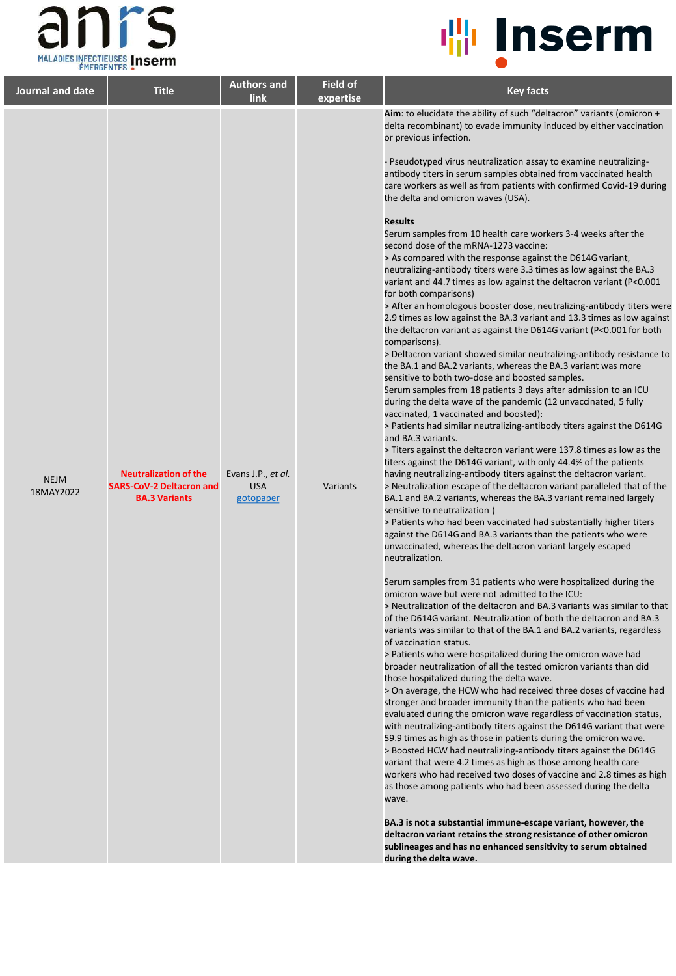I

| Journal and date         | <b>Title</b>                                                                            | <b>Authors and</b><br><b>link</b>             | Field of<br>expertise | <b>Key facts</b>                                                                                                                                                                                                                                                                                                                                                                                                                                                                                                                                                                                                                                                                                                                                                                                                                                                                                                                                                                                                                                                                                                                                                                                                                                                                                                                                                                                                                                                                                                                                                                                                                                                                                                                                                                                                                                                                                                                                                                                                                                                                                                                                                                                                                                                                                                                                                                                                                                                                                                                                                                                                                                                                                                                                                                                                                                                                                                                                                                                                                                                                                                                                                                                                                                                                                                                                                                                                                                                                                                                                                                                       |
|--------------------------|-----------------------------------------------------------------------------------------|-----------------------------------------------|-----------------------|--------------------------------------------------------------------------------------------------------------------------------------------------------------------------------------------------------------------------------------------------------------------------------------------------------------------------------------------------------------------------------------------------------------------------------------------------------------------------------------------------------------------------------------------------------------------------------------------------------------------------------------------------------------------------------------------------------------------------------------------------------------------------------------------------------------------------------------------------------------------------------------------------------------------------------------------------------------------------------------------------------------------------------------------------------------------------------------------------------------------------------------------------------------------------------------------------------------------------------------------------------------------------------------------------------------------------------------------------------------------------------------------------------------------------------------------------------------------------------------------------------------------------------------------------------------------------------------------------------------------------------------------------------------------------------------------------------------------------------------------------------------------------------------------------------------------------------------------------------------------------------------------------------------------------------------------------------------------------------------------------------------------------------------------------------------------------------------------------------------------------------------------------------------------------------------------------------------------------------------------------------------------------------------------------------------------------------------------------------------------------------------------------------------------------------------------------------------------------------------------------------------------------------------------------------------------------------------------------------------------------------------------------------------------------------------------------------------------------------------------------------------------------------------------------------------------------------------------------------------------------------------------------------------------------------------------------------------------------------------------------------------------------------------------------------------------------------------------------------------------------------------------------------------------------------------------------------------------------------------------------------------------------------------------------------------------------------------------------------------------------------------------------------------------------------------------------------------------------------------------------------------------------------------------------------------------------------------------------------|
| <b>NEJM</b><br>18MAY2022 | <b>Neutralization of the</b><br><b>SARS-CoV-2 Deltacron and</b><br><b>BA.3 Variants</b> | Evans J.P., et al.<br><b>USA</b><br>gotopaper | Variants              | Aim: to elucidate the ability of such "deltacron" variants (omicron +<br>delta recombinant) to evade immunity induced by either vaccination<br>or previous infection.<br>- Pseudotyped virus neutralization assay to examine neutralizing-<br>antibody titers in serum samples obtained from vaccinated health<br>care workers as well as from patients with confirmed Covid-19 during<br>the delta and omicron waves (USA).<br><b>Results</b><br>Serum samples from 10 health care workers 3-4 weeks after the<br>second dose of the mRNA-1273 vaccine:<br>> As compared with the response against the D614G variant,<br>neutralizing-antibody titers were 3.3 times as low against the BA.3<br>variant and 44.7 times as low against the deltacron variant (P<0.001<br>for both comparisons)<br>> After an homologous booster dose, neutralizing-antibody titers were<br>2.9 times as low against the BA.3 variant and 13.3 times as low against<br>the deltacron variant as against the D614G variant (P<0.001 for both<br>comparisons).<br>> Deltacron variant showed similar neutralizing-antibody resistance to<br>the BA.1 and BA.2 variants, whereas the BA.3 variant was more<br>sensitive to both two-dose and boosted samples.<br>Serum samples from 18 patients 3 days after admission to an ICU<br>during the delta wave of the pandemic (12 unvaccinated, 5 fully<br>vaccinated, 1 vaccinated and boosted):<br>> Patients had similar neutralizing-antibody titers against the D614G<br>and BA.3 variants.<br>> Titers against the deltacron variant were 137.8 times as low as the<br>titers against the D614G variant, with only 44.4% of the patients<br>having neutralizing-antibody titers against the deltacron variant.<br>> Neutralization escape of the deltacron variant paralleled that of the<br>BA.1 and BA.2 variants, whereas the BA.3 variant remained largely<br>sensitive to neutralization (<br>> Patients who had been vaccinated had substantially higher titers<br>against the D614G and BA.3 variants than the patients who were<br>unvaccinated, whereas the deltacron variant largely escaped<br>neutralization.<br>Serum samples from 31 patients who were hospitalized during the<br>omicron wave but were not admitted to the ICU:<br>> Neutralization of the deltacron and BA.3 variants was similar to that<br>of the D614G variant. Neutralization of both the deltacron and BA.3<br>variants was similar to that of the BA.1 and BA.2 variants, regardless<br>of vaccination status.<br>> Patients who were hospitalized during the omicron wave had<br>broader neutralization of all the tested omicron variants than did<br>those hospitalized during the delta wave.<br>> On average, the HCW who had received three doses of vaccine had<br>stronger and broader immunity than the patients who had been<br>evaluated during the omicron wave regardless of vaccination status,<br>with neutralizing-antibody titers against the D614G variant that were<br>59.9 times as high as those in patients during the omicron wave.<br>> Boosted HCW had neutralizing-antibody titers against the D614G<br>variant that were 4.2 times as high as those among health care<br>workers who had received two doses of vaccine and 2.8 times as high<br>as those among patients who had been assessed during the delta<br>wave.<br>BA.3 is not a substantial immune-escape variant, however, the<br>deltacron variant retains the strong resistance of other omicron<br>sublineages and has no enhanced sensitivity to serum obtained<br>during the delta wave. |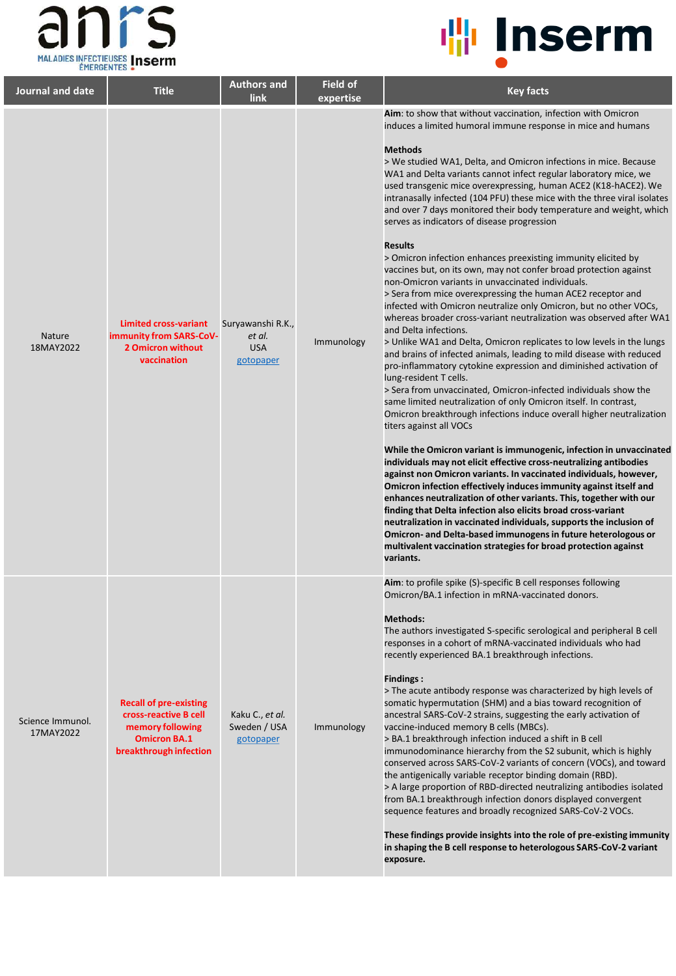| Journal and date              | <b>Title</b>                                                                                                                | <b>Authors and</b><br>link                             | <b>Field of</b><br>expertise | <b>Key facts</b>                                                                                                                                                                                                                                                                                                                                                                                                                                                                                                                                                                                                                                                                                                                                                                                                                                                                                                                                                                                                                                                                                                                                                                                                                                                                                                                                                                                                                                                                                                                                                                                                                                                                                                                                                                                                                                                                                                                                                                                                                                                                                                                                             |
|-------------------------------|-----------------------------------------------------------------------------------------------------------------------------|--------------------------------------------------------|------------------------------|--------------------------------------------------------------------------------------------------------------------------------------------------------------------------------------------------------------------------------------------------------------------------------------------------------------------------------------------------------------------------------------------------------------------------------------------------------------------------------------------------------------------------------------------------------------------------------------------------------------------------------------------------------------------------------------------------------------------------------------------------------------------------------------------------------------------------------------------------------------------------------------------------------------------------------------------------------------------------------------------------------------------------------------------------------------------------------------------------------------------------------------------------------------------------------------------------------------------------------------------------------------------------------------------------------------------------------------------------------------------------------------------------------------------------------------------------------------------------------------------------------------------------------------------------------------------------------------------------------------------------------------------------------------------------------------------------------------------------------------------------------------------------------------------------------------------------------------------------------------------------------------------------------------------------------------------------------------------------------------------------------------------------------------------------------------------------------------------------------------------------------------------------------------|
| Nature<br>18MAY2022           | <b>Limited cross-variant</b><br>immunity from SARS-CoV-<br>2 Omicron without<br>vaccination                                 | Suryawanshi R.K.,<br>et al.<br><b>USA</b><br>gotopaper | Immunology                   | Aim: to show that without vaccination, infection with Omicron<br>induces a limited humoral immune response in mice and humans<br><b>Methods</b><br>> We studied WA1, Delta, and Omicron infections in mice. Because<br>WA1 and Delta variants cannot infect regular laboratory mice, we<br>used transgenic mice overexpressing, human ACE2 (K18-hACE2). We<br>intranasally infected (104 PFU) these mice with the three viral isolates<br>and over 7 days monitored their body temperature and weight, which<br>serves as indicators of disease progression<br><b>Results</b><br>> Omicron infection enhances preexisting immunity elicited by<br>vaccines but, on its own, may not confer broad protection against<br>non-Omicron variants in unvaccinated individuals.<br>> Sera from mice overexpressing the human ACE2 receptor and<br>infected with Omicron neutralize only Omicron, but no other VOCs,<br>whereas broader cross-variant neutralization was observed after WA1<br>and Delta infections.<br>> Unlike WA1 and Delta, Omicron replicates to low levels in the lungs<br>and brains of infected animals, leading to mild disease with reduced<br>pro-inflammatory cytokine expression and diminished activation of<br>lung-resident T cells.<br>> Sera from unvaccinated, Omicron-infected individuals show the<br>same limited neutralization of only Omicron itself. In contrast,<br>Omicron breakthrough infections induce overall higher neutralization<br>titers against all VOCs<br>While the Omicron variant is immunogenic, infection in unvaccinated<br>individuals may not elicit effective cross-neutralizing antibodies<br>against non Omicron variants. In vaccinated individuals, however,<br>Omicron infection effectively induces immunity against itself and<br>enhances neutralization of other variants. This, together with our<br>finding that Delta infection also elicits broad cross-variant<br>neutralization in vaccinated individuals, supports the inclusion of<br>Omicron- and Delta-based immunogens in future heterologous or<br>multivalent vaccination strategies for broad protection against<br>variants. |
| Science Immunol.<br>17MAY2022 | <b>Recall of pre-existing</b><br>cross-reactive B cell<br>memory following<br><b>Omicron BA.1</b><br>breakthrough infection | Kaku C., et al.<br>Sweden / USA<br>gotopaper           | Immunology                   | Aim: to profile spike (S)-specific B cell responses following<br>Omicron/BA.1 infection in mRNA-vaccinated donors.<br><b>Methods:</b><br>The authors investigated S-specific serological and peripheral B cell<br>responses in a cohort of mRNA-vaccinated individuals who had<br>recently experienced BA.1 breakthrough infections.<br><b>Findings:</b><br>> The acute antibody response was characterized by high levels of<br>somatic hypermutation (SHM) and a bias toward recognition of<br>ancestral SARS-CoV-2 strains, suggesting the early activation of<br>vaccine-induced memory B cells (MBCs).<br>> BA.1 breakthrough infection induced a shift in B cell<br>immunodominance hierarchy from the S2 subunit, which is highly<br>conserved across SARS-CoV-2 variants of concern (VOCs), and toward<br>the antigenically variable receptor binding domain (RBD).<br>> A large proportion of RBD-directed neutralizing antibodies isolated<br>from BA.1 breakthrough infection donors displayed convergent<br>sequence features and broadly recognized SARS-CoV-2 VOCs.<br>These findings provide insights into the role of pre-existing immunity<br>in shaping the B cell response to heterologous SARS-CoV-2 variant<br>exposure.                                                                                                                                                                                                                                                                                                                                                                                                                                                                                                                                                                                                                                                                                                                                                                                                                                                                                                                |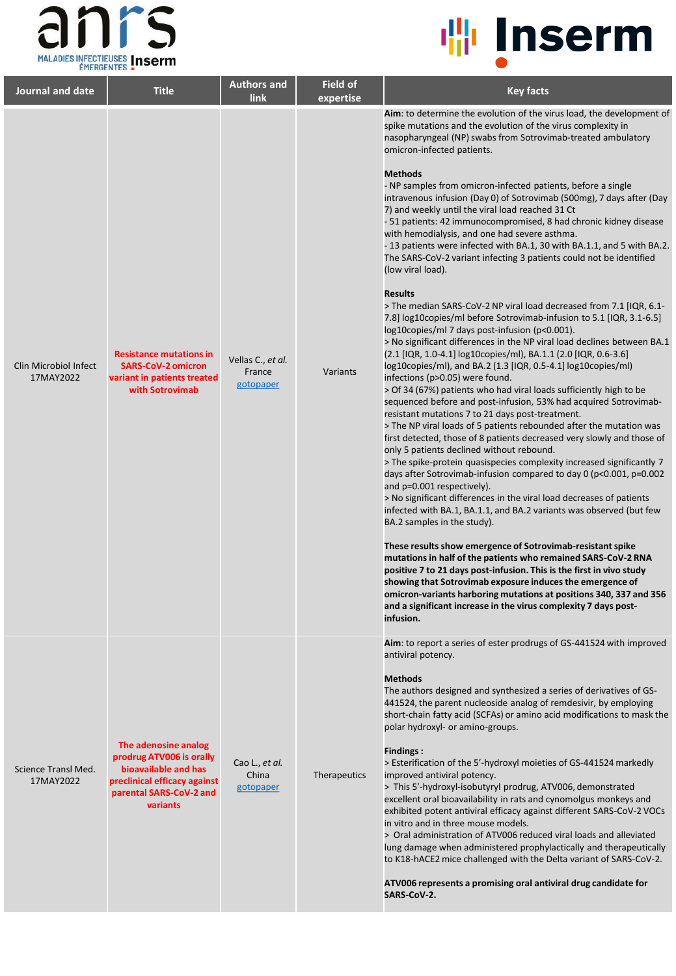| Journal and date                   | <b>Title</b>                                                                                                                                    | <b>Authors and</b><br><b>link</b>        | <b>Field of</b><br>expertise | <b>Key facts</b>                                                                                                                                                                                                                                                                                                                                                                                                                                                                                                                                                                                                                                                                                                                                                                                                                                                                                                                                                                                                                                                                                                                                                                                                                                                                                                                                                                                                                                                                                                                                                                                                                                                                                                                                                                                                                                                                                                                                                                                                                                                                                                                                                                                                                                                                                                                                                                                      |
|------------------------------------|-------------------------------------------------------------------------------------------------------------------------------------------------|------------------------------------------|------------------------------|-------------------------------------------------------------------------------------------------------------------------------------------------------------------------------------------------------------------------------------------------------------------------------------------------------------------------------------------------------------------------------------------------------------------------------------------------------------------------------------------------------------------------------------------------------------------------------------------------------------------------------------------------------------------------------------------------------------------------------------------------------------------------------------------------------------------------------------------------------------------------------------------------------------------------------------------------------------------------------------------------------------------------------------------------------------------------------------------------------------------------------------------------------------------------------------------------------------------------------------------------------------------------------------------------------------------------------------------------------------------------------------------------------------------------------------------------------------------------------------------------------------------------------------------------------------------------------------------------------------------------------------------------------------------------------------------------------------------------------------------------------------------------------------------------------------------------------------------------------------------------------------------------------------------------------------------------------------------------------------------------------------------------------------------------------------------------------------------------------------------------------------------------------------------------------------------------------------------------------------------------------------------------------------------------------------------------------------------------------------------------------------------------------|
| Clin Microbiol Infect<br>17MAY2022 | <b>Resistance mutations in</b><br><b>SARS-CoV-2 omicron</b><br>variant in patients treated<br>with Sotrovimab                                   | Vellas C., et al.<br>France<br>gotopaper | Variants                     | Aim: to determine the evolution of the virus load, the development of<br>spike mutations and the evolution of the virus complexity in<br>nasopharyngeal (NP) swabs from Sotrovimab-treated ambulatory<br>omicron-infected patients.<br><b>Methods</b><br>- NP samples from omicron-infected patients, before a single<br>intravenous infusion (Day 0) of Sotrovimab (500mg), 7 days after (Day<br>7) and weekly until the viral load reached 31 Ct<br>- 51 patients: 42 immunocompromised, 8 had chronic kidney disease<br>with hemodialysis, and one had severe asthma.<br>- 13 patients were infected with BA.1, 30 with BA.1.1, and 5 with BA.2.<br>The SARS-CoV-2 variant infecting 3 patients could not be identified<br>(low viral load).<br><b>Results</b><br>> The median SARS-CoV-2 NP viral load decreased from 7.1 [IQR, 6.1-<br>7.8] log10copies/ml before Sotrovimab-infusion to 5.1 [IQR, 3.1-6.5]<br>log10copies/ml 7 days post-infusion (p<0.001).<br>> No significant differences in the NP viral load declines between BA.1<br>(2.1 [IQR, 1.0-4.1] log10copies/ml), BA.1.1 (2.0 [IQR, 0.6-3.6]<br>log10copies/ml), and BA.2 (1.3 [IQR, 0.5-4.1] log10copies/ml)<br>infections (p>0.05) were found.<br>> Of 34 (67%) patients who had viral loads sufficiently high to be<br>sequenced before and post-infusion, 53% had acquired Sotrovimab-<br>resistant mutations 7 to 21 days post-treatment.<br>> The NP viral loads of 5 patients rebounded after the mutation was<br>first detected, those of 8 patients decreased very slowly and those of<br>only 5 patients declined without rebound.<br>> The spike-protein quasispecies complexity increased significantly 7<br>days after Sotrovimab-infusion compared to day 0 (p<0.001, p=0.002<br>and p=0.001 respectively).<br>> No significant differences in the viral load decreases of patients<br>infected with BA.1, BA.1.1, and BA.2 variants was observed (but few<br>BA.2 samples in the study).<br>These results show emergence of Sotrovimab-resistant spike<br>mutations in half of the patients who remained SARS-CoV-2 RNA<br>positive 7 to 21 days post-infusion. This is the first in vivo study<br>showing that Sotrovimab exposure induces the emergence of<br>omicron-variants harboring mutations at positions 340, 337 and 356<br>and a significant increase in the virus complexity 7 days post-<br>infusion. |
| Science Transl Med.<br>17MAY2022   | The adenosine analog<br>prodrug ATV006 is orally<br>bioavailable and has<br>preclinical efficacy against<br>parental SARS-CoV-2 and<br>variants | Cao L., et al.<br>China<br>gotopaper     | Therapeutics                 | Aim: to report a series of ester prodrugs of GS-441524 with improved<br>antiviral potency.<br><b>Methods</b><br>The authors designed and synthesized a series of derivatives of GS-<br>441524, the parent nucleoside analog of remdesivir, by employing<br>short-chain fatty acid (SCFAs) or amino acid modifications to mask the<br>polar hydroxyl- or amino-groups.<br><b>Findings:</b><br>> Esterification of the 5'-hydroxyl moieties of GS-441524 markedly<br>improved antiviral potency.<br>> This 5'-hydroxyl-isobutyryl prodrug, ATV006, demonstrated<br>excellent oral bioavailability in rats and cynomolgus monkeys and<br>exhibited potent antiviral efficacy against different SARS-CoV-2 VOCs<br>in vitro and in three mouse models.<br>> Oral administration of ATV006 reduced viral loads and alleviated<br>lung damage when administered prophylactically and therapeutically<br>to K18-hACE2 mice challenged with the Delta variant of SARS-CoV-2.<br>ATV006 represents a promising oral antiviral drug candidate for<br>SARS-CoV-2.                                                                                                                                                                                                                                                                                                                                                                                                                                                                                                                                                                                                                                                                                                                                                                                                                                                                                                                                                                                                                                                                                                                                                                                                                                                                                                                                                |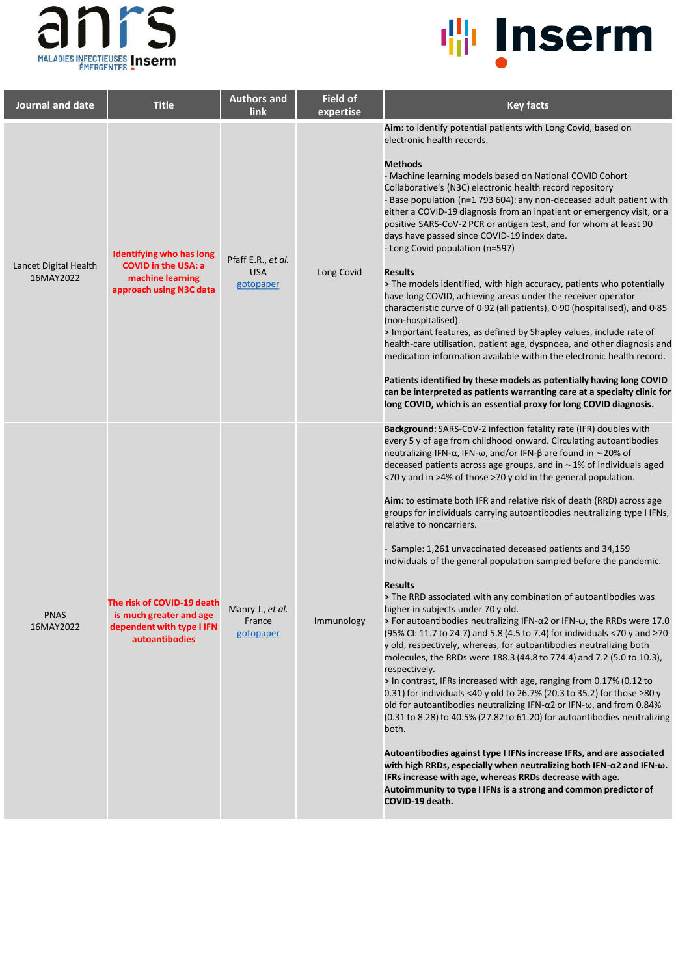

| Journal and date                   | <b>Title</b>                                                                                                 | <b>Authors and</b><br>link                    | <b>Field of</b><br>expertise | <b>Key facts</b>                                                                                                                                                                                                                                                                                                                                                                                                                                                                                                                                                                                                                                                                                                                                                                                                                                                                                                                                                                                                                                                                                                                                                                                                                                                                                                                                                                                                                                                                                                                                                                                                                                                                                                                                                                                                    |
|------------------------------------|--------------------------------------------------------------------------------------------------------------|-----------------------------------------------|------------------------------|---------------------------------------------------------------------------------------------------------------------------------------------------------------------------------------------------------------------------------------------------------------------------------------------------------------------------------------------------------------------------------------------------------------------------------------------------------------------------------------------------------------------------------------------------------------------------------------------------------------------------------------------------------------------------------------------------------------------------------------------------------------------------------------------------------------------------------------------------------------------------------------------------------------------------------------------------------------------------------------------------------------------------------------------------------------------------------------------------------------------------------------------------------------------------------------------------------------------------------------------------------------------------------------------------------------------------------------------------------------------------------------------------------------------------------------------------------------------------------------------------------------------------------------------------------------------------------------------------------------------------------------------------------------------------------------------------------------------------------------------------------------------------------------------------------------------|
| Lancet Digital Health<br>16MAY2022 | <b>Identifying who has long</b><br><b>COVID in the USA: a</b><br>machine learning<br>approach using N3C data | Pfaff E.R., et al.<br><b>USA</b><br>gotopaper | Long Covid                   | Aim: to identify potential patients with Long Covid, based on<br>electronic health records.<br><b>Methods</b><br>- Machine learning models based on National COVID Cohort<br>Collaborative's (N3C) electronic health record repository<br>- Base population (n=1 793 604): any non-deceased adult patient with<br>either a COVID-19 diagnosis from an inpatient or emergency visit, or a<br>positive SARS-CoV-2 PCR or antigen test, and for whom at least 90<br>days have passed since COVID-19 index date.<br>- Long Covid population (n=597)<br><b>Results</b><br>> The models identified, with high accuracy, patients who potentially<br>have long COVID, achieving areas under the receiver operator<br>characteristic curve of 0.92 (all patients), 0.90 (hospitalised), and 0.85<br>(non-hospitalised).<br>> Important features, as defined by Shapley values, include rate of<br>health-care utilisation, patient age, dyspnoea, and other diagnosis and<br>medication information available within the electronic health record.<br>Patients identified by these models as potentially having long COVID<br>can be interpreted as patients warranting care at a specialty clinic for<br>long COVID, which is an essential proxy for long COVID diagnosis.                                                                                                                                                                                                                                                                                                                                                                                                                                                                                                                                                 |
| <b>PNAS</b><br>16MAY2022           | The risk of COVID-19 death<br>is much greater and age<br>dependent with type I IFN<br>autoantibodies         | Manry J., et al.<br>France<br>gotopaper       | Immunology                   | <b>Background:</b> SARS-CoV-2 infection fatality rate (IFR) doubles with<br>every 5 y of age from childhood onward. Circulating autoantibodies<br>neutralizing IFN- $\alpha$ , IFN- $\omega$ , and/or IFN- $\beta$ are found in $\sim$ 20% of<br>deceased patients across age groups, and in $\sim$ 1% of individuals aged<br><70 y and in >4% of those >70 y old in the general population.<br>Aim: to estimate both IFR and relative risk of death (RRD) across age<br>groups for individuals carrying autoantibodies neutralizing type I IFNs,<br>relative to noncarriers.<br>- Sample: 1,261 unvaccinated deceased patients and 34,159<br>individuals of the general population sampled before the pandemic.<br><b>Results</b><br>> The RRD associated with any combination of autoantibodies was<br>higher in subjects under 70 y old.<br>> For autoantibodies neutralizing IFN-α2 or IFN-ω, the RRDs were 17.0<br>(95% CI: 11.7 to 24.7) and 5.8 (4.5 to 7.4) for individuals <70 y and ≥70<br>y old, respectively, whereas, for autoantibodies neutralizing both<br>molecules, the RRDs were 188.3 (44.8 to 774.4) and 7.2 (5.0 to 10.3),<br>respectively.<br>> In contrast, IFRs increased with age, ranging from 0.17% (0.12 to<br>0.31) for individuals <40 y old to 26.7% (20.3 to 35.2) for those ≥80 y<br>old for autoantibodies neutralizing IFN- $\alpha$ 2 or IFN- $\omega$ , and from 0.84%<br>(0.31 to 8.28) to 40.5% (27.82 to 61.20) for autoantibodies neutralizing<br>both.<br>Autoantibodies against type I IFNs increase IFRs, and are associated<br>with high RRDs, especially when neutralizing both IFN- $\alpha$ 2 and IFN- $\omega$ .<br>IFRs increase with age, whereas RRDs decrease with age.<br>Autoimmunity to type I IFNs is a strong and common predictor of<br>COVID-19 death. |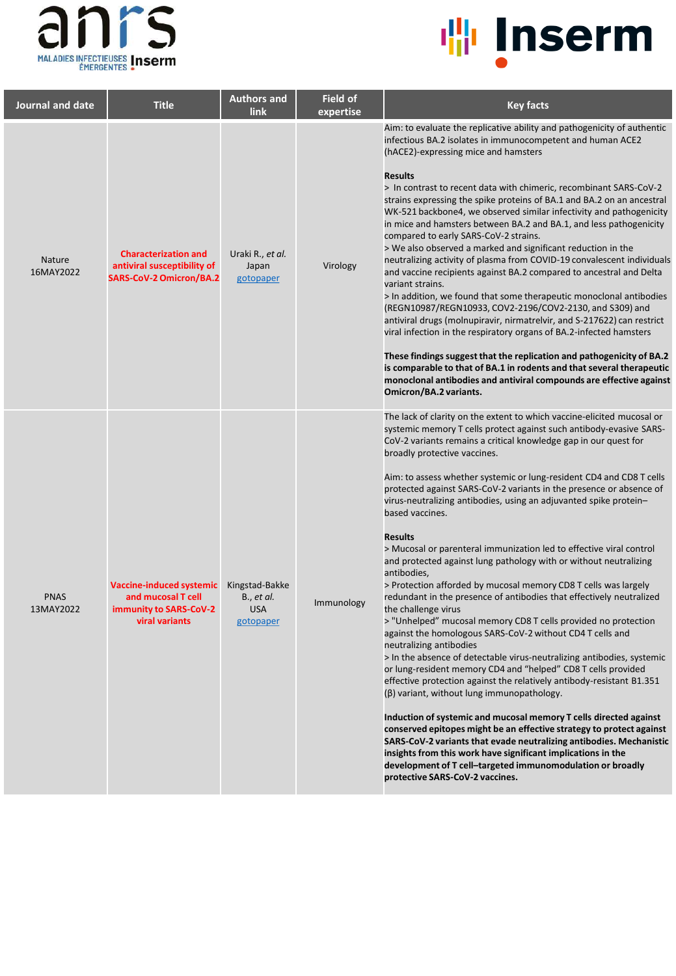

ı

| Journal and date         | <b>Title</b>                                                                                      | <b>Authors and</b><br>link                              | Field of<br>expertise | <b>Key facts</b>                                                                                                                                                                                                                                                                                                                                                                                                                                                                                                                                                                                                                                                                                                                                                                                                                                                                                                                                                                                                                                                                                                                                                                                                                                                                                                                                                                                                                                                                                                                                                                                                                                         |
|--------------------------|---------------------------------------------------------------------------------------------------|---------------------------------------------------------|-----------------------|----------------------------------------------------------------------------------------------------------------------------------------------------------------------------------------------------------------------------------------------------------------------------------------------------------------------------------------------------------------------------------------------------------------------------------------------------------------------------------------------------------------------------------------------------------------------------------------------------------------------------------------------------------------------------------------------------------------------------------------------------------------------------------------------------------------------------------------------------------------------------------------------------------------------------------------------------------------------------------------------------------------------------------------------------------------------------------------------------------------------------------------------------------------------------------------------------------------------------------------------------------------------------------------------------------------------------------------------------------------------------------------------------------------------------------------------------------------------------------------------------------------------------------------------------------------------------------------------------------------------------------------------------------|
| Nature<br>16MAY2022      | <b>Characterization and</b><br>antiviral susceptibility of<br>SARS-CoV-2 Omicron/BA.2             | Uraki R., et al.<br>Japan<br>gotopaper                  | Virology              | Aim: to evaluate the replicative ability and pathogenicity of authentic<br>infectious BA.2 isolates in immunocompetent and human ACE2<br>(hACE2)-expressing mice and hamsters<br><b>Results</b><br>> In contrast to recent data with chimeric, recombinant SARS-CoV-2<br>strains expressing the spike proteins of BA.1 and BA.2 on an ancestral<br>WK-521 backbone4, we observed similar infectivity and pathogenicity<br>in mice and hamsters between BA.2 and BA.1, and less pathogenicity<br>compared to early SARS-CoV-2 strains.<br>> We also observed a marked and significant reduction in the<br>neutralizing activity of plasma from COVID-19 convalescent individuals<br>and vaccine recipients against BA.2 compared to ancestral and Delta<br>variant strains.<br>> In addition, we found that some therapeutic monoclonal antibodies<br>(REGN10987/REGN10933, COV2-2196/COV2-2130, and S309) and<br>antiviral drugs (molnupiravir, nirmatrelvir, and S-217622) can restrict<br>viral infection in the respiratory organs of BA.2-infected hamsters<br>These findings suggest that the replication and pathogenicity of BA.2<br>is comparable to that of BA.1 in rodents and that several therapeutic<br>monoclonal antibodies and antiviral compounds are effective against<br>Omicron/BA.2 variants.                                                                                                                                                                                                                                                                                                                                       |
| <b>PNAS</b><br>13MAY2022 | <b>Vaccine-induced systemic</b><br>and mucosal T cell<br>immunity to SARS-CoV-2<br>viral variants | Kingstad-Bakke<br>B., et al.<br><b>USA</b><br>gotopaper | Immunology            | The lack of clarity on the extent to which vaccine-elicited mucosal or<br>systemic memory T cells protect against such antibody-evasive SARS-<br>CoV-2 variants remains a critical knowledge gap in our quest for<br>broadly protective vaccines.<br>Aim: to assess whether systemic or lung-resident CD4 and CD8 T cells<br>protected against SARS-CoV-2 variants in the presence or absence of<br>virus-neutralizing antibodies, using an adjuvanted spike protein-<br>based vaccines.<br><b>Results</b><br>> Mucosal or parenteral immunization led to effective viral control<br>and protected against lung pathology with or without neutralizing<br>antibodies,<br>> Protection afforded by mucosal memory CD8 T cells was largely<br>redundant in the presence of antibodies that effectively neutralized<br>the challenge virus<br>> "Unhelped" mucosal memory CD8 T cells provided no protection<br>against the homologous SARS-CoV-2 without CD4 T cells and<br>neutralizing antibodies<br>> In the absence of detectable virus-neutralizing antibodies, systemic<br>or lung-resident memory CD4 and "helped" CD8 T cells provided<br>effective protection against the relatively antibody-resistant B1.351<br>(β) variant, without lung immunopathology.<br>Induction of systemic and mucosal memory T cells directed against<br>conserved epitopes might be an effective strategy to protect against<br>SARS-CoV-2 variants that evade neutralizing antibodies. Mechanistic<br>insights from this work have significant implications in the<br>development of T cell-targeted immunomodulation or broadly<br>protective SARS-CoV-2 vaccines. |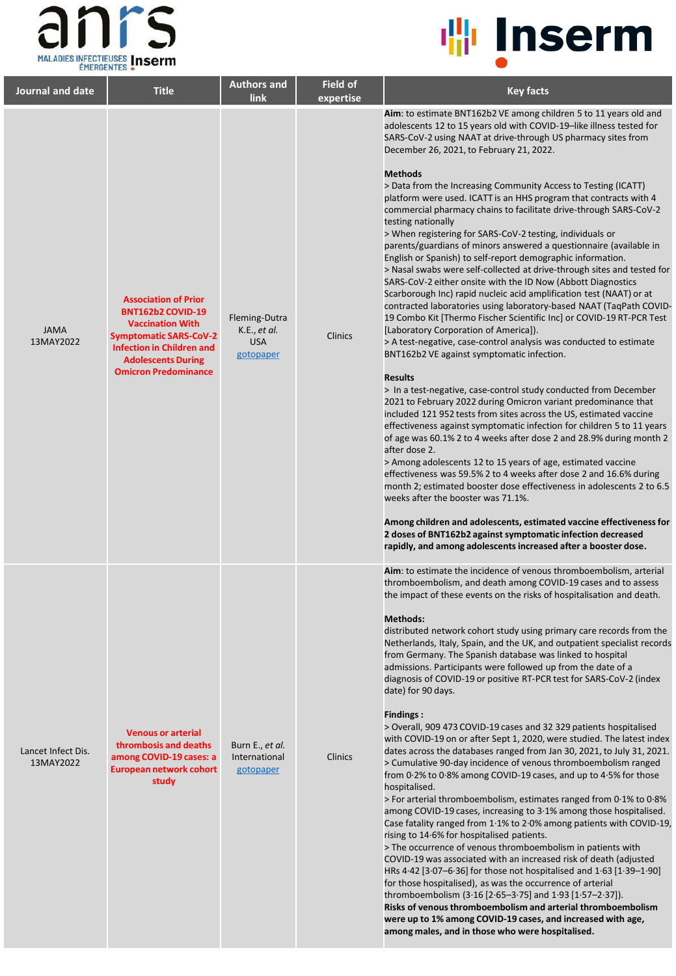I

| Journal and date                | <b>Title</b>                                                                                                                                                                                                        | <b>Authors and</b><br>link                               | <b>Field of</b><br>expertise | <b>Key facts</b>                                                                                                                                                                                                                                                                                                                                                                                                                                                                                                                                                                                                                                                                                                                                                                                                                                                                                                                                                                                                                                                                                                                                                                                                                                                                                                                                                                                                                                                                                                                                                                                                                                                                                                                                                                                                                                                                                                                                                                                                                                                                                        |
|---------------------------------|---------------------------------------------------------------------------------------------------------------------------------------------------------------------------------------------------------------------|----------------------------------------------------------|------------------------------|---------------------------------------------------------------------------------------------------------------------------------------------------------------------------------------------------------------------------------------------------------------------------------------------------------------------------------------------------------------------------------------------------------------------------------------------------------------------------------------------------------------------------------------------------------------------------------------------------------------------------------------------------------------------------------------------------------------------------------------------------------------------------------------------------------------------------------------------------------------------------------------------------------------------------------------------------------------------------------------------------------------------------------------------------------------------------------------------------------------------------------------------------------------------------------------------------------------------------------------------------------------------------------------------------------------------------------------------------------------------------------------------------------------------------------------------------------------------------------------------------------------------------------------------------------------------------------------------------------------------------------------------------------------------------------------------------------------------------------------------------------------------------------------------------------------------------------------------------------------------------------------------------------------------------------------------------------------------------------------------------------------------------------------------------------------------------------------------------------|
| <b>JAMA</b><br>13MAY2022        | <b>Association of Prior</b><br><b>BNT162b2 COVID-19</b><br><b>Vaccination With</b><br><b>Symptomatic SARS-CoV-2</b><br><b>Infection in Children and</b><br><b>Adolescents During</b><br><b>Omicron Predominance</b> | Fleming-Dutra<br>K.E., et al.<br><b>USA</b><br>gotopaper | Clinics                      | Aim: to estimate BNT162b2 VE among children 5 to 11 years old and<br>adolescents 12 to 15 years old with COVID-19-like illness tested for<br>SARS-CoV-2 using NAAT at drive-through US pharmacy sites from<br>December 26, 2021, to February 21, 2022.<br><b>Methods</b><br>> Data from the Increasing Community Access to Testing (ICATT)<br>platform were used. ICATT is an HHS program that contracts with 4<br>commercial pharmacy chains to facilitate drive-through SARS-CoV-2<br>testing nationally<br>> When registering for SARS-CoV-2 testing, individuals or<br>parents/guardians of minors answered a questionnaire (available in<br>English or Spanish) to self-report demographic information.<br>> Nasal swabs were self-collected at drive-through sites and tested for<br>SARS-CoV-2 either onsite with the ID Now (Abbott Diagnostics<br>Scarborough Inc) rapid nucleic acid amplification test (NAAT) or at<br>contracted laboratories using laboratory-based NAAT (TaqPath COVID-<br>19 Combo Kit [Thermo Fischer Scientific Inc] or COVID-19 RT-PCR Test<br>[Laboratory Corporation of America]).<br>> A test-negative, case-control analysis was conducted to estimate<br>BNT162b2 VE against symptomatic infection.<br><b>Results</b><br>> In a test-negative, case-control study conducted from December<br>2021 to February 2022 during Omicron variant predominance that<br>included 121 952 tests from sites across the US, estimated vaccine<br>effectiveness against symptomatic infection for children 5 to 11 years<br>of age was 60.1% 2 to 4 weeks after dose 2 and 28.9% during month 2<br>after dose 2.<br>> Among adolescents 12 to 15 years of age, estimated vaccine<br>effectiveness was 59.5% 2 to 4 weeks after dose 2 and 16.6% during<br>month 2; estimated booster dose effectiveness in adolescents 2 to 6.5<br>weeks after the booster was 71.1%.<br>Among children and adolescents, estimated vaccine effectiveness for<br>2 doses of BNT162b2 against symptomatic infection decreased<br>rapidly, and among adolescents increased after a booster dose. |
| Lancet Infect Dis.<br>13MAY2022 | <b>Venous or arterial</b><br>thrombosis and deaths<br>among COVID-19 cases: a<br><b>European network cohort</b><br>study                                                                                            | Burn E., et al.<br>International<br>gotopaper            | Clinics                      | Aim: to estimate the incidence of venous thromboembolism, arterial<br>thromboembolism, and death among COVID-19 cases and to assess<br>the impact of these events on the risks of hospitalisation and death.<br><b>Methods:</b><br>distributed network cohort study using primary care records from the<br>Netherlands, Italy, Spain, and the UK, and outpatient specialist records<br>from Germany. The Spanish database was linked to hospital<br>admissions. Participants were followed up from the date of a<br>diagnosis of COVID-19 or positive RT-PCR test for SARS-CoV-2 (index<br>date) for 90 days.<br><b>Findings:</b><br>> Overall, 909 473 COVID-19 cases and 32 329 patients hospitalised<br>with COVID-19 on or after Sept 1, 2020, were studied. The latest index<br>dates across the databases ranged from Jan 30, 2021, to July 31, 2021.<br>> Cumulative 90-day incidence of venous thromboembolism ranged<br>from 0.2% to 0.8% among COVID-19 cases, and up to 4.5% for those<br>hospitalised.<br>> For arterial thromboembolism, estimates ranged from 0.1% to 0.8%<br>among COVID-19 cases, increasing to 3.1% among those hospitalised.<br>Case fatality ranged from 1.1% to 2.0% among patients with COVID-19,<br>rising to 14.6% for hospitalised patients.<br>> The occurrence of venous thromboembolism in patients with<br>COVID-19 was associated with an increased risk of death (adjusted<br>HRs 4.42 [3.07-6.36] for those not hospitalised and $1.63$ [ $1.39-1.90$ ]<br>for those hospitalised), as was the occurrence of arterial<br>thromboembolism $(3.16 [2.65 - 3.75]$ and $1.93 [1.57 - 2.37]$ .<br>Risks of venous thromboembolism and arterial thromboembolism<br>were up to 1% among COVID-19 cases, and increased with age,<br>among males, and in those who were hospitalised.                                                                                                                                                                                                                                                                             |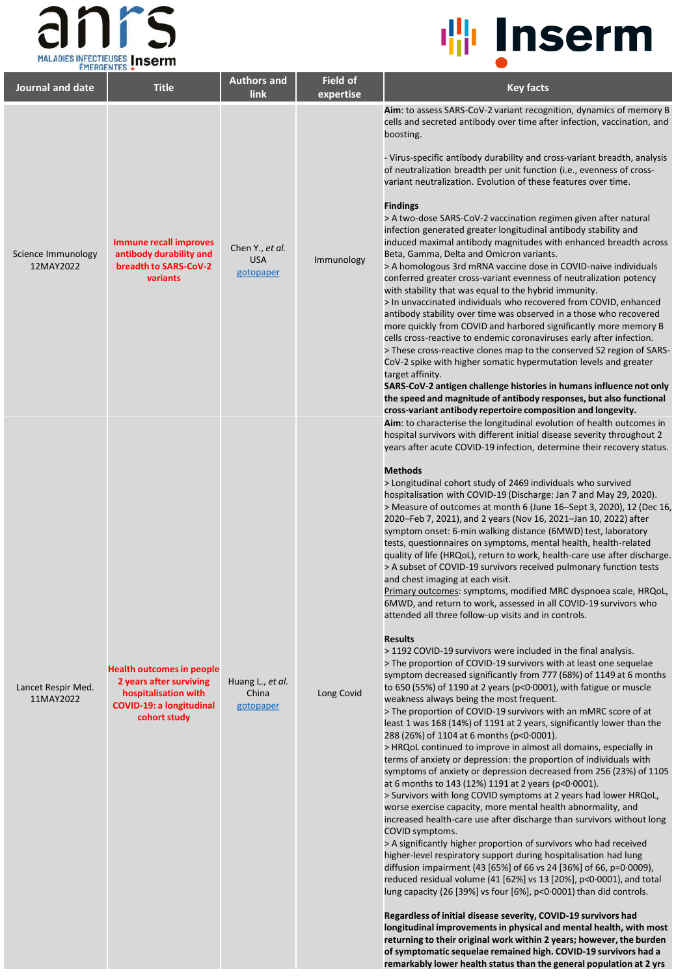| Journal and date                | EMERGENIES .<br><b>Title</b>                                                                                                           | <b>Authors and</b><br>link                 | Field of<br>expertise | <b>Key facts</b>                                                                                                                                                                                                                                                                                                                                                                                                                                                                                                                                                                                                                                                                                                                                                                                                                                                                                                                                                                                                                                                                                                                                                                                                                                                                                                                                                                                                                                                                                                                                                                                                                                                                                                                        |
|---------------------------------|----------------------------------------------------------------------------------------------------------------------------------------|--------------------------------------------|-----------------------|-----------------------------------------------------------------------------------------------------------------------------------------------------------------------------------------------------------------------------------------------------------------------------------------------------------------------------------------------------------------------------------------------------------------------------------------------------------------------------------------------------------------------------------------------------------------------------------------------------------------------------------------------------------------------------------------------------------------------------------------------------------------------------------------------------------------------------------------------------------------------------------------------------------------------------------------------------------------------------------------------------------------------------------------------------------------------------------------------------------------------------------------------------------------------------------------------------------------------------------------------------------------------------------------------------------------------------------------------------------------------------------------------------------------------------------------------------------------------------------------------------------------------------------------------------------------------------------------------------------------------------------------------------------------------------------------------------------------------------------------|
| Science Immunology<br>12MAY2022 | Immune recall improves<br>antibody durability and<br>breadth to SARS-CoV-2<br>variants                                                 | Chen Y., et al.<br><b>USA</b><br>gotopaper | Immunology            | Aim: to assess SARS-CoV-2 variant recognition, dynamics of memory B<br>cells and secreted antibody over time after infection, vaccination, and<br>boosting.<br>- Virus-specific antibody durability and cross-variant breadth, analysis<br>of neutralization breadth per unit function (i.e., evenness of cross-<br>variant neutralization. Evolution of these features over time.<br><b>Findings</b><br>> A two-dose SARS-CoV-2 vaccination regimen given after natural<br>infection generated greater longitudinal antibody stability and<br>induced maximal antibody magnitudes with enhanced breadth across<br>Beta, Gamma, Delta and Omicron variants.<br>> A homologous 3rd mRNA vaccine dose in COVID-naïve individuals<br>conferred greater cross-variant evenness of neutralization potency<br>with stability that was equal to the hybrid immunity.<br>> In unvaccinated individuals who recovered from COVID, enhanced<br>antibody stability over time was observed in a those who recovered<br>more quickly from COVID and harbored significantly more memory B<br>cells cross-reactive to endemic coronaviruses early after infection.<br>> These cross-reactive clones map to the conserved S2 region of SARS-<br>CoV-2 spike with higher somatic hypermutation levels and greater<br>target affinity.<br>SARS-CoV-2 antigen challenge histories in humans influence not only<br>the speed and magnitude of antibody responses, but also functional<br>cross-variant antibody repertoire composition and longevity.                                                                                                                                                                                                       |
| Lancet Respir Med.<br>11MAY2022 | <b>Health outcomes in people</b><br>2 years after surviving<br>hospitalisation with<br><b>COVID-19: a longitudinal</b><br>cohort study | Huang L., et al.<br>China<br>gotopaper     | Long Covid            | Aim: to characterise the longitudinal evolution of health outcomes in<br>hospital survivors with different initial disease severity throughout 2<br>years after acute COVID-19 infection, determine their recovery status.<br>Methods<br>> Longitudinal cohort study of 2469 individuals who survived<br>hospitalisation with COVID-19 (Discharge: Jan 7 and May 29, 2020).<br>> Measure of outcomes at month 6 (June 16-Sept 3, 2020), 12 (Dec 16,<br>2020–Feb 7, 2021), and 2 years (Nov 16, 2021–Jan 10, 2022) after<br>symptom onset: 6-min walking distance (6MWD) test, laboratory<br>tests, questionnaires on symptoms, mental health, health-related<br>quality of life (HRQoL), return to work, health-care use after discharge.<br>> A subset of COVID-19 survivors received pulmonary function tests<br>and chest imaging at each visit.<br>Primary outcomes: symptoms, modified MRC dyspnoea scale, HRQoL,<br>6MWD, and return to work, assessed in all COVID-19 survivors who<br>attended all three follow-up visits and in controls.<br><b>Results</b><br>>1192 COVID-19 survivors were included in the final analysis.<br>> The proportion of COVID-19 survivors with at least one sequelae<br>symptom decreased significantly from 777 (68%) of 1149 at 6 months<br>to 650 (55%) of 1190 at 2 years (p<0.0001), with fatigue or muscle<br>weakness always being the most frequent.<br>> The proportion of COVID-19 survivors with an mMRC score of at<br>least 1 was 168 (14%) of 1191 at 2 years, significantly lower than the<br>288 (26%) of 1104 at 6 months (p<0.0001).<br>> HRQoL continued to improve in almost all domains, especially in<br>terms of anxiety or depression: the proportion of individuals with |
|                                 |                                                                                                                                        |                                            |                       | symptoms of anxiety or depression decreased from 256 (23%) of 1105<br>at 6 months to 143 (12%) 1191 at 2 years (p<0.0001).<br>> Survivors with long COVID symptoms at 2 years had lower HRQoL,<br>worse exercise capacity, more mental health abnormality, and<br>increased health-care use after discharge than survivors without long<br>COVID symptoms.<br>> A significantly higher proportion of survivors who had received<br>higher-level respiratory support during hospitalisation had lung<br>diffusion impairment (43 [65%] of 66 vs 24 [36%] of 66, p=0.0009),<br>reduced residual volume (41 [62%] vs 13 [20%], p<0·0001), and total<br>lung capacity (26 [39%] vs four [6%], p<0.0001) than did controls.<br>Regardless of initial disease severity, COVID-19 survivors had<br>longitudinal improvements in physical and mental health, with most<br>returning to their original work within 2 years; however, the burden<br>of symptomatic sequelae remained high. COVID-19 survivors had a<br>remarkably lower health status than the general population at 2 yrs                                                                                                                                                                                                                                                                                                                                                                                                                                                                                                                                                                                                                                                        |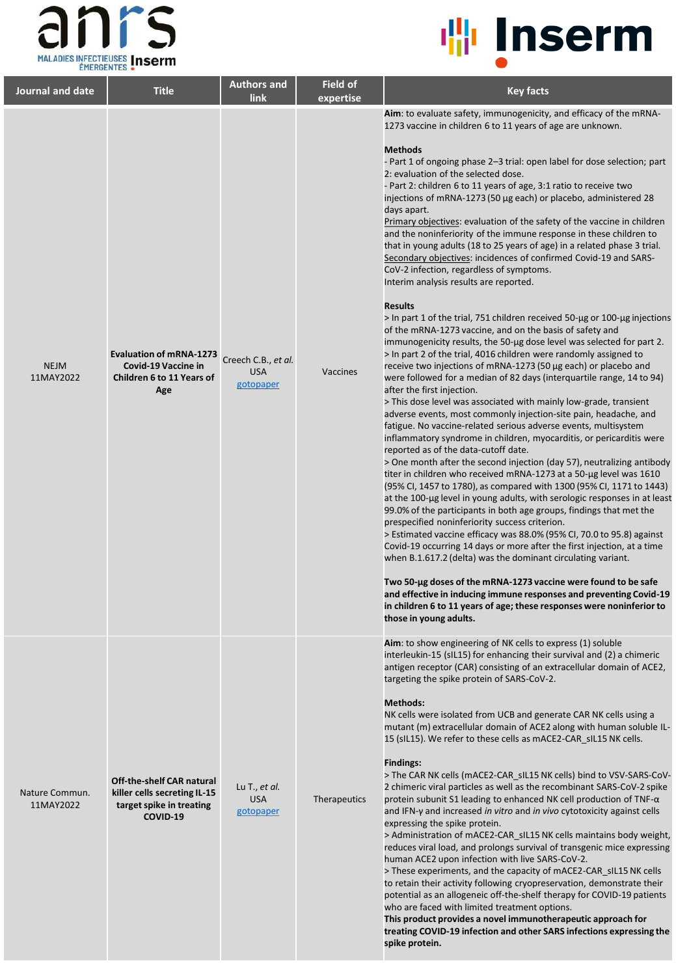I

| Journal and date            | <b>Title</b>                                                                                      | <b>Authors and</b><br>link                     | <b>Field of</b><br>expertise | <b>Key facts</b>                                                                                                                                                                                                                                                                                                                                                                                                                                                                                                                                                                                                                                                                                                                                                                                                                                                                                                                                                                                                                                                                                                                                                                                                                                                                                                                                                                                                                                                                                                                                                                                                                                                                                                                                                                                                                                                                                                                                                                                                                                                                                                                                                                                                                                                                                                                                                                                                                                                                                                           |
|-----------------------------|---------------------------------------------------------------------------------------------------|------------------------------------------------|------------------------------|----------------------------------------------------------------------------------------------------------------------------------------------------------------------------------------------------------------------------------------------------------------------------------------------------------------------------------------------------------------------------------------------------------------------------------------------------------------------------------------------------------------------------------------------------------------------------------------------------------------------------------------------------------------------------------------------------------------------------------------------------------------------------------------------------------------------------------------------------------------------------------------------------------------------------------------------------------------------------------------------------------------------------------------------------------------------------------------------------------------------------------------------------------------------------------------------------------------------------------------------------------------------------------------------------------------------------------------------------------------------------------------------------------------------------------------------------------------------------------------------------------------------------------------------------------------------------------------------------------------------------------------------------------------------------------------------------------------------------------------------------------------------------------------------------------------------------------------------------------------------------------------------------------------------------------------------------------------------------------------------------------------------------------------------------------------------------------------------------------------------------------------------------------------------------------------------------------------------------------------------------------------------------------------------------------------------------------------------------------------------------------------------------------------------------------------------------------------------------------------------------------------------------|
| <b>NEJM</b><br>11MAY2022    | <b>Evaluation of mRNA-1273</b><br><b>Covid-19 Vaccine in</b><br>Children 6 to 11 Years of<br>Age  | Creech C.B., et al.<br><b>USA</b><br>gotopaper | Vaccines                     | Aim: to evaluate safety, immunogenicity, and efficacy of the mRNA-<br>1273 vaccine in children 6 to 11 years of age are unknown.<br>Methods<br>- Part 1 of ongoing phase 2-3 trial: open label for dose selection; part<br>2: evaluation of the selected dose.<br>- Part 2: children 6 to 11 years of age, 3:1 ratio to receive two<br>injections of mRNA-1273 (50 µg each) or placebo, administered 28<br>days apart.<br>Primary objectives: evaluation of the safety of the vaccine in children<br>and the noninferiority of the immune response in these children to<br>that in young adults (18 to 25 years of age) in a related phase 3 trial.<br>Secondary objectives: incidences of confirmed Covid-19 and SARS-<br>CoV-2 infection, regardless of symptoms.<br>Interim analysis results are reported.<br><b>Results</b><br>> In part 1 of the trial, 751 children received 50-μg or 100-μg injections<br>of the mRNA-1273 vaccine, and on the basis of safety and<br>immunogenicity results, the 50-µg dose level was selected for part 2.<br>> In part 2 of the trial, 4016 children were randomly assigned to<br>receive two injections of mRNA-1273 (50 µg each) or placebo and<br>were followed for a median of 82 days (interquartile range, 14 to 94)<br>after the first injection.<br>> This dose level was associated with mainly low-grade, transient<br>adverse events, most commonly injection-site pain, headache, and<br>fatigue. No vaccine-related serious adverse events, multisystem<br>inflammatory syndrome in children, myocarditis, or pericarditis were<br>reported as of the data-cutoff date.<br>> One month after the second injection (day 57), neutralizing antibody<br>titer in children who received mRNA-1273 at a 50-µg level was 1610<br>(95% CI, 1457 to 1780), as compared with 1300 (95% CI, 1171 to 1443)<br>at the 100-µg level in young adults, with serologic responses in at least<br>99.0% of the participants in both age groups, findings that met the<br>prespecified noninferiority success criterion.<br>> Estimated vaccine efficacy was 88.0% (95% CI, 70.0 to 95.8) against<br>Covid-19 occurring 14 days or more after the first injection, at a time<br>when B.1.617.2 (delta) was the dominant circulating variant.<br>Two 50-µg doses of the mRNA-1273 vaccine were found to be safe<br>and effective in inducing immune responses and preventing Covid-19<br>in children 6 to 11 years of age; these responses were noninferior to<br>those in young adults. |
| Nature Commun.<br>11MAY2022 | Off-the-shelf CAR natural<br>killer cells secreting IL-15<br>target spike in treating<br>COVID-19 | Lu T., et al.<br><b>USA</b><br>gotopaper       | Therapeutics                 | Aim: to show engineering of NK cells to express (1) soluble<br>interleukin-15 (sIL15) for enhancing their survival and (2) a chimeric<br>antigen receptor (CAR) consisting of an extracellular domain of ACE2,<br>targeting the spike protein of SARS-CoV-2.<br><b>Methods:</b><br>NK cells were isolated from UCB and generate CAR NK cells using a<br>mutant (m) extracellular domain of ACE2 along with human soluble IL-<br>15 (sIL15). We refer to these cells as mACE2-CAR_sIL15 NK cells.<br><b>Findings:</b><br>> The CAR NK cells (mACE2-CAR_sIL15 NK cells) bind to VSV-SARS-CoV-<br>2 chimeric viral particles as well as the recombinant SARS-CoV-2 spike<br>protein subunit S1 leading to enhanced NK cell production of TNF- $\alpha$<br>and IFN-y and increased in vitro and in vivo cytotoxicity against cells<br>expressing the spike protein.<br>> Administration of mACE2-CAR_sIL15 NK cells maintains body weight,<br>reduces viral load, and prolongs survival of transgenic mice expressing<br>human ACE2 upon infection with live SARS-CoV-2.<br>> These experiments, and the capacity of mACE2-CAR_sIL15 NK cells<br>to retain their activity following cryopreservation, demonstrate their<br>potential as an allogeneic off-the-shelf therapy for COVID-19 patients<br>who are faced with limited treatment options.<br>This product provides a novel immunotherapeutic approach for<br>treating COVID-19 infection and other SARS infections expressing the<br>spike protein.                                                                                                                                                                                                                                                                                                                                                                                                                                                                                                                                                                                                                                                                                                                                                                                                                                                                                                                                                                                                                   |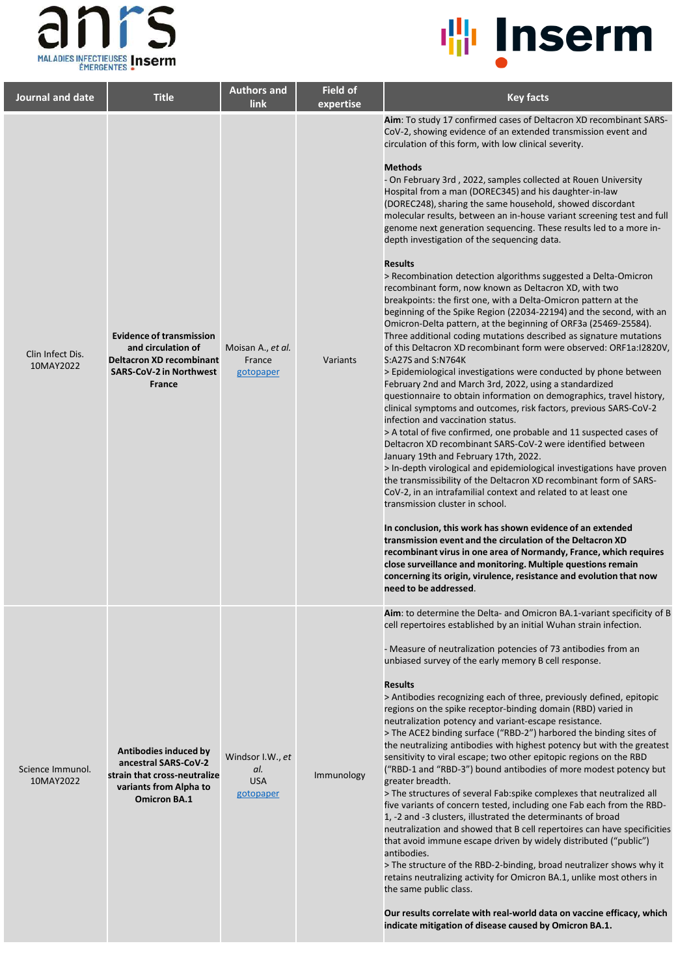



| Journal and date              | <b>Title</b>                                                                                                                                | <b>Authors and</b><br><b>link</b>                  | <b>Field of</b><br>expertise | <b>Key facts</b>                                                                                                                                                                                                                                                                                                                                                                                                                                                                                                                                                                                                                                                                                                                                                                                                                                                                                                                                                                                                                                                                                                                                                                                                                                                                                                                                                                                                                                                                                                                                                                                                                                                                                                                                                                                                                                                                                                                                                                                                                                                                                                                                                                                                                                       |
|-------------------------------|---------------------------------------------------------------------------------------------------------------------------------------------|----------------------------------------------------|------------------------------|--------------------------------------------------------------------------------------------------------------------------------------------------------------------------------------------------------------------------------------------------------------------------------------------------------------------------------------------------------------------------------------------------------------------------------------------------------------------------------------------------------------------------------------------------------------------------------------------------------------------------------------------------------------------------------------------------------------------------------------------------------------------------------------------------------------------------------------------------------------------------------------------------------------------------------------------------------------------------------------------------------------------------------------------------------------------------------------------------------------------------------------------------------------------------------------------------------------------------------------------------------------------------------------------------------------------------------------------------------------------------------------------------------------------------------------------------------------------------------------------------------------------------------------------------------------------------------------------------------------------------------------------------------------------------------------------------------------------------------------------------------------------------------------------------------------------------------------------------------------------------------------------------------------------------------------------------------------------------------------------------------------------------------------------------------------------------------------------------------------------------------------------------------------------------------------------------------------------------------------------------------|
| Clin Infect Dis.<br>10MAY2022 | <b>Evidence of transmission</b><br>and circulation of<br><b>Deltacron XD recombinant</b><br><b>SARS-CoV-2 in Northwest</b><br><b>France</b> | Moisan A., et al.<br>France<br>gotopaper           | Variants                     | Aim: To study 17 confirmed cases of Deltacron XD recombinant SARS-<br>CoV-2, showing evidence of an extended transmission event and<br>circulation of this form, with low clinical severity.<br><b>Methods</b><br>- On February 3rd, 2022, samples collected at Rouen University<br>Hospital from a man (DOREC345) and his daughter-in-law<br>(DOREC248), sharing the same household, showed discordant<br>molecular results, between an in-house variant screening test and full<br>genome next generation sequencing. These results led to a more in-<br>depth investigation of the sequencing data.<br><b>Results</b><br>> Recombination detection algorithms suggested a Delta-Omicron<br>recombinant form, now known as Deltacron XD, with two<br>breakpoints: the first one, with a Delta-Omicron pattern at the<br>beginning of the Spike Region (22034-22194) and the second, with an<br>Omicron-Delta pattern, at the beginning of ORF3a (25469-25584).<br>Three additional coding mutations described as signature mutations<br>of this Deltacron XD recombinant form were observed: ORF1a:I2820V,<br>S:A27S and S:N764K<br>> Epidemiological investigations were conducted by phone between<br>February 2nd and March 3rd, 2022, using a standardized<br>questionnaire to obtain information on demographics, travel history,<br>clinical symptoms and outcomes, risk factors, previous SARS-CoV-2<br>infection and vaccination status.<br>> A total of five confirmed, one probable and 11 suspected cases of<br>Deltacron XD recombinant SARS-CoV-2 were identified between<br>January 19th and February 17th, 2022.<br>> In-depth virological and epidemiological investigations have proven<br>the transmissibility of the Deltacron XD recombinant form of SARS-<br>CoV-2, in an intrafamilial context and related to at least one<br>transmission cluster in school.<br>In conclusion, this work has shown evidence of an extended<br>transmission event and the circulation of the Deltacron XD<br>recombinant virus in one area of Normandy, France, which requires<br>close surveillance and monitoring. Multiple questions remain<br>concerning its origin, virulence, resistance and evolution that now<br>need to be addressed. |
| Science Immunol.<br>10MAY2022 | Antibodies induced by<br>ancestral SARS-CoV-2<br>strain that cross-neutralize<br>variants from Alpha to<br><b>Omicron BA.1</b>              | Windsor I.W., et<br>al.<br><b>USA</b><br>gotopaper | Immunology                   | Aim: to determine the Delta- and Omicron BA.1-variant specificity of B<br>cell repertoires established by an initial Wuhan strain infection.<br>- Measure of neutralization potencies of 73 antibodies from an<br>unbiased survey of the early memory B cell response.<br><b>Results</b><br>> Antibodies recognizing each of three, previously defined, epitopic<br>regions on the spike receptor-binding domain (RBD) varied in<br>neutralization potency and variant-escape resistance.<br>> The ACE2 binding surface ("RBD-2") harbored the binding sites of<br>the neutralizing antibodies with highest potency but with the greatest<br>sensitivity to viral escape; two other epitopic regions on the RBD<br>("RBD-1 and "RBD-3") bound antibodies of more modest potency but<br>greater breadth.<br>> The structures of several Fab:spike complexes that neutralized all<br>five variants of concern tested, including one Fab each from the RBD-<br>1, -2 and -3 clusters, illustrated the determinants of broad<br>neutralization and showed that B cell repertoires can have specificities<br>that avoid immune escape driven by widely distributed ("public")<br>antibodies.<br>> The structure of the RBD-2-binding, broad neutralizer shows why it<br>retains neutralizing activity for Omicron BA.1, unlike most others in<br>the same public class.<br>Our results correlate with real-world data on vaccine efficacy, which<br>indicate mitigation of disease caused by Omicron BA.1.                                                                                                                                                                                                                                                                                                                                                                                                                                                                                                                                                                                                                                                                                                                                                  |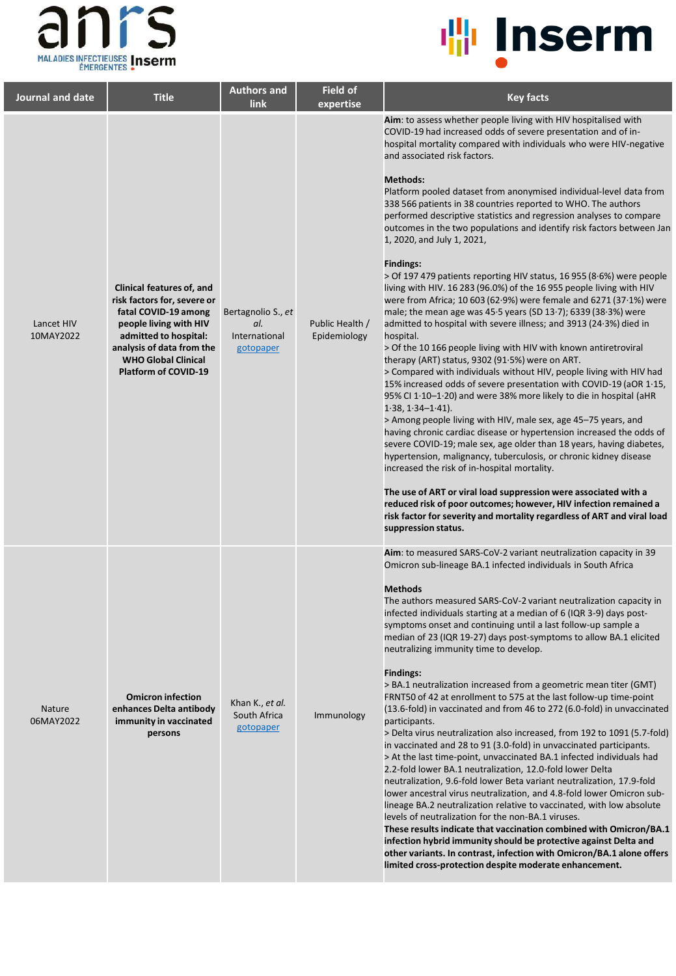

| Journal and date        | <b>Title</b>                                                                                                                                                                                                                  | <b>Authors and</b><br>link                              | <b>Field of</b><br>expertise    | <b>Key facts</b>                                                                                                                                                                                                                                                                                                                                                                                                                                                                                                                                                                                                                                                                                                                                                                                                                                                                                                                                                                                                                                                                                                                                                                                                                                                                                                                                                                                                                                                                                                                                                                                                                                                                                                                                                                                                                                                                                                                                                           |
|-------------------------|-------------------------------------------------------------------------------------------------------------------------------------------------------------------------------------------------------------------------------|---------------------------------------------------------|---------------------------------|----------------------------------------------------------------------------------------------------------------------------------------------------------------------------------------------------------------------------------------------------------------------------------------------------------------------------------------------------------------------------------------------------------------------------------------------------------------------------------------------------------------------------------------------------------------------------------------------------------------------------------------------------------------------------------------------------------------------------------------------------------------------------------------------------------------------------------------------------------------------------------------------------------------------------------------------------------------------------------------------------------------------------------------------------------------------------------------------------------------------------------------------------------------------------------------------------------------------------------------------------------------------------------------------------------------------------------------------------------------------------------------------------------------------------------------------------------------------------------------------------------------------------------------------------------------------------------------------------------------------------------------------------------------------------------------------------------------------------------------------------------------------------------------------------------------------------------------------------------------------------------------------------------------------------------------------------------------------------|
| Lancet HIV<br>10MAY2022 | Clinical features of, and<br>risk factors for, severe or<br>fatal COVID-19 among<br>people living with HIV<br>admitted to hospital:<br>analysis of data from the<br><b>WHO Global Clinical</b><br><b>Platform of COVID-19</b> | Bertagnolio S., et<br>al.<br>International<br>gotopaper | Public Health /<br>Epidemiology | Aim: to assess whether people living with HIV hospitalised with<br>COVID-19 had increased odds of severe presentation and of in-<br>hospital mortality compared with individuals who were HIV-negative<br>and associated risk factors.<br><b>Methods:</b><br>Platform pooled dataset from anonymised individual-level data from<br>338 566 patients in 38 countries reported to WHO. The authors<br>performed descriptive statistics and regression analyses to compare<br>outcomes in the two populations and identify risk factors between Jan<br>1, 2020, and July 1, 2021,<br><b>Findings:</b><br>> Of 197 479 patients reporting HIV status, 16 955 (8.6%) were people<br>living with HIV. 16 283 (96.0%) of the 16 955 people living with HIV<br>were from Africa; 10 603 (62 $\cdot$ 9%) were female and 6271 (37 $\cdot$ 1%) were<br>male; the mean age was 45.5 years (SD 13.7); 6339 (38.3%) were<br>admitted to hospital with severe illness; and 3913 (24.3%) died in<br>hospital.<br>> Of the 10 166 people living with HIV with known antiretroviral<br>therapy (ART) status, 9302 (91 $\cdot$ 5%) were on ART.<br>> Compared with individuals without HIV, people living with HIV had<br>15% increased odds of severe presentation with COVID-19 (aOR 1.15,<br>95% CI 1 $\cdot$ 10-1 $\cdot$ 20) and were 38% more likely to die in hospital (aHR<br>$1.38, 1.34 - 1.41$ ).<br>> Among people living with HIV, male sex, age 45–75 years, and<br>having chronic cardiac disease or hypertension increased the odds of<br>severe COVID-19; male sex, age older than 18 years, having diabetes,<br>hypertension, malignancy, tuberculosis, or chronic kidney disease<br>increased the risk of in-hospital mortality.<br>The use of ART or viral load suppression were associated with a<br>reduced risk of poor outcomes; however, HIV infection remained a<br>risk factor for severity and mortality regardless of ART and viral load<br>suppression status. |
| Nature<br>06MAY2022     | <b>Omicron infection</b><br>enhances Delta antibody<br>immunity in vaccinated<br>persons                                                                                                                                      | Khan K., et al.<br>South Africa<br>gotopaper            | Immunology                      | Aim: to measured SARS-CoV-2 variant neutralization capacity in 39<br>Omicron sub-lineage BA.1 infected individuals in South Africa<br>Methods<br>The authors measured SARS-CoV-2 variant neutralization capacity in<br>infected individuals starting at a median of 6 (IQR 3-9) days post-<br>symptoms onset and continuing until a last follow-up sample a<br>median of 23 (IQR 19-27) days post-symptoms to allow BA.1 elicited<br>neutralizing immunity time to develop.<br><b>Findings:</b><br>> BA.1 neutralization increased from a geometric mean titer (GMT)<br>FRNT50 of 42 at enrollment to 575 at the last follow-up time-point<br>(13.6-fold) in vaccinated and from 46 to 272 (6.0-fold) in unvaccinated<br>participants.<br>> Delta virus neutralization also increased, from 192 to 1091 (5.7-fold)<br>in vaccinated and 28 to 91 (3.0-fold) in unvaccinated participants.<br>> At the last time-point, unvaccinated BA.1 infected individuals had<br>2.2-fold lower BA.1 neutralization, 12.0-fold lower Delta<br>neutralization, 9.6-fold lower Beta variant neutralization, 17.9-fold<br>lower ancestral virus neutralization, and 4.8-fold lower Omicron sub-<br>lineage BA.2 neutralization relative to vaccinated, with low absolute<br>levels of neutralization for the non-BA.1 viruses.<br>These results indicate that vaccination combined with Omicron/BA.1<br>infection hybrid immunity should be protective against Delta and<br>other variants. In contrast, infection with Omicron/BA.1 alone offers<br>limited cross-protection despite moderate enhancement.                                                                                                                                                                                                                                                                                                                                                                               |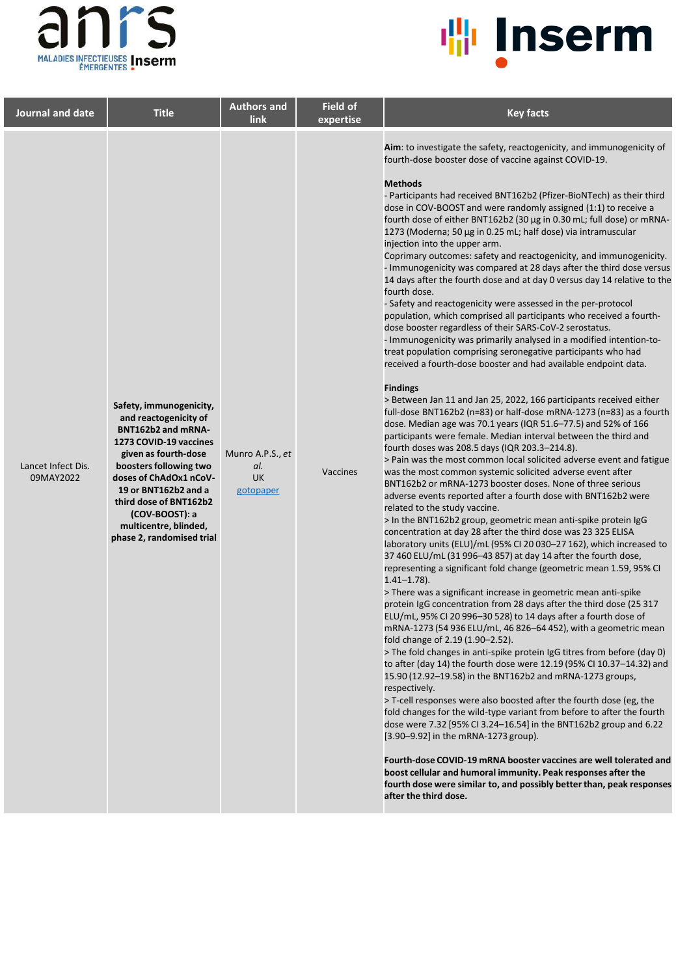

L

| Journal and date                | <b>Title</b>                                                                                                                                                                                                                                                                                           | <b>Authors and</b><br>link                 | Field of<br>expertise | <b>Key facts</b>                                                                                                                                                                                                                                                                                                                                                                                                                                                                                                                                                                                                                                                                                                                                                                                                                                                                                                                                                                                                                                                                                                                                                                                                                                                                                                                                                                                                                                                                                                                                                                                                                                                                                                                                                                                                                                                                                                                                                                                                                                                                                                                                                                                                                                                                                                                                                                                                                                                                                                                                                                                                                                                                                                                                                                                                                                                                                                                                                                                                                                                                                                                                                                                                                   |
|---------------------------------|--------------------------------------------------------------------------------------------------------------------------------------------------------------------------------------------------------------------------------------------------------------------------------------------------------|--------------------------------------------|-----------------------|------------------------------------------------------------------------------------------------------------------------------------------------------------------------------------------------------------------------------------------------------------------------------------------------------------------------------------------------------------------------------------------------------------------------------------------------------------------------------------------------------------------------------------------------------------------------------------------------------------------------------------------------------------------------------------------------------------------------------------------------------------------------------------------------------------------------------------------------------------------------------------------------------------------------------------------------------------------------------------------------------------------------------------------------------------------------------------------------------------------------------------------------------------------------------------------------------------------------------------------------------------------------------------------------------------------------------------------------------------------------------------------------------------------------------------------------------------------------------------------------------------------------------------------------------------------------------------------------------------------------------------------------------------------------------------------------------------------------------------------------------------------------------------------------------------------------------------------------------------------------------------------------------------------------------------------------------------------------------------------------------------------------------------------------------------------------------------------------------------------------------------------------------------------------------------------------------------------------------------------------------------------------------------------------------------------------------------------------------------------------------------------------------------------------------------------------------------------------------------------------------------------------------------------------------------------------------------------------------------------------------------------------------------------------------------------------------------------------------------------------------------------------------------------------------------------------------------------------------------------------------------------------------------------------------------------------------------------------------------------------------------------------------------------------------------------------------------------------------------------------------------------------------------------------------------------------------------------------------------|
| Lancet Infect Dis.<br>09MAY2022 | Safety, immunogenicity,<br>and reactogenicity of<br>BNT162b2 and mRNA-<br>1273 COVID-19 vaccines<br>given as fourth-dose<br>boosters following two<br>doses of ChAdOx1 nCoV-<br>19 or BNT162b2 and a<br>third dose of BNT162b2<br>(COV-BOOST): a<br>multicentre, blinded,<br>phase 2, randomised trial | Munro A.P.S., et<br>al.<br>UK<br>gotopaper | Vaccines              | Aim: to investigate the safety, reactogenicity, and immunogenicity of<br>fourth-dose booster dose of vaccine against COVID-19.<br><b>Methods</b><br>- Participants had received BNT162b2 (Pfizer-BioNTech) as their third<br>dose in COV-BOOST and were randomly assigned (1:1) to receive a<br>fourth dose of either BNT162b2 (30 μg in 0.30 mL; full dose) or mRNA-<br>1273 (Moderna; 50 µg in 0.25 mL; half dose) via intramuscular<br>injection into the upper arm.<br>Coprimary outcomes: safety and reactogenicity, and immunogenicity.<br>- Immunogenicity was compared at 28 days after the third dose versus<br>14 days after the fourth dose and at day 0 versus day 14 relative to the<br>fourth dose.<br>- Safety and reactogenicity were assessed in the per-protocol<br>population, which comprised all participants who received a fourth-<br>dose booster regardless of their SARS-CoV-2 serostatus.<br>- Immunogenicity was primarily analysed in a modified intention-to-<br>treat population comprising seronegative participants who had<br>received a fourth-dose booster and had available endpoint data.<br><b>Findings</b><br>> Between Jan 11 and Jan 25, 2022, 166 participants received either<br>full-dose BNT162b2 (n=83) or half-dose mRNA-1273 (n=83) as a fourth<br>dose. Median age was 70.1 years (IQR 51.6–77.5) and 52% of 166<br>participants were female. Median interval between the third and<br>fourth doses was 208.5 days (IQR 203.3-214.8).<br>> Pain was the most common local solicited adverse event and fatigue<br>was the most common systemic solicited adverse event after<br>BNT162b2 or mRNA-1273 booster doses. None of three serious<br>adverse events reported after a fourth dose with BNT162b2 were<br>related to the study vaccine.<br>> In the BNT162b2 group, geometric mean anti-spike protein IgG<br>concentration at day 28 after the third dose was 23 325 ELISA<br>laboratory units (ELU)/mL (95% CI 20 030-27 162), which increased to<br>37 460 ELU/mL (31 996-43 857) at day 14 after the fourth dose,<br>representing a significant fold change (geometric mean 1.59, 95% CI<br>$1.41 - 1.78$ ).<br>> There was a significant increase in geometric mean anti-spike<br>protein IgG concentration from 28 days after the third dose (25 317<br>ELU/mL, 95% CI 20 996-30 528) to 14 days after a fourth dose of<br>mRNA-1273 (54 936 ELU/mL, 46 826-64 452), with a geometric mean<br>fold change of 2.19 (1.90-2.52).<br>> The fold changes in anti-spike protein IgG titres from before (day 0)<br>to after (day 14) the fourth dose were 12.19 (95% CI 10.37–14.32) and<br>15.90 (12.92-19.58) in the BNT162b2 and mRNA-1273 groups,<br>respectively.<br>> T-cell responses were also boosted after the fourth dose (eg, the<br>fold changes for the wild-type variant from before to after the fourth<br>dose were 7.32 [95% CI 3.24-16.54] in the BNT162b2 group and 6.22<br>[3.90-9.92] in the mRNA-1273 group).<br>Fourth-dose COVID-19 mRNA booster vaccines are well tolerated and<br>boost cellular and humoral immunity. Peak responses after the<br>fourth dose were similar to, and possibly better than, peak responses<br>after the third dose. |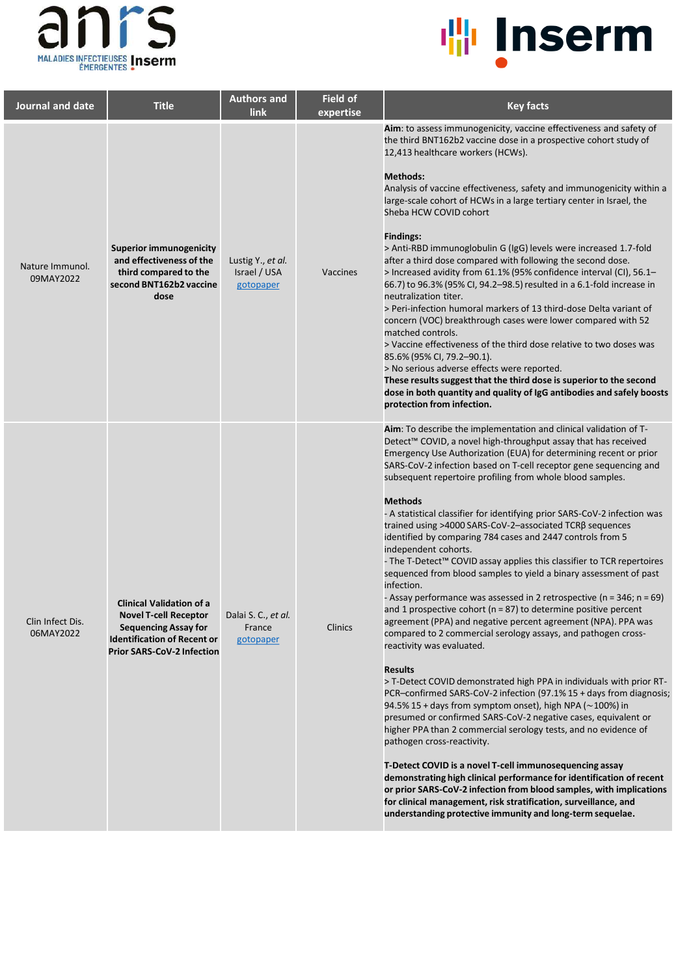

# **WE Inserm**

| Journal and date              | <b>Title</b>                                                                                                                                                              | <b>Authors and</b><br>link                     | Field of<br>expertise | <b>Key facts</b>                                                                                                                                                                                                                                                                                                                                                                                                                                                                                                                                                                                                                                                                                                                                                                                                                                                                                                                                                                                                                                                                                                                                                                                                                                                                                                                                                                                                                                                                                                                                                                                                                                                                                                                                                                                                                            |
|-------------------------------|---------------------------------------------------------------------------------------------------------------------------------------------------------------------------|------------------------------------------------|-----------------------|---------------------------------------------------------------------------------------------------------------------------------------------------------------------------------------------------------------------------------------------------------------------------------------------------------------------------------------------------------------------------------------------------------------------------------------------------------------------------------------------------------------------------------------------------------------------------------------------------------------------------------------------------------------------------------------------------------------------------------------------------------------------------------------------------------------------------------------------------------------------------------------------------------------------------------------------------------------------------------------------------------------------------------------------------------------------------------------------------------------------------------------------------------------------------------------------------------------------------------------------------------------------------------------------------------------------------------------------------------------------------------------------------------------------------------------------------------------------------------------------------------------------------------------------------------------------------------------------------------------------------------------------------------------------------------------------------------------------------------------------------------------------------------------------------------------------------------------------|
| Nature Immunol.<br>09MAY2022  | <b>Superior immunogenicity</b><br>and effectiveness of the<br>third compared to the<br>second BNT162b2 vaccine<br>dose                                                    | Lustig Y., et al.<br>Israel / USA<br>gotopaper | Vaccines              | Aim: to assess immunogenicity, vaccine effectiveness and safety of<br>the third BNT162b2 vaccine dose in a prospective cohort study of<br>12,413 healthcare workers (HCWs).<br><b>Methods:</b><br>Analysis of vaccine effectiveness, safety and immunogenicity within a<br>large-scale cohort of HCWs in a large tertiary center in Israel, the<br>Sheba HCW COVID cohort<br><b>Findings:</b><br>> Anti-RBD immunoglobulin G (IgG) levels were increased 1.7-fold<br>after a third dose compared with following the second dose.<br>> Increased avidity from 61.1% (95% confidence interval (CI), 56.1-<br>66.7) to 96.3% (95% CI, 94.2–98.5) resulted in a 6.1-fold increase in<br>neutralization titer.<br>> Peri-infection humoral markers of 13 third-dose Delta variant of<br>concern (VOC) breakthrough cases were lower compared with 52<br>matched controls.<br>> Vaccine effectiveness of the third dose relative to two doses was<br>85.6% (95% CI, 79.2-90.1).<br>> No serious adverse effects were reported.<br>These results suggest that the third dose is superior to the second<br>dose in both quantity and quality of IgG antibodies and safely boosts<br>protection from infection.                                                                                                                                                                                                                                                                                                                                                                                                                                                                                                                                                                                                                                      |
| Clin Infect Dis.<br>06MAY2022 | <b>Clinical Validation of a</b><br><b>Novel T-cell Receptor</b><br><b>Sequencing Assay for</b><br><b>Identification of Recent or</b><br><b>Prior SARS-CoV-2 Infection</b> | Dalai S. C., et al.<br>France<br>gotopaper     | Clinics               | Aim: To describe the implementation and clinical validation of T-<br>Detect <sup>™</sup> COVID, a novel high-throughput assay that has received<br>Emergency Use Authorization (EUA) for determining recent or prior<br>SARS-CoV-2 infection based on T-cell receptor gene sequencing and<br>subsequent repertoire profiling from whole blood samples.<br><b>Methods</b><br>- A statistical classifier for identifying prior SARS-CoV-2 infection was<br>trained using >4000 SARS-CoV-2-associated TCRβ sequences<br>identified by comparing 784 cases and 2447 controls from 5<br>independent cohorts.<br>- The T-Detect™ COVID assay applies this classifier to TCR repertoires<br>sequenced from blood samples to yield a binary assessment of past<br>infection.<br>- Assay performance was assessed in 2 retrospective ( $n = 346$ ; $n = 69$ )<br>and 1 prospective cohort ( $n = 87$ ) to determine positive percent<br>agreement (PPA) and negative percent agreement (NPA). PPA was<br>compared to 2 commercial serology assays, and pathogen cross-<br>reactivity was evaluated.<br><b>Results</b><br>> T-Detect COVID demonstrated high PPA in individuals with prior RT-<br>PCR-confirmed SARS-CoV-2 infection (97.1% 15 + days from diagnosis;<br>94.5% 15 + days from symptom onset), high NPA ( $\sim$ 100%) in<br>presumed or confirmed SARS-CoV-2 negative cases, equivalent or<br>higher PPA than 2 commercial serology tests, and no evidence of<br>pathogen cross-reactivity.<br>T-Detect COVID is a novel T-cell immunosequencing assay<br>demonstrating high clinical performance for identification of recent<br>or prior SARS-CoV-2 infection from blood samples, with implications<br>for clinical management, risk stratification, surveillance, and<br>understanding protective immunity and long-term sequelae. |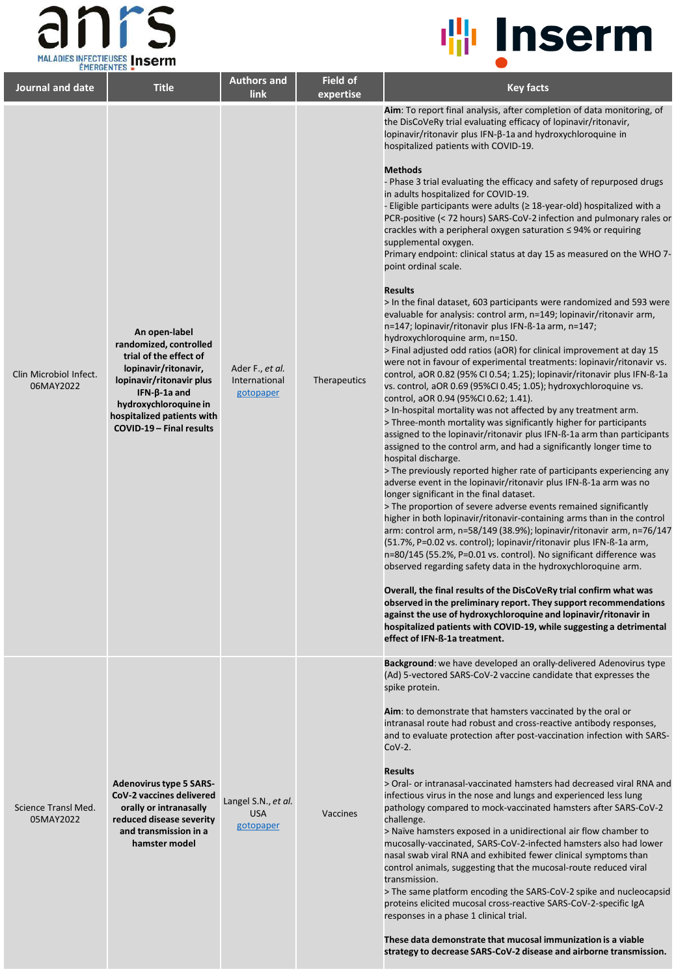

| Journal and date                    | <b>Title</b>                                                                                                                                                                                                                     | <b>Authors and</b><br>link                     | <b>Field of</b><br>expertise | <b>Key facts</b>                                                                                                                                                                                                                                                                                                                                                                                                                                                                                                                                                                                                                                                                                                                                                                                                                                                                                                                                                                                                                                                                                                                                                                                                                                                                                                                                                                                                                                                                                                                                                                                                                                                                                                                                                                                                                                                                                                                                                                                                                                                                                                                                                                                                                                                                                                                                                                                                                                                                                                                                                                                                          |
|-------------------------------------|----------------------------------------------------------------------------------------------------------------------------------------------------------------------------------------------------------------------------------|------------------------------------------------|------------------------------|---------------------------------------------------------------------------------------------------------------------------------------------------------------------------------------------------------------------------------------------------------------------------------------------------------------------------------------------------------------------------------------------------------------------------------------------------------------------------------------------------------------------------------------------------------------------------------------------------------------------------------------------------------------------------------------------------------------------------------------------------------------------------------------------------------------------------------------------------------------------------------------------------------------------------------------------------------------------------------------------------------------------------------------------------------------------------------------------------------------------------------------------------------------------------------------------------------------------------------------------------------------------------------------------------------------------------------------------------------------------------------------------------------------------------------------------------------------------------------------------------------------------------------------------------------------------------------------------------------------------------------------------------------------------------------------------------------------------------------------------------------------------------------------------------------------------------------------------------------------------------------------------------------------------------------------------------------------------------------------------------------------------------------------------------------------------------------------------------------------------------------------------------------------------------------------------------------------------------------------------------------------------------------------------------------------------------------------------------------------------------------------------------------------------------------------------------------------------------------------------------------------------------------------------------------------------------------------------------------------------------|
| Clin Microbiol Infect.<br>06MAY2022 | An open-label<br>randomized, controlled<br>trial of the effect of<br>lopinavir/ritonavir,<br>lopinavir/ritonavir plus<br>IFN- $\beta$ -1a and<br>hydroxychloroquine in<br>hospitalized patients with<br>COVID-19 - Final results | Ader F., et al.<br>International<br>gotopaper  | Therapeutics                 | Aim: To report final analysis, after completion of data monitoring, of<br>the DisCoVeRy trial evaluating efficacy of lopinavir/ritonavir,<br>lopinavir/ritonavir plus IFN-β-1a and hydroxychloroquine in<br>hospitalized patients with COVID-19.<br><b>Methods</b><br>- Phase 3 trial evaluating the efficacy and safety of repurposed drugs<br>in adults hospitalized for COVID-19.<br>- Eligible participants were adults ( $\geq 18$ -year-old) hospitalized with a<br>PCR-positive (< 72 hours) SARS-CoV-2 infection and pulmonary rales or<br>crackles with a peripheral oxygen saturation ≤94% or requiring<br>supplemental oxygen.<br>Primary endpoint: clinical status at day 15 as measured on the WHO 7-<br>point ordinal scale.<br><b>Results</b><br>> In the final dataset, 603 participants were randomized and 593 were<br>evaluable for analysis: control arm, n=149; lopinavir/ritonavir arm,<br>n=147; lopinavir/ritonavir plus IFN-ß-1a arm, n=147;<br>hydroxychloroquine arm, n=150.<br>> Final adjusted odd ratios (aOR) for clinical improvement at day 15<br>were not in favour of experimental treatments: lopinavir/ritonavir vs.<br>control, aOR 0.82 (95% CI 0.54; 1.25); lopinavir/ritonavir plus IFN-ß-1a<br>vs. control, aOR 0.69 (95%CI 0.45; 1.05); hydroxychloroquine vs.<br>control, aOR 0.94 (95%CI 0.62; 1.41).<br>> In-hospital mortality was not affected by any treatment arm.<br>> Three-month mortality was significantly higher for participants<br>assigned to the lopinavir/ritonavir plus IFN-ß-1a arm than participants<br>assigned to the control arm, and had a significantly longer time to<br>hospital discharge.<br>> The previously reported higher rate of participants experiencing any<br>adverse event in the lopinavir/ritonavir plus IFN-ß-1a arm was no<br>longer significant in the final dataset.<br>> The proportion of severe adverse events remained significantly<br>higher in both lopinavir/ritonavir-containing arms than in the control<br>arm: control arm, n=58/149 (38.9%); lopinavir/ritonavir arm, n=76/147<br>(51.7%, P=0.02 vs. control); lopinavir/ritonavir plus IFN-B-1a arm,<br>n=80/145 (55.2%, P=0.01 vs. control). No significant difference was<br>observed regarding safety data in the hydroxychloroquine arm.<br>Overall, the final results of the DisCoVeRy trial confirm what was<br>observed in the preliminary report. They support recommendations<br>against the use of hydroxychloroquine and lopinavir/ritonavir in<br>hospitalized patients with COVID-19, while suggesting a detrimental<br>effect of IFN-ß-1a treatment. |
| Science Transl Med.<br>05MAY2022    | <b>Adenovirus type 5 SARS-</b><br>CoV-2 vaccines delivered<br>orally or intranasally<br>reduced disease severity<br>and transmission in a<br>hamster model                                                                       | Langel S.N., et al.<br><b>USA</b><br>gotopaper | Vaccines                     | Background: we have developed an orally-delivered Adenovirus type<br>(Ad) 5-vectored SARS-CoV-2 vaccine candidate that expresses the<br>spike protein.<br>Aim: to demonstrate that hamsters vaccinated by the oral or<br>intranasal route had robust and cross-reactive antibody responses,<br>and to evaluate protection after post-vaccination infection with SARS-<br>$COV-2.$<br><b>Results</b><br>> Oral- or intranasal-vaccinated hamsters had decreased viral RNA and<br>infectious virus in the nose and lungs and experienced less lung<br>pathology compared to mock-vaccinated hamsters after SARS-CoV-2<br>challenge.<br>> Naïve hamsters exposed in a unidirectional air flow chamber to<br>mucosally-vaccinated, SARS-CoV-2-infected hamsters also had lower<br>nasal swab viral RNA and exhibited fewer clinical symptoms than<br>control animals, suggesting that the mucosal-route reduced viral<br>transmission.<br>> The same platform encoding the SARS-CoV-2 spike and nucleocapsid<br>proteins elicited mucosal cross-reactive SARS-CoV-2-specific IgA<br>responses in a phase 1 clinical trial.<br>These data demonstrate that mucosal immunization is a viable<br>strategy to decrease SARS-CoV-2 disease and airborne transmission.                                                                                                                                                                                                                                                                                                                                                                                                                                                                                                                                                                                                                                                                                                                                                                                                                                                                                                                                                                                                                                                                                                                                                                                                                                                                                                                                                              |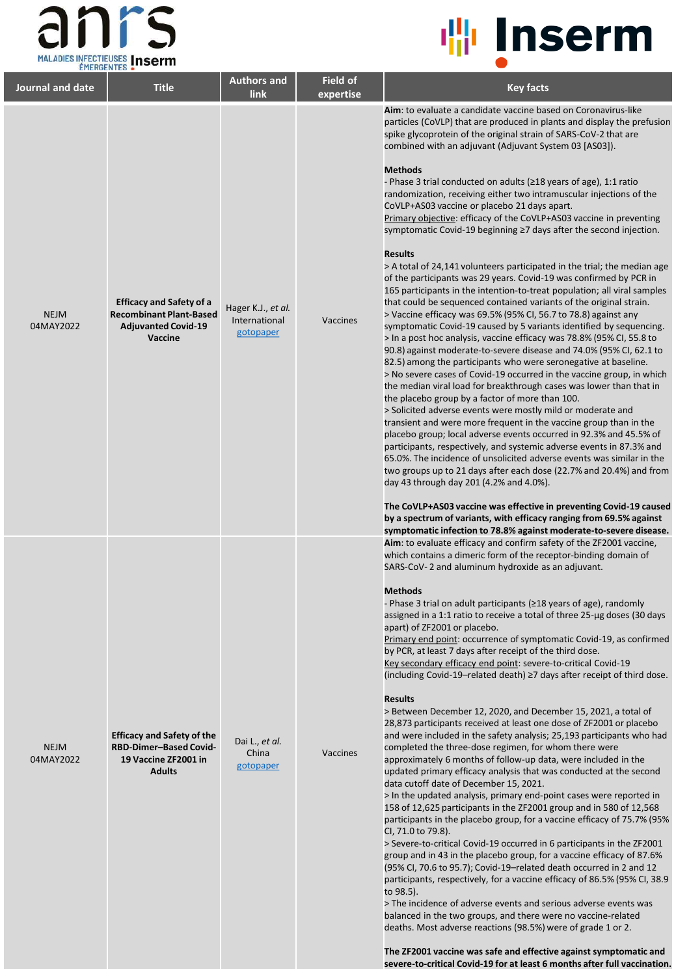| Journal and date         | <b>Title</b>                                                                                                | <b>Authors and</b><br>link                       | <b>Field of</b><br>expertise | <b>Key facts</b>                                                                                                                                                                                                                                                                                                                                                                                                                                                                                                                                                                                                                                                                                                                                                                                                                                                                                                                                                                                                                                                                                                                                                                                                                                                                                                                                                                                                                                                                                                                                                                                                                                                                                                                                                                                                                                                                                                                                                                                                                                                                                                                                                                                                         |
|--------------------------|-------------------------------------------------------------------------------------------------------------|--------------------------------------------------|------------------------------|--------------------------------------------------------------------------------------------------------------------------------------------------------------------------------------------------------------------------------------------------------------------------------------------------------------------------------------------------------------------------------------------------------------------------------------------------------------------------------------------------------------------------------------------------------------------------------------------------------------------------------------------------------------------------------------------------------------------------------------------------------------------------------------------------------------------------------------------------------------------------------------------------------------------------------------------------------------------------------------------------------------------------------------------------------------------------------------------------------------------------------------------------------------------------------------------------------------------------------------------------------------------------------------------------------------------------------------------------------------------------------------------------------------------------------------------------------------------------------------------------------------------------------------------------------------------------------------------------------------------------------------------------------------------------------------------------------------------------------------------------------------------------------------------------------------------------------------------------------------------------------------------------------------------------------------------------------------------------------------------------------------------------------------------------------------------------------------------------------------------------------------------------------------------------------------------------------------------------|
| <b>NEJM</b><br>04MAY2022 | <b>Efficacy and Safety of a</b><br><b>Recombinant Plant-Based</b><br><b>Adjuvanted Covid-19</b><br>Vaccine  | Hager K.J., et al.<br>International<br>gotopaper | Vaccines                     | Aim: to evaluate a candidate vaccine based on Coronavirus-like<br>particles (CoVLP) that are produced in plants and display the prefusion<br>spike glycoprotein of the original strain of SARS-CoV-2 that are<br>combined with an adjuvant (Adjuvant System 03 [AS03]).<br><b>Methods</b><br>- Phase 3 trial conducted on adults (≥18 years of age), 1:1 ratio<br>randomization, receiving either two intramuscular injections of the<br>CoVLP+AS03 vaccine or placebo 21 days apart.<br>Primary objective: efficacy of the CoVLP+AS03 vaccine in preventing<br>symptomatic Covid-19 beginning ≥7 days after the second injection.<br><b>Results</b><br>> A total of 24,141 volunteers participated in the trial; the median age<br>of the participants was 29 years. Covid-19 was confirmed by PCR in<br>165 participants in the intention-to-treat population; all viral samples<br>that could be sequenced contained variants of the original strain.<br>> Vaccine efficacy was 69.5% (95% CI, 56.7 to 78.8) against any<br>symptomatic Covid-19 caused by 5 variants identified by sequencing.<br>> In a post hoc analysis, vaccine efficacy was 78.8% (95% CI, 55.8 to<br>90.8) against moderate-to-severe disease and 74.0% (95% CI, 62.1 to<br>82.5) among the participants who were seronegative at baseline.<br>> No severe cases of Covid-19 occurred in the vaccine group, in which<br>the median viral load for breakthrough cases was lower than that in<br>the placebo group by a factor of more than 100.<br>> Solicited adverse events were mostly mild or moderate and<br>transient and were more frequent in the vaccine group than in the<br>placebo group; local adverse events occurred in 92.3% and 45.5% of<br>participants, respectively, and systemic adverse events in 87.3% and<br>65.0%. The incidence of unsolicited adverse events was similar in the<br>two groups up to 21 days after each dose (22.7% and 20.4%) and from<br>day 43 through day 201 (4.2% and 4.0%).<br>The CoVLP+AS03 vaccine was effective in preventing Covid-19 caused<br>by a spectrum of variants, with efficacy ranging from 69.5% against<br>symptomatic infection to 78.8% against moderate-to-severe disease. |
| <b>NEJM</b><br>04MAY2022 | <b>Efficacy and Safety of the</b><br><b>RBD-Dimer-Based Covid-</b><br>19 Vaccine ZF2001 in<br><b>Adults</b> | Dai L., <i>et al.</i><br>China<br>gotopaper      | Vaccines                     | Aim: to evaluate efficacy and confirm safety of the ZF2001 vaccine,<br>which contains a dimeric form of the receptor-binding domain of<br>SARS-CoV-2 and aluminum hydroxide as an adjuvant.<br><b>Methods</b><br>- Phase 3 trial on adult participants (≥18 years of age), randomly<br>assigned in a 1:1 ratio to receive a total of three 25-µg doses (30 days<br>apart) of ZF2001 or placebo.<br>Primary end point: occurrence of symptomatic Covid-19, as confirmed<br>by PCR, at least 7 days after receipt of the third dose.<br>Key secondary efficacy end point: severe-to-critical Covid-19<br>(including Covid-19-related death) ≥7 days after receipt of third dose.<br><b>Results</b><br>> Between December 12, 2020, and December 15, 2021, a total of<br>28,873 participants received at least one dose of ZF2001 or placebo<br>and were included in the safety analysis; 25,193 participants who had<br>completed the three-dose regimen, for whom there were<br>approximately 6 months of follow-up data, were included in the<br>updated primary efficacy analysis that was conducted at the second<br>data cutoff date of December 15, 2021.<br>> In the updated analysis, primary end-point cases were reported in<br>158 of 12,625 participants in the ZF2001 group and in 580 of 12,568<br>participants in the placebo group, for a vaccine efficacy of 75.7% (95%<br>Cl, 71.0 to 79.8).<br>> Severe-to-critical Covid-19 occurred in 6 participants in the ZF2001<br>group and in 43 in the placebo group, for a vaccine efficacy of 87.6%<br>(95% CI, 70.6 to 95.7); Covid-19-related death occurred in 2 and 12<br>participants, respectively, for a vaccine efficacy of 86.5% (95% CI, 38.9<br>to 98.5).<br>> The incidence of adverse events and serious adverse events was<br>balanced in the two groups, and there were no vaccine-related<br>deaths. Most adverse reactions (98.5%) were of grade 1 or 2.<br>The ZF2001 vaccine was safe and effective against symptomatic and<br>severe-to-critical Covid-19 for at least 6 months after full vaccination.                                                                                                                                  |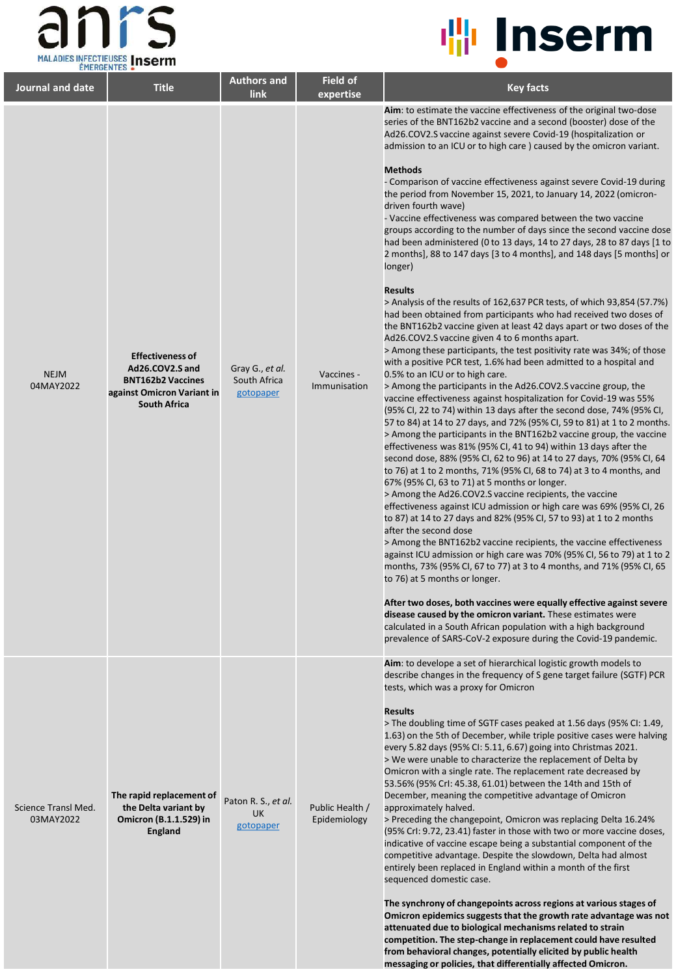I

### **WILLER** Inserm

messaging or policies, that differentially affected Omicron.

| Journal and date                 | <b>LITERULNILO O</b><br><b>Title</b>                                                                                        | <b>Authors and</b><br>link                    | <b>Field of</b><br>expertise    | <b>Key facts</b>                                                                                                                                                                                                                                                                                                                                                                                                                                                                                                                                                                                                                                                                                                                                                                                                                                                                                                                                                                                                                                                                                                                                                                                                                                                                                                                                                                                                                                                                                                                                                                                                                                                                                                                                                                                                                                                                                                                                                                                                                                                                                                                                                                                                                                                                                                                                                                                                                                                                                                                                                                                                                                                                      |
|----------------------------------|-----------------------------------------------------------------------------------------------------------------------------|-----------------------------------------------|---------------------------------|---------------------------------------------------------------------------------------------------------------------------------------------------------------------------------------------------------------------------------------------------------------------------------------------------------------------------------------------------------------------------------------------------------------------------------------------------------------------------------------------------------------------------------------------------------------------------------------------------------------------------------------------------------------------------------------------------------------------------------------------------------------------------------------------------------------------------------------------------------------------------------------------------------------------------------------------------------------------------------------------------------------------------------------------------------------------------------------------------------------------------------------------------------------------------------------------------------------------------------------------------------------------------------------------------------------------------------------------------------------------------------------------------------------------------------------------------------------------------------------------------------------------------------------------------------------------------------------------------------------------------------------------------------------------------------------------------------------------------------------------------------------------------------------------------------------------------------------------------------------------------------------------------------------------------------------------------------------------------------------------------------------------------------------------------------------------------------------------------------------------------------------------------------------------------------------------------------------------------------------------------------------------------------------------------------------------------------------------------------------------------------------------------------------------------------------------------------------------------------------------------------------------------------------------------------------------------------------------------------------------------------------------------------------------------------------|
| <b>NEJM</b><br>04MAY2022         | <b>Effectiveness of</b><br>Ad26.COV2.S and<br><b>BNT162b2 Vaccines</b><br>against Omicron Variant in<br><b>South Africa</b> | Gray G., et al.<br>South Africa<br>gotopaper  | Vaccines -<br>Immunisation      | Aim: to estimate the vaccine effectiveness of the original two-dose<br>series of the BNT162b2 vaccine and a second (booster) dose of the<br>Ad26.COV2.S vaccine against severe Covid-19 (hospitalization or<br>admission to an ICU or to high care ) caused by the omicron variant.<br><b>Methods</b><br>- Comparison of vaccine effectiveness against severe Covid-19 during<br>the period from November 15, 2021, to January 14, 2022 (omicron-<br>driven fourth wave)<br>- Vaccine effectiveness was compared between the two vaccine<br>groups according to the number of days since the second vaccine dose<br>had been administered (0 to 13 days, 14 to 27 days, 28 to 87 days [1 to<br>2 months], 88 to 147 days [3 to 4 months], and 148 days [5 months] or<br>longer)<br><b>Results</b><br>> Analysis of the results of 162,637 PCR tests, of which 93,854 (57.7%)<br>had been obtained from participants who had received two doses of<br>the BNT162b2 vaccine given at least 42 days apart or two doses of the<br>Ad26.COV2.S vaccine given 4 to 6 months apart.<br>> Among these participants, the test positivity rate was 34%; of those<br>with a positive PCR test, 1.6% had been admitted to a hospital and<br>0.5% to an ICU or to high care.<br>> Among the participants in the Ad26.COV2.S vaccine group, the<br>vaccine effectiveness against hospitalization for Covid-19 was 55%<br>(95% CI, 22 to 74) within 13 days after the second dose, 74% (95% CI,<br>57 to 84) at 14 to 27 days, and 72% (95% CI, 59 to 81) at 1 to 2 months.<br>> Among the participants in the BNT162b2 vaccine group, the vaccine<br>effectiveness was 81% (95% CI, 41 to 94) within 13 days after the<br>second dose, 88% (95% CI, 62 to 96) at 14 to 27 days, 70% (95% CI, 64<br>to 76) at 1 to 2 months, 71% (95% CI, 68 to 74) at 3 to 4 months, and<br>67% (95% CI, 63 to 71) at 5 months or longer.<br>> Among the Ad26.COV2.S vaccine recipients, the vaccine<br>effectiveness against ICU admission or high care was 69% (95% CI, 26<br>to 87) at 14 to 27 days and 82% (95% CI, 57 to 93) at 1 to 2 months<br>after the second dose<br>> Among the BNT162b2 vaccine recipients, the vaccine effectiveness<br>against ICU admission or high care was 70% (95% CI, 56 to 79) at 1 to 2<br>months, 73% (95% CI, 67 to 77) at 3 to 4 months, and 71% (95% CI, 65<br>to 76) at 5 months or longer.<br>After two doses, both vaccines were equally effective against severe<br>disease caused by the omicron variant. These estimates were<br>calculated in a South African population with a high background<br>prevalence of SARS-CoV-2 exposure during the Covid-19 pandemic. |
| Science Transl Med.<br>03MAY2022 | The rapid replacement of<br>the Delta variant by<br>Omicron (B.1.1.529) in<br><b>England</b>                                | Paton R. S., et al.<br><b>UK</b><br>gotopaper | Public Health /<br>Epidemiology | Aim: to develope a set of hierarchical logistic growth models to<br>describe changes in the frequency of S gene target failure (SGTF) PCR<br>tests, which was a proxy for Omicron<br><b>Results</b><br>> The doubling time of SGTF cases peaked at 1.56 days (95% CI: 1.49,<br>1.63) on the 5th of December, while triple positive cases were halving<br>every 5.82 days (95% CI: 5.11, 6.67) going into Christmas 2021.<br>> We were unable to characterize the replacement of Delta by<br>Omicron with a single rate. The replacement rate decreased by<br>53.56% (95% Crl: 45.38, 61.01) between the 14th and 15th of<br>December, meaning the competitive advantage of Omicron<br>approximately halved.<br>> Preceding the changepoint, Omicron was replacing Delta 16.24%<br>(95% CrI: 9.72, 23.41) faster in those with two or more vaccine doses,<br>indicative of vaccine escape being a substantial component of the<br>competitive advantage. Despite the slowdown, Delta had almost<br>entirely been replaced in England within a month of the first<br>sequenced domestic case.<br>The synchrony of changepoints across regions at various stages of<br>Omicron epidemics suggests that the growth rate advantage was not<br>attenuated due to biological mechanisms related to strain<br>competition. The step-change in replacement could have resulted<br>from behavioral changes, potentially elicited by public health                                                                                                                                                                                                                                                                                                                                                                                                                                                                                                                                                                                                                                                                                                                                                                                                                                                                                                                                                                                                                                                                                                                                                                                                                                               |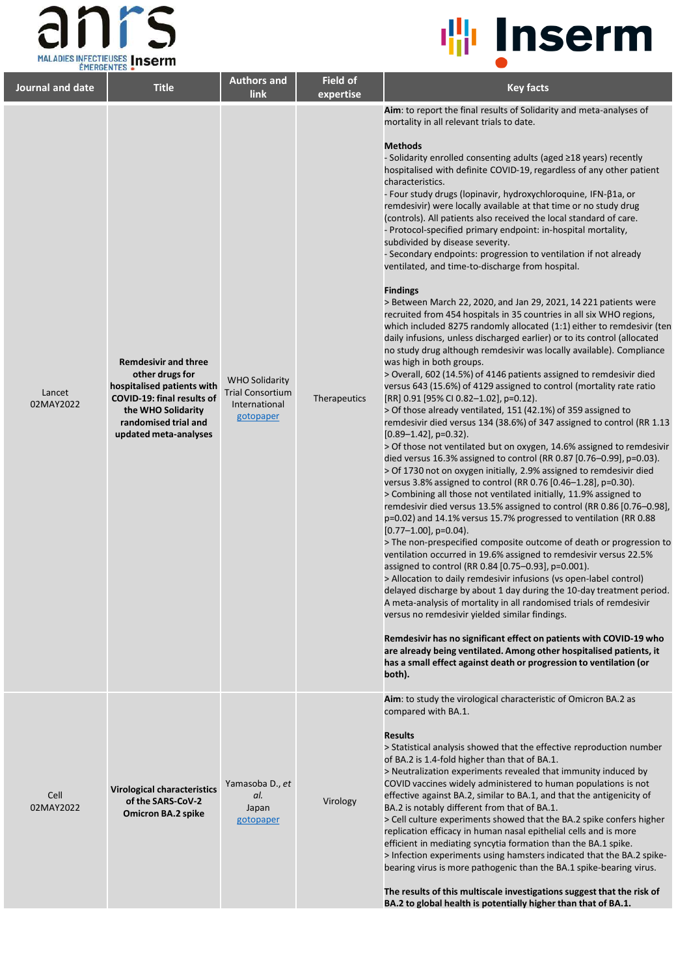| LILIVULITILU B<br>Journal and date | <b>Title</b>                                                                                                                                                                             | <b>Authors and</b><br><b>link</b>                                              | <b>Field of</b><br>expertise | <b>Key facts</b>                                                                                                                                                                                                                                                                                                                                                                                                                                                                                                                                                                                                                                                                                                                                                                                                                                                                                                                                                                                                                                                                                                                                                                                                                                                                                                                                                                                                                                                                                                                                                                                                                                                                                                                                                                                                                                                                                                                                                                                                                                                                                                                                                                                                                                                                                                                                                                                                                                                                                                                                                                                                                                                                                                                                                                          |
|------------------------------------|------------------------------------------------------------------------------------------------------------------------------------------------------------------------------------------|--------------------------------------------------------------------------------|------------------------------|-------------------------------------------------------------------------------------------------------------------------------------------------------------------------------------------------------------------------------------------------------------------------------------------------------------------------------------------------------------------------------------------------------------------------------------------------------------------------------------------------------------------------------------------------------------------------------------------------------------------------------------------------------------------------------------------------------------------------------------------------------------------------------------------------------------------------------------------------------------------------------------------------------------------------------------------------------------------------------------------------------------------------------------------------------------------------------------------------------------------------------------------------------------------------------------------------------------------------------------------------------------------------------------------------------------------------------------------------------------------------------------------------------------------------------------------------------------------------------------------------------------------------------------------------------------------------------------------------------------------------------------------------------------------------------------------------------------------------------------------------------------------------------------------------------------------------------------------------------------------------------------------------------------------------------------------------------------------------------------------------------------------------------------------------------------------------------------------------------------------------------------------------------------------------------------------------------------------------------------------------------------------------------------------------------------------------------------------------------------------------------------------------------------------------------------------------------------------------------------------------------------------------------------------------------------------------------------------------------------------------------------------------------------------------------------------------------------------------------------------------------------------------------------------|
| Lancet<br>02MAY2022                | <b>Remdesivir and three</b><br>other drugs for<br>hospitalised patients with<br><b>COVID-19: final results of</b><br>the WHO Solidarity<br>randomised trial and<br>updated meta-analyses | <b>WHO Solidarity</b><br><b>Trial Consortium</b><br>International<br>gotopaper | Therapeutics                 | Aim: to report the final results of Solidarity and meta-analyses of<br>mortality in all relevant trials to date.<br><b>Methods</b><br>- Solidarity enrolled consenting adults (aged ≥18 years) recently<br>hospitalised with definite COVID-19, regardless of any other patient<br>characteristics.<br>- Four study drugs (lopinavir, hydroxychloroquine, IFN-β1a, or<br>remdesivir) were locally available at that time or no study drug<br>(controls). All patients also received the local standard of care.<br>- Protocol-specified primary endpoint: in-hospital mortality,<br>subdivided by disease severity.<br>- Secondary endpoints: progression to ventilation if not already<br>ventilated, and time-to-discharge from hospital.<br><b>Findings</b><br>> Between March 22, 2020, and Jan 29, 2021, 14 221 patients were<br>recruited from 454 hospitals in 35 countries in all six WHO regions,<br>which included 8275 randomly allocated (1:1) either to remdesivir (ten<br>daily infusions, unless discharged earlier) or to its control (allocated<br>no study drug although remdesivir was locally available). Compliance<br>was high in both groups.<br>> Overall, 602 (14.5%) of 4146 patients assigned to remdesivir died<br>versus 643 (15.6%) of 4129 assigned to control (mortality rate ratio<br>[RR] 0.91 [95% CI 0.82-1.02], p=0.12).<br>> Of those already ventilated, 151 (42.1%) of 359 assigned to<br>remdesivir died versus 134 (38.6%) of 347 assigned to control (RR 1.13<br>$[0.89 - 1.42]$ , p=0.32).<br>> Of those not ventilated but on oxygen, 14.6% assigned to remdesivir<br>died versus 16.3% assigned to control (RR 0.87 [0.76-0.99], p=0.03).<br>> Of 1730 not on oxygen initially, 2.9% assigned to remdesivir died<br>versus 3.8% assigned to control (RR 0.76 [0.46-1.28], p=0.30).<br>> Combining all those not ventilated initially, 11.9% assigned to<br>remdesivir died versus 13.5% assigned to control (RR 0.86 [0.76–0.98],<br>p=0.02) and 14.1% versus 15.7% progressed to ventilation (RR 0.88<br>$[0.77 - 1.00]$ , p=0.04).<br>> The non-prespecified composite outcome of death or progression to<br>ventilation occurred in 19.6% assigned to remdesivir versus 22.5%<br>assigned to control (RR 0.84 [0.75–0.93], p=0.001).<br>> Allocation to daily remdesivir infusions (vs open-label control)<br>delayed discharge by about 1 day during the 10-day treatment period.<br>A meta-analysis of mortality in all randomised trials of remdesivir<br>versus no remdesivir yielded similar findings.<br>Remdesivir has no significant effect on patients with COVID-19 who<br>are already being ventilated. Among other hospitalised patients, it<br>has a small effect against death or progression to ventilation (or<br>both). |
| Cell<br>02MAY2022                  | <b>Virological characteristics</b><br>of the SARS-CoV-2<br><b>Omicron BA.2 spike</b>                                                                                                     | Yamasoba D., et<br>al.<br>Japan<br>gotopaper                                   | Virology                     | Aim: to study the virological characteristic of Omicron BA.2 as<br>compared with BA.1.<br><b>Results</b><br>> Statistical analysis showed that the effective reproduction number<br>of BA.2 is 1.4-fold higher than that of BA.1.<br>> Neutralization experiments revealed that immunity induced by<br>COVID vaccines widely administered to human populations is not<br>effective against BA.2, similar to BA.1, and that the antigenicity of<br>BA.2 is notably different from that of BA.1.<br>> Cell culture experiments showed that the BA.2 spike confers higher<br>replication efficacy in human nasal epithelial cells and is more<br>efficient in mediating syncytia formation than the BA.1 spike.<br>> Infection experiments using hamsters indicated that the BA.2 spike-<br>bearing virus is more pathogenic than the BA.1 spike-bearing virus.<br>The results of this multiscale investigations suggest that the risk of<br>BA.2 to global health is potentially higher than that of BA.1.                                                                                                                                                                                                                                                                                                                                                                                                                                                                                                                                                                                                                                                                                                                                                                                                                                                                                                                                                                                                                                                                                                                                                                                                                                                                                                                                                                                                                                                                                                                                                                                                                                                                                                                                                                                  |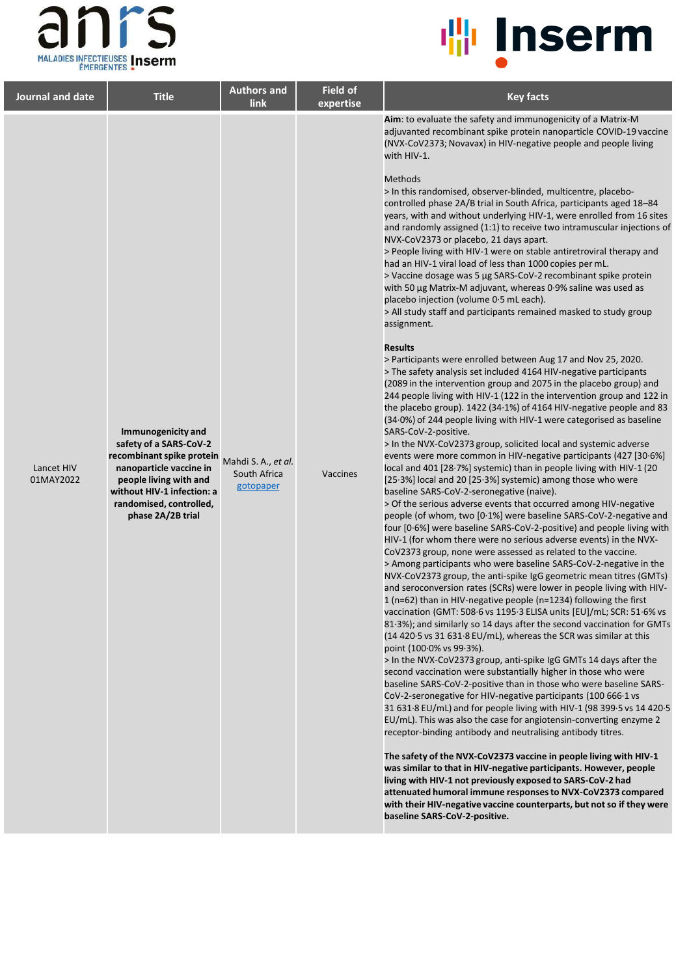

| Journal and date        | <b>Title</b>                                                                                                                                                                                                 | <b>Authors and</b><br>link                       | <b>Field of</b><br>expertise | <b>Key facts</b>                                                                                                                                                                                                                                                                                                                                                                                                                                                                                                                                                                                                                                                                                                                                                                                                                                                                                                                                                                                                                                                                                                                                                                                                                                                                                                                                                                                                                                                                                                                                                                                                                                                                                                                                                                                                                                                                                                                                                                                                                                                                                                                                                                                                                                                                                                                                                                                                                                                                                                                                                                                                                                                                                                                                                                                                                                                                                                                                                                                                                                                                                                                                                                                                                                                                                                                                                                                                                                                                                                                                                                       |
|-------------------------|--------------------------------------------------------------------------------------------------------------------------------------------------------------------------------------------------------------|--------------------------------------------------|------------------------------|----------------------------------------------------------------------------------------------------------------------------------------------------------------------------------------------------------------------------------------------------------------------------------------------------------------------------------------------------------------------------------------------------------------------------------------------------------------------------------------------------------------------------------------------------------------------------------------------------------------------------------------------------------------------------------------------------------------------------------------------------------------------------------------------------------------------------------------------------------------------------------------------------------------------------------------------------------------------------------------------------------------------------------------------------------------------------------------------------------------------------------------------------------------------------------------------------------------------------------------------------------------------------------------------------------------------------------------------------------------------------------------------------------------------------------------------------------------------------------------------------------------------------------------------------------------------------------------------------------------------------------------------------------------------------------------------------------------------------------------------------------------------------------------------------------------------------------------------------------------------------------------------------------------------------------------------------------------------------------------------------------------------------------------------------------------------------------------------------------------------------------------------------------------------------------------------------------------------------------------------------------------------------------------------------------------------------------------------------------------------------------------------------------------------------------------------------------------------------------------------------------------------------------------------------------------------------------------------------------------------------------------------------------------------------------------------------------------------------------------------------------------------------------------------------------------------------------------------------------------------------------------------------------------------------------------------------------------------------------------------------------------------------------------------------------------------------------------------------------------------------------------------------------------------------------------------------------------------------------------------------------------------------------------------------------------------------------------------------------------------------------------------------------------------------------------------------------------------------------------------------------------------------------------------------------------------------------------|
| Lancet HIV<br>01MAY2022 | Immunogenicity and<br>safety of a SARS-CoV-2<br>recombinant spike protein<br>nanoparticle vaccine in<br>people living with and<br>without HIV-1 infection: a<br>randomised, controlled,<br>phase 2A/2B trial | Mahdi S. A., et al.<br>South Africa<br>gotopaper | Vaccines                     | Aim: to evaluate the safety and immunogenicity of a Matrix-M<br>adjuvanted recombinant spike protein nanoparticle COVID-19 vaccine<br>(NVX-CoV2373; Novavax) in HIV-negative people and people living<br>with HIV-1.<br><b>Methods</b><br>> In this randomised, observer-blinded, multicentre, placebo-<br>controlled phase 2A/B trial in South Africa, participants aged 18-84<br>years, with and without underlying HIV-1, were enrolled from 16 sites<br>and randomly assigned (1:1) to receive two intramuscular injections of<br>NVX-CoV2373 or placebo, 21 days apart.<br>> People living with HIV-1 were on stable antiretroviral therapy and<br>had an HIV-1 viral load of less than 1000 copies per mL.<br>> Vaccine dosage was 5 μg SARS-CoV-2 recombinant spike protein<br>with 50 μg Matrix-M adjuvant, whereas 0.9% saline was used as<br>placebo injection (volume 0.5 mL each).<br>> All study staff and participants remained masked to study group<br>assignment.<br><b>Results</b><br>> Participants were enrolled between Aug 17 and Nov 25, 2020.<br>> The safety analysis set included 4164 HIV-negative participants<br>(2089 in the intervention group and 2075 in the placebo group) and<br>244 people living with HIV-1 (122 in the intervention group and 122 in<br>the placebo group). 1422 (34.1%) of 4164 HIV-negative people and 83<br>(34.0%) of 244 people living with HIV-1 were categorised as baseline<br>SARS-CoV-2-positive.<br>> In the NVX-CoV2373 group, solicited local and systemic adverse<br>events were more common in HIV-negative participants (427 [30.6%]<br>local and 401 [28.7%] systemic) than in people living with HIV-1 (20<br>$[25.3\%]$ local and 20 $[25.3\%]$ systemic) among those who were<br>baseline SARS-CoV-2-seronegative (naive).<br>> Of the serious adverse events that occurred among HIV-negative<br>people (of whom, two [0.1%] were baseline SARS-CoV-2-negative and<br>four [0.6%] were baseline SARS-CoV-2-positive) and people living with<br>HIV-1 (for whom there were no serious adverse events) in the NVX-<br>CoV2373 group, none were assessed as related to the vaccine.<br>> Among participants who were baseline SARS-CoV-2-negative in the<br>NVX-CoV2373 group, the anti-spike IgG geometric mean titres (GMTs)<br>and seroconversion rates (SCRs) were lower in people living with HIV-<br>1 (n=62) than in HIV-negative people (n=1234) following the first<br>vaccination (GMT: 508.6 vs 1195.3 ELISA units [EU]/mL; SCR: 51.6% vs<br>81.3%); and similarly so 14 days after the second vaccination for GMTs<br>(14 420.5 vs 31 631.8 EU/mL), whereas the SCR was similar at this<br>point (100.0% vs 99.3%).<br>> In the NVX-CoV2373 group, anti-spike IgG GMTs 14 days after the<br>second vaccination were substantially higher in those who were<br>baseline SARS-CoV-2-positive than in those who were baseline SARS-<br>CoV-2-seronegative for HIV-negative participants (100 666-1 vs<br>31 631 8 EU/mL) and for people living with HIV-1 (98 399 5 vs 14 420 5<br>EU/mL). This was also the case for angiotensin-converting enzyme 2<br>receptor-binding antibody and neutralising antibody titres.<br>The safety of the NVX-CoV2373 vaccine in people living with HIV-1<br>was similar to that in HIV-negative participants. However, people<br>living with HIV-1 not previously exposed to SARS-CoV-2 had<br>attenuated humoral immune responses to NVX-CoV2373 compared<br>with their HIV-negative vaccine counterparts, but not so if they were<br>baseline SARS-CoV-2-positive. |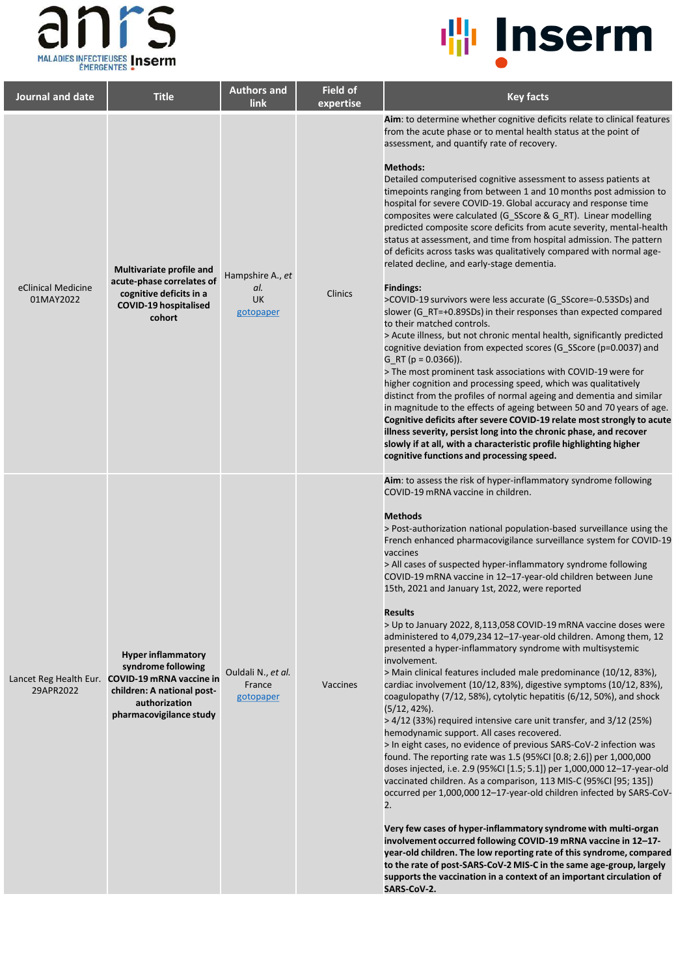

| Journal and date                    | <b>Title</b>                                                                                                                                          | <b>Authors and</b><br>link                        | <b>Field of</b><br>expertise | <b>Key facts</b>                                                                                                                                                                                                                                                                                                                                                                                                                                                                                                                                                                                                                                                                                                                                                                                                                                                                                                                                                                                                                                                                                                                                                                                                                                                                                                                                                                                                                                                                                                                                                                                                                                                                                                                                                                                                                               |
|-------------------------------------|-------------------------------------------------------------------------------------------------------------------------------------------------------|---------------------------------------------------|------------------------------|------------------------------------------------------------------------------------------------------------------------------------------------------------------------------------------------------------------------------------------------------------------------------------------------------------------------------------------------------------------------------------------------------------------------------------------------------------------------------------------------------------------------------------------------------------------------------------------------------------------------------------------------------------------------------------------------------------------------------------------------------------------------------------------------------------------------------------------------------------------------------------------------------------------------------------------------------------------------------------------------------------------------------------------------------------------------------------------------------------------------------------------------------------------------------------------------------------------------------------------------------------------------------------------------------------------------------------------------------------------------------------------------------------------------------------------------------------------------------------------------------------------------------------------------------------------------------------------------------------------------------------------------------------------------------------------------------------------------------------------------------------------------------------------------------------------------------------------------|
| eClinical Medicine<br>01MAY2022     | <b>Multivariate profile and</b><br>acute-phase correlates of<br>cognitive deficits in a<br>COVID-19 hospitalised<br>cohort                            | Hampshire A., et<br>al.<br><b>UK</b><br>gotopaper | <b>Clinics</b>               | Aim: to determine whether cognitive deficits relate to clinical features<br>from the acute phase or to mental health status at the point of<br>assessment, and quantify rate of recovery.<br><b>Methods:</b><br>Detailed computerised cognitive assessment to assess patients at<br>timepoints ranging from between 1 and 10 months post admission to<br>hospital for severe COVID-19. Global accuracy and response time<br>composites were calculated (G_SScore & G_RT). Linear modelling<br>predicted composite score deficits from acute severity, mental-health<br>status at assessment, and time from hospital admission. The pattern<br>of deficits across tasks was qualitatively compared with normal age-<br>related decline, and early-stage dementia.<br><b>Findings:</b><br>>COVID-19 survivors were less accurate (G_SScore=-0.53SDs) and<br>slower (G_RT=+0.89SDs) in their responses than expected compared<br>to their matched controls.<br>> Acute illness, but not chronic mental health, significantly predicted<br>cognitive deviation from expected scores (G_SScore (p=0.0037) and<br>$G_RT(p = 0.0366)$ .<br>> The most prominent task associations with COVID-19 were for<br>higher cognition and processing speed, which was qualitatively<br>distinct from the profiles of normal ageing and dementia and similar<br>in magnitude to the effects of ageing between 50 and 70 years of age.<br>Cognitive deficits after severe COVID-19 relate most strongly to acute<br>illness severity, persist long into the chronic phase, and recover<br>slowly if at all, with a characteristic profile highlighting higher<br>cognitive functions and processing speed.                                                                                                                                                       |
| Lancet Reg Health Eur.<br>29APR2022 | <b>Hyper inflammatory</b><br>syndrome following<br>COVID-19 mRNA vaccine in<br>children: A national post-<br>authorization<br>pharmacovigilance study | Ouldali N., et al.<br>France<br>gotopaper         | Vaccines                     | <b>Aim</b> : to assess the risk of hyper-inflammatory syndrome following<br>COVID-19 mRNA vaccine in children.<br><b>Methods</b><br>> Post-authorization national population-based surveillance using the<br>French enhanced pharmacovigilance surveillance system for COVID-19<br>vaccines<br>> All cases of suspected hyper-inflammatory syndrome following<br>COVID-19 mRNA vaccine in 12-17-year-old children between June<br>15th, 2021 and January 1st, 2022, were reported<br><b>Results</b><br>> Up to January 2022, 8,113,058 COVID-19 mRNA vaccine doses were<br>administered to 4,079,234 12-17-year-old children. Among them, 12<br>presented a hyper-inflammatory syndrome with multisystemic<br>involvement.<br>> Main clinical features included male predominance (10/12, 83%),<br>cardiac involvement (10/12, 83%), digestive symptoms (10/12, 83%),<br>coagulopathy (7/12, 58%), cytolytic hepatitis (6/12, 50%), and shock<br>$(5/12, 42\%).$<br>> 4/12 (33%) required intensive care unit transfer, and 3/12 (25%)<br>hemodynamic support. All cases recovered.<br>> In eight cases, no evidence of previous SARS-CoV-2 infection was<br>found. The reporting rate was 1.5 (95%CI [0.8; 2.6]) per 1,000,000<br>doses injected, i.e. 2.9 (95%CI [1.5; 5.1]) per 1,000,000 12-17-year-old<br>vaccinated children. As a comparison, 113 MIS-C (95%CI [95; 135])<br>occurred per 1,000,000 12-17-year-old children infected by SARS-CoV-<br>2.<br>Very few cases of hyper-inflammatory syndrome with multi-organ<br>involvement occurred following COVID-19 mRNA vaccine in 12-17-<br>year-old children. The low reporting rate of this syndrome, compared<br>to the rate of post-SARS-CoV-2 MIS-C in the same age-group, largely<br>supports the vaccination in a context of an important circulation of<br><b>SARS-COV-2</b> |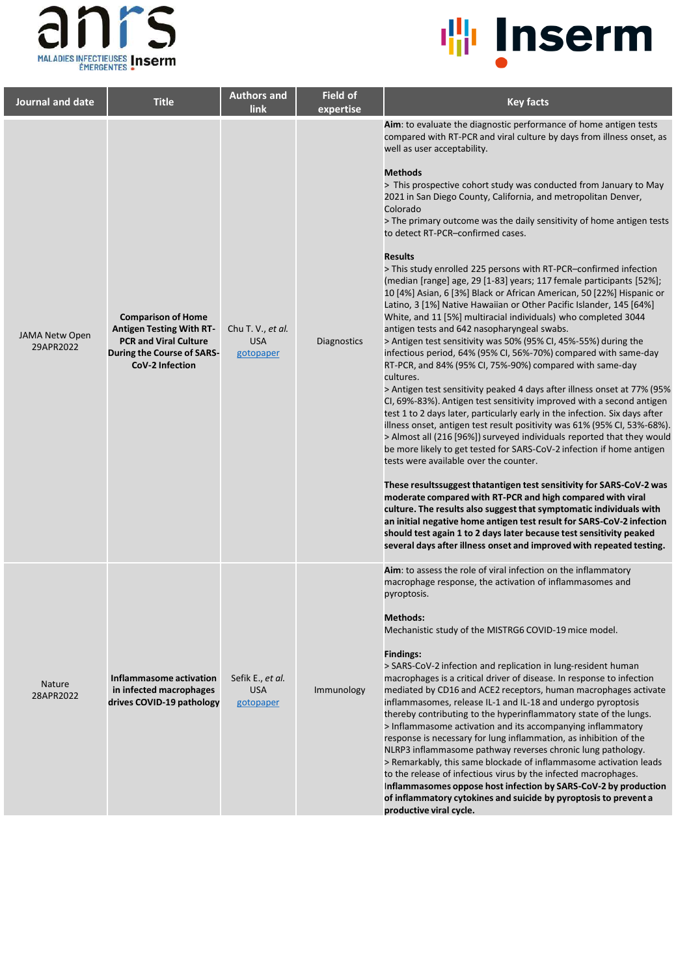

| Journal and date                   | <b>Title</b>                                                                                                                                  | <b>Authors and</b><br>link                   | <b>Field of</b><br>expertise | <b>Key facts</b>                                                                                                                                                                                                                                                                                                                                                                                                                                                                                                                                                                                                                                                                                                                                                                                                                                                                                                                                                                                                                                                                                                                                                                                                                                                                                                                                                                                                                                                                                                                                                                                                                                                                                                                                                                                                                                                                                                                                                                                                                                              |
|------------------------------------|-----------------------------------------------------------------------------------------------------------------------------------------------|----------------------------------------------|------------------------------|---------------------------------------------------------------------------------------------------------------------------------------------------------------------------------------------------------------------------------------------------------------------------------------------------------------------------------------------------------------------------------------------------------------------------------------------------------------------------------------------------------------------------------------------------------------------------------------------------------------------------------------------------------------------------------------------------------------------------------------------------------------------------------------------------------------------------------------------------------------------------------------------------------------------------------------------------------------------------------------------------------------------------------------------------------------------------------------------------------------------------------------------------------------------------------------------------------------------------------------------------------------------------------------------------------------------------------------------------------------------------------------------------------------------------------------------------------------------------------------------------------------------------------------------------------------------------------------------------------------------------------------------------------------------------------------------------------------------------------------------------------------------------------------------------------------------------------------------------------------------------------------------------------------------------------------------------------------------------------------------------------------------------------------------------------------|
| <b>JAMA Netw Open</b><br>29APR2022 | <b>Comparison of Home</b><br><b>Antigen Testing With RT-</b><br><b>PCR and Viral Culture</b><br>During the Course of SARS-<br>CoV-2 Infection | Chu T. V., et al.<br><b>USA</b><br>gotopaper | <b>Diagnostics</b>           | Aim: to evaluate the diagnostic performance of home antigen tests<br>compared with RT-PCR and viral culture by days from illness onset, as<br>well as user acceptability.<br><b>Methods</b><br>> This prospective cohort study was conducted from January to May<br>2021 in San Diego County, California, and metropolitan Denver,<br>Colorado<br>> The primary outcome was the daily sensitivity of home antigen tests<br>to detect RT-PCR-confirmed cases.<br><b>Results</b><br>> This study enrolled 225 persons with RT-PCR-confirmed infection<br>(median [range] age, 29 [1-83] years; 117 female participants [52%];<br>10 [4%] Asian, 6 [3%] Black or African American, 50 [22%] Hispanic or<br>Latino, 3 [1%] Native Hawaiian or Other Pacific Islander, 145 [64%]<br>White, and 11 [5%] multiracial individuals) who completed 3044<br>antigen tests and 642 nasopharyngeal swabs.<br>> Antigen test sensitivity was 50% (95% CI, 45%-55%) during the<br>infectious period, 64% (95% CI, 56%-70%) compared with same-day<br>RT-PCR, and 84% (95% CI, 75%-90%) compared with same-day<br>cultures.<br>> Antigen test sensitivity peaked 4 days after illness onset at 77% (95%<br>CI, 69%-83%). Antigen test sensitivity improved with a second antigen<br>test 1 to 2 days later, particularly early in the infection. Six days after<br>illness onset, antigen test result positivity was 61% (95% CI, 53%-68%).<br>> Almost all (216 [96%]) surveyed individuals reported that they would<br>be more likely to get tested for SARS-CoV-2 infection if home antigen<br>tests were available over the counter.<br>These resultssuggest thatantigen test sensitivity for SARS-CoV-2 was<br>moderate compared with RT-PCR and high compared with viral<br>culture. The results also suggest that symptomatic individuals with<br>an initial negative home antigen test result for SARS-CoV-2 infection<br>should test again 1 to 2 days later because test sensitivity peaked<br>several days after illness onset and improved with repeated testing. |
| Nature<br>28APR2022                | Inflammasome activation<br>in infected macrophages<br>drives COVID-19 pathology                                                               | Sefik E., et al.<br><b>USA</b><br>gotopaper  | Immunology                   | Aim: to assess the role of viral infection on the inflammatory<br>macrophage response, the activation of inflammasomes and<br>pyroptosis.<br><b>Methods:</b><br>Mechanistic study of the MISTRG6 COVID-19 mice model.<br><b>Findings:</b><br>> SARS-CoV-2 infection and replication in lung-resident human<br>macrophages is a critical driver of disease. In response to infection<br>mediated by CD16 and ACE2 receptors, human macrophages activate<br>inflammasomes, release IL-1 and IL-18 and undergo pyroptosis<br>thereby contributing to the hyperinflammatory state of the lungs.<br>> Inflammasome activation and its accompanying inflammatory<br>response is necessary for lung inflammation, as inhibition of the<br>NLRP3 inflammasome pathway reverses chronic lung pathology.<br>> Remarkably, this same blockade of inflammasome activation leads<br>to the release of infectious virus by the infected macrophages.<br>Inflammasomes oppose host infection by SARS-CoV-2 by production<br>of inflammatory cytokines and suicide by pyroptosis to prevent a<br>productive viral cycle.                                                                                                                                                                                                                                                                                                                                                                                                                                                                                                                                                                                                                                                                                                                                                                                                                                                                                                                                                      |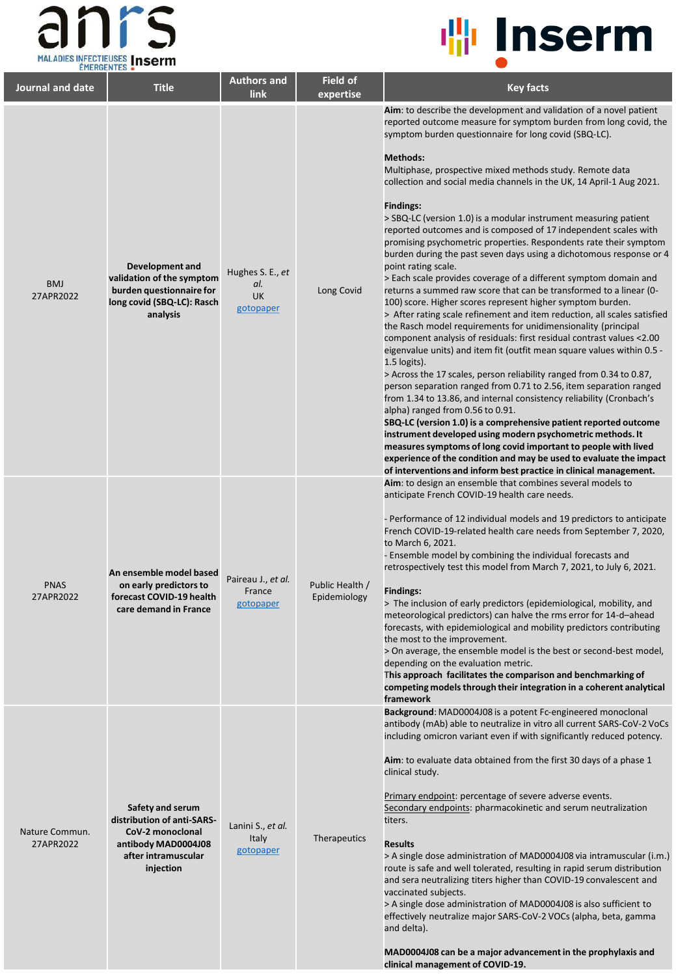I

### **WE Inserm**

| EMERGENTES .<br>Journal and date | <b>Title</b>                                                                                                                  | <b>Authors and</b><br>link                        | <b>Field of</b><br>expertise    | <b>Key facts</b>                                                                                                                                                                                                                                                                                                                                                                                                                                                                                                                                                                                                                                                                                                                                                                                                                                                                                                                                                                                                                                                                                                                                                                                                                                                                                                                                                                                                                                                                                                                                                                                                                                                                                                                                                                                                 |
|----------------------------------|-------------------------------------------------------------------------------------------------------------------------------|---------------------------------------------------|---------------------------------|------------------------------------------------------------------------------------------------------------------------------------------------------------------------------------------------------------------------------------------------------------------------------------------------------------------------------------------------------------------------------------------------------------------------------------------------------------------------------------------------------------------------------------------------------------------------------------------------------------------------------------------------------------------------------------------------------------------------------------------------------------------------------------------------------------------------------------------------------------------------------------------------------------------------------------------------------------------------------------------------------------------------------------------------------------------------------------------------------------------------------------------------------------------------------------------------------------------------------------------------------------------------------------------------------------------------------------------------------------------------------------------------------------------------------------------------------------------------------------------------------------------------------------------------------------------------------------------------------------------------------------------------------------------------------------------------------------------------------------------------------------------------------------------------------------------|
| <b>BMJ</b><br>27APR2022          | Development and<br>validation of the symptom<br>burden questionnaire for<br>long covid (SBQ-LC): Rasch<br>analysis            | Hughes S. E., et<br>al.<br><b>UK</b><br>gotopaper | Long Covid                      | Aim: to describe the development and validation of a novel patient<br>reported outcome measure for symptom burden from long covid, the<br>symptom burden questionnaire for long covid (SBQ-LC).<br><b>Methods:</b><br>Multiphase, prospective mixed methods study. Remote data<br>collection and social media channels in the UK, 14 April-1 Aug 2021.<br>Findings:<br>> SBQ-LC (version 1.0) is a modular instrument measuring patient<br>reported outcomes and is composed of 17 independent scales with<br>promising psychometric properties. Respondents rate their symptom<br>burden during the past seven days using a dichotomous response or 4<br>point rating scale.<br>> Each scale provides coverage of a different symptom domain and<br>returns a summed raw score that can be transformed to a linear (0-<br>100) score. Higher scores represent higher symptom burden.<br>> After rating scale refinement and item reduction, all scales satisfied<br>the Rasch model requirements for unidimensionality (principal<br>component analysis of residuals: first residual contrast values <2.00<br>eigenvalue units) and item fit (outfit mean square values within 0.5 -<br>$1.5$ logits).<br>> Across the 17 scales, person reliability ranged from 0.34 to 0.87,<br>person separation ranged from 0.71 to 2.56, item separation ranged<br>from 1.34 to 13.86, and internal consistency reliability (Cronbach's<br>alpha) ranged from 0.56 to 0.91.<br>SBQ-LC (version 1.0) is a comprehensive patient reported outcome<br>instrument developed using modern psychometric methods. It<br>measures symptoms of long covid important to people with lived<br>experience of the condition and may be used to evaluate the impact<br>of interventions and inform best practice in clinical management. |
| <b>PNAS</b><br>27APR2022         | An ensemble model based<br>on early predictors to<br>forecast COVID-19 health<br>care demand in France                        | Paireau J., et al.<br>France<br>gotopaper         | Public Health /<br>Epidemiology | Aim: to design an ensemble that combines several models to<br>anticipate French COVID-19 health care needs.<br>- Performance of 12 individual models and 19 predictors to anticipate<br>French COVID-19-related health care needs from September 7, 2020,<br>to March 6, 2021.<br>- Ensemble model by combining the individual forecasts and<br>retrospectively test this model from March 7, 2021, to July 6, 2021.<br><b>Findings:</b><br>> The inclusion of early predictors (epidemiological, mobility, and<br>meteorological predictors) can halve the rms error for 14-d-ahead<br>forecasts, with epidemiological and mobility predictors contributing<br>the most to the improvement.<br>> On average, the ensemble model is the best or second-best model,<br>depending on the evaluation metric.<br>This approach facilitates the comparison and benchmarking of<br>competing models through their integration in a coherent analytical<br>framework                                                                                                                                                                                                                                                                                                                                                                                                                                                                                                                                                                                                                                                                                                                                                                                                                                                    |
| Nature Commun.<br>27APR2022      | Safety and serum<br>distribution of anti-SARS-<br>CoV-2 monoclonal<br>antibody MAD0004J08<br>after intramuscular<br>injection | Lanini S., et al.<br><b>Italy</b><br>gotopaper    | Therapeutics                    | <b>Background:</b> MAD0004J08 is a potent Fc-engineered monoclonal<br>antibody (mAb) able to neutralize in vitro all current SARS-CoV-2 VoCs<br>including omicron variant even if with significantly reduced potency.<br>Aim: to evaluate data obtained from the first 30 days of a phase 1<br>clinical study.<br>Primary endpoint: percentage of severe adverse events.<br>Secondary endpoints: pharmacokinetic and serum neutralization<br>titers.<br><b>Results</b><br>> A single dose administration of MAD0004J08 via intramuscular (i.m.)<br>route is safe and well tolerated, resulting in rapid serum distribution<br>and sera neutralizing titers higher than COVID-19 convalescent and<br>vaccinated subjects.<br>> A single dose administration of MAD0004J08 is also sufficient to<br>effectively neutralize major SARS-CoV-2 VOCs (alpha, beta, gamma<br>and delta).<br>MAD0004J08 can be a major advancement in the prophylaxis and<br>clinical management of COVID-19.                                                                                                                                                                                                                                                                                                                                                                                                                                                                                                                                                                                                                                                                                                                                                                                                                            |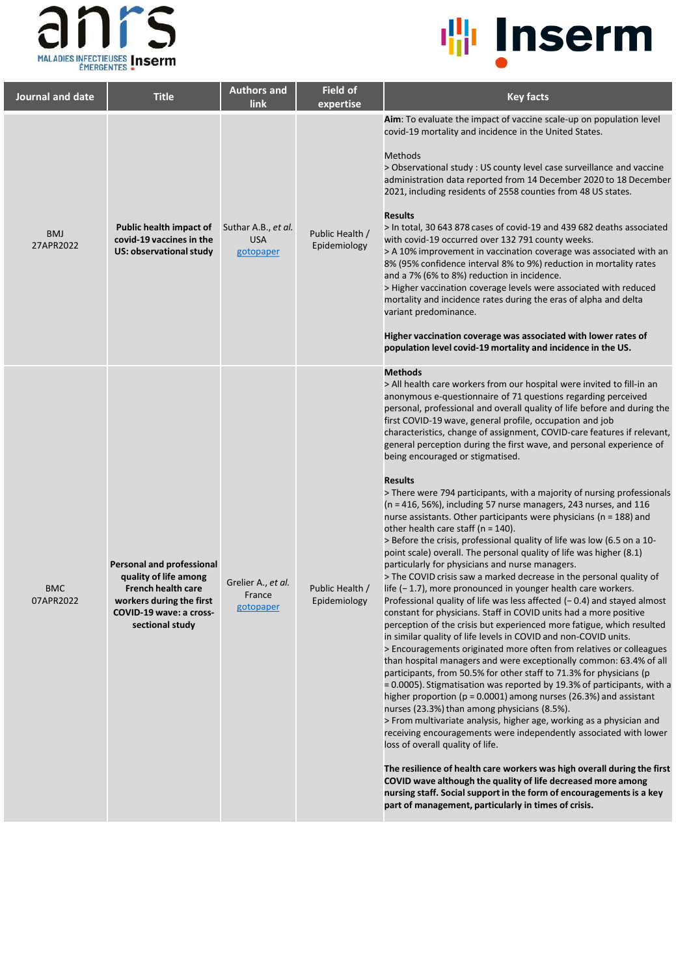

| Journal and date        | <b>Title</b>                                                                                                                                              | <b>Authors and</b><br><b>link</b>              | <b>Field of</b><br>expertise    | <b>Key facts</b>                                                                                                                                                                                                                                                                                                                                                                                                                                                                                                                                                                                                                                                                                                                                                                                                                                                                                                                                                                                                                                                                                                                                                                                                                                                                                                                                                                                                                                                                                                                                                                                                                                                                                                                                                                                                                                                                                                                                                                                                                                                                                                                                                                                                                                                                                                   |
|-------------------------|-----------------------------------------------------------------------------------------------------------------------------------------------------------|------------------------------------------------|---------------------------------|--------------------------------------------------------------------------------------------------------------------------------------------------------------------------------------------------------------------------------------------------------------------------------------------------------------------------------------------------------------------------------------------------------------------------------------------------------------------------------------------------------------------------------------------------------------------------------------------------------------------------------------------------------------------------------------------------------------------------------------------------------------------------------------------------------------------------------------------------------------------------------------------------------------------------------------------------------------------------------------------------------------------------------------------------------------------------------------------------------------------------------------------------------------------------------------------------------------------------------------------------------------------------------------------------------------------------------------------------------------------------------------------------------------------------------------------------------------------------------------------------------------------------------------------------------------------------------------------------------------------------------------------------------------------------------------------------------------------------------------------------------------------------------------------------------------------------------------------------------------------------------------------------------------------------------------------------------------------------------------------------------------------------------------------------------------------------------------------------------------------------------------------------------------------------------------------------------------------------------------------------------------------------------------------------------------------|
| <b>BMJ</b><br>27APR2022 | Public health impact of<br>covid-19 vaccines in the<br>US: observational study                                                                            | Suthar A.B., et al.<br><b>USA</b><br>gotopaper | Public Health /<br>Epidemiology | Aim: To evaluate the impact of vaccine scale-up on population level<br>covid-19 mortality and incidence in the United States.<br><b>Methods</b><br>> Observational study: US county level case surveillance and vaccine<br>administration data reported from 14 December 2020 to 18 December<br>2021, including residents of 2558 counties from 48 US states.<br><b>Results</b><br>> In total, 30 643 878 cases of covid-19 and 439 682 deaths associated<br>with covid-19 occurred over 132 791 county weeks.<br>> A 10% improvement in vaccination coverage was associated with an<br>8% (95% confidence interval 8% to 9%) reduction in mortality rates<br>and a 7% (6% to 8%) reduction in incidence.<br>> Higher vaccination coverage levels were associated with reduced<br>mortality and incidence rates during the eras of alpha and delta<br>variant predominance.<br>Higher vaccination coverage was associated with lower rates of<br>population level covid-19 mortality and incidence in the US.                                                                                                                                                                                                                                                                                                                                                                                                                                                                                                                                                                                                                                                                                                                                                                                                                                                                                                                                                                                                                                                                                                                                                                                                                                                                                                      |
| <b>BMC</b><br>07APR2022 | Personal and professional<br>quality of life among<br><b>French health care</b><br>workers during the first<br>COVID-19 wave: a cross-<br>sectional study | Grelier A., et al.<br>France<br>gotopaper      | Public Health /<br>Epidemiology | <b>Methods</b><br>> All health care workers from our hospital were invited to fill-in an<br>anonymous e-questionnaire of 71 questions regarding perceived<br>personal, professional and overall quality of life before and during the<br>first COVID-19 wave, general profile, occupation and job<br>characteristics, change of assignment, COVID-care features if relevant,<br>general perception during the first wave, and personal experience of<br>being encouraged or stigmatised.<br><b>Results</b><br>> There were 794 participants, with a majority of nursing professionals<br>$(n = 416, 56\%)$ , including 57 nurse managers, 243 nurses, and 116<br>nurse assistants. Other participants were physicians ( $n = 188$ ) and<br>other health care staff ( $n = 140$ ).<br>> Before the crisis, professional quality of life was low (6.5 on a 10-<br>point scale) overall. The personal quality of life was higher (8.1)<br>particularly for physicians and nurse managers.<br>> The COVID crisis saw a marked decrease in the personal quality of<br>life $(-1.7)$ , more pronounced in younger health care workers.<br>Professional quality of life was less affected $(-0.4)$ and stayed almost<br>constant for physicians. Staff in COVID units had a more positive<br>perception of the crisis but experienced more fatigue, which resulted<br>in similar quality of life levels in COVID and non-COVID units.<br>> Encouragements originated more often from relatives or colleagues<br>than hospital managers and were exceptionally common: 63.4% of all<br>participants, from 50.5% for other staff to 71.3% for physicians (p<br>= 0.0005). Stigmatisation was reported by 19.3% of participants, with a<br>higher proportion ( $p = 0.0001$ ) among nurses (26.3%) and assistant<br>nurses (23.3%) than among physicians (8.5%).<br>> From multivariate analysis, higher age, working as a physician and<br>receiving encouragements were independently associated with lower<br>loss of overall quality of life.<br>The resilience of health care workers was high overall during the first<br>COVID wave although the quality of life decreased more among<br>nursing staff. Social support in the form of encouragements is a key<br>part of management, particularly in times of crisis. |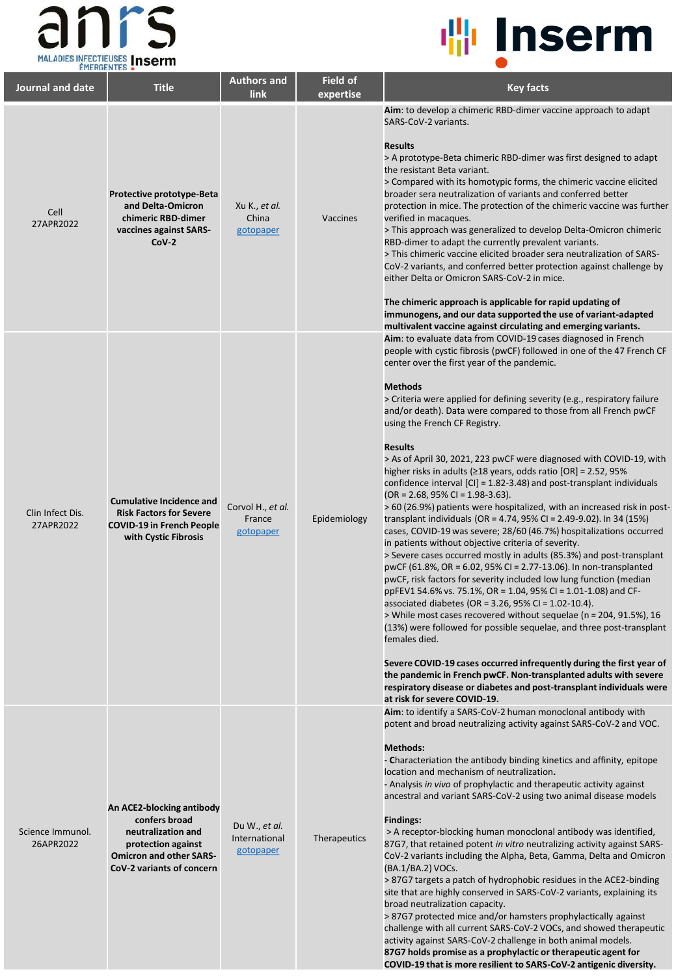I

| Journal and date              | LULIVULIVILU B<br><b>Title</b>                                                                                                                        | <b>Authors and</b><br>link                  | <b>Field of</b><br>expertise | <b>Key facts</b>                                                                                                                                                                                                                                                                                                                                                                                                                                                                                                                                                                                                                                                                                                                                                                                                                                                                                                                                                                                                                                                                                                                                                                                                                                                                                                                                                                                                                                                                                                                                                                                                                                                                                                     |
|-------------------------------|-------------------------------------------------------------------------------------------------------------------------------------------------------|---------------------------------------------|------------------------------|----------------------------------------------------------------------------------------------------------------------------------------------------------------------------------------------------------------------------------------------------------------------------------------------------------------------------------------------------------------------------------------------------------------------------------------------------------------------------------------------------------------------------------------------------------------------------------------------------------------------------------------------------------------------------------------------------------------------------------------------------------------------------------------------------------------------------------------------------------------------------------------------------------------------------------------------------------------------------------------------------------------------------------------------------------------------------------------------------------------------------------------------------------------------------------------------------------------------------------------------------------------------------------------------------------------------------------------------------------------------------------------------------------------------------------------------------------------------------------------------------------------------------------------------------------------------------------------------------------------------------------------------------------------------------------------------------------------------|
| Cell<br>27APR2022             | Protective prototype-Beta<br>and Delta-Omicron<br>chimeric RBD-dimer<br>vaccines against SARS-<br>$COV-2$                                             | Xu K., et al.<br>China<br>gotopaper         | Vaccines                     | Aim: to develop a chimeric RBD-dimer vaccine approach to adapt<br>SARS-CoV-2 variants.<br><b>Results</b><br>> A prototype-Beta chimeric RBD-dimer was first designed to adapt<br>the resistant Beta variant.<br>> Compared with its homotypic forms, the chimeric vaccine elicited<br>broader sera neutralization of variants and conferred better<br>protection in mice. The protection of the chimeric vaccine was further<br>verified in macaques.<br>> This approach was generalized to develop Delta-Omicron chimeric<br>RBD-dimer to adapt the currently prevalent variants.<br>> This chimeric vaccine elicited broader sera neutralization of SARS-<br>CoV-2 variants, and conferred better protection against challenge by<br>either Delta or Omicron SARS-CoV-2 in mice.<br>The chimeric approach is applicable for rapid updating of<br>immunogens, and our data supported the use of variant-adapted<br>multivalent vaccine against circulating and emerging variants.                                                                                                                                                                                                                                                                                                                                                                                                                                                                                                                                                                                                                                                                                                                                   |
| Clin Infect Dis.<br>27APR2022 | <b>Cumulative Incidence and</b><br><b>Risk Factors for Severe</b><br><b>COVID-19 in French People</b><br>with Cystic Fibrosis                         | Corvol H., et al.<br>France<br>gotopaper    | Epidemiology                 | Aim: to evaluate data from COVID-19 cases diagnosed in French<br>people with cystic fibrosis (pwCF) followed in one of the 47 French CF<br>center over the first year of the pandemic.<br>Methods<br>> Criteria were applied for defining severity (e.g., respiratory failure<br>and/or death). Data were compared to those from all French pwCF<br>using the French CF Registry.<br><b>Results</b><br>> As of April 30, 2021, 223 pwCF were diagnosed with COVID-19, with<br>higher risks in adults ( $\geq$ 18 years, odds ratio [OR] = 2.52, 95%<br>confidence interval [CI] = 1.82-3.48) and post-transplant individuals<br>$(OR = 2.68, 95\% CI = 1.98-3.63).$<br>> 60 (26.9%) patients were hospitalized, with an increased risk in post-<br>transplant individuals (OR = 4.74, 95% CI = 2.49-9.02). In 34 (15%)<br>cases, COVID-19 was severe; 28/60 (46.7%) hospitalizations occurred<br>in patients without objective criteria of severity.<br>> Severe cases occurred mostly in adults (85.3%) and post-transplant<br>pwCF (61.8%, OR = 6.02, 95% CI = 2.77-13.06). In non-transplanted<br>pwCF, risk factors for severity included low lung function (median<br>ppFEV1 54.6% vs. 75.1%, OR = 1.04, 95% CI = 1.01-1.08) and CF-<br>associated diabetes (OR = 3.26, 95% CI = 1.02-10.4).<br>> While most cases recovered without sequelae (n = 204, 91.5%), 16<br>(13%) were followed for possible sequelae, and three post-transplant<br>females died.<br>Severe COVID-19 cases occurred infrequently during the first year of<br>the pandemic in French pwCF. Non-transplanted adults with severe<br>respiratory disease or diabetes and post-transplant individuals were<br>at risk for severe COVID-19. |
| Science Immunol.<br>26APR2022 | An ACE2-blocking antibody<br>confers broad<br>neutralization and<br>protection against<br><b>Omicron and other SARS-</b><br>CoV-2 variants of concern | Du W., et al.<br>International<br>gotopaper | Therapeutics                 | Aim: to identify a SARS-CoV-2 human monoclonal antibody with<br>potent and broad neutralizing activity against SARS-CoV-2 and VOC.<br><b>Methods:</b><br>- Characteriation the antibody binding kinetics and affinity, epitope<br>location and mechanism of neutralization.<br>- Analysis in vivo of prophylactic and therapeutic activity against<br>ancestral and variant SARS-CoV-2 using two animal disease models<br><b>Findings:</b><br>> A receptor-blocking human monoclonal antibody was identified,<br>87G7, that retained potent in vitro neutralizing activity against SARS-<br>CoV-2 variants including the Alpha, Beta, Gamma, Delta and Omicron<br>(BA.1/BA.2) VOCs.<br>> 87G7 targets a patch of hydrophobic residues in the ACE2-binding<br>site that are highly conserved in SARS-CoV-2 variants, explaining its<br>broad neutralization capacity.<br>> 87G7 protected mice and/or hamsters prophylactically against<br>challenge with all current SARS-CoV-2 VOCs, and showed therapeutic<br>activity against SARS-CoV-2 challenge in both animal models.<br>87G7 holds promise as a prophylactic or therapeutic agent for<br>COVID-19 that is more resilient to SARS-CoV-2 antigenic diversity.                                                                                                                                                                                                                                                                                                                                                                                                                                                                                                  |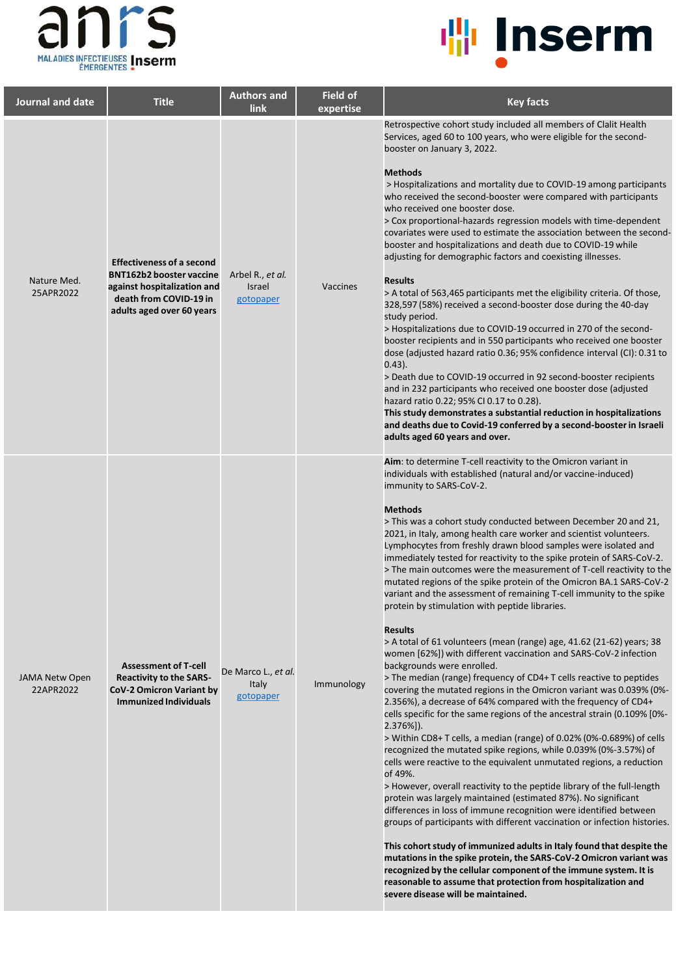

| Journal and date            | <b>Title</b>                                                                                                                                              | <b>Authors and</b><br><b>link</b>                | <b>Field of</b><br>expertise | <b>Key facts</b>                                                                                                                                                                                                                                                                                                                                                                                                                                                                                                                                                                                                                                                                                                                                                                                                                                                                                                                                                                                                                                                                                                                                                                                                                                                                                                                                                                                                                                                                                                                                                                                                                                                                                                                                                                                                                                                                                                                                                                                                                                                                                        |
|-----------------------------|-----------------------------------------------------------------------------------------------------------------------------------------------------------|--------------------------------------------------|------------------------------|---------------------------------------------------------------------------------------------------------------------------------------------------------------------------------------------------------------------------------------------------------------------------------------------------------------------------------------------------------------------------------------------------------------------------------------------------------------------------------------------------------------------------------------------------------------------------------------------------------------------------------------------------------------------------------------------------------------------------------------------------------------------------------------------------------------------------------------------------------------------------------------------------------------------------------------------------------------------------------------------------------------------------------------------------------------------------------------------------------------------------------------------------------------------------------------------------------------------------------------------------------------------------------------------------------------------------------------------------------------------------------------------------------------------------------------------------------------------------------------------------------------------------------------------------------------------------------------------------------------------------------------------------------------------------------------------------------------------------------------------------------------------------------------------------------------------------------------------------------------------------------------------------------------------------------------------------------------------------------------------------------------------------------------------------------------------------------------------------------|
| Nature Med.<br>25APR2022    | <b>Effectiveness of a second</b><br><b>BNT162b2 booster vaccine</b><br>against hospitalization and<br>death from COVID-19 in<br>adults aged over 60 years | Arbel R., et al.<br>Israel<br>gotopaper          | Vaccines                     | Retrospective cohort study included all members of Clalit Health<br>Services, aged 60 to 100 years, who were eligible for the second-<br>booster on January 3, 2022.<br><b>Methods</b><br>> Hospitalizations and mortality due to COVID-19 among participants<br>who received the second-booster were compared with participants<br>who received one booster dose.<br>> Cox proportional-hazards regression models with time-dependent<br>covariates were used to estimate the association between the second-<br>booster and hospitalizations and death due to COVID-19 while<br>adjusting for demographic factors and coexisting illnesses.<br><b>Results</b><br>> A total of 563,465 participants met the eligibility criteria. Of those,<br>328,597 (58%) received a second-booster dose during the 40-day<br>study period.<br>> Hospitalizations due to COVID-19 occurred in 270 of the second-<br>booster recipients and in 550 participants who received one booster<br>dose (adjusted hazard ratio 0.36; 95% confidence interval (CI): 0.31 to<br>$0.43$ ).<br>> Death due to COVID-19 occurred in 92 second-booster recipients<br>and in 232 participants who received one booster dose (adjusted<br>hazard ratio 0.22; 95% CI 0.17 to 0.28).<br>This study demonstrates a substantial reduction in hospitalizations<br>and deaths due to Covid-19 conferred by a second-booster in Israeli<br>adults aged 60 years and over.                                                                                                                                                                                                                                                                                                                                                                                                                                                                                                                                                                                                                                                                  |
| JAMA Netw Open<br>22APR2022 | <b>Assessment of T-cell</b><br><b>Reactivity to the SARS-</b><br>CoV-2 Omicron Variant by<br><b>Immunized Individuals</b>                                 | De Marco L., et al.<br><b>Italy</b><br>gotopaper | Immunology                   | Aim: to determine T-cell reactivity to the Omicron variant in<br>individuals with established (natural and/or vaccine-induced)<br>immunity to SARS-CoV-2.<br><b>Methods</b><br>> This was a cohort study conducted between December 20 and 21,<br>2021, in Italy, among health care worker and scientist volunteers.<br>Lymphocytes from freshly drawn blood samples were isolated and<br>immediately tested for reactivity to the spike protein of SARS-CoV-2.<br>> The main outcomes were the measurement of T-cell reactivity to the<br>mutated regions of the spike protein of the Omicron BA.1 SARS-CoV-2<br>variant and the assessment of remaining T-cell immunity to the spike<br>protein by stimulation with peptide libraries.<br><b>Results</b><br>> A total of 61 volunteers (mean (range) age, 41.62 (21-62) years; 38<br>women [62%]) with different vaccination and SARS-CoV-2 infection<br>backgrounds were enrolled.<br>> The median (range) frequency of CD4+ T cells reactive to peptides<br>covering the mutated regions in the Omicron variant was 0.039% (0%-<br>2.356%), a decrease of 64% compared with the frequency of CD4+<br>cells specific for the same regions of the ancestral strain (0.109% [0%-<br>2.376%]).<br>> Within CD8+ T cells, a median (range) of 0.02% (0%-0.689%) of cells<br>recognized the mutated spike regions, while 0.039% (0%-3.57%) of<br>cells were reactive to the equivalent unmutated regions, a reduction<br>of 49%.<br>> However, overall reactivity to the peptide library of the full-length<br>protein was largely maintained (estimated 87%). No significant<br>differences in loss of immune recognition were identified between<br>groups of participants with different vaccination or infection histories.<br>This cohort study of immunized adults in Italy found that despite the<br>mutations in the spike protein, the SARS-CoV-2 Omicron variant was<br>recognized by the cellular component of the immune system. It is<br>reasonable to assume that protection from hospitalization and<br>severe disease will be maintained. |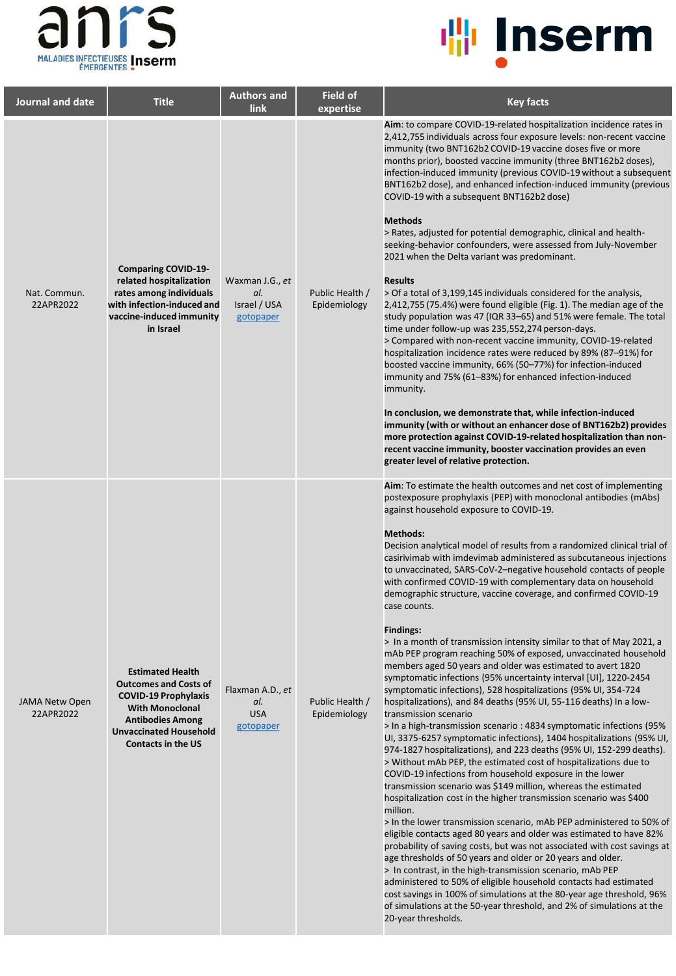

| Journal and date            | <b>Title</b>                                                                                                                                                                                              | <b>Authors and</b><br><b>link</b>                   | <b>Field of</b><br>expertise    | <b>Key facts</b>                                                                                                                                                                                                                                                                                                                                                                                                                                                                                                                                                                                                                                                                                                                                                                                                                                                                                                                                                                                                                                                                                                                                                                                                                                                                                                                                                                                                                                                                                                                                                                                                                                                                                                                                                                                                                                                                                                                                                                                                                                                                                                                                                    |
|-----------------------------|-----------------------------------------------------------------------------------------------------------------------------------------------------------------------------------------------------------|-----------------------------------------------------|---------------------------------|---------------------------------------------------------------------------------------------------------------------------------------------------------------------------------------------------------------------------------------------------------------------------------------------------------------------------------------------------------------------------------------------------------------------------------------------------------------------------------------------------------------------------------------------------------------------------------------------------------------------------------------------------------------------------------------------------------------------------------------------------------------------------------------------------------------------------------------------------------------------------------------------------------------------------------------------------------------------------------------------------------------------------------------------------------------------------------------------------------------------------------------------------------------------------------------------------------------------------------------------------------------------------------------------------------------------------------------------------------------------------------------------------------------------------------------------------------------------------------------------------------------------------------------------------------------------------------------------------------------------------------------------------------------------------------------------------------------------------------------------------------------------------------------------------------------------------------------------------------------------------------------------------------------------------------------------------------------------------------------------------------------------------------------------------------------------------------------------------------------------------------------------------------------------|
| Nat. Commun.<br>22APR2022   | <b>Comparing COVID-19-</b><br>related hospitalization<br>rates among individuals<br>with infection-induced and<br>vaccine-induced immunity<br>in Israel                                                   | Waxman J.G., et<br>al.<br>Israel / USA<br>gotopaper | Public Health /<br>Epidemiology | Aim: to compare COVID-19-related hospitalization incidence rates in<br>2,412,755 individuals across four exposure levels: non-recent vaccine<br>immunity (two BNT162b2 COVID-19 vaccine doses five or more<br>months prior), boosted vaccine immunity (three BNT162b2 doses),<br>infection-induced immunity (previous COVID-19 without a subsequent<br>BNT162b2 dose), and enhanced infection-induced immunity (previous<br>COVID-19 with a subsequent BNT162b2 dose)<br><b>Methods</b><br>> Rates, adjusted for potential demographic, clinical and health-<br>seeking-behavior confounders, were assessed from July-November<br>2021 when the Delta variant was predominant.<br><b>Results</b><br>> Of a total of 3,199,145 individuals considered for the analysis,<br>2,412,755 (75.4%) were found eligible (Fig. 1). The median age of the<br>study population was 47 (IQR 33-65) and 51% were female. The total<br>time under follow-up was 235,552,274 person-days.<br>> Compared with non-recent vaccine immunity, COVID-19-related<br>hospitalization incidence rates were reduced by 89% (87-91%) for<br>boosted vaccine immunity, 66% (50-77%) for infection-induced<br>immunity and 75% (61–83%) for enhanced infection-induced<br>immunity.<br>In conclusion, we demonstrate that, while infection-induced<br>immunity (with or without an enhancer dose of BNT162b2) provides<br>more protection against COVID-19-related hospitalization than non-<br>recent vaccine immunity, booster vaccination provides an even<br>greater level of relative protection.                                                                                                                                                                                                                                                                                                                                                                                                                                                                                                                                                                                         |
| JAMA Netw Open<br>22APR2022 | <b>Estimated Health</b><br><b>Outcomes and Costs of</b><br><b>COVID-19 Prophylaxis</b><br><b>With Monoclonal</b><br><b>Antibodies Among</b><br><b>Unvaccinated Household</b><br><b>Contacts in the US</b> | Flaxman A.D., et<br>al.<br><b>USA</b><br>gotopaper  | Public Health /<br>Epidemiology | Aim: To estimate the health outcomes and net cost of implementing<br>postexposure prophylaxis (PEP) with monoclonal antibodies (mAbs)<br>against household exposure to COVID-19.<br><b>Methods:</b><br>Decision analytical model of results from a randomized clinical trial of<br>casirivimab with imdevimab administered as subcutaneous injections<br>to unvaccinated, SARS-CoV-2–negative household contacts of people<br>with confirmed COVID-19 with complementary data on household<br>demographic structure, vaccine coverage, and confirmed COVID-19<br>case counts.<br><b>Findings:</b><br>> In a month of transmission intensity similar to that of May 2021, a<br>mAb PEP program reaching 50% of exposed, unvaccinated household<br>members aged 50 years and older was estimated to avert 1820<br>symptomatic infections (95% uncertainty interval [UI], 1220-2454<br>symptomatic infections), 528 hospitalizations (95% UI, 354-724<br>hospitalizations), and 84 deaths (95% UI, 55-116 deaths) In a low-<br>transmission scenario<br>> In a high-transmission scenario : 4834 symptomatic infections (95%)<br>UI, 3375-6257 symptomatic infections), 1404 hospitalizations (95% UI,<br>974-1827 hospitalizations), and 223 deaths (95% UI, 152-299 deaths).<br>> Without mAb PEP, the estimated cost of hospitalizations due to<br>COVID-19 infections from household exposure in the lower<br>transmission scenario was \$149 million, whereas the estimated<br>hospitalization cost in the higher transmission scenario was \$400<br>million.<br>> In the lower transmission scenario, mAb PEP administered to 50% of<br>eligible contacts aged 80 years and older was estimated to have 82%<br>probability of saving costs, but was not associated with cost savings at<br>age thresholds of 50 years and older or 20 years and older.<br>> In contrast, in the high-transmission scenario, mAb PEP<br>administered to 50% of eligible household contacts had estimated<br>cost savings in 100% of simulations at the 80-year age threshold, 96%<br>of simulations at the 50-year threshold, and 2% of simulations at the<br>20-year thresholds. |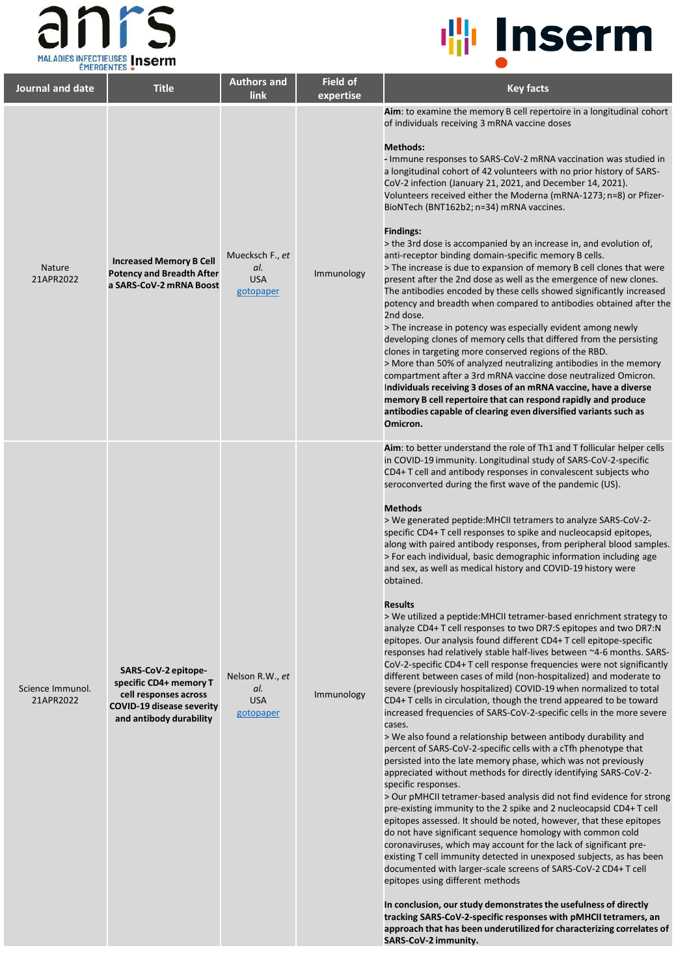$\overline{\phantom{a}}$ 

| Journal and date              | <b>Title</b>                                                                                                                          | <b>Authors and</b><br>link                        | <b>Field of</b><br>expertise | <b>Key facts</b>                                                                                                                                                                                                                                                                                                                                                                                                                                                                                                                                                                                                                                                                                                                                                                                                                                                                                                                                                                                                                                                                                                                                                                                                                                                                                                                                                                                                                                                                                                                                                                                                                                                                                                                                                                                                                                                                                                                                                                                                                                                                                                                                                                                                                                                                                                                                                                                                                              |
|-------------------------------|---------------------------------------------------------------------------------------------------------------------------------------|---------------------------------------------------|------------------------------|-----------------------------------------------------------------------------------------------------------------------------------------------------------------------------------------------------------------------------------------------------------------------------------------------------------------------------------------------------------------------------------------------------------------------------------------------------------------------------------------------------------------------------------------------------------------------------------------------------------------------------------------------------------------------------------------------------------------------------------------------------------------------------------------------------------------------------------------------------------------------------------------------------------------------------------------------------------------------------------------------------------------------------------------------------------------------------------------------------------------------------------------------------------------------------------------------------------------------------------------------------------------------------------------------------------------------------------------------------------------------------------------------------------------------------------------------------------------------------------------------------------------------------------------------------------------------------------------------------------------------------------------------------------------------------------------------------------------------------------------------------------------------------------------------------------------------------------------------------------------------------------------------------------------------------------------------------------------------------------------------------------------------------------------------------------------------------------------------------------------------------------------------------------------------------------------------------------------------------------------------------------------------------------------------------------------------------------------------------------------------------------------------------------------------------------------------|
| <b>Nature</b><br>21APR2022    | <b>Increased Memory B Cell</b><br><b>Potency and Breadth After</b><br>a SARS-CoV-2 mRNA Boost                                         | Muecksch F., et<br>al.<br><b>USA</b><br>gotopaper | Immunology                   | Aim: to examine the memory B cell repertoire in a longitudinal cohort<br>of individuals receiving 3 mRNA vaccine doses<br><b>Methods:</b><br>- Immune responses to SARS-CoV-2 mRNA vaccination was studied in<br>a longitudinal cohort of 42 volunteers with no prior history of SARS-<br>CoV-2 infection (January 21, 2021, and December 14, 2021).<br>Volunteers received either the Moderna (mRNA-1273; n=8) or Pfizer-<br>BioNTech (BNT162b2; n=34) mRNA vaccines.<br><b>Findings:</b><br>> the 3rd dose is accompanied by an increase in, and evolution of,<br>anti-receptor binding domain-specific memory B cells.<br>> The increase is due to expansion of memory B cell clones that were<br>present after the 2nd dose as well as the emergence of new clones.<br>The antibodies encoded by these cells showed significantly increased<br>potency and breadth when compared to antibodies obtained after the<br>2nd dose.<br>> The increase in potency was especially evident among newly<br>developing clones of memory cells that differed from the persisting<br>clones in targeting more conserved regions of the RBD.<br>> More than 50% of analyzed neutralizing antibodies in the memory<br>compartment after a 3rd mRNA vaccine dose neutralized Omicron.<br>Individuals receiving 3 doses of an mRNA vaccine, have a diverse<br>memory B cell repertoire that can respond rapidly and produce<br>antibodies capable of clearing even diversified variants such as<br>Omicron.                                                                                                                                                                                                                                                                                                                                                                                                                                                                                                                                                                                                                                                                                                                                                                                                                                                                                                                                               |
| Science Immunol.<br>21APR2022 | SARS-CoV-2 epitope-<br>specific CD4+ memory T<br>cell responses across<br><b>COVID-19 disease severity</b><br>and antibody durability | Nelson R.W., et<br>al.<br><b>USA</b><br>gotopaper | Immunology                   | Aim: to better understand the role of Th1 and T follicular helper cells<br>in COVID-19 immunity. Longitudinal study of SARS-CoV-2-specific<br>CD4+T cell and antibody responses in convalescent subjects who<br>seroconverted during the first wave of the pandemic (US).<br><b>Methods</b><br>> We generated peptide: MHCII tetramers to analyze SARS-CoV-2-<br>specific CD4+T cell responses to spike and nucleocapsid epitopes,<br>along with paired antibody responses, from peripheral blood samples.<br>> For each individual, basic demographic information including age<br>and sex, as well as medical history and COVID-19 history were<br>obtained.<br><b>Results</b><br>> We utilized a peptide:MHCII tetramer-based enrichment strategy to<br>analyze CD4+ T cell responses to two DR7:S epitopes and two DR7:N<br>epitopes. Our analysis found different CD4+ T cell epitope-specific<br>responses had relatively stable half-lives between ~4-6 months. SARS-<br>CoV-2-specific CD4+ T cell response frequencies were not significantly<br>different between cases of mild (non-hospitalized) and moderate to<br>severe (previously hospitalized) COVID-19 when normalized to total<br>CD4+T cells in circulation, though the trend appeared to be toward<br>increased frequencies of SARS-CoV-2-specific cells in the more severe<br>cases.<br>> We also found a relationship between antibody durability and<br>percent of SARS-CoV-2-specific cells with a cTfh phenotype that<br>persisted into the late memory phase, which was not previously<br>appreciated without methods for directly identifying SARS-CoV-2-<br>specific responses.<br>> Our pMHCII tetramer-based analysis did not find evidence for strong<br>pre-existing immunity to the 2 spike and 2 nucleocapsid CD4+T cell<br>epitopes assessed. It should be noted, however, that these epitopes<br>do not have significant sequence homology with common cold<br>coronaviruses, which may account for the lack of significant pre-<br>existing T cell immunity detected in unexposed subjects, as has been<br>documented with larger-scale screens of SARS-CoV-2 CD4+ T cell<br>epitopes using different methods<br>In conclusion, our study demonstrates the usefulness of directly<br>tracking SARS-CoV-2-specific responses with pMHCII tetramers, an<br>approach that has been underutilized for characterizing correlates of<br>SARS-CoV-2 immunity. |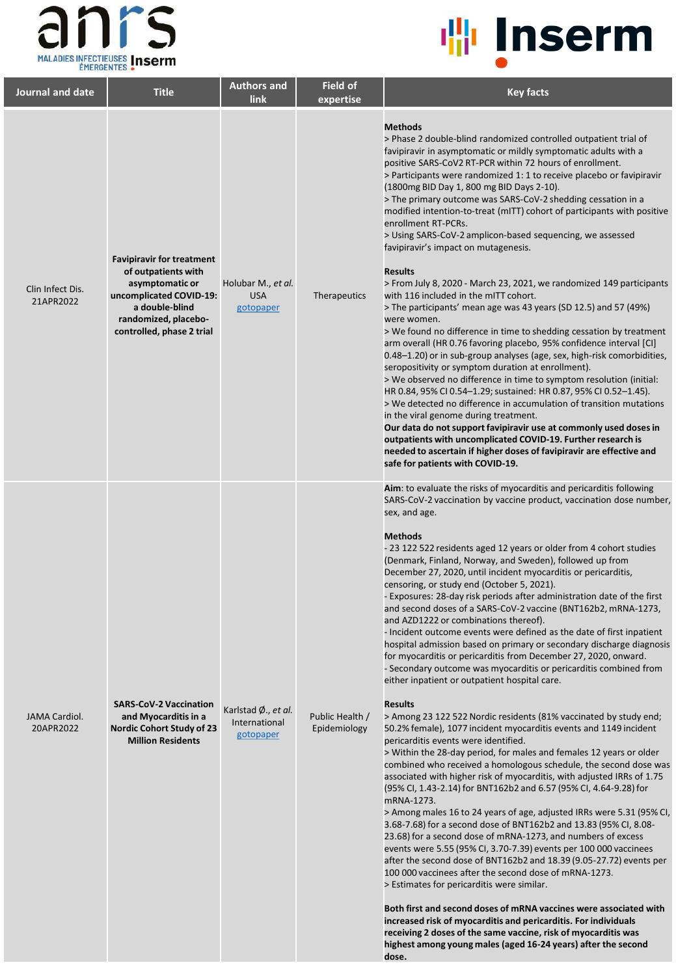

| Journal and date                  | <b>Title</b>                                                                                                                                                                 | <b>Authors and</b><br>link                        | Field of<br>expertise           | <b>Key facts</b>                                                                                                                                                                                                                                                                                                                                                                                                                                                                                                                                                                                                                                                                                                                                                                                                                                                                                                                                                                                                                                                                                                                                                                                                                                                                                                                                                                                                                                                                                                                                                                                                                                                                                                                                                                                                                                                                                                                                                                                                                                                                                                                                                                                                            |
|-----------------------------------|------------------------------------------------------------------------------------------------------------------------------------------------------------------------------|---------------------------------------------------|---------------------------------|-----------------------------------------------------------------------------------------------------------------------------------------------------------------------------------------------------------------------------------------------------------------------------------------------------------------------------------------------------------------------------------------------------------------------------------------------------------------------------------------------------------------------------------------------------------------------------------------------------------------------------------------------------------------------------------------------------------------------------------------------------------------------------------------------------------------------------------------------------------------------------------------------------------------------------------------------------------------------------------------------------------------------------------------------------------------------------------------------------------------------------------------------------------------------------------------------------------------------------------------------------------------------------------------------------------------------------------------------------------------------------------------------------------------------------------------------------------------------------------------------------------------------------------------------------------------------------------------------------------------------------------------------------------------------------------------------------------------------------------------------------------------------------------------------------------------------------------------------------------------------------------------------------------------------------------------------------------------------------------------------------------------------------------------------------------------------------------------------------------------------------------------------------------------------------------------------------------------------------|
| Clin Infect Dis.<br>21APR2022     | <b>Favipiravir for treatment</b><br>of outpatients with<br>asymptomatic or<br>uncomplicated COVID-19:<br>a double-blind<br>randomized, placebo-<br>controlled, phase 2 trial | Holubar M., et al.<br><b>USA</b><br>gotopaper     | Therapeutics                    | <b>Methods</b><br>> Phase 2 double-blind randomized controlled outpatient trial of<br>favipiravir in asymptomatic or mildly symptomatic adults with a<br>positive SARS-CoV2 RT-PCR within 72 hours of enrollment.<br>> Participants were randomized 1: 1 to receive placebo or favipiravir<br>(1800mg BID Day 1, 800 mg BID Days 2-10).<br>> The primary outcome was SARS-CoV-2 shedding cessation in a<br>modified intention-to-treat (mITT) cohort of participants with positive<br>enrollment RT-PCRs.<br>> Using SARS-CoV-2 amplicon-based sequencing, we assessed<br>favipiravir's impact on mutagenesis.<br><b>Results</b><br>> From July 8, 2020 - March 23, 2021, we randomized 149 participants<br>with 116 included in the mITT cohort.<br>> The participants' mean age was 43 years (SD 12.5) and 57 (49%)<br>were women.<br>> We found no difference in time to shedding cessation by treatment<br>arm overall (HR 0.76 favoring placebo, 95% confidence interval [CI]<br>0.48–1.20) or in sub-group analyses (age, sex, high-risk comorbidities,<br>seropositivity or symptom duration at enrollment).<br>> We observed no difference in time to symptom resolution (initial:<br>HR 0.84, 95% CI 0.54-1.29; sustained: HR 0.87, 95% CI 0.52-1.45).<br>> We detected no difference in accumulation of transition mutations<br>in the viral genome during treatment.<br>Our data do not support favipiravir use at commonly used doses in<br>outpatients with uncomplicated COVID-19. Further research is<br>needed to ascertain if higher doses of favipiravir are effective and<br>safe for patients with COVID-19.                                                                                                                                                                                                                                                                                                                                                                                                                                                                                                                                                                                            |
| <b>JAMA Cardiol.</b><br>20APR2022 | <b>SARS-CoV-2 Vaccination</b><br>and Myocarditis in a<br><b>Nordic Cohort Study of 23</b><br><b>Million Residents</b>                                                        | Karlstad Ø., et al.<br>International<br>gotopaper | Public Health /<br>Epidemiology | Aim: to evaluate the risks of myocarditis and pericarditis following<br>SARS-CoV-2 vaccination by vaccine product, vaccination dose number,<br>sex, and age.<br>Methods<br>- 23 122 522 residents aged 12 years or older from 4 cohort studies<br>(Denmark, Finland, Norway, and Sweden), followed up from<br>December 27, 2020, until incident myocarditis or pericarditis,<br>censoring, or study end (October 5, 2021).<br>- Exposures: 28-day risk periods after administration date of the first<br>and second doses of a SARS-CoV-2 vaccine (BNT162b2, mRNA-1273,<br>and AZD1222 or combinations thereof).<br>- Incident outcome events were defined as the date of first inpatient<br>hospital admission based on primary or secondary discharge diagnosis<br>for myocarditis or pericarditis from December 27, 2020, onward.<br>- Secondary outcome was myocarditis or pericarditis combined from<br>either inpatient or outpatient hospital care.<br><b>Results</b><br>> Among 23 122 522 Nordic residents (81% vaccinated by study end;<br>50.2% female), 1077 incident myocarditis events and 1149 incident<br>pericarditis events were identified.<br>> Within the 28-day period, for males and females 12 years or older<br>combined who received a homologous schedule, the second dose was<br>associated with higher risk of myocarditis, with adjusted IRRs of 1.75<br>(95% CI, 1.43-2.14) for BNT162b2 and 6.57 (95% CI, 4.64-9.28) for<br>mRNA-1273.<br>> Among males 16 to 24 years of age, adjusted IRRs were 5.31 (95% CI,<br>3.68-7.68) for a second dose of BNT162b2 and 13.83 (95% CI, 8.08-<br>23.68) for a second dose of mRNA-1273, and numbers of excess<br>events were 5.55 (95% CI, 3.70-7.39) events per 100 000 vaccinees<br>after the second dose of BNT162b2 and 18.39 (9.05-27.72) events per<br>100 000 vaccinees after the second dose of mRNA-1273.<br>> Estimates for pericarditis were similar.<br>Both first and second doses of mRNA vaccines were associated with<br>increased risk of myocarditis and pericarditis. For individuals<br>receiving 2 doses of the same vaccine, risk of myocarditis was<br>highest among young males (aged 16-24 years) after the second<br>dose. |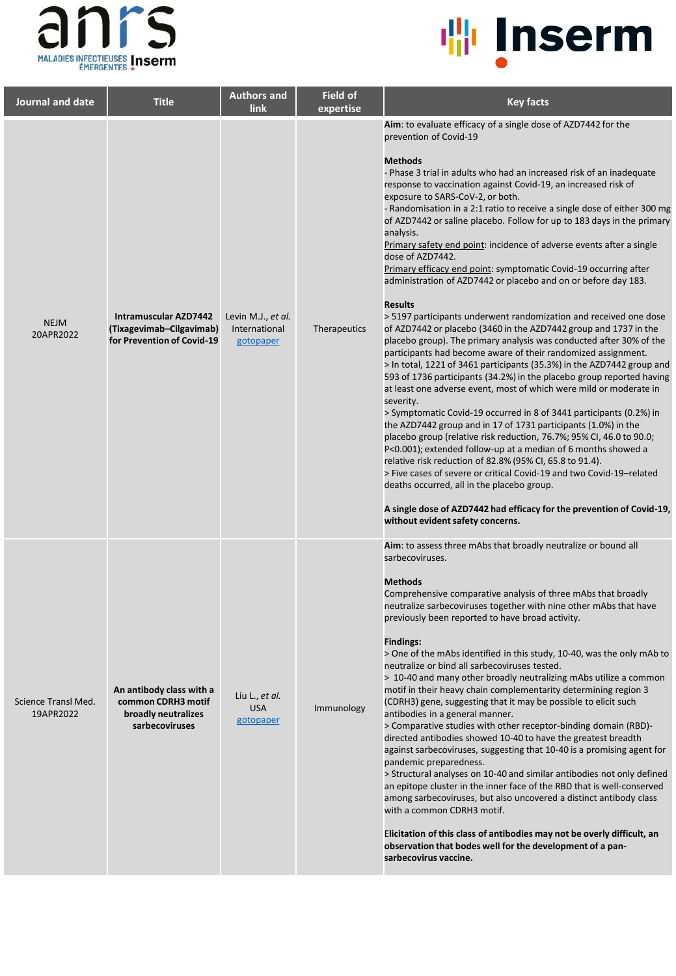



| Journal and date                 | <b>Title</b>                                                                            | <b>Authors and</b><br>link                       | <b>Field of</b><br>expertise | <b>Key facts</b>                                                                                                                                                                                                                                                                                                                                                                                                                                                                                                                                                                                                                                                                                                                                                                                                                                                                                                                                                                                                                                                                                                                                                                                                                                                                                                                                                                                                                                                                                                                                                                                                                                                                                                                                                                                                             |
|----------------------------------|-----------------------------------------------------------------------------------------|--------------------------------------------------|------------------------------|------------------------------------------------------------------------------------------------------------------------------------------------------------------------------------------------------------------------------------------------------------------------------------------------------------------------------------------------------------------------------------------------------------------------------------------------------------------------------------------------------------------------------------------------------------------------------------------------------------------------------------------------------------------------------------------------------------------------------------------------------------------------------------------------------------------------------------------------------------------------------------------------------------------------------------------------------------------------------------------------------------------------------------------------------------------------------------------------------------------------------------------------------------------------------------------------------------------------------------------------------------------------------------------------------------------------------------------------------------------------------------------------------------------------------------------------------------------------------------------------------------------------------------------------------------------------------------------------------------------------------------------------------------------------------------------------------------------------------------------------------------------------------------------------------------------------------|
| <b>NEJM</b><br>20APR2022         | <b>Intramuscular AZD7442</b><br>(Tixagevimab-Cilgavimab)<br>for Prevention of Covid-19  | Levin M.J., et al.<br>International<br>gotopaper | Therapeutics                 | Aim: to evaluate efficacy of a single dose of AZD7442 for the<br>prevention of Covid-19<br><b>Methods</b><br>- Phase 3 trial in adults who had an increased risk of an inadequate<br>response to vaccination against Covid-19, an increased risk of<br>exposure to SARS-CoV-2, or both.<br>- Randomisation in a 2:1 ratio to receive a single dose of either 300 mg<br>of AZD7442 or saline placebo. Follow for up to 183 days in the primary<br>analysis.<br><b>Primary safety end point: incidence of adverse events after a single</b><br>dose of AZD7442.<br>Primary efficacy end point: symptomatic Covid-19 occurring after<br>administration of AZD7442 or placebo and on or before day 183.<br><b>Results</b><br>>5197 participants underwent randomization and received one dose<br>of AZD7442 or placebo (3460 in the AZD7442 group and 1737 in the<br>placebo group). The primary analysis was conducted after 30% of the<br>participants had become aware of their randomized assignment.<br>> In total, 1221 of 3461 participants (35.3%) in the AZD7442 group and<br>593 of 1736 participants (34.2%) in the placebo group reported having<br>at least one adverse event, most of which were mild or moderate in<br>severity.<br>> Symptomatic Covid-19 occurred in 8 of 3441 participants (0.2%) in<br>the AZD7442 group and in 17 of 1731 participants (1.0%) in the<br>placebo group (relative risk reduction, 76.7%; 95% CI, 46.0 to 90.0;<br>P<0.001); extended follow-up at a median of 6 months showed a<br>relative risk reduction of 82.8% (95% CI, 65.8 to 91.4).<br>> Five cases of severe or critical Covid-19 and two Covid-19-related<br>deaths occurred, all in the placebo group.<br>A single dose of AZD7442 had efficacy for the prevention of Covid-19,<br>without evident safety concerns. |
| Science Transl Med.<br>19APR2022 | An antibody class with a<br>common CDRH3 motif<br>broadly neutralizes<br>sarbecoviruses | Liu L., et al.<br><b>USA</b><br>gotopaper        | Immunology                   | Aim: to assess three mAbs that broadly neutralize or bound all<br>sarbecoviruses.<br><b>Methods</b><br>Comprehensive comparative analysis of three mAbs that broadly<br>neutralize sarbecoviruses together with nine other mAbs that have<br>previously been reported to have broad activity.<br><b>Findings:</b><br>> One of the mAbs identified in this study, 10-40, was the only mAb to<br>neutralize or bind all sarbecoviruses tested.<br>> 10-40 and many other broadly neutralizing mAbs utilize a common<br>motif in their heavy chain complementarity determining region 3<br>(CDRH3) gene, suggesting that it may be possible to elicit such<br>antibodies in a general manner.<br>> Comparative studies with other receptor-binding domain (RBD)-<br>directed antibodies showed 10-40 to have the greatest breadth<br>against sarbecoviruses, suggesting that 10-40 is a promising agent for<br>pandemic preparedness.<br>> Structural analyses on 10-40 and similar antibodies not only defined<br>an epitope cluster in the inner face of the RBD that is well-conserved<br>among sarbecoviruses, but also uncovered a distinct antibody class<br>with a common CDRH3 motif.<br>Elicitation of this class of antibodies may not be overly difficult, an<br>observation that bodes well for the development of a pan-<br>sarbecovirus vaccine.                                                                                                                                                                                                                                                                                                                                                                                                                                                                  |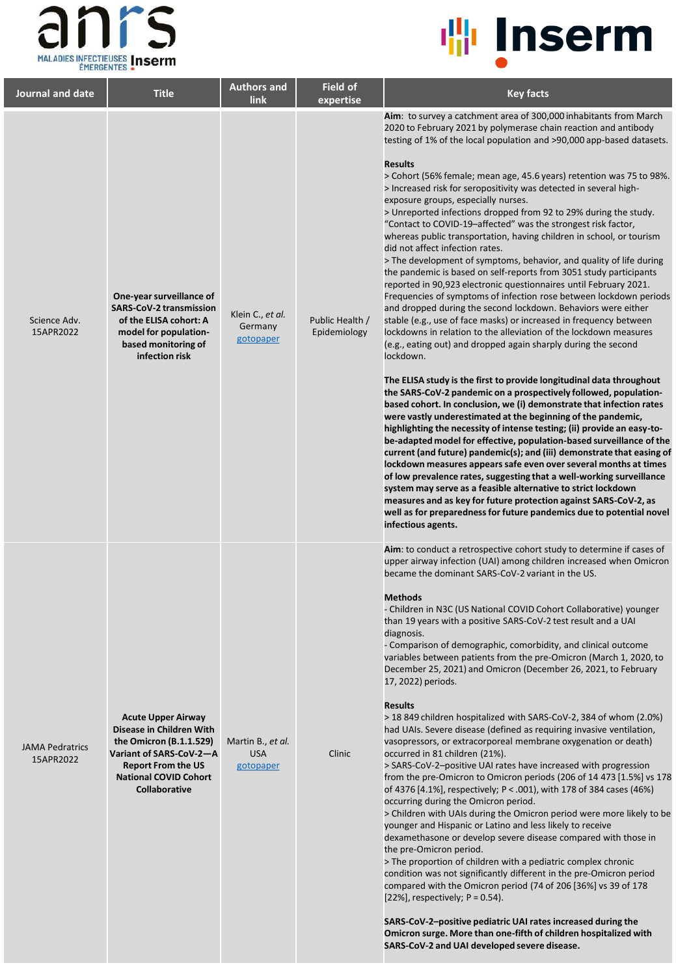

| Journal and date                    | <b>Title</b>                                                                                                                                                                                     | <b>Authors and</b><br>link                   | <b>Field of</b><br>expertise    | <b>Key facts</b>                                                                                                                                                                                                                                                                                                                                                                                                                                                                                                                                                                                                                                                                                                                                                                                                                                                                                                                                                                                                                                                                                                                                                                                                                                                                                                                                                                                                                                                                                                                                                                                                                                                                                                                                                                                                                                                                                                                                                                                                                                                                                                                                       |
|-------------------------------------|--------------------------------------------------------------------------------------------------------------------------------------------------------------------------------------------------|----------------------------------------------|---------------------------------|--------------------------------------------------------------------------------------------------------------------------------------------------------------------------------------------------------------------------------------------------------------------------------------------------------------------------------------------------------------------------------------------------------------------------------------------------------------------------------------------------------------------------------------------------------------------------------------------------------------------------------------------------------------------------------------------------------------------------------------------------------------------------------------------------------------------------------------------------------------------------------------------------------------------------------------------------------------------------------------------------------------------------------------------------------------------------------------------------------------------------------------------------------------------------------------------------------------------------------------------------------------------------------------------------------------------------------------------------------------------------------------------------------------------------------------------------------------------------------------------------------------------------------------------------------------------------------------------------------------------------------------------------------------------------------------------------------------------------------------------------------------------------------------------------------------------------------------------------------------------------------------------------------------------------------------------------------------------------------------------------------------------------------------------------------------------------------------------------------------------------------------------------------|
| Science Adv.<br>15APR2022           | One-year surveillance of<br><b>SARS-CoV-2 transmission</b><br>of the ELISA cohort: A<br>model for population-<br>based monitoring of<br>infection risk                                           | Klein C., et al.<br>Germany<br>gotopaper     | Public Health /<br>Epidemiology | Aim: to survey a catchment area of 300,000 inhabitants from March<br>2020 to February 2021 by polymerase chain reaction and antibody<br>testing of 1% of the local population and >90,000 app-based datasets.<br><b>Results</b><br>> Cohort (56% female; mean age, 45.6 years) retention was 75 to 98%.<br>> Increased risk for seropositivity was detected in several high-<br>exposure groups, especially nurses.<br>> Unreported infections dropped from 92 to 29% during the study.<br>"Contact to COVID-19-affected" was the strongest risk factor,<br>whereas public transportation, having children in school, or tourism<br>did not affect infection rates.<br>> The development of symptoms, behavior, and quality of life during<br>the pandemic is based on self-reports from 3051 study participants<br>reported in 90,923 electronic questionnaires until February 2021.<br>Frequencies of symptoms of infection rose between lockdown periods<br>and dropped during the second lockdown. Behaviors were either<br>stable (e.g., use of face masks) or increased in frequency between<br>lockdowns in relation to the alleviation of the lockdown measures<br>(e.g., eating out) and dropped again sharply during the second<br>lockdown.<br>The ELISA study is the first to provide longitudinal data throughout<br>the SARS-CoV-2 pandemic on a prospectively followed, population-<br>based cohort. In conclusion, we (i) demonstrate that infection rates<br>were vastly underestimated at the beginning of the pandemic,<br>highlighting the necessity of intense testing; (ii) provide an easy-to-<br>be-adapted model for effective, population-based surveillance of the<br>current (and future) pandemic(s); and (iii) demonstrate that easing of<br>lockdown measures appears safe even over several months at times<br>of low prevalence rates, suggesting that a well-working surveillance<br>system may serve as a feasible alternative to strict lockdown<br>measures and as key for future protection against SARS-CoV-2, as<br>well as for preparedness for future pandemics due to potential novel<br>infectious agents. |
| <b>JAMA Pedratrics</b><br>15APR2022 | <b>Acute Upper Airway</b><br>Disease in Children With<br>the Omicron (B.1.1.529)<br>Variant of SARS-CoV-2-A<br><b>Report From the US</b><br><b>National COVID Cohort</b><br><b>Collaborative</b> | Martin B., et al.<br><b>USA</b><br>gotopaper | Clinic                          | Aim: to conduct a retrospective cohort study to determine if cases of<br>upper airway infection (UAI) among children increased when Omicron<br>became the dominant SARS-CoV-2 variant in the US.<br><b>Methods</b><br>- Children in N3C (US National COVID Cohort Collaborative) younger<br>than 19 years with a positive SARS-CoV-2 test result and a UAI<br>diagnosis.<br>- Comparison of demographic, comorbidity, and clinical outcome<br>variables between patients from the pre-Omicron (March 1, 2020, to<br>December 25, 2021) and Omicron (December 26, 2021, to February<br>17, 2022) periods.<br><b>Results</b><br>> 18 849 children hospitalized with SARS-CoV-2, 384 of whom (2.0%)<br>had UAIs. Severe disease (defined as requiring invasive ventilation,<br>vasopressors, or extracorporeal membrane oxygenation or death)<br>occurred in 81 children (21%).<br>> SARS-CoV-2-positive UAI rates have increased with progression<br>from the pre-Omicron to Omicron periods (206 of 14 473 [1.5%] vs 178<br>of 4376 [4.1%], respectively; P < .001), with 178 of 384 cases (46%)<br>occurring during the Omicron period.<br>> Children with UAIs during the Omicron period were more likely to be<br>younger and Hispanic or Latino and less likely to receive<br>dexamethasone or develop severe disease compared with those in<br>the pre-Omicron period.<br>> The proportion of children with a pediatric complex chronic<br>condition was not significantly different in the pre-Omicron period<br>compared with the Omicron period (74 of 206 [36%] vs 39 of 178<br>$[22\%]$ , respectively; P = 0.54).<br>SARS-CoV-2-positive pediatric UAI rates increased during the<br>Omicron surge. More than one-fifth of children hospitalized with<br>SARS-CoV-2 and UAI developed severe disease.                                                                                                                                                                                                                                                                                                                                        |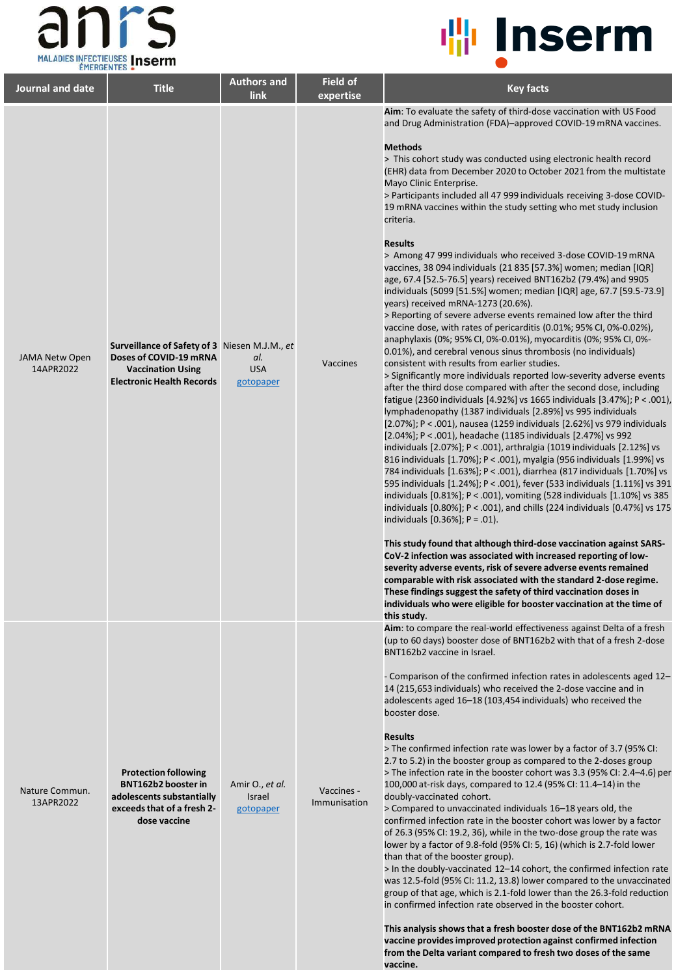## **WE Inserm**

|                                    | <b>EMERGENTES</b>                                                                                                                              |                                        |                              |                                                                                                                                                                                                                                                                                                                                                                                                                                                                                                                                                                                                                                                                                                                                                                                                                                                                                                                                                                                                                                                                                                                                                                                                                                                                                                                                                                                                                                                                                                                                                                                                                                                                                                                                                                                                                                                                                                                                                                                                                                                                                                                                                                                                                                                                                                                                                                                                                                                                                                                                                                   |
|------------------------------------|------------------------------------------------------------------------------------------------------------------------------------------------|----------------------------------------|------------------------------|-------------------------------------------------------------------------------------------------------------------------------------------------------------------------------------------------------------------------------------------------------------------------------------------------------------------------------------------------------------------------------------------------------------------------------------------------------------------------------------------------------------------------------------------------------------------------------------------------------------------------------------------------------------------------------------------------------------------------------------------------------------------------------------------------------------------------------------------------------------------------------------------------------------------------------------------------------------------------------------------------------------------------------------------------------------------------------------------------------------------------------------------------------------------------------------------------------------------------------------------------------------------------------------------------------------------------------------------------------------------------------------------------------------------------------------------------------------------------------------------------------------------------------------------------------------------------------------------------------------------------------------------------------------------------------------------------------------------------------------------------------------------------------------------------------------------------------------------------------------------------------------------------------------------------------------------------------------------------------------------------------------------------------------------------------------------------------------------------------------------------------------------------------------------------------------------------------------------------------------------------------------------------------------------------------------------------------------------------------------------------------------------------------------------------------------------------------------------------------------------------------------------------------------------------------------------|
| Journal and date                   | <b>Title</b>                                                                                                                                   | <b>Authors and</b><br>link             | <b>Field of</b><br>expertise | <b>Key facts</b>                                                                                                                                                                                                                                                                                                                                                                                                                                                                                                                                                                                                                                                                                                                                                                                                                                                                                                                                                                                                                                                                                                                                                                                                                                                                                                                                                                                                                                                                                                                                                                                                                                                                                                                                                                                                                                                                                                                                                                                                                                                                                                                                                                                                                                                                                                                                                                                                                                                                                                                                                  |
| <b>JAMA Netw Open</b><br>14APR2022 | <b>Surveillance of Safety of 3</b> Niesen M.J.M., et<br>Doses of COVID-19 mRNA<br><b>Vaccination Using</b><br><b>Electronic Health Records</b> | al.<br><b>USA</b><br>gotopaper         | Vaccines                     | Aim: To evaluate the safety of third-dose vaccination with US Food<br>and Drug Administration (FDA)-approved COVID-19 mRNA vaccines.<br><b>Methods</b><br>> This cohort study was conducted using electronic health record<br>(EHR) data from December 2020 to October 2021 from the multistate<br>Mayo Clinic Enterprise.<br>> Participants included all 47 999 individuals receiving 3-dose COVID-<br>19 mRNA vaccines within the study setting who met study inclusion<br>criteria.<br><b>Results</b><br>> Among 47 999 individuals who received 3-dose COVID-19 mRNA<br>vaccines, 38 094 individuals (21 835 [57.3%] women; median [IQR]<br>age, 67.4 [52.5-76.5] years) received BNT162b2 (79.4%) and 9905<br>individuals (5099 [51.5%] women; median [IQR] age, 67.7 [59.5-73.9]<br>years) received mRNA-1273 (20.6%).<br>> Reporting of severe adverse events remained low after the third<br>vaccine dose, with rates of pericarditis (0.01%; 95% CI, 0%-0.02%),<br>anaphylaxis (0%; 95% CI, 0%-0.01%), myocarditis (0%; 95% CI, 0%-<br>0.01%), and cerebral venous sinus thrombosis (no individuals)<br>consistent with results from earlier studies.<br>> Significantly more individuals reported low-severity adverse events<br>after the third dose compared with after the second dose, including<br>fatigue (2360 individuals [4.92%] vs 1665 individuals [3.47%]; P < .001),<br>lymphadenopathy (1387 individuals [2.89%] vs 995 individuals<br>[2.07%]; P < .001), nausea (1259 individuals [2.62%] vs 979 individuals<br>[2.04%]; P < .001), headache (1185 individuals [2.47%] vs 992<br>individuals [2.07%]; P < .001), arthralgia (1019 individuals [2.12%] vs<br>816 individuals [1.70%]; P < .001), myalgia (956 individuals [1.99%] vs<br>784 individuals [1.63%]; P < .001), diarrhea (817 individuals [1.70%] vs<br>595 individuals [1.24%]; P < .001), fever (533 individuals [1.11%] vs 391<br>individuals [0.81%]; P < .001), vomiting (528 individuals [1.10%] vs 385<br>individuals [0.80%]; P < .001), and chills (224 individuals [0.47%] vs 175<br>individuals $[0.36\%]$ ; P = .01).<br>This study found that although third-dose vaccination against SARS-<br>CoV-2 infection was associated with increased reporting of low-<br>severity adverse events, risk of severe adverse events remained<br>comparable with risk associated with the standard 2-dose regime.<br>These findings suggest the safety of third vaccination doses in<br>individuals who were eligible for booster vaccination at the time of<br>this study. |
| Nature Commun.<br>13APR2022        | <b>Protection following</b><br><b>BNT162b2 booster in</b><br>adolescents substantially<br>exceeds that of a fresh 2-<br>dose vaccine           | Amir O., et al.<br>Israel<br>gotopaper | Vaccines -<br>Immunisation   | Aim: to compare the real-world effectiveness against Delta of a fresh<br>(up to 60 days) booster dose of BNT162b2 with that of a fresh 2-dose<br>BNT162b2 vaccine in Israel.<br>- Comparison of the confirmed infection rates in adolescents aged 12-<br>14 (215,653 individuals) who received the 2-dose vaccine and in<br>adolescents aged 16-18 (103,454 individuals) who received the<br>booster dose.<br><b>Results</b><br>> The confirmed infection rate was lower by a factor of 3.7 (95% CI:<br>2.7 to 5.2) in the booster group as compared to the 2-doses group<br>> The infection rate in the booster cohort was 3.3 (95% CI: 2.4–4.6) per<br>100,000 at-risk days, compared to 12.4 (95% CI: 11.4-14) in the<br>doubly-vaccinated cohort.<br>> Compared to unvaccinated individuals 16-18 years old, the<br>confirmed infection rate in the booster cohort was lower by a factor<br>of 26.3 (95% CI: 19.2, 36), while in the two-dose group the rate was<br>lower by a factor of 9.8-fold (95% CI: 5, 16) (which is 2.7-fold lower<br>than that of the booster group).<br>> In the doubly-vaccinated 12-14 cohort, the confirmed infection rate<br>was 12.5-fold (95% CI: 11.2, 13.8) lower compared to the unvaccinated<br>group of that age, which is 2.1-fold lower than the 26.3-fold reduction<br>in confirmed infection rate observed in the booster cohort.<br>This analysis shows that a fresh booster dose of the BNT162b2 mRNA<br>vaccine provides improved protection against confirmed infection<br>from the Delta variant compared to fresh two doses of the same                                                                                                                                                                                                                                                                                                                                                                                                                                                                                                                                                                                                                                                                                                                                                                                                                                                                                                                                                                        |

vaccine.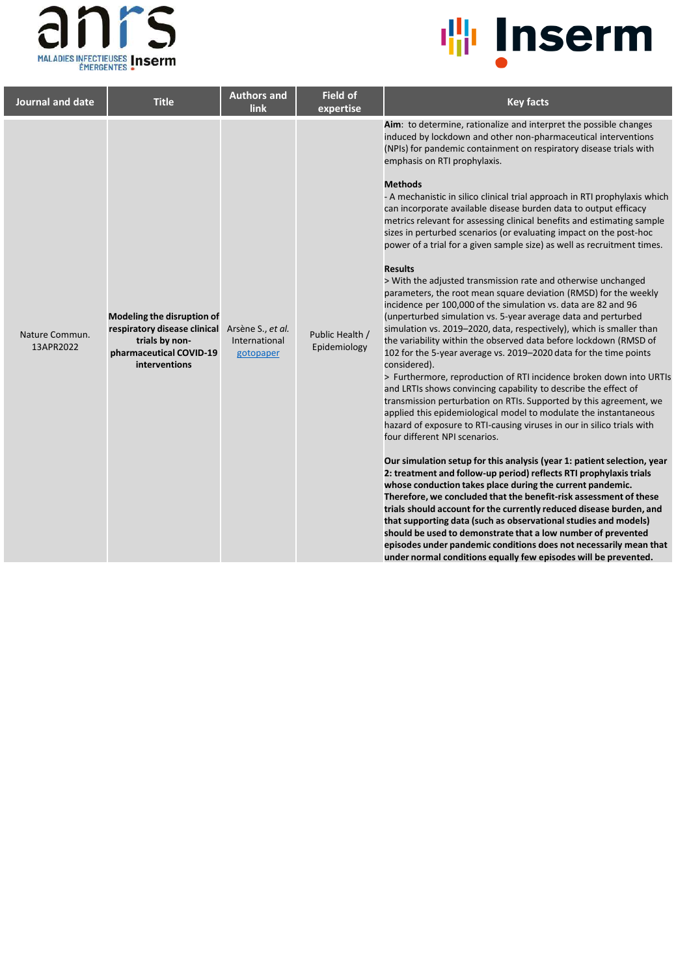

| Journal and date            | <b>Title</b>                                                                                                             | <b>Authors and</b><br>link                      | <b>Field of</b><br>expertise    | <b>Key facts</b>                                                                                                                                                                                                                                                                                                                                                                                                                                                                                                                                                                                                                                                                                                                                                                                                                                                                                                                                                                                                                                                                                                                                                                                                                                                                                                                                                                                                                                                                                                                                                                                                                                                                                                                                                                                                                                                                                                                                                                                                                                                                                                                                                                                         |
|-----------------------------|--------------------------------------------------------------------------------------------------------------------------|-------------------------------------------------|---------------------------------|----------------------------------------------------------------------------------------------------------------------------------------------------------------------------------------------------------------------------------------------------------------------------------------------------------------------------------------------------------------------------------------------------------------------------------------------------------------------------------------------------------------------------------------------------------------------------------------------------------------------------------------------------------------------------------------------------------------------------------------------------------------------------------------------------------------------------------------------------------------------------------------------------------------------------------------------------------------------------------------------------------------------------------------------------------------------------------------------------------------------------------------------------------------------------------------------------------------------------------------------------------------------------------------------------------------------------------------------------------------------------------------------------------------------------------------------------------------------------------------------------------------------------------------------------------------------------------------------------------------------------------------------------------------------------------------------------------------------------------------------------------------------------------------------------------------------------------------------------------------------------------------------------------------------------------------------------------------------------------------------------------------------------------------------------------------------------------------------------------------------------------------------------------------------------------------------------------|
| Nature Commun.<br>13APR2022 | Modeling the disruption of<br>respiratory disease clinical<br>trials by non-<br>pharmaceutical COVID-19<br>interventions | Arsène S., et al.<br>International<br>gotopaper | Public Health /<br>Epidemiology | Aim: to determine, rationalize and interpret the possible changes<br>induced by lockdown and other non-pharmaceutical interventions<br>(NPIs) for pandemic containment on respiratory disease trials with<br>emphasis on RTI prophylaxis.<br><b>Methods</b><br>- A mechanistic in silico clinical trial approach in RTI prophylaxis which<br>can incorporate available disease burden data to output efficacy<br>metrics relevant for assessing clinical benefits and estimating sample<br>sizes in perturbed scenarios (or evaluating impact on the post-hoc<br>power of a trial for a given sample size) as well as recruitment times.<br><b>Results</b><br>> With the adjusted transmission rate and otherwise unchanged<br>parameters, the root mean square deviation (RMSD) for the weekly<br>incidence per 100,000 of the simulation vs. data are 82 and 96<br>(unperturbed simulation vs. 5-year average data and perturbed<br>simulation vs. 2019-2020, data, respectively), which is smaller than<br>the variability within the observed data before lockdown (RMSD of<br>102 for the 5-year average vs. 2019-2020 data for the time points<br>considered).<br>> Furthermore, reproduction of RTI incidence broken down into URTIs<br>and LRTIs shows convincing capability to describe the effect of<br>transmission perturbation on RTIs. Supported by this agreement, we<br>applied this epidemiological model to modulate the instantaneous<br>hazard of exposure to RTI-causing viruses in our in silico trials with<br>four different NPI scenarios.<br>Our simulation setup for this analysis (year 1: patient selection, year<br>2: treatment and follow-up period) reflects RTI prophylaxis trials<br>whose conduction takes place during the current pandemic.<br>Therefore, we concluded that the benefit-risk assessment of these<br>trials should account for the currently reduced disease burden, and<br>that supporting data (such as observational studies and models)<br>should be used to demonstrate that a low number of prevented<br>episodes under pandemic conditions does not necessarily mean that<br>under normal conditions equally few episodes will be prevented. |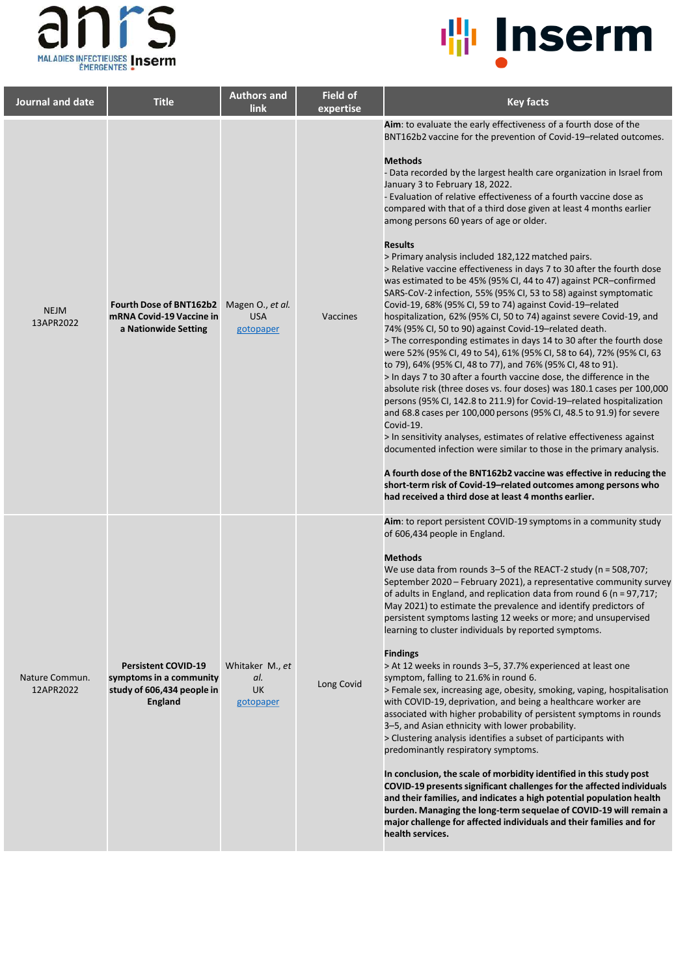

| Journal and date            | <b>Title</b>                                                                                   | <b>Authors and</b><br>link                  | <b>Field of</b><br>expertise | <b>Key facts</b>                                                                                                                                                                                                                                                                                                                                                                                                                                                                                                                                                                                                                                                                                                                                                                                                                                                                                                                                                                                                                                                                                                                                                                                                                                                                                                                                                                                                                                                                                                                                                                                                                                                                                                                                                                                                                      |
|-----------------------------|------------------------------------------------------------------------------------------------|---------------------------------------------|------------------------------|---------------------------------------------------------------------------------------------------------------------------------------------------------------------------------------------------------------------------------------------------------------------------------------------------------------------------------------------------------------------------------------------------------------------------------------------------------------------------------------------------------------------------------------------------------------------------------------------------------------------------------------------------------------------------------------------------------------------------------------------------------------------------------------------------------------------------------------------------------------------------------------------------------------------------------------------------------------------------------------------------------------------------------------------------------------------------------------------------------------------------------------------------------------------------------------------------------------------------------------------------------------------------------------------------------------------------------------------------------------------------------------------------------------------------------------------------------------------------------------------------------------------------------------------------------------------------------------------------------------------------------------------------------------------------------------------------------------------------------------------------------------------------------------------------------------------------------------|
| <b>NEJM</b><br>13APR2022    | Fourth Dose of BNT162b2<br>mRNA Covid-19 Vaccine in<br>a Nationwide Setting                    | Magen O., et al.<br><b>USA</b><br>gotopaper | Vaccines                     | Aim: to evaluate the early effectiveness of a fourth dose of the<br>BNT162b2 vaccine for the prevention of Covid-19–related outcomes.<br><b>Methods</b><br>- Data recorded by the largest health care organization in Israel from<br>January 3 to February 18, 2022.<br>- Evaluation of relative effectiveness of a fourth vaccine dose as<br>compared with that of a third dose given at least 4 months earlier<br>among persons 60 years of age or older.<br><b>Results</b><br>> Primary analysis included 182,122 matched pairs.<br>> Relative vaccine effectiveness in days 7 to 30 after the fourth dose<br>was estimated to be 45% (95% CI, 44 to 47) against PCR-confirmed<br>SARS-CoV-2 infection, 55% (95% CI, 53 to 58) against symptomatic<br>Covid-19, 68% (95% CI, 59 to 74) against Covid-19-related<br>hospitalization, 62% (95% CI, 50 to 74) against severe Covid-19, and<br>74% (95% CI, 50 to 90) against Covid-19-related death.<br>> The corresponding estimates in days 14 to 30 after the fourth dose<br>were 52% (95% CI, 49 to 54), 61% (95% CI, 58 to 64), 72% (95% CI, 63<br>to 79), 64% (95% CI, 48 to 77), and 76% (95% CI, 48 to 91).<br>> In days 7 to 30 after a fourth vaccine dose, the difference in the<br>absolute risk (three doses vs. four doses) was 180.1 cases per 100,000<br>persons (95% CI, 142.8 to 211.9) for Covid-19-related hospitalization<br>and 68.8 cases per 100,000 persons (95% CI, 48.5 to 91.9) for severe<br>Covid-19.<br>> In sensitivity analyses, estimates of relative effectiveness against<br>documented infection were similar to those in the primary analysis.<br>A fourth dose of the BNT162b2 vaccine was effective in reducing the<br>short-term risk of Covid-19-related outcomes among persons who<br>had received a third dose at least 4 months earlier. |
| Nature Commun.<br>12APR2022 | <b>Persistent COVID-19</b><br>symptoms in a community<br>study of 606,434 people in<br>England | Whitaker M., et<br>al.<br>UK<br>gotopaper   | Long Covid                   | Aim: to report persistent COVID-19 symptoms in a community study<br>of 606,434 people in England.<br><b>Methods</b><br>We use data from rounds $3-5$ of the REACT-2 study (n = 508,707;<br>September 2020 - February 2021), a representative community survey<br>of adults in England, and replication data from round $6(n = 97,717)$ ;<br>May 2021) to estimate the prevalence and identify predictors of<br>persistent symptoms lasting 12 weeks or more; and unsupervised<br>learning to cluster individuals by reported symptoms.<br><b>Findings</b><br>> At 12 weeks in rounds 3-5, 37.7% experienced at least one<br>symptom, falling to 21.6% in round 6.<br>> Female sex, increasing age, obesity, smoking, vaping, hospitalisation<br>with COVID-19, deprivation, and being a healthcare worker are<br>associated with higher probability of persistent symptoms in rounds<br>3-5, and Asian ethnicity with lower probability.<br>> Clustering analysis identifies a subset of participants with<br>predominantly respiratory symptoms.<br>In conclusion, the scale of morbidity identified in this study post<br>COVID-19 presents significant challenges for the affected individuals<br>and their families, and indicates a high potential population health<br>burden. Managing the long-term sequelae of COVID-19 will remain a<br>major challenge for affected individuals and their families and for<br>health services.                                                                                                                                                                                                                                                                                                                                                                                             |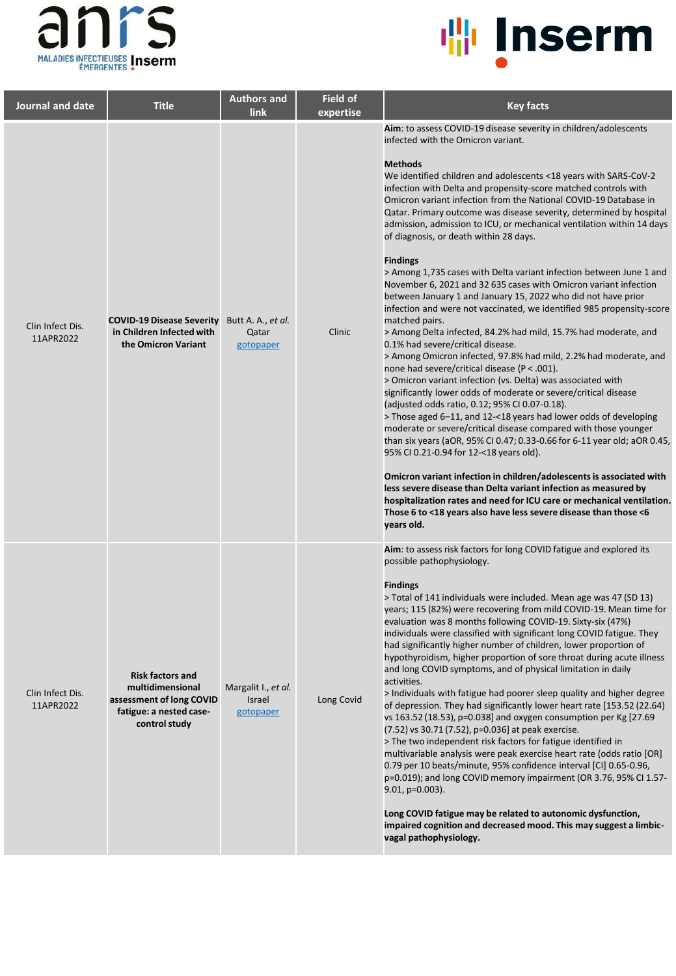

l

# **WE Inserm**

| Journal and date              | <b>Title</b>                                                                                                        | <b>Authors and</b><br>link                 | Field of<br>expertise | <b>Key facts</b>                                                                                                                                                                                                                                                                                                                                                                                                                                                                                                                                                                                                                                                                                                                                                                                                                                                                                                                                                                                                                                                                                                                                                                                                                                                                                                                                                                                                                                                                                                                                                                                                                                                                                                                                                                                                                                 |
|-------------------------------|---------------------------------------------------------------------------------------------------------------------|--------------------------------------------|-----------------------|--------------------------------------------------------------------------------------------------------------------------------------------------------------------------------------------------------------------------------------------------------------------------------------------------------------------------------------------------------------------------------------------------------------------------------------------------------------------------------------------------------------------------------------------------------------------------------------------------------------------------------------------------------------------------------------------------------------------------------------------------------------------------------------------------------------------------------------------------------------------------------------------------------------------------------------------------------------------------------------------------------------------------------------------------------------------------------------------------------------------------------------------------------------------------------------------------------------------------------------------------------------------------------------------------------------------------------------------------------------------------------------------------------------------------------------------------------------------------------------------------------------------------------------------------------------------------------------------------------------------------------------------------------------------------------------------------------------------------------------------------------------------------------------------------------------------------------------------------|
| Clin Infect Dis.<br>11APR2022 | <b>COVID-19 Disease Severity</b><br>in Children Infected with<br>the Omicron Variant                                | Butt A. A., et al.<br>Qatar<br>gotopaper   | Clinic                | Aim: to assess COVID-19 disease severity in children/adolescents<br>infected with the Omicron variant.<br><b>Methods</b><br>We identified children and adolescents <18 years with SARS-CoV-2<br>infection with Delta and propensity-score matched controls with<br>Omicron variant infection from the National COVID-19 Database in<br>Qatar. Primary outcome was disease severity, determined by hospital<br>admission, admission to ICU, or mechanical ventilation within 14 days<br>of diagnosis, or death within 28 days.<br><b>Findings</b><br>> Among 1,735 cases with Delta variant infection between June 1 and<br>November 6, 2021 and 32 635 cases with Omicron variant infection<br>between January 1 and January 15, 2022 who did not have prior<br>infection and were not vaccinated, we identified 985 propensity-score<br>matched pairs.<br>> Among Delta infected, 84.2% had mild, 15.7% had moderate, and<br>0.1% had severe/critical disease.<br>> Among Omicron infected, 97.8% had mild, 2.2% had moderate, and<br>none had severe/critical disease ( $P < .001$ ).<br>> Omicron variant infection (vs. Delta) was associated with<br>significantly lower odds of moderate or severe/critical disease<br>(adjusted odds ratio, 0.12; 95% CI 0.07-0.18).<br>> Those aged 6-11, and 12-<18 years had lower odds of developing<br>moderate or severe/critical disease compared with those younger<br>than six years (aOR, 95% CI 0.47; 0.33-0.66 for 6-11 year old; aOR 0.45,<br>95% CI 0.21-0.94 for 12-<18 years old).<br>Omicron variant infection in children/adolescents is associated with<br>less severe disease than Delta variant infection as measured by<br>hospitalization rates and need for ICU care or mechanical ventilation.<br>Those 6 to <18 years also have less severe disease than those <6<br>years old. |
| Clin Infect Dis.<br>11APR2022 | <b>Risk factors and</b><br>multidimensional<br>assessment of long COVID<br>fatigue: a nested case-<br>control study | Margalit I., et al.<br>Israel<br>gotopaper | Long Covid            | Aim: to assess risk factors for long COVID fatigue and explored its<br>possible pathophysiology.<br><b>Findings</b><br>> Total of 141 individuals were included. Mean age was 47 (SD 13)<br>years; 115 (82%) were recovering from mild COVID-19. Mean time for<br>evaluation was 8 months following COVID-19. Sixty-six (47%)<br>individuals were classified with significant long COVID fatigue. They<br>had significantly higher number of children, lower proportion of<br>hypothyroidism, higher proportion of sore throat during acute illness<br>and long COVID symptoms, and of physical limitation in daily<br>activities.<br>> Individuals with fatigue had poorer sleep quality and higher degree<br>of depression. They had significantly lower heart rate [153.52 (22.64)<br>vs 163.52 (18.53), p=0.038] and oxygen consumption per Kg [27.69<br>(7.52) vs 30.71 (7.52), p=0.036] at peak exercise.<br>> The two independent risk factors for fatigue identified in<br>multivariable analysis were peak exercise heart rate (odds ratio [OR]<br>0.79 per 10 beats/minute, 95% confidence interval [CI] 0.65-0.96,<br>p=0.019); and long COVID memory impairment (OR 3.76, 95% CI 1.57-<br>$9.01$ , p=0.003).<br>Long COVID fatigue may be related to autonomic dysfunction,<br>impaired cognition and decreased mood. This may suggest a limbic-<br>vagal pathophysiology.                                                                                                                                                                                                                                                                                                                                                                                                                                                           |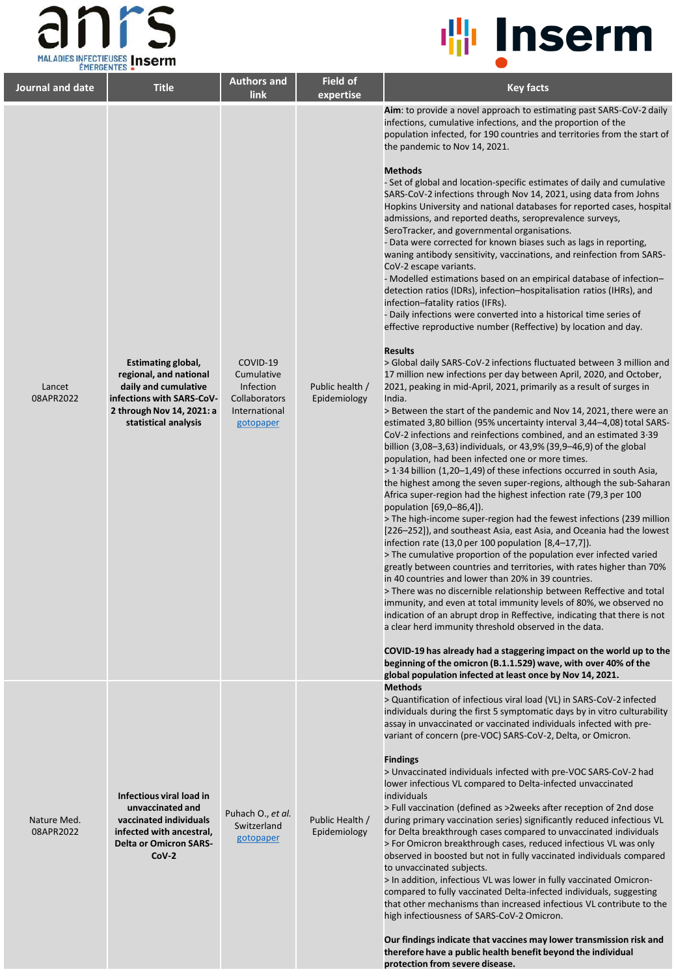| Journal and date         | EMERGENTES .<br><b>Title</b>                                                                                                                                  | <b>Authors and</b><br>link                                                                | <b>Field of</b><br>expertise    | <b>Key facts</b>                                                                                                                                                                                                                                                                                                                                                                                                                                                                                                                                                                                                                                                                                                                                                                                                                                                                                                                                                                                                                                                                                                                                                                                                                                                                                                                                                                                                                                                                                                                                                                                                                                                                                                                                                                                                                                                                                                                                                                                                                                                                                                                                                                                                                                                                                                                                                                                                                                                                                                                                                                                                                                                                                                                                                                                                                                                                      |
|--------------------------|---------------------------------------------------------------------------------------------------------------------------------------------------------------|-------------------------------------------------------------------------------------------|---------------------------------|---------------------------------------------------------------------------------------------------------------------------------------------------------------------------------------------------------------------------------------------------------------------------------------------------------------------------------------------------------------------------------------------------------------------------------------------------------------------------------------------------------------------------------------------------------------------------------------------------------------------------------------------------------------------------------------------------------------------------------------------------------------------------------------------------------------------------------------------------------------------------------------------------------------------------------------------------------------------------------------------------------------------------------------------------------------------------------------------------------------------------------------------------------------------------------------------------------------------------------------------------------------------------------------------------------------------------------------------------------------------------------------------------------------------------------------------------------------------------------------------------------------------------------------------------------------------------------------------------------------------------------------------------------------------------------------------------------------------------------------------------------------------------------------------------------------------------------------------------------------------------------------------------------------------------------------------------------------------------------------------------------------------------------------------------------------------------------------------------------------------------------------------------------------------------------------------------------------------------------------------------------------------------------------------------------------------------------------------------------------------------------------------------------------------------------------------------------------------------------------------------------------------------------------------------------------------------------------------------------------------------------------------------------------------------------------------------------------------------------------------------------------------------------------------------------------------------------------------------------------------------------------|
| Lancet<br>08APR2022      | <b>Estimating global,</b><br>regional, and national<br>daily and cumulative<br>infections with SARS-CoV-<br>2 through Nov 14, 2021: a<br>statistical analysis | COVID-19<br>Cumulative<br><b>Infection</b><br>Collaborators<br>International<br>gotopaper | Public health /<br>Epidemiology | Aim: to provide a novel approach to estimating past SARS-CoV-2 daily<br>infections, cumulative infections, and the proportion of the<br>population infected, for 190 countries and territories from the start of<br>the pandemic to Nov 14, 2021.<br><b>Methods</b><br>- Set of global and location-specific estimates of daily and cumulative<br>SARS-CoV-2 infections through Nov 14, 2021, using data from Johns<br>Hopkins University and national databases for reported cases, hospital<br>admissions, and reported deaths, seroprevalence surveys,<br>SeroTracker, and governmental organisations.<br>- Data were corrected for known biases such as lags in reporting,<br>waning antibody sensitivity, vaccinations, and reinfection from SARS-<br>CoV-2 escape variants.<br>- Modelled estimations based on an empirical database of infection-<br>detection ratios (IDRs), infection-hospitalisation ratios (IHRs), and<br>infection-fatality ratios (IFRs).<br>- Daily infections were converted into a historical time series of<br>effective reproductive number (Reffective) by location and day.<br><b>Results</b><br>> Global daily SARS-CoV-2 infections fluctuated between 3 million and<br>17 million new infections per day between April, 2020, and October,<br>2021, peaking in mid-April, 2021, primarily as a result of surges in<br>India.<br>> Between the start of the pandemic and Nov 14, 2021, there were an<br>estimated 3,80 billion (95% uncertainty interval 3,44-4,08) total SARS-<br>CoV-2 infections and reinfections combined, and an estimated 3.39<br>billion (3,08–3,63) individuals, or 43,9% (39,9–46,9) of the global<br>population, had been infected one or more times.<br>> 1.34 billion (1,20–1,49) of these infections occurred in south Asia,<br>the highest among the seven super-regions, although the sub-Saharan<br>Africa super-region had the highest infection rate (79,3 per 100<br>population [69,0-86,4]).<br>> The high-income super-region had the fewest infections (239 million<br>[226–252]), and southeast Asia, east Asia, and Oceania had the lowest<br>infection rate $(13,0$ per 100 population $[8,4-17,7]$ ).<br>> The cumulative proportion of the population ever infected varied<br>greatly between countries and territories, with rates higher than 70%<br>in 40 countries and lower than 20% in 39 countries.<br>> There was no discernible relationship between Reffective and total<br>immunity, and even at total immunity levels of 80%, we observed no<br>indication of an abrupt drop in Reffective, indicating that there is not<br>a clear herd immunity threshold observed in the data.<br>COVID-19 has already had a staggering impact on the world up to the<br>beginning of the omicron (B.1.1.529) wave, with over 40% of the<br>global population infected at least once by Nov 14, 2021. |
| Nature Med.<br>08APR2022 | Infectious viral load in<br>unvaccinated and<br>vaccinated individuals<br>infected with ancestral,<br><b>Delta or Omicron SARS-</b><br>$Cov-2$                | Puhach O., et al.<br>Switzerland<br>gotopaper                                             | Public Health /<br>Epidemiology | <b>Methods</b><br>> Quantification of infectious viral load (VL) in SARS-CoV-2 infected<br>individuals during the first 5 symptomatic days by in vitro culturability<br>assay in unvaccinated or vaccinated individuals infected with pre-<br>variant of concern (pre-VOC) SARS-CoV-2, Delta, or Omicron.<br><b>Findings</b><br>> Unvaccinated individuals infected with pre-VOC SARS-CoV-2 had<br>lower infectious VL compared to Delta-infected unvaccinated<br>individuals<br>> Full vaccination (defined as >2weeks after reception of 2nd dose<br>during primary vaccination series) significantly reduced infectious VL<br>for Delta breakthrough cases compared to unvaccinated individuals<br>> For Omicron breakthrough cases, reduced infectious VL was only<br>observed in boosted but not in fully vaccinated individuals compared<br>to unvaccinated subjects.<br>> In addition, infectious VL was lower in fully vaccinated Omicron-<br>compared to fully vaccinated Delta-infected individuals, suggesting<br>that other mechanisms than increased infectious VL contribute to the<br>high infectiousness of SARS-CoV-2 Omicron.<br>Our findings indicate that vaccines may lower transmission risk and<br>therefore have a public health benefit beyond the individual<br>protection from severe disease.                                                                                                                                                                                                                                                                                                                                                                                                                                                                                                                                                                                                                                                                                                                                                                                                                                                                                                                                                                                                                                                                                                                                                                                                                                                                                                                                                                                                                                                                                                                                                             |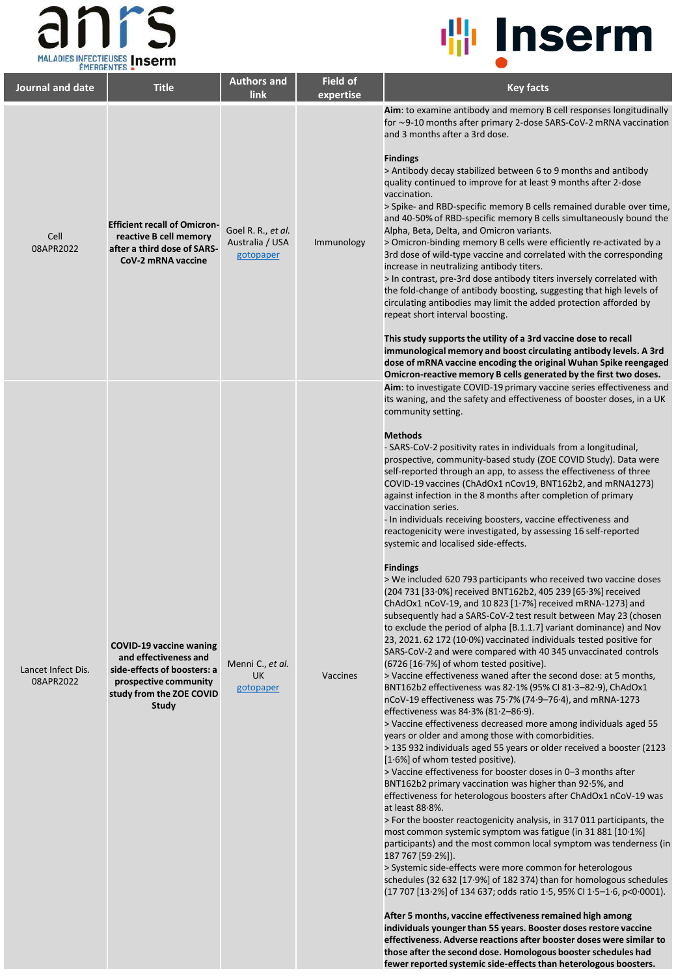| Journal and date                | <b>EMERGENIES</b> .<br><b>Title</b>                                                                                                                  | Authors and<br>link                                | Field of<br>expertise | <b>Key facts</b>                                                                                                                                                                                                                                                                                                                                                                                                                                                                                                                                                                                                                                                                                                                                                                                                                                                                                                                                                                                                                                                                                                                                                                                                                                                                                                                                                                                                                                                                                                                                                                                                                                                                                                                                                                                                                                                                                                                                                                                                                                                                                                                                                                                                                                                                                                                                                                                                                                                                                                                                                                                                                                                                                                                                                                                                                                                                          |
|---------------------------------|------------------------------------------------------------------------------------------------------------------------------------------------------|----------------------------------------------------|-----------------------|-------------------------------------------------------------------------------------------------------------------------------------------------------------------------------------------------------------------------------------------------------------------------------------------------------------------------------------------------------------------------------------------------------------------------------------------------------------------------------------------------------------------------------------------------------------------------------------------------------------------------------------------------------------------------------------------------------------------------------------------------------------------------------------------------------------------------------------------------------------------------------------------------------------------------------------------------------------------------------------------------------------------------------------------------------------------------------------------------------------------------------------------------------------------------------------------------------------------------------------------------------------------------------------------------------------------------------------------------------------------------------------------------------------------------------------------------------------------------------------------------------------------------------------------------------------------------------------------------------------------------------------------------------------------------------------------------------------------------------------------------------------------------------------------------------------------------------------------------------------------------------------------------------------------------------------------------------------------------------------------------------------------------------------------------------------------------------------------------------------------------------------------------------------------------------------------------------------------------------------------------------------------------------------------------------------------------------------------------------------------------------------------------------------------------------------------------------------------------------------------------------------------------------------------------------------------------------------------------------------------------------------------------------------------------------------------------------------------------------------------------------------------------------------------------------------------------------------------------------------------------------------------|
| Cell<br>08APR2022               | <b>Efficient recall of Omicron-</b><br>reactive B cell memory<br>after a third dose of SARS-<br>CoV-2 mRNA vaccine                                   | Goel R. R., et al.<br>Australia / USA<br>gotopaper | Immunology            | Aim: to examine antibody and memory B cell responses longitudinally<br>for $\sim$ 9-10 months after primary 2-dose SARS-CoV-2 mRNA vaccination<br>and 3 months after a 3rd dose.<br><b>Findings</b><br>> Antibody decay stabilized between 6 to 9 months and antibody<br>quality continued to improve for at least 9 months after 2-dose<br>vaccination.<br>> Spike- and RBD-specific memory B cells remained durable over time,<br>and 40-50% of RBD-specific memory B cells simultaneously bound the<br>Alpha, Beta, Delta, and Omicron variants.<br>> Omicron-binding memory B cells were efficiently re-activated by a<br>3rd dose of wild-type vaccine and correlated with the corresponding<br>increase in neutralizing antibody titers.<br>> In contrast, pre-3rd dose antibody titers inversely correlated with<br>the fold-change of antibody boosting, suggesting that high levels of<br>circulating antibodies may limit the added protection afforded by<br>repeat short interval boosting.<br>This study supports the utility of a 3rd vaccine dose to recall<br>immunological memory and boost circulating antibody levels. A 3rd<br>dose of mRNA vaccine encoding the original Wuhan Spike reengaged                                                                                                                                                                                                                                                                                                                                                                                                                                                                                                                                                                                                                                                                                                                                                                                                                                                                                                                                                                                                                                                                                                                                                                                                                                                                                                                                                                                                                                                                                                                                                                                                                                                                       |
| Lancet Infect Dis.<br>08APR2022 | <b>COVID-19 vaccine waning</b><br>and effectiveness and<br>side-effects of boosters: a<br>prospective community<br>study from the ZOE COVID<br>Study | Menni C., et al.<br><b>UK</b><br>gotopaper         | Vaccines              | Omicron-reactive memory B cells generated by the first two doses.<br>Aim: to investigate COVID-19 primary vaccine series effectiveness and<br>its waning, and the safety and effectiveness of booster doses, in a UK<br>community setting.<br><b>Methods</b><br>- SARS-CoV-2 positivity rates in individuals from a longitudinal,<br>prospective, community-based study (ZOE COVID Study). Data were<br>self-reported through an app, to assess the effectiveness of three<br>COVID-19 vaccines (ChAdOx1 nCov19, BNT162b2, and mRNA1273)<br>against infection in the 8 months after completion of primary<br>vaccination series.<br>- In individuals receiving boosters, vaccine effectiveness and<br>reactogenicity were investigated, by assessing 16 self-reported<br>systemic and localised side-effects.<br><b>Findings</b><br>> We included 620 793 participants who received two vaccine doses<br>(204 731 [33 0%] received BNT162b2, 405 239 [65 3%] received<br>ChAdOx1 nCoV-19, and 10 823 $[1.7\%]$ received mRNA-1273) and<br>subsequently had a SARS-CoV-2 test result between May 23 (chosen<br>to exclude the period of alpha [B.1.1.7] variant dominance) and Nov<br>23, 2021. 62 172 (10.0%) vaccinated individuals tested positive for<br>SARS-CoV-2 and were compared with 40 345 unvaccinated controls<br>$(6726 [16.7%)$ of whom tested positive).<br>> Vaccine effectiveness waned after the second dose: at 5 months,<br>BNT162b2 effectiveness was 82.1% (95% CI 81.3-82.9), ChAdOx1<br>nCoV-19 effectiveness was $75.7\%$ (74.9–76.4), and mRNA-1273<br>effectiveness was $84.3\%$ ( $81.2 - 86.9$ ).<br>> Vaccine effectiveness decreased more among individuals aged 55<br>years or older and among those with comorbidities.<br>>135 932 individuals aged 55 years or older received a booster (2123<br>[1.6%] of whom tested positive).<br>> Vaccine effectiveness for booster doses in 0-3 months after<br>BNT162b2 primary vaccination was higher than 92.5%, and<br>effectiveness for heterologous boosters after ChAdOx1 nCoV-19 was<br>at least 88.8%.<br>> For the booster reactogenicity analysis, in 317 011 participants, the<br>most common systemic symptom was fatigue (in 31 881 [10.1%]<br>participants) and the most common local symptom was tenderness (in<br>187 767 [59.2%]).<br>> Systemic side-effects were more common for heterologous<br>schedules (32 632 [17.9%] of 182 374) than for homologous schedules<br>(17 707 [13.2%] of 134 637; odds ratio 1.5, 95% CI 1.5-1.6, p<0.0001).<br>After 5 months, vaccine effectiveness remained high among<br>individuals younger than 55 years. Booster doses restore vaccine<br>effectiveness. Adverse reactions after booster doses were similar to<br>those after the second dose. Homologous booster schedules had<br>fewer reported systemic side-effects than heterologous boosters. |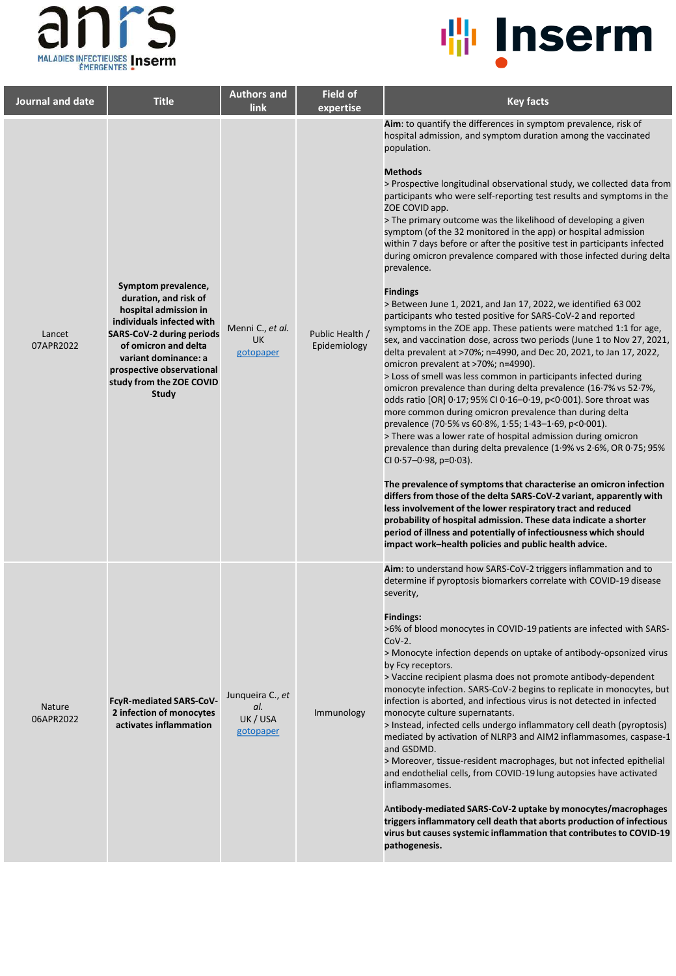

| Journal and date    | <b>Title</b>                                                                                                                                                                                                                                             | <b>Authors and</b><br>link                       | <b>Field of</b><br>expertise    | <b>Key facts</b>                                                                                                                                                                                                                                                                                                                                                                                                                                                                                                                                                                                                                                                                                                                                                                                                                                                                                                                                                                                                                                                                                                                                                                                                                                                                                                                                                                                                                                                                                                                                                                                                                                                                                                                                                                                                                                                                                                                                                                               |
|---------------------|----------------------------------------------------------------------------------------------------------------------------------------------------------------------------------------------------------------------------------------------------------|--------------------------------------------------|---------------------------------|------------------------------------------------------------------------------------------------------------------------------------------------------------------------------------------------------------------------------------------------------------------------------------------------------------------------------------------------------------------------------------------------------------------------------------------------------------------------------------------------------------------------------------------------------------------------------------------------------------------------------------------------------------------------------------------------------------------------------------------------------------------------------------------------------------------------------------------------------------------------------------------------------------------------------------------------------------------------------------------------------------------------------------------------------------------------------------------------------------------------------------------------------------------------------------------------------------------------------------------------------------------------------------------------------------------------------------------------------------------------------------------------------------------------------------------------------------------------------------------------------------------------------------------------------------------------------------------------------------------------------------------------------------------------------------------------------------------------------------------------------------------------------------------------------------------------------------------------------------------------------------------------------------------------------------------------------------------------------------------------|
| Lancet<br>07APR2022 | Symptom prevalence,<br>duration, and risk of<br>hospital admission in<br>individuals infected with<br><b>SARS-CoV-2 during periods</b><br>of omicron and delta<br>variant dominance: a<br>prospective observational<br>study from the ZOE COVID<br>Study | Menni C., et al.<br>UK<br>gotopaper              | Public Health /<br>Epidemiology | Aim: to quantify the differences in symptom prevalence, risk of<br>hospital admission, and symptom duration among the vaccinated<br>population.<br><b>Methods</b><br>> Prospective longitudinal observational study, we collected data from<br>participants who were self-reporting test results and symptoms in the<br>ZOE COVID app.<br>> The primary outcome was the likelihood of developing a given<br>symptom (of the 32 monitored in the app) or hospital admission<br>within 7 days before or after the positive test in participants infected<br>during omicron prevalence compared with those infected during delta<br>prevalence.<br><b>Findings</b><br>> Between June 1, 2021, and Jan 17, 2022, we identified 63 002<br>participants who tested positive for SARS-CoV-2 and reported<br>symptoms in the ZOE app. These patients were matched 1:1 for age,<br>sex, and vaccination dose, across two periods (June 1 to Nov 27, 2021,<br>delta prevalent at >70%; n=4990, and Dec 20, 2021, to Jan 17, 2022,<br>omicron prevalent at >70%; n=4990).<br>> Loss of smell was less common in participants infected during<br>omicron prevalence than during delta prevalence (16.7% vs 52.7%,<br>odds ratio [OR] 0.17; 95% CI 0.16-0.19, p<0.001). Sore throat was<br>more common during omicron prevalence than during delta<br>prevalence (70.5% vs 60.8%, 1.55; 1.43-1.69, p<0.001).<br>> There was a lower rate of hospital admission during omicron<br>prevalence than during delta prevalence $(1.9\% \text{ vs } 2.6\%$ , OR 0.75; 95%<br>CI 0.57-0.98, $p=0.03$ ).<br>The prevalence of symptoms that characterise an omicron infection<br>differs from those of the delta SARS-CoV-2 variant, apparently with<br>less involvement of the lower respiratory tract and reduced<br>probability of hospital admission. These data indicate a shorter<br>period of illness and potentially of infectiousness which should<br>impact work-health policies and public health advice. |
| Nature<br>06APR2022 | <b>FcγR-mediated SARS-CoV-</b><br>2 infection of monocytes<br>activates inflammation                                                                                                                                                                     | Junqueira C., et<br>al.<br>UK / USA<br>gotopaper | Immunology                      | Aim: to understand how SARS-CoV-2 triggers inflammation and to<br>determine if pyroptosis biomarkers correlate with COVID-19 disease<br>severity,<br>Findings:<br>>6% of blood monocytes in COVID-19 patients are infected with SARS-<br>CoV-2.<br>> Monocyte infection depends on uptake of antibody-opsonized virus<br>by Fcy receptors.<br>> Vaccine recipient plasma does not promote antibody-dependent<br>monocyte infection. SARS-CoV-2 begins to replicate in monocytes, but<br>infection is aborted, and infectious virus is not detected in infected<br>monocyte culture supernatants.<br>> Instead, infected cells undergo inflammatory cell death (pyroptosis)<br>mediated by activation of NLRP3 and AIM2 inflammasomes, caspase-1<br>and GSDMD.<br>> Moreover, tissue-resident macrophages, but not infected epithelial<br>and endothelial cells, from COVID-19 lung autopsies have activated<br>inflammasomes.<br>Antibody-mediated SARS-CoV-2 uptake by monocytes/macrophages<br>triggers inflammatory cell death that aborts production of infectious<br>virus but causes systemic inflammation that contributes to COVID-19<br>pathogenesis.                                                                                                                                                                                                                                                                                                                                                                                                                                                                                                                                                                                                                                                                                                                                                                                                                                 |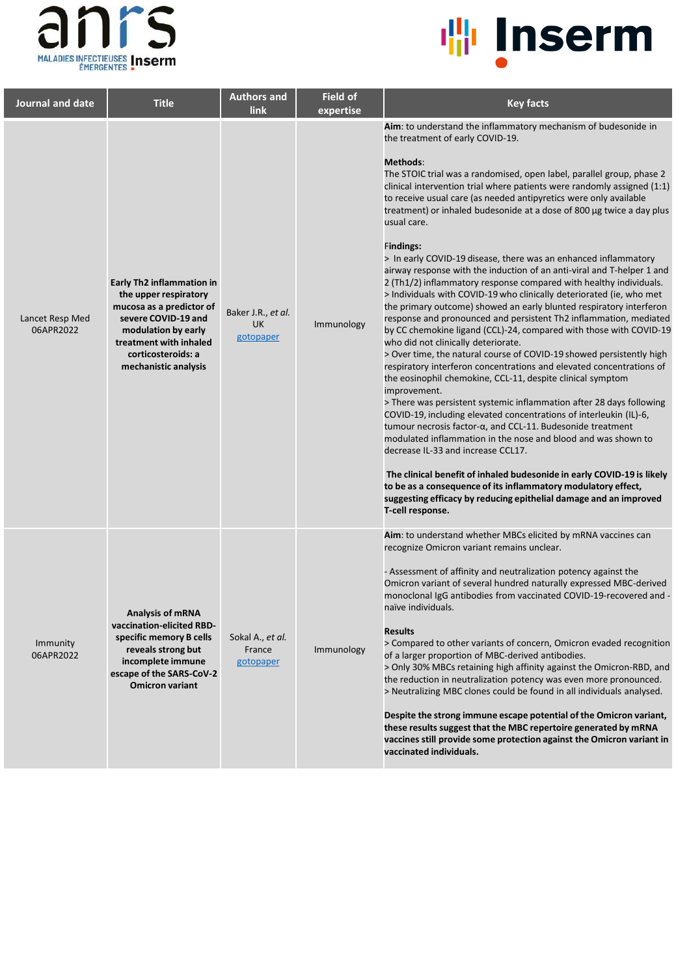

I

# **WE Inserm**

| Journal and date             | <b>Title</b>                                                                                                                                                                                         | <b>Authors and</b><br>link                   | Field of<br>expertise | <b>Key facts</b>                                                                                                                                                                                                                                                                                                                                                                                                                                                                                                                                                                                                                                                                                                                                                                                                                                                                                                                                                                                                                                                                                                                                                                                                                                                                                                                                                                                                                                                                                                                                                                                                                                                                                                                                                                                             |
|------------------------------|------------------------------------------------------------------------------------------------------------------------------------------------------------------------------------------------------|----------------------------------------------|-----------------------|--------------------------------------------------------------------------------------------------------------------------------------------------------------------------------------------------------------------------------------------------------------------------------------------------------------------------------------------------------------------------------------------------------------------------------------------------------------------------------------------------------------------------------------------------------------------------------------------------------------------------------------------------------------------------------------------------------------------------------------------------------------------------------------------------------------------------------------------------------------------------------------------------------------------------------------------------------------------------------------------------------------------------------------------------------------------------------------------------------------------------------------------------------------------------------------------------------------------------------------------------------------------------------------------------------------------------------------------------------------------------------------------------------------------------------------------------------------------------------------------------------------------------------------------------------------------------------------------------------------------------------------------------------------------------------------------------------------------------------------------------------------------------------------------------------------|
| Lancet Resp Med<br>06APR2022 | Early Th2 inflammation in<br>the upper respiratory<br>mucosa as a predictor of<br>severe COVID-19 and<br>modulation by early<br>treatment with inhaled<br>corticosteroids: a<br>mechanistic analysis | Baker J.R., et al.<br><b>UK</b><br>gotopaper | Immunology            | Aim: to understand the inflammatory mechanism of budesonide in<br>the treatment of early COVID-19.<br><b>Methods:</b><br>The STOIC trial was a randomised, open label, parallel group, phase 2<br>clinical intervention trial where patients were randomly assigned (1:1)<br>to receive usual care (as needed antipyretics were only available<br>treatment) or inhaled budesonide at a dose of 800 µg twice a day plus<br>usual care.<br><b>Findings:</b><br>> In early COVID-19 disease, there was an enhanced inflammatory<br>airway response with the induction of an anti-viral and T-helper 1 and<br>2 (Th1/2) inflammatory response compared with healthy individuals.<br>> Individuals with COVID-19 who clinically deteriorated (ie, who met<br>the primary outcome) showed an early blunted respiratory interferon<br>response and pronounced and persistent Th2 inflammation, mediated<br>by CC chemokine ligand (CCL)-24, compared with those with COVID-19<br>who did not clinically deteriorate.<br>> Over time, the natural course of COVID-19 showed persistently high<br>respiratory interferon concentrations and elevated concentrations of<br>the eosinophil chemokine, CCL-11, despite clinical symptom<br>improvement.<br>> There was persistent systemic inflammation after 28 days following<br>COVID-19, including elevated concentrations of interleukin (IL)-6,<br>tumour necrosis factor- $\alpha$ , and CCL-11. Budesonide treatment<br>modulated inflammation in the nose and blood and was shown to<br>decrease IL-33 and increase CCL17.<br>The clinical benefit of inhaled budesonide in early COVID-19 is likely<br>to be as a consequence of its inflammatory modulatory effect,<br>suggesting efficacy by reducing epithelial damage and an improved<br>T-cell response. |
| Immunity<br>06APR2022        | <b>Analysis of mRNA</b><br>vaccination-elicited RBD-<br>specific memory B cells<br>reveals strong but<br>incomplete immune<br>escape of the SARS-CoV-2<br><b>Omicron variant</b>                     | Sokal A., et al.<br>France<br>gotopaper      | Immunology            | Aim: to understand whether MBCs elicited by mRNA vaccines can<br>recognize Omicron variant remains unclear.<br>- Assessment of affinity and neutralization potency against the<br>Omicron variant of several hundred naturally expressed MBC-derived<br>monoclonal IgG antibodies from vaccinated COVID-19-recovered and -<br>naïve individuals.<br><b>Results</b><br>> Compared to other variants of concern, Omicron evaded recognition<br>of a larger proportion of MBC-derived antibodies.<br>> Only 30% MBCs retaining high affinity against the Omicron-RBD, and<br>the reduction in neutralization potency was even more pronounced.<br>> Neutralizing MBC clones could be found in all individuals analysed.<br>Despite the strong immune escape potential of the Omicron variant,<br>these results suggest that the MBC repertoire generated by mRNA<br>vaccines still provide some protection against the Omicron variant in<br>vaccinated individuals.                                                                                                                                                                                                                                                                                                                                                                                                                                                                                                                                                                                                                                                                                                                                                                                                                                            |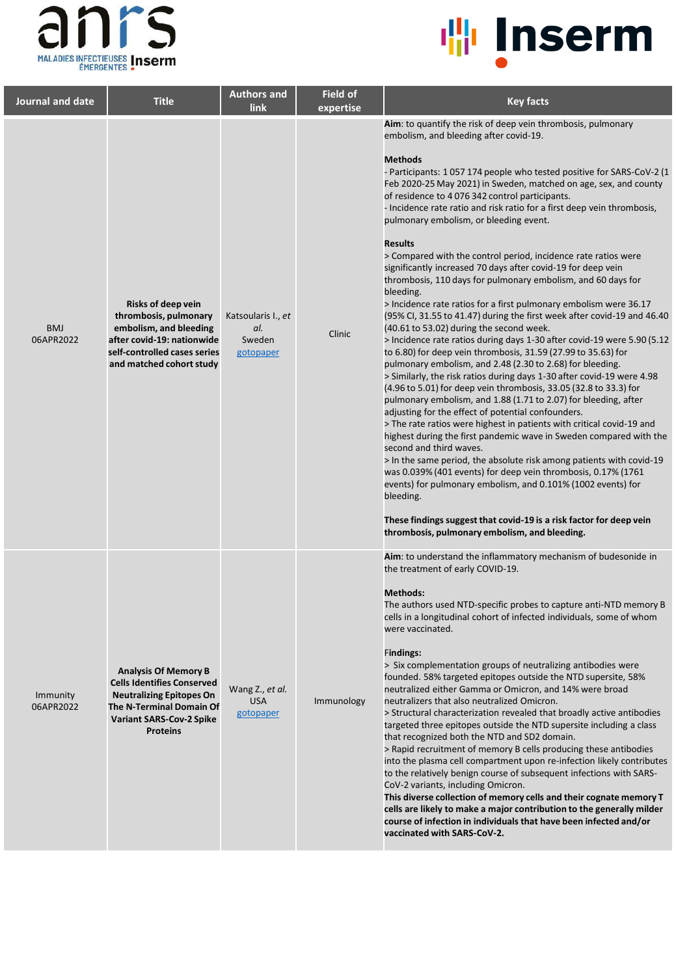

l

| Journal and date        | <b>Title</b>                                                                                                                                                                          | <b>Authors and</b><br>link                       | Field of<br>expertise | <b>Key facts</b>                                                                                                                                                                                                                                                                                                                                                                                                                                                                                                                                                                                                                                                                                                                                                                                                                                                                                                                                                                                                                                                                                                                                                                                                                                                                                                                                                                                                                                                                                                                                                                                                                                                                                                                                                                                                                                                             |
|-------------------------|---------------------------------------------------------------------------------------------------------------------------------------------------------------------------------------|--------------------------------------------------|-----------------------|------------------------------------------------------------------------------------------------------------------------------------------------------------------------------------------------------------------------------------------------------------------------------------------------------------------------------------------------------------------------------------------------------------------------------------------------------------------------------------------------------------------------------------------------------------------------------------------------------------------------------------------------------------------------------------------------------------------------------------------------------------------------------------------------------------------------------------------------------------------------------------------------------------------------------------------------------------------------------------------------------------------------------------------------------------------------------------------------------------------------------------------------------------------------------------------------------------------------------------------------------------------------------------------------------------------------------------------------------------------------------------------------------------------------------------------------------------------------------------------------------------------------------------------------------------------------------------------------------------------------------------------------------------------------------------------------------------------------------------------------------------------------------------------------------------------------------------------------------------------------------|
| <b>BMJ</b><br>06APR2022 | <b>Risks of deep vein</b><br>thrombosis, pulmonary<br>embolism, and bleeding<br>after covid-19: nationwide<br>self-controlled cases series<br>and matched cohort study                | Katsoularis I., et<br>al.<br>Sweden<br>gotopaper | Clinic                | Aim: to quantify the risk of deep vein thrombosis, pulmonary<br>embolism, and bleeding after covid-19.<br>Methods<br>- Participants: 1057 174 people who tested positive for SARS-CoV-2 (1<br>Feb 2020-25 May 2021) in Sweden, matched on age, sex, and county<br>of residence to 4 076 342 control participants.<br>- Incidence rate ratio and risk ratio for a first deep vein thrombosis,<br>pulmonary embolism, or bleeding event.<br><b>Results</b><br>> Compared with the control period, incidence rate ratios were<br>significantly increased 70 days after covid-19 for deep vein<br>thrombosis, 110 days for pulmonary embolism, and 60 days for<br>bleeding.<br>> Incidence rate ratios for a first pulmonary embolism were 36.17<br>(95% CI, 31.55 to 41.47) during the first week after covid-19 and 46.40<br>(40.61 to 53.02) during the second week.<br>> Incidence rate ratios during days 1-30 after covid-19 were 5.90 (5.12<br>to 6.80) for deep vein thrombosis, 31.59 (27.99 to 35.63) for<br>pulmonary embolism, and 2.48 (2.30 to 2.68) for bleeding.<br>> Similarly, the risk ratios during days 1-30 after covid-19 were 4.98<br>(4.96 to 5.01) for deep vein thrombosis, 33.05 (32.8 to 33.3) for<br>pulmonary embolism, and 1.88 (1.71 to 2.07) for bleeding, after<br>adjusting for the effect of potential confounders.<br>> The rate ratios were highest in patients with critical covid-19 and<br>highest during the first pandemic wave in Sweden compared with the<br>second and third waves.<br>> In the same period, the absolute risk among patients with covid-19<br>was 0.039% (401 events) for deep vein thrombosis, 0.17% (1761<br>events) for pulmonary embolism, and 0.101% (1002 events) for<br>bleeding.<br>These findings suggest that covid-19 is a risk factor for deep vein<br>thrombosis, pulmonary embolism, and bleeding. |
| Immunity<br>06APR2022   | <b>Analysis Of Memory B</b><br><b>Cells Identifies Conserved</b><br><b>Neutralizing Epitopes On</b><br>The N-Terminal Domain Of<br><b>Variant SARS-Cov-2 Spike</b><br><b>Proteins</b> | Wang Z., et al.<br><b>USA</b><br>gotopaper       | Immunology            | Aim: to understand the inflammatory mechanism of budesonide in<br>the treatment of early COVID-19.<br><b>Methods:</b><br>The authors used NTD-specific probes to capture anti-NTD memory B<br>cells in a longitudinal cohort of infected individuals, some of whom<br>were vaccinated.<br><b>Findings:</b><br>> Six complementation groups of neutralizing antibodies were<br>founded. 58% targeted epitopes outside the NTD supersite, 58%<br>neutralized either Gamma or Omicron, and 14% were broad<br>neutralizers that also neutralized Omicron.<br>> Structural characterization revealed that broadly active antibodies<br>targeted three epitopes outside the NTD supersite including a class<br>that recognized both the NTD and SD2 domain.<br>> Rapid recruitment of memory B cells producing these antibodies<br>into the plasma cell compartment upon re-infection likely contributes<br>to the relatively benign course of subsequent infections with SARS-<br>CoV-2 variants, including Omicron.<br>This diverse collection of memory cells and their cognate memory T<br>cells are likely to make a major contribution to the generally milder<br>course of infection in individuals that have been infected and/or<br>vaccinated with SARS-CoV-2.                                                                                                                                                                                                                                                                                                                                                                                                                                                                                                                                                                                                           |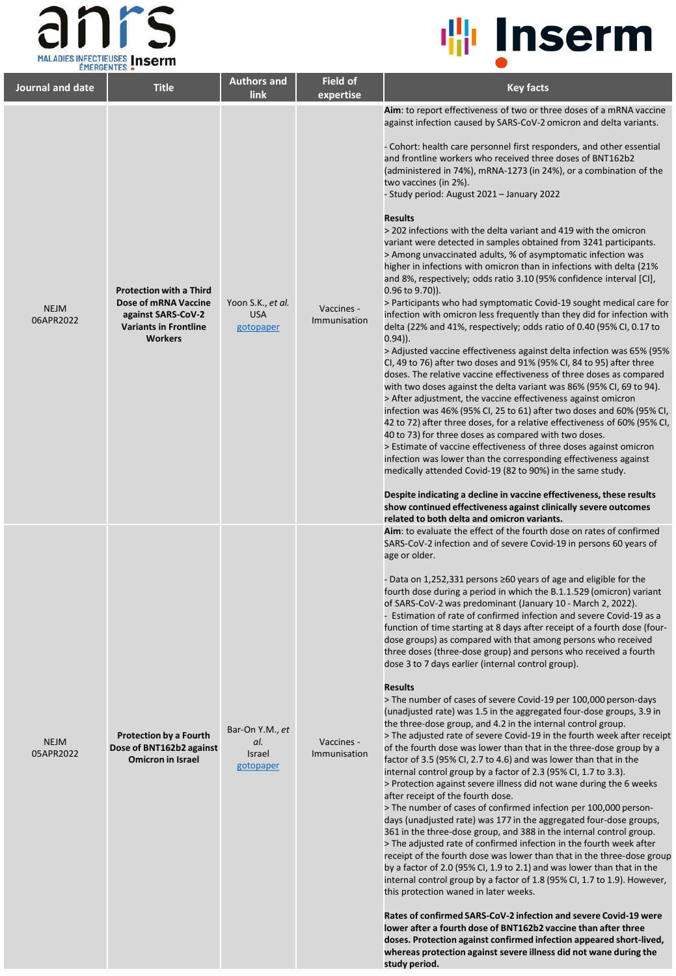| Journal and date         | EMERGENIES O<br><b>Title</b>                                                                                                   | <b>Authors and</b><br>link                           | <b>Field of</b><br>expertise | <b>Key facts</b>                                                                                                                                                                                                                                                                                                                                                                                                                                                                                                                                                                                                                                                                                                                                                                                                                                                                                                                                                                                                                                                                                                                                                                                                                                                                                                                                                                                                                                                                                                                                                                                                                                                                                                                                                                                                                                                                                                                                                                                                                                                                                                                                                                                                                |
|--------------------------|--------------------------------------------------------------------------------------------------------------------------------|------------------------------------------------------|------------------------------|---------------------------------------------------------------------------------------------------------------------------------------------------------------------------------------------------------------------------------------------------------------------------------------------------------------------------------------------------------------------------------------------------------------------------------------------------------------------------------------------------------------------------------------------------------------------------------------------------------------------------------------------------------------------------------------------------------------------------------------------------------------------------------------------------------------------------------------------------------------------------------------------------------------------------------------------------------------------------------------------------------------------------------------------------------------------------------------------------------------------------------------------------------------------------------------------------------------------------------------------------------------------------------------------------------------------------------------------------------------------------------------------------------------------------------------------------------------------------------------------------------------------------------------------------------------------------------------------------------------------------------------------------------------------------------------------------------------------------------------------------------------------------------------------------------------------------------------------------------------------------------------------------------------------------------------------------------------------------------------------------------------------------------------------------------------------------------------------------------------------------------------------------------------------------------------------------------------------------------|
| <b>NEJM</b><br>06APR2022 | <b>Protection with a Third</b><br>Dose of mRNA Vaccine<br>against SARS-CoV-2<br><b>Variants in Frontline</b><br><b>Workers</b> | Yoon S.K. <i>, et al.</i><br><b>USA</b><br>gotopaper | Vaccines -<br>Immunisation   | Aim: to report effectiveness of two or three doses of a mRNA vaccine<br>against infection caused by SARS-CoV-2 omicron and delta variants.<br>- Cohort: health care personnel first responders, and other essential<br>and frontline workers who received three doses of BNT162b2<br>(administered in 74%), mRNA-1273 (in 24%), or a combination of the<br>two vaccines (in 2%).<br>- Study period: August 2021 – January 2022<br><b>Results</b><br>> 202 infections with the delta variant and 419 with the omicron<br>variant were detected in samples obtained from 3241 participants.<br>> Among unvaccinated adults, % of asymptomatic infection was<br>higher in infections with omicron than in infections with delta (21%<br>and 8%, respectively; odds ratio 3.10 (95% confidence interval [CI],<br>0.96 to 9.70)).<br>> Participants who had symptomatic Covid-19 sought medical care for<br>infection with omicron less frequently than they did for infection with<br>delta (22% and 41%, respectively; odds ratio of 0.40 (95% CI, 0.17 to<br>$(0.94)$ ).<br>> Adjusted vaccine effectiveness against delta infection was 65% (95%<br>CI, 49 to 76) after two doses and 91% (95% CI, 84 to 95) after three<br>doses. The relative vaccine effectiveness of three doses as compared<br>with two doses against the delta variant was 86% (95% CI, 69 to 94).<br>> After adjustment, the vaccine effectiveness against omicron<br>infection was 46% (95% CI, 25 to 61) after two doses and 60% (95% CI,<br>42 to 72) after three doses, for a relative effectiveness of 60% (95% CI,<br>40 to 73) for three doses as compared with two doses.<br>> Estimate of vaccine effectiveness of three doses against omicron<br>infection was lower than the corresponding effectiveness against<br>medically attended Covid-19 (82 to 90%) in the same study.<br>Despite indicating a decline in vaccine effectiveness, these results<br>show continued effectiveness against clinically severe outcomes<br>related to both delta and omicron variants.                                                                                                                                                                       |
| <b>NEJM</b><br>05APR2022 | <b>Protection by a Fourth</b><br>Dose of BNT162b2 against<br><b>Omicron in Israel</b>                                          | Bar-On Y.M., et<br>al.<br><b>Israel</b><br>gotopaper | Vaccines -<br>Immunisation   | Aim: to evaluate the effect of the fourth dose on rates of confirmed<br>SARS-CoV-2 infection and of severe Covid-19 in persons 60 years of<br>age or older.<br>- Data on 1,252,331 persons ≥60 years of age and eligible for the<br>fourth dose during a period in which the B.1.1.529 (omicron) variant<br>of SARS-CoV-2 was predominant (January 10 - March 2, 2022).<br>- Estimation of rate of confirmed infection and severe Covid-19 as a<br>function of time starting at 8 days after receipt of a fourth dose (four-<br>dose groups) as compared with that among persons who received<br>three doses (three-dose group) and persons who received a fourth<br>dose 3 to 7 days earlier (internal control group).<br><b>Results</b><br>> The number of cases of severe Covid-19 per 100,000 person-days<br>(unadjusted rate) was 1.5 in the aggregated four-dose groups, 3.9 in<br>the three-dose group, and 4.2 in the internal control group.<br>> The adjusted rate of severe Covid-19 in the fourth week after receipt<br>of the fourth dose was lower than that in the three-dose group by a<br>factor of 3.5 (95% CI, 2.7 to 4.6) and was lower than that in the<br>internal control group by a factor of 2.3 (95% CI, 1.7 to 3.3).<br>> Protection against severe illness did not wane during the 6 weeks<br>after receipt of the fourth dose.<br>> The number of cases of confirmed infection per 100,000 person-<br>days (unadjusted rate) was 177 in the aggregated four-dose groups,<br>361 in the three-dose group, and 388 in the internal control group.<br>> The adjusted rate of confirmed infection in the fourth week after<br>receipt of the fourth dose was lower than that in the three-dose group<br>by a factor of 2.0 (95% CI, 1.9 to 2.1) and was lower than that in the<br>internal control group by a factor of 1.8 (95% CI, 1.7 to 1.9). However,<br>this protection waned in later weeks.<br>Rates of confirmed SARS-CoV-2 infection and severe Covid-19 were<br>lower after a fourth dose of BNT162b2 vaccine than after three<br>doses. Protection against confirmed infection appeared short-lived,<br>whereas protection against severe illness did not wane during the<br>study period. |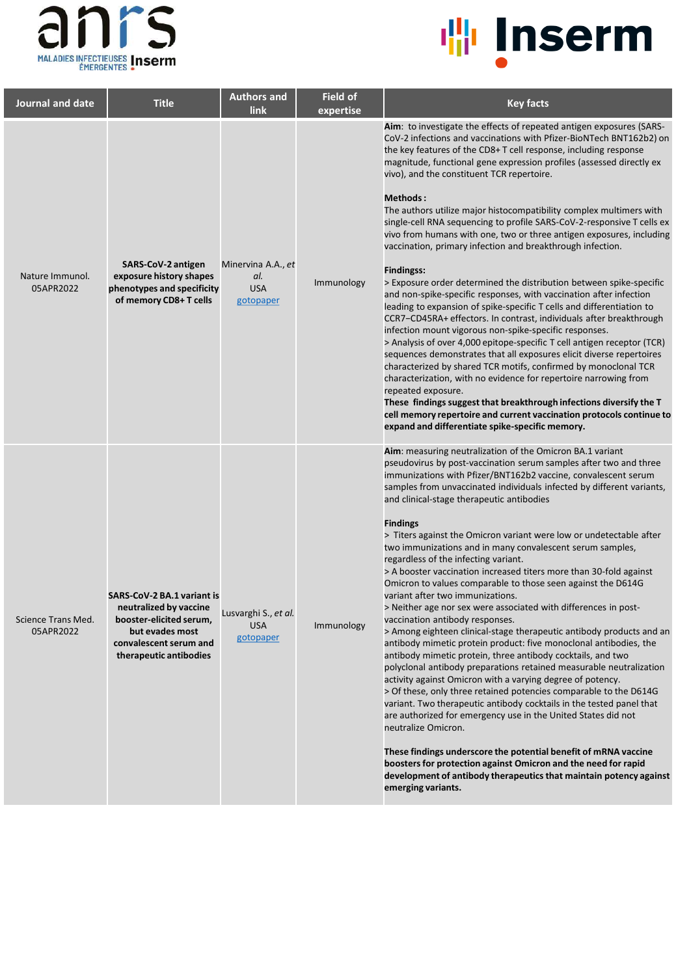

| Journal and date                | <b>Title</b>                                                                                                                                                  | <b>Authors and</b><br>link                           | <b>Field of</b><br>expertise | <b>Key facts</b>                                                                                                                                                                                                                                                                                                                                                                                                                                                                                                                                                                                                                                                                                                                                                                                                                                                                                                                                                                                                                                                                                                                                                                                                                                                                                                                                                                                                                                                                                                                                                                                                             |
|---------------------------------|---------------------------------------------------------------------------------------------------------------------------------------------------------------|------------------------------------------------------|------------------------------|------------------------------------------------------------------------------------------------------------------------------------------------------------------------------------------------------------------------------------------------------------------------------------------------------------------------------------------------------------------------------------------------------------------------------------------------------------------------------------------------------------------------------------------------------------------------------------------------------------------------------------------------------------------------------------------------------------------------------------------------------------------------------------------------------------------------------------------------------------------------------------------------------------------------------------------------------------------------------------------------------------------------------------------------------------------------------------------------------------------------------------------------------------------------------------------------------------------------------------------------------------------------------------------------------------------------------------------------------------------------------------------------------------------------------------------------------------------------------------------------------------------------------------------------------------------------------------------------------------------------------|
| Nature Immunol.<br>05APR2022    | SARS-CoV-2 antigen<br>exposure history shapes<br>phenotypes and specificity<br>of memory CD8+T cells                                                          | Minervina A.A., et<br>al.<br><b>USA</b><br>gotopaper | Immunology                   | Aim: to investigate the effects of repeated antigen exposures (SARS-<br>CoV-2 infections and vaccinations with Pfizer-BioNTech BNT162b2) on<br>the key features of the CD8+T cell response, including response<br>magnitude, functional gene expression profiles (assessed directly ex<br>vivo), and the constituent TCR repertoire.<br><b>Methods:</b><br>The authors utilize major histocompatibility complex multimers with<br>single-cell RNA sequencing to profile SARS-CoV-2-responsive T cells ex<br>vivo from humans with one, two or three antigen exposures, including<br>vaccination, primary infection and breakthrough infection.<br><b>Findingss:</b><br>> Exposure order determined the distribution between spike-specific<br>and non-spike-specific responses, with vaccination after infection<br>leading to expansion of spike-specific T cells and differentiation to<br>CCR7-CD45RA+ effectors. In contrast, individuals after breakthrough<br>infection mount vigorous non-spike-specific responses.<br>> Analysis of over 4,000 epitope-specific T cell antigen receptor (TCR)<br>sequences demonstrates that all exposures elicit diverse repertoires<br>characterized by shared TCR motifs, confirmed by monoclonal TCR<br>characterization, with no evidence for repertoire narrowing from<br>repeated exposure.<br>These findings suggest that breakthrough infections diversify the T<br>cell memory repertoire and current vaccination protocols continue to<br>expand and differentiate spike-specific memory.                                                                                 |
| Science Trans Med.<br>05APR2022 | <b>SARS-CoV-2 BA.1 variant is</b><br>neutralized by vaccine<br>booster-elicited serum,<br>but evades most<br>convalescent serum and<br>therapeutic antibodies | Lusvarghi S., et al.<br><b>USA</b><br>gotopaper      | Immunology                   | Aim: measuring neutralization of the Omicron BA.1 variant<br>pseudovirus by post-vaccination serum samples after two and three<br>immunizations with Pfizer/BNT162b2 vaccine, convalescent serum<br>samples from unvaccinated individuals infected by different variants,<br>and clinical-stage therapeutic antibodies<br><b>Findings</b><br>> Titers against the Omicron variant were low or undetectable after<br>two immunizations and in many convalescent serum samples,<br>regardless of the infecting variant.<br>> A booster vaccination increased titers more than 30-fold against<br>Omicron to values comparable to those seen against the D614G<br>variant after two immunizations.<br>> Neither age nor sex were associated with differences in post-<br>vaccination antibody responses.<br>> Among eighteen clinical-stage therapeutic antibody products and an<br>antibody mimetic protein product: five monoclonal antibodies, the<br>antibody mimetic protein, three antibody cocktails, and two<br>polyclonal antibody preparations retained measurable neutralization<br>activity against Omicron with a varying degree of potency.<br>> Of these, only three retained potencies comparable to the D614G<br>variant. Two therapeutic antibody cocktails in the tested panel that<br>are authorized for emergency use in the United States did not<br>neutralize Omicron.<br>These findings underscore the potential benefit of mRNA vaccine<br>boosters for protection against Omicron and the need for rapid<br>development of antibody therapeutics that maintain potency against<br>emerging variants. |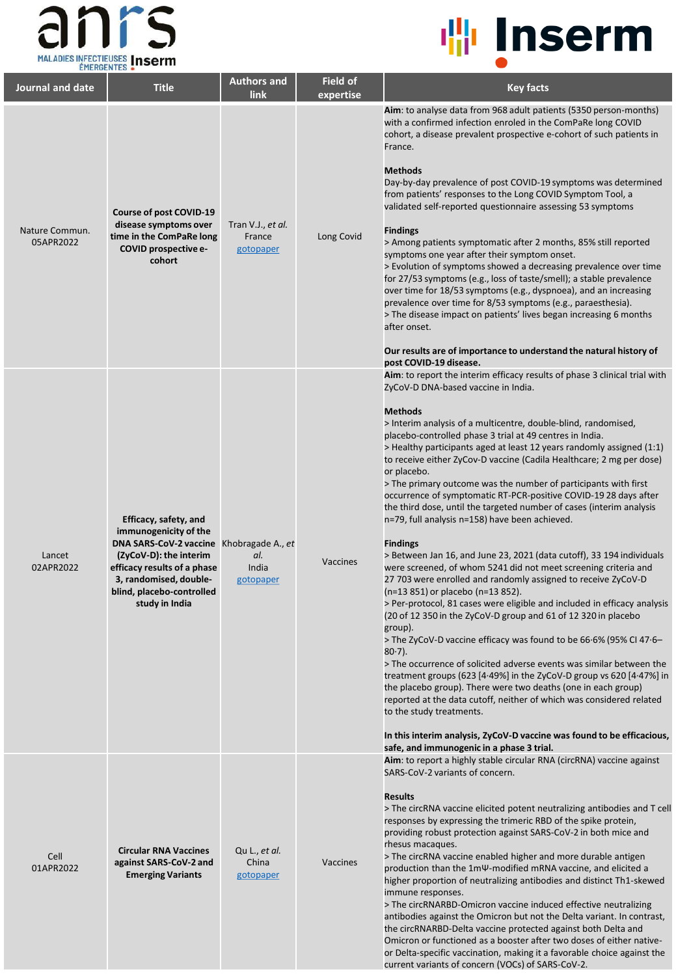| Journal and date            | <b>Title</b>                                                                                                                                                                                                                 | <b>Authors and</b><br><b>link</b>        | <b>Field of</b><br>expertise | <b>Key facts</b>                                                                                                                                                                                                                                                                                                                                                                                                                                                                                                                                                                                                                                                                                                                                                                                                                                                                                                                                                                                                                                                                                                                                                                                                                                                                                                                                                                                                                                                                                                                                                                                                                                                |
|-----------------------------|------------------------------------------------------------------------------------------------------------------------------------------------------------------------------------------------------------------------------|------------------------------------------|------------------------------|-----------------------------------------------------------------------------------------------------------------------------------------------------------------------------------------------------------------------------------------------------------------------------------------------------------------------------------------------------------------------------------------------------------------------------------------------------------------------------------------------------------------------------------------------------------------------------------------------------------------------------------------------------------------------------------------------------------------------------------------------------------------------------------------------------------------------------------------------------------------------------------------------------------------------------------------------------------------------------------------------------------------------------------------------------------------------------------------------------------------------------------------------------------------------------------------------------------------------------------------------------------------------------------------------------------------------------------------------------------------------------------------------------------------------------------------------------------------------------------------------------------------------------------------------------------------------------------------------------------------------------------------------------------------|
| Nature Commun.<br>05APR2022 | Course of post COVID-19<br>disease symptoms over<br>time in the ComPaRe long<br>COVID prospective e-<br>cohort                                                                                                               | Tran V.J., et al.<br>France<br>gotopaper | Long Covid                   | Aim: to analyse data from 968 adult patients (5350 person-months)<br>with a confirmed infection enroled in the ComPaRe long COVID<br>cohort, a disease prevalent prospective e-cohort of such patients in<br>France.<br><b>Methods</b><br>Day-by-day prevalence of post COVID-19 symptoms was determined<br>from patients' responses to the Long COVID Symptom Tool, a<br>validated self-reported questionnaire assessing 53 symptoms<br><b>Findings</b><br>> Among patients symptomatic after 2 months, 85% still reported<br>symptoms one year after their symptom onset.<br>> Evolution of symptoms showed a decreasing prevalence over time<br>for 27/53 symptoms (e.g., loss of taste/smell); a stable prevalence<br>over time for 18/53 symptoms (e.g., dyspnoea), and an increasing<br>prevalence over time for 8/53 symptoms (e.g., paraesthesia).<br>> The disease impact on patients' lives began increasing 6 months<br>after onset.<br>Our results are of importance to understand the natural history of<br>post COVID-19 disease.                                                                                                                                                                                                                                                                                                                                                                                                                                                                                                                                                                                                                 |
| Lancet<br>02APR2022         | Efficacy, safety, and<br>immunogenicity of the<br>DNA SARS-CoV-2 vaccine Khobragade A., et<br>(ZyCoV-D): the interim<br>efficacy results of a phase<br>3, randomised, double-<br>blind, placebo-controlled<br>study in India | al.<br>India<br>gotopaper                | Vaccines                     | Aim: to report the interim efficacy results of phase 3 clinical trial with<br>ZyCoV-D DNA-based vaccine in India.<br><b>Methods</b><br>> Interim analysis of a multicentre, double-blind, randomised,<br>placebo-controlled phase 3 trial at 49 centres in India.<br>> Healthy participants aged at least 12 years randomly assigned (1:1)<br>to receive either ZyCov-D vaccine (Cadila Healthcare; 2 mg per dose)<br>or placebo.<br>> The primary outcome was the number of participants with first<br>occurrence of symptomatic RT-PCR-positive COVID-19 28 days after<br>the third dose, until the targeted number of cases (interim analysis<br>n=79, full analysis n=158) have been achieved.<br><b>Findings</b><br>> Between Jan 16, and June 23, 2021 (data cutoff), 33 194 individuals<br>were screened, of whom 5241 did not meet screening criteria and<br>27 703 were enrolled and randomly assigned to receive ZyCoV-D<br>(n=13 851) or placebo (n=13 852).<br>> Per-protocol, 81 cases were eligible and included in efficacy analysis<br>(20 of 12 350 in the ZyCoV-D group and 61 of 12 320 in placebo<br>group).<br>> The ZyCoV-D vaccine efficacy was found to be 66.6% (95% CI 47.6-<br>$80.7$ ).<br>> The occurrence of solicited adverse events was similar between the<br>treatment groups (623 [4.49%] in the ZyCoV-D group vs 620 [4.47%] in<br>the placebo group). There were two deaths (one in each group)<br>reported at the data cutoff, neither of which was considered related<br>to the study treatments.<br>In this interim analysis, ZyCoV-D vaccine was found to be efficacious,<br>safe, and immunogenic in a phase 3 trial. |
| Cell<br>01APR2022           | <b>Circular RNA Vaccines</b><br>against SARS-CoV-2 and<br><b>Emerging Variants</b>                                                                                                                                           | Qu L., et al.<br>China<br>gotopaper      | Vaccines                     | Aim: to report a highly stable circular RNA (circRNA) vaccine against<br>SARS-CoV-2 variants of concern.<br><b>Results</b><br>> The circRNA vaccine elicited potent neutralizing antibodies and T cell<br>responses by expressing the trimeric RBD of the spike protein,<br>providing robust protection against SARS-CoV-2 in both mice and<br>rhesus macaques.<br>> The circRNA vaccine enabled higher and more durable antigen<br>production than the 1mW-modified mRNA vaccine, and elicited a<br>higher proportion of neutralizing antibodies and distinct Th1-skewed<br>immune responses.<br>> The circRNARBD-Omicron vaccine induced effective neutralizing<br>antibodies against the Omicron but not the Delta variant. In contrast,<br>the circRNARBD-Delta vaccine protected against both Delta and<br>Omicron or functioned as a booster after two doses of either native-<br>or Delta-specific vaccination, making it a favorable choice against the<br>current variants of concern (VOCs) of SARS-CoV-2.                                                                                                                                                                                                                                                                                                                                                                                                                                                                                                                                                                                                                                            |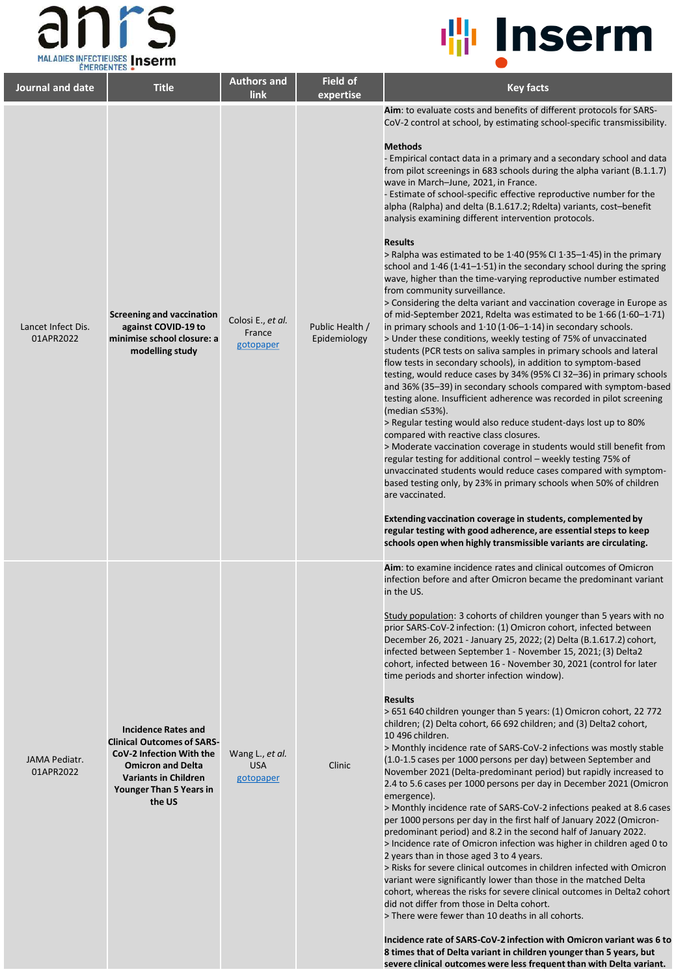| Journal and date                | <b>EMERGENIES</b> .<br><b>Title</b>                                                                                                                                                                | <b>Authors and</b><br>link                 | Field of<br>expertise           | <b>Key facts</b>                                                                                                                                                                                                                                                                                                                                                                                                                                                                                                                                                                                                                                                                                                                                                                                                                                                                                                                                                                                                                                                                                                                                                                                                                                                                                                                                                                                                                                                                                                                                                                                                                                                                                                                                                                                                                                                                                                                                                                                                                                                                                                                                   |
|---------------------------------|----------------------------------------------------------------------------------------------------------------------------------------------------------------------------------------------------|--------------------------------------------|---------------------------------|----------------------------------------------------------------------------------------------------------------------------------------------------------------------------------------------------------------------------------------------------------------------------------------------------------------------------------------------------------------------------------------------------------------------------------------------------------------------------------------------------------------------------------------------------------------------------------------------------------------------------------------------------------------------------------------------------------------------------------------------------------------------------------------------------------------------------------------------------------------------------------------------------------------------------------------------------------------------------------------------------------------------------------------------------------------------------------------------------------------------------------------------------------------------------------------------------------------------------------------------------------------------------------------------------------------------------------------------------------------------------------------------------------------------------------------------------------------------------------------------------------------------------------------------------------------------------------------------------------------------------------------------------------------------------------------------------------------------------------------------------------------------------------------------------------------------------------------------------------------------------------------------------------------------------------------------------------------------------------------------------------------------------------------------------------------------------------------------------------------------------------------------------|
| Lancet Infect Dis.<br>01APR2022 | <b>Screening and vaccination</b><br>against COVID-19 to<br>minimise school closure: a<br>modelling study                                                                                           | Colosi E., et al.<br>France<br>gotopaper   | Public Health /<br>Epidemiology | Aim: to evaluate costs and benefits of different protocols for SARS-<br>CoV-2 control at school, by estimating school-specific transmissibility.<br><b>Methods</b><br>- Empirical contact data in a primary and a secondary school and data<br>from pilot screenings in 683 schools during the alpha variant (B.1.1.7)<br>wave in March-June, 2021, in France.<br>- Estimate of school-specific effective reproductive number for the<br>alpha (Ralpha) and delta (B.1.617.2; Rdelta) variants, cost-benefit<br>analysis examining different intervention protocols.<br><b>Results</b><br>> Ralpha was estimated to be 1.40 (95% CI 1.35–1.45) in the primary<br>school and $1.46$ ( $1.41-1.51$ ) in the secondary school during the spring<br>wave, higher than the time-varying reproductive number estimated<br>from community surveillance.<br>> Considering the delta variant and vaccination coverage in Europe as<br>of mid-September 2021, Rdelta was estimated to be 1.66 (1.60-1.71)<br>in primary schools and $1.10 (1.06 - 1.14)$ in secondary schools.<br>> Under these conditions, weekly testing of 75% of unvaccinated<br>students (PCR tests on saliva samples in primary schools and lateral<br>flow tests in secondary schools), in addition to symptom-based<br>testing, would reduce cases by 34% (95% CI 32-36) in primary schools<br>and 36% (35-39) in secondary schools compared with symptom-based<br>testing alone. Insufficient adherence was recorded in pilot screening<br>(median ≤53%).<br>> Regular testing would also reduce student-days lost up to 80%<br>compared with reactive class closures.<br>> Moderate vaccination coverage in students would still benefit from<br>regular testing for additional control – weekly testing 75% of<br>unvaccinated students would reduce cases compared with symptom-<br>based testing only, by 23% in primary schools when 50% of children<br>are vaccinated.<br>Extending vaccination coverage in students, complemented by<br>regular testing with good adherence, are essential steps to keep<br>schools open when highly transmissible variants are circulating. |
| JAMA Pediatr.<br>01APR2022      | <b>Incidence Rates and</b><br><b>Clinical Outcomes of SARS-</b><br>CoV-2 Infection With the<br><b>Omicron and Delta</b><br><b>Variants in Children</b><br><b>Younger Than 5 Years in</b><br>the US | Wang L., et al.<br><b>USA</b><br>gotopaper | Clinic                          | Aim: to examine incidence rates and clinical outcomes of Omicron<br>infection before and after Omicron became the predominant variant<br>in the US.<br>Study population: 3 cohorts of children younger than 5 years with no<br>prior SARS-CoV-2 infection: (1) Omicron cohort, infected between<br>December 26, 2021 - January 25, 2022; (2) Delta (B.1.617.2) cohort,<br>infected between September 1 - November 15, 2021; (3) Delta2<br>cohort, infected between 16 - November 30, 2021 (control for later<br>time periods and shorter infection window).<br><b>Results</b><br>>651640 children younger than 5 years: (1) Omicron cohort, 22 772<br>children; (2) Delta cohort, 66 692 children; and (3) Delta2 cohort,<br>10 496 children.<br>> Monthly incidence rate of SARS-CoV-2 infections was mostly stable<br>(1.0-1.5 cases per 1000 persons per day) between September and<br>November 2021 (Delta-predominant period) but rapidly increased to<br>2.4 to 5.6 cases per 1000 persons per day in December 2021 (Omicron<br>emergence).<br>> Monthly incidence rate of SARS-CoV-2 infections peaked at 8.6 cases<br>per 1000 persons per day in the first half of January 2022 (Omicron-<br>predominant period) and 8.2 in the second half of January 2022.<br>> Incidence rate of Omicron infection was higher in children aged 0 to<br>2 years than in those aged 3 to 4 years.<br>> Risks for severe clinical outcomes in children infected with Omicron<br>variant were significantly lower than those in the matched Delta<br>cohort, whereas the risks for severe clinical outcomes in Delta2 cohort<br>did not differ from those in Delta cohort.<br>> There were fewer than 10 deaths in all cohorts.<br>Incidence rate of SARS-CoV-2 infection with Omicron variant was 6 to<br>8 times that of Delta variant in children younger than 5 years, but<br>sutenung waxa loo fugawaat than with Delta yayigut                                                                                                                                                                                                                       |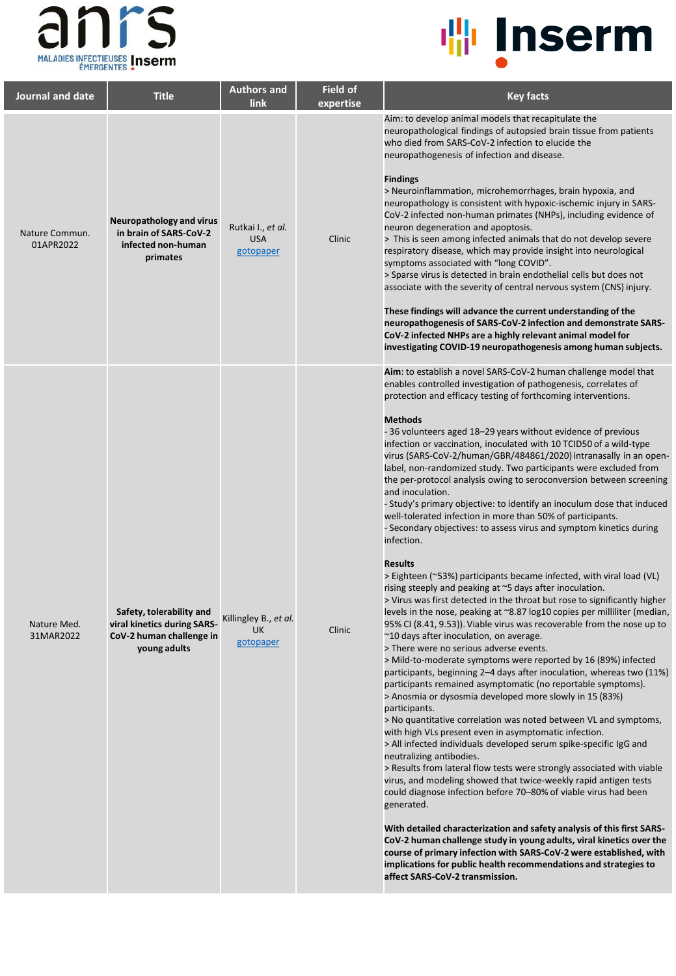

ļ

| Journal and date            | <b>Title</b>                                                                                        | <b>Authors and</b><br>link                             | <b>Field of</b><br>expertise | <b>Key facts</b>                                                                                                                                                                                                                                                                                                                                                                                                                                                                                                                                                                                                                                                                                                                                                                                                                                                                                                                                                                                                                                                                                                                                                                                                                                                                                                                                                                                                                                                                                                                                                                                                                                                                                                                                                                                                                                                                                                                                                                                                                                                                                                                                                                                                                                                                                                                                                                         |
|-----------------------------|-----------------------------------------------------------------------------------------------------|--------------------------------------------------------|------------------------------|------------------------------------------------------------------------------------------------------------------------------------------------------------------------------------------------------------------------------------------------------------------------------------------------------------------------------------------------------------------------------------------------------------------------------------------------------------------------------------------------------------------------------------------------------------------------------------------------------------------------------------------------------------------------------------------------------------------------------------------------------------------------------------------------------------------------------------------------------------------------------------------------------------------------------------------------------------------------------------------------------------------------------------------------------------------------------------------------------------------------------------------------------------------------------------------------------------------------------------------------------------------------------------------------------------------------------------------------------------------------------------------------------------------------------------------------------------------------------------------------------------------------------------------------------------------------------------------------------------------------------------------------------------------------------------------------------------------------------------------------------------------------------------------------------------------------------------------------------------------------------------------------------------------------------------------------------------------------------------------------------------------------------------------------------------------------------------------------------------------------------------------------------------------------------------------------------------------------------------------------------------------------------------------------------------------------------------------------------------------------------------------|
| Nature Commun.<br>01APR2022 | Neuropathology and virus<br>in brain of SARS-CoV-2<br>infected non-human<br>primates                | Rutkai I., et al.<br><b>USA</b><br>gotopaper           | Clinic                       | Aim: to develop animal models that recapitulate the<br>neuropathological findings of autopsied brain tissue from patients<br>who died from SARS-CoV-2 infection to elucide the<br>neuropathogenesis of infection and disease.<br><b>Findings</b><br>> Neuroinflammation, microhemorrhages, brain hypoxia, and<br>neuropathology is consistent with hypoxic-ischemic injury in SARS-<br>CoV-2 infected non-human primates (NHPs), including evidence of<br>neuron degeneration and apoptosis.<br>> This is seen among infected animals that do not develop severe<br>respiratory disease, which may provide insight into neurological<br>symptoms associated with "long COVID".<br>> Sparse virus is detected in brain endothelial cells but does not<br>associate with the severity of central nervous system (CNS) injury.<br>These findings will advance the current understanding of the<br>neuropathogenesis of SARS-CoV-2 infection and demonstrate SARS-<br>CoV-2 infected NHPs are a highly relevant animal model for<br>investigating COVID-19 neuropathogenesis among human subjects.                                                                                                                                                                                                                                                                                                                                                                                                                                                                                                                                                                                                                                                                                                                                                                                                                                                                                                                                                                                                                                                                                                                                                                                                                                                                                           |
| Nature Med.<br>31MAR2022    | Safety, tolerability and<br>viral kinetics during SARS-<br>CoV-2 human challenge in<br>young adults | Killingley B., et al.<br><b>UK</b><br><b>gotopaper</b> | Clinic                       | Aim: to establish a novel SARS-CoV-2 human challenge model that<br>enables controlled investigation of pathogenesis, correlates of<br>protection and efficacy testing of forthcoming interventions.<br>Methods<br>-36 volunteers aged 18–29 years without evidence of previous<br>infection or vaccination, inoculated with 10 TCID50 of a wild-type<br>virus (SARS-CoV-2/human/GBR/484861/2020) intranasally in an open-<br>label, non-randomized study. Two participants were excluded from<br>the per-protocol analysis owing to seroconversion between screening<br>and inoculation.<br>- Study's primary objective: to identify an inoculum dose that induced<br>well-tolerated infection in more than 50% of participants.<br>- Secondary objectives: to assess virus and symptom kinetics during<br>infection.<br><b>Results</b><br>> Eighteen (~53%) participants became infected, with viral load (VL)<br>rising steeply and peaking at ~5 days after inoculation.<br>> Virus was first detected in the throat but rose to significantly higher<br>levels in the nose, peaking at ~8.87 log10 copies per milliliter (median,<br>95% CI (8.41, 9.53)). Viable virus was recoverable from the nose up to<br>~10 days after inoculation, on average.<br>> There were no serious adverse events.<br>> Mild-to-moderate symptoms were reported by 16 (89%) infected<br>participants, beginning 2-4 days after inoculation, whereas two (11%)<br>participants remained asymptomatic (no reportable symptoms).<br>> Anosmia or dysosmia developed more slowly in 15 (83%)<br>participants.<br>> No quantitative correlation was noted between VL and symptoms,<br>with high VLs present even in asymptomatic infection.<br>> All infected individuals developed serum spike-specific IgG and<br>neutralizing antibodies.<br>> Results from lateral flow tests were strongly associated with viable<br>virus, and modeling showed that twice-weekly rapid antigen tests<br>could diagnose infection before 70–80% of viable virus had been<br>generated.<br>With detailed characterization and safety analysis of this first SARS-<br>CoV-2 human challenge study in young adults, viral kinetics over the<br>course of primary infection with SARS-CoV-2 were established, with<br>implications for public health recommendations and strategies to<br>affect SARS-CoV-2 transmission. |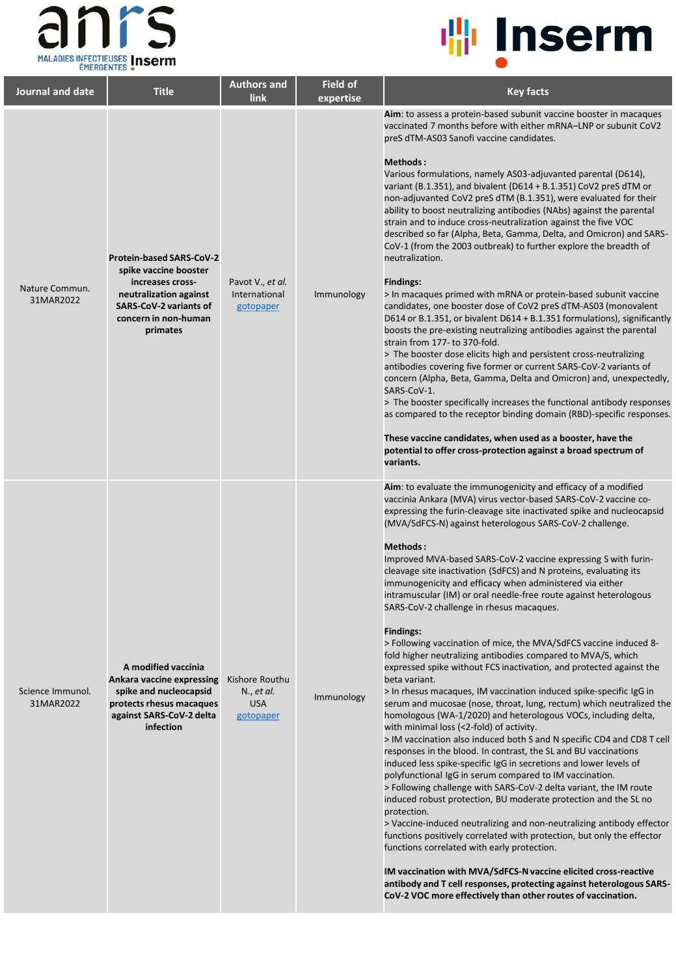| Journal and date              | <b>Title</b>                                                                                                                                                         | <b>Authors and</b><br>link                              | <b>Field of</b><br>expertise | <b>Key facts</b>                                                                                                                                                                                                                                                                                                                                                                                                                                                                                                                                                                                                                                                                                                                                                                                                                                                                                                                                                                                                                                                                                                                                                                                                                                                                                                                                                                                                                                                                                                                                                                                                                                                                                                                                                                                                                                                                                                                                                            |
|-------------------------------|----------------------------------------------------------------------------------------------------------------------------------------------------------------------|---------------------------------------------------------|------------------------------|-----------------------------------------------------------------------------------------------------------------------------------------------------------------------------------------------------------------------------------------------------------------------------------------------------------------------------------------------------------------------------------------------------------------------------------------------------------------------------------------------------------------------------------------------------------------------------------------------------------------------------------------------------------------------------------------------------------------------------------------------------------------------------------------------------------------------------------------------------------------------------------------------------------------------------------------------------------------------------------------------------------------------------------------------------------------------------------------------------------------------------------------------------------------------------------------------------------------------------------------------------------------------------------------------------------------------------------------------------------------------------------------------------------------------------------------------------------------------------------------------------------------------------------------------------------------------------------------------------------------------------------------------------------------------------------------------------------------------------------------------------------------------------------------------------------------------------------------------------------------------------------------------------------------------------------------------------------------------------|
| Nature Commun.<br>31MAR2022   | Protein-based SARS-CoV-2<br>spike vaccine booster<br>increases cross-<br>neutralization against<br><b>SARS-CoV-2 variants of</b><br>concern in non-human<br>primates | Pavot V., et al.<br>International<br>gotopaper          | Immunology                   | Aim: to assess a protein-based subunit vaccine booster in macaques<br>vaccinated 7 months before with either mRNA-LNP or subunit CoV2<br>preS dTM-AS03 Sanofi vaccine candidates.<br><b>Methods:</b><br>Various formulations, namely AS03-adjuvanted parental (D614),<br>variant (B.1.351), and bivalent (D614 + B.1.351) CoV2 preS dTM or<br>non-adjuvanted CoV2 preS dTM (B.1.351), were evaluated for their<br>ability to boost neutralizing antibodies (NAbs) against the parental<br>strain and to induce cross-neutralization against the five VOC<br>described so far (Alpha, Beta, Gamma, Delta, and Omicron) and SARS-<br>CoV-1 (from the 2003 outbreak) to further explore the breadth of<br>neutralization.<br><b>Findings:</b><br>> In macaques primed with mRNA or protein-based subunit vaccine<br>candidates, one booster dose of CoV2 preS dTM-AS03 (monovalent<br>D614 or B.1.351, or bivalent D614 + B.1.351 formulations), significantly<br>boosts the pre-existing neutralizing antibodies against the parental<br>strain from 177- to 370-fold.<br>> The booster dose elicits high and persistent cross-neutralizing<br>antibodies covering five former or current SARS-CoV-2 variants of<br>concern (Alpha, Beta, Gamma, Delta and Omicron) and, unexpectedly,<br>SARS-CoV-1.<br>> The booster specifically increases the functional antibody responses<br>as compared to the receptor binding domain (RBD)-specific responses.<br>These vaccine candidates, when used as a booster, have the<br>potential to offer cross-protection against a broad spectrum of<br>variants.                                                                                                                                                                                                                                                                                                                                                                         |
| Science Immunol.<br>31MAR2022 | A modified vaccinia<br>Ankara vaccine expressing<br>spike and nucleocapsid<br>protects rhesus macaques<br>against SARS-CoV-2 delta<br>infection                      | Kishore Routhu<br>N., et al.<br><b>USA</b><br>gotopaper | Immunology                   | Aim: to evaluate the immunogenicity and efficacy of a modified<br>vaccinia Ankara (MVA) virus vector-based SARS-CoV-2 vaccine co-<br>expressing the furin-cleavage site inactivated spike and nucleocapsid<br>(MVA/SdFCS-N) against heterologous SARS-CoV-2 challenge.<br><b>Methods:</b><br>Improved MVA-based SARS-CoV-2 vaccine expressing S with furin-<br>cleavage site inactivation (SdFCS) and N proteins, evaluating its<br>immunogenicity and efficacy when administered via either<br>intramuscular (IM) or oral needle-free route against heterologous<br>SARS-CoV-2 challenge in rhesus macaques.<br><b>Findings:</b><br>> Following vaccination of mice, the MVA/SdFCS vaccine induced 8-<br>fold higher neutralizing antibodies compared to MVA/S, which<br>expressed spike without FCS inactivation, and protected against the<br>beta variant.<br>> In rhesus macaques, IM vaccination induced spike-specific IgG in<br>serum and mucosae (nose, throat, lung, rectum) which neutralized the<br>homologous (WA-1/2020) and heterologous VOCs, including delta,<br>with minimal loss (<2-fold) of activity.<br>> IM vaccination also induced both S and N specific CD4 and CD8 T cell<br>responses in the blood. In contrast, the SL and BU vaccinations<br>induced less spike-specific IgG in secretions and lower levels of<br>polyfunctional IgG in serum compared to IM vaccination.<br>> Following challenge with SARS-CoV-2 delta variant, the IM route<br>induced robust protection, BU moderate protection and the SL no<br>protection.<br>> Vaccine-induced neutralizing and non-neutralizing antibody effector<br>functions positively correlated with protection, but only the effector<br>functions correlated with early protection.<br>IM vaccination with MVA/SdFCS-N vaccine elicited cross-reactive<br>antibody and T cell responses, protecting against heterologous SARS-<br>CoV-2 VOC more effectively than other routes of vaccination. |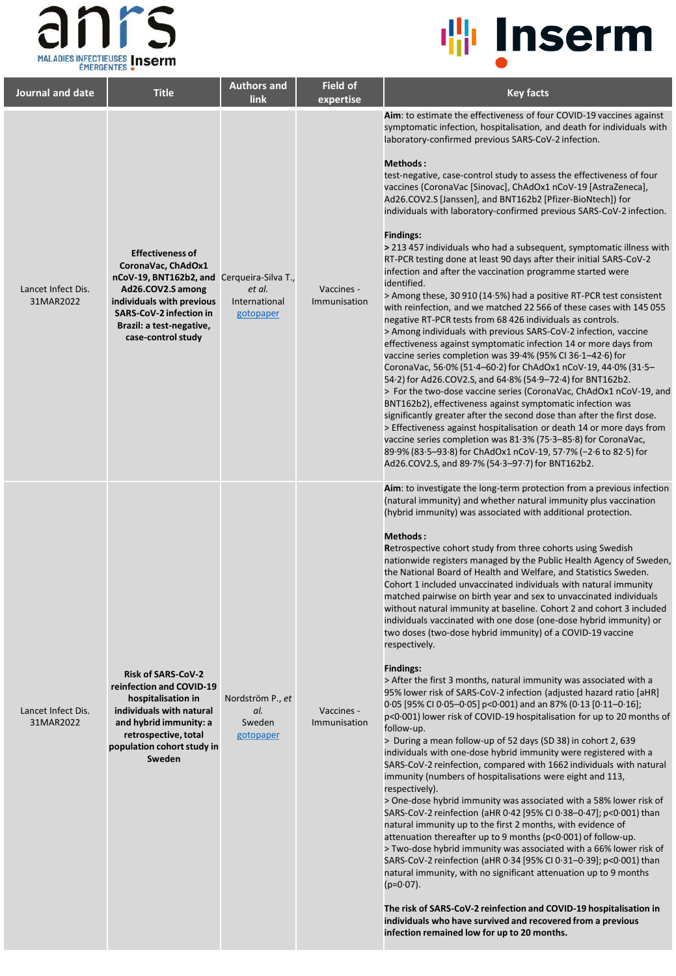| Journal and date                | <b>Title</b>                                                                                                                                                                                                                      | <b>Authors and</b><br><b>link</b>              | <b>Field of</b><br>expertise | <b>Key facts</b>                                                                                                                                                                                                                                                                                                                                                                                                                                                                                                                                                                                                                                                                                                                                                                                                                                                                                                                                                                                                                                                                                                                                                                                                                                                                                                                                                                                                                                                                                                                                                                                                                                                                                                                                                                                                                                                                                                                                                                                                                                                                                                                            |
|---------------------------------|-----------------------------------------------------------------------------------------------------------------------------------------------------------------------------------------------------------------------------------|------------------------------------------------|------------------------------|---------------------------------------------------------------------------------------------------------------------------------------------------------------------------------------------------------------------------------------------------------------------------------------------------------------------------------------------------------------------------------------------------------------------------------------------------------------------------------------------------------------------------------------------------------------------------------------------------------------------------------------------------------------------------------------------------------------------------------------------------------------------------------------------------------------------------------------------------------------------------------------------------------------------------------------------------------------------------------------------------------------------------------------------------------------------------------------------------------------------------------------------------------------------------------------------------------------------------------------------------------------------------------------------------------------------------------------------------------------------------------------------------------------------------------------------------------------------------------------------------------------------------------------------------------------------------------------------------------------------------------------------------------------------------------------------------------------------------------------------------------------------------------------------------------------------------------------------------------------------------------------------------------------------------------------------------------------------------------------------------------------------------------------------------------------------------------------------------------------------------------------------|
| Lancet Infect Dis.<br>31MAR2022 | <b>Effectiveness of</b><br>CoronaVac, ChAdOx1<br>nCoV-19, BNT162b2, and Cerqueira-Silva T.,<br>Ad26.COV2.S among<br>individuals with previous<br><b>SARS-CoV-2 infection in</b><br>Brazil: a test-negative,<br>case-control study | et al.<br>International<br>gotopaper           | Vaccines -<br>Immunisation   | Aim: to estimate the effectiveness of four COVID-19 vaccines against<br>symptomatic infection, hospitalisation, and death for individuals with<br>laboratory-confirmed previous SARS-CoV-2 infection.<br><b>Methods:</b><br>test-negative, case-control study to assess the effectiveness of four<br>vaccines (CoronaVac [Sinovac], ChAdOx1 nCoV-19 [AstraZeneca],<br>Ad26.COV2.S [Janssen], and BNT162b2 [Pfizer-BioNtech]) for<br>individuals with laboratory-confirmed previous SARS-CoV-2 infection.<br><b>Findings:</b><br>> 213 457 individuals who had a subsequent, symptomatic illness with<br>RT-PCR testing done at least 90 days after their initial SARS-CoV-2<br>infection and after the vaccination programme started were<br>identified.<br>> Among these, 30 910 (14.5%) had a positive RT-PCR test consistent<br>with reinfection, and we matched 22 566 of these cases with 145 055<br>negative RT-PCR tests from 68 426 individuals as controls.<br>> Among individuals with previous SARS-CoV-2 infection, vaccine<br>effectiveness against symptomatic infection 14 or more days from<br>vaccine series completion was 39.4% (95% CI 36.1–42.6) for<br>CoronaVac, 56.0% (51.4–60.2) for ChAdOx1 nCoV-19, 44.0% (31.5–<br>54.2) for Ad26.COV2.S, and 64.8% (54.9–72.4) for BNT162b2.<br>> For the two-dose vaccine series (CoronaVac, ChAdOx1 nCoV-19, and<br>BNT162b2), effectiveness against symptomatic infection was<br>significantly greater after the second dose than after the first dose.<br>> Effectiveness against hospitalisation or death 14 or more days from<br>vaccine series completion was $81.3\%$ (75 $.3-85.8$ ) for CoronaVac,<br>89.9% (83.5–93.8) for ChAdOx1 nCoV-19, 57.7% (-2.6 to 82.5) for<br>Ad26.COV2.S, and 89.7% (54.3–97.7) for BNT162b2.                                                                                                                                                                                                                                                                                                                                            |
| Lancet Infect Dis.<br>31MAR2022 | <b>Risk of SARS-CoV-2</b><br>reinfection and COVID-19<br>hospitalisation in<br>individuals with natural<br>and hybrid immunity: a<br>retrospective, total<br>population cohort study in<br>Sweden                                 | Nordström P., et<br>al.<br>Sweden<br>gotopaper | Vaccines -<br>Immunisation   | Aim: to investigate the long-term protection from a previous infection<br>(natural immunity) and whether natural immunity plus vaccination<br>(hybrid immunity) was associated with additional protection.<br><b>Methods:</b><br><b>Retrospective cohort study from three cohorts using Swedish</b><br>nationwide registers managed by the Public Health Agency of Sweden,<br>the National Board of Health and Welfare, and Statistics Sweden.<br>Cohort 1 included unvaccinated individuals with natural immunity<br>matched pairwise on birth year and sex to unvaccinated individuals<br>without natural immunity at baseline. Cohort 2 and cohort 3 included<br>individuals vaccinated with one dose (one-dose hybrid immunity) or<br>two doses (two-dose hybrid immunity) of a COVID-19 vaccine<br>respectively.<br><b>Findings:</b><br>> After the first 3 months, natural immunity was associated with a<br>95% lower risk of SARS-CoV-2 infection (adjusted hazard ratio [aHR]<br>0.05 [95% CI 0.05-0.05] p<0.001) and an 87% (0.13 [0.11-0.16];<br>p<0.001) lower risk of COVID-19 hospitalisation for up to 20 months of<br>follow-up.<br>> During a mean follow-up of 52 days (SD 38) in cohort 2, 639<br>individuals with one-dose hybrid immunity were registered with a<br>SARS-CoV-2 reinfection, compared with 1662 individuals with natural<br>immunity (numbers of hospitalisations were eight and 113,<br>respectively).<br>> One-dose hybrid immunity was associated with a 58% lower risk of<br>SARS-CoV-2 reinfection (aHR 0.42 [95% CI 0.38-0.47]; p<0.001) than<br>natural immunity up to the first 2 months, with evidence of<br>attenuation thereafter up to 9 months (p<0.001) of follow-up.<br>> Two-dose hybrid immunity was associated with a 66% lower risk of<br>SARS-CoV-2 reinfection (aHR 0.34 [95% CI 0.31-0.39]; p<0.001) than<br>natural immunity, with no significant attenuation up to 9 months<br>$(p=0.07)$ .<br>The risk of SARS-CoV-2 reinfection and COVID-19 hospitalisation in<br>individuals who have survived and recovered from a previous<br>infection remained low for up to 20 months. |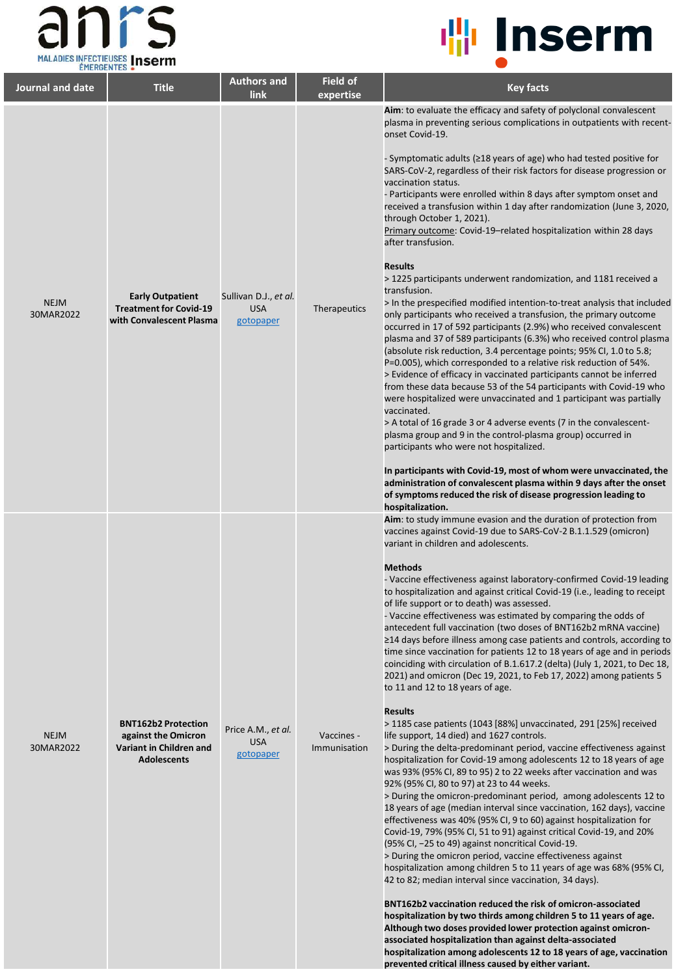| Journal and date         | EMERGENTES .<br><b>Title</b>                                                                       | <b>Authors and</b><br>link                       | <b>Field of</b><br>expertise | <b>Key facts</b>                                                                                                                                                                                                                                                                                                                                                                                                                                                                                                                                                                                                                                                                                                                                                                                                                                                                                                                                                                                                                                                                                                                                                                                                                                                                                                                                                                                                                                                                                                                                                                                                                                                                                                                                                                                                                                                                                                                                                                                                                                                                                                                                                                                                                                       |
|--------------------------|----------------------------------------------------------------------------------------------------|--------------------------------------------------|------------------------------|--------------------------------------------------------------------------------------------------------------------------------------------------------------------------------------------------------------------------------------------------------------------------------------------------------------------------------------------------------------------------------------------------------------------------------------------------------------------------------------------------------------------------------------------------------------------------------------------------------------------------------------------------------------------------------------------------------------------------------------------------------------------------------------------------------------------------------------------------------------------------------------------------------------------------------------------------------------------------------------------------------------------------------------------------------------------------------------------------------------------------------------------------------------------------------------------------------------------------------------------------------------------------------------------------------------------------------------------------------------------------------------------------------------------------------------------------------------------------------------------------------------------------------------------------------------------------------------------------------------------------------------------------------------------------------------------------------------------------------------------------------------------------------------------------------------------------------------------------------------------------------------------------------------------------------------------------------------------------------------------------------------------------------------------------------------------------------------------------------------------------------------------------------------------------------------------------------------------------------------------------------|
| <b>NEJM</b><br>30MAR2022 | <b>Early Outpatient</b><br><b>Treatment for Covid-19</b><br>with Convalescent Plasma               | Sullivan D.J., et al.<br><b>USA</b><br>gotopaper | Therapeutics                 | Aim: to evaluate the efficacy and safety of polyclonal convalescent<br>plasma in preventing serious complications in outpatients with recent-<br>onset Covid-19.<br>- Symptomatic adults (≥18 years of age) who had tested positive for<br>SARS-CoV-2, regardless of their risk factors for disease progression or<br>vaccination status.<br>- Participants were enrolled within 8 days after symptom onset and<br>received a transfusion within 1 day after randomization (June 3, 2020,<br>through October 1, 2021).<br>Primary outcome: Covid-19-related hospitalization within 28 days<br>after transfusion.<br><b>Results</b><br>>1225 participants underwent randomization, and 1181 received a<br>transfusion.<br>> In the prespecified modified intention-to-treat analysis that included<br>only participants who received a transfusion, the primary outcome<br>occurred in 17 of 592 participants (2.9%) who received convalescent<br>plasma and 37 of 589 participants (6.3%) who received control plasma<br>(absolute risk reduction, 3.4 percentage points; 95% CI, 1.0 to 5.8;<br>P=0.005), which corresponded to a relative risk reduction of 54%.<br>> Evidence of efficacy in vaccinated participants cannot be inferred<br>from these data because 53 of the 54 participants with Covid-19 who<br>were hospitalized were unvaccinated and 1 participant was partially<br>vaccinated.<br>> A total of 16 grade 3 or 4 adverse events (7 in the convalescent-<br>plasma group and 9 in the control-plasma group) occurred in<br>participants who were not hospitalized.<br>In participants with Covid-19, most of whom were unvaccinated, the<br>administration of convalescent plasma within 9 days after the onset<br>of symptoms reduced the risk of disease progression leading to<br>hospitalization.                                                                                                                                                                                                                                                                                                                                                                                                                            |
| <b>NEJM</b><br>30MAR2022 | <b>BNT162b2 Protection</b><br>against the Omicron<br>Variant in Children and<br><b>Adolescents</b> | Price A.M., et al.<br><b>USA</b><br>gotopaper    | Vaccines -<br>Immunisation   | Aim: to study immune evasion and the duration of protection from<br>vaccines against Covid-19 due to SARS-CoV-2 B.1.1.529 (omicron)<br>variant in children and adolescents.<br><b>Methods</b><br>- Vaccine effectiveness against laboratory-confirmed Covid-19 leading<br>to hospitalization and against critical Covid-19 (i.e., leading to receipt<br>of life support or to death) was assessed.<br>- Vaccine effectiveness was estimated by comparing the odds of<br>antecedent full vaccination (two doses of BNT162b2 mRNA vaccine)<br>$\geq$ 14 days before illness among case patients and controls, according to<br>time since vaccination for patients 12 to 18 years of age and in periods<br>coinciding with circulation of B.1.617.2 (delta) (July 1, 2021, to Dec 18,<br>2021) and omicron (Dec 19, 2021, to Feb 17, 2022) among patients 5<br>to 11 and 12 to 18 years of age.<br><b>Results</b><br>> 1185 case patients (1043 [88%] unvaccinated, 291 [25%] received<br>life support, 14 died) and 1627 controls.<br>> During the delta-predominant period, vaccine effectiveness against<br>hospitalization for Covid-19 among adolescents 12 to 18 years of age<br>was 93% (95% CI, 89 to 95) 2 to 22 weeks after vaccination and was<br>92% (95% CI, 80 to 97) at 23 to 44 weeks.<br>> During the omicron-predominant period, among adolescents 12 to<br>18 years of age (median interval since vaccination, 162 days), vaccine<br>effectiveness was 40% (95% CI, 9 to 60) against hospitalization for<br>Covid-19, 79% (95% CI, 51 to 91) against critical Covid-19, and 20%<br>(95% CI, -25 to 49) against noncritical Covid-19.<br>> During the omicron period, vaccine effectiveness against<br>hospitalization among children 5 to 11 years of age was 68% (95% CI,<br>42 to 82; median interval since vaccination, 34 days).<br>BNT162b2 vaccination reduced the risk of omicron-associated<br>hospitalization by two thirds among children 5 to 11 years of age.<br>Although two doses provided lower protection against omicron-<br>associated hospitalization than against delta-associated<br>hospitalization among adolescents 12 to 18 years of age, vaccination<br>prevented critical illness caused by either variant. |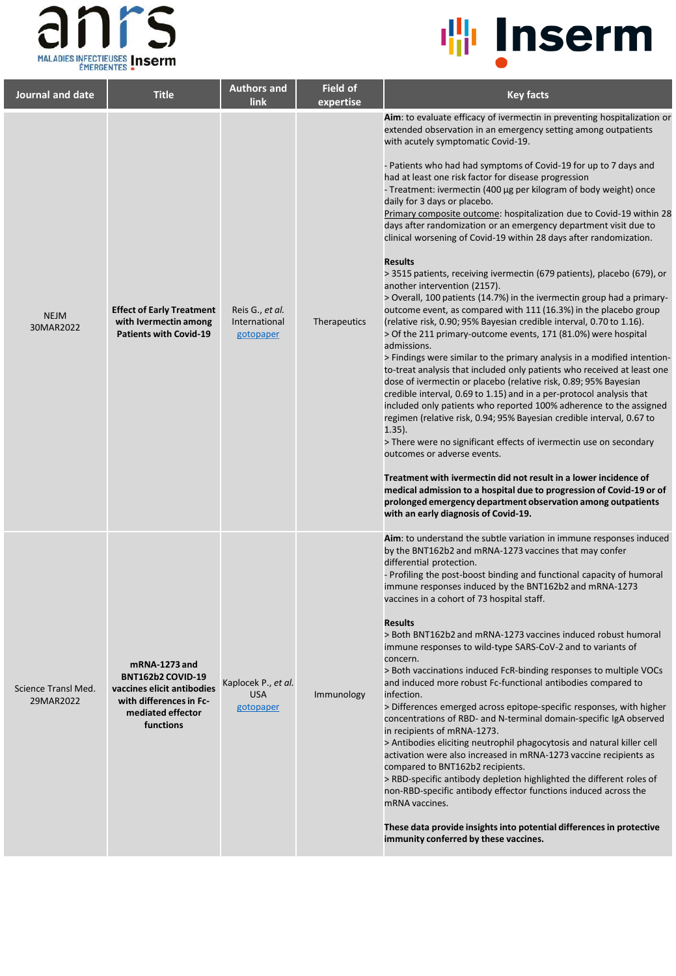



| Journal and date                 | <b>Title</b>                                                                                                                  | <b>Authors and</b><br><b>link</b>              | <b>Field of</b><br>expertise | <b>Key facts</b>                                                                                                                                                                                                                                                                                                                                                                                                                                                                                                                                                                                                                                                                                                                                                                                                                                                                                                                                                                                                                                                                                                                                                                                                                                                                                                                                                                                                                                                                                                                                                                                                                                                                                                                                                                                                                                                                                |
|----------------------------------|-------------------------------------------------------------------------------------------------------------------------------|------------------------------------------------|------------------------------|-------------------------------------------------------------------------------------------------------------------------------------------------------------------------------------------------------------------------------------------------------------------------------------------------------------------------------------------------------------------------------------------------------------------------------------------------------------------------------------------------------------------------------------------------------------------------------------------------------------------------------------------------------------------------------------------------------------------------------------------------------------------------------------------------------------------------------------------------------------------------------------------------------------------------------------------------------------------------------------------------------------------------------------------------------------------------------------------------------------------------------------------------------------------------------------------------------------------------------------------------------------------------------------------------------------------------------------------------------------------------------------------------------------------------------------------------------------------------------------------------------------------------------------------------------------------------------------------------------------------------------------------------------------------------------------------------------------------------------------------------------------------------------------------------------------------------------------------------------------------------------------------------|
| <b>NEJM</b><br>30MAR2022         | <b>Effect of Early Treatment</b><br>with Ivermectin among<br><b>Patients with Covid-19</b>                                    | Reis G., et al.<br>International<br>gotopaper  | Therapeutics                 | Aim: to evaluate efficacy of ivermectin in preventing hospitalization or<br>extended observation in an emergency setting among outpatients<br>with acutely symptomatic Covid-19.<br>- Patients who had had symptoms of Covid-19 for up to 7 days and<br>had at least one risk factor for disease progression<br>- Treatment: ivermectin (400 µg per kilogram of body weight) once<br>daily for 3 days or placebo.<br>Primary composite outcome: hospitalization due to Covid-19 within 28<br>days after randomization or an emergency department visit due to<br>clinical worsening of Covid-19 within 28 days after randomization.<br><b>Results</b><br>> 3515 patients, receiving ivermectin (679 patients), placebo (679), or<br>another intervention (2157).<br>> Overall, 100 patients (14.7%) in the ivermectin group had a primary-<br>outcome event, as compared with 111 (16.3%) in the placebo group<br>(relative risk, 0.90; 95% Bayesian credible interval, 0.70 to 1.16).<br>> Of the 211 primary-outcome events, 171 (81.0%) were hospital<br>admissions.<br>> Findings were similar to the primary analysis in a modified intention-<br>to-treat analysis that included only patients who received at least one<br>dose of ivermectin or placebo (relative risk, 0.89; 95% Bayesian<br>credible interval, 0.69 to 1.15) and in a per-protocol analysis that<br>included only patients who reported 100% adherence to the assigned<br>regimen (relative risk, 0.94; 95% Bayesian credible interval, 0.67 to<br>$1.35$ ).<br>> There were no significant effects of ivermectin use on secondary<br>outcomes or adverse events.<br>Treatment with ivermectin did not result in a lower incidence of<br>medical admission to a hospital due to progression of Covid-19 or of<br>prolonged emergency department observation among outpatients<br>with an early diagnosis of Covid-19. |
| Science Transl Med.<br>29MAR2022 | mRNA-1273 and<br>BNT162b2 COVID-19<br>vaccines elicit antibodies<br>with differences in Fc-<br>mediated effector<br>functions | Kaplocek P., et al.<br><b>USA</b><br>gotopaper | Immunology                   | Aim: to understand the subtle variation in immune responses induced<br>by the BNT162b2 and mRNA-1273 vaccines that may confer<br>differential protection.<br>- Profiling the post-boost binding and functional capacity of humoral<br>immune responses induced by the BNT162b2 and mRNA-1273<br>vaccines in a cohort of 73 hospital staff.<br><b>Results</b><br>> Both BNT162b2 and mRNA-1273 vaccines induced robust humoral<br>immune responses to wild-type SARS-CoV-2 and to variants of<br>concern.<br>> Both vaccinations induced FcR-binding responses to multiple VOCs<br>and induced more robust Fc-functional antibodies compared to<br>infection.<br>> Differences emerged across epitope-specific responses, with higher<br>concentrations of RBD- and N-terminal domain-specific IgA observed<br>in recipients of mRNA-1273.<br>> Antibodies eliciting neutrophil phagocytosis and natural killer cell<br>activation were also increased in mRNA-1273 vaccine recipients as<br>compared to BNT162b2 recipients.<br>> RBD-specific antibody depletion highlighted the different roles of<br>non-RBD-specific antibody effector functions induced across the<br>mRNA vaccines.<br>These data provide insights into potential differences in protective<br>immunity conferred by these vaccines.                                                                                                                                                                                                                                                                                                                                                                                                                                                                                                                                                                                      |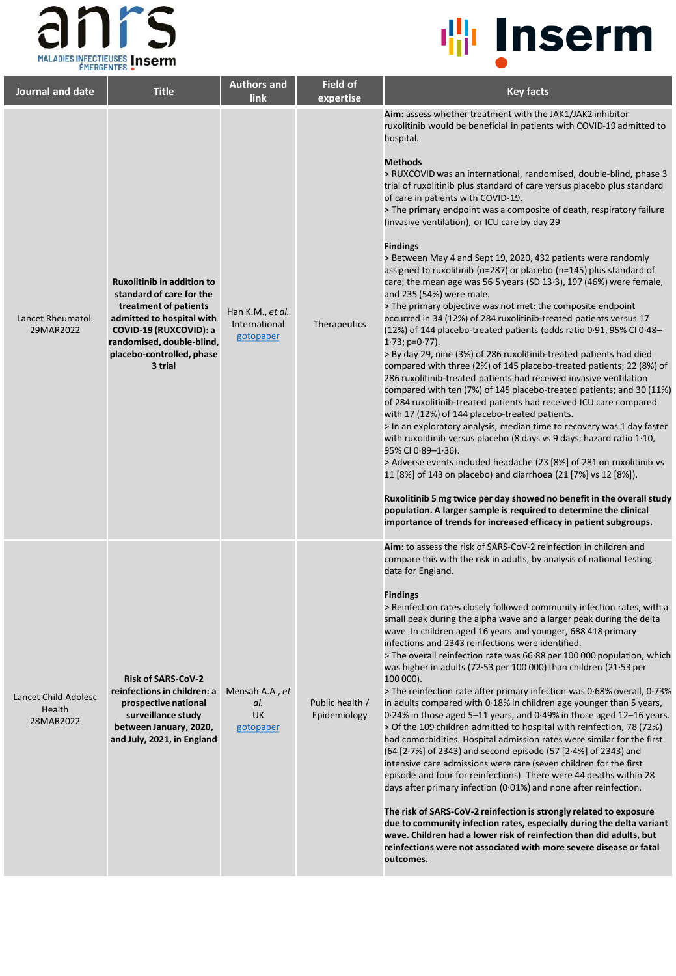| Journal and date                            | <b>Title</b>                                                                                                                                                                                                       | <b>Authors and</b><br>link                       | <b>Field of</b><br>expertise    | <b>Key facts</b>                                                                                                                                                                                                                                                                                                                                                                                                                                                                                                                                                                                                                                                                                                                                                                                                                                                                                                                                                                                                                                                                                                                                                                                                                                                                                                                                                                                                                                                                                                                                                                                                                                                                                                                                                                                                                                                                                                                                  |
|---------------------------------------------|--------------------------------------------------------------------------------------------------------------------------------------------------------------------------------------------------------------------|--------------------------------------------------|---------------------------------|---------------------------------------------------------------------------------------------------------------------------------------------------------------------------------------------------------------------------------------------------------------------------------------------------------------------------------------------------------------------------------------------------------------------------------------------------------------------------------------------------------------------------------------------------------------------------------------------------------------------------------------------------------------------------------------------------------------------------------------------------------------------------------------------------------------------------------------------------------------------------------------------------------------------------------------------------------------------------------------------------------------------------------------------------------------------------------------------------------------------------------------------------------------------------------------------------------------------------------------------------------------------------------------------------------------------------------------------------------------------------------------------------------------------------------------------------------------------------------------------------------------------------------------------------------------------------------------------------------------------------------------------------------------------------------------------------------------------------------------------------------------------------------------------------------------------------------------------------------------------------------------------------------------------------------------------------|
| Lancet Rheumatol.<br>29MAR2022              | <b>Ruxolitinib in addition to</b><br>standard of care for the<br>treatment of patients<br>admitted to hospital with<br>COVID-19 (RUXCOVID): a<br>randomised, double-blind,<br>placebo-controlled, phase<br>3 trial | Han K.M., et al.<br>International<br>gotopaper   | Therapeutics                    | Aim: assess whether treatment with the JAK1/JAK2 inhibitor<br>ruxolitinib would be beneficial in patients with COVID-19 admitted to<br>hospital.<br><b>Methods</b><br>> RUXCOVID was an international, randomised, double-blind, phase 3<br>trial of ruxolitinib plus standard of care versus placebo plus standard<br>of care in patients with COVID-19.<br>> The primary endpoint was a composite of death, respiratory failure<br>(invasive ventilation), or ICU care by day 29<br><b>Findings</b><br>> Between May 4 and Sept 19, 2020, 432 patients were randomly<br>assigned to ruxolitinib (n=287) or placebo (n=145) plus standard of<br>care; the mean age was 56.5 years (SD 13.3), 197 (46%) were female,<br>and 235 (54%) were male.<br>> The primary objective was not met: the composite endpoint<br>occurred in 34 (12%) of 284 ruxolitinib-treated patients versus 17<br>(12%) of 144 placebo-treated patients (odds ratio 0.91, 95% CI 0.48-<br>$1.73$ ; p=0 $.77$ ).<br>> By day 29, nine (3%) of 286 ruxolitinib-treated patients had died<br>compared with three (2%) of 145 placebo-treated patients; 22 (8%) of<br>286 ruxolitinib-treated patients had received invasive ventilation<br>compared with ten (7%) of 145 placebo-treated patients; and 30 (11%)<br>of 284 ruxolitinib-treated patients had received ICU care compared<br>with 17 (12%) of 144 placebo-treated patients.<br>> In an exploratory analysis, median time to recovery was 1 day faster<br>with ruxolitinib versus placebo (8 days vs 9 days; hazard ratio 1.10,<br>95% CI 0.89-1.36).<br>> Adverse events included headache (23 [8%] of 281 on ruxolitinib vs<br>11 [8%] of 143 on placebo) and diarrhoea (21 [7%] vs 12 [8%]).<br>Ruxolitinib 5 mg twice per day showed no benefit in the overall study<br>population. A larger sample is required to determine the clinical<br>importance of trends for increased efficacy in patient subgroups. |
| Lancet Child Adolesc<br>Health<br>28MAR2022 | <b>Risk of SARS-CoV-2</b><br>reinfections in children: a<br>prospective national<br>surveillance study<br>between January, 2020,<br>and July, 2021, in England                                                     | Mensah A.A., et<br>al.<br><b>UK</b><br>gotopaper | Public health /<br>Epidemiology | Aim: to assess the risk of SARS-CoV-2 reinfection in children and<br>compare this with the risk in adults, by analysis of national testing<br>data for England.<br><b>Findings</b><br>> Reinfection rates closely followed community infection rates, with a<br>small peak during the alpha wave and a larger peak during the delta<br>wave. In children aged 16 years and younger, 688 418 primary<br>infections and 2343 reinfections were identified.<br>> The overall reinfection rate was 66.88 per 100 000 population, which<br>was higher in adults (72.53 per 100 000) than children (21.53 per<br>100 000).<br>> The reinfection rate after primary infection was 0.68% overall, 0.73%<br>in adults compared with 0.18% in children age younger than 5 years,<br>0.24% in those aged 5-11 years, and 0.49% in those aged 12-16 years.<br>> Of the 109 children admitted to hospital with reinfection, 78 (72%)<br>had comorbidities. Hospital admission rates were similar for the first<br>(64 [2.7%] of 2343) and second episode (57 [2.4%] of 2343) and<br>intensive care admissions were rare (seven children for the first<br>episode and four for reinfections). There were 44 deaths within 28<br>days after primary infection (0.01%) and none after reinfection.<br>The risk of SARS-CoV-2 reinfection is strongly related to exposure<br>due to community infection rates, especially during the delta variant<br>wave. Children had a lower risk of reinfection than did adults, but<br>reinfections were not associated with more severe disease or fatal<br>outcomes.                                                                                                                                                                                                                                                                                                                                                       |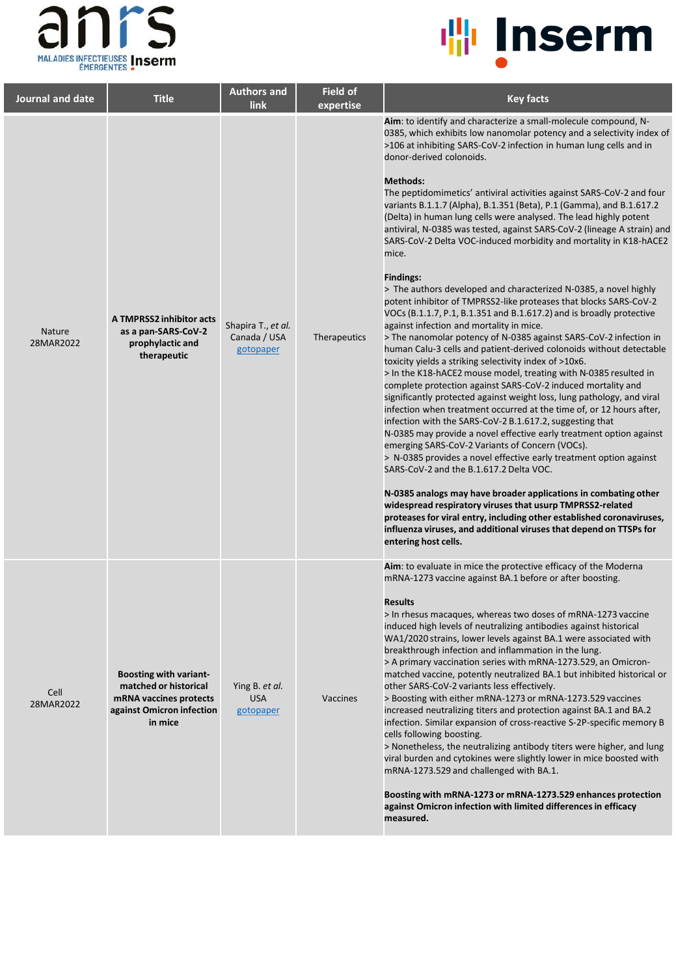

| Journal and date           | <b>Title</b>                                                                                                             | <b>Authors and</b><br>link                      | <b>Field of</b><br>expertise | <b>Key facts</b>                                                                                                                                                                                                                                                                                                                                                                                                                                                                                                                                                                                                                                                                                                                                                                                                                                                                                                                                                                                                                                                                                                                                                                                                                                                                                                                                                                                                                                                                                                                                                                                                                                                                                                                                                                                                                                                                                                                                                                                                                        |
|----------------------------|--------------------------------------------------------------------------------------------------------------------------|-------------------------------------------------|------------------------------|-----------------------------------------------------------------------------------------------------------------------------------------------------------------------------------------------------------------------------------------------------------------------------------------------------------------------------------------------------------------------------------------------------------------------------------------------------------------------------------------------------------------------------------------------------------------------------------------------------------------------------------------------------------------------------------------------------------------------------------------------------------------------------------------------------------------------------------------------------------------------------------------------------------------------------------------------------------------------------------------------------------------------------------------------------------------------------------------------------------------------------------------------------------------------------------------------------------------------------------------------------------------------------------------------------------------------------------------------------------------------------------------------------------------------------------------------------------------------------------------------------------------------------------------------------------------------------------------------------------------------------------------------------------------------------------------------------------------------------------------------------------------------------------------------------------------------------------------------------------------------------------------------------------------------------------------------------------------------------------------------------------------------------------------|
| <b>Nature</b><br>28MAR2022 | A TMPRSS2 inhibitor acts<br>as a pan-SARS-CoV-2<br>prophylactic and<br>therapeutic                                       | Shapira T., et al.<br>Canada / USA<br>gotopaper | Therapeutics                 | Aim: to identify and characterize a small-molecule compound, N-<br>0385, which exhibits low nanomolar potency and a selectivity index of<br>>106 at inhibiting SARS-CoV-2 infection in human lung cells and in<br>donor-derived colonoids.<br><b>Methods:</b><br>The peptidomimetics' antiviral activities against SARS-CoV-2 and four<br>variants B.1.1.7 (Alpha), B.1.351 (Beta), P.1 (Gamma), and B.1.617.2<br>(Delta) in human lung cells were analysed. The lead highly potent<br>antiviral, N-0385 was tested, against SARS-CoV-2 (lineage A strain) and<br>SARS-CoV-2 Delta VOC-induced morbidity and mortality in K18-hACE2<br>mice.<br><b>Findings:</b><br>> The authors developed and characterized N-0385, a novel highly<br>potent inhibitor of TMPRSS2-like proteases that blocks SARS-CoV-2<br>VOCs (B.1.1.7, P.1, B.1.351 and B.1.617.2) and is broadly protective<br>against infection and mortality in mice.<br>> The nanomolar potency of N-0385 against SARS-CoV-2 infection in<br>human Calu-3 cells and patient-derived colonoids without detectable<br>toxicity yields a striking selectivity index of >10x6.<br>> In the K18-hACE2 mouse model, treating with N-0385 resulted in<br>complete protection against SARS-CoV-2 induced mortality and<br>significantly protected against weight loss, lung pathology, and viral<br>infection when treatment occurred at the time of, or 12 hours after,<br>infection with the SARS-CoV-2 B.1.617.2, suggesting that<br>N-0385 may provide a novel effective early treatment option against<br>emerging SARS-CoV-2 Variants of Concern (VOCs).<br>> N-0385 provides a novel effective early treatment option against<br>SARS-CoV-2 and the B.1.617.2 Delta VOC.<br>N-0385 analogs may have broader applications in combating other<br>widespread respiratory viruses that usurp TMPRSS2-related<br>proteases for viral entry, including other established coronaviruses,<br>influenza viruses, and additional viruses that depend on TTSPs for<br>entering host cells. |
| Cell<br>28MAR2022          | <b>Boosting with variant-</b><br>matched or historical<br>mRNA vaccines protects<br>against Omicron infection<br>in mice | Ying B. et al.<br><b>USA</b><br>gotopaper       | Vaccines                     | Aim: to evaluate in mice the protective efficacy of the Moderna<br>mRNA-1273 vaccine against BA.1 before or after boosting.<br><b>Results</b><br>> In rhesus macaques, whereas two doses of mRNA-1273 vaccine<br>induced high levels of neutralizing antibodies against historical<br>WA1/2020 strains, lower levels against BA.1 were associated with<br>breakthrough infection and inflammation in the lung.<br>> A primary vaccination series with mRNA-1273.529, an Omicron-<br>matched vaccine, potently neutralized BA.1 but inhibited historical or<br>other SARS-CoV-2 variants less effectively.<br>> Boosting with either mRNA-1273 or mRNA-1273.529 vaccines<br>increased neutralizing titers and protection against BA.1 and BA.2<br>infection. Similar expansion of cross-reactive S-2P-specific memory B<br>cells following boosting.<br>> Nonetheless, the neutralizing antibody titers were higher, and lung<br>viral burden and cytokines were slightly lower in mice boosted with<br>mRNA-1273.529 and challenged with BA.1.<br>Boosting with mRNA-1273 or mRNA-1273.529 enhances protection<br>against Omicron infection with limited differences in efficacy<br>measured.                                                                                                                                                                                                                                                                                                                                                                                                                                                                                                                                                                                                                                                                                                                                                                                                                                           |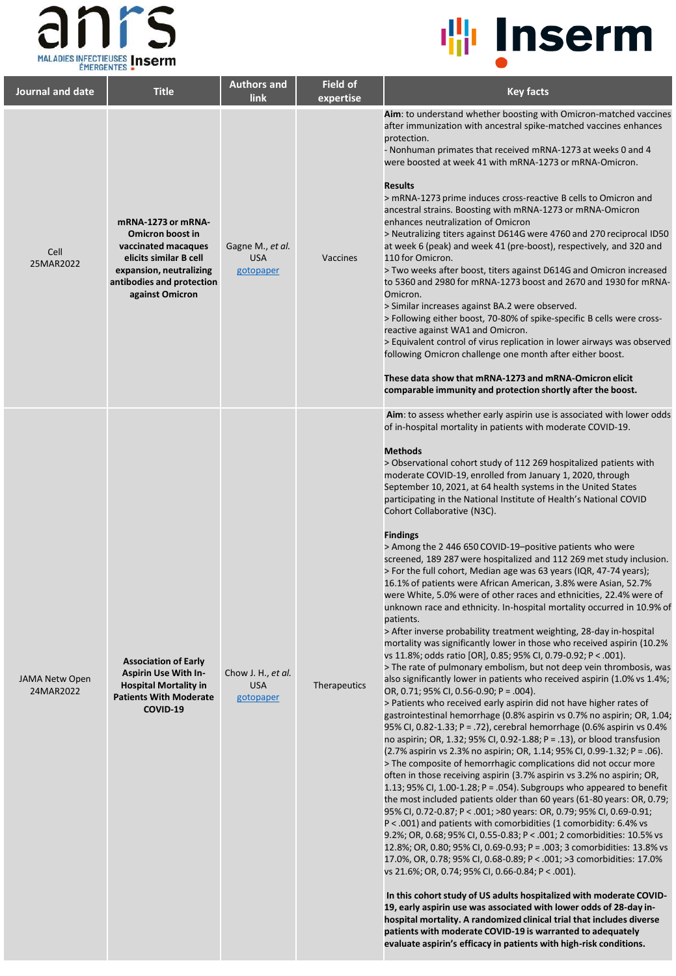| Journal and date                   | <b>Title</b>                                                                                                                                                       | <b>Authors and</b><br>link                    | <b>Field of</b><br>expertise | <b>Key facts</b>                                                                                                                                                                                                                                                                                                                                                                                                                                                                                                                                                                                                                                                                                                                                                                                                                                                                                                                                                                                                                                                                                                                                                                                                                                                                                                                                                                                                                                                                                                                                                                                                                                                                                                                                                                                                                                                                                                                                                                                                                                                                                                                                                                                                                                                                                                                                                                                                                                                                                                                                                                                                                                                                                                                                                                                                                 |
|------------------------------------|--------------------------------------------------------------------------------------------------------------------------------------------------------------------|-----------------------------------------------|------------------------------|----------------------------------------------------------------------------------------------------------------------------------------------------------------------------------------------------------------------------------------------------------------------------------------------------------------------------------------------------------------------------------------------------------------------------------------------------------------------------------------------------------------------------------------------------------------------------------------------------------------------------------------------------------------------------------------------------------------------------------------------------------------------------------------------------------------------------------------------------------------------------------------------------------------------------------------------------------------------------------------------------------------------------------------------------------------------------------------------------------------------------------------------------------------------------------------------------------------------------------------------------------------------------------------------------------------------------------------------------------------------------------------------------------------------------------------------------------------------------------------------------------------------------------------------------------------------------------------------------------------------------------------------------------------------------------------------------------------------------------------------------------------------------------------------------------------------------------------------------------------------------------------------------------------------------------------------------------------------------------------------------------------------------------------------------------------------------------------------------------------------------------------------------------------------------------------------------------------------------------------------------------------------------------------------------------------------------------------------------------------------------------------------------------------------------------------------------------------------------------------------------------------------------------------------------------------------------------------------------------------------------------------------------------------------------------------------------------------------------------------------------------------------------------------------------------------------------------|
| Cell<br>25MAR2022                  | mRNA-1273 or mRNA-<br>Omicron boost in<br>vaccinated macaques<br>elicits similar B cell<br>expansion, neutralizing<br>antibodies and protection<br>against Omicron | Gagne M., et al.<br><b>USA</b><br>gotopaper   | Vaccines                     | Aim: to understand whether boosting with Omicron-matched vaccines<br>after immunization with ancestral spike-matched vaccines enhances<br>protection.<br>- Nonhuman primates that received mRNA-1273 at weeks 0 and 4<br>were boosted at week 41 with mRNA-1273 or mRNA-Omicron.<br><b>Results</b><br>> mRNA-1273 prime induces cross-reactive B cells to Omicron and<br>ancestral strains. Boosting with mRNA-1273 or mRNA-Omicron<br>enhances neutralization of Omicron<br>> Neutralizing titers against D614G were 4760 and 270 reciprocal ID50<br>at week 6 (peak) and week 41 (pre-boost), respectively, and 320 and<br>110 for Omicron.<br>> Two weeks after boost, titers against D614G and Omicron increased<br>to 5360 and 2980 for mRNA-1273 boost and 2670 and 1930 for mRNA-<br>Omicron.<br>> Similar increases against BA.2 were observed.<br>> Following either boost, 70-80% of spike-specific B cells were cross-<br>reactive against WA1 and Omicron.<br>> Equivalent control of virus replication in lower airways was observed<br>following Omicron challenge one month after either boost.<br>These data show that mRNA-1273 and mRNA-Omicron elicit<br>comparable immunity and protection shortly after the boost.                                                                                                                                                                                                                                                                                                                                                                                                                                                                                                                                                                                                                                                                                                                                                                                                                                                                                                                                                                                                                                                                                                                                                                                                                                                                                                                                                                                                                                                                                                                                                                                          |
| <b>JAMA Netw Open</b><br>24MAR2022 | <b>Association of Early</b><br><b>Aspirin Use With In-</b><br><b>Hospital Mortality in</b><br><b>Patients With Moderate</b><br>COVID-19                            | Chow J. H., et al.<br><b>USA</b><br>gotopaper | Therapeutics                 | Aim: to assess whether early aspirin use is associated with lower odds<br>of in-hospital mortality in patients with moderate COVID-19.<br><b>Methods</b><br>> Observational cohort study of 112 269 hospitalized patients with<br>moderate COVID-19, enrolled from January 1, 2020, through<br>September 10, 2021, at 64 health systems in the United States<br>participating in the National Institute of Health's National COVID<br>Cohort Collaborative (N3C).<br><b>Findings</b><br>> Among the 2 446 650 COVID-19-positive patients who were<br>screened, 189 287 were hospitalized and 112 269 met study inclusion.<br>> For the full cohort, Median age was 63 years (IQR, 47-74 years);<br>16.1% of patients were African American, 3.8% were Asian, 52.7%<br>were White, 5.0% were of other races and ethnicities, 22.4% were of<br>unknown race and ethnicity. In-hospital mortality occurred in 10.9% of<br>patients.<br>> After inverse probability treatment weighting, 28-day in-hospital<br>mortality was significantly lower in those who received aspirin (10.2%<br>vs 11.8%; odds ratio [OR], 0.85; 95% CI, 0.79-0.92; P < .001).<br>> The rate of pulmonary embolism, but not deep vein thrombosis, was<br>also significantly lower in patients who received aspirin (1.0% vs 1.4%;<br>OR, 0.71; 95% CI, 0.56-0.90; P = .004).<br>> Patients who received early aspirin did not have higher rates of<br>gastrointestinal hemorrhage (0.8% aspirin vs 0.7% no aspirin; OR, 1.04;<br>95% CI, 0.82-1.33; P = .72), cerebral hemorrhage (0.6% aspirin vs 0.4%<br>no aspirin; OR, 1.32; 95% CI, 0.92-1.88; P = .13), or blood transfusion<br>(2.7% aspirin vs 2.3% no aspirin; OR, 1.14; 95% CI, 0.99-1.32; P = .06).<br>> The composite of hemorrhagic complications did not occur more<br>often in those receiving aspirin (3.7% aspirin vs 3.2% no aspirin; OR,<br>1.13; 95% CI, 1.00-1.28; $P = .054$ ). Subgroups who appeared to benefit<br>the most included patients older than 60 years (61-80 years: OR, 0.79;<br>95% CI, 0.72-0.87; P < .001; >80 years: OR, 0.79; 95% CI, 0.69-0.91;<br>P < .001) and patients with comorbidities (1 comorbidity: 6.4% vs<br>9.2%; OR, 0.68; 95% CI, 0.55-0.83; P < .001; 2 comorbidities: 10.5% vs<br>12.8%; OR, 0.80; 95% CI, 0.69-0.93; P = .003; 3 comorbidities: 13.8% vs<br>17.0%, OR, 0.78; 95% CI, 0.68-0.89; P < .001; >3 comorbidities: 17.0%<br>vs 21.6%; OR, 0.74; 95% CI, 0.66-0.84; P < .001).<br>In this cohort study of US adults hospitalized with moderate COVID-<br>19, early aspirin use was associated with lower odds of 28-day in-<br>hospital mortality. A randomized clinical trial that includes diverse<br>patients with moderate COVID-19 is warranted to adequately<br>evaluate aspirin's efficacy in patients with high-risk conditions. |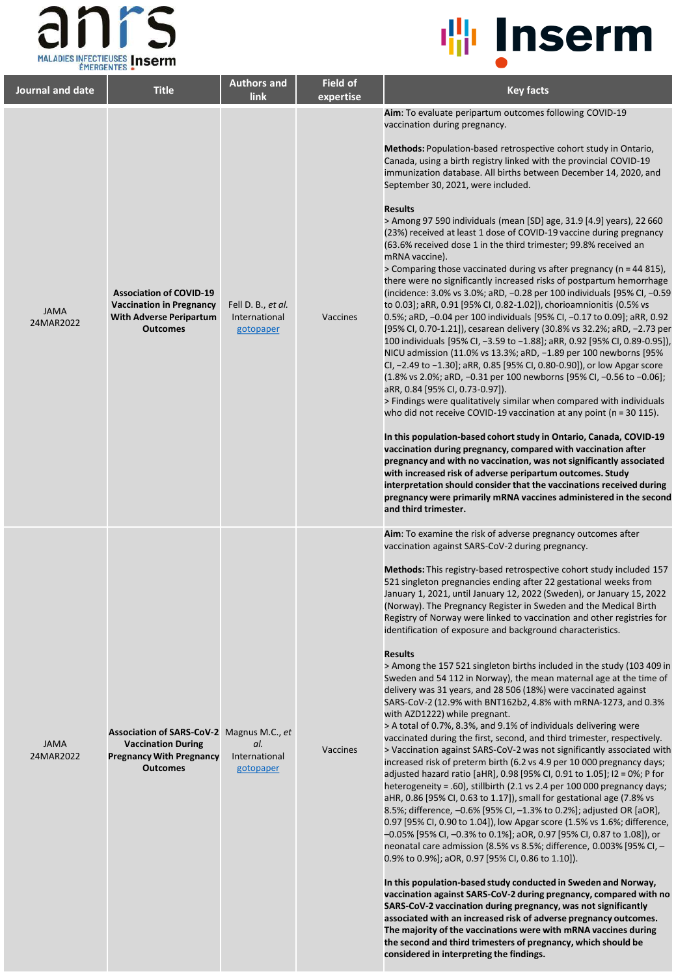### **WILLET** Inserm

| <b>EMERGENIES</b> .      |                                                                                                                                     |                                                         |                              |                                                                                                                                                                                                                                                                                                                                                                                                                                                                                                                                                                                                                                                                                                                                                                                                                                                                                                                                                                                                                                                                                                                                                                                                                                                                                                                                                                                                                                                                                                                                                                                                                                                                                                                                                                                                                                                                                                                                                                                                                                                                                                                                                                                                                                                           |
|--------------------------|-------------------------------------------------------------------------------------------------------------------------------------|---------------------------------------------------------|------------------------------|-----------------------------------------------------------------------------------------------------------------------------------------------------------------------------------------------------------------------------------------------------------------------------------------------------------------------------------------------------------------------------------------------------------------------------------------------------------------------------------------------------------------------------------------------------------------------------------------------------------------------------------------------------------------------------------------------------------------------------------------------------------------------------------------------------------------------------------------------------------------------------------------------------------------------------------------------------------------------------------------------------------------------------------------------------------------------------------------------------------------------------------------------------------------------------------------------------------------------------------------------------------------------------------------------------------------------------------------------------------------------------------------------------------------------------------------------------------------------------------------------------------------------------------------------------------------------------------------------------------------------------------------------------------------------------------------------------------------------------------------------------------------------------------------------------------------------------------------------------------------------------------------------------------------------------------------------------------------------------------------------------------------------------------------------------------------------------------------------------------------------------------------------------------------------------------------------------------------------------------------------------------|
| Journal and date         | <b>Title</b>                                                                                                                        | <b>Authors and</b><br>link                              | <b>Field of</b><br>expertise | <b>Key facts</b>                                                                                                                                                                                                                                                                                                                                                                                                                                                                                                                                                                                                                                                                                                                                                                                                                                                                                                                                                                                                                                                                                                                                                                                                                                                                                                                                                                                                                                                                                                                                                                                                                                                                                                                                                                                                                                                                                                                                                                                                                                                                                                                                                                                                                                          |
| <b>JAMA</b><br>24MAR2022 | <b>Association of COVID-19</b><br><b>Vaccination in Pregnancy</b><br><b>With Adverse Peripartum</b><br><b>Outcomes</b>              | Fell D. B., <i>et al.</i><br>International<br>gotopaper | Vaccines                     | Aim: To evaluate peripartum outcomes following COVID-19<br>vaccination during pregnancy.<br>Methods: Population-based retrospective cohort study in Ontario,<br>Canada, using a birth registry linked with the provincial COVID-19<br>immunization database. All births between December 14, 2020, and<br>September 30, 2021, were included.<br><b>Results</b><br>> Among 97 590 individuals (mean [SD] age, 31.9 [4.9] years), 22 660<br>(23%) received at least 1 dose of COVID-19 vaccine during pregnancy<br>(63.6% received dose 1 in the third trimester; 99.8% received an<br>mRNA vaccine).<br>> Comparing those vaccinated during vs after pregnancy (n = 44 815),<br>there were no significantly increased risks of postpartum hemorrhage<br>(incidence: 3.0% vs 3.0%; aRD, -0.28 per 100 individuals [95% CI, -0.59<br>to 0.03]; aRR, 0.91 [95% CI, 0.82-1.02]), chorioamnionitis (0.5% vs<br>0.5%; aRD, -0.04 per 100 individuals [95% CI, -0.17 to 0.09]; aRR, 0.92<br>[95% CI, 0.70-1.21]), cesarean delivery (30.8% vs 32.2%; aRD, -2.73 per<br>100 individuals [95% CI, -3.59 to -1.88]; aRR, 0.92 [95% CI, 0.89-0.95]),<br>NICU admission (11.0% vs 13.3%; aRD, -1.89 per 100 newborns [95%]<br>CI, -2.49 to -1.30]; aRR, 0.85 [95% CI, 0.80-0.90]), or low Apgar score<br>(1.8% vs 2.0%; aRD, -0.31 per 100 newborns [95% CI, -0.56 to -0.06];<br>aRR, 0.84 [95% CI, 0.73-0.97]).<br>> Findings were qualitatively similar when compared with individuals<br>who did not receive COVID-19 vaccination at any point ( $n = 30$ 115).<br>In this population-based cohort study in Ontario, Canada, COVID-19<br>vaccination during pregnancy, compared with vaccination after<br>pregnancy and with no vaccination, was not significantly associated<br>with increased risk of adverse peripartum outcomes. Study<br>interpretation should consider that the vaccinations received during<br>pregnancy were primarily mRNA vaccines administered in the second<br>and third trimester.                                                                                                                                                                                                                                                     |
| <b>JAMA</b><br>24MAR2022 | <b>Association of SARS-CoV-2</b> Magnus M.C., et<br><b>Vaccination During</b><br><b>Pregnancy With Pregnancy</b><br><b>Outcomes</b> | al.<br>International<br>gotopaper                       | Vaccines                     | Aim: To examine the risk of adverse pregnancy outcomes after<br>vaccination against SARS-CoV-2 during pregnancy.<br>Methods: This registry-based retrospective cohort study included 157<br>521 singleton pregnancies ending after 22 gestational weeks from<br>January 1, 2021, until January 12, 2022 (Sweden), or January 15, 2022<br>(Norway). The Pregnancy Register in Sweden and the Medical Birth<br>Registry of Norway were linked to vaccination and other registries for<br>identification of exposure and background characteristics.<br><b>Results</b><br>> Among the 157 521 singleton births included in the study (103 409 in<br>Sweden and 54 112 in Norway), the mean maternal age at the time of<br>delivery was 31 years, and 28 506 (18%) were vaccinated against<br>SARS-CoV-2 (12.9% with BNT162b2, 4.8% with mRNA-1273, and 0.3%<br>with AZD1222) while pregnant.<br>> A total of 0.7%, 8.3%, and 9.1% of individuals delivering were<br>vaccinated during the first, second, and third trimester, respectively.<br>> Vaccination against SARS-CoV-2 was not significantly associated with<br>increased risk of preterm birth (6.2 vs 4.9 per 10 000 pregnancy days;<br>adjusted hazard ratio [aHR], 0.98 [95% CI, 0.91 to 1.05]; I2 = 0%; P for<br>heterogeneity = $.60$ ), stillbirth (2.1 vs 2.4 per 100 000 pregnancy days;<br>aHR, 0.86 [95% CI, 0.63 to 1.17]), small for gestational age (7.8% vs<br>8.5%; difference, -0.6% [95% CI, -1.3% to 0.2%]; adjusted OR [aOR],<br>0.97 [95% CI, 0.90 to 1.04]), low Apgar score (1.5% vs 1.6%; difference,<br>-0.05% [95% CI, -0.3% to 0.1%]; aOR, 0.97 [95% CI, 0.87 to 1.08]), or<br>neonatal care admission (8.5% vs 8.5%; difference, 0.003% [95% CI, -<br>$0.9\%$ to 0.9%]; aOR, 0.97 [95% CI, 0.86 to 1.10]).<br>In this population-based study conducted in Sweden and Norway,<br>vaccination against SARS-CoV-2 during pregnancy, compared with no<br>SARS-CoV-2 vaccination during pregnancy, was not significantly<br>associated with an increased risk of adverse pregnancy outcomes.<br>The majority of the vaccinations were with mRNA vaccines during<br>the second and third trimesters of pregnancy, which should be<br>considered in interpreting the findings. |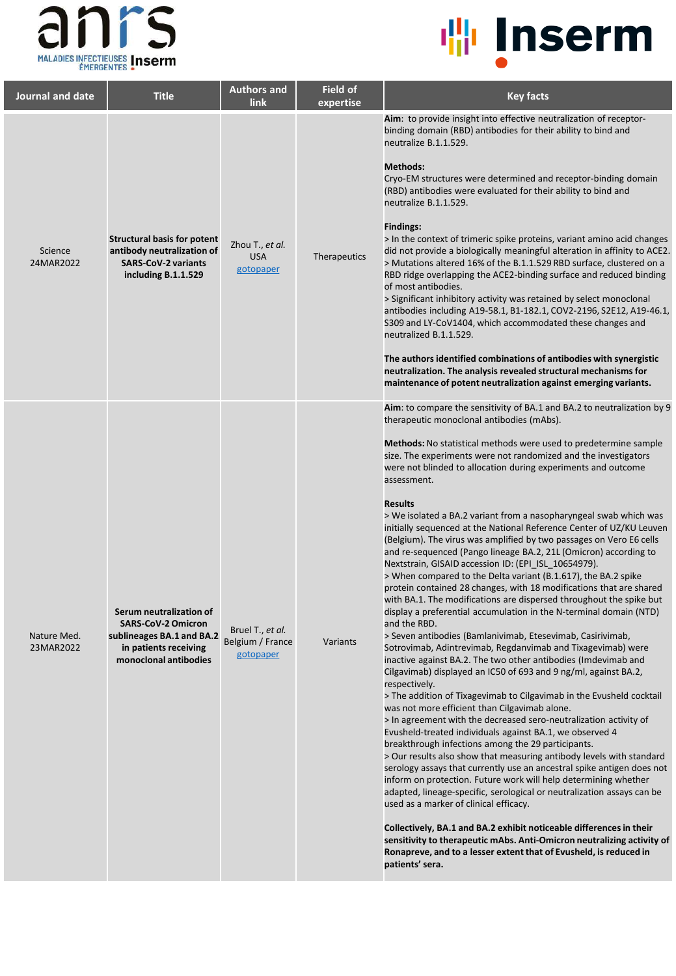

ļ

| Journal and date         | <b>Title</b>                                                                                                                        | <b>Authors and</b><br>link                        | <b>Field of</b><br>expertise | <b>Key facts</b>                                                                                                                                                                                                                                                                                                                                                                                                                                                                                                                                                                                                                                                                                                                                                                                                                                                                                                                                                                                                                                                                                                                                                                                                                                                                                                                                                                                                                                                                                                                                                                                                                                                                                                                                                                                                                                                                                                                                                                                                                                                                                                                                                                                                |
|--------------------------|-------------------------------------------------------------------------------------------------------------------------------------|---------------------------------------------------|------------------------------|-----------------------------------------------------------------------------------------------------------------------------------------------------------------------------------------------------------------------------------------------------------------------------------------------------------------------------------------------------------------------------------------------------------------------------------------------------------------------------------------------------------------------------------------------------------------------------------------------------------------------------------------------------------------------------------------------------------------------------------------------------------------------------------------------------------------------------------------------------------------------------------------------------------------------------------------------------------------------------------------------------------------------------------------------------------------------------------------------------------------------------------------------------------------------------------------------------------------------------------------------------------------------------------------------------------------------------------------------------------------------------------------------------------------------------------------------------------------------------------------------------------------------------------------------------------------------------------------------------------------------------------------------------------------------------------------------------------------------------------------------------------------------------------------------------------------------------------------------------------------------------------------------------------------------------------------------------------------------------------------------------------------------------------------------------------------------------------------------------------------------------------------------------------------------------------------------------------------|
| Science<br>24MAR2022     | <b>Structural basis for potent</b><br>antibody neutralization of<br><b>SARS-CoV-2 variants</b><br>including B.1.1.529               | Zhou T., et al.<br><b>USA</b><br>gotopaper        | Therapeutics                 | Aim: to provide insight into effective neutralization of receptor-<br>binding domain (RBD) antibodies for their ability to bind and<br>neutralize B.1.1.529.<br><b>Methods:</b><br>Cryo-EM structures were determined and receptor-binding domain<br>(RBD) antibodies were evaluated for their ability to bind and<br>neutralize B.1.1.529.<br><b>Findings:</b><br>> In the context of trimeric spike proteins, variant amino acid changes<br>did not provide a biologically meaningful alteration in affinity to ACE2.<br>> Mutations altered 16% of the B.1.1.529 RBD surface, clustered on a<br>RBD ridge overlapping the ACE2-binding surface and reduced binding<br>of most antibodies.<br>> Significant inhibitory activity was retained by select monoclonal<br>antibodies including A19-58.1, B1-182.1, COV2-2196, S2E12, A19-46.1,<br>S309 and LY-CoV1404, which accommodated these changes and<br>neutralized B.1.1.529.<br>The authors identified combinations of antibodies with synergistic<br>neutralization. The analysis revealed structural mechanisms for<br>maintenance of potent neutralization against emerging variants.                                                                                                                                                                                                                                                                                                                                                                                                                                                                                                                                                                                                                                                                                                                                                                                                                                                                                                                                                                                                                                                                  |
| Nature Med.<br>23MAR2022 | Serum neutralization of<br><b>SARS-CoV-2 Omicron</b><br>sublineages BA.1 and BA.2<br>in patients receiving<br>monoclonal antibodies | Bruel T., et al.<br>Belgium / France<br>gotopaper | Variants                     | Aim: to compare the sensitivity of BA.1 and BA.2 to neutralization by 9<br>therapeutic monoclonal antibodies (mAbs).<br><b>Methods:</b> No statistical methods were used to predetermine sample<br>size. The experiments were not randomized and the investigators<br>were not blinded to allocation during experiments and outcome<br>assessment.<br><b>Results</b><br>> We isolated a BA.2 variant from a nasopharyngeal swab which was<br>initially sequenced at the National Reference Center of UZ/KU Leuven<br>(Belgium). The virus was amplified by two passages on Vero E6 cells<br>and re-sequenced (Pango lineage BA.2, 21L (Omicron) according to<br>Nextstrain, GISAID accession ID: (EPI ISL 10654979).<br>> When compared to the Delta variant (B.1.617), the BA.2 spike<br>protein contained 28 changes, with 18 modifications that are shared<br>with BA.1. The modifications are dispersed throughout the spike but<br>display a preferential accumulation in the N-terminal domain (NTD)<br>and the RBD.<br>> Seven antibodies (Bamlanivimab, Etesevimab, Casirivimab,<br>Sotrovimab, Adintrevimab, Regdanvimab and Tixagevimab) were<br>inactive against BA.2. The two other antibodies (Imdevimab and<br>Cilgavimab) displayed an IC50 of 693 and 9 ng/ml, against BA.2,<br>respectively.<br>> The addition of Tixagevimab to Cilgavimab in the Evusheld cocktail<br>was not more efficient than Cilgavimab alone.<br>> In agreement with the decreased sero-neutralization activity of<br>Evusheld-treated individuals against BA.1, we observed 4<br>breakthrough infections among the 29 participants.<br>> Our results also show that measuring antibody levels with standard<br>serology assays that currently use an ancestral spike antigen does not<br>inform on protection. Future work will help determining whether<br>adapted, lineage-specific, serological or neutralization assays can be<br>used as a marker of clinical efficacy.<br>Collectively, BA.1 and BA.2 exhibit noticeable differences in their<br>sensitivity to therapeutic mAbs. Anti-Omicron neutralizing activity of<br>Ronapreve, and to a lesser extent that of Evusheld, is reduced in<br>patients' sera. |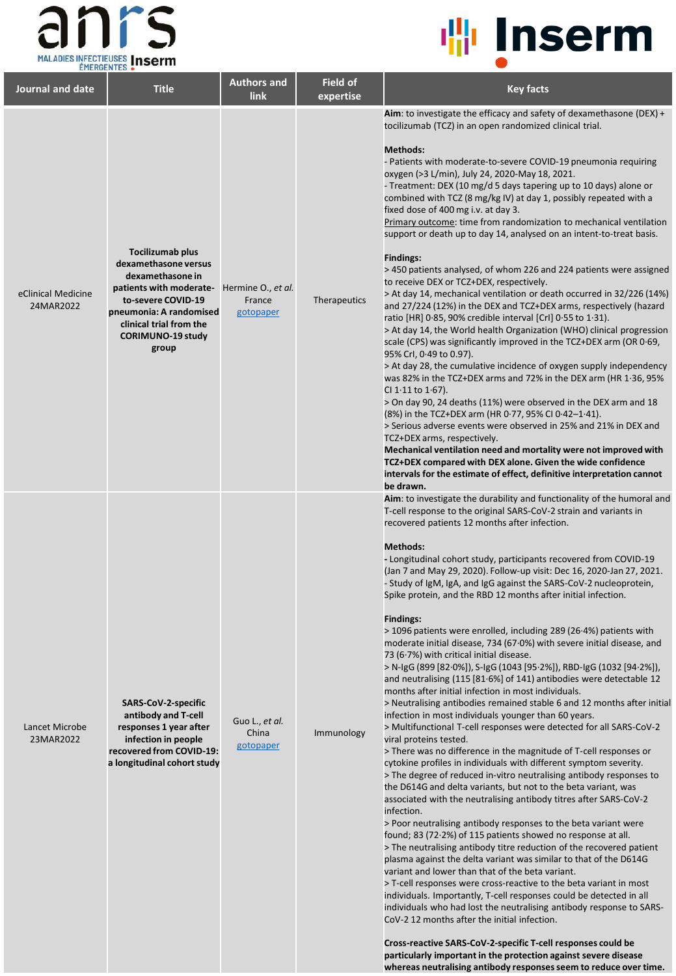|                                 | <b>EMERGENTES</b> .                                                                                                                                                                                                         |                                      |                              |                                                                                                                                                                                                                                                                                                                                                                                                                                                                                                                                                                                                                                                                                                                                                                                                                                                                                                                                                                                                                                                                                                                                                                                                                                                                                                                                                                                                                                                                                                                                                                                                                                                                                                                                                                                                                                                                                                                                                                                                                                                                                                                                                                                                                                                                                                                                                        |
|---------------------------------|-----------------------------------------------------------------------------------------------------------------------------------------------------------------------------------------------------------------------------|--------------------------------------|------------------------------|--------------------------------------------------------------------------------------------------------------------------------------------------------------------------------------------------------------------------------------------------------------------------------------------------------------------------------------------------------------------------------------------------------------------------------------------------------------------------------------------------------------------------------------------------------------------------------------------------------------------------------------------------------------------------------------------------------------------------------------------------------------------------------------------------------------------------------------------------------------------------------------------------------------------------------------------------------------------------------------------------------------------------------------------------------------------------------------------------------------------------------------------------------------------------------------------------------------------------------------------------------------------------------------------------------------------------------------------------------------------------------------------------------------------------------------------------------------------------------------------------------------------------------------------------------------------------------------------------------------------------------------------------------------------------------------------------------------------------------------------------------------------------------------------------------------------------------------------------------------------------------------------------------------------------------------------------------------------------------------------------------------------------------------------------------------------------------------------------------------------------------------------------------------------------------------------------------------------------------------------------------------------------------------------------------------------------------------------------------|
| Journal and date                | <b>Title</b>                                                                                                                                                                                                                | <b>Authors and</b><br>link           | <b>Field of</b><br>expertise | <b>Key facts</b>                                                                                                                                                                                                                                                                                                                                                                                                                                                                                                                                                                                                                                                                                                                                                                                                                                                                                                                                                                                                                                                                                                                                                                                                                                                                                                                                                                                                                                                                                                                                                                                                                                                                                                                                                                                                                                                                                                                                                                                                                                                                                                                                                                                                                                                                                                                                       |
| eClinical Medicine<br>24MAR2022 | Tocilizumab plus<br>dexamethasone versus<br>dexamethasone in<br>patients with moderate- Hermine O., et al.<br>to-severe COVID-19<br>pneumonia: A randomised<br>clinical trial from the<br><b>CORIMUNO-19 study</b><br>group | France<br>gotopaper                  | Therapeutics                 | Aim: to investigate the efficacy and safety of dexamethasone (DEX) +<br>tocilizumab (TCZ) in an open randomized clinical trial.<br><b>Methods:</b><br>- Patients with moderate-to-severe COVID-19 pneumonia requiring<br>oxygen (>3 L/min), July 24, 2020-May 18, 2021.<br>- Treatment: DEX (10 mg/d 5 days tapering up to 10 days) alone or<br>combined with TCZ (8 mg/kg IV) at day 1, possibly repeated with a<br>fixed dose of 400 mg i.v. at day 3.<br>Primary outcome: time from randomization to mechanical ventilation<br>support or death up to day 14, analysed on an intent-to-treat basis.<br><b>Findings:</b><br>> 450 patients analysed, of whom 226 and 224 patients were assigned<br>to receive DEX or TCZ+DEX, respectively.<br>> At day 14, mechanical ventilation or death occurred in 32/226 (14%)<br>and 27/224 (12%) in the DEX and TCZ+DEX arms, respectively (hazard<br>ratio [HR] $0.85$ , 90% credible interval [CrI] $0.55$ to $1.31$ ).<br>> At day 14, the World health Organization (WHO) clinical progression<br>scale (CPS) was significantly improved in the TCZ+DEX arm (OR 0.69,<br>95% CrI, 0.49 to 0.97).<br>> At day 28, the cumulative incidence of oxygen supply independency<br>was 82% in the TCZ+DEX arms and 72% in the DEX arm (HR 1.36, 95%<br>CI 1.11 to 1.67).<br>> On day 90, 24 deaths (11%) were observed in the DEX arm and 18<br>(8%) in the TCZ+DEX arm (HR 0.77, 95% CI 0.42-1.41).<br>> Serious adverse events were observed in 25% and 21% in DEX and<br>TCZ+DEX arms, respectively.<br>Mechanical ventilation need and mortality were not improved with<br>TCZ+DEX compared with DEX alone. Given the wide confidence<br>intervals for the estimate of effect, definitive interpretation cannot<br>be drawn.                                                                                                                                                                                                                                                                                                                                                                                                                                                                                                                                                                                 |
| Lancet Microbe<br>23MAR2022     | SARS-CoV-2-specific<br>antibody and T-cell<br>responses 1 year after<br>infection in people<br>recovered from COVID-19:<br>a longitudinal cohort study                                                                      | Guo L., et al.<br>China<br>gotopaper | Immunology                   | Aim: to investigate the durability and functionality of the humoral and<br>T-cell response to the original SARS-CoV-2 strain and variants in<br>recovered patients 12 months after infection.<br><b>Methods:</b><br>- Longitudinal cohort study, participants recovered from COVID-19<br>(Jan 7 and May 29, 2020). Follow-up visit: Dec 16, 2020-Jan 27, 2021.<br>- Study of IgM, IgA, and IgG against the SARS-CoV-2 nucleoprotein,<br>Spike protein, and the RBD 12 months after initial infection.<br><b>Findings:</b><br>> 1096 patients were enrolled, including 289 (26.4%) patients with<br>moderate initial disease, 734 (67.0%) with severe initial disease, and<br>73 (6.7%) with critical initial disease.<br>> N-IgG (899 [82·0%]), S-IgG (1043 [95·2%]), RBD-IgG (1032 [94·2%]),<br>and neutralising (115 [81.6%] of 141) antibodies were detectable 12<br>months after initial infection in most individuals.<br>> Neutralising antibodies remained stable 6 and 12 months after initial<br>infection in most individuals younger than 60 years.<br>> Multifunctional T-cell responses were detected for all SARS-CoV-2<br>viral proteins tested.<br>> There was no difference in the magnitude of T-cell responses or<br>cytokine profiles in individuals with different symptom severity.<br>> The degree of reduced in-vitro neutralising antibody responses to<br>the D614G and delta variants, but not to the beta variant, was<br>associated with the neutralising antibody titres after SARS-CoV-2<br>infection.<br>> Poor neutralising antibody responses to the beta variant were<br>found; 83 (72.2%) of 115 patients showed no response at all.<br>> The neutralising antibody titre reduction of the recovered patient<br>plasma against the delta variant was similar to that of the D614G<br>variant and lower than that of the beta variant.<br>> T-cell responses were cross-reactive to the beta variant in most<br>individuals. Importantly, T-cell responses could be detected in all<br>individuals who had lost the neutralising antibody response to SARS-<br>CoV-2 12 months after the initial infection.<br>Cross-reactive SARS-CoV-2-specific T-cell responses could be<br>particularly important in the protection against severe disease<br>whereas neutralising antibody responses seem to reduce over time. |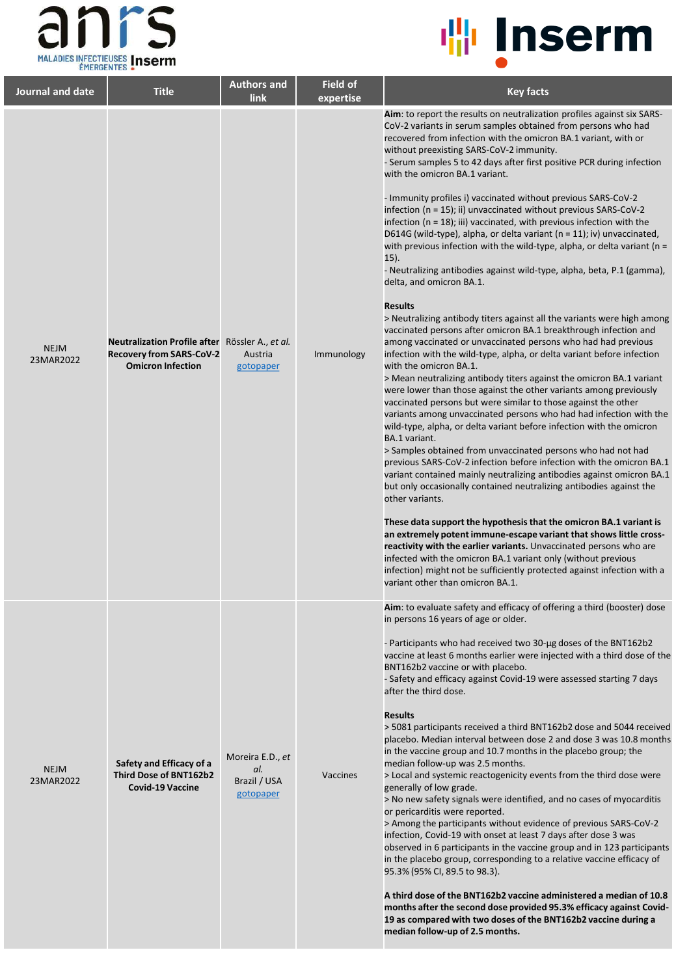I

| Journal and date         | <b>Title</b>                                                                                                   | <b>Authors and</b><br>link                           | <b>Field of</b><br>expertise | <b>Key facts</b>                                                                                                                                                                                                                                                                                                                                                                                                                                                                                                                                                                                                                                                                                                                                                                                                                                                                                                                                                                                                                                                                                                                                                                                                                                                                                                                                                                                                                                                                                                                                                                                                                                                                                                                                                                                                                                                                                                                                                                                                                                                                                                                                                                                                                                                                              |
|--------------------------|----------------------------------------------------------------------------------------------------------------|------------------------------------------------------|------------------------------|-----------------------------------------------------------------------------------------------------------------------------------------------------------------------------------------------------------------------------------------------------------------------------------------------------------------------------------------------------------------------------------------------------------------------------------------------------------------------------------------------------------------------------------------------------------------------------------------------------------------------------------------------------------------------------------------------------------------------------------------------------------------------------------------------------------------------------------------------------------------------------------------------------------------------------------------------------------------------------------------------------------------------------------------------------------------------------------------------------------------------------------------------------------------------------------------------------------------------------------------------------------------------------------------------------------------------------------------------------------------------------------------------------------------------------------------------------------------------------------------------------------------------------------------------------------------------------------------------------------------------------------------------------------------------------------------------------------------------------------------------------------------------------------------------------------------------------------------------------------------------------------------------------------------------------------------------------------------------------------------------------------------------------------------------------------------------------------------------------------------------------------------------------------------------------------------------------------------------------------------------------------------------------------------------|
| <b>NEJM</b><br>23MAR2022 | Neutralization Profile after Rössler A., et al.<br><b>Recovery from SARS-CoV-2</b><br><b>Omicron Infection</b> | Austria<br>gotopaper                                 | Immunology                   | Aim: to report the results on neutralization profiles against six SARS-<br>CoV-2 variants in serum samples obtained from persons who had<br>recovered from infection with the omicron BA.1 variant, with or<br>without preexisting SARS-CoV-2 immunity.<br>- Serum samples 5 to 42 days after first positive PCR during infection<br>with the omicron BA.1 variant.<br>- Immunity profiles i) vaccinated without previous SARS-CoV-2<br>infection (n = 15); ii) unvaccinated without previous SARS-CoV-2<br>infection ( $n = 18$ ); iii) vaccinated, with previous infection with the<br>D614G (wild-type), alpha, or delta variant (n = 11); iv) unvaccinated,<br>with previous infection with the wild-type, alpha, or delta variant ( $n =$<br>15).<br>- Neutralizing antibodies against wild-type, alpha, beta, P.1 (gamma),<br>delta, and omicron BA.1.<br><b>Results</b><br>> Neutralizing antibody titers against all the variants were high among<br>vaccinated persons after omicron BA.1 breakthrough infection and<br>among vaccinated or unvaccinated persons who had had previous<br>infection with the wild-type, alpha, or delta variant before infection<br>with the omicron BA.1.<br>> Mean neutralizing antibody titers against the omicron BA.1 variant<br>were lower than those against the other variants among previously<br>vaccinated persons but were similar to those against the other<br>variants among unvaccinated persons who had had infection with the<br>wild-type, alpha, or delta variant before infection with the omicron<br>BA.1 variant.<br>> Samples obtained from unvaccinated persons who had not had<br>previous SARS-CoV-2 infection before infection with the omicron BA.1<br>variant contained mainly neutralizing antibodies against omicron BA.1<br>but only occasionally contained neutralizing antibodies against the<br>other variants.<br>These data support the hypothesis that the omicron BA.1 variant is<br>an extremely potent immune-escape variant that shows little cross-<br>reactivity with the earlier variants. Unvaccinated persons who are<br>infected with the omicron BA.1 variant only (without previous<br>infection) might not be sufficiently protected against infection with a<br>variant other than omicron BA.1. |
| <b>NEJM</b><br>23MAR2022 | Safety and Efficacy of a<br>Third Dose of BNT162b2<br><b>Covid-19 Vaccine</b>                                  | Moreira E.D., et<br>al.<br>Brazil / USA<br>gotopaper | Vaccines                     | Aim: to evaluate safety and efficacy of offering a third (booster) dose<br>in persons 16 years of age or older.<br>- Participants who had received two 30-µg doses of the BNT162b2<br>vaccine at least 6 months earlier were injected with a third dose of the<br>BNT162b2 vaccine or with placebo.<br>- Safety and efficacy against Covid-19 were assessed starting 7 days<br>after the third dose.<br><b>Results</b><br>> 5081 participants received a third BNT162b2 dose and 5044 received<br>placebo. Median interval between dose 2 and dose 3 was 10.8 months<br>in the vaccine group and 10.7 months in the placebo group; the<br>median follow-up was 2.5 months.<br>> Local and systemic reactogenicity events from the third dose were<br>generally of low grade.<br>> No new safety signals were identified, and no cases of myocarditis<br>or pericarditis were reported.<br>> Among the participants without evidence of previous SARS-CoV-2<br>infection, Covid-19 with onset at least 7 days after dose 3 was<br>observed in 6 participants in the vaccine group and in 123 participants<br>in the placebo group, corresponding to a relative vaccine efficacy of<br>95.3% (95% CI, 89.5 to 98.3).<br>A third dose of the BNT162b2 vaccine administered a median of 10.8<br>months after the second dose provided 95.3% efficacy against Covid-<br>19 as compared with two doses of the BNT162b2 vaccine during a<br>median follow-up of 2.5 months.                                                                                                                                                                                                                                                                                                                                                                                                                                                                                                                                                                                                                                                                                                                                                                                                                          |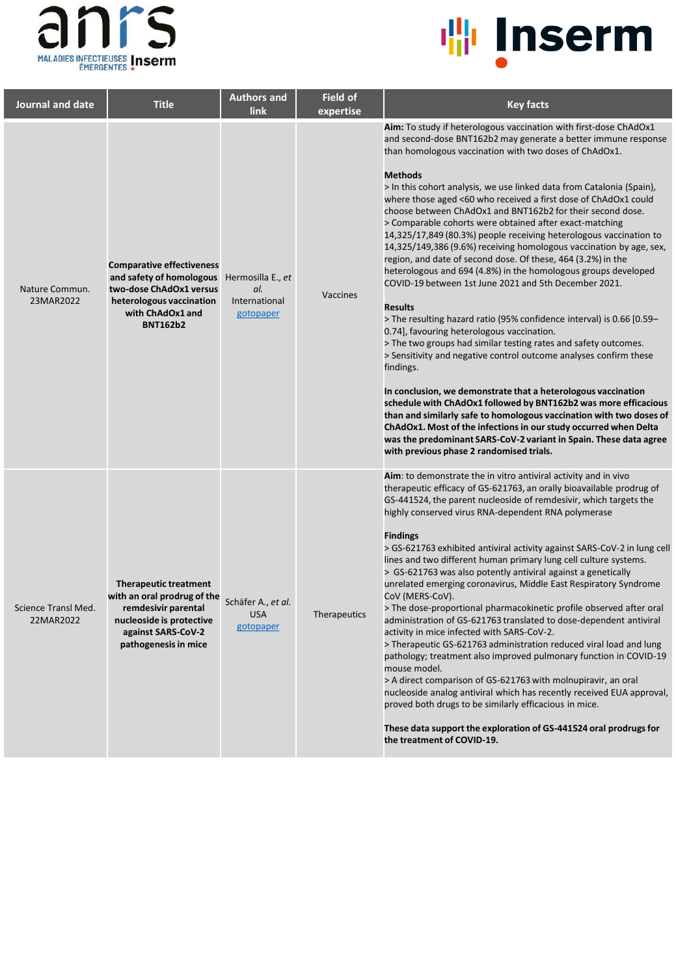



| Journal and date                 | <b>Title</b>                                                                                                                                                 | <b>Authors and</b><br>link                             | <b>Field of</b><br>expertise | <b>Key facts</b>                                                                                                                                                                                                                                                                                                                                                                                                                                                                                                                                                                                                                                                                                                                                                                                                                                                                                                                                                                                                                                                                                                                                                                                                                                                                                                                                                                                                                                                                                                           |
|----------------------------------|--------------------------------------------------------------------------------------------------------------------------------------------------------------|--------------------------------------------------------|------------------------------|----------------------------------------------------------------------------------------------------------------------------------------------------------------------------------------------------------------------------------------------------------------------------------------------------------------------------------------------------------------------------------------------------------------------------------------------------------------------------------------------------------------------------------------------------------------------------------------------------------------------------------------------------------------------------------------------------------------------------------------------------------------------------------------------------------------------------------------------------------------------------------------------------------------------------------------------------------------------------------------------------------------------------------------------------------------------------------------------------------------------------------------------------------------------------------------------------------------------------------------------------------------------------------------------------------------------------------------------------------------------------------------------------------------------------------------------------------------------------------------------------------------------------|
| Nature Commun.<br>23MAR2022      | <b>Comparative effectiveness</b><br>and safety of homologous<br>two-dose ChAdOx1 versus<br>heterologous vaccination<br>with ChAdOx1 and<br><b>BNT162b2</b>   | Hermosilla E., et<br>al.<br>International<br>gotopaper | Vaccines                     | Aim: To study if heterologous vaccination with first-dose ChAdOx1<br>and second-dose BNT162b2 may generate a better immune response<br>than homologous vaccination with two doses of ChAdOx1.<br><b>Methods</b><br>> In this cohort analysis, we use linked data from Catalonia (Spain),<br>where those aged <60 who received a first dose of ChAdOx1 could<br>choose between ChAdOx1 and BNT162b2 for their second dose.<br>> Comparable cohorts were obtained after exact-matching<br>14,325/17,849 (80.3%) people receiving heterologous vaccination to<br>14,325/149,386 (9.6%) receiving homologous vaccination by age, sex,<br>region, and date of second dose. Of these, 464 (3.2%) in the<br>heterologous and 694 (4.8%) in the homologous groups developed<br>COVID-19 between 1st June 2021 and 5th December 2021.<br><b>Results</b><br>> The resulting hazard ratio (95% confidence interval) is 0.66 [0.59–<br>0.74], favouring heterologous vaccination.<br>> The two groups had similar testing rates and safety outcomes.<br>> Sensitivity and negative control outcome analyses confirm these<br>findings.<br>In conclusion, we demonstrate that a heterologous vaccination<br>schedule with ChAdOx1 followed by BNT162b2 was more efficacious<br>than and similarly safe to homologous vaccination with two doses of<br>ChAdOx1. Most of the infections in our study occurred when Delta<br>was the predominant SARS-CoV-2 variant in Spain. These data agree<br>with previous phase 2 randomised trials. |
| Science Transl Med.<br>22MAR2022 | <b>Therapeutic treatment</b><br>with an oral prodrug of the<br>remdesivir parental<br>nucleoside is protective<br>against SARS-CoV-2<br>pathogenesis in mice | Schäfer A., et al.<br><b>USA</b><br>gotopaper          | Therapeutics                 | Aim: to demonstrate the in vitro antiviral activity and in vivo<br>therapeutic efficacy of GS-621763, an orally bioavailable prodrug of<br>GS-441524, the parent nucleoside of remdesivir, which targets the<br>highly conserved virus RNA-dependent RNA polymerase<br><b>Findings</b><br>> GS-621763 exhibited antiviral activity against SARS-CoV-2 in lung cell<br>lines and two different human primary lung cell culture systems.<br>> GS-621763 was also potently antiviral against a genetically<br>unrelated emerging coronavirus, Middle East Respiratory Syndrome<br>CoV (MERS-CoV).<br>> The dose-proportional pharmacokinetic profile observed after oral<br>administration of GS-621763 translated to dose-dependent antiviral<br>activity in mice infected with SARS-CoV-2.<br>> Therapeutic GS-621763 administration reduced viral load and lung<br>pathology; treatment also improved pulmonary function in COVID-19<br>mouse model.<br>> A direct comparison of GS-621763 with molnupiravir, an oral<br>nucleoside analog antiviral which has recently received EUA approval,<br>proved both drugs to be similarly efficacious in mice.<br>These data support the exploration of GS-441524 oral prodrugs for<br>the treatment of COVID-19.                                                                                                                                                                                                                                                                |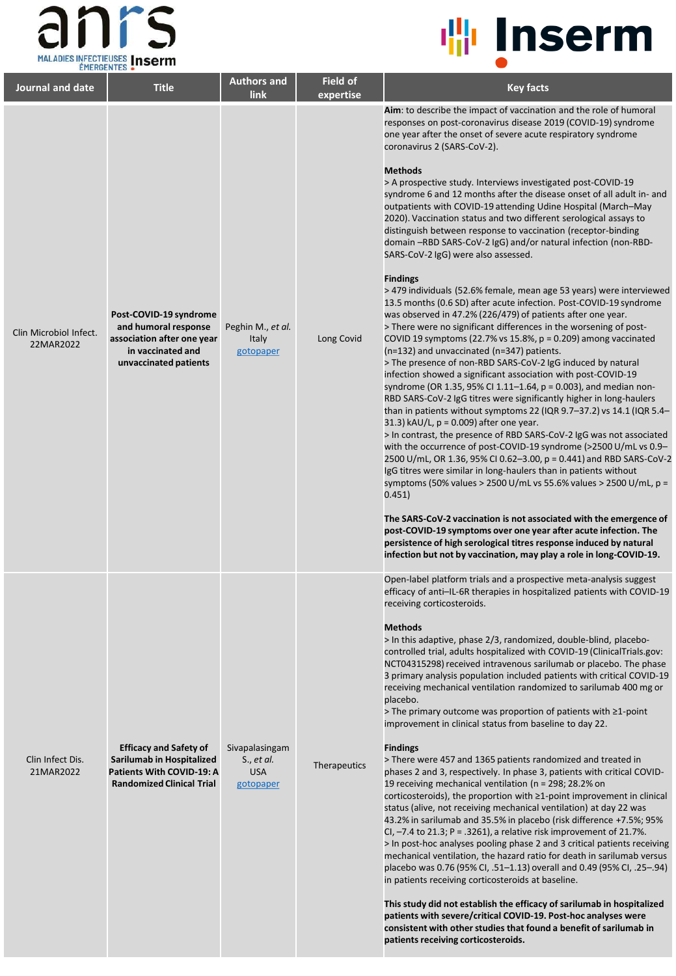| Journal and date                    | EFIERVENTES O<br><b>Title</b>                                                                                               | <b>Authors and</b><br>link                              | <b>Field of</b><br>expertise | <b>Key facts</b>                                                                                                                                                                                                                                                                                                                                                                                                                                                                                                                                                                                                                                                                                                                                                                                                                                                                                                                                                                                                                                                                                                                                                                                                                                                                                                                                                                                                                                                                                                                                                                                                                                                                                                                                                                                                                                                                                                                                                                                                                                                                                                                                                                                               |
|-------------------------------------|-----------------------------------------------------------------------------------------------------------------------------|---------------------------------------------------------|------------------------------|----------------------------------------------------------------------------------------------------------------------------------------------------------------------------------------------------------------------------------------------------------------------------------------------------------------------------------------------------------------------------------------------------------------------------------------------------------------------------------------------------------------------------------------------------------------------------------------------------------------------------------------------------------------------------------------------------------------------------------------------------------------------------------------------------------------------------------------------------------------------------------------------------------------------------------------------------------------------------------------------------------------------------------------------------------------------------------------------------------------------------------------------------------------------------------------------------------------------------------------------------------------------------------------------------------------------------------------------------------------------------------------------------------------------------------------------------------------------------------------------------------------------------------------------------------------------------------------------------------------------------------------------------------------------------------------------------------------------------------------------------------------------------------------------------------------------------------------------------------------------------------------------------------------------------------------------------------------------------------------------------------------------------------------------------------------------------------------------------------------------------------------------------------------------------------------------------------------|
| Clin Microbiol Infect.<br>22MAR2022 | Post-COVID-19 syndrome<br>and humoral response<br>association after one year<br>in vaccinated and<br>unvaccinated patients  | Peghin M., et al.<br><b>Italy</b><br>gotopaper          | Long Covid                   | Aim: to describe the impact of vaccination and the role of humoral<br>responses on post-coronavirus disease 2019 (COVID-19) syndrome<br>one year after the onset of severe acute respiratory syndrome<br>coronavirus 2 (SARS-CoV-2).<br><b>Methods</b><br>> A prospective study. Interviews investigated post-COVID-19<br>syndrome 6 and 12 months after the disease onset of all adult in- and<br>outpatients with COVID-19 attending Udine Hospital (March-May<br>2020). Vaccination status and two different serological assays to<br>distinguish between response to vaccination (receptor-binding<br>domain -RBD SARS-CoV-2 IgG) and/or natural infection (non-RBD-<br>SARS-CoV-2 IgG) were also assessed.<br><b>Findings</b><br>> 479 individuals (52.6% female, mean age 53 years) were interviewed<br>13.5 months (0.6 SD) after acute infection. Post-COVID-19 syndrome<br>was observed in 47.2% (226/479) of patients after one year.<br>> There were no significant differences in the worsening of post-<br>COVID 19 symptoms (22.7% vs 15.8%, $p = 0.209$ ) among vaccinated<br>(n=132) and unvaccinated (n=347) patients.<br>> The presence of non-RBD SARS-CoV-2 IgG induced by natural<br>infection showed a significant association with post-COVID-19<br>syndrome (OR 1.35, 95% CI 1.11–1.64, $p = 0.003$ ), and median non-<br>RBD SARS-CoV-2 IgG titres were significantly higher in long-haulers<br>than in patients without symptoms 22 (IQR $9.7-37.2$ ) vs 14.1 (IQR $5.4-$<br>31.3) kAU/L, $p = 0.009$ ) after one year.<br>> In contrast, the presence of RBD SARS-CoV-2 IgG was not associated<br>with the occurrence of post-COVID-19 syndrome (>2500 U/mL vs 0.9–<br>2500 U/mL, OR 1.36, 95% CI 0.62-3.00, p = 0.441) and RBD SARS-CoV-2<br>IgG titres were similar in long-haulers than in patients without<br>symptoms (50% values > 2500 U/mL vs 55.6% values > 2500 U/mL, p =<br>0.451)<br>The SARS-CoV-2 vaccination is not associated with the emergence of<br>post-COVID-19 symptoms over one year after acute infection. The<br>persistence of high serological titres response induced by natural<br>infection but not by vaccination, may play a role in long-COVID-19. |
| Clin Infect Dis.<br>21MAR2022       | <b>Efficacy and Safety of</b><br>Sarilumab in Hospitalized<br>Patients With COVID-19: A<br><b>Randomized Clinical Trial</b> | Sivapalasingam<br>S., et al.<br><b>USA</b><br>gotopaper | Therapeutics                 | Open-label platform trials and a prospective meta-analysis suggest<br>efficacy of anti-IL-6R therapies in hospitalized patients with COVID-19<br>receiving corticosteroids.<br>Methods<br>> In this adaptive, phase 2/3, randomized, double-blind, placebo-<br>controlled trial, adults hospitalized with COVID-19 (ClinicalTrials.gov:<br>NCT04315298) received intravenous sarilumab or placebo. The phase<br>3 primary analysis population included patients with critical COVID-19<br>receiving mechanical ventilation randomized to sarilumab 400 mg or<br>placebo.<br>> The primary outcome was proportion of patients with ≥1-point<br>improvement in clinical status from baseline to day 22.<br><b>Findings</b><br>> There were 457 and 1365 patients randomized and treated in<br>phases 2 and 3, respectively. In phase 3, patients with critical COVID-<br>19 receiving mechanical ventilation (n = 298; 28.2% on<br>corticosteroids), the proportion with ≥1-point improvement in clinical<br>status (alive, not receiving mechanical ventilation) at day 22 was<br>43.2% in sarilumab and 35.5% in placebo (risk difference +7.5%; 95%<br>CI, $-7.4$ to 21.3; P = .3261), a relative risk improvement of 21.7%.<br>> In post-hoc analyses pooling phase 2 and 3 critical patients receiving<br>mechanical ventilation, the hazard ratio for death in sarilumab versus<br>placebo was 0.76 (95% CI, .51-1.13) overall and 0.49 (95% CI, .25-.94)<br>in patients receiving corticosteroids at baseline.<br>This study did not establish the efficacy of sarilumab in hospitalized<br>patients with severe/critical COVID-19. Post-hoc analyses were<br>consistent with other studies that found a benefit of sarilumab in<br>patients receiving corticosteroids.                                                                                                                                                                                                                                                                                                                                                                                                                                   |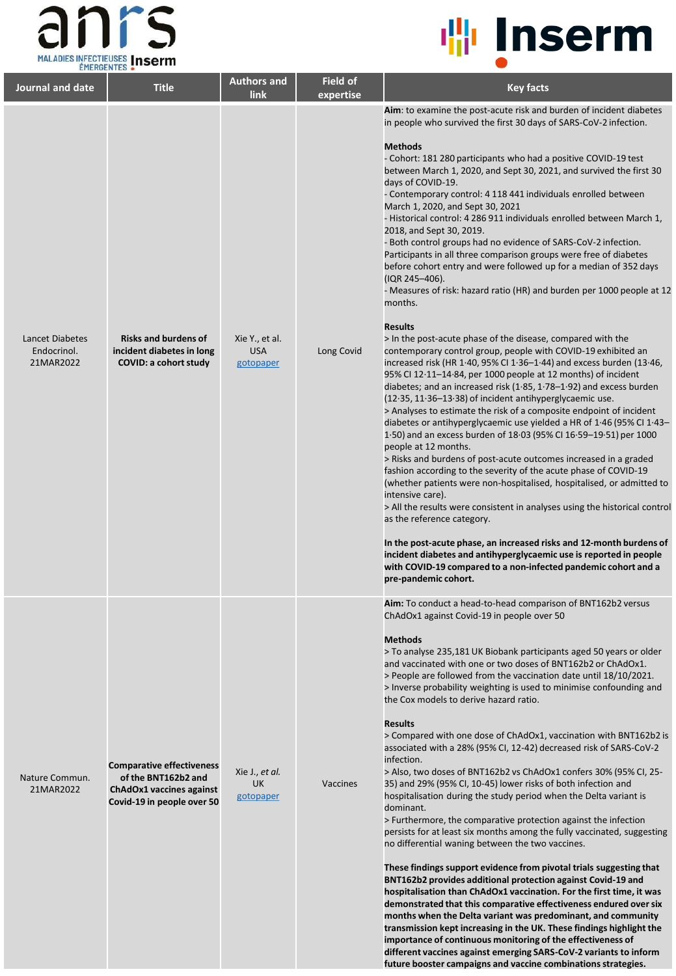|                                             | <b>EMERGENTES</b> .                                                                                               |                                           |                              |                                                                                                                                                                                                                                                                                                                                                                                                                                                                                                                                                                                                                                                                                                                                                                                                                                                                                                                                                                                                                                                                                                                                                                                                                                                                                                                                                                                                                                                                                                                                                                                                                                                                                                                                                                                                                                                                                                                                                                                                                                                                                                                                            |
|---------------------------------------------|-------------------------------------------------------------------------------------------------------------------|-------------------------------------------|------------------------------|--------------------------------------------------------------------------------------------------------------------------------------------------------------------------------------------------------------------------------------------------------------------------------------------------------------------------------------------------------------------------------------------------------------------------------------------------------------------------------------------------------------------------------------------------------------------------------------------------------------------------------------------------------------------------------------------------------------------------------------------------------------------------------------------------------------------------------------------------------------------------------------------------------------------------------------------------------------------------------------------------------------------------------------------------------------------------------------------------------------------------------------------------------------------------------------------------------------------------------------------------------------------------------------------------------------------------------------------------------------------------------------------------------------------------------------------------------------------------------------------------------------------------------------------------------------------------------------------------------------------------------------------------------------------------------------------------------------------------------------------------------------------------------------------------------------------------------------------------------------------------------------------------------------------------------------------------------------------------------------------------------------------------------------------------------------------------------------------------------------------------------------------|
| Journal and date                            | <b>Title</b>                                                                                                      | <b>Authors and</b><br>link                | <b>Field of</b><br>expertise | <b>Key facts</b>                                                                                                                                                                                                                                                                                                                                                                                                                                                                                                                                                                                                                                                                                                                                                                                                                                                                                                                                                                                                                                                                                                                                                                                                                                                                                                                                                                                                                                                                                                                                                                                                                                                                                                                                                                                                                                                                                                                                                                                                                                                                                                                           |
| Lancet Diabetes<br>Endocrinol.<br>21MAR2022 | <b>Risks and burdens of</b><br>incident diabetes in long<br>COVID: a cohort study                                 | Xie Y., et al.<br><b>USA</b><br>gotopaper | Long Covid                   | Aim: to examine the post-acute risk and burden of incident diabetes<br>in people who survived the first 30 days of SARS-CoV-2 infection.<br><b>Methods</b><br>- Cohort: 181 280 participants who had a positive COVID-19 test<br>between March 1, 2020, and Sept 30, 2021, and survived the first 30<br>days of COVID-19.<br>- Contemporary control: 4 118 441 individuals enrolled between<br>March 1, 2020, and Sept 30, 2021<br>- Historical control: 4 286 911 individuals enrolled between March 1,<br>2018, and Sept 30, 2019.<br>- Both control groups had no evidence of SARS-CoV-2 infection.<br>Participants in all three comparison groups were free of diabetes<br>before cohort entry and were followed up for a median of 352 days<br>(IQR 245-406).<br>- Measures of risk: hazard ratio (HR) and burden per 1000 people at 12<br>months.<br><b>Results</b><br>> In the post-acute phase of the disease, compared with the<br>contemporary control group, people with COVID-19 exhibited an<br>increased risk (HR 1.40, 95% CI 1.36-1.44) and excess burden (13.46,<br>95% CI 12 $\cdot$ 11–14 $\cdot$ 84, per 1000 people at 12 months) of incident<br>diabetes; and an increased risk (1.85, 1.78-1.92) and excess burden<br>(12.35, 11.36-13.38) of incident antihyperglycaemic use.<br>> Analyses to estimate the risk of a composite endpoint of incident<br>diabetes or antihyperglycaemic use yielded a HR of 1.46 (95% CI 1.43-<br>1.50) and an excess burden of 18.03 (95% CI 16.59-19.51) per 1000<br>people at 12 months.<br>> Risks and burdens of post-acute outcomes increased in a graded<br>fashion according to the severity of the acute phase of COVID-19<br>(whether patients were non-hospitalised, hospitalised, or admitted to<br>intensive care).<br>> All the results were consistent in analyses using the historical control<br>as the reference category.<br>In the post-acute phase, an increased risks and 12-month burdens of<br>incident diabetes and antihyperglycaemic use is reported in people<br>with COVID-19 compared to a non-infected pandemic cohort and a<br>pre-pandemic cohort. |
| Nature Commun.<br>21MAR2022                 | <b>Comparative effectiveness</b><br>of the BNT162b2 and<br>ChAdOx1 vaccines against<br>Covid-19 in people over 50 | Xie J., et al.<br><b>UK</b><br>gotopaper  | Vaccines                     | Aim: To conduct a head-to-head comparison of BNT162b2 versus<br>ChAdOx1 against Covid-19 in people over 50<br><b>Methods</b><br>> To analyse 235,181 UK Biobank participants aged 50 years or older<br>and vaccinated with one or two doses of BNT162b2 or ChAdOx1.<br>> People are followed from the vaccination date until 18/10/2021.<br>> Inverse probability weighting is used to minimise confounding and<br>the Cox models to derive hazard ratio.<br><b>Results</b><br>> Compared with one dose of ChAdOx1, vaccination with BNT162b2 is<br>associated with a 28% (95% CI, 12-42) decreased risk of SARS-CoV-2<br>infection.<br>> Also, two doses of BNT162b2 vs ChAdOx1 confers 30% (95% CI, 25-<br>35) and 29% (95% CI, 10-45) lower risks of both infection and<br>hospitalisation during the study period when the Delta variant is<br>dominant.<br>> Furthermore, the comparative protection against the infection<br>persists for at least six months among the fully vaccinated, suggesting<br>no differential waning between the two vaccines.<br>These findings support evidence from pivotal trials suggesting that<br>BNT162b2 provides additional protection against Covid-19 and<br>hospitalisation than ChAdOx1 vaccination. For the first time, it was<br>demonstrated that this comparative effectiveness endured over six<br>months when the Delta variant was predominant, and community<br>transmission kept increasing in the UK. These findings highlight the<br>importance of continuous monitoring of the effectiveness of<br>different vaccines against emerging SARS-CoV-2 variants to inform<br>future booster campaigns and vaccine combinations strategies.                                                                                                                                                                                                                                                                                                                                                                                                                                            |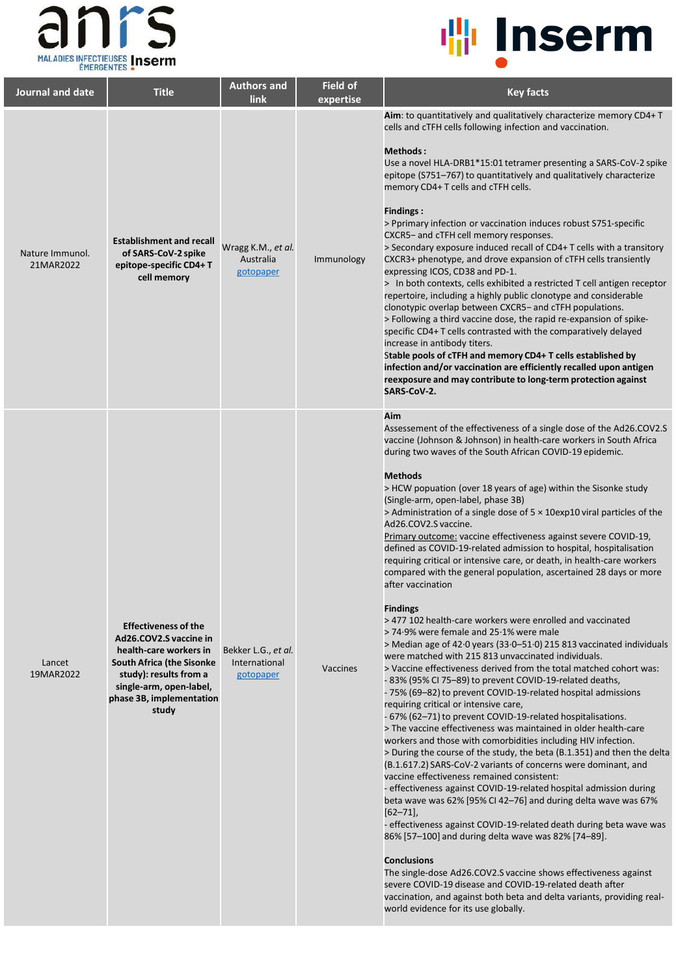| Journal and date             | <b>Title</b>                                                                                                                                                                                                  | <b>Authors and</b><br>link                        | <b>Field of</b><br>expertise | <b>Key facts</b>                                                                                                                                                                                                                                                                                                                                                                                                                                                                                                                                                                                                                                                                                                                                                                                                                                                                                                                                                                                                                                                                                                                                                                                                                                                                                                                                                                                                                                                                                                                                                                                                                                                                                                                                                                                                                                                                                                                                                                                                                                                                                                                                                                  |
|------------------------------|---------------------------------------------------------------------------------------------------------------------------------------------------------------------------------------------------------------|---------------------------------------------------|------------------------------|-----------------------------------------------------------------------------------------------------------------------------------------------------------------------------------------------------------------------------------------------------------------------------------------------------------------------------------------------------------------------------------------------------------------------------------------------------------------------------------------------------------------------------------------------------------------------------------------------------------------------------------------------------------------------------------------------------------------------------------------------------------------------------------------------------------------------------------------------------------------------------------------------------------------------------------------------------------------------------------------------------------------------------------------------------------------------------------------------------------------------------------------------------------------------------------------------------------------------------------------------------------------------------------------------------------------------------------------------------------------------------------------------------------------------------------------------------------------------------------------------------------------------------------------------------------------------------------------------------------------------------------------------------------------------------------------------------------------------------------------------------------------------------------------------------------------------------------------------------------------------------------------------------------------------------------------------------------------------------------------------------------------------------------------------------------------------------------------------------------------------------------------------------------------------------------|
| Nature Immunol.<br>21MAR2022 | <b>Establishment and recall</b><br>of SARS-CoV-2 spike<br>epitope-specific CD4+T<br>cell memory                                                                                                               | Wragg K.M., et al.<br>Australia<br>gotopaper      | Immunology                   | Aim: to quantitatively and qualitatively characterize memory CD4+ T<br>cells and cTFH cells following infection and vaccination.<br><b>Methods:</b><br>Use a novel HLA-DRB1*15:01 tetramer presenting a SARS-CoV-2 spike<br>epitope (S751–767) to quantitatively and qualitatively characterize<br>memory CD4+ T cells and cTFH cells.<br><b>Findings:</b><br>> Pprimary infection or vaccination induces robust S751-specific<br>CXCR5- and cTFH cell memory responses.<br>> Secondary exposure induced recall of CD4+ T cells with a transitory<br>CXCR3+ phenotype, and drove expansion of cTFH cells transiently<br>expressing ICOS, CD38 and PD-1.<br>> In both contexts, cells exhibited a restricted T cell antigen receptor<br>repertoire, including a highly public clonotype and considerable<br>clonotypic overlap between CXCR5- and cTFH populations.<br>> Following a third vaccine dose, the rapid re-expansion of spike-<br>specific CD4+T cells contrasted with the comparatively delayed<br>increase in antibody titers.<br>Stable pools of cTFH and memory CD4+ T cells established by<br>infection and/or vaccination are efficiently recalled upon antigen<br>reexposure and may contribute to long-term protection against<br>SARS-CoV-2.                                                                                                                                                                                                                                                                                                                                                                                                                                                                                                                                                                                                                                                                                                                                                                                                                                                                                                                   |
| Lancet<br>19MAR2022          | <b>Effectiveness of the</b><br>Ad26.COV2.S vaccine in<br>health-care workers in<br><b>South Africa (the Sisonke</b><br>study): results from a<br>single-arm, open-label,<br>phase 3B, implementation<br>study | Bekker L.G., et al.<br>International<br>gotopaper | Vaccines                     | Aim<br>Assessement of the effectiveness of a single dose of the Ad26.COV2.S<br>vaccine (Johnson & Johnson) in health-care workers in South Africa<br>during two waves of the South African COVID-19 epidemic.<br><b>Methods</b><br>> HCW popuation (over 18 years of age) within the Sisonke study<br>(Single-arm, open-label, phase 3B)<br>> Administration of a single dose of 5 × 10exp10 viral particles of the<br>Ad26.COV2.S vaccine.<br>Primary outcome: vaccine effectiveness against severe COVID-19,<br>defined as COVID-19-related admission to hospital, hospitalisation<br>requiring critical or intensive care, or death, in health-care workers<br>compared with the general population, ascertained 28 days or more<br>after vaccination<br><b>Findings</b><br>>477 102 health-care workers were enrolled and vaccinated<br>> 74.9% were female and 25.1% were male<br>> Median age of 42.0 years (33.0–51.0) 215 813 vaccinated individuals<br>were matched with 215 813 unvaccinated individuals.<br>> Vaccine effectiveness derived from the total matched cohort was:<br>- 83% (95% CI 75–89) to prevent COVID-19-related deaths,<br>- 75% (69-82) to prevent COVID-19-related hospital admissions<br>requiring critical or intensive care,<br>- 67% (62-71) to prevent COVID-19-related hospitalisations.<br>> The vaccine effectiveness was maintained in older health-care<br>workers and those with comorbidities including HIV infection.<br>> During the course of the study, the beta (B.1.351) and then the delta<br>(B.1.617.2) SARS-CoV-2 variants of concerns were dominant, and<br>vaccine effectiveness remained consistent:<br>- effectiveness against COVID-19-related hospital admission during<br>beta wave was 62% [95% CI 42-76] and during delta wave was 67%<br>$[62 - 71]$<br>- effectiveness against COVID-19-related death during beta wave was<br>86% [57-100] and during delta wave was 82% [74-89].<br><b>Conclusions</b><br>The single-dose Ad26.COV2.S vaccine shows effectiveness against<br>severe COVID-19 disease and COVID-19-related death after<br>vaccination, and against both beta and delta variants, providing real- |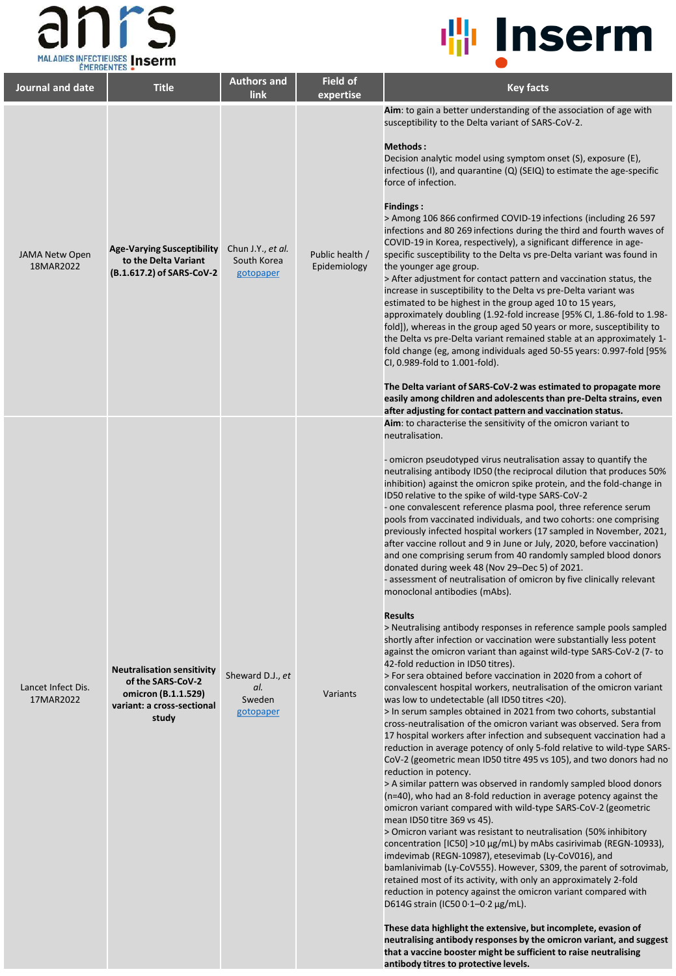| Journal and date                | <b>EMERGENTES</b> •<br><b>Title</b>                                                                                  | <b>Authors and</b><br>link                     | <b>Field of</b><br>expertise    | <b>Key facts</b>                                                                                                                                                                                                                                                                                                                                                                                                                                                                                                                                                                                                                                                                                                                                                                                                                                                                                                                                                                                                                                                                                                                                                                                                                                                                                                                                                                                                                                                                                                                                                                                                                                                                                                                                                                                                                                                                                                                                                                                                                                                                                                                                                                                                                                                                                                                                                                                                                                                                                                                                                                                                                                                                                                      |
|---------------------------------|----------------------------------------------------------------------------------------------------------------------|------------------------------------------------|---------------------------------|-----------------------------------------------------------------------------------------------------------------------------------------------------------------------------------------------------------------------------------------------------------------------------------------------------------------------------------------------------------------------------------------------------------------------------------------------------------------------------------------------------------------------------------------------------------------------------------------------------------------------------------------------------------------------------------------------------------------------------------------------------------------------------------------------------------------------------------------------------------------------------------------------------------------------------------------------------------------------------------------------------------------------------------------------------------------------------------------------------------------------------------------------------------------------------------------------------------------------------------------------------------------------------------------------------------------------------------------------------------------------------------------------------------------------------------------------------------------------------------------------------------------------------------------------------------------------------------------------------------------------------------------------------------------------------------------------------------------------------------------------------------------------------------------------------------------------------------------------------------------------------------------------------------------------------------------------------------------------------------------------------------------------------------------------------------------------------------------------------------------------------------------------------------------------------------------------------------------------------------------------------------------------------------------------------------------------------------------------------------------------------------------------------------------------------------------------------------------------------------------------------------------------------------------------------------------------------------------------------------------------------------------------------------------------------------------------------------------------|
| JAMA Netw Open<br>18MAR2022     | <b>Age-Varying Susceptibility</b><br>to the Delta Variant<br>(B.1.617.2) of SARS-CoV-2                               | Chun J.Y., et al.<br>South Korea<br>gotopaper  | Public health /<br>Epidemiology | Aim: to gain a better understanding of the association of age with<br>susceptibility to the Delta variant of SARS-CoV-2.<br><b>Methods:</b><br>Decision analytic model using symptom onset (S), exposure (E),<br>infectious (I), and quarantine (Q) (SEIQ) to estimate the age-specific<br>force of infection.<br><b>Findings:</b><br>> Among 106 866 confirmed COVID-19 infections (including 26 597<br>infections and 80 269 infections during the third and fourth waves of<br>COVID-19 in Korea, respectively), a significant difference in age-<br>specific susceptibility to the Delta vs pre-Delta variant was found in<br>the younger age group.<br>> After adjustment for contact pattern and vaccination status, the<br>increase in susceptibility to the Delta vs pre-Delta variant was<br>estimated to be highest in the group aged 10 to 15 years,<br>approximately doubling (1.92-fold increase [95% CI, 1.86-fold to 1.98-<br>fold]), whereas in the group aged 50 years or more, susceptibility to<br>the Delta vs pre-Delta variant remained stable at an approximately 1-<br>fold change (eg, among individuals aged 50-55 years: 0.997-fold [95%]<br>CI, 0.989-fold to 1.001-fold).<br>The Delta variant of SARS-CoV-2 was estimated to propagate more<br>easily among children and adolescents than pre-Delta strains, even<br>after adjusting for contact pattern and vaccination status.                                                                                                                                                                                                                                                                                                                                                                                                                                                                                                                                                                                                                                                                                                                                                                                                                                                                                                                                                                                                                                                                                                                                                                                                                                                                                                        |
| Lancet Infect Dis.<br>17MAR2022 | <b>Neutralisation sensitivity</b><br>of the SARS-CoV-2<br>omicron (B.1.1.529)<br>variant: a cross-sectional<br>study | Sheward D.J., et<br>al.<br>Sweden<br>gotopaper | Variants                        | Aim: to characterise the sensitivity of the omicron variant to<br>neutralisation.<br>- omicron pseudotyped virus neutralisation assay to quantify the<br>neutralising antibody ID50 (the reciprocal dilution that produces 50%<br>inhibition) against the omicron spike protein, and the fold-change in<br>ID50 relative to the spike of wild-type SARS-CoV-2<br>- one convalescent reference plasma pool, three reference serum<br>pools from vaccinated individuals, and two cohorts: one comprising<br>previously infected hospital workers (17 sampled in November, 2021,<br>after vaccine rollout and 9 in June or July, 2020, before vaccination)<br>and one comprising serum from 40 randomly sampled blood donors<br>donated during week 48 (Nov 29-Dec 5) of 2021.<br>- assessment of neutralisation of omicron by five clinically relevant<br>monoclonal antibodies (mAbs).<br><b>Results</b><br>> Neutralising antibody responses in reference sample pools sampled<br>shortly after infection or vaccination were substantially less potent<br>against the omicron variant than against wild-type SARS-CoV-2 (7- to<br>42-fold reduction in ID50 titres).<br>> For sera obtained before vaccination in 2020 from a cohort of<br>convalescent hospital workers, neutralisation of the omicron variant<br>was low to undetectable (all ID50 titres <20).<br>> In serum samples obtained in 2021 from two cohorts, substantial<br>cross-neutralisation of the omicron variant was observed. Sera from<br>17 hospital workers after infection and subsequent vaccination had a<br>reduction in average potency of only 5-fold relative to wild-type SARS-<br>CoV-2 (geometric mean ID50 titre 495 vs 105), and two donors had no<br>reduction in potency.<br>> A similar pattern was observed in randomly sampled blood donors<br>(n=40), who had an 8-fold reduction in average potency against the<br>omicron variant compared with wild-type SARS-CoV-2 (geometric<br>mean ID50 titre 369 vs 45).<br>> Omicron variant was resistant to neutralisation (50% inhibitory<br>concentration [IC50] >10 μg/mL) by mAbs casirivimab (REGN-10933),<br>imdevimab (REGN-10987), etesevimab (Ly-CoV016), and<br>bamlanivimab (Ly-CoV555). However, S309, the parent of sotrovimab,<br>retained most of its activity, with only an approximately 2-fold<br>reduction in potency against the omicron variant compared with<br>D614G strain (IC50 0.1-0.2 μg/mL).<br>These data highlight the extensive, but incomplete, evasion of<br>neutralising antibody responses by the omicron variant, and suggest<br>that a vaccine booster might be sufficient to raise neutralising<br>antibody titres to protective levels. |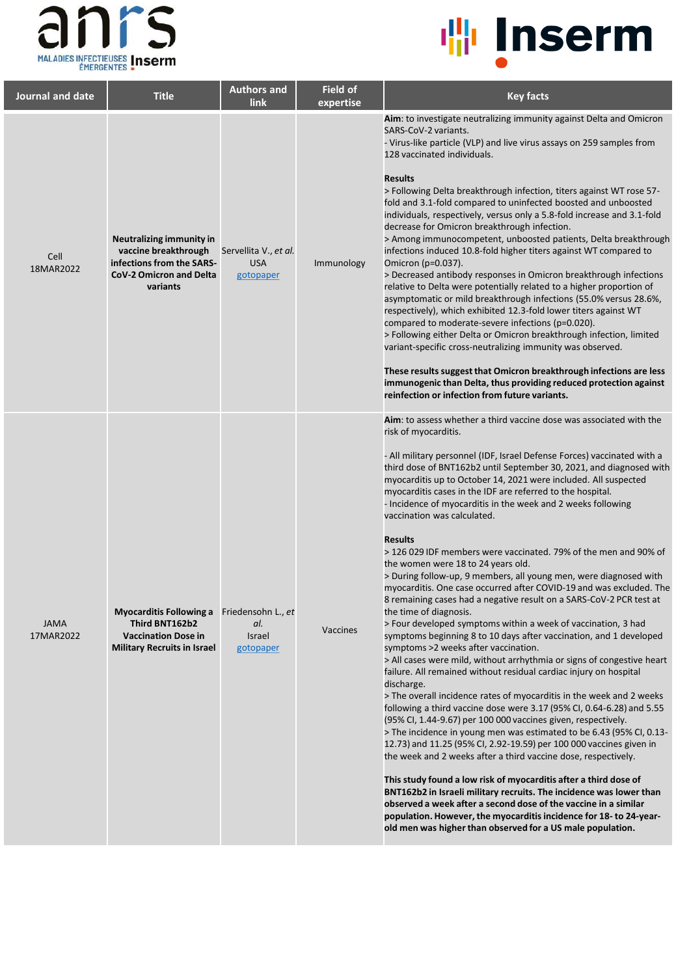

| Journal and date         | <b>Title</b>                                                                                                                | <b>Authors and</b><br>link                       | <b>Field of</b><br>expertise | <b>Key facts</b>                                                                                                                                                                                                                                                                                                                                                                                                                                                                                                                                                                                                                                                                                                                                                                                                                                                                                                                                                                                                                                                                                                                                                                                                                                                                                                                                                                                                                                                                                                                                                                                                                                                                                                                                                                                                                                                                                                                                                                        |
|--------------------------|-----------------------------------------------------------------------------------------------------------------------------|--------------------------------------------------|------------------------------|-----------------------------------------------------------------------------------------------------------------------------------------------------------------------------------------------------------------------------------------------------------------------------------------------------------------------------------------------------------------------------------------------------------------------------------------------------------------------------------------------------------------------------------------------------------------------------------------------------------------------------------------------------------------------------------------------------------------------------------------------------------------------------------------------------------------------------------------------------------------------------------------------------------------------------------------------------------------------------------------------------------------------------------------------------------------------------------------------------------------------------------------------------------------------------------------------------------------------------------------------------------------------------------------------------------------------------------------------------------------------------------------------------------------------------------------------------------------------------------------------------------------------------------------------------------------------------------------------------------------------------------------------------------------------------------------------------------------------------------------------------------------------------------------------------------------------------------------------------------------------------------------------------------------------------------------------------------------------------------------|
| Cell<br>18MAR2022        | <b>Neutralizing immunity in</b><br>vaccine breakthrough<br>infections from the SARS-<br>CoV-2 Omicron and Delta<br>variants | Servellita V., et al.<br><b>USA</b><br>gotopaper | Immunology                   | Aim: to investigate neutralizing immunity against Delta and Omicron<br>SARS-CoV-2 variants.<br>- Virus-like particle (VLP) and live virus assays on 259 samples from<br>128 vaccinated individuals.<br><b>Results</b><br>> Following Delta breakthrough infection, titers against WT rose 57-<br>fold and 3.1-fold compared to uninfected boosted and unboosted<br>individuals, respectively, versus only a 5.8-fold increase and 3.1-fold<br>decrease for Omicron breakthrough infection.<br>> Among immunocompetent, unboosted patients, Delta breakthrough<br>infections induced 10.8-fold higher titers against WT compared to<br>Omicron (p=0.037).<br>> Decreased antibody responses in Omicron breakthrough infections<br>relative to Delta were potentially related to a higher proportion of<br>asymptomatic or mild breakthrough infections (55.0% versus 28.6%,<br>respectively), which exhibited 12.3-fold lower titers against WT<br>compared to moderate-severe infections (p=0.020).<br>> Following either Delta or Omicron breakthrough infection, limited<br>variant-specific cross-neutralizing immunity was observed.<br>These results suggest that Omicron breakthrough infections are less<br>immunogenic than Delta, thus providing reduced protection against<br>reinfection or infection from future variants.                                                                                                                                                                                                                                                                                                                                                                                                                                                                                                                                                                                                                                                  |
| <b>JAMA</b><br>17MAR2022 | <b>Myocarditis Following a</b><br>Third BNT162b2<br><b>Vaccination Dose in</b><br><b>Military Recruits in Israel</b>        | Friedensohn L., et<br>al.<br>Israel<br>gotopaper | Vaccines                     | Aim: to assess whether a third vaccine dose was associated with the<br>risk of myocarditis.<br>- All military personnel (IDF, Israel Defense Forces) vaccinated with a<br>third dose of BNT162b2 until September 30, 2021, and diagnosed with<br>myocarditis up to October 14, 2021 were included. All suspected<br>myocarditis cases in the IDF are referred to the hospital.<br>- Incidence of myocarditis in the week and 2 weeks following<br>vaccination was calculated.<br><b>Results</b><br>> 126 029 IDF members were vaccinated. 79% of the men and 90% of<br>the women were 18 to 24 years old.<br>> During follow-up, 9 members, all young men, were diagnosed with<br>myocarditis. One case occurred after COVID-19 and was excluded. The<br>8 remaining cases had a negative result on a SARS-CoV-2 PCR test at<br>the time of diagnosis.<br>> Four developed symptoms within a week of vaccination, 3 had<br>symptoms beginning 8 to 10 days after vaccination, and 1 developed<br>symptoms >2 weeks after vaccination.<br>> All cases were mild, without arrhythmia or signs of congestive heart<br>failure. All remained without residual cardiac injury on hospital<br>discharge.<br>> The overall incidence rates of myocarditis in the week and 2 weeks<br>following a third vaccine dose were 3.17 (95% CI, 0.64-6.28) and 5.55<br>(95% CI, 1.44-9.67) per 100 000 vaccines given, respectively.<br>> The incidence in young men was estimated to be 6.43 (95% CI, 0.13-<br>12.73) and 11.25 (95% CI, 2.92-19.59) per 100 000 vaccines given in<br>the week and 2 weeks after a third vaccine dose, respectively.<br>This study found a low risk of myocarditis after a third dose of<br>BNT162b2 in Israeli military recruits. The incidence was lower than<br>observed a week after a second dose of the vaccine in a similar<br>population. However, the myocarditis incidence for 18- to 24-year-<br>old men was higher than observed for a US male population. |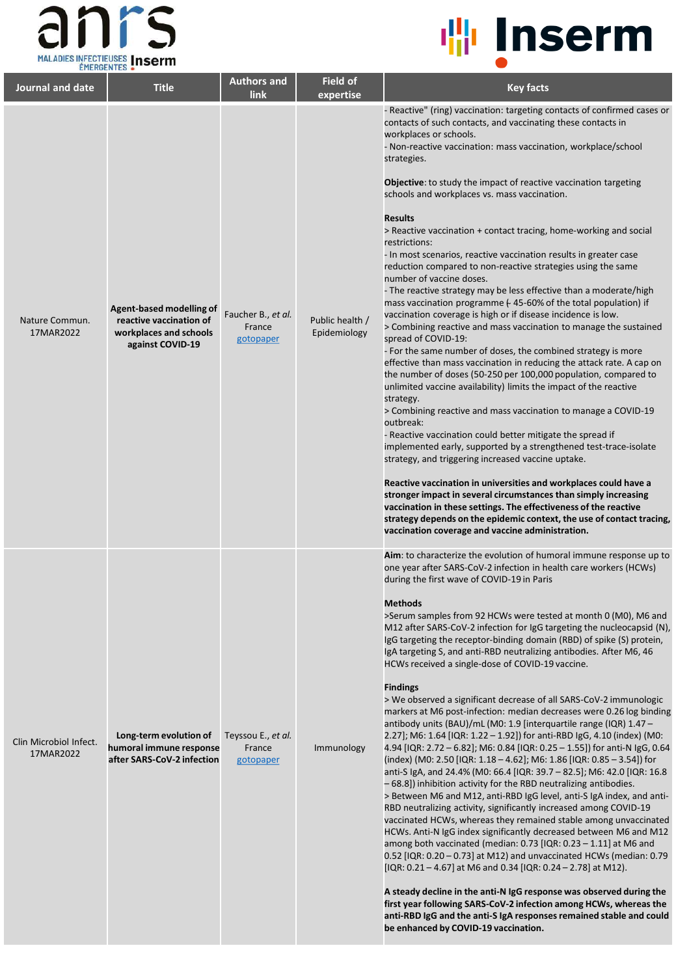| Journal and date                    | <b>Title</b>                                                                                             | <b>Authors and</b><br>link                | <b>Field of</b><br>expertise    | <b>Key facts</b>                                                                                                                                                                                                                                                                                                                                                                                                                                                                                                                                                                                                                                                                                                                                                                                                                                                                                                                                                                                                                                                                                                                                                                                                                                                                                                                                                                                                                                                                                                                                                                                                                                                                                                                                                                                                                                                                                                                                 |
|-------------------------------------|----------------------------------------------------------------------------------------------------------|-------------------------------------------|---------------------------------|--------------------------------------------------------------------------------------------------------------------------------------------------------------------------------------------------------------------------------------------------------------------------------------------------------------------------------------------------------------------------------------------------------------------------------------------------------------------------------------------------------------------------------------------------------------------------------------------------------------------------------------------------------------------------------------------------------------------------------------------------------------------------------------------------------------------------------------------------------------------------------------------------------------------------------------------------------------------------------------------------------------------------------------------------------------------------------------------------------------------------------------------------------------------------------------------------------------------------------------------------------------------------------------------------------------------------------------------------------------------------------------------------------------------------------------------------------------------------------------------------------------------------------------------------------------------------------------------------------------------------------------------------------------------------------------------------------------------------------------------------------------------------------------------------------------------------------------------------------------------------------------------------------------------------------------------------|
| Nature Commun.<br>17MAR2022         | <b>Agent-based modelling of</b><br>reactive vaccination of<br>workplaces and schools<br>against COVID-19 | Faucher B., et al.<br>France<br>gotopaper | Public health /<br>Epidemiology | - Reactive" (ring) vaccination: targeting contacts of confirmed cases or<br>contacts of such contacts, and vaccinating these contacts in<br>workplaces or schools.<br>- Non-reactive vaccination: mass vaccination, workplace/school<br>strategies.<br><b>Objective:</b> to study the impact of reactive vaccination targeting<br>schools and workplaces vs. mass vaccination.<br><b>Results</b><br>> Reactive vaccination + contact tracing, home-working and social<br>restrictions:<br>- In most scenarios, reactive vaccination results in greater case<br>reduction compared to non-reactive strategies using the same<br>number of vaccine doses.<br>- The reactive strategy may be less effective than a moderate/high<br>mass vaccination programme $\epsilon$ 45-60% of the total population) if<br>vaccination coverage is high or if disease incidence is low.<br>> Combining reactive and mass vaccination to manage the sustained<br>spread of COVID-19:<br>- For the same number of doses, the combined strategy is more<br>effective than mass vaccination in reducing the attack rate. A cap on<br>the number of doses (50-250 per 100,000 population, compared to<br>unlimited vaccine availability) limits the impact of the reactive<br>strategy.<br>> Combining reactive and mass vaccination to manage a COVID-19<br>outbreak:<br>- Reactive vaccination could better mitigate the spread if<br>implemented early, supported by a strengthened test-trace-isolate<br>strategy, and triggering increased vaccine uptake.<br>Reactive vaccination in universities and workplaces could have a<br>stronger impact in several circumstances than simply increasing<br>vaccination in these settings. The effectiveness of the reactive<br>strategy depends on the epidemic context, the use of contact tracing,<br>vaccination coverage and vaccine administration.                                                             |
| Clin Microbiol Infect.<br>17MAR2022 | Long-term evolution of<br>humoral immune response<br>after SARS-CoV-2 infection                          | Teyssou E., et al.<br>France<br>gotopaper | Immunology                      | Aim: to characterize the evolution of humoral immune response up to<br>one year after SARS-CoV-2 infection in health care workers (HCWs)<br>during the first wave of COVID-19 in Paris<br><b>Methods</b><br>>Serum samples from 92 HCWs were tested at month 0 (M0), M6 and<br>M12 after SARS-CoV-2 infection for IgG targeting the nucleocapsid (N),<br>IgG targeting the receptor-binding domain (RBD) of spike (S) protein,<br>IgA targeting S, and anti-RBD neutralizing antibodies. After M6, 46<br>HCWs received a single-dose of COVID-19 vaccine.<br><b>Findings</b><br>> We observed a significant decrease of all SARS-CoV-2 immunologic<br>markers at M6 post-infection: median decreases were 0.26 log binding<br>antibody units (BAU)/mL (M0: 1.9 [interquartile range (IQR) 1.47 -<br>2.27]; M6: 1.64 [IQR: 1.22 - 1.92]) for anti-RBD IgG, 4.10 (index) (M0:<br>4.94 [IQR: 2.72 - 6.82]; M6: 0.84 [IQR: 0.25 - 1.55]) for anti-N IgG, 0.64<br>(index) (M0: 2.50 [IQR: 1.18 - 4.62]; M6: 1.86 [IQR: 0.85 - 3.54]) for<br>anti-S IgA, and 24.4% (M0: 66.4 [IQR: 39.7 - 82.5]; M6: 42.0 [IQR: 16.8<br>–68.8]) inhibition activity for the RBD neutralizing antibodies.<br>> Between M6 and M12, anti-RBD IgG level, anti-S IgA index, and anti-<br>RBD neutralizing activity, significantly increased among COVID-19<br>vaccinated HCWs, whereas they remained stable among unvaccinated<br>HCWs. Anti-N IgG index significantly decreased between M6 and M12<br>among both vaccinated (median: 0.73 [IQR: 0.23 – 1.11] at M6 and<br>0.52 [IQR: 0.20 - 0.73] at M12) and unvaccinated HCWs (median: 0.79<br>[IQR: 0.21 - 4.67] at M6 and 0.34 [IQR: 0.24 - 2.78] at M12).<br>A steady decline in the anti-N IgG response was observed during the<br>first year following SARS-CoV-2 infection among HCWs, whereas the<br>anti-RBD IgG and the anti-S IgA responses remained stable and could<br>be enhanced by COVID-19 vaccination. |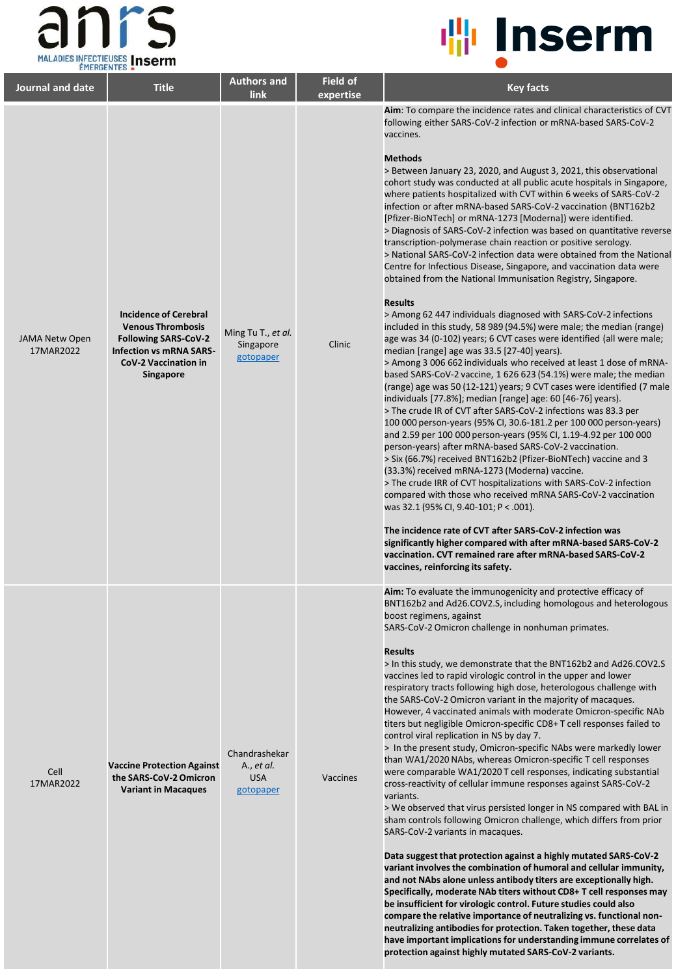## **WILLER** Inserm

| Journal and date                   | EMERGENTES O<br><b>Title</b>                                                                                                                                   | <b>Authors and</b><br>link                             | <b>Field of</b><br>expertise | <b>Key facts</b>                                                                                                                                                                                                                                                                                                                                                                                                                                                                                                                                                                                                                                                                                                                                                                                                                                                                                                                                                                                                                                                                                                                                                                                                                                                                                                                                                                                                                                                                                                                                                                                                                                                                                                                                                                                                                                                                                                                                                                                                                                                                                                                                                                                                                                                           |
|------------------------------------|----------------------------------------------------------------------------------------------------------------------------------------------------------------|--------------------------------------------------------|------------------------------|----------------------------------------------------------------------------------------------------------------------------------------------------------------------------------------------------------------------------------------------------------------------------------------------------------------------------------------------------------------------------------------------------------------------------------------------------------------------------------------------------------------------------------------------------------------------------------------------------------------------------------------------------------------------------------------------------------------------------------------------------------------------------------------------------------------------------------------------------------------------------------------------------------------------------------------------------------------------------------------------------------------------------------------------------------------------------------------------------------------------------------------------------------------------------------------------------------------------------------------------------------------------------------------------------------------------------------------------------------------------------------------------------------------------------------------------------------------------------------------------------------------------------------------------------------------------------------------------------------------------------------------------------------------------------------------------------------------------------------------------------------------------------------------------------------------------------------------------------------------------------------------------------------------------------------------------------------------------------------------------------------------------------------------------------------------------------------------------------------------------------------------------------------------------------------------------------------------------------------------------------------------------------|
| <b>JAMA Netw Open</b><br>17MAR2022 | <b>Incidence of Cerebral</b><br><b>Venous Thrombosis</b><br><b>Following SARS-CoV-2</b><br><b>Infection vs mRNA SARS-</b><br>CoV-2 Vaccination in<br>Singapore | Ming Tu T., et al.<br>Singapore<br>gotopaper           | Clinic                       | Aim: To compare the incidence rates and clinical characteristics of CVT<br>following either SARS-CoV-2 infection or mRNA-based SARS-CoV-2<br>vaccines.<br><b>Methods</b><br>> Between January 23, 2020, and August 3, 2021, this observational<br>cohort study was conducted at all public acute hospitals in Singapore,<br>where patients hospitalized with CVT within 6 weeks of SARS-CoV-2<br>infection or after mRNA-based SARS-CoV-2 vaccination (BNT162b2<br>[Pfizer-BioNTech] or mRNA-1273 [Moderna]) were identified.<br>> Diagnosis of SARS-CoV-2 infection was based on quantitative reverse<br>transcription-polymerase chain reaction or positive serology.<br>> National SARS-CoV-2 infection data were obtained from the National<br>Centre for Infectious Disease, Singapore, and vaccination data were<br>obtained from the National Immunisation Registry, Singapore.<br><b>Results</b><br>> Among 62 447 individuals diagnosed with SARS-CoV-2 infections<br>included in this study, 58 989 (94.5%) were male; the median (range)<br>age was 34 (0-102) years; 6 CVT cases were identified (all were male;<br>median [range] age was 33.5 [27-40] years).<br>> Among 3 006 662 individuals who received at least 1 dose of mRNA-<br>based SARS-CoV-2 vaccine, 1 626 623 (54.1%) were male; the median<br>(range) age was 50 (12-121) years; 9 CVT cases were identified (7 male<br>individuals [77.8%]; median [range] age: 60 [46-76] years).<br>> The crude IR of CVT after SARS-CoV-2 infections was 83.3 per<br>100 000 person-years (95% CI, 30.6-181.2 per 100 000 person-years)<br>and 2.59 per 100 000 person-years (95% CI, 1.19-4.92 per 100 000<br>person-years) after mRNA-based SARS-CoV-2 vaccination.<br>> Six (66.7%) received BNT162b2 (Pfizer-BioNTech) vaccine and 3<br>(33.3%) received mRNA-1273 (Moderna) vaccine.<br>> The crude IRR of CVT hospitalizations with SARS-CoV-2 infection<br>compared with those who received mRNA SARS-CoV-2 vaccination<br>was 32.1 (95% CI, 9.40-101; P < .001).<br>The incidence rate of CVT after SARS-CoV-2 infection was<br>significantly higher compared with after mRNA-based SARS-CoV-2<br>vaccination. CVT remained rare after mRNA-based SARS-CoV-2<br>vaccines, reinforcing its safety. |
| Cell<br>17MAR2022                  | <b>Vaccine Protection Against</b><br>the SARS-CoV-2 Omicron<br><b>Variant in Macagues</b>                                                                      | Chandrashekar<br>A., et al.<br><b>USA</b><br>gotopaper | Vaccines                     | Aim: To evaluate the immunogenicity and protective efficacy of<br>BNT162b2 and Ad26.COV2.S, including homologous and heterologous<br>boost regimens, against<br>SARS-CoV-2 Omicron challenge in nonhuman primates.<br><b>Results</b><br>> In this study, we demonstrate that the BNT162b2 and Ad26.COV2.S<br>vaccines led to rapid virologic control in the upper and lower<br>respiratory tracts following high dose, heterologous challenge with<br>the SARS-CoV-2 Omicron variant in the majority of macaques.<br>However, 4 vaccinated animals with moderate Omicron-specific NAb<br>titers but negligible Omicron-specific CD8+ T cell responses failed to<br>control viral replication in NS by day 7.<br>> In the present study, Omicron-specific NAbs were markedly lower<br>than WA1/2020 NAbs, whereas Omicron-specific T cell responses<br>were comparable WA1/2020 T cell responses, indicating substantial<br>cross-reactivity of cellular immune responses against SARS-CoV-2<br>variants.<br>> We observed that virus persisted longer in NS compared with BAL in<br>sham controls following Omicron challenge, which differs from prior<br>SARS-CoV-2 variants in macaques.<br>Data suggest that protection against a highly mutated SARS-CoV-2<br>variant involves the combination of humoral and cellular immunity,<br>and not NAbs alone unless antibody titers are exceptionally high.<br>Specifically, moderate NAb titers without CD8+ T cell responses may<br>be insufficient for virologic control. Future studies could also<br>compare the relative importance of neutralizing vs. functional non-<br>neutralizing antibodies for protection. Taken together, these data<br>have important implications for understanding immune correlates of<br>protection against highly mutated SARS-CoV-2 variants.                                                                                                                                                                                                                                                                                                                                                                                                                                         |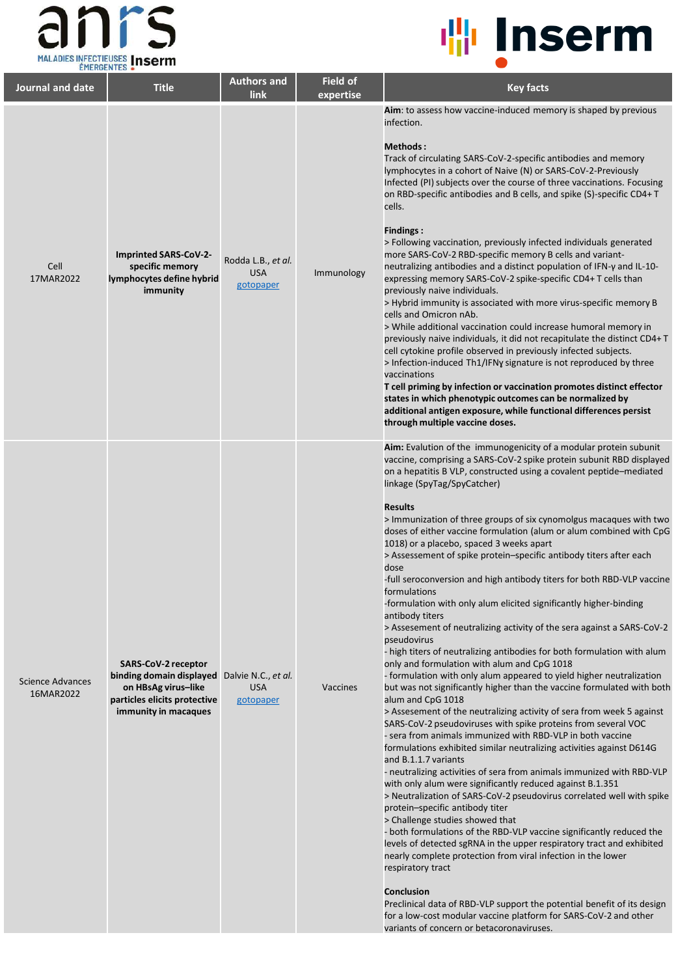| Journal and date                     | EMERGENIES O<br><b>Title</b>                                                                                                                              | <b>Authors and</b><br>link                    | <b>Field of</b><br>expertise | <b>Key facts</b>                                                                                                                                                                                                                                                                                                                                                                                                                                                                                                                                                                                                                                                                                                                                                                                                                                                                                                                                                                                                                                                                                                                                                                                                                                                                                                                                                                                                                                                                                                                                                                                                                                                                                                                                                                                                                                                                                                                                                                                                                                                                                                                                                  |
|--------------------------------------|-----------------------------------------------------------------------------------------------------------------------------------------------------------|-----------------------------------------------|------------------------------|-------------------------------------------------------------------------------------------------------------------------------------------------------------------------------------------------------------------------------------------------------------------------------------------------------------------------------------------------------------------------------------------------------------------------------------------------------------------------------------------------------------------------------------------------------------------------------------------------------------------------------------------------------------------------------------------------------------------------------------------------------------------------------------------------------------------------------------------------------------------------------------------------------------------------------------------------------------------------------------------------------------------------------------------------------------------------------------------------------------------------------------------------------------------------------------------------------------------------------------------------------------------------------------------------------------------------------------------------------------------------------------------------------------------------------------------------------------------------------------------------------------------------------------------------------------------------------------------------------------------------------------------------------------------------------------------------------------------------------------------------------------------------------------------------------------------------------------------------------------------------------------------------------------------------------------------------------------------------------------------------------------------------------------------------------------------------------------------------------------------------------------------------------------------|
| Cell<br>17MAR2022                    | <b>Imprinted SARS-CoV-2-</b><br>specific memory<br>lymphocytes define hybrid<br>immunity                                                                  | Rodda L.B., et al.<br><b>USA</b><br>gotopaper | Immunology                   | Aim: to assess how vaccine-induced memory is shaped by previous<br>infection.<br><b>Methods:</b><br>Track of circulating SARS-CoV-2-specific antibodies and memory<br>lymphocytes in a cohort of Naive (N) or SARS-CoV-2-Previously<br>Infected (PI) subjects over the course of three vaccinations. Focusing<br>on RBD-specific antibodies and B cells, and spike (S)-specific CD4+T<br>cells.<br>Findings:<br>> Following vaccination, previously infected individuals generated<br>more SARS-CoV-2 RBD-specific memory B cells and variant-<br>neutralizing antibodies and a distinct population of IFN- $\gamma$ and IL-10-<br>expressing memory SARS-CoV-2 spike-specific CD4+ T cells than<br>previously naive individuals.<br>> Hybrid immunity is associated with more virus-specific memory B<br>cells and Omicron nAb.<br>> While additional vaccination could increase humoral memory in<br>previously naive individuals, it did not recapitulate the distinct CD4+ T<br>cell cytokine profile observed in previously infected subjects.<br>> Infection-induced Th1/IFNy signature is not reproduced by three<br>vaccinations<br>T cell priming by infection or vaccination promotes distinct effector<br>states in which phenotypic outcomes can be normalized by<br>additional antigen exposure, while functional differences persist<br>through multiple vaccine doses.                                                                                                                                                                                                                                                                                                                                                                                                                                                                                                                                                                                                                                                                                                                                                                             |
| <b>Science Advances</b><br>16MAR2022 | SARS-CoV-2 receptor<br><b>binding domain displayed</b> Dalvie N.C., et al.<br>on HBsAg virus-like<br>particles elicits protective<br>immunity in macaques | <b>USA</b><br>gotopaper                       | Vaccines                     | Aim: Evalution of the immunogenicity of a modular protein subunit<br>vaccine, comprising a SARS-CoV-2 spike protein subunit RBD displayed<br>on a hepatitis B VLP, constructed using a covalent peptide-mediated<br>linkage (SpyTag/SpyCatcher)<br><b>Results</b><br>> Immunization of three groups of six cynomolgus macaques with two<br>doses of either vaccine formulation (alum or alum combined with CpG<br>1018) or a placebo, spaced 3 weeks apart<br>> Assessement of spike protein–specific antibody titers after each<br>dose<br>-full seroconversion and high antibody titers for both RBD-VLP vaccine<br>formulations<br>-formulation with only alum elicited significantly higher-binding<br>antibody titers<br>> Assesement of neutralizing activity of the sera against a SARS-CoV-2<br>pseudovirus<br>- high titers of neutralizing antibodies for both formulation with alum<br>only and formulation with alum and CpG 1018<br>- formulation with only alum appeared to yield higher neutralization<br>but was not significantly higher than the vaccine formulated with both<br>alum and CpG 1018<br>> Assesement of the neutralizing activity of sera from week 5 against<br>SARS-CoV-2 pseudoviruses with spike proteins from several VOC<br>- sera from animals immunized with RBD-VLP in both vaccine<br>formulations exhibited similar neutralizing activities against D614G<br>and B.1.1.7 variants<br>- neutralizing activities of sera from animals immunized with RBD-VLP<br>with only alum were significantly reduced against B.1.351<br>> Neutralization of SARS-CoV-2 pseudovirus correlated well with spike<br>protein-specific antibody titer<br>> Challenge studies showed that<br>- both formulations of the RBD-VLP vaccine significantly reduced the<br>levels of detected sgRNA in the upper respiratory tract and exhibited<br>nearly complete protection from viral infection in the lower<br>respiratory tract<br>Conclusion<br>Preclinical data of RBD-VLP support the potential benefit of its design<br>for a low-cost modular vaccine platform for SARS-CoV-2 and other<br>variants of concern or betacoronaviruses. |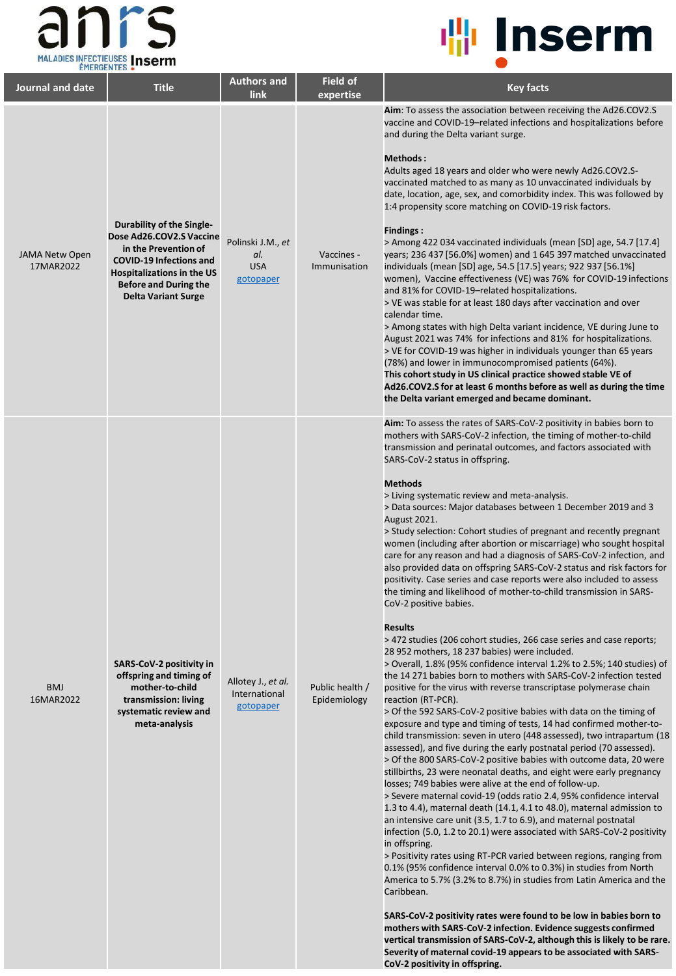| Journal and date                   | <b>Title</b>                                                                                                                                                                                                       | <b>Authors and</b><br>link                          | <b>Field of</b><br>expertise    | <b>Key facts</b>                                                                                                                                                                                                                                                                                                                                                                                                                                                                                                                                                                                                                                                                                                                                                                                                                                                                                                                                                                                                                                                                                                                                                                                                                                                                                                                                                                                                                                                                                                                                                                                                                                                                                                                                                                                                                                                                                                                                                                                                                                                                                                                                                                                                                                                                                                                                                                                   |
|------------------------------------|--------------------------------------------------------------------------------------------------------------------------------------------------------------------------------------------------------------------|-----------------------------------------------------|---------------------------------|----------------------------------------------------------------------------------------------------------------------------------------------------------------------------------------------------------------------------------------------------------------------------------------------------------------------------------------------------------------------------------------------------------------------------------------------------------------------------------------------------------------------------------------------------------------------------------------------------------------------------------------------------------------------------------------------------------------------------------------------------------------------------------------------------------------------------------------------------------------------------------------------------------------------------------------------------------------------------------------------------------------------------------------------------------------------------------------------------------------------------------------------------------------------------------------------------------------------------------------------------------------------------------------------------------------------------------------------------------------------------------------------------------------------------------------------------------------------------------------------------------------------------------------------------------------------------------------------------------------------------------------------------------------------------------------------------------------------------------------------------------------------------------------------------------------------------------------------------------------------------------------------------------------------------------------------------------------------------------------------------------------------------------------------------------------------------------------------------------------------------------------------------------------------------------------------------------------------------------------------------------------------------------------------------------------------------------------------------------------------------------------------------|
| <b>JAMA Netw Open</b><br>17MAR2022 | <b>Durability of the Single-</b><br>Dose Ad26.COV2.S Vaccine<br>in the Prevention of<br><b>COVID-19 Infections and</b><br>Hospitalizations in the US<br><b>Before and During the</b><br><b>Delta Variant Surge</b> | Polinski J.M., et<br>al.<br><b>USA</b><br>gotopaper | Vaccines -<br>Immunisation      | Aim: To assess the association between receiving the Ad26.COV2.S<br>vaccine and COVID-19-related infections and hospitalizations before<br>and during the Delta variant surge.<br><b>Methods:</b><br>Adults aged 18 years and older who were newly Ad26.COV2.S-<br>vaccinated matched to as many as 10 unvaccinated individuals by<br>date, location, age, sex, and comorbidity index. This was followed by<br>1:4 propensity score matching on COVID-19 risk factors.<br><b>Findings:</b><br>> Among 422 034 vaccinated individuals (mean [SD] age, 54.7 [17.4]<br>years; 236 437 [56.0%] women) and 1 645 397 matched unvaccinated<br>individuals (mean [SD] age, 54.5 [17.5] years; 922 937 [56.1%]<br>women), Vaccine effectiveness (VE) was 76% for COVID-19 infections<br>and 81% for COVID-19-related hospitalizations.<br>> VE was stable for at least 180 days after vaccination and over<br>calendar time.<br>> Among states with high Delta variant incidence, VE during June to<br>August 2021 was 74% for infections and 81% for hospitalizations.<br>> VE for COVID-19 was higher in individuals younger than 65 years<br>(78%) and lower in immunocompromised patients (64%).<br>This cohort study in US clinical practice showed stable VE of<br>Ad26.COV2.S for at least 6 months before as well as during the time<br>the Delta variant emerged and became dominant.                                                                                                                                                                                                                                                                                                                                                                                                                                                                                                                                                                                                                                                                                                                                                                                                                                                                                                                                                                                                             |
| <b>BMJ</b><br>16MAR2022            | SARS-CoV-2 positivity in<br>offspring and timing of<br>mother-to-child<br>transmission: living<br>systematic review and<br>meta-analysis                                                                           | Allotey J., et al.<br>International<br>gotopaper    | Public health /<br>Epidemiology | Aim: To assess the rates of SARS-CoV-2 positivity in babies born to<br>mothers with SARS-CoV-2 infection, the timing of mother-to-child<br>transmission and perinatal outcomes, and factors associated with<br>SARS-CoV-2 status in offspring.<br><b>Methods</b><br>> Living systematic review and meta-analysis.<br>> Data sources: Major databases between 1 December 2019 and 3<br>August 2021.<br>> Study selection: Cohort studies of pregnant and recently pregnant<br>women (including after abortion or miscarriage) who sought hospital<br>care for any reason and had a diagnosis of SARS-CoV-2 infection, and<br>also provided data on offspring SARS-CoV-2 status and risk factors for<br>positivity. Case series and case reports were also included to assess<br>the timing and likelihood of mother-to-child transmission in SARS-<br>CoV-2 positive babies.<br><b>Results</b><br>> 472 studies (206 cohort studies, 266 case series and case reports;<br>28 952 mothers, 18 237 babies) were included.<br>> Overall, 1.8% (95% confidence interval 1.2% to 2.5%; 140 studies) of<br>the 14 271 babies born to mothers with SARS-CoV-2 infection tested<br>positive for the virus with reverse transcriptase polymerase chain<br>reaction (RT-PCR).<br>> Of the 592 SARS-CoV-2 positive babies with data on the timing of<br>exposure and type and timing of tests, 14 had confirmed mother-to-<br>child transmission: seven in utero (448 assessed), two intrapartum (18<br>assessed), and five during the early postnatal period (70 assessed).<br>> Of the 800 SARS-CoV-2 positive babies with outcome data, 20 were<br>stillbirths, 23 were neonatal deaths, and eight were early pregnancy<br>losses; 749 babies were alive at the end of follow-up.<br>> Severe maternal covid-19 (odds ratio 2.4, 95% confidence interval<br>1.3 to 4.4), maternal death (14.1, 4.1 to 48.0), maternal admission to<br>an intensive care unit (3.5, 1.7 to 6.9), and maternal postnatal<br>infection (5.0, 1.2 to 20.1) were associated with SARS-CoV-2 positivity<br>in offspring.<br>> Positivity rates using RT-PCR varied between regions, ranging from<br>0.1% (95% confidence interval 0.0% to 0.3%) in studies from North<br>America to 5.7% (3.2% to 8.7%) in studies from Latin America and the<br>Caribbean.<br>SARS-CoV-2 positivity rates were found to be low in babies born to |
|                                    |                                                                                                                                                                                                                    |                                                     |                                 | mothers with SARS-CoV-2 infection. Evidence suggests confirmed<br>vertical transmission of SARS-CoV-2, although this is likely to be rare.<br>Severity of maternal covid-19 appears to be associated with SARS-<br>CoV-2 positivity in offspring.                                                                                                                                                                                                                                                                                                                                                                                                                                                                                                                                                                                                                                                                                                                                                                                                                                                                                                                                                                                                                                                                                                                                                                                                                                                                                                                                                                                                                                                                                                                                                                                                                                                                                                                                                                                                                                                                                                                                                                                                                                                                                                                                                  |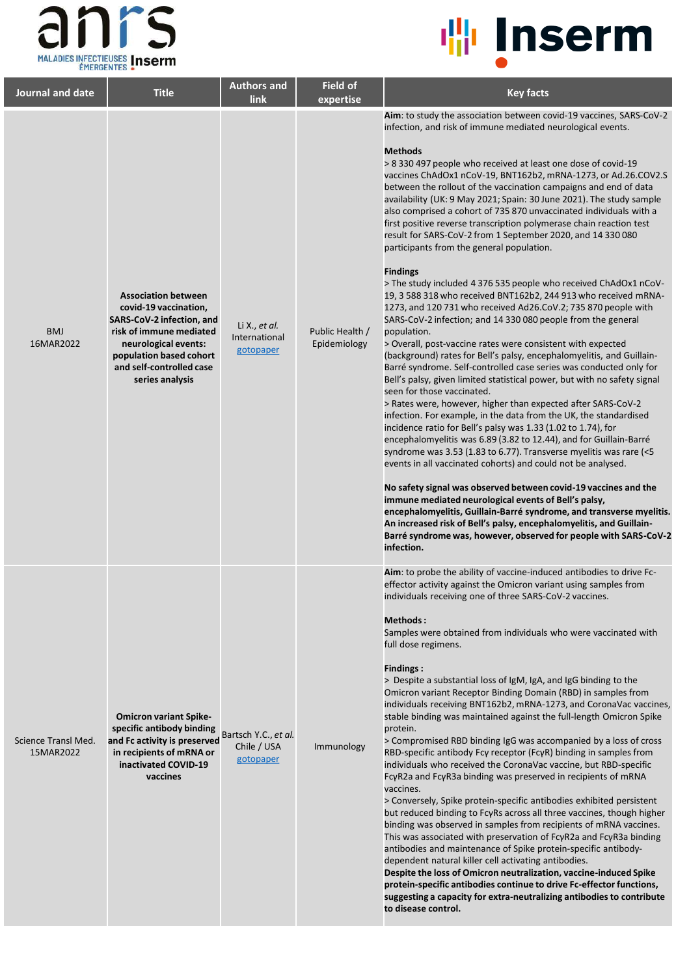

 $\overline{a}$ 

| Journal and date                 | <b>Title</b>                                                                                                                                                                                                  | <b>Authors and</b><br>link                       | <b>Field of</b><br>expertise    | <b>Key facts</b>                                                                                                                                                                                                                                                                                                                                                                                                                                                                                                                                                                                                                                                                                                                                                                                                                                                                                                                                                                                                                                                                                                                                                                                                                                                                                                                                                                                                                                                                                                                                                                                                                                                                                                                                                                                                                                                                                                                                                                                                                                                                                       |
|----------------------------------|---------------------------------------------------------------------------------------------------------------------------------------------------------------------------------------------------------------|--------------------------------------------------|---------------------------------|--------------------------------------------------------------------------------------------------------------------------------------------------------------------------------------------------------------------------------------------------------------------------------------------------------------------------------------------------------------------------------------------------------------------------------------------------------------------------------------------------------------------------------------------------------------------------------------------------------------------------------------------------------------------------------------------------------------------------------------------------------------------------------------------------------------------------------------------------------------------------------------------------------------------------------------------------------------------------------------------------------------------------------------------------------------------------------------------------------------------------------------------------------------------------------------------------------------------------------------------------------------------------------------------------------------------------------------------------------------------------------------------------------------------------------------------------------------------------------------------------------------------------------------------------------------------------------------------------------------------------------------------------------------------------------------------------------------------------------------------------------------------------------------------------------------------------------------------------------------------------------------------------------------------------------------------------------------------------------------------------------------------------------------------------------------------------------------------------------|
| <b>BMJ</b><br>16MAR2022          | <b>Association between</b><br>covid-19 vaccination,<br>SARS-CoV-2 infection, and<br>risk of immune mediated<br>neurological events:<br>population based cohort<br>and self-controlled case<br>series analysis | Li X., et al.<br>International<br>gotopaper      | Public Health /<br>Epidemiology | Aim: to study the association between covid-19 vaccines, SARS-CoV-2<br>infection, and risk of immune mediated neurological events.<br>Methods<br>> 8 330 497 people who received at least one dose of covid-19<br>vaccines ChAdOx1 nCoV-19, BNT162b2, mRNA-1273, or Ad.26.COV2.S<br>between the rollout of the vaccination campaigns and end of data<br>availability (UK: 9 May 2021; Spain: 30 June 2021). The study sample<br>also comprised a cohort of 735 870 unvaccinated individuals with a<br>first positive reverse transcription polymerase chain reaction test<br>result for SARS-CoV-2 from 1 September 2020, and 14 330 080<br>participants from the general population.<br><b>Findings</b><br>> The study included 4 376 535 people who received ChAdOx1 nCoV-<br>19, 3 588 318 who received BNT162b2, 244 913 who received mRNA-<br>1273, and 120 731 who received Ad26.CoV.2; 735 870 people with<br>SARS-CoV-2 infection; and 14 330 080 people from the general<br>population.<br>> Overall, post-vaccine rates were consistent with expected<br>(background) rates for Bell's palsy, encephalomyelitis, and Guillain-<br>Barré syndrome. Self-controlled case series was conducted only for<br>Bell's palsy, given limited statistical power, but with no safety signal<br>seen for those vaccinated.<br>> Rates were, however, higher than expected after SARS-CoV-2<br>infection. For example, in the data from the UK, the standardised<br>incidence ratio for Bell's palsy was 1.33 (1.02 to 1.74), for<br>encephalomyelitis was 6.89 (3.82 to 12.44), and for Guillain-Barré<br>syndrome was 3.53 (1.83 to 6.77). Transverse myelitis was rare (<5<br>events in all vaccinated cohorts) and could not be analysed.<br>No safety signal was observed between covid-19 vaccines and the<br>immune mediated neurological events of Bell's palsy,<br>encephalomyelitis, Guillain-Barré syndrome, and transverse myelitis.<br>An increased risk of Bell's palsy, encephalomyelitis, and Guillain-<br>Barré syndrome was, however, observed for people with SARS-CoV-2<br>infection. |
| Science Transl Med.<br>15MAR2022 | <b>Omicron variant Spike-</b><br>specific antibody binding<br>and Fc activity is preserved<br>in recipients of mRNA or<br>inactivated COVID-19<br>vaccines                                                    | Bartsch Y.C., et al.<br>Chile / USA<br>gotopaper | Immunology                      | Aim: to probe the ability of vaccine-induced antibodies to drive Fc-<br>effector activity against the Omicron variant using samples from<br>individuals receiving one of three SARS-CoV-2 vaccines.<br><b>Methods:</b><br>Samples were obtained from individuals who were vaccinated with<br>full dose regimens.<br><b>Findings:</b><br>> Despite a substantial loss of IgM, IgA, and IgG binding to the<br>Omicron variant Receptor Binding Domain (RBD) in samples from<br>individuals receiving BNT162b2, mRNA-1273, and CoronaVac vaccines,<br>stable binding was maintained against the full-length Omicron Spike<br>protein.<br>> Compromised RBD binding IgG was accompanied by a loss of cross<br>RBD-specific antibody Fcy receptor (FcyR) binding in samples from<br>individuals who received the CoronaVac vaccine, but RBD-specific<br>FcyR2a and FcyR3a binding was preserved in recipients of mRNA<br>vaccines.<br>> Conversely, Spike protein-specific antibodies exhibited persistent<br>but reduced binding to FcyRs across all three vaccines, though higher<br>binding was observed in samples from recipients of mRNA vaccines.<br>This was associated with preservation of FcyR2a and FcyR3a binding<br>antibodies and maintenance of Spike protein-specific antibody-<br>dependent natural killer cell activating antibodies.<br>Despite the loss of Omicron neutralization, vaccine-induced Spike<br>protein-specific antibodies continue to drive Fc-effector functions,<br>suggesting a capacity for extra-neutralizing antibodies to contribute<br>to disease control.                                                                                                                                                                                                                                                                                                                                                                                                                                                                                                       |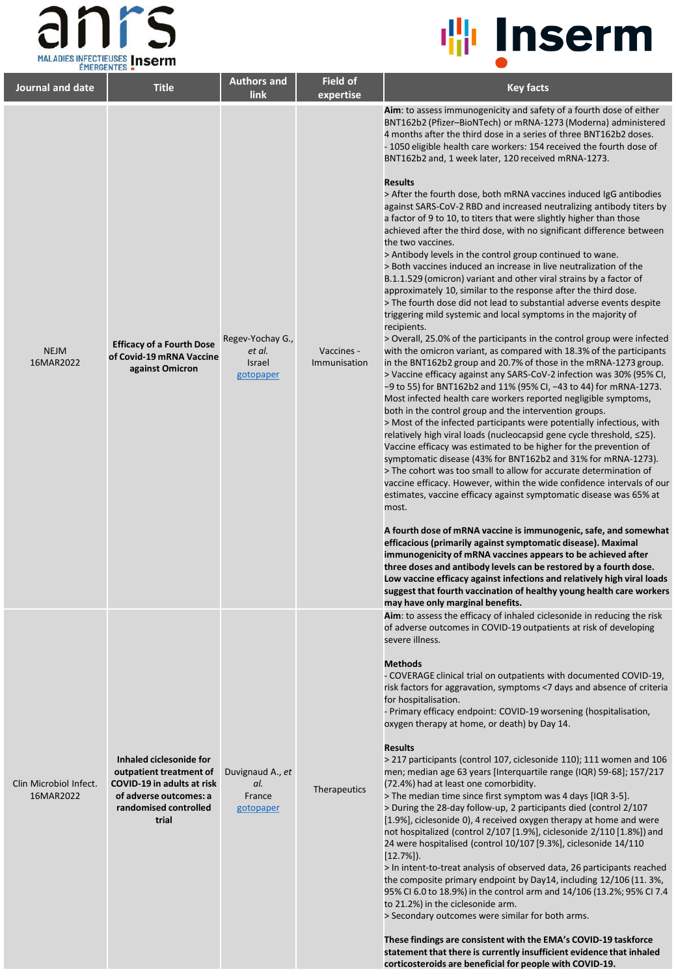| Journal and date                    | <b>EMERGENTES</b> .<br><b>Title</b>                                                                                                          | <b>Authors and</b><br>link                        | <b>Field of</b><br>expertise | <b>Key facts</b>                                                                                                                                                                                                                                                                                                                                                                                                                                                                                                                                                                                                                                                                                                                                                                                                                                                                                                                                                                                                                                                                                                                                                                                                                                                                                                                                                                                                                                                                                                                                                                                                                                                                                                                                                                                                                                                                                                                                                                                                                                                                                                                                                                                                                                                                                                                                                                                                                                                                                                                                                                                           |
|-------------------------------------|----------------------------------------------------------------------------------------------------------------------------------------------|---------------------------------------------------|------------------------------|------------------------------------------------------------------------------------------------------------------------------------------------------------------------------------------------------------------------------------------------------------------------------------------------------------------------------------------------------------------------------------------------------------------------------------------------------------------------------------------------------------------------------------------------------------------------------------------------------------------------------------------------------------------------------------------------------------------------------------------------------------------------------------------------------------------------------------------------------------------------------------------------------------------------------------------------------------------------------------------------------------------------------------------------------------------------------------------------------------------------------------------------------------------------------------------------------------------------------------------------------------------------------------------------------------------------------------------------------------------------------------------------------------------------------------------------------------------------------------------------------------------------------------------------------------------------------------------------------------------------------------------------------------------------------------------------------------------------------------------------------------------------------------------------------------------------------------------------------------------------------------------------------------------------------------------------------------------------------------------------------------------------------------------------------------------------------------------------------------------------------------------------------------------------------------------------------------------------------------------------------------------------------------------------------------------------------------------------------------------------------------------------------------------------------------------------------------------------------------------------------------------------------------------------------------------------------------------------------------|
| <b>NEJM</b><br>16MAR2022            | <b>Efficacy of a Fourth Dose</b><br>of Covid-19 mRNA Vaccine<br>against Omicron                                                              | Regev-Yochay G.,<br>et al.<br>Israel<br>gotopaper | Vaccines -<br>Immunisation   | Aim: to assess immunogenicity and safety of a fourth dose of either<br>BNT162b2 (Pfizer-BioNTech) or mRNA-1273 (Moderna) administered<br>4 months after the third dose in a series of three BNT162b2 doses.<br>- 1050 eligible health care workers: 154 received the fourth dose of<br>BNT162b2 and, 1 week later, 120 received mRNA-1273.<br><b>Results</b><br>> After the fourth dose, both mRNA vaccines induced IgG antibodies<br>against SARS-CoV-2 RBD and increased neutralizing antibody titers by<br>a factor of 9 to 10, to titers that were slightly higher than those<br>achieved after the third dose, with no significant difference between<br>the two vaccines.<br>> Antibody levels in the control group continued to wane.<br>> Both vaccines induced an increase in live neutralization of the<br>B.1.1.529 (omicron) variant and other viral strains by a factor of<br>approximately 10, similar to the response after the third dose.<br>> The fourth dose did not lead to substantial adverse events despite<br>triggering mild systemic and local symptoms in the majority of<br>recipients.<br>> Overall, 25.0% of the participants in the control group were infected<br>with the omicron variant, as compared with 18.3% of the participants<br>in the BNT162b2 group and 20.7% of those in the mRNA-1273 group.<br>> Vaccine efficacy against any SARS-CoV-2 infection was 30% (95% CI,<br>-9 to 55) for BNT162b2 and 11% (95% CI, -43 to 44) for mRNA-1273.<br>Most infected health care workers reported negligible symptoms,<br>both in the control group and the intervention groups.<br>> Most of the infected participants were potentially infectious, with<br>relatively high viral loads (nucleocapsid gene cycle threshold, ≤25).<br>Vaccine efficacy was estimated to be higher for the prevention of<br>symptomatic disease (43% for BNT162b2 and 31% for mRNA-1273).<br>> The cohort was too small to allow for accurate determination of<br>vaccine efficacy. However, within the wide confidence intervals of our<br>estimates, vaccine efficacy against symptomatic disease was 65% at<br>most.<br>A fourth dose of mRNA vaccine is immunogenic, safe, and somewhat<br>efficacious (primarily against symptomatic disease). Maximal<br>immunogenicity of mRNA vaccines appears to be achieved after<br>three doses and antibody levels can be restored by a fourth dose.<br>Low vaccine efficacy against infections and relatively high viral loads<br>suggest that fourth vaccination of healthy young health care workers<br>may have only marginal benefits. |
| Clin Microbiol Infect.<br>16MAR2022 | Inhaled ciclesonide for<br>outpatient treatment of<br>COVID-19 in adults at risk<br>of adverse outcomes: a<br>randomised controlled<br>trial | Duvignaud A., et<br>al.<br>France<br>gotopaper    | Therapeutics                 | Aim: to assess the efficacy of inhaled ciclesonide in reducing the risk<br>of adverse outcomes in COVID-19 outpatients at risk of developing<br>severe illness.<br>Methods<br>- COVERAGE clinical trial on outpatients with documented COVID-19,<br>risk factors for aggravation, symptoms <7 days and absence of criteria<br>for hospitalisation.<br>- Primary efficacy endpoint: COVID-19 worsening (hospitalisation,<br>oxygen therapy at home, or death) by Day 14.<br><b>Results</b><br>> 217 participants (control 107, ciclesonide 110); 111 women and 106<br>men; median age 63 years [Interquartile range (IQR) 59-68]; 157/217<br>(72.4%) had at least one comorbidity.<br>> The median time since first symptom was 4 days [IQR 3-5].<br>> During the 28-day follow-up, 2 participants died (control 2/107<br>[1.9%], ciclesonide 0), 4 received oxygen therapy at home and were<br>not hospitalized (control 2/107 [1.9%], ciclesonide 2/110 [1.8%]) and<br>24 were hospitalised (control 10/107 [9.3%], ciclesonide 14/110<br>$[12.7\%]$ ).<br>> In intent-to-treat analysis of observed data, 26 participants reached<br>the composite primary endpoint by Day14, including 12/106 (11.3%,<br>95% CI 6.0 to 18.9%) in the control arm and 14/106 (13.2%; 95% CI 7.4<br>to 21.2%) in the ciclesonide arm.<br>> Secondary outcomes were similar for both arms.<br>These findings are consistent with the EMA's COVID-19 taskforce<br>statement that there is currently insufficient evidence that inhaled<br>corticosteroids are beneficial for people with COVID-19.                                                                                                                                                                                                                                                                                                                                                                                                                                                                                                                                                                                                                                                                                                                                                                                                                                                                                                                                                                                                                          |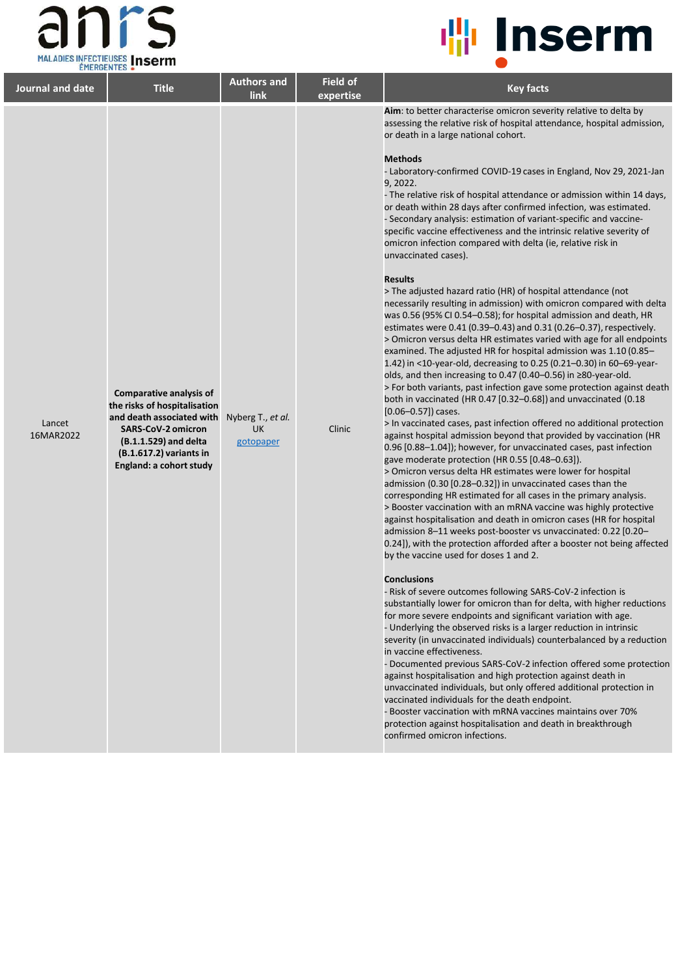| Journal and date    | <b>Title</b>                                                                                                                                                                                       | <b>Authors and</b><br>link                  | <b>Field of</b><br>expertise | <b>Key facts</b>                                                                                                                                                                                                                                                                                                                                                                                                                                                                                                                                                                                                                                                                                                                                                                                                                                                                                                                                                                                                                                                                                                                                                                                                                                                                                                                                                                                                                                                                                                                                                                                                                                                                                                                                                                                                                                                                                                                                                                                                                                                                                                                                                                                                                                                                                                                                                                                                                                                                                                                                                                                                                                                                                                                                                                                                                                                                                                                                                                                                                                                                                                      |
|---------------------|----------------------------------------------------------------------------------------------------------------------------------------------------------------------------------------------------|---------------------------------------------|------------------------------|-----------------------------------------------------------------------------------------------------------------------------------------------------------------------------------------------------------------------------------------------------------------------------------------------------------------------------------------------------------------------------------------------------------------------------------------------------------------------------------------------------------------------------------------------------------------------------------------------------------------------------------------------------------------------------------------------------------------------------------------------------------------------------------------------------------------------------------------------------------------------------------------------------------------------------------------------------------------------------------------------------------------------------------------------------------------------------------------------------------------------------------------------------------------------------------------------------------------------------------------------------------------------------------------------------------------------------------------------------------------------------------------------------------------------------------------------------------------------------------------------------------------------------------------------------------------------------------------------------------------------------------------------------------------------------------------------------------------------------------------------------------------------------------------------------------------------------------------------------------------------------------------------------------------------------------------------------------------------------------------------------------------------------------------------------------------------------------------------------------------------------------------------------------------------------------------------------------------------------------------------------------------------------------------------------------------------------------------------------------------------------------------------------------------------------------------------------------------------------------------------------------------------------------------------------------------------------------------------------------------------------------------------------------------------------------------------------------------------------------------------------------------------------------------------------------------------------------------------------------------------------------------------------------------------------------------------------------------------------------------------------------------------------------------------------------------------------------------------------------------------|
| Lancet<br>16MAR2022 | Comparative analysis of<br>the risks of hospitalisation<br>and death associated with<br><b>SARS-CoV-2 omicron</b><br>(B.1.1.529) and delta<br>$(B.1.617.2)$ variants in<br>England: a cohort study | Nyberg T., et al.<br><b>UK</b><br>gotopaper | Clinic                       | Aim: to better characterise omicron severity relative to delta by<br>assessing the relative risk of hospital attendance, hospital admission,<br>or death in a large national cohort.<br><b>Methods</b><br>- Laboratory-confirmed COVID-19 cases in England, Nov 29, 2021-Jan<br>9, 2022.<br>- The relative risk of hospital attendance or admission within 14 days,<br>or death within 28 days after confirmed infection, was estimated.<br>- Secondary analysis: estimation of variant-specific and vaccine-<br>specific vaccine effectiveness and the intrinsic relative severity of<br>omicron infection compared with delta (ie, relative risk in<br>unvaccinated cases).<br><b>Results</b><br>> The adjusted hazard ratio (HR) of hospital attendance (not<br>necessarily resulting in admission) with omicron compared with delta<br>was 0.56 (95% CI 0.54–0.58); for hospital admission and death, HR<br>estimates were 0.41 (0.39–0.43) and 0.31 (0.26–0.37), respectively.<br>> Omicron versus delta HR estimates varied with age for all endpoints<br>examined. The adjusted HR for hospital admission was 1.10 (0.85–<br>1.42) in <10-year-old, decreasing to 0.25 (0.21–0.30) in 60–69-year-<br>olds, and then increasing to 0.47 (0.40–0.56) in $\geq$ 80-year-old.<br>> For both variants, past infection gave some protection against death<br>both in vaccinated (HR 0.47 $[0.32-0.68]$ ) and unvaccinated (0.18<br>$[0.06 - 0.57]$ ) cases.<br>> In vaccinated cases, past infection offered no additional protection<br>against hospital admission beyond that provided by vaccination (HR<br>0.96 [0.88–1.04]); however, for unvaccinated cases, past infection<br>gave moderate protection (HR 0.55 [0.48-0.63]).<br>> Omicron versus delta HR estimates were lower for hospital<br>admission (0.30 [0.28–0.32]) in unvaccinated cases than the<br>corresponding HR estimated for all cases in the primary analysis.<br>> Booster vaccination with an mRNA vaccine was highly protective<br>against hospitalisation and death in omicron cases (HR for hospital<br>admission 8-11 weeks post-booster vs unvaccinated: 0.22 [0.20-<br>0.24]), with the protection afforded after a booster not being affected<br>by the vaccine used for doses 1 and 2.<br><b>Conclusions</b><br>- Risk of severe outcomes following SARS-CoV-2 infection is<br>substantially lower for omicron than for delta, with higher reductions<br>for more severe endpoints and significant variation with age.<br>- Underlying the observed risks is a larger reduction in intrinsic<br>severity (in unvaccinated individuals) counterbalanced by a reduction<br>in vaccine effectiveness.<br>- Documented previous SARS-CoV-2 infection offered some protection<br>against hospitalisation and high protection against death in<br>unvaccinated individuals, but only offered additional protection in<br>vaccinated individuals for the death endpoint.<br>- Booster vaccination with mRNA vaccines maintains over 70%<br>protection against hospitalisation and death in breakthrough<br>confirmed omicron infections. |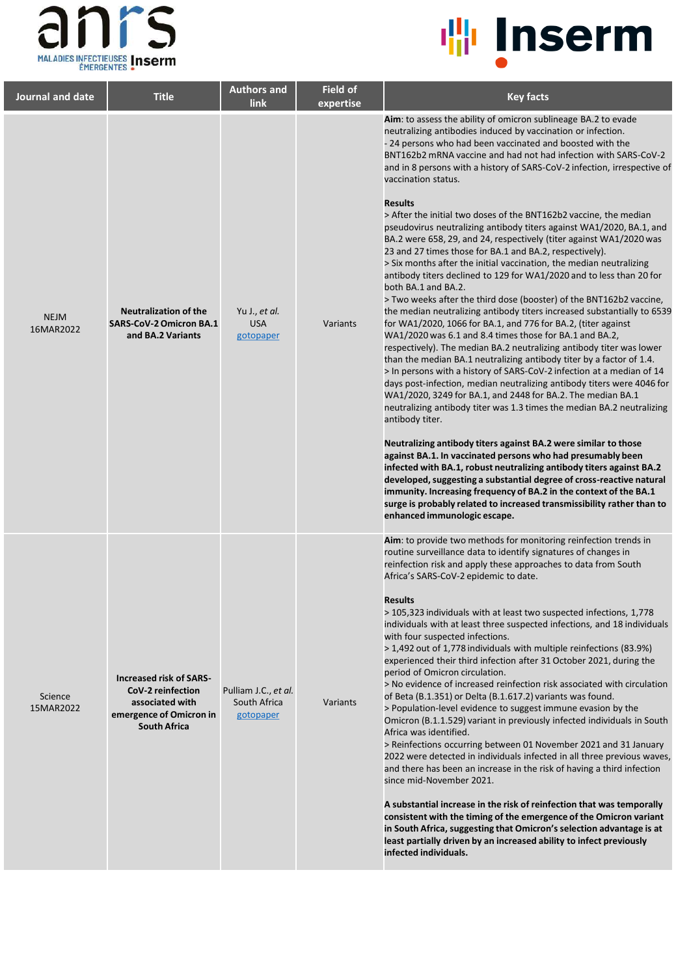

ļ

| Journal and date         | <b>Title</b>                                                                                                             | <b>Authors and</b><br><b>link</b>                 | <b>Field of</b><br>expertise | <b>Key facts</b>                                                                                                                                                                                                                                                                                                                                                                                                                                                                                                                                                                                                                                                                                                                                                                                                                                                                                                                                                                                                                                                                                                                                                                                                                                                                                                                                                                                                                                                                                                                                                                                                                                                                                                                                                                                                                                                                                                                                                                                                                                       |
|--------------------------|--------------------------------------------------------------------------------------------------------------------------|---------------------------------------------------|------------------------------|--------------------------------------------------------------------------------------------------------------------------------------------------------------------------------------------------------------------------------------------------------------------------------------------------------------------------------------------------------------------------------------------------------------------------------------------------------------------------------------------------------------------------------------------------------------------------------------------------------------------------------------------------------------------------------------------------------------------------------------------------------------------------------------------------------------------------------------------------------------------------------------------------------------------------------------------------------------------------------------------------------------------------------------------------------------------------------------------------------------------------------------------------------------------------------------------------------------------------------------------------------------------------------------------------------------------------------------------------------------------------------------------------------------------------------------------------------------------------------------------------------------------------------------------------------------------------------------------------------------------------------------------------------------------------------------------------------------------------------------------------------------------------------------------------------------------------------------------------------------------------------------------------------------------------------------------------------------------------------------------------------------------------------------------------------|
| <b>NEJM</b><br>16MAR2022 | <b>Neutralization of the</b><br>SARS-CoV-2 Omicron BA.1<br>and BA.2 Variants                                             | Yu J., et al.<br><b>USA</b><br>gotopaper          | Variants                     | Aim: to assess the ability of omicron sublineage BA.2 to evade<br>neutralizing antibodies induced by vaccination or infection.<br>- 24 persons who had been vaccinated and boosted with the<br>BNT162b2 mRNA vaccine and had not had infection with SARS-CoV-2<br>and in 8 persons with a history of SARS-CoV-2 infection, irrespective of<br>vaccination status.<br><b>Results</b><br>> After the initial two doses of the BNT162b2 vaccine, the median<br>pseudovirus neutralizing antibody titers against WA1/2020, BA.1, and<br>BA.2 were 658, 29, and 24, respectively (titer against WA1/2020 was<br>23 and 27 times those for BA.1 and BA.2, respectively).<br>> Six months after the initial vaccination, the median neutralizing<br>antibody titers declined to 129 for WA1/2020 and to less than 20 for<br>both BA.1 and BA.2.<br>> Two weeks after the third dose (booster) of the BNT162b2 vaccine,<br>the median neutralizing antibody titers increased substantially to 6539<br>for WA1/2020, 1066 for BA.1, and 776 for BA.2, (titer against<br>WA1/2020 was 6.1 and 8.4 times those for BA.1 and BA.2,<br>respectively). The median BA.2 neutralizing antibody titer was lower<br>than the median BA.1 neutralizing antibody titer by a factor of 1.4.<br>> In persons with a history of SARS-CoV-2 infection at a median of 14<br>days post-infection, median neutralizing antibody titers were 4046 for<br>WA1/2020, 3249 for BA.1, and 2448 for BA.2. The median BA.1<br>neutralizing antibody titer was 1.3 times the median BA.2 neutralizing<br>antibody titer.<br>Neutralizing antibody titers against BA.2 were similar to those<br>against BA.1. In vaccinated persons who had presumably been<br>infected with BA.1, robust neutralizing antibody titers against BA.2<br>developed, suggesting a substantial degree of cross-reactive natural<br>immunity. Increasing frequency of BA.2 in the context of the BA.1<br>surge is probably related to increased transmissibility rather than to<br>enhanced immunologic escape. |
| Science<br>15MAR2022     | <b>Increased risk of SARS-</b><br>CoV-2 reinfection<br>associated with<br>emergence of Omicron in<br><b>South Africa</b> | Pulliam J.C., et al.<br>South Africa<br>gotopaper | Variants                     | Aim: to provide two methods for monitoring reinfection trends in<br>routine surveillance data to identify signatures of changes in<br>reinfection risk and apply these approaches to data from South<br>Africa's SARS-CoV-2 epidemic to date.<br><b>Results</b><br>>105,323 individuals with at least two suspected infections, 1,778<br>individuals with at least three suspected infections, and 18 individuals<br>with four suspected infections.<br>> 1,492 out of 1,778 individuals with multiple reinfections (83.9%)<br>experienced their third infection after 31 October 2021, during the<br>period of Omicron circulation.<br>> No evidence of increased reinfection risk associated with circulation<br>of Beta (B.1.351) or Delta (B.1.617.2) variants was found.<br>> Population-level evidence to suggest immune evasion by the<br>Omicron (B.1.1.529) variant in previously infected individuals in South<br>Africa was identified.<br>> Reinfections occurring between 01 November 2021 and 31 January<br>2022 were detected in individuals infected in all three previous waves,<br>and there has been an increase in the risk of having a third infection<br>since mid-November 2021.<br>A substantial increase in the risk of reinfection that was temporally<br>consistent with the timing of the emergence of the Omicron variant<br>in South Africa, suggesting that Omicron's selection advantage is at<br>least partially driven by an increased ability to infect previously<br>infected individuals.                                                                                                                                                                                                                                                                                                                                                                                                                                                                                                                         |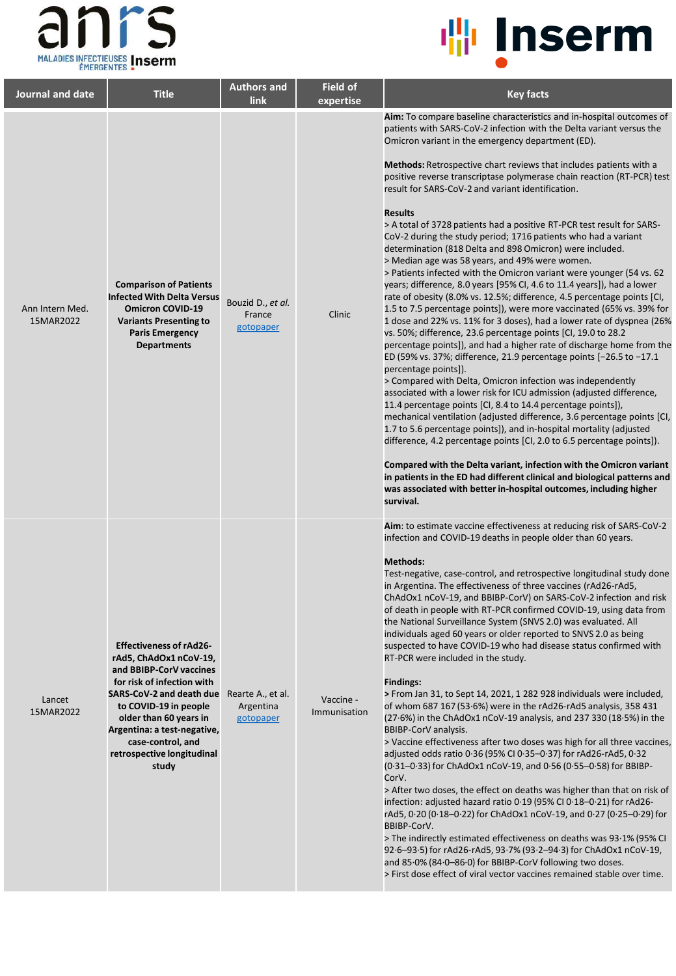

I

| Journal and date             | <b>Title</b>                                                                                                                                                                                                                                                                                | <b>Authors and</b><br><b>link</b>           | <b>Field of</b><br>expertise | <b>Key facts</b>                                                                                                                                                                                                                                                                                                                                                                                                                                                                                                                                                                                                                                                                                                                                                                                                                                                                                                                                                                                                                                                                                                                                                                                                                                                                                                                                                                                                                                                                                                                                                                                                                                                                                                                                                                                                                                                                                                                                                                          |
|------------------------------|---------------------------------------------------------------------------------------------------------------------------------------------------------------------------------------------------------------------------------------------------------------------------------------------|---------------------------------------------|------------------------------|-------------------------------------------------------------------------------------------------------------------------------------------------------------------------------------------------------------------------------------------------------------------------------------------------------------------------------------------------------------------------------------------------------------------------------------------------------------------------------------------------------------------------------------------------------------------------------------------------------------------------------------------------------------------------------------------------------------------------------------------------------------------------------------------------------------------------------------------------------------------------------------------------------------------------------------------------------------------------------------------------------------------------------------------------------------------------------------------------------------------------------------------------------------------------------------------------------------------------------------------------------------------------------------------------------------------------------------------------------------------------------------------------------------------------------------------------------------------------------------------------------------------------------------------------------------------------------------------------------------------------------------------------------------------------------------------------------------------------------------------------------------------------------------------------------------------------------------------------------------------------------------------------------------------------------------------------------------------------------------------|
| Ann Intern Med.<br>15MAR2022 | <b>Comparison of Patients</b><br><b>Infected With Delta Versus</b><br><b>Omicron COVID-19</b><br><b>Variants Presenting to</b><br><b>Paris Emergency</b><br><b>Departments</b>                                                                                                              | Bouzid D., et al.<br>France<br>gotopaper    | Clinic                       | Aim: To compare baseline characteristics and in-hospital outcomes of<br>patients with SARS-CoV-2 infection with the Delta variant versus the<br>Omicron variant in the emergency department (ED).<br><b>Methods:</b> Retrospective chart reviews that includes patients with a<br>positive reverse transcriptase polymerase chain reaction (RT-PCR) test<br>result for SARS-CoV-2 and variant identification.<br><b>Results</b><br>> A total of 3728 patients had a positive RT-PCR test result for SARS-<br>CoV-2 during the study period; 1716 patients who had a variant<br>determination (818 Delta and 898 Omicron) were included.<br>> Median age was 58 years, and 49% were women.<br>> Patients infected with the Omicron variant were younger (54 vs. 62)<br>years; difference, 8.0 years [95% CI, 4.6 to 11.4 years]), had a lower<br>rate of obesity (8.0% vs. 12.5%; difference, 4.5 percentage points [CI,<br>1.5 to 7.5 percentage points]), were more vaccinated (65% vs. 39% for<br>1 dose and 22% vs. 11% for 3 doses), had a lower rate of dyspnea (26%<br>vs. 50%; difference, 23.6 percentage points [CI, 19.0 to 28.2<br>percentage points]), and had a higher rate of discharge home from the<br>ED (59% vs. 37%; difference, 21.9 percentage points [-26.5 to -17.1<br>percentage points]).<br>> Compared with Delta, Omicron infection was independently<br>associated with a lower risk for ICU admission (adjusted difference,<br>11.4 percentage points [CI, 8.4 to 14.4 percentage points]),<br>mechanical ventilation (adjusted difference, 3.6 percentage points [CI,<br>1.7 to 5.6 percentage points]), and in-hospital mortality (adjusted<br>difference, 4.2 percentage points [CI, 2.0 to 6.5 percentage points]).<br>Compared with the Delta variant, infection with the Omicron variant<br>in patients in the ED had different clinical and biological patterns and<br>was associated with better in-hospital outcomes, including higher<br>survival. |
| Lancet<br>15MAR2022          | <b>Effectiveness of rAd26-</b><br>rAd5, ChAdOx1 nCoV-19,<br>and BBIBP-CorV vaccines<br>for risk of infection with<br>SARS-CoV-2 and death due<br>to COVID-19 in people<br>older than 60 years in<br>Argentina: a test-negative,<br>case-control, and<br>retrospective longitudinal<br>study | Rearte A., et al.<br>Argentina<br>gotopaper | Vaccine -<br>Immunisation    | Aim: to estimate vaccine effectiveness at reducing risk of SARS-CoV-2<br>infection and COVID-19 deaths in people older than 60 years.<br><b>Methods:</b><br>Test-negative, case-control, and retrospective longitudinal study done<br>in Argentina. The effectiveness of three vaccines (rAd26-rAd5,<br>ChAdOx1 nCoV-19, and BBIBP-CorV) on SARS-CoV-2 infection and risk<br>of death in people with RT-PCR confirmed COVID-19, using data from<br>the National Surveillance System (SNVS 2.0) was evaluated. All<br>individuals aged 60 years or older reported to SNVS 2.0 as being<br>suspected to have COVID-19 who had disease status confirmed with<br>RT-PCR were included in the study.<br><b>Findings:</b><br>> From Jan 31, to Sept 14, 2021, 1 282 928 individuals were included,<br>of whom 687 167 (53 $\cdot$ 6%) were in the rAd26-rAd5 analysis, 358 431<br>(27.6%) in the ChAdOx1 nCoV-19 analysis, and 237 330 (18.5%) in the<br><b>BBIBP-CorV analysis.</b><br>> Vaccine effectiveness after two doses was high for all three vaccines,<br>adjusted odds ratio 0.36 (95% CI 0.35-0.37) for rAd26-rAd5, 0.32<br>(0.31-0.33) for ChAdOx1 nCoV-19, and 0.56 (0.55-0.58) for BBIBP-<br>CorV.<br>> After two doses, the effect on deaths was higher than that on risk of<br>infection: adjusted hazard ratio 0.19 (95% CI 0.18-0.21) for rAd26-<br>rAd5, 0.20 (0.18-0.22) for ChAdOx1 nCoV-19, and 0.27 (0.25-0.29) for<br>BBIBP-CorV.<br>> The indirectly estimated effectiveness on deaths was 93.1% (95% CI<br>92.6-93.5) for rAd26-rAd5, 93.7% (93.2-94.3) for ChAdOx1 nCoV-19,<br>and 85.0% (84.0-86.0) for BBIBP-CorV following two doses.<br>> First dose effect of viral vector vaccines remained stable over time.                                                                                                                                                                                                                                                 |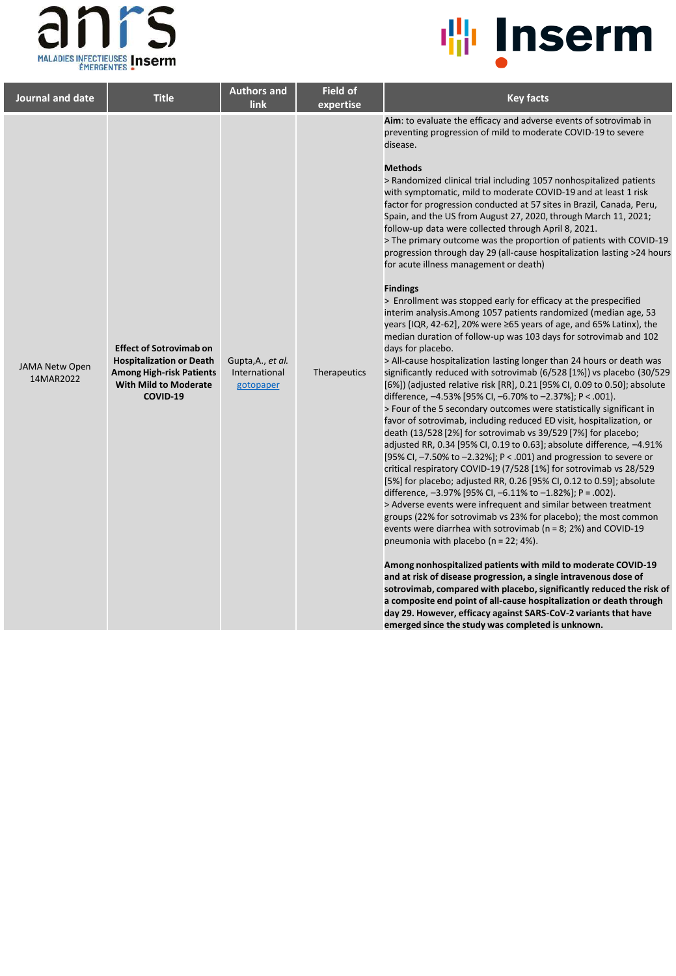

| Journal and date                   | <b>Title</b>                                                                                                                                     | <b>Authors and</b><br><b>link</b>               | <b>Field of</b><br>expertise | <b>Key facts</b>                                                                                                                                                                                                                                                                                                                                                                                                                                                                                                                                                                                                                                                                                                                                                                                                                                                                                                                                                                                                                                                                                                                                                                                                                                                                                                                                                                                                                                                                                                                                                                                                                                                                                                                                                                                                                                                                                                                                                                                                                                                                                                                                                                                                                                                                                                                                                                                                                                                                                                                                                             |
|------------------------------------|--------------------------------------------------------------------------------------------------------------------------------------------------|-------------------------------------------------|------------------------------|------------------------------------------------------------------------------------------------------------------------------------------------------------------------------------------------------------------------------------------------------------------------------------------------------------------------------------------------------------------------------------------------------------------------------------------------------------------------------------------------------------------------------------------------------------------------------------------------------------------------------------------------------------------------------------------------------------------------------------------------------------------------------------------------------------------------------------------------------------------------------------------------------------------------------------------------------------------------------------------------------------------------------------------------------------------------------------------------------------------------------------------------------------------------------------------------------------------------------------------------------------------------------------------------------------------------------------------------------------------------------------------------------------------------------------------------------------------------------------------------------------------------------------------------------------------------------------------------------------------------------------------------------------------------------------------------------------------------------------------------------------------------------------------------------------------------------------------------------------------------------------------------------------------------------------------------------------------------------------------------------------------------------------------------------------------------------------------------------------------------------------------------------------------------------------------------------------------------------------------------------------------------------------------------------------------------------------------------------------------------------------------------------------------------------------------------------------------------------------------------------------------------------------------------------------------------------|
| <b>JAMA Netw Open</b><br>14MAR2022 | <b>Effect of Sotrovimab on</b><br><b>Hospitalization or Death</b><br><b>Among High-risk Patients</b><br><b>With Mild to Moderate</b><br>COVID-19 | Gupta, A., et al.<br>International<br>gotopaper | Therapeutics                 | Aim: to evaluate the efficacy and adverse events of sotrovimab in<br>preventing progression of mild to moderate COVID-19 to severe<br>disease.<br><b>Methods</b><br>> Randomized clinical trial including 1057 nonhospitalized patients<br>with symptomatic, mild to moderate COVID-19 and at least 1 risk<br>factor for progression conducted at 57 sites in Brazil, Canada, Peru,<br>Spain, and the US from August 27, 2020, through March 11, 2021;<br>follow-up data were collected through April 8, 2021.<br>> The primary outcome was the proportion of patients with COVID-19<br>progression through day 29 (all-cause hospitalization lasting >24 hours<br>for acute illness management or death)<br><b>Findings</b><br>> Enrollment was stopped early for efficacy at the prespecified<br>interim analysis. Among 1057 patients randomized (median age, 53<br>years [IQR, 42-62], 20% were ≥65 years of age, and 65% Latinx), the<br>median duration of follow-up was 103 days for sotrovimab and 102<br>days for placebo.<br>> All-cause hospitalization lasting longer than 24 hours or death was<br>significantly reduced with sotrovimab (6/528 [1%]) vs placebo (30/529<br>[6%]) (adjusted relative risk [RR], 0.21 [95% CI, 0.09 to 0.50]; absolute<br>difference, -4.53% [95% CI, -6.70% to -2.37%]; P < .001).<br>> Four of the 5 secondary outcomes were statistically significant in<br>favor of sotrovimab, including reduced ED visit, hospitalization, or<br>death (13/528 [2%] for sotrovimab vs 39/529 [7%] for placebo;<br>adjusted RR, 0.34 [95% CI, 0.19 to 0.63]; absolute difference, -4.91%<br>[95% CI, -7.50% to -2.32%]; P < .001) and progression to severe or<br>critical respiratory COVID-19 (7/528 [1%] for sotrovimab vs 28/529<br>[5%] for placebo; adjusted RR, 0.26 [95% CI, 0.12 to 0.59]; absolute<br>difference, -3.97% [95% CI, -6.11% to -1.82%]; P = .002).<br>> Adverse events were infrequent and similar between treatment<br>groups (22% for sotrovimab vs 23% for placebo); the most common<br>events were diarrhea with sotrovimab ( $n = 8$ ; 2%) and COVID-19<br>pneumonia with placebo ( $n = 22$ ; 4%).<br>Among nonhospitalized patients with mild to moderate COVID-19<br>and at risk of disease progression, a single intravenous dose of<br>sotrovimab, compared with placebo, significantly reduced the risk of<br>a composite end point of all-cause hospitalization or death through<br>day 29. However, efficacy against SARS-CoV-2 variants that have<br>emerged since the study was completed is unknown. |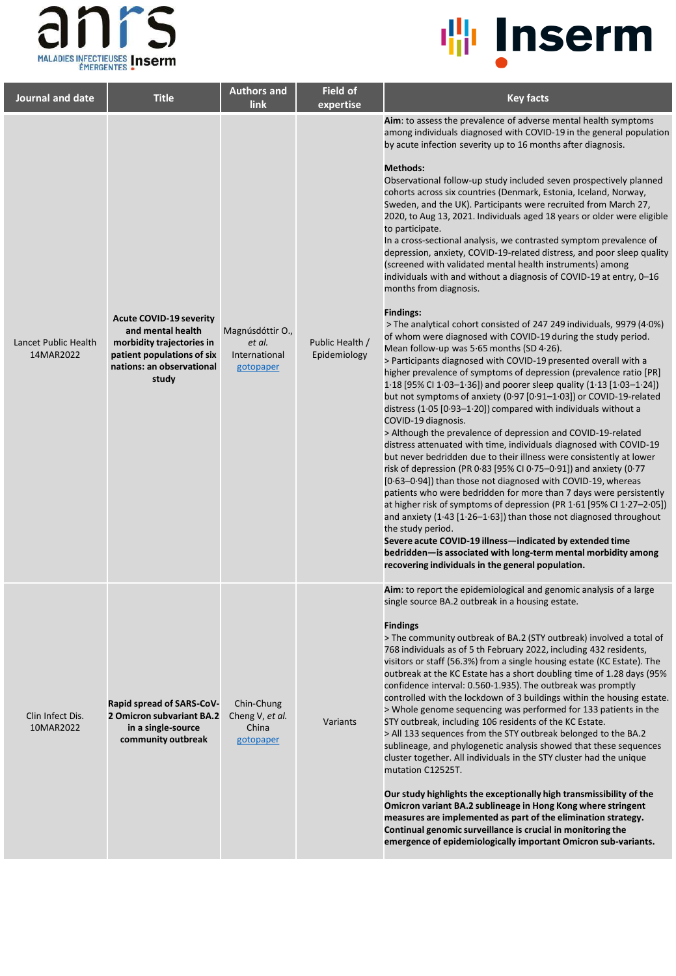

| Journal and date                  | <b>Title</b>                                                                                                                                         | <b>Authors and</b><br>link                               | <b>Field of</b><br>expertise    | <b>Key facts</b>                                                                                                                                                                                                                                                                                                                                                                                                                                                                                                                                                                                                                                                                                                                                                                                                                                                                                                                                                                                                                                                                                                                                                                                                                                                                                                                                                                                                                                                                                                                                                                                                                                                                                                                                                                                                                                                                                                                                                                                                                                                                                                                                                                                                                 |
|-----------------------------------|------------------------------------------------------------------------------------------------------------------------------------------------------|----------------------------------------------------------|---------------------------------|----------------------------------------------------------------------------------------------------------------------------------------------------------------------------------------------------------------------------------------------------------------------------------------------------------------------------------------------------------------------------------------------------------------------------------------------------------------------------------------------------------------------------------------------------------------------------------------------------------------------------------------------------------------------------------------------------------------------------------------------------------------------------------------------------------------------------------------------------------------------------------------------------------------------------------------------------------------------------------------------------------------------------------------------------------------------------------------------------------------------------------------------------------------------------------------------------------------------------------------------------------------------------------------------------------------------------------------------------------------------------------------------------------------------------------------------------------------------------------------------------------------------------------------------------------------------------------------------------------------------------------------------------------------------------------------------------------------------------------------------------------------------------------------------------------------------------------------------------------------------------------------------------------------------------------------------------------------------------------------------------------------------------------------------------------------------------------------------------------------------------------------------------------------------------------------------------------------------------------|
| Lancet Public Health<br>14MAR2022 | <b>Acute COVID-19 severity</b><br>and mental health<br>morbidity trajectories in<br>patient populations of six<br>nations: an observational<br>study | Magnúsdóttir O.,<br>et al.<br>International<br>gotopaper | Public Health /<br>Epidemiology | Aim: to assess the prevalence of adverse mental health symptoms<br>among individuals diagnosed with COVID-19 in the general population<br>by acute infection severity up to 16 months after diagnosis.<br><b>Methods:</b><br>Observational follow-up study included seven prospectively planned<br>cohorts across six countries (Denmark, Estonia, Iceland, Norway,<br>Sweden, and the UK). Participants were recruited from March 27,<br>2020, to Aug 13, 2021. Individuals aged 18 years or older were eligible<br>to participate.<br>In a cross-sectional analysis, we contrasted symptom prevalence of<br>depression, anxiety, COVID-19-related distress, and poor sleep quality<br>(screened with validated mental health instruments) among<br>individuals with and without a diagnosis of COVID-19 at entry, 0–16<br>months from diagnosis.<br><b>Findings:</b><br>> The analytical cohort consisted of 247 249 individuals, 9979 (4.0%)<br>of whom were diagnosed with COVID-19 during the study period.<br>Mean follow-up was 5.65 months (SD 4.26).<br>> Participants diagnosed with COVID-19 presented overall with a<br>higher prevalence of symptoms of depression (prevalence ratio [PR]<br>1.18 [95% CI 1.03-1.36]) and poorer sleep quality $(1.13 [1.03-1.24])$<br>but not symptoms of anxiety (0.97 [0.91-1.03]) or COVID-19-related<br>distress (1.05 [0.93-1.20]) compared with individuals without a<br>COVID-19 diagnosis.<br>> Although the prevalence of depression and COVID-19-related<br>distress attenuated with time, individuals diagnosed with COVID-19<br>but never bedridden due to their illness were consistently at lower<br>risk of depression (PR 0.83 [95% CI 0.75-0.91]) and anxiety (0.77<br>[0.63-0.94]) than those not diagnosed with COVID-19, whereas<br>patients who were bedridden for more than 7 days were persistently<br>at higher risk of symptoms of depression (PR 1.61 [95% CI 1.27-2.05])<br>and anxiety $(1.43 [1.26-1.63])$ than those not diagnosed throughout<br>the study period.<br>Severe acute COVID-19 illness—indicated by extended time<br>bedridden-is associated with long-term mental morbidity among<br>recovering individuals in the general population. |
| Clin Infect Dis.<br>10MAR2022     | <b>Rapid spread of SARS-CoV-</b><br>2 Omicron subvariant BA.2<br>in a single-source<br>community outbreak                                            | Chin-Chung<br>Cheng V, et al.<br>China<br>gotopaper      | Variants                        | Aim: to report the epidemiological and genomic analysis of a large<br>single source BA.2 outbreak in a housing estate.<br><b>Findings</b><br>> The community outbreak of BA.2 (STY outbreak) involved a total of<br>768 individuals as of 5 th February 2022, including 432 residents,<br>visitors or staff (56.3%) from a single housing estate (KC Estate). The<br>outbreak at the KC Estate has a short doubling time of 1.28 days (95%<br>confidence interval: 0.560-1.935). The outbreak was promptly<br>controlled with the lockdown of 3 buildings within the housing estate.<br>> Whole genome sequencing was performed for 133 patients in the<br>STY outbreak, including 106 residents of the KC Estate.<br>> All 133 sequences from the STY outbreak belonged to the BA.2<br>sublineage, and phylogenetic analysis showed that these sequences<br>cluster together. All individuals in the STY cluster had the unique<br>mutation C12525T.<br>Our study highlights the exceptionally high transmissibility of the<br>Omicron variant BA.2 sublineage in Hong Kong where stringent<br>measures are implemented as part of the elimination strategy.<br>Continual genomic surveillance is crucial in monitoring the<br>emergence of epidemiologically important Omicron sub-variants.                                                                                                                                                                                                                                                                                                                                                                                                                                                                                                                                                                                                                                                                                                                                                                                                                                                                                                                                   |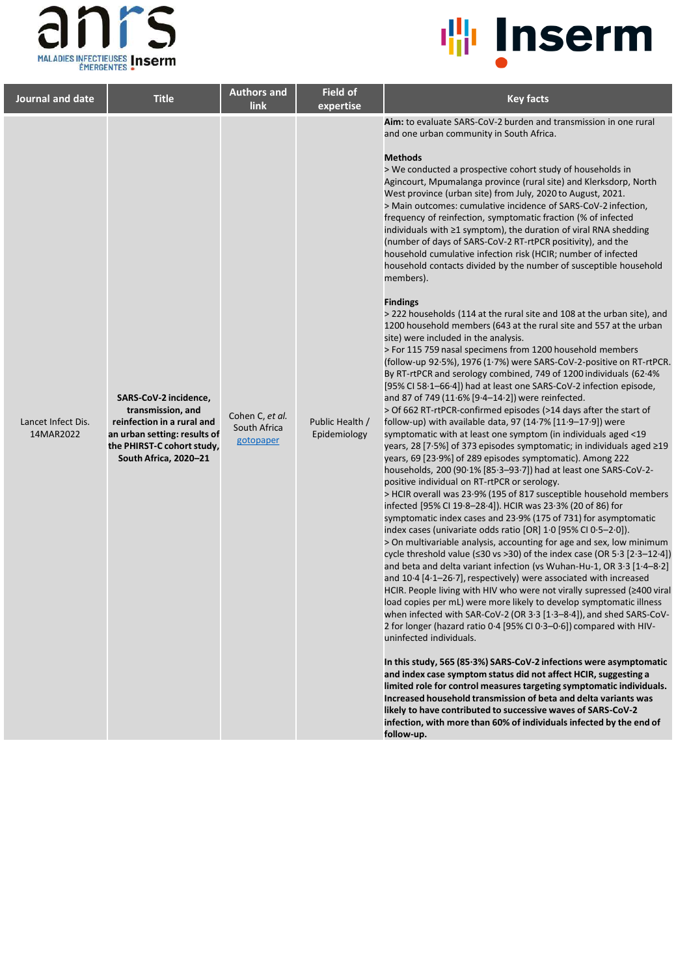

| Journal and date                | <b>Title</b>                                                                                                                                                    | <b>Authors and</b><br>link                   | <b>Field of</b><br>expertise    | <b>Key facts</b>                                                                                                                                                                                                                                                                                                                                                                                                                                                                                                                                                                                                                                                                                                                                                                                                                                                                                                                                                                                                                                                                                                                                                                                                                                                                                                                                                                                                                                                                                                                                                                                                                                                                                                                                                                                                                                                                                                                                                                                                                                                                                                                                                                                                                                                                                                                                                                                                                                                                                                                                                                                                                                                                                                                                                                                                                                                                                                                                                                                                                                                                                                                                    |
|---------------------------------|-----------------------------------------------------------------------------------------------------------------------------------------------------------------|----------------------------------------------|---------------------------------|-----------------------------------------------------------------------------------------------------------------------------------------------------------------------------------------------------------------------------------------------------------------------------------------------------------------------------------------------------------------------------------------------------------------------------------------------------------------------------------------------------------------------------------------------------------------------------------------------------------------------------------------------------------------------------------------------------------------------------------------------------------------------------------------------------------------------------------------------------------------------------------------------------------------------------------------------------------------------------------------------------------------------------------------------------------------------------------------------------------------------------------------------------------------------------------------------------------------------------------------------------------------------------------------------------------------------------------------------------------------------------------------------------------------------------------------------------------------------------------------------------------------------------------------------------------------------------------------------------------------------------------------------------------------------------------------------------------------------------------------------------------------------------------------------------------------------------------------------------------------------------------------------------------------------------------------------------------------------------------------------------------------------------------------------------------------------------------------------------------------------------------------------------------------------------------------------------------------------------------------------------------------------------------------------------------------------------------------------------------------------------------------------------------------------------------------------------------------------------------------------------------------------------------------------------------------------------------------------------------------------------------------------------------------------------------------------------------------------------------------------------------------------------------------------------------------------------------------------------------------------------------------------------------------------------------------------------------------------------------------------------------------------------------------------------------------------------------------------------------------------------------------------------|
| Lancet Infect Dis.<br>14MAR2022 | SARS-CoV-2 incidence,<br>transmission, and<br>reinfection in a rural and<br>an urban setting: results of<br>the PHIRST-C cohort study,<br>South Africa, 2020-21 | Cohen C, et al.<br>South Africa<br>gotopaper | Public Health /<br>Epidemiology | Aim: to evaluate SARS-CoV-2 burden and transmission in one rural<br>and one urban community in South Africa.<br><b>Methods</b><br>> We conducted a prospective cohort study of households in<br>Agincourt, Mpumalanga province (rural site) and Klerksdorp, North<br>West province (urban site) from July, 2020 to August, 2021.<br>> Main outcomes: cumulative incidence of SARS-CoV-2 infection,<br>frequency of reinfection, symptomatic fraction (% of infected<br>individuals with ≥1 symptom), the duration of viral RNA shedding<br>(number of days of SARS-CoV-2 RT-rtPCR positivity), and the<br>household cumulative infection risk (HCIR; number of infected<br>household contacts divided by the number of susceptible household<br>members).<br><b>Findings</b><br>> 222 households (114 at the rural site and 108 at the urban site), and<br>1200 household members (643 at the rural site and 557 at the urban<br>site) were included in the analysis.<br>> For 115 759 nasal specimens from 1200 household members<br>(follow-up 92.5%), 1976 (1.7%) were SARS-CoV-2-positive on RT-rtPCR<br>By RT-rtPCR and serology combined, 749 of 1200 individuals (62.4%<br>[95% CI 58.1–66.4]) had at least one SARS-CoV-2 infection episode,<br>and 87 of 749 (11.6% [9.4-14.2]) were reinfected.<br>> Of 662 RT-rtPCR-confirmed episodes (>14 days after the start of<br>follow-up) with available data, 97 (14 $-7\%$ [11 $-9-17.9$ ]) were<br>symptomatic with at least one symptom (in individuals aged <19<br>years, 28 [7·5%] of 373 episodes symptomatic; in individuals aged ≥19<br>years, 69 [23.9%] of 289 episodes symptomatic). Among 222<br>households, 200 (90.1% [85.3-93.7]) had at least one SARS-CoV-2-<br>positive individual on RT-rtPCR or serology.<br>> HCIR overall was 23.9% (195 of 817 susceptible household members<br>infected [95% CI 19.8-28.4]). HCIR was 23.3% (20 of 86) for<br>symptomatic index cases and $23.9\%$ (175 of 731) for asymptomatic<br>index cases (univariate odds ratio [OR] $1.0$ [95% CI 0.5-2.0]).<br>> On multivariable analysis, accounting for age and sex, low minimum<br>cycle threshold value ( $\leq 30$ vs > 30) of the index case (OR 5.3 [2.3-12.4]<br>and beta and delta variant infection (vs Wuhan-Hu-1, OR 3.3 [1.4-8.2]<br>and 10.4 [4.1-26.7], respectively) were associated with increased<br>HCIR. People living with HIV who were not virally supressed (≥400 vira<br>load copies per mL) were more likely to develop symptomatic illness<br>when infected with SAR-CoV-2 (OR 3.3 [1.3-8.4]), and shed SARS-CoV-<br>2 for longer (hazard ratio 0.4 [95% CI 0.3-0.6]) compared with HIV-<br>uninfected individuals.<br>In this study, 565 (85 $\cdot$ 3%) SARS-CoV-2 infections were asymptomatic<br>and index case symptom status did not affect HCIR, suggesting a<br>limited role for control measures targeting symptomatic individuals.<br>Increased household transmission of beta and delta variants was<br>likely to have contributed to successive waves of SARS-CoV-2<br>infection, with more than 60% of individuals infected by the end of<br>follow-un |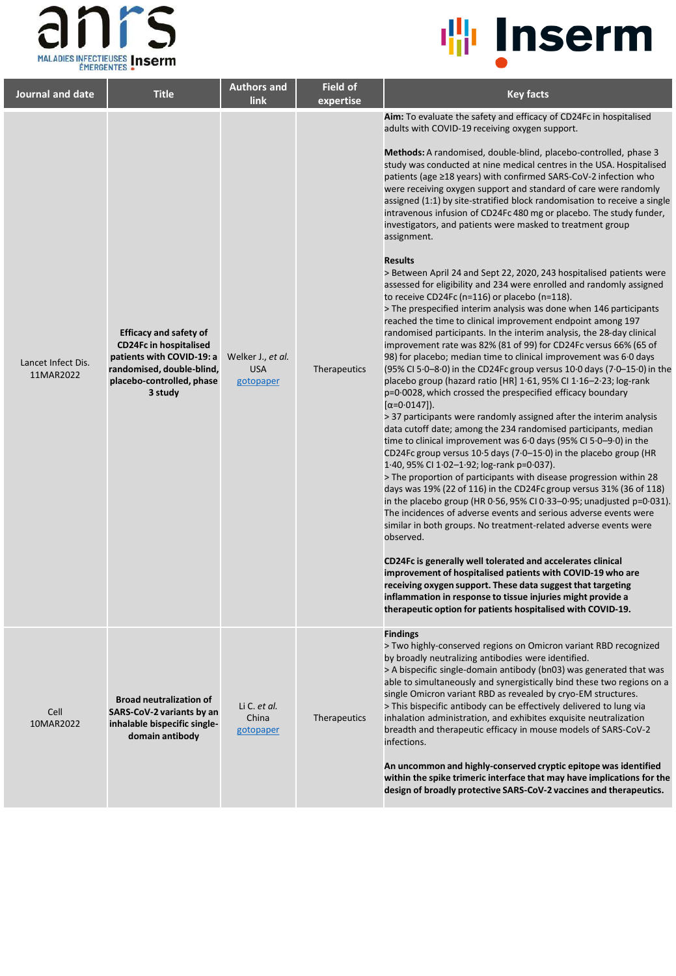

| Journal and date                | <b>Title</b>                                                                                                                                                     | <b>Authors and</b><br>link                   | <b>Field of</b><br>expertise | <b>Key facts</b>                                                                                                                                                                                                                                                                                                                                                                                                                                                                                                                                                                                                                                                                                                                                                                                                                                                                                                                                                                                                                                                                                                                                                                                                                                                                                                                                                                                                                                                                                                                                                                                                                                                                                                                                                                                                                                                                                                                                                                                                                                                                                                                                                                                                                                                                                                                                                                                                                                                                                     |
|---------------------------------|------------------------------------------------------------------------------------------------------------------------------------------------------------------|----------------------------------------------|------------------------------|------------------------------------------------------------------------------------------------------------------------------------------------------------------------------------------------------------------------------------------------------------------------------------------------------------------------------------------------------------------------------------------------------------------------------------------------------------------------------------------------------------------------------------------------------------------------------------------------------------------------------------------------------------------------------------------------------------------------------------------------------------------------------------------------------------------------------------------------------------------------------------------------------------------------------------------------------------------------------------------------------------------------------------------------------------------------------------------------------------------------------------------------------------------------------------------------------------------------------------------------------------------------------------------------------------------------------------------------------------------------------------------------------------------------------------------------------------------------------------------------------------------------------------------------------------------------------------------------------------------------------------------------------------------------------------------------------------------------------------------------------------------------------------------------------------------------------------------------------------------------------------------------------------------------------------------------------------------------------------------------------------------------------------------------------------------------------------------------------------------------------------------------------------------------------------------------------------------------------------------------------------------------------------------------------------------------------------------------------------------------------------------------------------------------------------------------------------------------------------------------------|
| Lancet Infect Dis.<br>11MAR2022 | <b>Efficacy and safety of</b><br><b>CD24Fc in hospitalised</b><br>patients with COVID-19: a<br>randomised, double-blind,<br>placebo-controlled, phase<br>3 study | Welker J., et al.<br><b>USA</b><br>gotopaper | Therapeutics                 | Aim: To evaluate the safety and efficacy of CD24Fc in hospitalised<br>adults with COVID-19 receiving oxygen support.<br>Methods: A randomised, double-blind, placebo-controlled, phase 3<br>study was conducted at nine medical centres in the USA. Hospitalised<br>patients (age ≥18 years) with confirmed SARS-CoV-2 infection who<br>were receiving oxygen support and standard of care were randomly<br>assigned (1:1) by site-stratified block randomisation to receive a single<br>intravenous infusion of CD24Fc 480 mg or placebo. The study funder,<br>investigators, and patients were masked to treatment group<br>assignment.<br><b>Results</b><br>> Between April 24 and Sept 22, 2020, 243 hospitalised patients were<br>assessed for eligibility and 234 were enrolled and randomly assigned<br>to receive CD24Fc (n=116) or placebo (n=118).<br>> The prespecified interim analysis was done when 146 participants<br>reached the time to clinical improvement endpoint among 197<br>randomised participants. In the interim analysis, the 28-day clinical<br>improvement rate was 82% (81 of 99) for CD24Fc versus 66% (65 of<br>98) for placebo; median time to clinical improvement was 6.0 days<br>$(95\%$ CI 5.0–8.0) in the CD24Fc group versus 10.0 days (7.0–15.0) in the<br>placebo group (hazard ratio [HR] $1.61$ , 95% CI $1.16-2.23$ ; log-rank<br>p=0.0028, which crossed the prespecified efficacy boundary<br>$[α=0.0147]$ .<br>> 37 participants were randomly assigned after the interim analysis<br>data cutoff date; among the 234 randomised participants, median<br>time to clinical improvement was 6.0 days (95% CI 5.0-9.0) in the<br>CD24Fc group versus 10.5 days (7.0-15.0) in the placebo group (HR<br>1.40, 95% CI 1.02-1.92; log-rank p=0.037).<br>> The proportion of participants with disease progression within 28<br>days was 19% (22 of 116) in the CD24Fc group versus 31% (36 of 118)<br>in the placebo group (HR 0.56, 95% CI 0.33-0.95; unadjusted p=0.031).<br>The incidences of adverse events and serious adverse events were<br>similar in both groups. No treatment-related adverse events were<br>observed.<br>CD24Fc is generally well tolerated and accelerates clinical<br>improvement of hospitalised patients with COVID-19 who are<br>receiving oxygen support. These data suggest that targeting<br>inflammation in response to tissue injuries might provide a<br>therapeutic option for patients hospitalised with COVID-19. |
| Cell<br>10MAR2022               | <b>Broad neutralization of</b><br>SARS-CoV-2 variants by an<br>inhalable bispecific single-<br>domain antibody                                                   | Li C. et al.<br>China<br>gotopaper           | Therapeutics                 | <b>Findings</b><br>> Two highly-conserved regions on Omicron variant RBD recognized<br>by broadly neutralizing antibodies were identified.<br>> A bispecific single-domain antibody (bn03) was generated that was<br>able to simultaneously and synergistically bind these two regions on a<br>single Omicron variant RBD as revealed by cryo-EM structures.<br>> This bispecific antibody can be effectively delivered to lung via<br>inhalation administration, and exhibites exquisite neutralization<br>breadth and therapeutic efficacy in mouse models of SARS-CoV-2<br>infections.<br>An uncommon and highly-conserved cryptic epitope was identified<br>within the spike trimeric interface that may have implications for the<br>design of broadly protective SARS-CoV-2 vaccines and therapeutics.                                                                                                                                                                                                                                                                                                                                                                                                                                                                                                                                                                                                                                                                                                                                                                                                                                                                                                                                                                                                                                                                                                                                                                                                                                                                                                                                                                                                                                                                                                                                                                                                                                                                                         |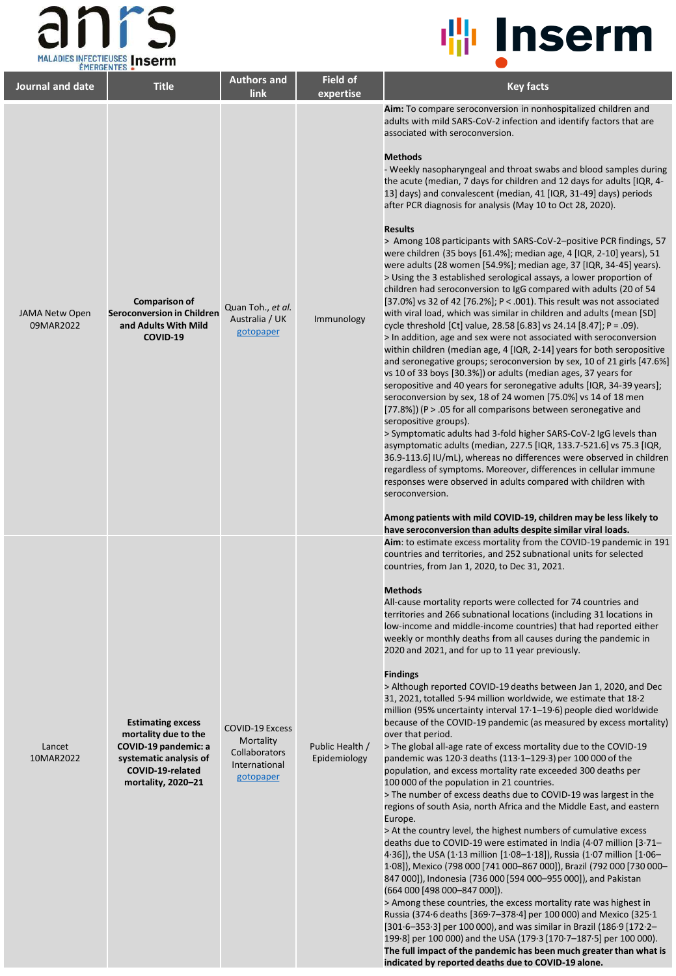| Journal and date                   | <u>ENEMBENTEN B</u><br><b>Title</b>                                                                                                          | <b>Authors and</b><br>link                                                         | <b>Field of</b><br>expertise    | <b>Key facts</b>                                                                                                                                                                                                                                                                                                                                                                                                                                                                                                                                                                                                                                                                                                                                                                                                                                                                                                                                                                                                                                                                                                                                                                                                                                                                                                                                                                                                                                                                                                                                                                                                                                                                                                                                                                                                                                                                                                                                                                                                                                                                                                                          |
|------------------------------------|----------------------------------------------------------------------------------------------------------------------------------------------|------------------------------------------------------------------------------------|---------------------------------|-------------------------------------------------------------------------------------------------------------------------------------------------------------------------------------------------------------------------------------------------------------------------------------------------------------------------------------------------------------------------------------------------------------------------------------------------------------------------------------------------------------------------------------------------------------------------------------------------------------------------------------------------------------------------------------------------------------------------------------------------------------------------------------------------------------------------------------------------------------------------------------------------------------------------------------------------------------------------------------------------------------------------------------------------------------------------------------------------------------------------------------------------------------------------------------------------------------------------------------------------------------------------------------------------------------------------------------------------------------------------------------------------------------------------------------------------------------------------------------------------------------------------------------------------------------------------------------------------------------------------------------------------------------------------------------------------------------------------------------------------------------------------------------------------------------------------------------------------------------------------------------------------------------------------------------------------------------------------------------------------------------------------------------------------------------------------------------------------------------------------------------------|
| <b>JAMA Netw Open</b><br>09MAR2022 | <b>Comparison of</b><br><b>Seroconversion in Children</b><br>and Adults With Mild<br>COVID-19                                                | Quan Toh., et al.<br>Australia / UK<br>gotopaper                                   | Immunology                      | Aim: To compare seroconversion in nonhospitalized children and<br>adults with mild SARS-CoV-2 infection and identify factors that are<br>associated with seroconversion.<br><b>Methods</b><br>- Weekly nasopharyngeal and throat swabs and blood samples during<br>the acute (median, 7 days for children and 12 days for adults [IQR, 4-<br>13] days) and convalescent (median, 41 [IQR, 31-49] days) periods<br>after PCR diagnosis for analysis (May 10 to Oct 28, 2020).<br><b>Results</b><br>> Among 108 participants with SARS-CoV-2-positive PCR findings, 57<br>were children (35 boys [61.4%]; median age, 4 [IQR, 2-10] years), 51<br>were adults (28 women [54.9%]; median age, 37 [IQR, 34-45] years).<br>> Using the 3 established serological assays, a lower proportion of<br>children had seroconversion to IgG compared with adults (20 of 54<br>[37.0%] vs 32 of 42 [76.2%]; P < .001). This result was not associated<br>with viral load, which was similar in children and adults (mean [SD]<br>cycle threshold [Ct] value, 28.58 [6.83] vs 24.14 [8.47]; P = .09).<br>> In addition, age and sex were not associated with seroconversion<br>within children (median age, 4 [IQR, 2-14] years for both seropositive<br>and seronegative groups; seroconversion by sex, 10 of 21 girls [47.6%]<br>vs 10 of 33 boys [30.3%]) or adults (median ages, 37 years for<br>seropositive and 40 years for seronegative adults [IQR, 34-39 years];<br>seroconversion by sex, 18 of 24 women [75.0%] vs 14 of 18 men<br>[77.8%]) (P > .05 for all comparisons between seronegative and<br>seropositive groups).<br>> Symptomatic adults had 3-fold higher SARS-CoV-2 IgG levels than<br>asymptomatic adults (median, 227.5 [IQR, 133.7-521.6] vs 75.3 [IQR,<br>36.9-113.6] IU/mL), whereas no differences were observed in children<br>regardless of symptoms. Moreover, differences in cellular immune<br>responses were observed in adults compared with children with<br>seroconversion.<br>Among patients with mild COVID-19, children may be less likely to<br>have seroconversion than adults despite similar viral loads. |
| Lancet<br>10MAR2022                | <b>Estimating excess</b><br>mortality due to the<br>COVID-19 pandemic: a<br>systematic analysis of<br>COVID-19-related<br>mortality, 2020-21 | <b>COVID-19 Excess</b><br>Mortality<br>Collaborators<br>International<br>gotopaper | Public Health /<br>Epidemiology | Aim: to estimate excess mortality from the COVID-19 pandemic in 191<br>countries and territories, and 252 subnational units for selected<br>countries, from Jan 1, 2020, to Dec 31, 2021.<br><b>Methods</b><br>All-cause mortality reports were collected for 74 countries and<br>territories and 266 subnational locations (including 31 locations in<br>low-income and middle-income countries) that had reported either<br>weekly or monthly deaths from all causes during the pandemic in<br>2020 and 2021, and for up to 11 year previously.<br><b>Findings</b><br>> Although reported COVID-19 deaths between Jan 1, 2020, and Dec<br>31, 2021, totalled 5.94 million worldwide, we estimate that 18.2<br>million (95% uncertainty interval 17·1-19·6) people died worldwide<br>because of the COVID-19 pandemic (as measured by excess mortality)<br>over that period.<br>> The global all-age rate of excess mortality due to the COVID-19<br>pandemic was 120.3 deaths (113.1-129.3) per 100 000 of the<br>population, and excess mortality rate exceeded 300 deaths per<br>100 000 of the population in 21 countries.<br>> The number of excess deaths due to COVID-19 was largest in the<br>regions of south Asia, north Africa and the Middle East, and eastern<br>Europe.<br>> At the country level, the highest numbers of cumulative excess<br>deaths due to COVID-19 were estimated in India (4.07 million [3.71-<br>4.36]), the USA (1.13 million [1.08–1.18]), Russia (1.07 million [1.06–<br>1.08]), Mexico (798 000 [741 000-867 000]), Brazil (792 000 [730 000-<br>847 000]), Indonesia (736 000 [594 000-955 000]), and Pakistan<br>(664 000 [498 000-847 000]).<br>> Among these countries, the excess mortality rate was highest in<br>Russia (374.6 deaths [369.7-378.4] per 100 000) and Mexico (325.1<br>[301.6-353.3] per 100 000), and was similar in Brazil (186.9 [172.2-<br>199.8] per 100 000) and the USA (179.3 [170.7-187.5] per 100 000).<br>The full impact of the pandemic has been much greater than what is<br>indicated by reported deaths due to COVID-19 alone.                              |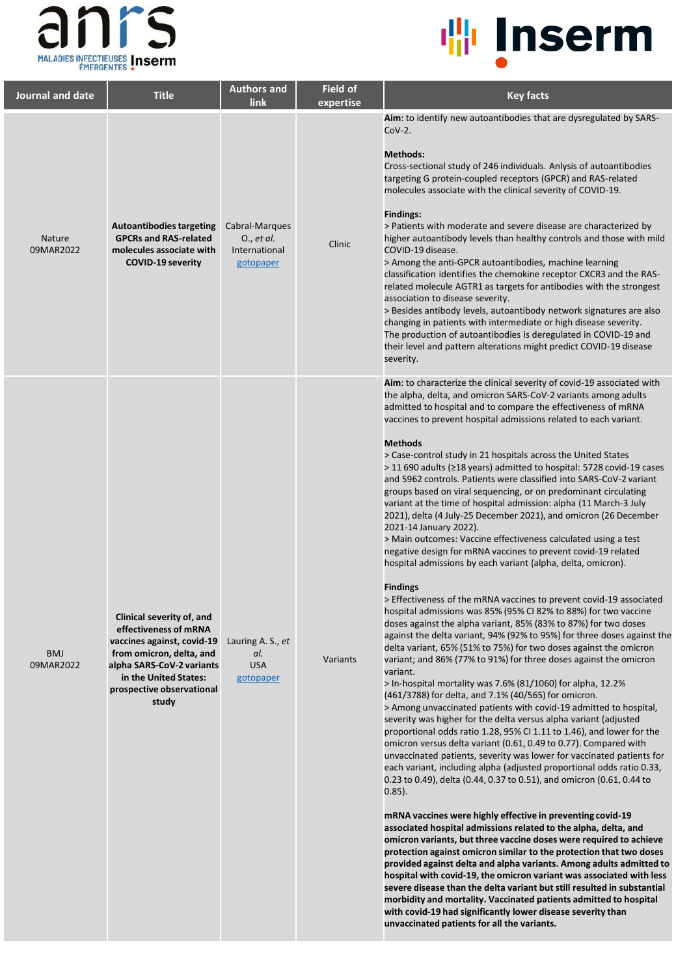



| Journal and date           | <b>Title</b>                                                                                                                                                                                                               | <b>Authors and</b><br>link                                 | <b>Field of</b><br>expertise | <b>Key facts</b>                                                                                                                                                                                                                                                                                                                                                                                                                                                                                                                                                                                                                                                                                                                                                                                                                                                                                                                                                                                                                                                                                                                                                                                                                                                                                                                                                                                                                                                                                                                                                                                                                                                                                                                                                                                                                                                                                                                                                                                                                                                                                                                                                                                                                                                                                                                                                                                                                                                                                                                                                                                                                                                                                                                                                          |
|----------------------------|----------------------------------------------------------------------------------------------------------------------------------------------------------------------------------------------------------------------------|------------------------------------------------------------|------------------------------|---------------------------------------------------------------------------------------------------------------------------------------------------------------------------------------------------------------------------------------------------------------------------------------------------------------------------------------------------------------------------------------------------------------------------------------------------------------------------------------------------------------------------------------------------------------------------------------------------------------------------------------------------------------------------------------------------------------------------------------------------------------------------------------------------------------------------------------------------------------------------------------------------------------------------------------------------------------------------------------------------------------------------------------------------------------------------------------------------------------------------------------------------------------------------------------------------------------------------------------------------------------------------------------------------------------------------------------------------------------------------------------------------------------------------------------------------------------------------------------------------------------------------------------------------------------------------------------------------------------------------------------------------------------------------------------------------------------------------------------------------------------------------------------------------------------------------------------------------------------------------------------------------------------------------------------------------------------------------------------------------------------------------------------------------------------------------------------------------------------------------------------------------------------------------------------------------------------------------------------------------------------------------------------------------------------------------------------------------------------------------------------------------------------------------------------------------------------------------------------------------------------------------------------------------------------------------------------------------------------------------------------------------------------------------------------------------------------------------------------------------------------------------|
| <b>Nature</b><br>09MAR2022 | <b>Autoantibodies targeting</b><br><b>GPCRs and RAS-related</b><br>molecules associate with<br><b>COVID-19 severity</b>                                                                                                    | Cabral-Marques<br>0., et al.<br>International<br>gotopaper | Clinic                       | Aim: to identify new autoantibodies that are dysregulated by SARS-<br>CoV-2.<br><b>Methods:</b><br>Cross-sectional study of 246 individuals. Anlysis of autoantibodies<br>targeting G protein-coupled receptors (GPCR) and RAS-related<br>molecules associate with the clinical severity of COVID-19.<br><b>Findings:</b><br>> Patients with moderate and severe disease are characterized by<br>higher autoantibody levels than healthy controls and those with mild<br>COVID-19 disease.<br>> Among the anti-GPCR autoantibodies, machine learning<br>classification identifies the chemokine receptor CXCR3 and the RAS-<br>related molecule AGTR1 as targets for antibodies with the strongest<br>association to disease severity.<br>> Besides antibody levels, autoantibody network signatures are also<br>changing in patients with intermediate or high disease severity.<br>The production of autoantibodies is deregulated in COVID-19 and<br>their level and pattern alterations might predict COVID-19 disease<br>severity.                                                                                                                                                                                                                                                                                                                                                                                                                                                                                                                                                                                                                                                                                                                                                                                                                                                                                                                                                                                                                                                                                                                                                                                                                                                                                                                                                                                                                                                                                                                                                                                                                                                                                                                                   |
| <b>BMJ</b><br>09MAR2022    | Clinical severity of, and<br>effectiveness of mRNA<br>vaccines against, covid-19 Lauring A. S., et<br>from omicron, delta, and<br>alpha SARS-CoV-2 variants<br>in the United States:<br>prospective observational<br>study | al.<br><b>USA</b><br>gotopaper                             | Variants                     | Aim: to characterize the clinical severity of covid-19 associated with<br>the alpha, delta, and omicron SARS-CoV-2 variants among adults<br>admitted to hospital and to compare the effectiveness of mRNA<br>vaccines to prevent hospital admissions related to each variant.<br><b>Methods</b><br>> Case-control study in 21 hospitals across the United States<br>> 11 690 adults (≥18 years) admitted to hospital: 5728 covid-19 cases<br>and 5962 controls. Patients were classified into SARS-CoV-2 variant<br>groups based on viral sequencing, or on predominant circulating<br>variant at the time of hospital admission: alpha (11 March-3 July<br>2021), delta (4 July-25 December 2021), and omicron (26 December<br>2021-14 January 2022).<br>> Main outcomes: Vaccine effectiveness calculated using a test<br>negative design for mRNA vaccines to prevent covid-19 related<br>hospital admissions by each variant (alpha, delta, omicron).<br><b>Findings</b><br>> Effectiveness of the mRNA vaccines to prevent covid-19 associated<br>hospital admissions was 85% (95% CI 82% to 88%) for two vaccine<br>doses against the alpha variant, 85% (83% to 87%) for two doses<br>against the delta variant, 94% (92% to 95%) for three doses against the<br>delta variant, 65% (51% to 75%) for two doses against the omicron<br>variant; and 86% (77% to 91%) for three doses against the omicron<br>variant.<br>$>$ In-hospital mortality was 7.6% (81/1060) for alpha, 12.2%<br>(461/3788) for delta, and 7.1% (40/565) for omicron.<br>> Among unvaccinated patients with covid-19 admitted to hospital,<br>severity was higher for the delta versus alpha variant (adjusted<br>proportional odds ratio 1.28, 95% CI 1.11 to 1.46), and lower for the<br>omicron versus delta variant (0.61, 0.49 to 0.77). Compared with<br>unvaccinated patients, severity was lower for vaccinated patients for<br>each variant, including alpha (adjusted proportional odds ratio 0.33,<br>0.23 to 0.49), delta (0.44, 0.37 to 0.51), and omicron (0.61, 0.44 to<br>0.85).<br>mRNA vaccines were highly effective in preventing covid-19<br>associated hospital admissions related to the alpha, delta, and<br>omicron variants, but three vaccine doses were required to achieve<br>protection against omicron similar to the protection that two doses<br>provided against delta and alpha variants. Among adults admitted to<br>hospital with covid-19, the omicron variant was associated with less<br>severe disease than the delta variant but still resulted in substantial<br>morbidity and mortality. Vaccinated patients admitted to hospital<br>with covid-19 had significantly lower disease severity than<br>unvaccinated patients for all the variants. |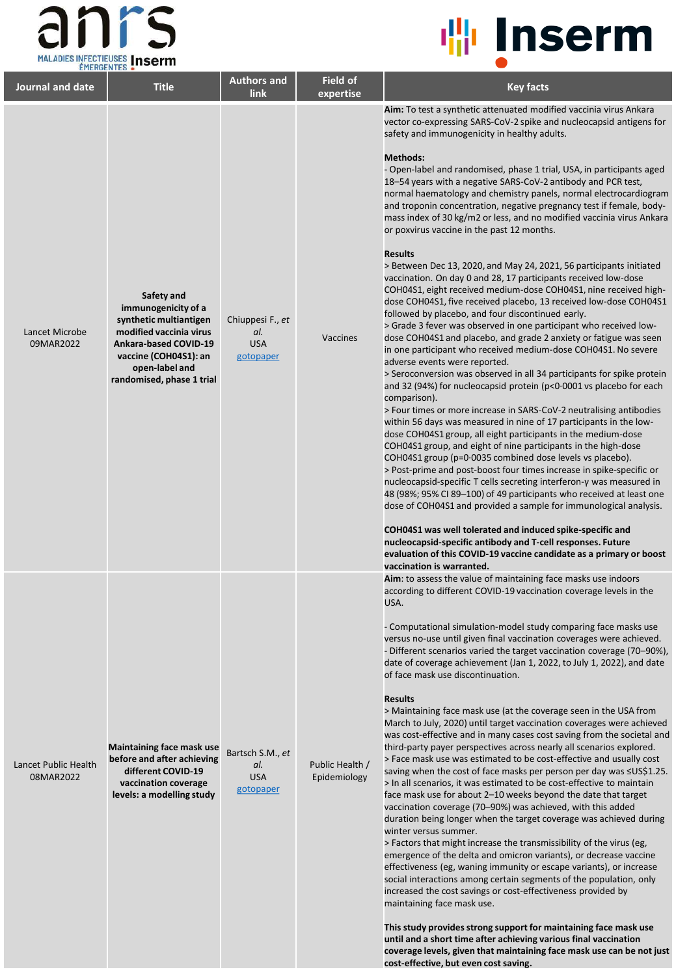| Journal and date                  | <b>Title</b>                                                                                                                                                                            | <b>Authors and</b><br>link                         | <b>Field of</b><br>expertise    | <b>Key facts</b>                                                                                                                                                                                                                                                                                                                                                                                                                                                                                                                                                                                                                                                                                                                                                                                                                                                                                                                                                                                                                                                                                                                                                                                                                                                                                                                                                                                                                                                                                                                                                                                                                                                                                                                                                                                                                                                                                                                                                                                                                                                                                                                                                                                                                                                             |
|-----------------------------------|-----------------------------------------------------------------------------------------------------------------------------------------------------------------------------------------|----------------------------------------------------|---------------------------------|------------------------------------------------------------------------------------------------------------------------------------------------------------------------------------------------------------------------------------------------------------------------------------------------------------------------------------------------------------------------------------------------------------------------------------------------------------------------------------------------------------------------------------------------------------------------------------------------------------------------------------------------------------------------------------------------------------------------------------------------------------------------------------------------------------------------------------------------------------------------------------------------------------------------------------------------------------------------------------------------------------------------------------------------------------------------------------------------------------------------------------------------------------------------------------------------------------------------------------------------------------------------------------------------------------------------------------------------------------------------------------------------------------------------------------------------------------------------------------------------------------------------------------------------------------------------------------------------------------------------------------------------------------------------------------------------------------------------------------------------------------------------------------------------------------------------------------------------------------------------------------------------------------------------------------------------------------------------------------------------------------------------------------------------------------------------------------------------------------------------------------------------------------------------------------------------------------------------------------------------------------------------------|
| Lancet Microbe<br>09MAR2022       | Safety and<br>immunogenicity of a<br>synthetic multiantigen<br>modified vaccinia virus<br>Ankara-based COVID-19<br>vaccine (COH04S1): an<br>open-label and<br>randomised, phase 1 trial | Chiuppesi F., et<br>al.<br><b>USA</b><br>gotopaper | Vaccines                        | Aim: To test a synthetic attenuated modified vaccinia virus Ankara<br>vector co-expressing SARS-CoV-2 spike and nucleocapsid antigens for<br>safety and immunogenicity in healthy adults.<br><b>Methods:</b><br>- Open-label and randomised, phase 1 trial, USA, in participants aged<br>18-54 years with a negative SARS-CoV-2 antibody and PCR test,<br>normal haematology and chemistry panels, normal electrocardiogram<br>and troponin concentration, negative pregnancy test if female, body-<br>mass index of 30 kg/m2 or less, and no modified vaccinia virus Ankara<br>or poxvirus vaccine in the past 12 months.<br><b>Results</b><br>> Between Dec 13, 2020, and May 24, 2021, 56 participants initiated<br>vaccination. On day 0 and 28, 17 participants received low-dose<br>COH04S1, eight received medium-dose COH04S1, nine received high-<br>dose COH04S1, five received placebo, 13 received low-dose COH04S1<br>followed by placebo, and four discontinued early.<br>> Grade 3 fever was observed in one participant who received low-<br>dose COH04S1 and placebo, and grade 2 anxiety or fatigue was seen<br>in one participant who received medium-dose COH04S1. No severe<br>adverse events were reported.<br>> Seroconversion was observed in all 34 participants for spike protein<br>and 32 (94%) for nucleocapsid protein (p<0.0001 vs placebo for each<br>comparison).<br>> Four times or more increase in SARS-CoV-2 neutralising antibodies<br>within 56 days was measured in nine of 17 participants in the low-<br>dose COH04S1 group, all eight participants in the medium-dose<br>COH04S1 group, and eight of nine participants in the high-dose<br>COH04S1 group (p=0.0035 combined dose levels vs placebo).<br>> Post-prime and post-boost four times increase in spike-specific or<br>nucleocapsid-specific T cells secreting interferon-γ was measured in<br>48 (98%; 95% CI 89-100) of 49 participants who received at least one<br>dose of COH04S1 and provided a sample for immunological analysis.<br>COH04S1 was well tolerated and induced spike-specific and<br>nucleocapsid-specific antibody and T-cell responses. Future<br>evaluation of this COVID-19 vaccine candidate as a primary or boost<br>vaccination is warranted. |
| Lancet Public Health<br>08MAR2022 | <b>Maintaining face mask use</b><br>before and after achieving<br>different COVID-19<br>vaccination coverage<br>levels: a modelling study                                               | Bartsch S.M., et<br>al.<br><b>USA</b><br>gotopaper | Public Health /<br>Epidemiology | Aim: to assess the value of maintaining face masks use indoors<br>according to different COVID-19 vaccination coverage levels in the<br>USA.<br>- Computational simulation-model study comparing face masks use<br>versus no-use until given final vaccination coverages were achieved.<br>- Different scenarios varied the target vaccination coverage (70-90%),<br>date of coverage achievement (Jan 1, 2022, to July 1, 2022), and date<br>of face mask use discontinuation.<br><b>Results</b><br>> Maintaining face mask use (at the coverage seen in the USA from<br>March to July, 2020) until target vaccination coverages were achieved<br>was cost-effective and in many cases cost saving from the societal and<br>third-party payer perspectives across nearly all scenarios explored.<br>> Face mask use was estimated to be cost-effective and usually cost<br>saving when the cost of face masks per person per day was ≤US\$1.25.<br>> In all scenarios, it was estimated to be cost-effective to maintain<br>face mask use for about 2–10 weeks beyond the date that target<br>vaccination coverage (70–90%) was achieved, with this added<br>duration being longer when the target coverage was achieved during<br>winter versus summer.<br>> Factors that might increase the transmissibility of the virus (eg,<br>emergence of the delta and omicron variants), or decrease vaccine<br>effectiveness (eg, waning immunity or escape variants), or increase<br>social interactions among certain segments of the population, only<br>increased the cost savings or cost-effectiveness provided by<br>maintaining face mask use.<br>This study provides strong support for maintaining face mask use<br>until and a short time after achieving various final vaccination<br>coverage levels, given that maintaining face mask use can be not just<br>cost-effective, but even cost saving.                                                                                                                                                                                                                                                                                                                                                                  |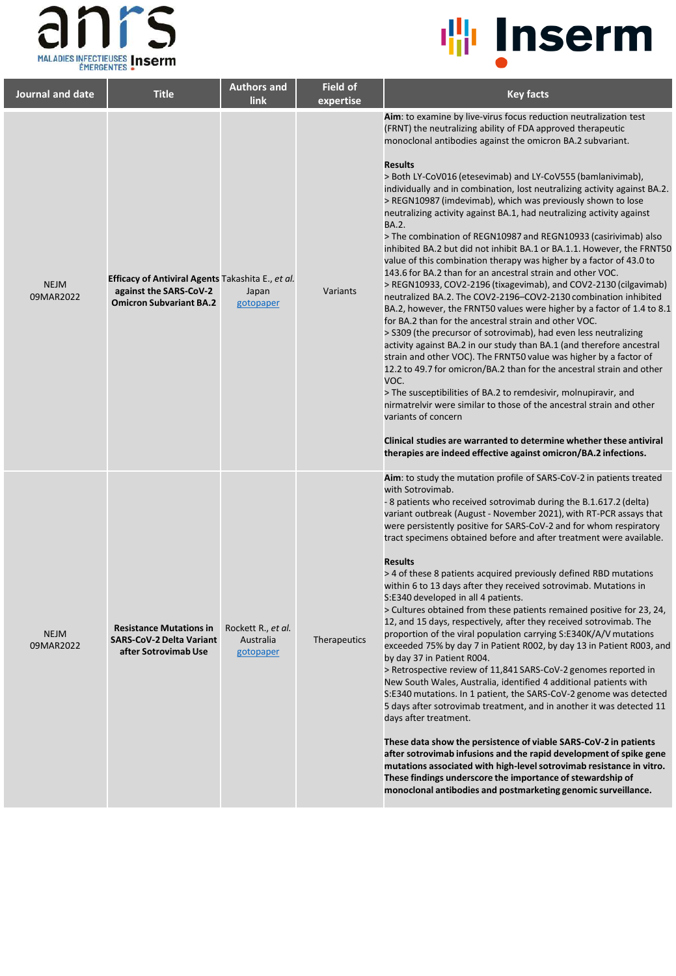

L

| Journal and date         | <b>Title</b>                                                                                                         | <b>Authors and</b><br>link                          | <b>Field of</b><br>expertise | <b>Key facts</b>                                                                                                                                                                                                                                                                                                                                                                                                                                                                                                                                                                                                                                                                                                                                                                                                                                                                                                                                                                                                                                                                                                                                                                                                                                                                                                                                                                                                                                                                                                                                                                                                                                                                         |
|--------------------------|----------------------------------------------------------------------------------------------------------------------|-----------------------------------------------------|------------------------------|------------------------------------------------------------------------------------------------------------------------------------------------------------------------------------------------------------------------------------------------------------------------------------------------------------------------------------------------------------------------------------------------------------------------------------------------------------------------------------------------------------------------------------------------------------------------------------------------------------------------------------------------------------------------------------------------------------------------------------------------------------------------------------------------------------------------------------------------------------------------------------------------------------------------------------------------------------------------------------------------------------------------------------------------------------------------------------------------------------------------------------------------------------------------------------------------------------------------------------------------------------------------------------------------------------------------------------------------------------------------------------------------------------------------------------------------------------------------------------------------------------------------------------------------------------------------------------------------------------------------------------------------------------------------------------------|
| <b>NEJM</b><br>09MAR2022 | <b>Efficacy of Antiviral Agents</b> Takashita E., et al.<br>against the SARS-CoV-2<br><b>Omicron Subvariant BA.2</b> | Japan<br>gotopaper                                  | Variants                     | Aim: to examine by live-virus focus reduction neutralization test<br>(FRNT) the neutralizing ability of FDA approved therapeutic<br>monoclonal antibodies against the omicron BA.2 subvariant.<br><b>Results</b><br>> Both LY-CoV016 (etesevimab) and LY-CoV555 (bamlanivimab),<br>individually and in combination, lost neutralizing activity against BA.2.<br>> REGN10987 (imdevimab), which was previously shown to lose<br>neutralizing activity against BA.1, had neutralizing activity against<br>BA.2.<br>> The combination of REGN10987 and REGN10933 (casirivimab) also<br>inhibited BA.2 but did not inhibit BA.1 or BA.1.1. However, the FRNT50<br>value of this combination therapy was higher by a factor of 43.0 to<br>143.6 for BA.2 than for an ancestral strain and other VOC.<br>> REGN10933, COV2-2196 (tixagevimab), and COV2-2130 (cilgavimab)<br>neutralized BA.2. The COV2-2196-COV2-2130 combination inhibited<br>BA.2, however, the FRNT50 values were higher by a factor of 1.4 to 8.1<br>for BA.2 than for the ancestral strain and other VOC.<br>> S309 (the precursor of sotrovimab), had even less neutralizing<br>activity against BA.2 in our study than BA.1 (and therefore ancestral<br>strain and other VOC). The FRNT50 value was higher by a factor of<br>12.2 to 49.7 for omicron/BA.2 than for the ancestral strain and other<br>VOC.<br>> The susceptibilities of BA.2 to remdesivir, molnupiravir, and<br>nirmatrelvir were similar to those of the ancestral strain and other<br>variants of concern<br>Clinical studies are warranted to determine whether these antiviral<br>therapies are indeed effective against omicron/BA.2 infections. |
| <b>NEJM</b><br>09MAR2022 | <b>Resistance Mutations in</b><br><b>SARS-CoV-2 Delta Variant</b><br>after Sotrovimab Use                            | Rockett R., <i>et al.</i><br>Australia<br>gotopaper | Therapeutics                 | Aim: to study the mutation profile of SARS-CoV-2 in patients treated<br>with Sotrovimab.<br>- 8 patients who received sotrovimab during the B.1.617.2 (delta)<br>variant outbreak (August - November 2021), with RT-PCR assays that<br>were persistently positive for SARS-CoV-2 and for whom respiratory<br>tract specimens obtained before and after treatment were available.<br><b>Results</b><br>> 4 of these 8 patients acquired previously defined RBD mutations<br>within 6 to 13 days after they received sotrovimab. Mutations in<br>S:E340 developed in all 4 patients.<br>> Cultures obtained from these patients remained positive for 23, 24,<br>12, and 15 days, respectively, after they received sotrovimab. The<br>proportion of the viral population carrying S:E340K/A/V mutations<br>exceeded 75% by day 7 in Patient R002, by day 13 in Patient R003, and<br>by day 37 in Patient R004.<br>> Retrospective review of 11,841 SARS-CoV-2 genomes reported in<br>New South Wales, Australia, identified 4 additional patients with<br>S:E340 mutations. In 1 patient, the SARS-CoV-2 genome was detected<br>5 days after sotrovimab treatment, and in another it was detected 11<br>days after treatment.<br>These data show the persistence of viable SARS-CoV-2 in patients<br>after sotrovimab infusions and the rapid development of spike gene<br>mutations associated with high-level sotrovimab resistance in vitro.<br>These findings underscore the importance of stewardship of<br>monoclonal antibodies and postmarketing genomic surveillance.                                                                                                            |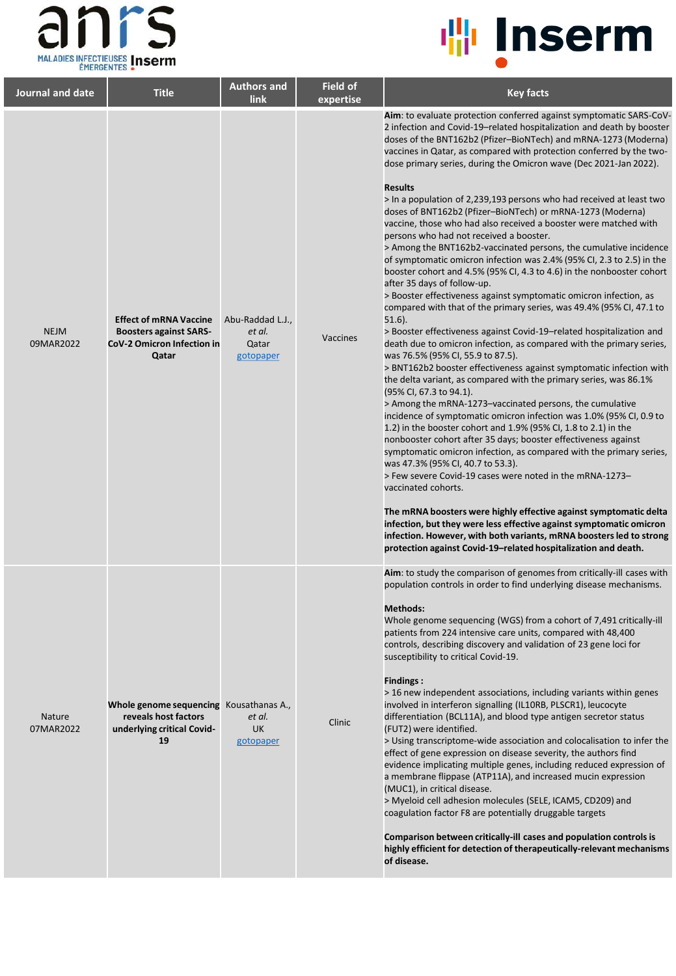

| Journal and date           | <b>Title</b>                                                                                          | <b>Authors and</b><br>link                       | <b>Field of</b><br>expertise | <b>Key facts</b>                                                                                                                                                                                                                                                                                                                                                                                                                                                                                                                                                                                                                                                                                                                                                                                                                                                                                                                                                                                                                                                                                                                                                                                                                                                                                                                                                                                                                                                                                                                                                                                                                                                                                                                                                                                                                                                                                                                                                                                                                                                                                                                                                            |
|----------------------------|-------------------------------------------------------------------------------------------------------|--------------------------------------------------|------------------------------|-----------------------------------------------------------------------------------------------------------------------------------------------------------------------------------------------------------------------------------------------------------------------------------------------------------------------------------------------------------------------------------------------------------------------------------------------------------------------------------------------------------------------------------------------------------------------------------------------------------------------------------------------------------------------------------------------------------------------------------------------------------------------------------------------------------------------------------------------------------------------------------------------------------------------------------------------------------------------------------------------------------------------------------------------------------------------------------------------------------------------------------------------------------------------------------------------------------------------------------------------------------------------------------------------------------------------------------------------------------------------------------------------------------------------------------------------------------------------------------------------------------------------------------------------------------------------------------------------------------------------------------------------------------------------------------------------------------------------------------------------------------------------------------------------------------------------------------------------------------------------------------------------------------------------------------------------------------------------------------------------------------------------------------------------------------------------------------------------------------------------------------------------------------------------------|
| <b>NEJM</b><br>09MAR2022   | <b>Effect of mRNA Vaccine</b><br><b>Boosters against SARS-</b><br>CoV-2 Omicron Infection in<br>Qatar | Abu-Raddad L.J.,<br>et al.<br>Qatar<br>gotopaper | Vaccines                     | Aim: to evaluate protection conferred against symptomatic SARS-CoV-<br>2 infection and Covid-19–related hospitalization and death by booster<br>doses of the BNT162b2 (Pfizer-BioNTech) and mRNA-1273 (Moderna)<br>vaccines in Qatar, as compared with protection conferred by the two-<br>dose primary series, during the Omicron wave (Dec 2021-Jan 2022).<br><b>Results</b><br>> In a population of 2,239,193 persons who had received at least two<br>doses of BNT162b2 (Pfizer-BioNTech) or mRNA-1273 (Moderna)<br>vaccine, those who had also received a booster were matched with<br>persons who had not received a booster.<br>> Among the BNT162b2-vaccinated persons, the cumulative incidence<br>of symptomatic omicron infection was 2.4% (95% CI, 2.3 to 2.5) in the<br>booster cohort and 4.5% (95% CI, 4.3 to 4.6) in the nonbooster cohort<br>after 35 days of follow-up.<br>> Booster effectiveness against symptomatic omicron infection, as<br>compared with that of the primary series, was 49.4% (95% CI, 47.1 to<br>$51.6$ ).<br>> Booster effectiveness against Covid-19-related hospitalization and<br>death due to omicron infection, as compared with the primary series,<br>was 76.5% (95% CI, 55.9 to 87.5).<br>> BNT162b2 booster effectiveness against symptomatic infection with<br>the delta variant, as compared with the primary series, was 86.1%<br>(95% CI, 67.3 to 94.1).<br>> Among the mRNA-1273-vaccinated persons, the cumulative<br>incidence of symptomatic omicron infection was 1.0% (95% CI, 0.9 to<br>1.2) in the booster cohort and 1.9% (95% CI, 1.8 to 2.1) in the<br>nonbooster cohort after 35 days; booster effectiveness against<br>symptomatic omicron infection, as compared with the primary series,<br>was 47.3% (95% CI, 40.7 to 53.3).<br>> Few severe Covid-19 cases were noted in the mRNA-1273-<br>vaccinated cohorts.<br>The mRNA boosters were highly effective against symptomatic delta<br>infection, but they were less effective against symptomatic omicron<br>infection. However, with both variants, mRNA boosters led to strong<br>protection against Covid-19-related hospitalization and death. |
| <b>Nature</b><br>07MAR2022 | Whole genome sequencing Kousathanas A.,<br>reveals host factors<br>underlying critical Covid-<br>19   | et al.<br>UK<br>gotopaper                        | Clinic                       | Aim: to study the comparison of genomes from critically-ill cases with<br>population controls in order to find underlying disease mechanisms.<br><b>Methods:</b><br>Whole genome sequencing (WGS) from a cohort of 7,491 critically-ill<br>patients from 224 intensive care units, compared with 48,400<br>controls, describing discovery and validation of 23 gene loci for<br>susceptibility to critical Covid-19.<br><b>Findings:</b><br>>16 new independent associations, including variants within genes<br>involved in interferon signalling (IL10RB, PLSCR1), leucocyte<br>differentiation (BCL11A), and blood type antigen secretor status<br>(FUT2) were identified.<br>> Using transcriptome-wide association and colocalisation to infer the<br>effect of gene expression on disease severity, the authors find<br>evidence implicating multiple genes, including reduced expression of<br>a membrane flippase (ATP11A), and increased mucin expression<br>(MUC1), in critical disease.<br>> Myeloid cell adhesion molecules (SELE, ICAM5, CD209) and<br>coagulation factor F8 are potentially druggable targets<br>Comparison between critically-ill cases and population controls is<br>highly efficient for detection of therapeutically-relevant mechanisms<br>of disease.                                                                                                                                                                                                                                                                                                                                                                                                                                                                                                                                                                                                                                                                                                                                                                                                                                                                                   |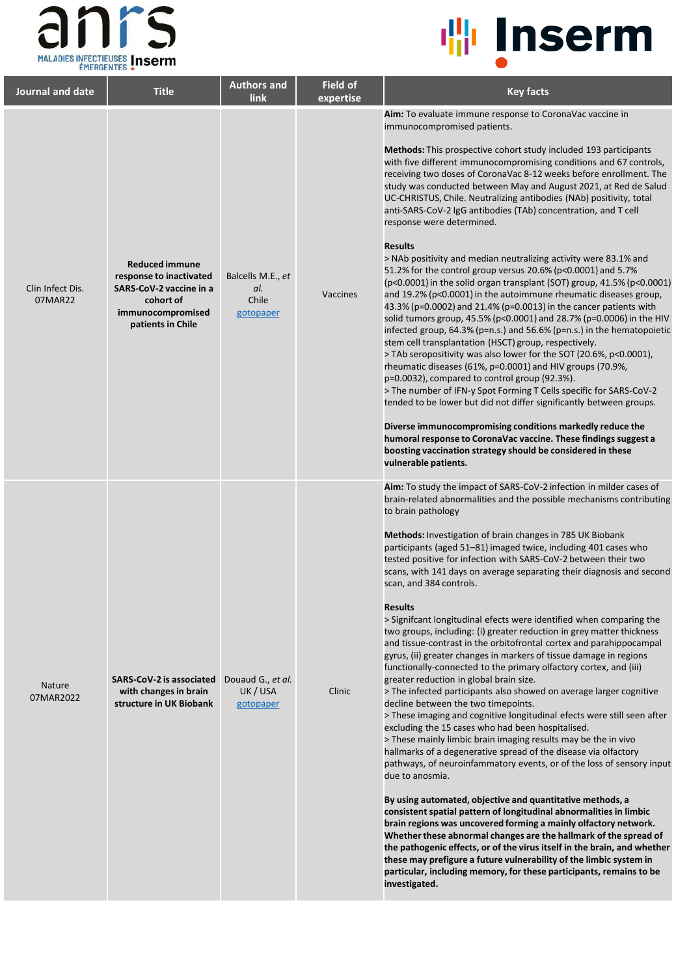| Journal and date            | <b>Title</b>                                                                                                                       | <b>Authors and</b><br>link                     | <b>Field of</b><br>expertise | <b>Key facts</b>                                                                                                                                                                                                                                                                                                                                                                                                                                                                                                                                                                                                                                                                                                                                                                                                                                                                                                                                                                                                                                                                                                                                                                                                                                                                                                                                                                                                                                                                                                                                                                                                                                                                                                                                                                                                                                                                                                  |
|-----------------------------|------------------------------------------------------------------------------------------------------------------------------------|------------------------------------------------|------------------------------|-------------------------------------------------------------------------------------------------------------------------------------------------------------------------------------------------------------------------------------------------------------------------------------------------------------------------------------------------------------------------------------------------------------------------------------------------------------------------------------------------------------------------------------------------------------------------------------------------------------------------------------------------------------------------------------------------------------------------------------------------------------------------------------------------------------------------------------------------------------------------------------------------------------------------------------------------------------------------------------------------------------------------------------------------------------------------------------------------------------------------------------------------------------------------------------------------------------------------------------------------------------------------------------------------------------------------------------------------------------------------------------------------------------------------------------------------------------------------------------------------------------------------------------------------------------------------------------------------------------------------------------------------------------------------------------------------------------------------------------------------------------------------------------------------------------------------------------------------------------------------------------------------------------------|
| Clin Infect Dis.<br>07MAR22 | <b>Reduced immune</b><br>response to inactivated<br>SARS-CoV-2 vaccine in a<br>cohort of<br>immunocompromised<br>patients in Chile | Balcells M.E., et<br>al.<br>Chile<br>gotopaper | Vaccines                     | Aim: To evaluate immune response to CoronaVac vaccine in<br>immunocompromised patients.<br><b>Methods:</b> This prospective cohort study included 193 participants<br>with five different immunocompromising conditions and 67 controls,<br>receiving two doses of CoronaVac 8-12 weeks before enrollment. The<br>study was conducted between May and August 2021, at Red de Salud<br>UC-CHRISTUS, Chile. Neutralizing antibodies (NAb) positivity, total<br>anti-SARS-CoV-2 IgG antibodies (TAb) concentration, and T cell<br>response were determined.<br><b>Results</b><br>> NAb positivity and median neutralizing activity were 83.1% and<br>51.2% for the control group versus 20.6% (p<0.0001) and 5.7%<br>(p<0.0001) in the solid organ transplant (SOT) group, 41.5% (p<0.0001)<br>and 19.2% (p<0.0001) in the autoimmune rheumatic diseases group,<br>43.3% (p=0.0002) and 21.4% (p=0.0013) in the cancer patients with<br>solid tumors group, 45.5% (p<0.0001) and 28.7% (p=0.0006) in the HIV<br>infected group, 64.3% (p=n.s.) and 56.6% (p=n.s.) in the hematopoietic<br>stem cell transplantation (HSCT) group, respectively.<br>> TAb seropositivity was also lower for the SOT (20.6%, p<0.0001),<br>rheumatic diseases (61%, p=0.0001) and HIV groups (70.9%,<br>p=0.0032), compared to control group (92.3%).<br>> The number of IFN-y Spot Forming T Cells specific for SARS-CoV-2<br>tended to be lower but did not differ significantly between groups.<br>Diverse immunocompromising conditions markedly reduce the<br>humoral response to CoronaVac vaccine. These findings suggest a<br>boosting vaccination strategy should be considered in these<br>vulnerable patients.                                                                                                                                                                                                              |
| Nature<br>07MAR2022         | SARS-CoV-2 is associated<br>with changes in brain<br>structure in UK Biobank                                                       | Douaud G., et al.<br>UK / USA<br>gotopaper     | Clinic                       | Aim: To study the impact of SARS-CoV-2 infection in milder cases of<br>brain-related abnormalities and the possible mechanisms contributing<br>to brain pathology<br><b>Methods:</b> Investigation of brain changes in 785 UK Biobank<br>participants (aged 51–81) imaged twice, including 401 cases who<br>tested positive for infection with SARS-CoV-2 between their two<br>scans, with 141 days on average separating their diagnosis and second<br>scan, and 384 controls.<br><b>Results</b><br>> Signifcant longitudinal efects were identified when comparing the<br>two groups, including: (i) greater reduction in grey matter thickness<br>and tissue-contrast in the orbitofrontal cortex and parahippocampal<br>gyrus, (ii) greater changes in markers of tissue damage in regions<br>functionally-connected to the primary olfactory cortex, and (iii)<br>greater reduction in global brain size.<br>> The infected participants also showed on average larger cognitive<br>decline between the two timepoints.<br>> These imaging and cognitive longitudinal efects were still seen after<br>excluding the 15 cases who had been hospitalised.<br>> These mainly limbic brain imaging results may be the in vivo<br>hallmarks of a degenerative spread of the disease via olfactory<br>pathways, of neuroinfammatory events, or of the loss of sensory input<br>due to anosmia.<br>By using automated, objective and quantitative methods, a<br>consistent spatial pattern of longitudinal abnormalities in limbic<br>brain regions was uncovered forming a mainly olfactory network.<br>Whether these abnormal changes are the hallmark of the spread of<br>the pathogenic effects, or of the virus itself in the brain, and whether<br>these may prefigure a future vulnerability of the limbic system in<br>particular, including memory, for these participants, remains to be<br>investigated. |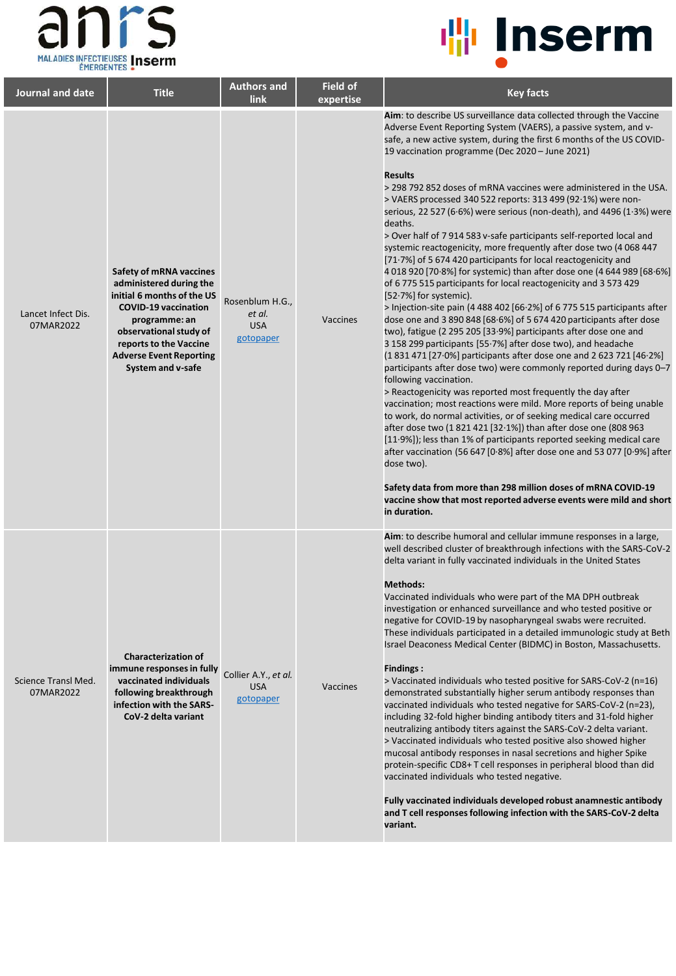

| Journal and date                 | <b>Title</b>                                                                                                                                                                                                                                | <b>Authors and</b><br>link                           | <b>Field of</b><br>expertise | <b>Key facts</b>                                                                                                                                                                                                                                                                                                                                                                                                                                                                                                                                                                                                                                                                                                                                                                                                                                                                                                                                                                                                                                                                                                                                                                                                                                                                                                                                                                                                                                                                                                                                                                                                                                                                                                                                                                                                                                                                                                                                                           |
|----------------------------------|---------------------------------------------------------------------------------------------------------------------------------------------------------------------------------------------------------------------------------------------|------------------------------------------------------|------------------------------|----------------------------------------------------------------------------------------------------------------------------------------------------------------------------------------------------------------------------------------------------------------------------------------------------------------------------------------------------------------------------------------------------------------------------------------------------------------------------------------------------------------------------------------------------------------------------------------------------------------------------------------------------------------------------------------------------------------------------------------------------------------------------------------------------------------------------------------------------------------------------------------------------------------------------------------------------------------------------------------------------------------------------------------------------------------------------------------------------------------------------------------------------------------------------------------------------------------------------------------------------------------------------------------------------------------------------------------------------------------------------------------------------------------------------------------------------------------------------------------------------------------------------------------------------------------------------------------------------------------------------------------------------------------------------------------------------------------------------------------------------------------------------------------------------------------------------------------------------------------------------------------------------------------------------------------------------------------------------|
| Lancet Infect Dis.<br>07MAR2022  | Safety of mRNA vaccines<br>administered during the<br>initial 6 months of the US<br><b>COVID-19 vaccination</b><br>programme: an<br>observational study of<br>reports to the Vaccine<br><b>Adverse Event Reporting</b><br>System and v-safe | Rosenblum H.G.,<br>et al.<br><b>USA</b><br>gotopaper | Vaccines                     | Aim: to describe US surveillance data collected through the Vaccine<br>Adverse Event Reporting System (VAERS), a passive system, and v-<br>safe, a new active system, during the first 6 months of the US COVID-<br>19 vaccination programme (Dec 2020 - June 2021)<br><b>Results</b><br>> 298 792 852 doses of mRNA vaccines were administered in the USA.<br>> VAERS processed 340 522 reports: 313 499 (92.1%) were non-<br>serious, 22 527 (6.6%) were serious (non-death), and 4496 (1.3%) were<br>deaths.<br>> Over half of 7 914 583 v-safe participants self-reported local and<br>systemic reactogenicity, more frequently after dose two (4 068 447<br>[71.7%] of 5 674 420 participants for local reactogenicity and<br>4 018 920 [70.8%] for systemic) than after dose one (4 644 989 [68.6%]<br>of 6775 515 participants for local reactogenicity and 3573 429<br>$[52.7\%]$ for systemic).<br>> Injection-site pain (4 488 402 [66.2%] of 6 775 515 participants after<br>dose one and 3 890 848 [68.6%] of 5 674 420 participants after dose<br>two), fatigue (2 295 205 [33.9%] participants after dose one and<br>3 158 299 participants [55.7%] after dose two), and headache<br>(1831471 [27.0%] participants after dose one and 2623721 [46.2%]<br>participants after dose two) were commonly reported during days 0-7<br>following vaccination.<br>> Reactogenicity was reported most frequently the day after<br>vaccination; most reactions were mild. More reports of being unable<br>to work, do normal activities, or of seeking medical care occurred<br>after dose two $(1821421[32.1\%)$ than after dose one (808 963<br>[11.9%]); less than 1% of participants reported seeking medical care<br>after vaccination (56 647 [0.8%] after dose one and 53 077 [0.9%] after<br>dose two).<br>Safety data from more than 298 million doses of mRNA COVID-19<br>vaccine show that most reported adverse events were mild and short<br>in duration. |
| Science Transl Med.<br>07MAR2022 | <b>Characterization of</b><br>immune responses in fully<br>vaccinated individuals<br>following breakthrough<br>infection with the SARS-<br>CoV-2 delta variant                                                                              | Collier A.Y., et al.<br><b>USA</b><br>gotopaper      | Vaccines                     | Aim: to describe humoral and cellular immune responses in a large,<br>well described cluster of breakthrough infections with the SARS-CoV-2<br>delta variant in fully vaccinated individuals in the United States<br><b>Methods:</b><br>Vaccinated individuals who were part of the MA DPH outbreak<br>investigation or enhanced surveillance and who tested positive or<br>negative for COVID-19 by nasopharyngeal swabs were recruited.<br>These individuals participated in a detailed immunologic study at Beth<br>Israel Deaconess Medical Center (BIDMC) in Boston, Massachusetts.<br><b>Findings:</b><br>> Vaccinated individuals who tested positive for SARS-CoV-2 (n=16)<br>demonstrated substantially higher serum antibody responses than<br>vaccinated individuals who tested negative for SARS-CoV-2 (n=23),<br>including 32-fold higher binding antibody titers and 31-fold higher<br>neutralizing antibody titers against the SARS-CoV-2 delta variant.<br>> Vaccinated individuals who tested positive also showed higher<br>mucosal antibody responses in nasal secretions and higher Spike<br>protein-specific CD8+T cell responses in peripheral blood than did<br>vaccinated individuals who tested negative.<br>Fully vaccinated individuals developed robust anamnestic antibody<br>and T cell responses following infection with the SARS-CoV-2 delta<br>variant.                                                                                                                                                                                                                                                                                                                                                                                                                                                                                                                                                                                  |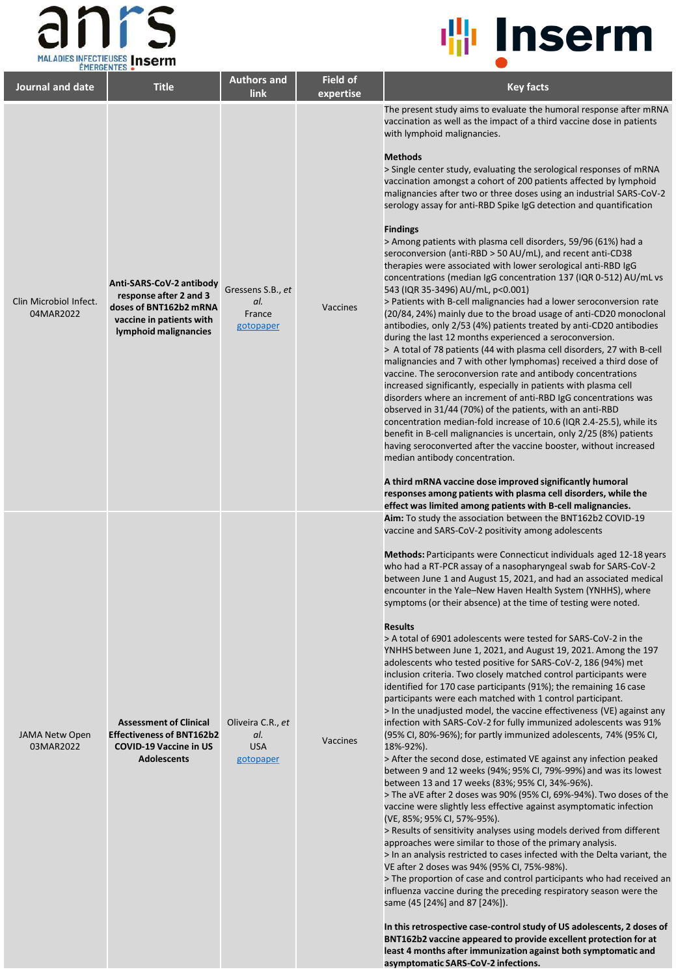| Journal and date                    | EMERGENTES O<br><b>Title</b>                                                                                                      | <b>Authors and</b><br>link                          | <b>Field of</b><br>expertise | <b>Key facts</b>                                                                                                                                                                                                                                                                                                                                                                                                                                                                                                                                                                                                                                                                                                                                                                                                                                                                                                                                                                                                                                                                                                                                                                                                                                                                                                                                                                                                                                                                                                                                                                                                                                                                                                                                                                                                                                                                                                                                                                                                                                                                                                                                                                                                             |
|-------------------------------------|-----------------------------------------------------------------------------------------------------------------------------------|-----------------------------------------------------|------------------------------|------------------------------------------------------------------------------------------------------------------------------------------------------------------------------------------------------------------------------------------------------------------------------------------------------------------------------------------------------------------------------------------------------------------------------------------------------------------------------------------------------------------------------------------------------------------------------------------------------------------------------------------------------------------------------------------------------------------------------------------------------------------------------------------------------------------------------------------------------------------------------------------------------------------------------------------------------------------------------------------------------------------------------------------------------------------------------------------------------------------------------------------------------------------------------------------------------------------------------------------------------------------------------------------------------------------------------------------------------------------------------------------------------------------------------------------------------------------------------------------------------------------------------------------------------------------------------------------------------------------------------------------------------------------------------------------------------------------------------------------------------------------------------------------------------------------------------------------------------------------------------------------------------------------------------------------------------------------------------------------------------------------------------------------------------------------------------------------------------------------------------------------------------------------------------------------------------------------------------|
| Clin Microbiol Infect.<br>04MAR2022 | Anti-SARS-CoV-2 antibody<br>response after 2 and 3<br>doses of BNT162b2 mRNA<br>vaccine in patients with<br>lymphoid malignancies | Gressens S.B., et<br>al.<br>France<br>gotopaper     | Vaccines                     | The present study aims to evaluate the humoral response after mRNA<br>vaccination as well as the impact of a third vaccine dose in patients<br>with lymphoid malignancies.<br><b>Methods</b><br>> Single center study, evaluating the serological responses of mRNA<br>vaccination amongst a cohort of 200 patients affected by lymphoid<br>malignancies after two or three doses using an industrial SARS-CoV-2<br>serology assay for anti-RBD Spike IgG detection and quantification<br><b>Findings</b><br>> Among patients with plasma cell disorders, 59/96 (61%) had a<br>seroconversion (anti-RBD > 50 AU/mL), and recent anti-CD38<br>therapies were associated with lower serological anti-RBD IgG<br>concentrations (median IgG concentration 137 (IQR 0-512) AU/mL vs<br>543 (IQR 35-3496) AU/mL, p<0.001)<br>> Patients with B-cell malignancies had a lower seroconversion rate<br>(20/84, 24%) mainly due to the broad usage of anti-CD20 monoclonal<br>antibodies, only 2/53 (4%) patients treated by anti-CD20 antibodies<br>during the last 12 months experienced a seroconversion.<br>> A total of 78 patients (44 with plasma cell disorders, 27 with B-cell<br>malignancies and 7 with other lymphomas) received a third dose of<br>vaccine. The seroconversion rate and antibody concentrations<br>increased significantly, especially in patients with plasma cell<br>disorders where an increment of anti-RBD IgG concentrations was<br>observed in 31/44 (70%) of the patients, with an anti-RBD<br>concentration median-fold increase of 10.6 (IQR 2.4-25.5), while its<br>benefit in B-cell malignancies is uncertain, only 2/25 (8%) patients<br>having seroconverted after the vaccine booster, without increased<br>median antibody concentration.<br>A third mRNA vaccine dose improved significantly humoral<br>responses among patients with plasma cell disorders, while the<br>effect was limited among patients with B-cell malignancies.                                                                                                                                                                                                                                                  |
| <b>JAMA Netw Open</b><br>03MAR2022  | <b>Assessment of Clinical</b><br><b>Effectiveness of BNT162b2</b><br><b>COVID-19 Vaccine in US</b><br><b>Adolescents</b>          | Oliveira C.R., et<br>al.<br><b>USA</b><br>gotopaper | Vaccines                     | Aim: To study the association between the BNT162b2 COVID-19<br>vaccine and SARS-CoV-2 positivity among adolescents<br><b>Methods:</b> Participants were Connecticut individuals aged 12-18 years<br>who had a RT-PCR assay of a nasopharyngeal swab for SARS-CoV-2<br>between June 1 and August 15, 2021, and had an associated medical<br>encounter in the Yale-New Haven Health System (YNHHS), where<br>symptoms (or their absence) at the time of testing were noted.<br><b>Results</b><br>> A total of 6901 adolescents were tested for SARS-CoV-2 in the<br>YNHHS between June 1, 2021, and August 19, 2021. Among the 197<br>adolescents who tested positive for SARS-CoV-2, 186 (94%) met<br>inclusion criteria. Two closely matched control participants were<br>identified for 170 case participants (91%); the remaining 16 case<br>participants were each matched with 1 control participant.<br>> In the unadjusted model, the vaccine effectiveness (VE) against any<br>infection with SARS-CoV-2 for fully immunized adolescents was 91%<br>(95% CI, 80%-96%); for partly immunized adolescents, 74% (95% CI,<br>18%-92%).<br>> After the second dose, estimated VE against any infection peaked<br>between 9 and 12 weeks (94%; 95% CI, 79%-99%) and was its lowest<br>between 13 and 17 weeks (83%; 95% CI, 34%-96%).<br>> The aVE after 2 doses was 90% (95% CI, 69%-94%). Two doses of the<br>vaccine were slightly less effective against asymptomatic infection<br>(VE, 85%; 95% CI, 57%-95%).<br>> Results of sensitivity analyses using models derived from different<br>approaches were similar to those of the primary analysis.<br>> In an analysis restricted to cases infected with the Delta variant, the<br>VE after 2 doses was 94% (95% CI, 75%-98%).<br>> The proportion of case and control participants who had received an<br>influenza vaccine during the preceding respiratory season were the<br>same (45 [24%] and 87 [24%]).<br>In this retrospective case-control study of US adolescents, 2 doses of<br>BNT162b2 vaccine appeared to provide excellent protection for at<br>least 4 months after immunization against both symptomatic and<br>asymptomatic SARS-CoV-2 infections. |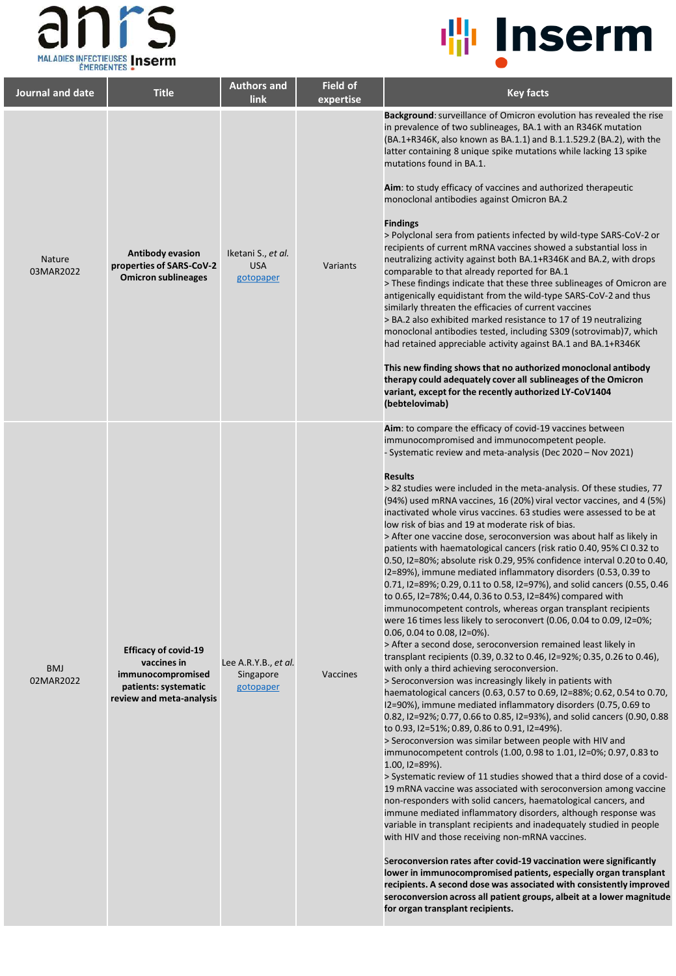| Journal and date           | <b>Title</b>                                                                                                        | <b>Authors and</b><br>link                     | <b>Field of</b><br>expertise | <b>Key facts</b>                                                                                                                                                                                                                                                                                                                                                                                                                                                                                                                                                                                                                                                                                                                                                                                                                                                                                                                                                                                                                                                                                                                                                                                                                                                                                                                                                                                                                                                                                                                                                                                                                                                                                                                                                                                                                                                                                                                                                                                                                                                                                                                                                                                                                                                                                                                                                                                                                                                                                                          |
|----------------------------|---------------------------------------------------------------------------------------------------------------------|------------------------------------------------|------------------------------|---------------------------------------------------------------------------------------------------------------------------------------------------------------------------------------------------------------------------------------------------------------------------------------------------------------------------------------------------------------------------------------------------------------------------------------------------------------------------------------------------------------------------------------------------------------------------------------------------------------------------------------------------------------------------------------------------------------------------------------------------------------------------------------------------------------------------------------------------------------------------------------------------------------------------------------------------------------------------------------------------------------------------------------------------------------------------------------------------------------------------------------------------------------------------------------------------------------------------------------------------------------------------------------------------------------------------------------------------------------------------------------------------------------------------------------------------------------------------------------------------------------------------------------------------------------------------------------------------------------------------------------------------------------------------------------------------------------------------------------------------------------------------------------------------------------------------------------------------------------------------------------------------------------------------------------------------------------------------------------------------------------------------------------------------------------------------------------------------------------------------------------------------------------------------------------------------------------------------------------------------------------------------------------------------------------------------------------------------------------------------------------------------------------------------------------------------------------------------------------------------------------------------|
| <b>Nature</b><br>03MAR2022 | Antibody evasion<br>properties of SARS-CoV-2<br><b>Omicron sublineages</b>                                          | Iketani S., et al.<br><b>USA</b><br>gotopaper  | Variants                     | <b>Background:</b> surveillance of Omicron evolution has revealed the rise<br>in prevalence of two sublineages, BA.1 with an R346K mutation<br>(BA.1+R346K, also known as BA.1.1) and B.1.1.529.2 (BA.2), with the<br>latter containing 8 unique spike mutations while lacking 13 spike<br>mutations found in BA.1.<br>Aim: to study efficacy of vaccines and authorized therapeutic<br>monoclonal antibodies against Omicron BA.2<br><b>Findings</b><br>> Polyclonal sera from patients infected by wild-type SARS-CoV-2 or<br>recipients of current mRNA vaccines showed a substantial loss in<br>neutralizing activity against both BA.1+R346K and BA.2, with drops<br>comparable to that already reported for BA.1<br>> These findings indicate that these three sublineages of Omicron are<br>antigenically equidistant from the wild-type SARS-CoV-2 and thus<br>similarly threaten the efficacies of current vaccines<br>> BA.2 also exhibited marked resistance to 17 of 19 neutralizing<br>monoclonal antibodies tested, including S309 (sotrovimab)7, which<br>had retained appreciable activity against BA.1 and BA.1+R346K<br>This new finding shows that no authorized monoclonal antibody<br>therapy could adequately cover all sublineages of the Omicron<br>variant, except for the recently authorized LY-CoV1404<br>(bebtelovimab)                                                                                                                                                                                                                                                                                                                                                                                                                                                                                                                                                                                                                                                                                                                                                                                                                                                                                                                                                                                                                                                                                                                                                                      |
| <b>BMJ</b><br>02MAR2022    | <b>Efficacy of covid-19</b><br>vaccines in<br>immunocompromised<br>patients: systematic<br>review and meta-analysis | Lee A.R.Y.B., et al.<br>Singapore<br>gotopaper | Vaccines                     | Aim: to compare the efficacy of covid-19 vaccines between<br>immunocompromised and immunocompetent people.<br>- Systematic review and meta-analysis (Dec 2020 – Nov 2021)<br><b>Results</b><br>> 82 studies were included in the meta-analysis. Of these studies, 77<br>(94%) used mRNA vaccines, 16 (20%) viral vector vaccines, and 4 (5%)<br>inactivated whole virus vaccines. 63 studies were assessed to be at<br>low risk of bias and 19 at moderate risk of bias.<br>> After one vaccine dose, seroconversion was about half as likely in<br>patients with haematological cancers (risk ratio 0.40, 95% CI 0.32 to<br>0.50, I2=80%; absolute risk 0.29, 95% confidence interval 0.20 to 0.40,<br>I2=89%), immune mediated inflammatory disorders (0.53, 0.39 to<br>0.71, I2=89%; 0.29, 0.11 to 0.58, I2=97%), and solid cancers (0.55, 0.46<br>to 0.65, I2=78%; 0.44, 0.36 to 0.53, I2=84%) compared with<br>immunocompetent controls, whereas organ transplant recipients<br>were 16 times less likely to seroconvert (0.06, 0.04 to 0.09, I2=0%;<br>0.06, 0.04 to 0.08, I2=0%).<br>> After a second dose, seroconversion remained least likely in<br>transplant recipients (0.39, 0.32 to 0.46, 12=92%; 0.35, 0.26 to 0.46),<br>with only a third achieving seroconversion.<br>> Seroconversion was increasingly likely in patients with<br>haematological cancers (0.63, 0.57 to 0.69, 12=88%; 0.62, 0.54 to 0.70,<br>I2=90%), immune mediated inflammatory disorders (0.75, 0.69 to<br>0.82, 12=92%; 0.77, 0.66 to 0.85, 12=93%), and solid cancers (0.90, 0.88<br>to 0.93, I2=51%; 0.89, 0.86 to 0.91, I2=49%).<br>> Seroconversion was similar between people with HIV and<br>immunocompetent controls (1.00, 0.98 to 1.01, I2=0%; 0.97, 0.83 to<br>1.00, I2=89%).<br>> Systematic review of 11 studies showed that a third dose of a covid-<br>19 mRNA vaccine was associated with seroconversion among vaccine<br>non-responders with solid cancers, haematological cancers, and<br>immune mediated inflammatory disorders, although response was<br>variable in transplant recipients and inadequately studied in people<br>with HIV and those receiving non-mRNA vaccines.<br>Seroconversion rates after covid-19 vaccination were significantly<br>lower in immunocompromised patients, especially organ transplant<br>recipients. A second dose was associated with consistently improved<br>seroconversion across all patient groups, albeit at a lower magnitude<br>for organ transplant recipients. |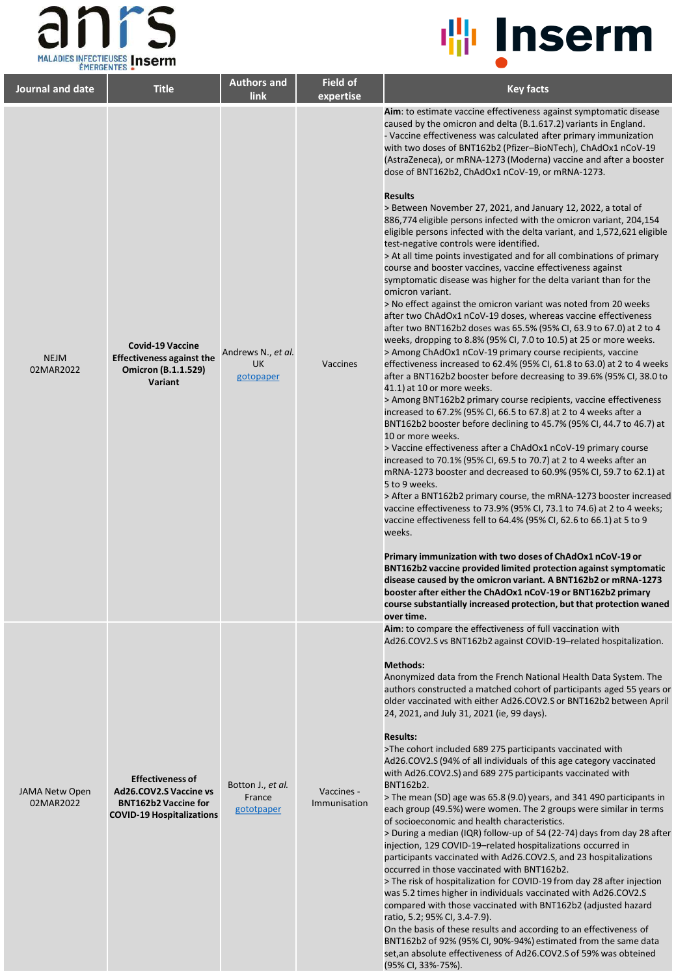| Journal and date            | <b>EITERUENTES</b><br><b>Title</b>                                                                                   | <b>Authors and</b><br>link                   | Field of<br>expertise      | <b>Key facts</b>                                                                                                                                                                                                                                                                                                                                                                                                                                                                                                                                                                                                                                                                                                                                                                                                                                                                                                                                                                                                                                                                                                                                                                                                                                                                                                                                                                                                                                                                                                                                                                                                                                                                                                                                                                                                                                                                                                                                                                                                                                                                                                                                                                                                                                                                                                                                                                                                                                                                                                         |
|-----------------------------|----------------------------------------------------------------------------------------------------------------------|----------------------------------------------|----------------------------|--------------------------------------------------------------------------------------------------------------------------------------------------------------------------------------------------------------------------------------------------------------------------------------------------------------------------------------------------------------------------------------------------------------------------------------------------------------------------------------------------------------------------------------------------------------------------------------------------------------------------------------------------------------------------------------------------------------------------------------------------------------------------------------------------------------------------------------------------------------------------------------------------------------------------------------------------------------------------------------------------------------------------------------------------------------------------------------------------------------------------------------------------------------------------------------------------------------------------------------------------------------------------------------------------------------------------------------------------------------------------------------------------------------------------------------------------------------------------------------------------------------------------------------------------------------------------------------------------------------------------------------------------------------------------------------------------------------------------------------------------------------------------------------------------------------------------------------------------------------------------------------------------------------------------------------------------------------------------------------------------------------------------------------------------------------------------------------------------------------------------------------------------------------------------------------------------------------------------------------------------------------------------------------------------------------------------------------------------------------------------------------------------------------------------------------------------------------------------------------------------------------------------|
| <b>NEJM</b><br>02MAR2022    | <b>Covid-19 Vaccine</b><br><b>Effectiveness against the</b><br><b>Omicron (B.1.1.529)</b><br>Variant                 | Andrews N., et al.<br><b>UK</b><br>gotopaper | Vaccines                   | Aim: to estimate vaccine effectiveness against symptomatic disease<br>caused by the omicron and delta (B.1.617.2) variants in England.<br>- Vaccine effectiveness was calculated after primary immunization<br>with two doses of BNT162b2 (Pfizer-BioNTech), ChAdOx1 nCoV-19<br>(AstraZeneca), or mRNA-1273 (Moderna) vaccine and after a booster<br>dose of BNT162b2, ChAdOx1 nCoV-19, or mRNA-1273.<br><b>Results</b><br>> Between November 27, 2021, and January 12, 2022, a total of<br>886,774 eligible persons infected with the omicron variant, 204,154<br>eligible persons infected with the delta variant, and 1,572,621 eligible<br>test-negative controls were identified.<br>> At all time points investigated and for all combinations of primary<br>course and booster vaccines, vaccine effectiveness against<br>symptomatic disease was higher for the delta variant than for the<br>omicron variant.<br>> No effect against the omicron variant was noted from 20 weeks<br>after two ChAdOx1 nCoV-19 doses, whereas vaccine effectiveness<br>after two BNT162b2 doses was 65.5% (95% CI, 63.9 to 67.0) at 2 to 4<br>weeks, dropping to 8.8% (95% CI, 7.0 to 10.5) at 25 or more weeks.<br>> Among ChAdOx1 nCoV-19 primary course recipients, vaccine<br>effectiveness increased to 62.4% (95% CI, 61.8 to 63.0) at 2 to 4 weeks<br>after a BNT162b2 booster before decreasing to 39.6% (95% CI, 38.0 to<br>41.1) at 10 or more weeks.<br>> Among BNT162b2 primary course recipients, vaccine effectiveness<br>increased to 67.2% (95% CI, 66.5 to 67.8) at 2 to 4 weeks after a<br>BNT162b2 booster before declining to 45.7% (95% CI, 44.7 to 46.7) at<br>10 or more weeks.<br>> Vaccine effectiveness after a ChAdOx1 nCoV-19 primary course<br>increased to 70.1% (95% CI, 69.5 to 70.7) at 2 to 4 weeks after an<br>mRNA-1273 booster and decreased to 60.9% (95% CI, 59.7 to 62.1) at<br>5 to 9 weeks.<br>> After a BNT162b2 primary course, the mRNA-1273 booster increased<br>vaccine effectiveness to 73.9% (95% CI, 73.1 to 74.6) at 2 to 4 weeks;<br>vaccine effectiveness fell to 64.4% (95% CI, 62.6 to 66.1) at 5 to 9<br>weeks.<br>Primary immunization with two doses of ChAdOx1 nCoV-19 or<br>BNT162b2 vaccine provided limited protection against symptomatic<br>disease caused by the omicron variant. A BNT162b2 or mRNA-1273<br>booster after either the ChAdOx1 nCoV-19 or BNT162b2 primary<br>course substantially increased protection, but that protection waned<br>over time. |
| JAMA Netw Open<br>02MAR2022 | <b>Effectiveness of</b><br>Ad26.COV2.S Vaccine vs<br><b>BNT162b2 Vaccine for</b><br><b>COVID-19 Hospitalizations</b> | Botton J., et al.<br>France<br>gototpaper    | Vaccines -<br>Immunisation | <b>Aim</b> : to compare the effectiveness of full vaccination with<br>Ad26.COV2.S vs BNT162b2 against COVID-19-related hospitalization.<br><b>Methods:</b><br>Anonymized data from the French National Health Data System. The<br>authors constructed a matched cohort of participants aged 55 years or<br>older vaccinated with either Ad26.COV2.S or BNT162b2 between April<br>24, 2021, and July 31, 2021 (ie, 99 days).<br><b>Results:</b><br>>The cohort included 689 275 participants vaccinated with<br>Ad26.COV2.S (94% of all individuals of this age category vaccinated<br>with Ad26.COV2.S) and 689 275 participants vaccinated with<br>BNT162b2.<br>> The mean (SD) age was 65.8 (9.0) years, and 341 490 participants in<br>each group (49.5%) were women. The 2 groups were similar in terms<br>of socioeconomic and health characteristics.<br>> During a median (IQR) follow-up of 54 (22-74) days from day 28 after<br>injection, 129 COVID-19-related hospitalizations occurred in<br>participants vaccinated with Ad26.COV2.S, and 23 hospitalizations<br>occurred in those vaccinated with BNT162b2.<br>> The risk of hospitalization for COVID-19 from day 28 after injection<br>was 5.2 times higher in individuals vaccinated with Ad26.COV2.S<br>compared with those vaccinated with BNT162b2 (adjusted hazard<br>ratio, 5.2; 95% CI, 3.4-7.9).<br>On the basis of these results and according to an effectiveness of<br>BNT162b2 of 92% (95% CI, 90%-94%) estimated from the same data<br>set, an absolute effectiveness of Ad26.COV2.S of 59% was obteined<br>(95% CI, 33%-75%).                                                                                                                                                                                                                                                                                                                                                                                                                                                                                                                                                                                                                                                                                                                                                                                                                                                                                                              |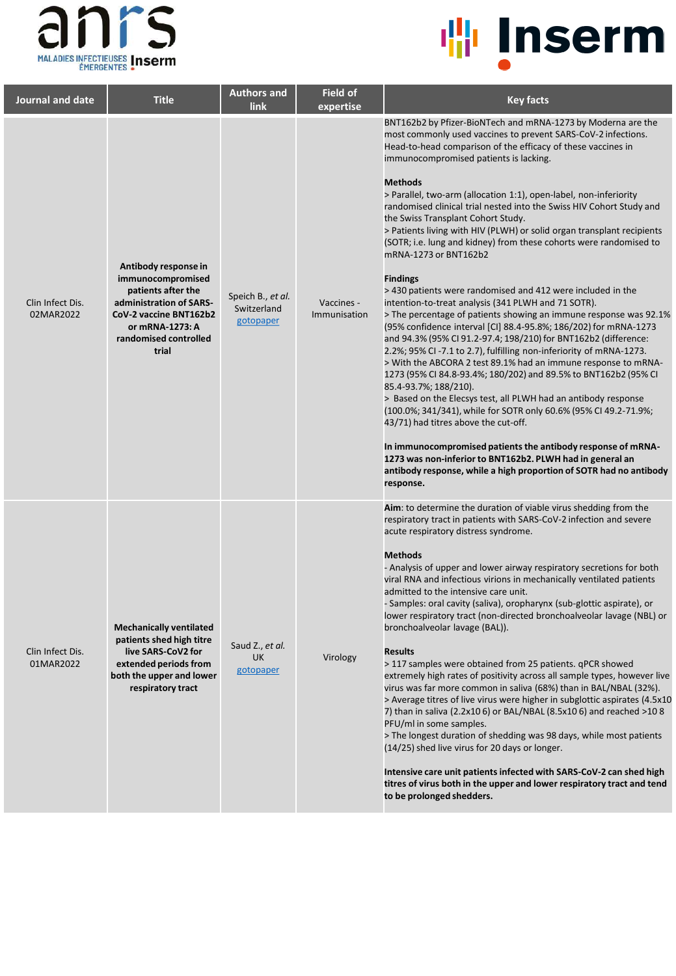

| Journal and date              | <b>Title</b>                                                                                                                                                              | <b>Authors and</b><br><b>link</b>             | <b>Field of</b><br>expertise | <b>Key facts</b>                                                                                                                                                                                                                                                                                                                                                                                                                                                                                                                                                                                                                                                                                                                                                                                                                                                                                                                                                                                                                                                                                                                                                                                                                                                                                                                                                                                                                                                                                                                                                                                            |
|-------------------------------|---------------------------------------------------------------------------------------------------------------------------------------------------------------------------|-----------------------------------------------|------------------------------|-------------------------------------------------------------------------------------------------------------------------------------------------------------------------------------------------------------------------------------------------------------------------------------------------------------------------------------------------------------------------------------------------------------------------------------------------------------------------------------------------------------------------------------------------------------------------------------------------------------------------------------------------------------------------------------------------------------------------------------------------------------------------------------------------------------------------------------------------------------------------------------------------------------------------------------------------------------------------------------------------------------------------------------------------------------------------------------------------------------------------------------------------------------------------------------------------------------------------------------------------------------------------------------------------------------------------------------------------------------------------------------------------------------------------------------------------------------------------------------------------------------------------------------------------------------------------------------------------------------|
| Clin Infect Dis.<br>02MAR2022 | Antibody response in<br>immunocompromised<br>patients after the<br>administration of SARS-<br>CoV-2 vaccine BNT162b2<br>or mRNA-1273: A<br>randomised controlled<br>trial | Speich B., et al.<br>Switzerland<br>gotopaper | Vaccines -<br>Immunisation   | BNT162b2 by Pfizer-BioNTech and mRNA-1273 by Moderna are the<br>most commonly used vaccines to prevent SARS-CoV-2 infections.<br>Head-to-head comparison of the efficacy of these vaccines in<br>immunocompromised patients is lacking.<br><b>Methods</b><br>> Parallel, two-arm (allocation 1:1), open-label, non-inferiority<br>randomised clinical trial nested into the Swiss HIV Cohort Study and<br>the Swiss Transplant Cohort Study.<br>> Patients living with HIV (PLWH) or solid organ transplant recipients<br>(SOTR; i.e. lung and kidney) from these cohorts were randomised to<br>mRNA-1273 or BNT162b2<br><b>Findings</b><br>>430 patients were randomised and 412 were included in the<br>intention-to-treat analysis (341 PLWH and 71 SOTR).<br>> The percentage of patients showing an immune response was 92.1%<br>(95% confidence interval [CI] 88.4-95.8%; 186/202) for mRNA-1273<br>and 94.3% (95% CI 91.2-97.4; 198/210) for BNT162b2 (difference:<br>2.2%; 95% CI-7.1 to 2.7), fulfilling non-inferiority of mRNA-1273.<br>> With the ABCORA 2 test 89.1% had an immune response to mRNA-<br>1273 (95% CI 84.8-93.4%; 180/202) and 89.5% to BNT162b2 (95% CI<br>85.4-93.7%; 188/210).<br>> Based on the Elecsys test, all PLWH had an antibody response<br>(100.0%; 341/341), while for SOTR only 60.6% (95% CI 49.2-71.9%;<br>43/71) had titres above the cut-off.<br>In immunocompromised patients the antibody response of mRNA-<br>1273 was non-inferior to BNT162b2. PLWH had in general an<br>antibody response, while a high proportion of SOTR had no antibody<br>response. |
| Clin Infect Dis.<br>01MAR2022 | <b>Mechanically ventilated</b><br>patients shed high titre<br>live SARS-CoV2 for<br>extended periods from<br>both the upper and lower<br>respiratory tract                | Saud Z., et al.<br><b>UK</b><br>gotopaper     | Virology                     | Aim: to determine the duration of viable virus shedding from the<br>respiratory tract in patients with SARS-CoV-2 infection and severe<br>acute respiratory distress syndrome.<br><b>Methods</b><br>- Analysis of upper and lower airway respiratory secretions for both<br>viral RNA and infectious virions in mechanically ventilated patients<br>admitted to the intensive care unit.<br>- Samples: oral cavity (saliva), oropharynx (sub-glottic aspirate), or<br>lower respiratory tract (non-directed bronchoalveolar lavage (NBL) or<br>bronchoalveolar lavage (BAL)).<br><b>Results</b><br>> 117 samples were obtained from 25 patients. qPCR showed<br>extremely high rates of positivity across all sample types, however live<br>virus was far more common in saliva (68%) than in BAL/NBAL (32%).<br>> Average titres of live virus were higher in subglottic aspirates (4.5x10<br>7) than in saliva (2.2x106) or BAL/NBAL (8.5x106) and reached >108<br>PFU/ml in some samples.<br>> The longest duration of shedding was 98 days, while most patients<br>(14/25) shed live virus for 20 days or longer.<br>Intensive care unit patients infected with SARS-CoV-2 can shed high<br>titres of virus both in the upper and lower respiratory tract and tend<br>to be prolonged shedders.                                                                                                                                                                                                                                                                                                         |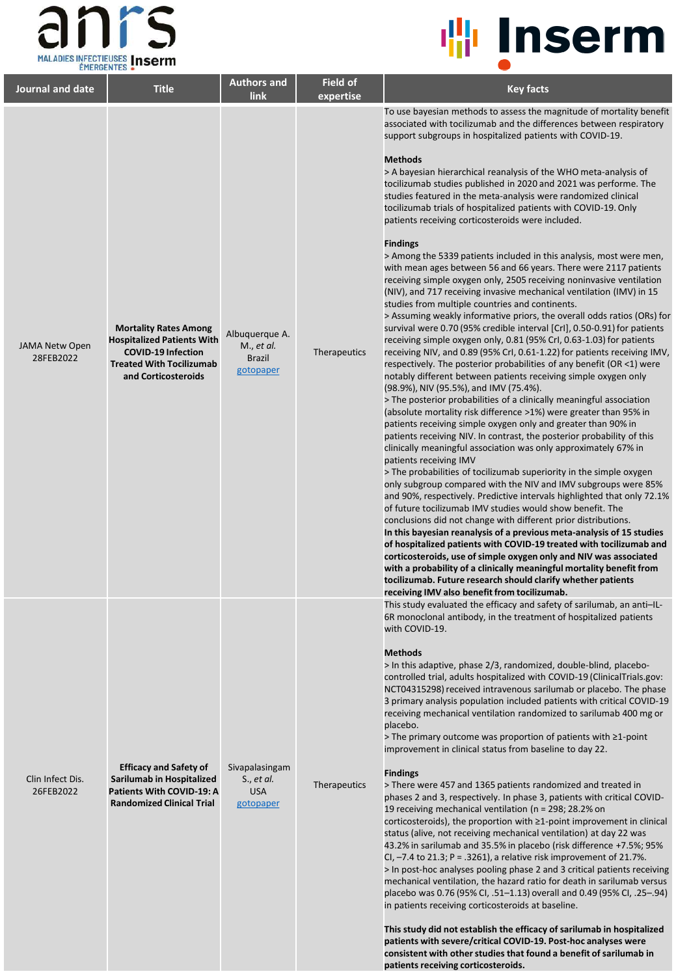## **Will Inserm**

| Journal and date                   | EMERGENIES O<br><b>Title</b>                                                                                                                             | <b>Authors and</b>                                                 | Field of                  | <b>Key facts</b>                                                                                                                                                                                                                                                                                                                                                                                                                                                                                                                                                                                                                                                                                                                                                                                                                                                                                                                                                                                                                                                                                                                                                                                                                                                                                                                                                                                                                                                                                                                                                                                                                                                                                                                                                                                                                                                                                                                                                                                                                                                                                                                                                                                                                                                                                                                                                                                                                                                                                                             |
|------------------------------------|----------------------------------------------------------------------------------------------------------------------------------------------------------|--------------------------------------------------------------------|---------------------------|------------------------------------------------------------------------------------------------------------------------------------------------------------------------------------------------------------------------------------------------------------------------------------------------------------------------------------------------------------------------------------------------------------------------------------------------------------------------------------------------------------------------------------------------------------------------------------------------------------------------------------------------------------------------------------------------------------------------------------------------------------------------------------------------------------------------------------------------------------------------------------------------------------------------------------------------------------------------------------------------------------------------------------------------------------------------------------------------------------------------------------------------------------------------------------------------------------------------------------------------------------------------------------------------------------------------------------------------------------------------------------------------------------------------------------------------------------------------------------------------------------------------------------------------------------------------------------------------------------------------------------------------------------------------------------------------------------------------------------------------------------------------------------------------------------------------------------------------------------------------------------------------------------------------------------------------------------------------------------------------------------------------------------------------------------------------------------------------------------------------------------------------------------------------------------------------------------------------------------------------------------------------------------------------------------------------------------------------------------------------------------------------------------------------------------------------------------------------------------------------------------------------------|
| <b>JAMA Netw Open</b><br>28FEB2022 | <b>Mortality Rates Among</b><br><b>Hospitalized Patients With</b><br><b>COVID-19 Infection</b><br><b>Treated With Tocilizumab</b><br>and Corticosteroids | link<br>Albuquerque A.<br>M., et al.<br><b>Brazil</b><br>gotopaper | expertise<br>Therapeutics | To use bayesian methods to assess the magnitude of mortality benefit<br>associated with tocilizumab and the differences between respiratory<br>support subgroups in hospitalized patients with COVID-19.<br>Methods<br>> A bayesian hierarchical reanalysis of the WHO meta-analysis of<br>tocilizumab studies published in 2020 and 2021 was performe. The<br>studies featured in the meta-analysis were randomized clinical<br>tocilizumab trials of hospitalized patients with COVID-19. Only<br>patients receiving corticosteroids were included.<br><b>Findings</b><br>> Among the 5339 patients included in this analysis, most were men,<br>with mean ages between 56 and 66 years. There were 2117 patients<br>receiving simple oxygen only, 2505 receiving noninvasive ventilation<br>(NIV), and 717 receiving invasive mechanical ventilation (IMV) in 15<br>studies from multiple countries and continents.<br>> Assuming weakly informative priors, the overall odds ratios (ORs) for<br>survival were 0.70 (95% credible interval [CrI], 0.50-0.91) for patients<br>receiving simple oxygen only, 0.81 (95% CrI, 0.63-1.03) for patients<br>receiving NIV, and 0.89 (95% CrI, 0.61-1.22) for patients receiving IMV,<br>respectively. The posterior probabilities of any benefit (OR <1) were<br>notably different between patients receiving simple oxygen only<br>(98.9%), NIV (95.5%), and IMV (75.4%).<br>> The posterior probabilities of a clinically meaningful association<br>(absolute mortality risk difference >1%) were greater than 95% in<br>patients receiving simple oxygen only and greater than 90% in<br>patients receiving NIV. In contrast, the posterior probability of this<br>clinically meaningful association was only approximately 67% in<br>patients receiving IMV<br>> The probabilities of tocilizumab superiority in the simple oxygen<br>only subgroup compared with the NIV and IMV subgroups were 85%<br>and 90%, respectively. Predictive intervals highlighted that only 72.1%<br>of future tocilizumab IMV studies would show benefit. The<br>conclusions did not change with different prior distributions.<br>In this bayesian reanalysis of a previous meta-analysis of 15 studies<br>of hospitalized patients with COVID-19 treated with tocilizumab and<br>corticosteroids, use of simple oxygen only and NIV was associated<br>with a probability of a clinically meaningful mortality benefit from<br>tocilizumab. Future research should clarify whether patients |
| Clin Infect Dis.<br>26FEB2022      | <b>Efficacy and Safety of</b><br>Sarilumab in Hospitalized<br>Patients With COVID-19: A<br><b>Randomized Clinical Trial</b>                              | Sivapalasingam<br>S., et al.<br><b>USA</b><br>gotopaper            | Therapeutics              | receiving IMV also benefit from tocilizumab.<br>This study evaluated the efficacy and safety of sarilumab, an anti-IL-<br>6R monoclonal antibody, in the treatment of hospitalized patients<br>with COVID-19.<br>Methods<br>> In this adaptive, phase 2/3, randomized, double-blind, placebo-<br>controlled trial, adults hospitalized with COVID-19 (ClinicalTrials.gov:<br>NCT04315298) received intravenous sarilumab or placebo. The phase<br>3 primary analysis population included patients with critical COVID-19<br>receiving mechanical ventilation randomized to sarilumab 400 mg or<br>placebo.<br>$>$ The primary outcome was proportion of patients with $\geq$ 1-point<br>improvement in clinical status from baseline to day 22.<br><b>Findings</b><br>> There were 457 and 1365 patients randomized and treated in<br>phases 2 and 3, respectively. In phase 3, patients with critical COVID-<br>19 receiving mechanical ventilation (n = 298; 28.2% on<br>corticosteroids), the proportion with ≥1-point improvement in clinical<br>status (alive, not receiving mechanical ventilation) at day 22 was<br>43.2% in sarilumab and 35.5% in placebo (risk difference +7.5%; 95%<br>CI, $-7.4$ to 21.3; P = .3261), a relative risk improvement of 21.7%.<br>> In post-hoc analyses pooling phase 2 and 3 critical patients receiving<br>mechanical ventilation, the hazard ratio for death in sarilumab versus<br>placebo was 0.76 (95% CI, .51-1.13) overall and 0.49 (95% CI, .25-.94)<br>in patients receiving corticosteroids at baseline.<br>This study did not establish the efficacy of sarilumab in hospitalized<br>patients with severe/critical COVID-19. Post-hoc analyses were<br>consistent with other studies that found a benefit of sarilumab in                                                                                                                                                                                                                                                                                                                                                                                                                                                                                                                                                                                                                                                                                                                                              |

patients receiving corticosteroids.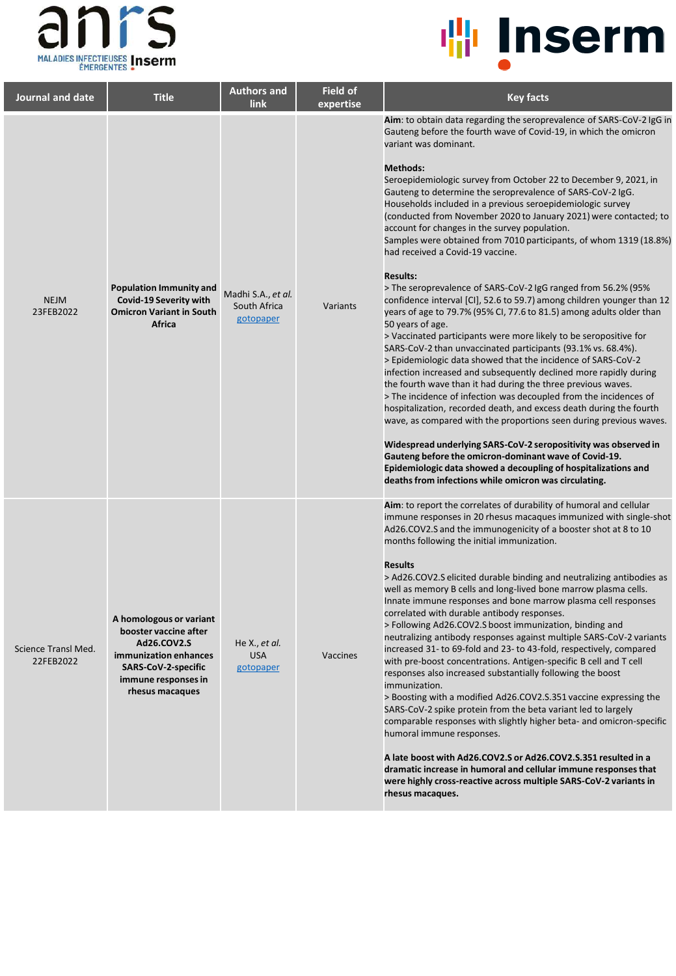

| Journal and date                 | <b>Title</b>                                                                                                                                              | <b>Authors and</b><br>link                       | <b>Field of</b><br>expertise | <b>Key facts</b>                                                                                                                                                                                                                                                                                                                                                                                                                                                                                                                                                                                                                                                                                                                                                                                                                                                                                                                                                                                                                                                                                                                                                                                                                                                                                                                                                                                                                                                                                                                                                                                                                                                                                   |
|----------------------------------|-----------------------------------------------------------------------------------------------------------------------------------------------------------|--------------------------------------------------|------------------------------|----------------------------------------------------------------------------------------------------------------------------------------------------------------------------------------------------------------------------------------------------------------------------------------------------------------------------------------------------------------------------------------------------------------------------------------------------------------------------------------------------------------------------------------------------------------------------------------------------------------------------------------------------------------------------------------------------------------------------------------------------------------------------------------------------------------------------------------------------------------------------------------------------------------------------------------------------------------------------------------------------------------------------------------------------------------------------------------------------------------------------------------------------------------------------------------------------------------------------------------------------------------------------------------------------------------------------------------------------------------------------------------------------------------------------------------------------------------------------------------------------------------------------------------------------------------------------------------------------------------------------------------------------------------------------------------------------|
| <b>NEJM</b><br>23FEB2022         | Population Immunity and<br>Covid-19 Severity with<br><b>Omicron Variant in South</b><br>Africa                                                            | Madhi S.A., et al.<br>South Africa<br>gotopaper  | Variants                     | Aim: to obtain data regarding the seroprevalence of SARS-CoV-2 IgG in<br>Gauteng before the fourth wave of Covid-19, in which the omicron<br>variant was dominant.<br><b>Methods:</b><br>Seroepidemiologic survey from October 22 to December 9, 2021, in<br>Gauteng to determine the seroprevalence of SARS-CoV-2 IgG.<br>Households included in a previous seroepidemiologic survey<br>(conducted from November 2020 to January 2021) were contacted; to<br>account for changes in the survey population.<br>Samples were obtained from 7010 participants, of whom 1319 (18.8%)<br>had received a Covid-19 vaccine.<br><b>Results:</b><br>> The seroprevalence of SARS-CoV-2 IgG ranged from 56.2% (95%<br>confidence interval [CI], 52.6 to 59.7) among children younger than 12<br>years of age to 79.7% (95% CI, 77.6 to 81.5) among adults older than<br>50 years of age.<br>> Vaccinated participants were more likely to be seropositive for<br>SARS-CoV-2 than unvaccinated participants (93.1% vs. 68.4%).<br>> Epidemiologic data showed that the incidence of SARS-CoV-2<br>infection increased and subsequently declined more rapidly during<br>the fourth wave than it had during the three previous waves.<br>> The incidence of infection was decoupled from the incidences of<br>hospitalization, recorded death, and excess death during the fourth<br>wave, as compared with the proportions seen during previous waves.<br>Widespread underlying SARS-CoV-2 seropositivity was observed in<br>Gauteng before the omicron-dominant wave of Covid-19.<br>Epidemiologic data showed a decoupling of hospitalizations and<br>deaths from infections while omicron was circulating. |
| Science Transl Med.<br>22FEB2022 | A homologous or variant<br>booster vaccine after<br>Ad26.COV2.S<br>immunization enhances<br>SARS-CoV-2-specific<br>immune responses in<br>rhesus macaques | He X., <i>et al</i> .<br><b>USA</b><br>gotopaper | Vaccines                     | Aim: to report the correlates of durability of humoral and cellular<br>immune responses in 20 rhesus macaques immunized with single-shot<br>Ad26.COV2.S and the immunogenicity of a booster shot at 8 to 10<br>months following the initial immunization.<br><b>Results</b><br>> Ad26.COV2.S elicited durable binding and neutralizing antibodies as<br>well as memory B cells and long-lived bone marrow plasma cells.<br>Innate immune responses and bone marrow plasma cell responses<br>correlated with durable antibody responses.<br>> Following Ad26.COV2.S boost immunization, binding and<br>neutralizing antibody responses against multiple SARS-CoV-2 variants<br>increased 31- to 69-fold and 23- to 43-fold, respectively, compared<br>with pre-boost concentrations. Antigen-specific B cell and T cell<br>responses also increased substantially following the boost<br>immunization.<br>> Boosting with a modified Ad26.COV2.S.351 vaccine expressing the<br>SARS-CoV-2 spike protein from the beta variant led to largely<br>comparable responses with slightly higher beta- and omicron-specific<br>humoral immune responses.<br>A late boost with Ad26.COV2.S or Ad26.COV2.S.351 resulted in a<br>dramatic increase in humoral and cellular immune responses that<br>were highly cross-reactive across multiple SARS-CoV-2 variants in<br>rhesus macaques.                                                                                                                                                                                                                                                                                                                     |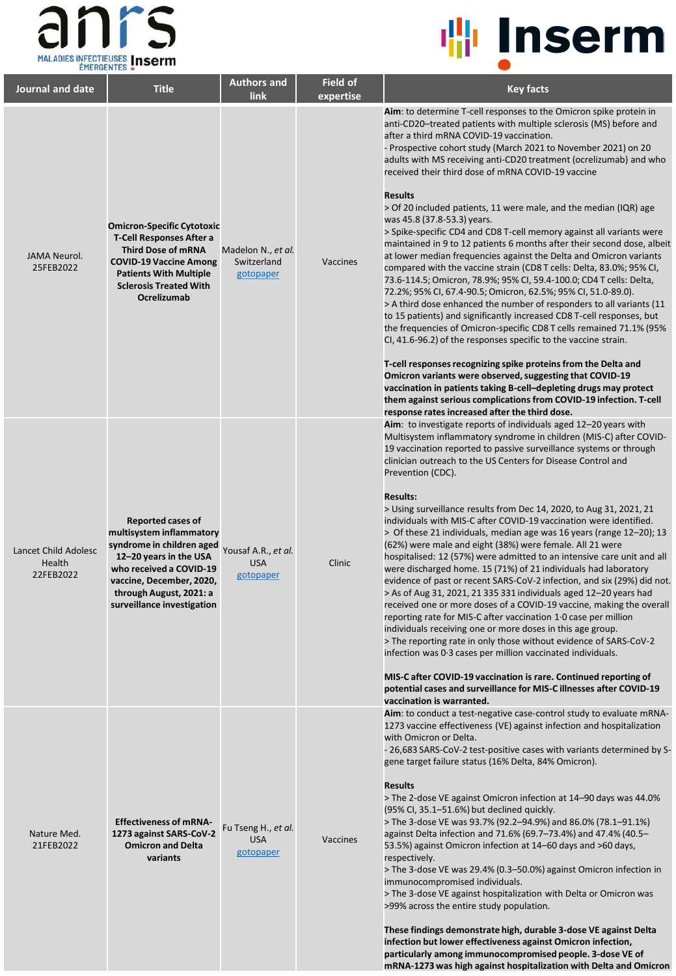| EMERGENIES O<br>Journal and date            | <b>Title</b>                                                                                                                                                                                                                | <b>Authors and</b><br>link                     | <b>Field of</b><br>expertise | <b>Key facts</b>                                                                                                                                                                                                                                                                                                                                                                                                                                                                                                                                                                                                                                                                                                                                                                                                                                                                                                                                                                                                                                                                                                                                                                                                                                                                                                                                                                                                                                                                                                                                                        |
|---------------------------------------------|-----------------------------------------------------------------------------------------------------------------------------------------------------------------------------------------------------------------------------|------------------------------------------------|------------------------------|-------------------------------------------------------------------------------------------------------------------------------------------------------------------------------------------------------------------------------------------------------------------------------------------------------------------------------------------------------------------------------------------------------------------------------------------------------------------------------------------------------------------------------------------------------------------------------------------------------------------------------------------------------------------------------------------------------------------------------------------------------------------------------------------------------------------------------------------------------------------------------------------------------------------------------------------------------------------------------------------------------------------------------------------------------------------------------------------------------------------------------------------------------------------------------------------------------------------------------------------------------------------------------------------------------------------------------------------------------------------------------------------------------------------------------------------------------------------------------------------------------------------------------------------------------------------------|
| JAMA Neurol.<br>25FEB2022                   | Omicron-Specific Cytotoxic<br><b>T-Cell Responses After a</b><br><b>Third Dose of mRNA</b><br><b>COVID-19 Vaccine Among</b><br><b>Patients With Multiple</b><br><b>Sclerosis Treated With</b><br>Ocrelizumab                | Madelon N., et al.<br>Switzerland<br>gotopaper | Vaccines                     | Aim: to determine T-cell responses to the Omicron spike protein in<br>anti-CD20-treated patients with multiple sclerosis (MS) before and<br>after a third mRNA COVID-19 vaccination.<br>- Prospective cohort study (March 2021 to November 2021) on 20<br>adults with MS receiving anti-CD20 treatment (ocrelizumab) and who<br>received their third dose of mRNA COVID-19 vaccine<br><b>Results</b><br>> Of 20 included patients, 11 were male, and the median (IQR) age<br>was 45.8 (37.8-53.3) years.<br>> Spike-specific CD4 and CD8 T-cell memory against all variants were<br>maintained in 9 to 12 patients 6 months after their second dose, albeit<br>at lower median frequencies against the Delta and Omicron variants<br>compared with the vaccine strain (CD8 T cells: Delta, 83.0%; 95% CI,<br>73.6-114.5; Omicron, 78.9%; 95% CI, 59.4-100.0; CD4 T cells: Delta,<br>72.2%; 95% CI, 67.4-90.5; Omicron, 62.5%; 95% CI, 51.0-89.0).<br>> A third dose enhanced the number of responders to all variants (11<br>to 15 patients) and significantly increased CD8 T-cell responses, but<br>the frequencies of Omicron-specific CD8 T cells remained 71.1% (95%<br>CI, 41.6-96.2) of the responses specific to the vaccine strain.<br>T-cell responses recognizing spike proteins from the Delta and<br>Omicron variants were observed, suggesting that COVID-19<br>vaccination in patients taking B-cell-depleting drugs may protect<br>them against serious complications from COVID-19 infection. T-cell<br>response rates increased after the third dose. |
| Lancet Child Adolesc<br>Health<br>22FEB2022 | <b>Reported cases of</b><br>multisystem inflammatory<br>syndrome in children aged<br>12-20 years in the USA<br>who received a COVID-19<br>vaccine, December, 2020,<br>through August, 2021: a<br>surveillance investigation | Yousaf A.R., et al.<br><b>USA</b><br>gotopaper | Clinic                       | Aim: to investigate reports of individuals aged 12-20 years with<br>Multisystem inflammatory syndrome in children (MIS-C) after COVID-<br>19 vaccination reported to passive surveillance systems or through<br>clinician outreach to the US Centers for Disease Control and<br>Prevention (CDC).<br><b>Results:</b><br>> Using surveillance results from Dec 14, 2020, to Aug 31, 2021, 21<br>individuals with MIS-C after COVID-19 vaccination were identified.<br>> Of these 21 individuals, median age was 16 years (range 12–20); 13<br>(62%) were male and eight (38%) were female. All 21 were<br>hospitalised: 12 (57%) were admitted to an intensive care unit and all<br>were discharged home. 15 (71%) of 21 individuals had laboratory<br>evidence of past or recent SARS-CoV-2 infection, and six (29%) did not.<br>> As of Aug 31, 2021, 21 335 331 individuals aged 12-20 years had<br>received one or more doses of a COVID-19 vaccine, making the overall<br>reporting rate for MIS-C after vaccination 1.0 case per million<br>individuals receiving one or more doses in this age group.<br>> The reporting rate in only those without evidence of SARS-CoV-2<br>infection was 0.3 cases per million vaccinated individuals.<br>MIS-C after COVID-19 vaccination is rare. Continued reporting of<br>potential cases and surveillance for MIS-C illnesses after COVID-19<br>vaccination is warranted.                                                                                                                                                 |
| Nature Med.<br>21FEB2022                    | <b>Effectiveness of mRNA-</b><br>1273 against SARS-CoV-2<br><b>Omicron and Delta</b><br>variants                                                                                                                            | Fu Tseng H., et al.<br><b>USA</b><br>gotopaper | Vaccines                     | Aim: to conduct a test-negative case-control study to evaluate mRNA-<br>1273 vaccine effectiveness (VE) against infection and hospitalization<br>with Omicron or Delta.<br>- 26,683 SARS-CoV-2 test-positive cases with variants determined by S-<br>gene target failure status (16% Delta, 84% Omicron).<br><b>Results</b><br>> The 2-dose VE against Omicron infection at 14–90 days was 44.0%<br>(95% CI, 35.1–51.6%) but declined quickly.<br>> The 3-dose VE was 93.7% (92.2–94.9%) and 86.0% (78.1–91.1%)<br>against Delta infection and 71.6% (69.7-73.4%) and 47.4% (40.5-<br>53.5%) against Omicron infection at 14-60 days and >60 days,<br>respectively.<br>> The 3-dose VE was 29.4% (0.3–50.0%) against Omicron infection in<br>immunocompromised individuals.<br>> The 3-dose VE against hospitalization with Delta or Omicron was<br>>99% across the entire study population.<br>These findings demonstrate high, durable 3-dose VE against Delta<br>infection but lower effectiveness against Omicron infection,<br>particularly among immunocompromised people. 3-dose VE of<br>mRNA-1273 was high against hospitalization with Delta and Omicron                                                                                                                                                                                                                                                                                                                                                                                                      |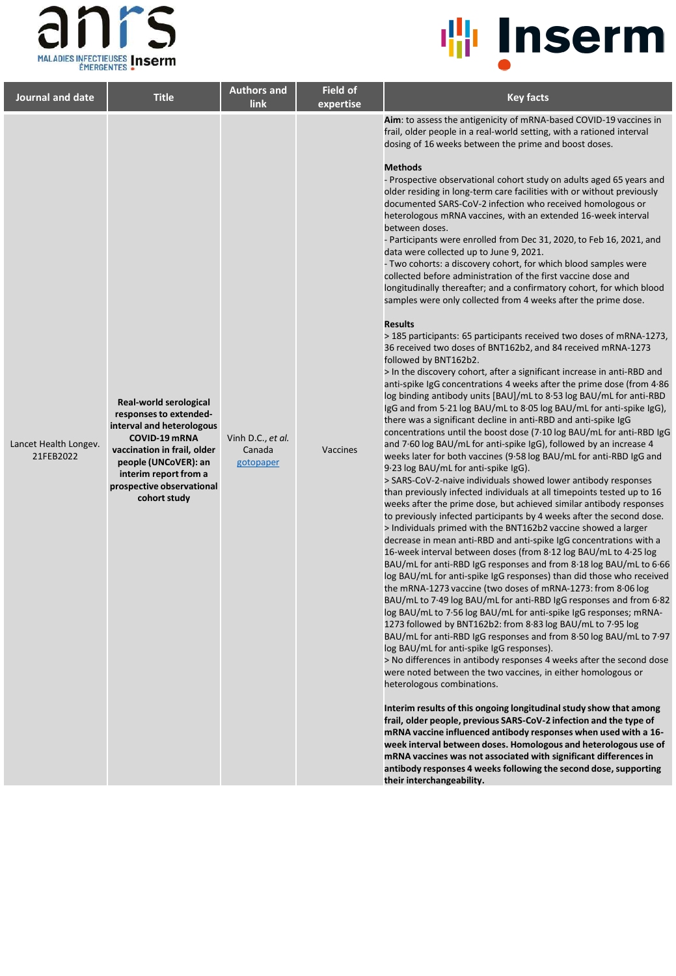

I

| Journal and date                   | <b>Title</b>                                                                                                                                                                                                                | <b>Authors and</b><br>link               | <b>Field of</b><br>expertise | <b>Key facts</b>                                                                                                                                                                                                                                                                                                                                                                                                                                                                                                                                                                                                                                                                                                                                                                                                                                                                                                                                                                                                                                                                                                                                                                                                                                                                                                                                                                                                                                                                                                                                                                                                                                                                                                                                                                                                                                                                                                                                                                                                                                                                                                                                                                                                                                                                                                                                                                                                                                                                                                                                                                                                                                                                                                                                                                                                                                                                                                                                                                                                                                                                                                                                                                                                                                                                                                                                                                                                                 |
|------------------------------------|-----------------------------------------------------------------------------------------------------------------------------------------------------------------------------------------------------------------------------|------------------------------------------|------------------------------|----------------------------------------------------------------------------------------------------------------------------------------------------------------------------------------------------------------------------------------------------------------------------------------------------------------------------------------------------------------------------------------------------------------------------------------------------------------------------------------------------------------------------------------------------------------------------------------------------------------------------------------------------------------------------------------------------------------------------------------------------------------------------------------------------------------------------------------------------------------------------------------------------------------------------------------------------------------------------------------------------------------------------------------------------------------------------------------------------------------------------------------------------------------------------------------------------------------------------------------------------------------------------------------------------------------------------------------------------------------------------------------------------------------------------------------------------------------------------------------------------------------------------------------------------------------------------------------------------------------------------------------------------------------------------------------------------------------------------------------------------------------------------------------------------------------------------------------------------------------------------------------------------------------------------------------------------------------------------------------------------------------------------------------------------------------------------------------------------------------------------------------------------------------------------------------------------------------------------------------------------------------------------------------------------------------------------------------------------------------------------------------------------------------------------------------------------------------------------------------------------------------------------------------------------------------------------------------------------------------------------------------------------------------------------------------------------------------------------------------------------------------------------------------------------------------------------------------------------------------------------------------------------------------------------------------------------------------------------------------------------------------------------------------------------------------------------------------------------------------------------------------------------------------------------------------------------------------------------------------------------------------------------------------------------------------------------------------------------------------------------------------------------------------------------------|
| Lancet Health Longev.<br>21FEB2022 | Real-world serological<br>responses to extended-<br>interval and heterologous<br>COVID-19 mRNA<br>vaccination in frail, older<br>people (UNCoVER): an<br>interim report from a<br>prospective observational<br>cohort study | Vinh D.C., et al.<br>Canada<br>gotopaper | Vaccines                     | Aim: to assess the antigenicity of mRNA-based COVID-19 vaccines in<br>frail, older people in a real-world setting, with a rationed interval<br>dosing of 16 weeks between the prime and boost doses.<br><b>Methods</b><br>- Prospective observational cohort study on adults aged 65 years and<br>older residing in long-term care facilities with or without previously<br>documented SARS-CoV-2 infection who received homologous or<br>heterologous mRNA vaccines, with an extended 16-week interval<br>between doses.<br>- Participants were enrolled from Dec 31, 2020, to Feb 16, 2021, and<br>data were collected up to June 9, 2021.<br>- Two cohorts: a discovery cohort, for which blood samples were<br>collected before administration of the first vaccine dose and<br>longitudinally thereafter; and a confirmatory cohort, for which blood<br>samples were only collected from 4 weeks after the prime dose.<br><b>Results</b><br>>185 participants: 65 participants received two doses of mRNA-1273,<br>36 received two doses of BNT162b2, and 84 received mRNA-1273<br>followed by BNT162b2.<br>> In the discovery cohort, after a significant increase in anti-RBD and<br>anti-spike IgG concentrations 4 weeks after the prime dose (from 4.86<br>log binding antibody units [BAU]/mL to 8.53 log BAU/mL for anti-RBD<br>IgG and from 5.21 log BAU/mL to 8.05 log BAU/mL for anti-spike IgG),<br>there was a significant decline in anti-RBD and anti-spike IgG<br>concentrations until the boost dose (7.10 log BAU/mL for anti-RBD IgG<br>and 7.60 log BAU/mL for anti-spike IgG), followed by an increase 4<br>weeks later for both vaccines (9.58 log BAU/mL for anti-RBD IgG and<br>9.23 log BAU/mL for anti-spike IgG).<br>> SARS-CoV-2-naive individuals showed lower antibody responses<br>than previously infected individuals at all timepoints tested up to 16<br>weeks after the prime dose, but achieved similar antibody responses<br>to previously infected participants by 4 weeks after the second dose.<br>> Individuals primed with the BNT162b2 vaccine showed a larger<br>decrease in mean anti-RBD and anti-spike IgG concentrations with a<br>16-week interval between doses (from 8.12 log BAU/mL to 4.25 log<br>BAU/mL for anti-RBD IgG responses and from 8.18 log BAU/mL to 6.66<br>log BAU/mL for anti-spike IgG responses) than did those who received<br>the mRNA-1273 vaccine (two doses of mRNA-1273: from 8.06 log<br>BAU/mL to 7.49 log BAU/mL for anti-RBD IgG responses and from 6.82<br>log BAU/mL to 7.56 log BAU/mL for anti-spike IgG responses; mRNA-<br>1273 followed by BNT162b2: from 8.83 log BAU/mL to 7.95 log<br>BAU/mL for anti-RBD IgG responses and from 8.50 log BAU/mL to 7.97<br>log BAU/mL for anti-spike IgG responses).<br>> No differences in antibody responses 4 weeks after the second dose<br>were noted between the two vaccines, in either homologous or<br>heterologous combinations.<br>Interim results of this ongoing longitudinal study show that among<br>frail, older people, previous SARS-CoV-2 infection and the type of<br>mRNA vaccine influenced antibody responses when used with a 16-<br>week interval between doses. Homologous and heterologous use of<br>mRNA vaccines was not associated with significant differences in<br>antibody responses 4 weeks following the second dose, supporting<br>their interchangeability. |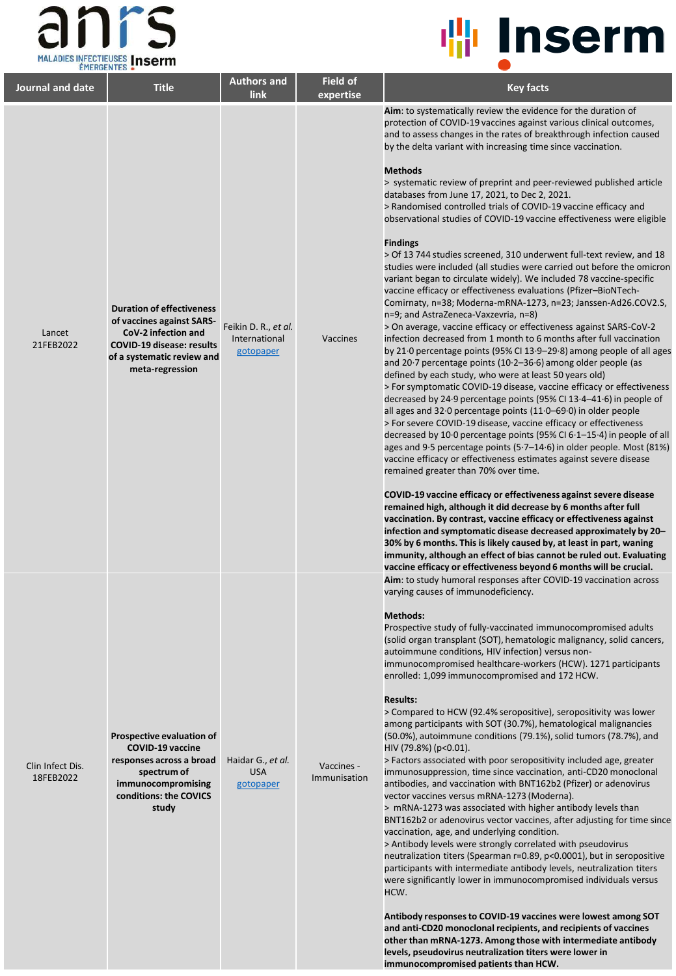## **Will Inserm**

| <b>LITERUENTES O</b><br>Journal and date | <b>Title</b>                                                                                                                                                              | <b>Authors and</b><br><b>link</b>                  | <b>Field of</b><br>expertise | <b>Key facts</b>                                                                                                                                                                                                                                                                                                                                                                                                                                                                                                                                                                                                                                                                                                                                                                                                                                                                                                                                                                                                                                                                                                                                                                                                                                                                                                                                                                                                                                                                                                                                                                                                                                                                                                                                                                                                                                                                                                                                                                                                                                                                                                                                                                                                                                                                                                                                                                                    |
|------------------------------------------|---------------------------------------------------------------------------------------------------------------------------------------------------------------------------|----------------------------------------------------|------------------------------|-----------------------------------------------------------------------------------------------------------------------------------------------------------------------------------------------------------------------------------------------------------------------------------------------------------------------------------------------------------------------------------------------------------------------------------------------------------------------------------------------------------------------------------------------------------------------------------------------------------------------------------------------------------------------------------------------------------------------------------------------------------------------------------------------------------------------------------------------------------------------------------------------------------------------------------------------------------------------------------------------------------------------------------------------------------------------------------------------------------------------------------------------------------------------------------------------------------------------------------------------------------------------------------------------------------------------------------------------------------------------------------------------------------------------------------------------------------------------------------------------------------------------------------------------------------------------------------------------------------------------------------------------------------------------------------------------------------------------------------------------------------------------------------------------------------------------------------------------------------------------------------------------------------------------------------------------------------------------------------------------------------------------------------------------------------------------------------------------------------------------------------------------------------------------------------------------------------------------------------------------------------------------------------------------------------------------------------------------------------------------------------------------------|
| Lancet<br>21FEB2022                      | <b>Duration of effectiveness</b><br>of vaccines against SARS-<br>CoV-2 infection and<br><b>COVID-19 disease: results</b><br>of a systematic review and<br>meta-regression | Feikin D. R., et al.<br>International<br>gotopaper | Vaccines                     | Aim: to systematically review the evidence for the duration of<br>protection of COVID-19 vaccines against various clinical outcomes,<br>and to assess changes in the rates of breakthrough infection caused<br>by the delta variant with increasing time since vaccination.<br>Methods<br>> systematic review of preprint and peer-reviewed published article<br>databases from June 17, 2021, to Dec 2, 2021.<br>> Randomised controlled trials of COVID-19 vaccine efficacy and<br>observational studies of COVID-19 vaccine effectiveness were eligible<br><b>Findings</b><br>> Of 13 744 studies screened, 310 underwent full-text review, and 18<br>studies were included (all studies were carried out before the omicron<br>variant began to circulate widely). We included 78 vaccine-specific<br>vaccine efficacy or effectiveness evaluations (Pfizer-BioNTech-<br>Comirnaty, n=38; Moderna-mRNA-1273, n=23; Janssen-Ad26.COV2.S,<br>n=9; and AstraZeneca-Vaxzevria, n=8)<br>> On average, vaccine efficacy or effectiveness against SARS-CoV-2<br>infection decreased from 1 month to 6 months after full vaccination<br>by 21.0 percentage points (95% CI 13.9-29.8) among people of all ages<br>and 20.7 percentage points (10.2-36.6) among older people (as<br>defined by each study, who were at least 50 years old)<br>> For symptomatic COVID-19 disease, vaccine efficacy or effectiveness<br>decreased by 24.9 percentage points (95% CI 13.4-41.6) in people of<br>all ages and 32.0 percentage points (11.0-69.0) in older people<br>> For severe COVID-19 disease, vaccine efficacy or effectiveness<br>decreased by 10.0 percentage points (95% CI 6.1-15.4) in people of all<br>ages and 9.5 percentage points (5.7–14.6) in older people. Most (81%)<br>vaccine efficacy or effectiveness estimates against severe disease<br>remained greater than 70% over time.<br>COVID-19 vaccine efficacy or effectiveness against severe disease<br>remained high, although it did decrease by 6 months after full<br>vaccination. By contrast, vaccine efficacy or effectiveness against<br>infection and symptomatic disease decreased approximately by 20-<br>30% by 6 months. This is likely caused by, at least in part, waning<br>immunity, although an effect of bias cannot be ruled out. Evaluating<br>vaccine efficacy or effectiveness beyond 6 months will be crucial. |
| Clin Infect Dis.<br>18FEB2022            | Prospective evaluation of<br><b>COVID-19 vaccine</b><br>responses across a broad<br>spectrum of<br>immunocompromising<br>conditions: the COVICS<br>study                  | Haidar G., et al.<br><b>USA</b><br>gotopaper       | Vaccines -<br>Immunisation   | Aim: to study humoral responses after COVID-19 vaccination across<br>varying causes of immunodeficiency.<br>Methods:<br>Prospective study of fully-vaccinated immunocompromised adults<br>(solid organ transplant (SOT), hematologic malignancy, solid cancers,<br>autoimmune conditions, HIV infection) versus non-<br>immunocompromised healthcare-workers (HCW). 1271 participants<br>enrolled: 1,099 immunocompromised and 172 HCW.<br><b>Results:</b><br>> Compared to HCW (92.4% seropositive), seropositivity was lower<br>among participants with SOT (30.7%), hematological malignancies<br>(50.0%), autoimmune conditions (79.1%), solid tumors (78.7%), and<br>HIV (79.8%) (p<0.01).<br>> Factors associated with poor seropositivity included age, greater<br>immunosuppression, time since vaccination, anti-CD20 monoclonal<br>antibodies, and vaccination with BNT162b2 (Pfizer) or adenovirus<br>vector vaccines versus mRNA-1273 (Moderna).<br>> mRNA-1273 was associated with higher antibody levels than<br>BNT162b2 or adenovirus vector vaccines, after adjusting for time since<br>vaccination, age, and underlying condition.<br>> Antibody levels were strongly correlated with pseudovirus<br>neutralization titers (Spearman r=0.89, p<0.0001), but in seropositive<br>participants with intermediate antibody levels, neutralization titers<br>were significantly lower in immunocompromised individuals versus<br>HCW.<br>Antibody responses to COVID-19 vaccines were lowest among SOT<br>and anti-CD20 monoclonal recipients, and recipients of vaccines<br>other than mRNA-1273. Among those with intermediate antibody<br>levels, pseudovirus neutralization titers were lower in                                                                                                                                                                                                                                                                                                                                                                                                                                                                                                                                                                                                                                                                                   |

immunocompromised patients than HCW.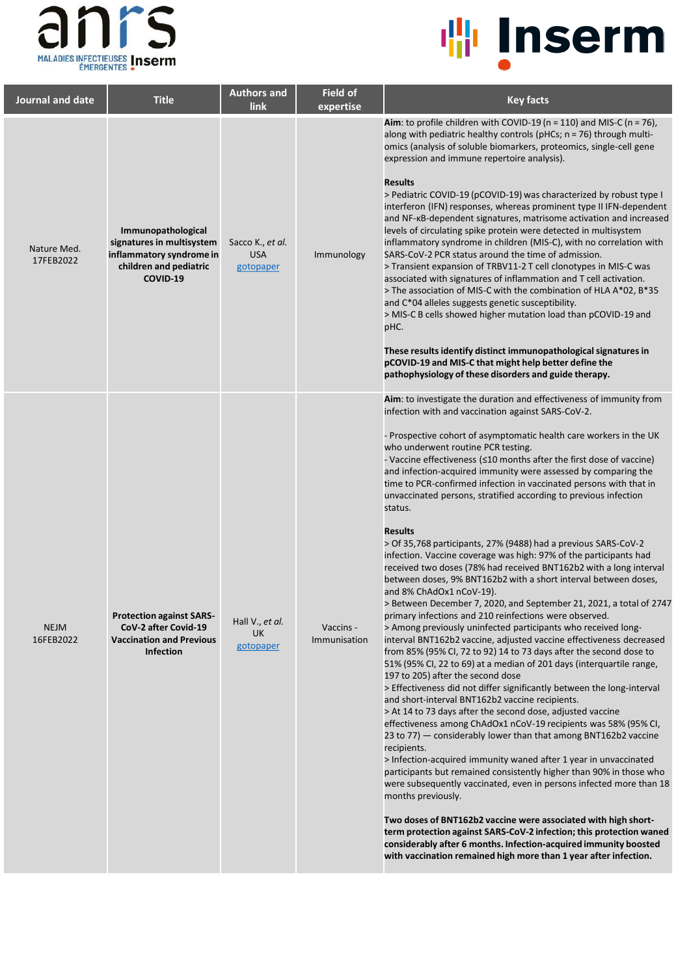

| Journal and date         | <b>Title</b>                                                                                                      | <b>Authors and</b><br>link                  | <b>Field of</b><br>expertise | <b>Key facts</b>                                                                                                                                                                                                                                                                                                                                                                                                                                                                                                                                                                                                                                                                                                                                                                                                                                                                                                                                                                                                                                                                                                                                                                                                                                                                                                                                                                                                                                                                                                                                                                                                                                                                                                                                                                                                                                                                                                                                                                                                                                                                                                                                                                                        |
|--------------------------|-------------------------------------------------------------------------------------------------------------------|---------------------------------------------|------------------------------|---------------------------------------------------------------------------------------------------------------------------------------------------------------------------------------------------------------------------------------------------------------------------------------------------------------------------------------------------------------------------------------------------------------------------------------------------------------------------------------------------------------------------------------------------------------------------------------------------------------------------------------------------------------------------------------------------------------------------------------------------------------------------------------------------------------------------------------------------------------------------------------------------------------------------------------------------------------------------------------------------------------------------------------------------------------------------------------------------------------------------------------------------------------------------------------------------------------------------------------------------------------------------------------------------------------------------------------------------------------------------------------------------------------------------------------------------------------------------------------------------------------------------------------------------------------------------------------------------------------------------------------------------------------------------------------------------------------------------------------------------------------------------------------------------------------------------------------------------------------------------------------------------------------------------------------------------------------------------------------------------------------------------------------------------------------------------------------------------------------------------------------------------------------------------------------------------------|
| Nature Med.<br>17FEB2022 | Immunopathological<br>signatures in multisystem<br>inflammatory syndrome in<br>children and pediatric<br>COVID-19 | Sacco K., et al.<br><b>USA</b><br>gotopaper | Immunology                   | <b>Aim</b> : to profile children with COVID-19 ( $n = 110$ ) and MIS-C ( $n = 76$ ),<br>along with pediatric healthy controls (pHCs; $n = 76$ ) through multi-<br>omics (analysis of soluble biomarkers, proteomics, single-cell gene<br>expression and immune repertoire analysis).<br><b>Results</b><br>> Pediatric COVID-19 (pCOVID-19) was characterized by robust type I<br>interferon (IFN) responses, whereas prominent type II IFN-dependent<br>and NF-KB-dependent signatures, matrisome activation and increased<br>levels of circulating spike protein were detected in multisystem<br>inflammatory syndrome in children (MIS-C), with no correlation with<br>SARS-CoV-2 PCR status around the time of admission.<br>> Transient expansion of TRBV11-2 T cell clonotypes in MIS-C was<br>associated with signatures of inflammation and T cell activation.<br>> The association of MIS-C with the combination of HLA A*02, B*35<br>and C*04 alleles suggests genetic susceptibility.<br>> MIS-C B cells showed higher mutation load than pCOVID-19 and<br>pHC.<br>These results identify distinct immunopathological signatures in<br>pCOVID-19 and MIS-C that might help better define the<br>pathophysiology of these disorders and guide therapy.                                                                                                                                                                                                                                                                                                                                                                                                                                                                                                                                                                                                                                                                                                                                                                                                                                                                                                                                         |
| <b>NEJM</b><br>16FEB2022 | <b>Protection against SARS-</b><br>CoV-2 after Covid-19<br><b>Vaccination and Previous</b><br>Infection           | Hall V., et al.<br>UK<br><b>gotopaper</b>   | Vaccins -<br>Immunisation    | Aim: to investigate the duration and effectiveness of immunity from<br>infection with and vaccination against SARS-CoV-2.<br>- Prospective cohort of asymptomatic health care workers in the UK<br>who underwent routine PCR testing.<br>- Vaccine effectiveness (≤10 months after the first dose of vaccine)<br>and infection-acquired immunity were assessed by comparing the<br>time to PCR-confirmed infection in vaccinated persons with that in<br>unvaccinated persons, stratified according to previous infection<br>status.<br><b>Results</b><br>> Of 35,768 participants, 27% (9488) had a previous SARS-CoV-2<br>infection. Vaccine coverage was high: 97% of the participants had<br>received two doses (78% had received BNT162b2 with a long interval<br>between doses, 9% BNT162b2 with a short interval between doses,<br>and 8% ChAdOx1 nCoV-19).<br>> Between December 7, 2020, and September 21, 2021, a total of 2747<br>primary infections and 210 reinfections were observed.<br>> Among previously uninfected participants who received long-<br>interval BNT162b2 vaccine, adjusted vaccine effectiveness decreased<br>from 85% (95% CI, 72 to 92) 14 to 73 days after the second dose to<br>51% (95% CI, 22 to 69) at a median of 201 days (interquartile range,<br>197 to 205) after the second dose<br>> Effectiveness did not differ significantly between the long-interval<br>and short-interval BNT162b2 vaccine recipients.<br>> At 14 to 73 days after the second dose, adjusted vaccine<br>effectiveness among ChAdOx1 nCoV-19 recipients was 58% (95% CI,<br>23 to 77) — considerably lower than that among BNT162b2 vaccine<br>recipients.<br>> Infection-acquired immunity waned after 1 year in unvaccinated<br>participants but remained consistently higher than 90% in those who<br>were subsequently vaccinated, even in persons infected more than 18<br>months previously.<br>Two doses of BNT162b2 vaccine were associated with high short-<br>term protection against SARS-CoV-2 infection; this protection waned<br>considerably after 6 months. Infection-acquired immunity boosted<br>with vaccination remained high more than 1 year after infection. |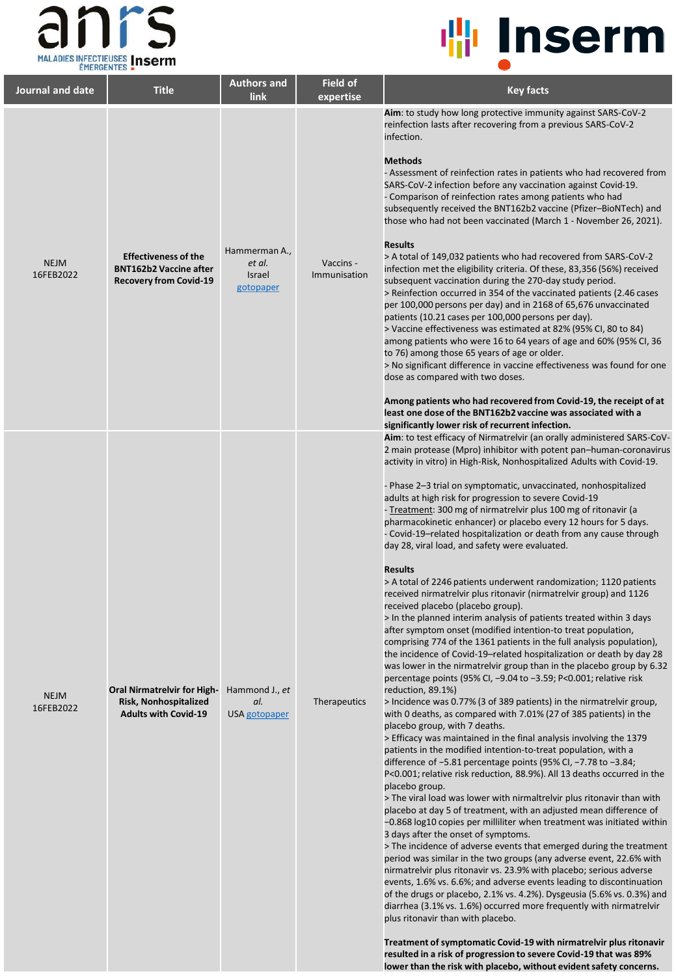|                          | <b>EMERGENTES</b>                                                                                 |                                                       |                              |                                                                                                                                                                                                                                                                                                                                                                                                                                                                                                                                                                                                                                                                                                                                                                                                                                                                                                                                                                                                                                                                                                                                                                                                                                                                                                                                                                                                                                                                                                                                                                                                                                                                                                                                                                                                                                                                                                                                                                                                                                                                                                                                                                                                                                                                                                                                                                                                                                                                                                                                                                                                                                                                                                                                                                                                      |
|--------------------------|---------------------------------------------------------------------------------------------------|-------------------------------------------------------|------------------------------|------------------------------------------------------------------------------------------------------------------------------------------------------------------------------------------------------------------------------------------------------------------------------------------------------------------------------------------------------------------------------------------------------------------------------------------------------------------------------------------------------------------------------------------------------------------------------------------------------------------------------------------------------------------------------------------------------------------------------------------------------------------------------------------------------------------------------------------------------------------------------------------------------------------------------------------------------------------------------------------------------------------------------------------------------------------------------------------------------------------------------------------------------------------------------------------------------------------------------------------------------------------------------------------------------------------------------------------------------------------------------------------------------------------------------------------------------------------------------------------------------------------------------------------------------------------------------------------------------------------------------------------------------------------------------------------------------------------------------------------------------------------------------------------------------------------------------------------------------------------------------------------------------------------------------------------------------------------------------------------------------------------------------------------------------------------------------------------------------------------------------------------------------------------------------------------------------------------------------------------------------------------------------------------------------------------------------------------------------------------------------------------------------------------------------------------------------------------------------------------------------------------------------------------------------------------------------------------------------------------------------------------------------------------------------------------------------------------------------------------------------------------------------------------------------|
| Journal and date         | <b>Title</b>                                                                                      | <b>Authors and</b><br>link                            | <b>Field of</b><br>expertise | <b>Key facts</b>                                                                                                                                                                                                                                                                                                                                                                                                                                                                                                                                                                                                                                                                                                                                                                                                                                                                                                                                                                                                                                                                                                                                                                                                                                                                                                                                                                                                                                                                                                                                                                                                                                                                                                                                                                                                                                                                                                                                                                                                                                                                                                                                                                                                                                                                                                                                                                                                                                                                                                                                                                                                                                                                                                                                                                                     |
| <b>NEJM</b><br>16FEB2022 | <b>Effectiveness of the</b><br><b>BNT162b2 Vaccine after</b><br><b>Recovery from Covid-19</b>     | Hammerman A.,<br>et al.<br><b>Israel</b><br>gotopaper | Vaccins -<br>Immunisation    | Aim: to study how long protective immunity against SARS-CoV-2<br>reinfection lasts after recovering from a previous SARS-CoV-2<br>infection.<br>Methods<br>- Assessment of reinfection rates in patients who had recovered from<br>SARS-CoV-2 infection before any vaccination against Covid-19.<br>- Comparison of reinfection rates among patients who had<br>subsequently received the BNT162b2 vaccine (Pfizer-BioNTech) and<br>those who had not been vaccinated (March 1 - November 26, 2021).<br><b>Results</b><br>> A total of 149,032 patients who had recovered from SARS-CoV-2<br>infection met the eligibility criteria. Of these, 83,356 (56%) received<br>subsequent vaccination during the 270-day study period.<br>> Reinfection occurred in 354 of the vaccinated patients (2.46 cases<br>per 100,000 persons per day) and in 2168 of 65,676 unvaccinated<br>patients (10.21 cases per 100,000 persons per day).<br>> Vaccine effectiveness was estimated at 82% (95% CI, 80 to 84)<br>among patients who were 16 to 64 years of age and 60% (95% CI, 36<br>to 76) among those 65 years of age or older.<br>> No significant difference in vaccine effectiveness was found for one<br>dose as compared with two doses.<br>Among patients who had recovered from Covid-19, the receipt of at<br>least one dose of the BNT162b2 vaccine was associated with a                                                                                                                                                                                                                                                                                                                                                                                                                                                                                                                                                                                                                                                                                                                                                                                                                                                                                                                                                                                                                                                                                                                                                                                                                                                                                                                                                                                                                         |
| <b>NEJM</b><br>16FEB2022 | <b>Oral Nirmatrelvir for High-</b><br><b>Risk, Nonhospitalized</b><br><b>Adults with Covid-19</b> | Hammond J., et<br>al.<br>USA gotopaper                | Therapeutics                 | significantly lower risk of recurrent infection.<br>Aim: to test efficacy of Nirmatrelvir (an orally administered SARS-CoV-<br>2 main protease (Mpro) inhibitor with potent pan-human-coronavirus<br>activity in vitro) in High-Risk, Nonhospitalized Adults with Covid-19.<br>- Phase 2–3 trial on symptomatic, unvaccinated, nonhospitalized<br>adults at high risk for progression to severe Covid-19<br>- Treatment: 300 mg of nirmatrelvir plus 100 mg of ritonavir (a<br>pharmacokinetic enhancer) or placebo every 12 hours for 5 days.<br>- Covid-19-related hospitalization or death from any cause through<br>day 28, viral load, and safety were evaluated.<br><b>Results</b><br>> A total of 2246 patients underwent randomization; 1120 patients<br>received nirmatrelvir plus ritonavir (nirmatrelvir group) and 1126<br>received placebo (placebo group).<br>> In the planned interim analysis of patients treated within 3 days<br>after symptom onset (modified intention-to treat population,<br>comprising 774 of the 1361 patients in the full analysis population),<br>the incidence of Covid-19-related hospitalization or death by day 28<br>was lower in the nirmatrelvir group than in the placebo group by 6.32<br>percentage points (95% CI, -9.04 to -3.59; P<0.001; relative risk<br>reduction, 89.1%)<br>> Incidence was 0.77% (3 of 389 patients) in the nirmatrelvir group,<br>with 0 deaths, as compared with 7.01% (27 of 385 patients) in the<br>placebo group, with 7 deaths.<br>> Efficacy was maintained in the final analysis involving the 1379<br>patients in the modified intention-to-treat population, with a<br>difference of $-5.81$ percentage points (95% CI, $-7.78$ to $-3.84$ ;<br>P<0.001; relative risk reduction, 88.9%). All 13 deaths occurred in the<br>placebo group.<br>> The viral load was lower with nirmaltrelvir plus ritonavir than with<br>placebo at day 5 of treatment, with an adjusted mean difference of<br>-0.868 log10 copies per milliliter when treatment was initiated within<br>3 days after the onset of symptoms.<br>> The incidence of adverse events that emerged during the treatment<br>period was similar in the two groups (any adverse event, 22.6% with<br>nirmatrelvir plus ritonavir vs. 23.9% with placebo; serious adverse<br>events, 1.6% vs. 6.6%; and adverse events leading to discontinuation<br>of the drugs or placebo, 2.1% vs. 4.2%). Dysgeusia (5.6% vs. 0.3%) and<br>diarrhea (3.1% vs. 1.6%) occurred more frequently with nirmatrelvir<br>plus ritonavir than with placebo.<br>Treatment of symptomatic Covid-19 with nirmatrelvir plus ritonavir<br>resulted in a risk of progression to severe Covid-19 that was 89%<br>lower than the risk with placebo, without evident safety concerns. |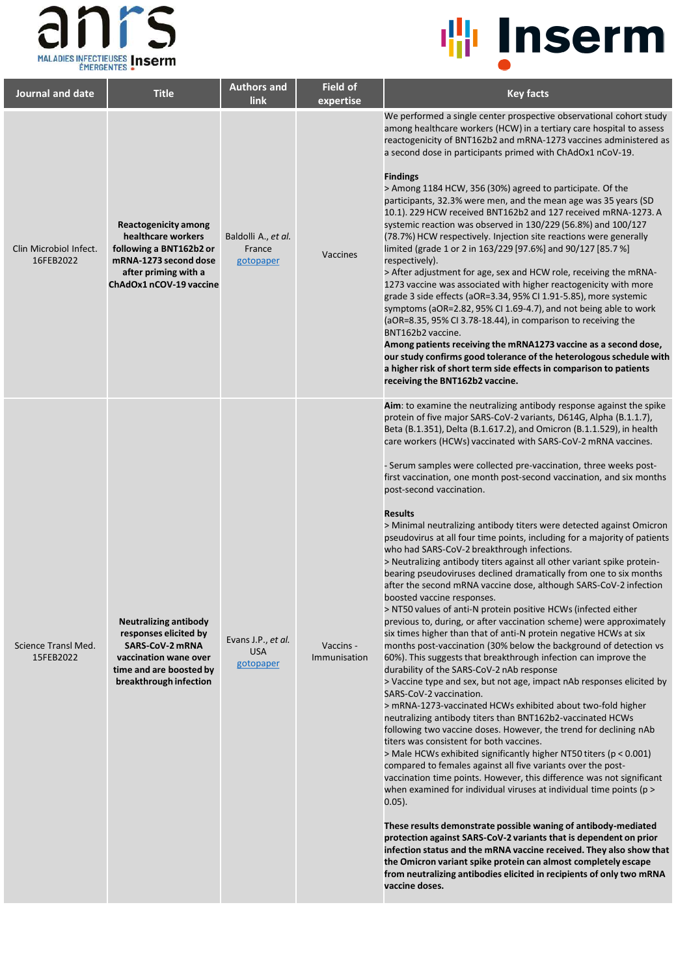| Journal and date                    | <b>Title</b>                                                                                                                                             | <b>Authors and</b><br>link                    | <b>Field of</b><br>expertise | <b>Key facts</b>                                                                                                                                                                                                                                                                                                                                                                                                                                                                                                                                                                                                                                                                                                                                                                                                                                                                                                                                                                                                                                                                                                                                                                                                                                                                                                                                                                                                                                                                                                                                                                                                                                                                                                                                                                                                                                                                                                                                                                                                                                                                                                                                                                                                                                                                                                                                                           |
|-------------------------------------|----------------------------------------------------------------------------------------------------------------------------------------------------------|-----------------------------------------------|------------------------------|----------------------------------------------------------------------------------------------------------------------------------------------------------------------------------------------------------------------------------------------------------------------------------------------------------------------------------------------------------------------------------------------------------------------------------------------------------------------------------------------------------------------------------------------------------------------------------------------------------------------------------------------------------------------------------------------------------------------------------------------------------------------------------------------------------------------------------------------------------------------------------------------------------------------------------------------------------------------------------------------------------------------------------------------------------------------------------------------------------------------------------------------------------------------------------------------------------------------------------------------------------------------------------------------------------------------------------------------------------------------------------------------------------------------------------------------------------------------------------------------------------------------------------------------------------------------------------------------------------------------------------------------------------------------------------------------------------------------------------------------------------------------------------------------------------------------------------------------------------------------------------------------------------------------------------------------------------------------------------------------------------------------------------------------------------------------------------------------------------------------------------------------------------------------------------------------------------------------------------------------------------------------------------------------------------------------------------------------------------------------------|
| Clin Microbiol Infect.<br>16FEB2022 | <b>Reactogenicity among</b><br>healthcare workers<br>following a BNT162b2 or<br>mRNA-1273 second dose<br>after priming with a<br>ChAdOx1 nCOV-19 vaccine | Baldolli A., et al.<br>France<br>gotopaper    | Vaccines                     | We performed a single center prospective observational cohort study<br>among healthcare workers (HCW) in a tertiary care hospital to assess<br>reactogenicity of BNT162b2 and mRNA-1273 vaccines administered as<br>a second dose in participants primed with ChAdOx1 nCoV-19.<br><b>Findings</b><br>> Among 1184 HCW, 356 (30%) agreed to participate. Of the<br>participants, 32.3% were men, and the mean age was 35 years (SD<br>10.1). 229 HCW received BNT162b2 and 127 received mRNA-1273. A<br>systemic reaction was observed in 130/229 (56.8%) and 100/127<br>(78.7%) HCW respectively. Injection site reactions were generally<br>limited (grade 1 or 2 in 163/229 [97.6%] and 90/127 [85.7 %]<br>respectively).<br>> After adjustment for age, sex and HCW role, receiving the mRNA-<br>1273 vaccine was associated with higher reactogenicity with more<br>grade 3 side effects (aOR=3.34, 95% CI 1.91-5.85), more systemic<br>symptoms (aOR=2.82, 95% CI 1.69-4.7), and not being able to work<br>(aOR=8.35, 95% CI 3.78-18.44), in comparison to receiving the<br>BNT162b2 vaccine.<br>Among patients receiving the mRNA1273 vaccine as a second dose,<br>our study confirms good tolerance of the heterologous schedule with<br>a higher risk of short term side effects in comparison to patients<br>receiving the BNT162b2 vaccine.                                                                                                                                                                                                                                                                                                                                                                                                                                                                                                                                                                                                                                                                                                                                                                                                                                                                                                                                                                                                                      |
| Science Transl Med.<br>15FEB2022    | <b>Neutralizing antibody</b><br>responses elicited by<br>SARS-CoV-2 mRNA<br>vaccination wane over<br>time and are boosted by<br>breakthrough infection   | Evans J.P., et al.<br><b>USA</b><br>gotopaper | Vaccins -<br>Immunisation    | Aim: to examine the neutralizing antibody response against the spike<br>protein of five major SARS-CoV-2 variants, D614G, Alpha (B.1.1.7),<br>Beta (B.1.351), Delta (B.1.617.2), and Omicron (B.1.1.529), in health<br>care workers (HCWs) vaccinated with SARS-CoV-2 mRNA vaccines.<br>- Serum samples were collected pre-vaccination, three weeks post-<br>first vaccination, one month post-second vaccination, and six months<br>post-second vaccination.<br><b>Results</b><br>> Minimal neutralizing antibody titers were detected against Omicron<br>pseudovirus at all four time points, including for a majority of patients<br>who had SARS-CoV-2 breakthrough infections.<br>> Neutralizing antibody titers against all other variant spike protein-<br>bearing pseudoviruses declined dramatically from one to six months<br>after the second mRNA vaccine dose, although SARS-CoV-2 infection<br>boosted vaccine responses.<br>> NT50 values of anti-N protein positive HCWs (infected either<br>previous to, during, or after vaccination scheme) were approximately<br>six times higher than that of anti-N protein negative HCWs at six<br>months post-vaccination (30% below the background of detection vs<br>60%). This suggests that breakthrough infection can improve the<br>durability of the SARS-CoV-2 nAb response<br>> Vaccine type and sex, but not age, impact nAb responses elicited by<br>SARS-CoV-2 vaccination.<br>> mRNA-1273-vaccinated HCWs exhibited about two-fold higher<br>neutralizing antibody titers than BNT162b2-vaccinated HCWs<br>following two vaccine doses. However, the trend for declining nAb<br>titers was consistent for both vaccines.<br>> Male HCWs exhibited significantly higher NT50 titers (p < 0.001)<br>compared to females against all five variants over the post-<br>vaccination time points. However, this difference was not significant<br>when examined for individual viruses at individual time points ( $p >$<br>0.05).<br>These results demonstrate possible waning of antibody-mediated<br>protection against SARS-CoV-2 variants that is dependent on prior<br>infection status and the mRNA vaccine received. They also show that<br>the Omicron variant spike protein can almost completely escape<br>from neutralizing antibodies elicited in recipients of only two mRNA<br>vaccine doses. |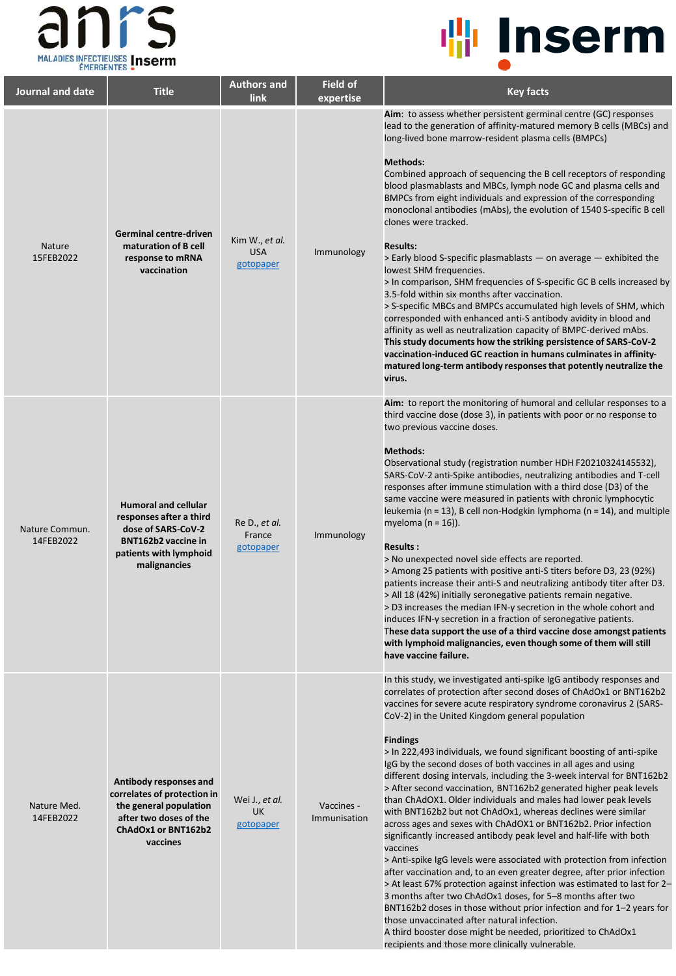| Journal and date            | <b>Title</b>                                                                                                                                         | <b>Authors and</b><br>link                | <b>Field of</b><br>expertise | <b>Key facts</b>                                                                                                                                                                                                                                                                                                                                                                                                                                                                                                                                                                                                                                                                                                                                                                                                                                                                                                                                                                                                                                                                                                                                                                                                                                                                                                                                                                                                      |
|-----------------------------|------------------------------------------------------------------------------------------------------------------------------------------------------|-------------------------------------------|------------------------------|-----------------------------------------------------------------------------------------------------------------------------------------------------------------------------------------------------------------------------------------------------------------------------------------------------------------------------------------------------------------------------------------------------------------------------------------------------------------------------------------------------------------------------------------------------------------------------------------------------------------------------------------------------------------------------------------------------------------------------------------------------------------------------------------------------------------------------------------------------------------------------------------------------------------------------------------------------------------------------------------------------------------------------------------------------------------------------------------------------------------------------------------------------------------------------------------------------------------------------------------------------------------------------------------------------------------------------------------------------------------------------------------------------------------------|
| <b>Nature</b><br>15FEB2022  | Germinal centre-driven<br>maturation of B cell<br>response to mRNA<br>vaccination                                                                    | Kim W., et al.<br><b>USA</b><br>gotopaper | Immunology                   | <b>Aim</b> : to assess whether persistent germinal centre (GC) responses<br>lead to the generation of affinity-matured memory B cells (MBCs) and<br>long-lived bone marrow-resident plasma cells (BMPCs)<br><b>Methods:</b><br>Combined approach of sequencing the B cell receptors of responding<br>blood plasmablasts and MBCs, lymph node GC and plasma cells and<br>BMPCs from eight individuals and expression of the corresponding<br>monoclonal antibodies (mAbs), the evolution of 1540 S-specific B cell<br>clones were tracked.<br><b>Results:</b><br>> Early blood S-specific plasmablasts - on average - exhibited the<br>lowest SHM frequencies.<br>> In comparison, SHM frequencies of S-specific GC B cells increased by<br>3.5-fold within six months after vaccination.<br>> S-specific MBCs and BMPCs accumulated high levels of SHM, which<br>corresponded with enhanced anti-S antibody avidity in blood and<br>affinity as well as neutralization capacity of BMPC-derived mAbs.<br>This study documents how the striking persistence of SARS-CoV-2<br>vaccination-induced GC reaction in humans culminates in affinity-<br>matured long-term antibody responses that potently neutralize the<br>virus.                                                                                                                                                                                          |
| Nature Commun.<br>14FEB2022 | <b>Humoral and cellular</b><br>responses after a third<br>dose of SARS-CoV-2<br><b>BNT162b2 vaccine in</b><br>patients with lymphoid<br>malignancies | Re D., et al.<br>France<br>gotopaper      | Immunology                   | Aim: to report the monitoring of humoral and cellular responses to a<br>third vaccine dose (dose 3), in patients with poor or no response to<br>two previous vaccine doses.<br><b>Methods:</b><br>Observational study (registration number HDH F20210324145532),<br>SARS-CoV-2 anti-Spike antibodies, neutralizing antibodies and T-cell<br>responses after immune stimulation with a third dose (D3) of the<br>same vaccine were measured in patients with chronic lymphocytic<br>leukemia (n = 13), B cell non-Hodgkin lymphoma (n = 14), and multiple<br>myeloma ( $n = 16$ )).<br><b>Results:</b><br>> No unexpected novel side effects are reported.<br>> Among 25 patients with positive anti-S titers before D3, 23 (92%)<br>patients increase their anti-S and neutralizing antibody titer after D3.<br>> All 18 (42%) initially seronegative patients remain negative.<br>> D3 increases the median IFN-y secretion in the whole cohort and<br>induces IFN-y secretion in a fraction of seronegative patients.<br>These data support the use of a third vaccine dose amongst patients<br>with lymphoid malignancies, even though some of them will still<br>have vaccine failure.                                                                                                                                                                                                                            |
| Nature Med.<br>14FEB2022    | Antibody responses and<br>correlates of protection in<br>the general population<br>after two doses of the<br>ChAdOx1 or BNT162b2<br>vaccines         | Wei J., <i>et al.</i><br>UK<br>gotopaper  | Vaccines -<br>Immunisation   | In this study, we investigated anti-spike IgG antibody responses and<br>correlates of protection after second doses of ChAdOx1 or BNT162b2<br>vaccines for severe acute respiratory syndrome coronavirus 2 (SARS-<br>CoV-2) in the United Kingdom general population<br><b>Findings</b><br>> In 222,493 individuals, we found significant boosting of anti-spike<br>IgG by the second doses of both vaccines in all ages and using<br>different dosing intervals, including the 3-week interval for BNT162b2<br>> After second vaccination, BNT162b2 generated higher peak levels<br>than ChAdOX1. Older individuals and males had lower peak levels<br>with BNT162b2 but not ChAdOx1, whereas declines were similar<br>across ages and sexes with ChAdOX1 or BNT162b2. Prior infection<br>significantly increased antibody peak level and half-life with both<br>vaccines<br>> Anti-spike IgG levels were associated with protection from infection<br>after vaccination and, to an even greater degree, after prior infection<br>> At least 67% protection against infection was estimated to last for 2-<br>3 months after two ChAdOx1 doses, for 5-8 months after two<br>BNT162b2 doses in those without prior infection and for 1-2 years for<br>those unvaccinated after natural infection.<br>A third booster dose might be needed, prioritized to ChAdOx1<br>recipients and those more clinically vulnerable. |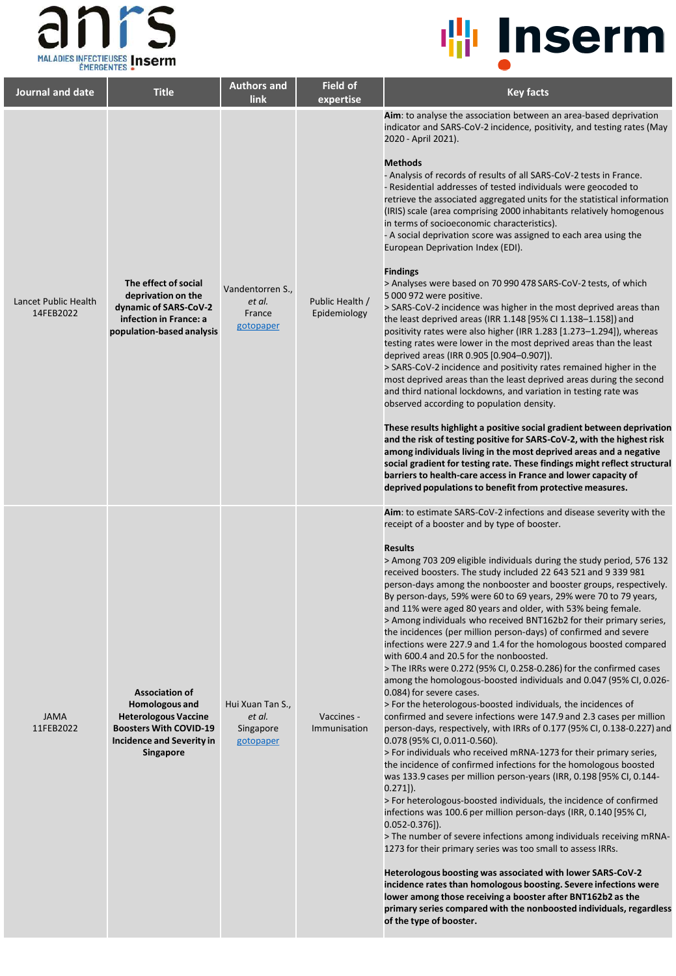

| Journal and date                  | <b>Title</b>                                                                                                                                             | <b>Authors and</b><br>link                           | <b>Field of</b><br>expertise    | <b>Key facts</b>                                                                                                                                                                                                                                                                                                                                                                                                                                                                                                                                                                                                                                                                                                                                                                                                                                                                                                                                                                                                                                                                                                                                                                                                                                                                                                                                                                                                                                                                                                                                                                                                                                                                                                                                                                                                                                                                                                                                                                                                                 |
|-----------------------------------|----------------------------------------------------------------------------------------------------------------------------------------------------------|------------------------------------------------------|---------------------------------|----------------------------------------------------------------------------------------------------------------------------------------------------------------------------------------------------------------------------------------------------------------------------------------------------------------------------------------------------------------------------------------------------------------------------------------------------------------------------------------------------------------------------------------------------------------------------------------------------------------------------------------------------------------------------------------------------------------------------------------------------------------------------------------------------------------------------------------------------------------------------------------------------------------------------------------------------------------------------------------------------------------------------------------------------------------------------------------------------------------------------------------------------------------------------------------------------------------------------------------------------------------------------------------------------------------------------------------------------------------------------------------------------------------------------------------------------------------------------------------------------------------------------------------------------------------------------------------------------------------------------------------------------------------------------------------------------------------------------------------------------------------------------------------------------------------------------------------------------------------------------------------------------------------------------------------------------------------------------------------------------------------------------------|
| Lancet Public Health<br>14FEB2022 | The effect of social<br>deprivation on the<br>dynamic of SARS-CoV-2<br>infection in France: a<br>population-based analysis                               | Vandentorren S.,<br>et al.<br>France<br>gotopaper    | Public Health /<br>Epidemiology | Aim: to analyse the association between an area-based deprivation<br>indicator and SARS-CoV-2 incidence, positivity, and testing rates (May<br>2020 - April 2021).<br>Methods<br>- Analysis of records of results of all SARS-CoV-2 tests in France.<br>- Residential addresses of tested individuals were geocoded to<br>retrieve the associated aggregated units for the statistical information<br>(IRIS) scale (area comprising 2000 inhabitants relatively homogenous<br>in terms of socioeconomic characteristics).<br>- A social deprivation score was assigned to each area using the<br>European Deprivation Index (EDI).<br><b>Findings</b><br>> Analyses were based on 70 990 478 SARS-CoV-2 tests, of which<br>5 000 972 were positive.<br>> SARS-CoV-2 incidence was higher in the most deprived areas than<br>the least deprived areas (IRR 1.148 [95% CI 1.138-1.158]) and<br>positivity rates were also higher (IRR 1.283 [1.273-1.294]), whereas<br>testing rates were lower in the most deprived areas than the least<br>deprived areas (IRR 0.905 [0.904-0.907]).<br>> SARS-CoV-2 incidence and positivity rates remained higher in the<br>most deprived areas than the least deprived areas during the second<br>and third national lockdowns, and variation in testing rate was<br>observed according to population density.<br>These results highlight a positive social gradient between deprivation<br>and the risk of testing positive for SARS-CoV-2, with the highest risk<br>among individuals living in the most deprived areas and a negative<br>social gradient for testing rate. These findings might reflect structural<br>barriers to health-care access in France and lower capacity of<br>deprived populations to benefit from protective measures.                                                                                                                                                                                                                                          |
| <b>JAMA</b><br>11FEB2022          | <b>Association of</b><br>Homologous and<br><b>Heterologous Vaccine</b><br><b>Boosters With COVID-19</b><br><b>Incidence and Severity in</b><br>Singapore | Hui Xuan Tan S.,<br>et al.<br>Singapore<br>gotopaper | Vaccines -<br>Immunisation      | Aim: to estimate SARS-CoV-2 infections and disease severity with the<br>receipt of a booster and by type of booster.<br><b>Results</b><br>> Among 703 209 eligible individuals during the study period, 576 132<br>received boosters. The study included 22 643 521 and 9 339 981<br>person-days among the nonbooster and booster groups, respectively.<br>By person-days, 59% were 60 to 69 years, 29% were 70 to 79 years,<br>and 11% were aged 80 years and older, with 53% being female.<br>> Among individuals who received BNT162b2 for their primary series,<br>the incidences (per million person-days) of confirmed and severe<br>infections were 227.9 and 1.4 for the homologous boosted compared<br>with 600.4 and 20.5 for the nonboosted.<br>> The IRRs were 0.272 (95% CI, 0.258-0.286) for the confirmed cases<br>among the homologous-boosted individuals and 0.047 (95% CI, 0.026-<br>0.084) for severe cases.<br>> For the heterologous-boosted individuals, the incidences of<br>confirmed and severe infections were 147.9 and 2.3 cases per million<br>person-days, respectively, with IRRs of 0.177 (95% CI, 0.138-0.227) and<br>0.078 (95% CI, 0.011-0.560).<br>> For individuals who received mRNA-1273 for their primary series,<br>the incidence of confirmed infections for the homologous boosted<br>was 133.9 cases per million person-years (IRR, 0.198 [95% CI, 0.144-<br>$0.271$ ]).<br>> For heterologous-boosted individuals, the incidence of confirmed<br>infections was 100.6 per million person-days (IRR, 0.140 [95% CI,<br>$0.052 - 0.376$ ]).<br>> The number of severe infections among individuals receiving mRNA-<br>1273 for their primary series was too small to assess IRRs.<br>Heterologous boosting was associated with lower SARS-CoV-2<br>incidence rates than homologous boosting. Severe infections were<br>lower among those receiving a booster after BNT162b2 as the<br>primary series compared with the nonboosted individuals, regardless<br>of the type of booster. |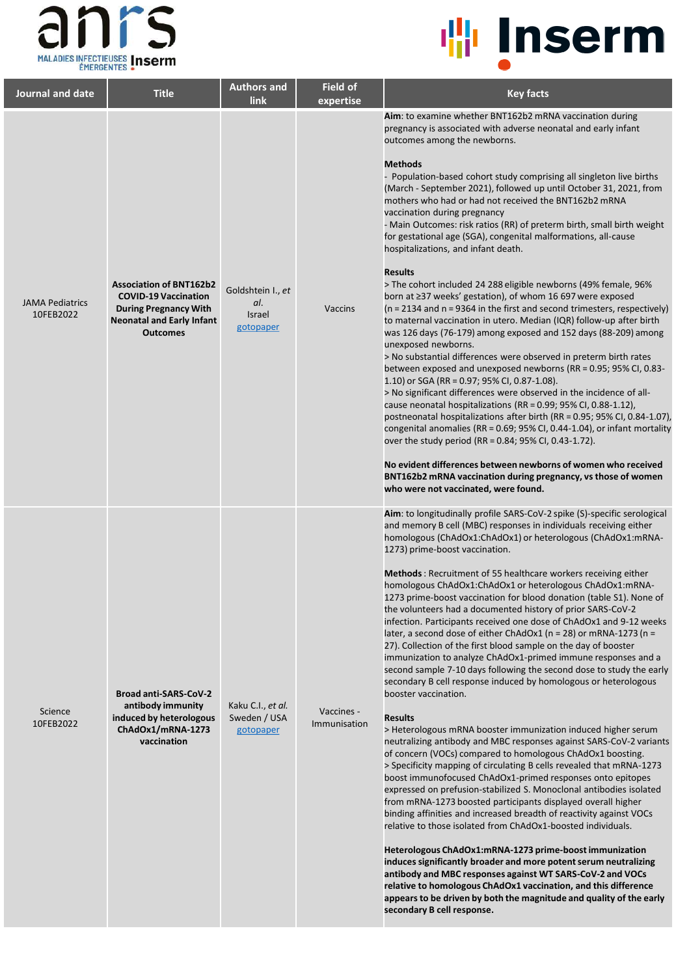

I

| Journal and date                    | <b>Title</b>                                                                                                                                         | <b>Authors and</b><br>link                      | <b>Field of</b><br>expertise | <b>Key facts</b>                                                                                                                                                                                                                                                                                                                                                                                                                                                                                                                                                                                                                                                                                                                                                                                                                                                                                                                                                                                                                                                                                                                                                                                                                                                                                                                                                                                                                                                                                                                                                                                                                                                                                                                                                                                                                                                                                                                                                                                     |
|-------------------------------------|------------------------------------------------------------------------------------------------------------------------------------------------------|-------------------------------------------------|------------------------------|------------------------------------------------------------------------------------------------------------------------------------------------------------------------------------------------------------------------------------------------------------------------------------------------------------------------------------------------------------------------------------------------------------------------------------------------------------------------------------------------------------------------------------------------------------------------------------------------------------------------------------------------------------------------------------------------------------------------------------------------------------------------------------------------------------------------------------------------------------------------------------------------------------------------------------------------------------------------------------------------------------------------------------------------------------------------------------------------------------------------------------------------------------------------------------------------------------------------------------------------------------------------------------------------------------------------------------------------------------------------------------------------------------------------------------------------------------------------------------------------------------------------------------------------------------------------------------------------------------------------------------------------------------------------------------------------------------------------------------------------------------------------------------------------------------------------------------------------------------------------------------------------------------------------------------------------------------------------------------------------------|
| <b>JAMA Pediatrics</b><br>10FEB2022 | <b>Association of BNT162b2</b><br><b>COVID-19 Vaccination</b><br><b>During Pregnancy With</b><br><b>Neonatal and Early Infant</b><br><b>Outcomes</b> | Goldshtein I., et<br>al.<br>Israel<br>gotopaper | Vaccins                      | Aim: to examine whether BNT162b2 mRNA vaccination during<br>pregnancy is associated with adverse neonatal and early infant<br>outcomes among the newborns.<br><b>Methods</b><br>- Population-based cohort study comprising all singleton live births<br>(March - September 2021), followed up until October 31, 2021, from<br>mothers who had or had not received the BNT162b2 mRNA<br>vaccination during pregnancy<br>- Main Outcomes: risk ratios (RR) of preterm birth, small birth weight<br>for gestational age (SGA), congenital malformations, all-cause<br>hospitalizations, and infant death.<br><b>Results</b><br>> The cohort included 24 288 eligible newborns (49% female, 96%<br>born at ≥37 weeks' gestation), of whom 16 697 were exposed<br>$(n = 2134$ and $n = 9364$ in the first and second trimesters, respectively)<br>to maternal vaccination in utero. Median (IQR) follow-up after birth<br>was 126 days (76-179) among exposed and 152 days (88-209) among<br>unexposed newborns.<br>> No substantial differences were observed in preterm birth rates<br>between exposed and unexposed newborns (RR = 0.95; 95% CI, 0.83-<br>1.10) or SGA (RR = 0.97; 95% CI, 0.87-1.08).<br>> No significant differences were observed in the incidence of all-<br>cause neonatal hospitalizations (RR = 0.99; 95% CI, 0.88-1.12),<br>postneonatal hospitalizations after birth (RR = 0.95; 95% CI, 0.84-1.07)<br>congenital anomalies (RR = $0.69$ ; 95% CI, 0.44-1.04), or infant mortality<br>over the study period (RR = 0.84; 95% CI, 0.43-1.72).<br>No evident differences between newborns of women who received<br>BNT162b2 mRNA vaccination during pregnancy, vs those of women<br>who were not vaccinated, were found.                                                                                                                                                                                                                                                         |
| Science<br>10FEB2022                | <b>Broad anti-SARS-CoV-2</b><br>antibody immunity<br>induced by heterologous<br>ChAdOx1/mRNA-1273<br>vaccination                                     | Kaku C.I., et al.<br>Sweden / USA<br>gotopaper  | Vaccines -<br>Immunisation   | Aim: to longitudinally profile SARS-CoV-2 spike (S)-specific serological<br>and memory B cell (MBC) responses in individuals receiving either<br>homologous (ChAdOx1:ChAdOx1) or heterologous (ChAdOx1:mRNA-<br>1273) prime-boost vaccination.<br><b>Methods</b> : Recruitment of 55 healthcare workers receiving either<br>homologous ChAdOx1:ChAdOx1 or heterologous ChAdOx1:mRNA-<br>1273 prime-boost vaccination for blood donation (table S1). None of<br>the volunteers had a documented history of prior SARS-CoV-2<br>infection. Participants received one dose of ChAdOx1 and 9-12 weeks<br>later, a second dose of either ChAdOx1 ( $n = 28$ ) or mRNA-1273 ( $n =$<br>27). Collection of the first blood sample on the day of booster<br>immunization to analyze ChAdOx1-primed immune responses and a<br>second sample 7-10 days following the second dose to study the early<br>secondary B cell response induced by homologous or heterologous<br>booster vaccination.<br><b>Results</b><br>> Heterologous mRNA booster immunization induced higher serum<br>neutralizing antibody and MBC responses against SARS-CoV-2 variants<br>of concern (VOCs) compared to homologous ChAdOx1 boosting.<br>> Specificity mapping of circulating B cells revealed that mRNA-1273<br>boost immunofocused ChAdOx1-primed responses onto epitopes<br>expressed on prefusion-stabilized S. Monoclonal antibodies isolated<br>from mRNA-1273 boosted participants displayed overall higher<br>binding affinities and increased breadth of reactivity against VOCs<br>relative to those isolated from ChAdOx1-boosted individuals.<br>Heterologous ChAdOx1:mRNA-1273 prime-boost immunization<br>induces significantly broader and more potent serum neutralizing<br>antibody and MBC responses against WT SARS-CoV-2 and VOCs<br>relative to homologous ChAdOx1 vaccination, and this difference<br>appears to be driven by both the magnitude and quality of the early<br>secondary B cell response. |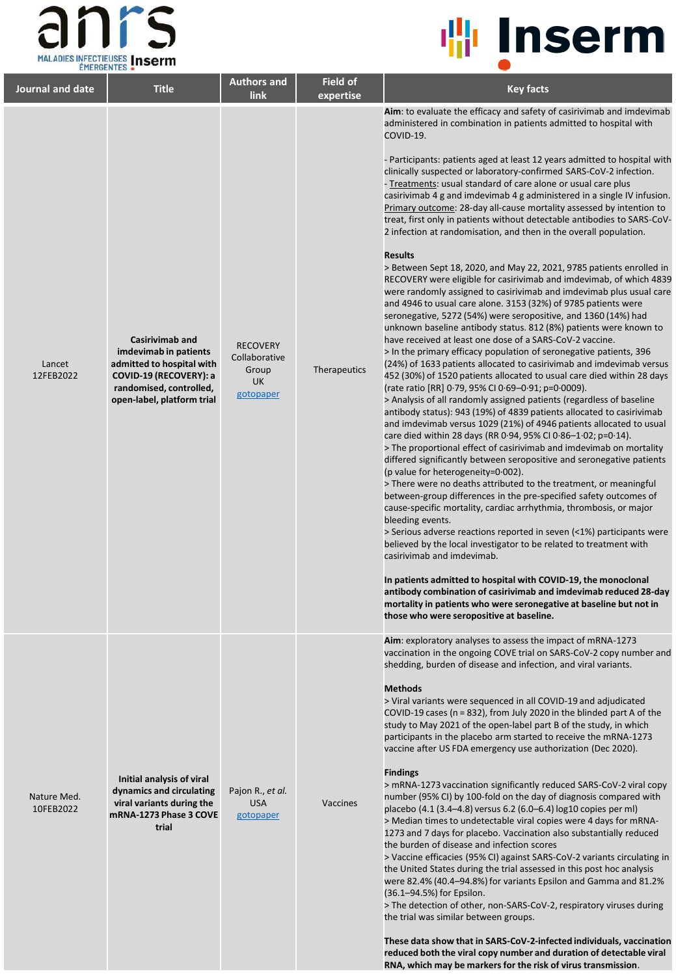I

## **Will Inserm**

|                          | <b>EMERGENTES</b> .                                                                                                                                             |                                                                     |                              |                                                                                                                                                                                                                                                                                                                                                                                                                                                                                                                                                                                                                                                                                                                                                                                                                                                                                                                                                                                                                                                                                                                                                                                                                                                                                                                                                                                                                                                                                                                                                                                                                                                                                                                                                                                                                                                                                                                                                                                                                                                                                                                                                                                                                                                                                                                                                                                                                                                                                                                                                                                                                                     |
|--------------------------|-----------------------------------------------------------------------------------------------------------------------------------------------------------------|---------------------------------------------------------------------|------------------------------|-------------------------------------------------------------------------------------------------------------------------------------------------------------------------------------------------------------------------------------------------------------------------------------------------------------------------------------------------------------------------------------------------------------------------------------------------------------------------------------------------------------------------------------------------------------------------------------------------------------------------------------------------------------------------------------------------------------------------------------------------------------------------------------------------------------------------------------------------------------------------------------------------------------------------------------------------------------------------------------------------------------------------------------------------------------------------------------------------------------------------------------------------------------------------------------------------------------------------------------------------------------------------------------------------------------------------------------------------------------------------------------------------------------------------------------------------------------------------------------------------------------------------------------------------------------------------------------------------------------------------------------------------------------------------------------------------------------------------------------------------------------------------------------------------------------------------------------------------------------------------------------------------------------------------------------------------------------------------------------------------------------------------------------------------------------------------------------------------------------------------------------------------------------------------------------------------------------------------------------------------------------------------------------------------------------------------------------------------------------------------------------------------------------------------------------------------------------------------------------------------------------------------------------------------------------------------------------------------------------------------------------|
| Journal and date         | <b>Title</b>                                                                                                                                                    | <b>Authors and</b><br>link                                          | <b>Field of</b><br>expertise | <b>Key facts</b>                                                                                                                                                                                                                                                                                                                                                                                                                                                                                                                                                                                                                                                                                                                                                                                                                                                                                                                                                                                                                                                                                                                                                                                                                                                                                                                                                                                                                                                                                                                                                                                                                                                                                                                                                                                                                                                                                                                                                                                                                                                                                                                                                                                                                                                                                                                                                                                                                                                                                                                                                                                                                    |
| Lancet<br>12FEB2022      | <b>Casirivimab and</b><br>imdevimab in patients<br>admitted to hospital with<br>COVID-19 (RECOVERY): a<br>randomised, controlled,<br>open-label, platform trial | <b>RECOVERY</b><br>Collaborative<br>Group<br><b>UK</b><br>gotopaper | Therapeutics                 | Aim: to evaluate the efficacy and safety of casirivimab and imdevimab<br>administered in combination in patients admitted to hospital with<br>COVID-19.<br>- Participants: patients aged at least 12 years admitted to hospital with<br>clinically suspected or laboratory-confirmed SARS-CoV-2 infection.<br>- Treatments: usual standard of care alone or usual care plus<br>casirivimab 4 g and imdevimab 4 g administered in a single IV infusion.<br>Primary outcome: 28-day all-cause mortality assessed by intention to<br>treat, first only in patients without detectable antibodies to SARS-CoV-<br>2 infection at randomisation, and then in the overall population.<br><b>Results</b><br>> Between Sept 18, 2020, and May 22, 2021, 9785 patients enrolled in<br>RECOVERY were eligible for casirivimab and imdevimab, of which 4839<br>were randomly assigned to casirivimab and imdevimab plus usual care<br>and 4946 to usual care alone. 3153 (32%) of 9785 patients were<br>seronegative, 5272 (54%) were seropositive, and 1360 (14%) had<br>unknown baseline antibody status. 812 (8%) patients were known to<br>have received at least one dose of a SARS-CoV-2 vaccine.<br>> In the primary efficacy population of seronegative patients, 396<br>(24%) of 1633 patients allocated to casirivimab and imdevimab versus<br>452 (30%) of 1520 patients allocated to usual care died within 28 days<br>(rate ratio [RR] 0.79, 95% CI 0.69-0.91; p=0.0009).<br>> Analysis of all randomly assigned patients (regardless of baseline<br>antibody status): 943 (19%) of 4839 patients allocated to casirivimab<br>and imdevimab versus 1029 (21%) of 4946 patients allocated to usual<br>care died within 28 days (RR 0.94, 95% CI 0.86-1.02; p=0.14).<br>> The proportional effect of casirivimab and imdevimab on mortality<br>differed significantly between seropositive and seronegative patients<br>(p value for heterogeneity=0.002).<br>> There were no deaths attributed to the treatment, or meaningful<br>between-group differences in the pre-specified safety outcomes of<br>cause-specific mortality, cardiac arrhythmia, thrombosis, or major<br>bleeding events.<br>> Serious adverse reactions reported in seven (<1%) participants were<br>believed by the local investigator to be related to treatment with<br>casirivimab and imdevimab.<br>In patients admitted to hospital with COVID-19, the monoclonal<br>antibody combination of casirivimab and imdevimab reduced 28-day<br>mortality in patients who were seronegative at baseline but not in<br>those who were seropositive at baseline. |
| Nature Med.<br>10FEB2022 | Initial analysis of viral<br>dynamics and circulating<br>viral variants during the<br>mRNA-1273 Phase 3 COVE<br>trial                                           | Pajon R., et al.<br><b>USA</b><br>gotopaper                         | Vaccines                     | Aim: exploratory analyses to assess the impact of mRNA-1273<br>vaccination in the ongoing COVE trial on SARS-CoV-2 copy number and<br>shedding, burden of disease and infection, and viral variants.<br>Methods<br>> Viral variants were sequenced in all COVID-19 and adjudicated<br>COVID-19 cases (n = 832), from July 2020 in the blinded part A of the<br>study to May 2021 of the open-label part B of the study, in which<br>participants in the placebo arm started to receive the mRNA-1273<br>vaccine after US FDA emergency use authorization (Dec 2020).<br><b>Findings</b><br>> mRNA-1273 vaccination significantly reduced SARS-CoV-2 viral copy<br>number (95% CI) by 100-fold on the day of diagnosis compared with<br>placebo (4.1 (3.4–4.8) versus 6.2 (6.0–6.4) log10 copies per ml)<br>> Median times to undetectable viral copies were 4 days for mRNA-<br>1273 and 7 days for placebo. Vaccination also substantially reduced<br>the burden of disease and infection scores<br>> Vaccine efficacies (95% CI) against SARS-CoV-2 variants circulating in<br>the United States during the trial assessed in this post hoc analysis<br>were 82.4% (40.4–94.8%) for variants Epsilon and Gamma and 81.2%<br>(36.1–94.5%) for Epsilon.<br>> The detection of other, non-SARS-CoV-2, respiratory viruses during<br>the trial was similar between groups.<br>These data show that in SARS-CoV-2-infected individuals, vaccination                                                                                                                                                                                                                                                                                                                                                                                                                                                                                                                                                                                                                                                                                                                                                                                                                                                                                                                                                                                                                                                                                                                                                                                    |

**reduced both the viral copy number and duration of detectable viral RNA, which may be markers for the risk of virus transmission**.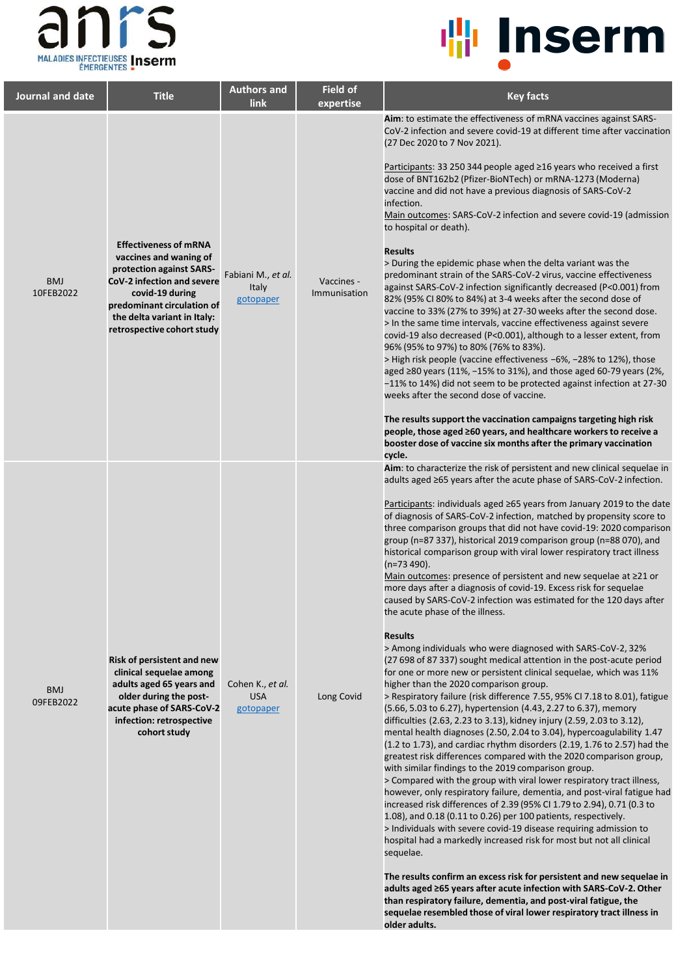

I

L

| Journal and date        | <b>Title</b>                                                                                                                                                                                                                   | <b>Authors and</b><br><b>link</b>               | <b>Field of</b><br>expertise | <b>Key facts</b>                                                                                                                                                                                                                                                                                                                                                                                                                                                                                                                                                                                                                                                                                                                                                                                                                                                                                                                                                                                                                                                                                                                                                                                                                                                                                                                                                                                                                                                                                                                                                                                                                                                                                                                                                                                                                                                                                                                                                                                                                                                                                                                                                                                                                                                                                                                                                   |
|-------------------------|--------------------------------------------------------------------------------------------------------------------------------------------------------------------------------------------------------------------------------|-------------------------------------------------|------------------------------|--------------------------------------------------------------------------------------------------------------------------------------------------------------------------------------------------------------------------------------------------------------------------------------------------------------------------------------------------------------------------------------------------------------------------------------------------------------------------------------------------------------------------------------------------------------------------------------------------------------------------------------------------------------------------------------------------------------------------------------------------------------------------------------------------------------------------------------------------------------------------------------------------------------------------------------------------------------------------------------------------------------------------------------------------------------------------------------------------------------------------------------------------------------------------------------------------------------------------------------------------------------------------------------------------------------------------------------------------------------------------------------------------------------------------------------------------------------------------------------------------------------------------------------------------------------------------------------------------------------------------------------------------------------------------------------------------------------------------------------------------------------------------------------------------------------------------------------------------------------------------------------------------------------------------------------------------------------------------------------------------------------------------------------------------------------------------------------------------------------------------------------------------------------------------------------------------------------------------------------------------------------------------------------------------------------------------------------------------------------------|
| <b>BMJ</b><br>10FEB2022 | <b>Effectiveness of mRNA</b><br>vaccines and waning of<br>protection against SARS-<br>CoV-2 infection and severe<br>covid-19 during<br>predominant circulation of<br>the delta variant in Italy:<br>retrospective cohort study | Fabiani M., et al.<br><b>Italy</b><br>gotopaper | Vaccines -<br>Immunisation   | Aim: to estimate the effectiveness of mRNA vaccines against SARS-<br>CoV-2 infection and severe covid-19 at different time after vaccination<br>(27 Dec 2020 to 7 Nov 2021).<br>Participants: 33 250 344 people aged $\geq$ 16 years who received a first<br>dose of BNT162b2 (Pfizer-BioNTech) or mRNA-1273 (Moderna)<br>vaccine and did not have a previous diagnosis of SARS-CoV-2<br>infection.<br>Main outcomes: SARS-CoV-2 infection and severe covid-19 (admission<br>to hospital or death).<br><b>Results</b><br>> During the epidemic phase when the delta variant was the<br>predominant strain of the SARS-CoV-2 virus, vaccine effectiveness<br>against SARS-CoV-2 infection significantly decreased (P<0.001) from<br>82% (95% CI 80% to 84%) at 3-4 weeks after the second dose of<br>vaccine to 33% (27% to 39%) at 27-30 weeks after the second dose.<br>> In the same time intervals, vaccine effectiveness against severe<br>covid-19 also decreased (P<0.001), although to a lesser extent, from<br>96% (95% to 97%) to 80% (76% to 83%).<br>> High risk people (vaccine effectiveness -6%, -28% to 12%), those<br>aged ≥80 years (11%, -15% to 31%), and those aged 60-79 years (2%,<br>-11% to 14%) did not seem to be protected against infection at 27-30<br>weeks after the second dose of vaccine.<br>The results support the vaccination campaigns targeting high risk<br>people, those aged ≥60 years, and healthcare workers to receive a<br>booster dose of vaccine six months after the primary vaccination<br>cycle.                                                                                                                                                                                                                                                                                                                                                                                                                                                                                                                                                                                                                                                                                                                                                                                                                |
| <b>BMJ</b><br>09FEB2022 | Risk of persistent and new<br>clinical sequelae among<br>adults aged 65 years and<br>older during the post-<br>acute phase of SARS-CoV-2<br>infection: retrospective<br>cohort study                                           | Cohen K., et al.<br><b>USA</b><br>gotopaper     | Long Covid                   | Aim: to characterize the risk of persistent and new clinical sequelae in<br>adults aged ≥65 years after the acute phase of SARS-CoV-2 infection.<br>Participants: individuals aged $\geq$ 65 years from January 2019 to the date<br>of diagnosis of SARS-CoV-2 infection, matched by propensity score to<br>three comparison groups that did not have covid-19: 2020 comparison<br>group (n=87 337), historical 2019 comparison group (n=88 070), and<br>historical comparison group with viral lower respiratory tract illness<br>(n=73 490).<br>Main outcomes: presence of persistent and new sequelae at $\geq 21$ or<br>more days after a diagnosis of covid-19. Excess risk for sequelae<br>caused by SARS-CoV-2 infection was estimated for the 120 days after<br>the acute phase of the illness.<br><b>Results</b><br>> Among individuals who were diagnosed with SARS-CoV-2, 32%<br>(27 698 of 87 337) sought medical attention in the post-acute period<br>for one or more new or persistent clinical sequelae, which was 11%<br>higher than the 2020 comparison group.<br>> Respiratory failure (risk difference 7.55, 95% CI 7.18 to 8.01), fatigue<br>(5.66, 5.03 to 6.27), hypertension (4.43, 2.27 to 6.37), memory<br>difficulties (2.63, 2.23 to 3.13), kidney injury (2.59, 2.03 to 3.12),<br>mental health diagnoses (2.50, 2.04 to 3.04), hypercoagulability 1.47<br>(1.2 to 1.73), and cardiac rhythm disorders (2.19, 1.76 to 2.57) had the<br>greatest risk differences compared with the 2020 comparison group,<br>with similar findings to the 2019 comparison group.<br>> Compared with the group with viral lower respiratory tract illness,<br>however, only respiratory failure, dementia, and post-viral fatigue had<br>increased risk differences of 2.39 (95% CI 1.79 to 2.94), 0.71 (0.3 to<br>1.08), and 0.18 (0.11 to 0.26) per 100 patients, respectively.<br>> Individuals with severe covid-19 disease requiring admission to<br>hospital had a markedly increased risk for most but not all clinical<br>sequelae.<br>The results confirm an excess risk for persistent and new sequelae in<br>adults aged ≥65 years after acute infection with SARS-CoV-2. Other<br>than respiratory failure, dementia, and post-viral fatigue, the<br>sequelae resembled those of viral lower respiratory tract illness in<br>older adults. |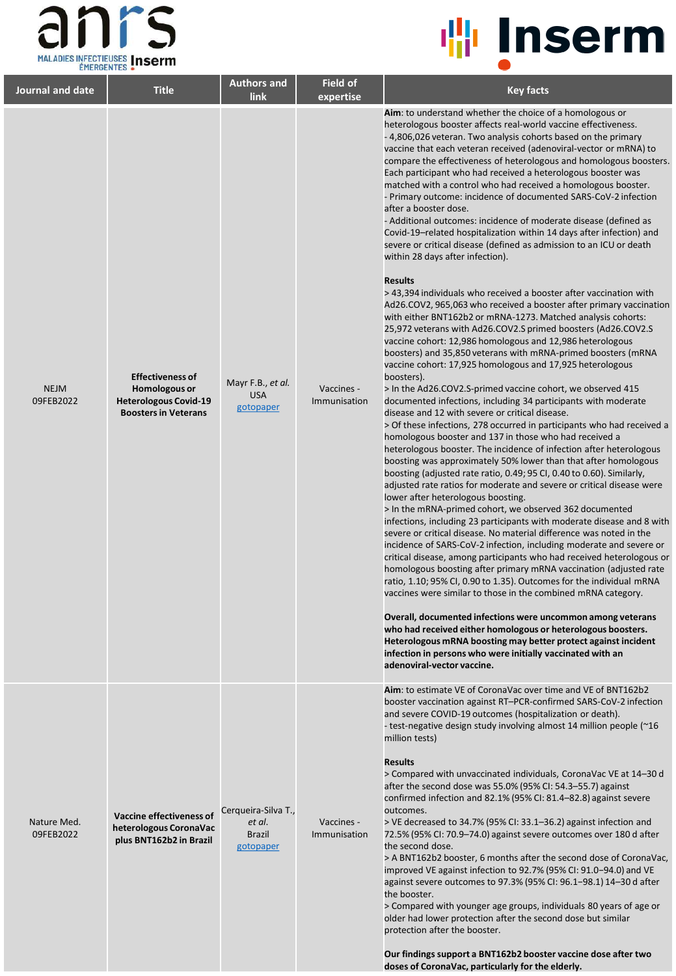I

# **Illuming** Inserm

| <b>EMERGENTES</b> .      |                                                                                                         |                                                             |                              |                                                                                                                                                                                                                                                                                                                                                                                                                                                                                                                                                                                                                                                                                                                                                                                                                                                                                                                                                                                                                                                                                                                                                                                                                                                                                                                                                                                                                                                                                                                                                                                                                                                                                                                                                                                                                                                                                                                                                                                                                                                                                                                                                                                                                                                                                                                                                                                                                                                                                                                                                                                                                                                                                                                                                                                                                                                                      |
|--------------------------|---------------------------------------------------------------------------------------------------------|-------------------------------------------------------------|------------------------------|----------------------------------------------------------------------------------------------------------------------------------------------------------------------------------------------------------------------------------------------------------------------------------------------------------------------------------------------------------------------------------------------------------------------------------------------------------------------------------------------------------------------------------------------------------------------------------------------------------------------------------------------------------------------------------------------------------------------------------------------------------------------------------------------------------------------------------------------------------------------------------------------------------------------------------------------------------------------------------------------------------------------------------------------------------------------------------------------------------------------------------------------------------------------------------------------------------------------------------------------------------------------------------------------------------------------------------------------------------------------------------------------------------------------------------------------------------------------------------------------------------------------------------------------------------------------------------------------------------------------------------------------------------------------------------------------------------------------------------------------------------------------------------------------------------------------------------------------------------------------------------------------------------------------------------------------------------------------------------------------------------------------------------------------------------------------------------------------------------------------------------------------------------------------------------------------------------------------------------------------------------------------------------------------------------------------------------------------------------------------------------------------------------------------------------------------------------------------------------------------------------------------------------------------------------------------------------------------------------------------------------------------------------------------------------------------------------------------------------------------------------------------------------------------------------------------------------------------------------------------|
| Journal and date         | <b>Title</b>                                                                                            | <b>Authors and</b><br><b>link</b>                           | <b>Field of</b><br>expertise | <b>Key facts</b>                                                                                                                                                                                                                                                                                                                                                                                                                                                                                                                                                                                                                                                                                                                                                                                                                                                                                                                                                                                                                                                                                                                                                                                                                                                                                                                                                                                                                                                                                                                                                                                                                                                                                                                                                                                                                                                                                                                                                                                                                                                                                                                                                                                                                                                                                                                                                                                                                                                                                                                                                                                                                                                                                                                                                                                                                                                     |
| <b>NEJM</b><br>09FEB2022 | <b>Effectiveness of</b><br>Homologous or<br><b>Heterologous Covid-19</b><br><b>Boosters in Veterans</b> | Mayr F.B., et al.<br><b>USA</b><br>gotopaper                | Vaccines -<br>Immunisation   | Aim: to understand whether the choice of a homologous or<br>heterologous booster affects real-world vaccine effectiveness.<br>-4,806,026 veteran. Two analysis cohorts based on the primary<br>vaccine that each veteran received (adenoviral-vector or mRNA) to<br>compare the effectiveness of heterologous and homologous boosters.<br>Each participant who had received a heterologous booster was<br>matched with a control who had received a homologous booster.<br>- Primary outcome: incidence of documented SARS-CoV-2 infection<br>after a booster dose.<br>- Additional outcomes: incidence of moderate disease (defined as<br>Covid-19–related hospitalization within 14 days after infection) and<br>severe or critical disease (defined as admission to an ICU or death<br>within 28 days after infection).<br><b>Results</b><br>> 43,394 individuals who received a booster after vaccination with<br>Ad26.COV2, 965,063 who received a booster after primary vaccination<br>with either BNT162b2 or mRNA-1273. Matched analysis cohorts:<br>25,972 veterans with Ad26.COV2.S primed boosters (Ad26.COV2.S<br>vaccine cohort: 12,986 homologous and 12,986 heterologous<br>boosters) and 35,850 veterans with mRNA-primed boosters (mRNA<br>vaccine cohort: 17,925 homologous and 17,925 heterologous<br>boosters).<br>> In the Ad26.COV2.S-primed vaccine cohort, we observed 415<br>documented infections, including 34 participants with moderate<br>disease and 12 with severe or critical disease.<br>> Of these infections, 278 occurred in participants who had received a<br>homologous booster and 137 in those who had received a<br>heterologous booster. The incidence of infection after heterologous<br>boosting was approximately 50% lower than that after homologous<br>boosting (adjusted rate ratio, 0.49; 95 CI, 0.40 to 0.60). Similarly,<br>adjusted rate ratios for moderate and severe or critical disease were<br>lower after heterologous boosting.<br>> In the mRNA-primed cohort, we observed 362 documented<br>infections, including 23 participants with moderate disease and 8 with<br>severe or critical disease. No material difference was noted in the<br>incidence of SARS-CoV-2 infection, including moderate and severe or<br>critical disease, among participants who had received heterologous or<br>homologous boosting after primary mRNA vaccination (adjusted rate<br>ratio, 1.10; 95% CI, 0.90 to 1.35). Outcomes for the individual mRNA<br>vaccines were similar to those in the combined mRNA category.<br>Overall, documented infections were uncommon among veterans<br>who had received either homologous or heterologous boosters.<br>Heterologous mRNA boosting may better protect against incident<br>infection in persons who were initially vaccinated with an<br>adenoviral-vector vaccine. |
| Nature Med.<br>09FEB2022 | Vaccine effectiveness of<br>heterologous CoronaVac<br>plus BNT162b2 in Brazil                           | Cerqueira-Silva T.,<br>et al.<br><b>Brazil</b><br>gotopaper | Vaccines -<br>Immunisation   | Aim: to estimate VE of CoronaVac over time and VE of BNT162b2<br>booster vaccination against RT-PCR-confirmed SARS-CoV-2 infection<br>and severe COVID-19 outcomes (hospitalization or death).<br>- test-negative design study involving almost 14 million people (~16<br>million tests)<br><b>Results</b><br>> Compared with unvaccinated individuals, CoronaVac VE at 14-30 d<br>after the second dose was 55.0% (95% CI: 54.3-55.7) against<br>confirmed infection and 82.1% (95% CI: 81.4-82.8) against severe<br>outcomes.<br>> VE decreased to 34.7% (95% CI: 33.1–36.2) against infection and<br>72.5% (95% CI: 70.9–74.0) against severe outcomes over 180 d after<br>the second dose.<br>> A BNT162b2 booster, 6 months after the second dose of CoronaVac,<br>improved VE against infection to 92.7% (95% CI: 91.0-94.0) and VE<br>against severe outcomes to 97.3% (95% CI: 96.1-98.1) 14-30 d after<br>the booster.<br>> Compared with younger age groups, individuals 80 years of age or<br>older had lower protection after the second dose but similar<br>protection after the booster.<br>Our findings support a BNT162b2 booster vaccine dose after two<br>doses of CoronaVac, particularly for the elderly.                                                                                                                                                                                                                                                                                                                                                                                                                                                                                                                                                                                                                                                                                                                                                                                                                                                                                                                                                                                                                                                                                                                                                                                                                                                                                                                                                                                                                                                                                                                                                                                                                                        |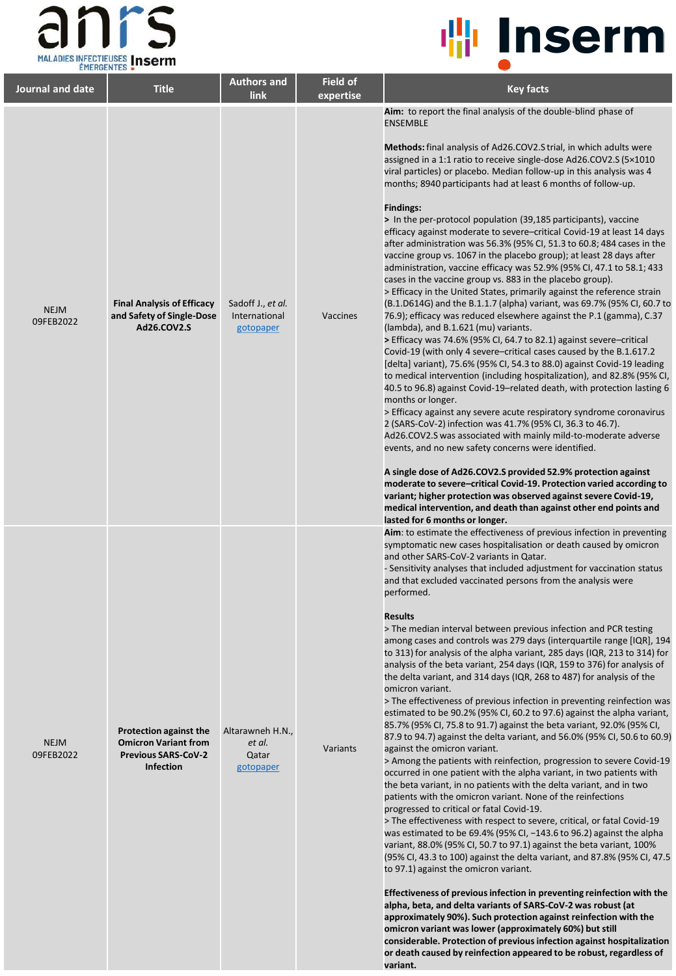|                          | <b>EMERGENIES</b> .                                                                                            |                                                  |                              |                                                                                                                                                                                                                                                                                                                                                                                                                                                                                                                                                                                                                                                                                                                                                                                                                                                                                                                                                                                                                                                                                                                                                                                                                                                                                                                                                                                                                                                                                                                                                                                                                                                                                                                                                                                                                                                                                                                                                                                                                                                                                                                                                                                                                                           |
|--------------------------|----------------------------------------------------------------------------------------------------------------|--------------------------------------------------|------------------------------|-------------------------------------------------------------------------------------------------------------------------------------------------------------------------------------------------------------------------------------------------------------------------------------------------------------------------------------------------------------------------------------------------------------------------------------------------------------------------------------------------------------------------------------------------------------------------------------------------------------------------------------------------------------------------------------------------------------------------------------------------------------------------------------------------------------------------------------------------------------------------------------------------------------------------------------------------------------------------------------------------------------------------------------------------------------------------------------------------------------------------------------------------------------------------------------------------------------------------------------------------------------------------------------------------------------------------------------------------------------------------------------------------------------------------------------------------------------------------------------------------------------------------------------------------------------------------------------------------------------------------------------------------------------------------------------------------------------------------------------------------------------------------------------------------------------------------------------------------------------------------------------------------------------------------------------------------------------------------------------------------------------------------------------------------------------------------------------------------------------------------------------------------------------------------------------------------------------------------------------------|
| Journal and date         | <b>Title</b>                                                                                                   | <b>Authors and</b><br>link                       | <b>Field of</b><br>expertise | <b>Key facts</b>                                                                                                                                                                                                                                                                                                                                                                                                                                                                                                                                                                                                                                                                                                                                                                                                                                                                                                                                                                                                                                                                                                                                                                                                                                                                                                                                                                                                                                                                                                                                                                                                                                                                                                                                                                                                                                                                                                                                                                                                                                                                                                                                                                                                                          |
| <b>NEJM</b><br>09FEB2022 | <b>Final Analysis of Efficacy</b><br>and Safety of Single-Dose<br>Ad26.COV2.S                                  | Sadoff J., et al.<br>International<br>gotopaper  | Vaccines                     | Aim: to report the final analysis of the double-blind phase of<br><b>ENSEMBLE</b><br>Methods: final analysis of Ad26.COV2.S trial, in which adults were<br>assigned in a 1:1 ratio to receive single-dose Ad26.COV2.S (5×1010<br>viral particles) or placebo. Median follow-up in this analysis was 4<br>months; 8940 participants had at least 6 months of follow-up.<br><b>Findings:</b><br>> In the per-protocol population (39,185 participants), vaccine<br>efficacy against moderate to severe-critical Covid-19 at least 14 days<br>after administration was 56.3% (95% CI, 51.3 to 60.8; 484 cases in the<br>vaccine group vs. 1067 in the placebo group); at least 28 days after<br>administration, vaccine efficacy was 52.9% (95% CI, 47.1 to 58.1; 433<br>cases in the vaccine group vs. 883 in the placebo group).<br>> Efficacy in the United States, primarily against the reference strain<br>(B.1.D614G) and the B.1.1.7 (alpha) variant, was 69.7% (95% CI, 60.7 to<br>76.9); efficacy was reduced elsewhere against the P.1 (gamma), C.37<br>(lambda), and B.1.621 (mu) variants.<br>> Efficacy was 74.6% (95% CI, 64.7 to 82.1) against severe-critical<br>Covid-19 (with only 4 severe-critical cases caused by the B.1.617.2<br>[delta] variant), 75.6% (95% CI, 54.3 to 88.0) against Covid-19 leading<br>to medical intervention (including hospitalization), and 82.8% (95% CI,<br>40.5 to 96.8) against Covid-19-related death, with protection lasting 6<br>months or longer.<br>> Efficacy against any severe acute respiratory syndrome coronavirus<br>2 (SARS-CoV-2) infection was 41.7% (95% CI, 36.3 to 46.7).<br>Ad26.COV2.S was associated with mainly mild-to-moderate adverse<br>events, and no new safety concerns were identified.<br>A single dose of Ad26.COV2.S provided 52.9% protection against<br>moderate to severe-critical Covid-19. Protection varied according to<br>variant; higher protection was observed against severe Covid-19,<br>medical intervention, and death than against other end points and<br>lasted for 6 months or longer.                                                                                                                                             |
| <b>NEJM</b><br>09FEB2022 | <b>Protection against the</b><br><b>Omicron Variant from</b><br><b>Previous SARS-CoV-2</b><br><b>Infection</b> | Altarawneh H.N.,<br>et al.<br>Qatar<br>gotopaper | Variants                     | Aim: to estimate the effectiveness of previous infection in preventing<br>symptomatic new cases hospitalisation or death caused by omicron<br>and other SARS-CoV-2 variants in Qatar.<br>- Sensitivity analyses that included adjustment for vaccination status<br>and that excluded vaccinated persons from the analysis were<br>performed.<br><b>Results</b><br>> The median interval between previous infection and PCR testing<br>among cases and controls was 279 days (interquartile range [IQR], 194<br>to 313) for analysis of the alpha variant, 285 days (IQR, 213 to 314) for<br>analysis of the beta variant, 254 days (IQR, 159 to 376) for analysis of<br>the delta variant, and 314 days (IQR, 268 to 487) for analysis of the<br>omicron variant.<br>> The effectiveness of previous infection in preventing reinfection was<br>estimated to be 90.2% (95% CI, 60.2 to 97.6) against the alpha variant,<br>85.7% (95% CI, 75.8 to 91.7) against the beta variant, 92.0% (95% CI,<br>87.9 to 94.7) against the delta variant, and 56.0% (95% CI, 50.6 to 60.9)<br>against the omicron variant.<br>> Among the patients with reinfection, progression to severe Covid-19<br>occurred in one patient with the alpha variant, in two patients with<br>the beta variant, in no patients with the delta variant, and in two<br>patients with the omicron variant. None of the reinfections<br>progressed to critical or fatal Covid-19.<br>> The effectiveness with respect to severe, critical, or fatal Covid-19<br>was estimated to be 69.4% (95% CI, $-143.6$ to 96.2) against the alpha<br>variant, 88.0% (95% CI, 50.7 to 97.1) against the beta variant, 100%<br>(95% CI, 43.3 to 100) against the delta variant, and 87.8% (95% CI, 47.5<br>to 97.1) against the omicron variant.<br>Effectiveness of previous infection in preventing reinfection with the<br>alpha, beta, and delta variants of SARS-CoV-2 was robust (at<br>approximately 90%). Such protection against reinfection with the<br>omicron variant was lower (approximately 60%) but still<br>considerable. Protection of previous infection against hospitalization<br>or death caused by reinfection appeared to be robust, regardless of<br>variant. |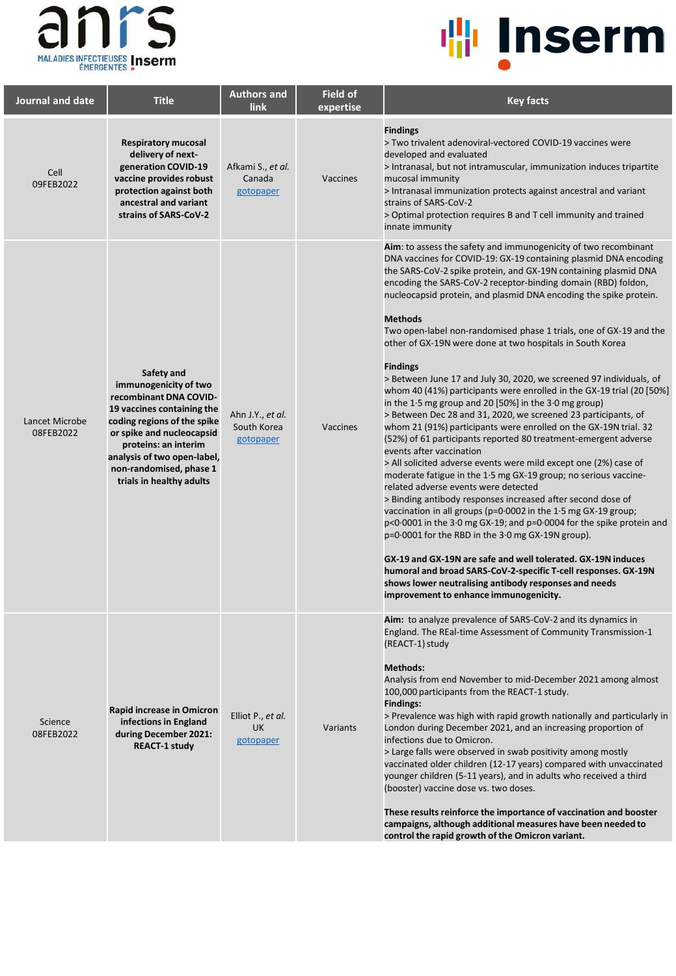

| Journal and date            | <b>Title</b>                                                                                                                                                                                                                                                          | <b>Authors and</b><br>link                   | <b>Field of</b><br>expertise | <b>Key facts</b>                                                                                                                                                                                                                                                                                                                                                                                                                                                                                                                                                                                                                                                                                                                                                                                                                                                                                                                                                                                                                                                                                                                                                                                                                                                                                                                                                                                                                                                                                                                                                                                                                                          |
|-----------------------------|-----------------------------------------------------------------------------------------------------------------------------------------------------------------------------------------------------------------------------------------------------------------------|----------------------------------------------|------------------------------|-----------------------------------------------------------------------------------------------------------------------------------------------------------------------------------------------------------------------------------------------------------------------------------------------------------------------------------------------------------------------------------------------------------------------------------------------------------------------------------------------------------------------------------------------------------------------------------------------------------------------------------------------------------------------------------------------------------------------------------------------------------------------------------------------------------------------------------------------------------------------------------------------------------------------------------------------------------------------------------------------------------------------------------------------------------------------------------------------------------------------------------------------------------------------------------------------------------------------------------------------------------------------------------------------------------------------------------------------------------------------------------------------------------------------------------------------------------------------------------------------------------------------------------------------------------------------------------------------------------------------------------------------------------|
| Cell<br>09FEB2022           | <b>Respiratory mucosal</b><br>delivery of next-<br>generation COVID-19<br>vaccine provides robust<br>protection against both<br>ancestral and variant<br>strains of SARS-CoV-2                                                                                        | Afkami S., et al.<br>Canada<br>gotopaper     | Vaccines                     | <b>Findings</b><br>> Two trivalent adenoviral-vectored COVID-19 vaccines were<br>developed and evaluated<br>> Intranasal, but not intramuscular, immunization induces tripartite<br>mucosal immunity<br>> Intranasal immunization protects against ancestral and variant<br>strains of SARS-CoV-2<br>> Optimal protection requires B and T cell immunity and trained<br>innate immunity                                                                                                                                                                                                                                                                                                                                                                                                                                                                                                                                                                                                                                                                                                                                                                                                                                                                                                                                                                                                                                                                                                                                                                                                                                                                   |
| Lancet Microbe<br>08FEB2022 | Safety and<br>immunogenicity of two<br>recombinant DNA COVID-<br>19 vaccines containing the<br>coding regions of the spike<br>or spike and nucleocapsid<br>proteins: an interim<br>analysis of two open-label,<br>non-randomised, phase 1<br>trials in healthy adults | Ahn J.Y., et al.<br>South Korea<br>gotopaper | Vaccines                     | Aim: to assess the safety and immunogenicity of two recombinant<br>DNA vaccines for COVID-19: GX-19 containing plasmid DNA encoding<br>the SARS-CoV-2 spike protein, and GX-19N containing plasmid DNA<br>encoding the SARS-CoV-2 receptor-binding domain (RBD) foldon,<br>nucleocapsid protein, and plasmid DNA encoding the spike protein.<br><b>Methods</b><br>Two open-label non-randomised phase 1 trials, one of GX-19 and the<br>other of GX-19N were done at two hospitals in South Korea<br><b>Findings</b><br>> Between June 17 and July 30, 2020, we screened 97 individuals, of<br>whom 40 (41%) participants were enrolled in the GX-19 trial (20 [50%]<br>in the 1.5 mg group and 20 [50%] in the 3.0 mg group)<br>> Between Dec 28 and 31, 2020, we screened 23 participants, of<br>whom 21 (91%) participants were enrolled on the GX-19N trial. 32<br>(52%) of 61 participants reported 80 treatment-emergent adverse<br>events after vaccination<br>> All solicited adverse events were mild except one (2%) case of<br>moderate fatigue in the $1.5$ mg GX-19 group; no serious vaccine-<br>related adverse events were detected<br>> Binding antibody responses increased after second dose of<br>vaccination in all groups ( $p=0.0002$ in the 1.5 mg GX-19 group;<br>p<0.0001 in the 3.0 mg GX-19; and p=0.0004 for the spike protein and<br>p=0.0001 for the RBD in the 3.0 mg GX-19N group).<br>GX-19 and GX-19N are safe and well tolerated. GX-19N induces<br>humoral and broad SARS-CoV-2-specific T-cell responses. GX-19N<br>shows lower neutralising antibody responses and needs<br>improvement to enhance immunogenicity. |
| Science<br>08FEB2022        | Rapid increase in Omicron<br>infections in England<br>during December 2021:<br><b>REACT-1 study</b>                                                                                                                                                                   | Elliot P., et al.<br>UK<br>gotopaper         | Variants                     | Aim: to analyze prevalence of SARS-CoV-2 and its dynamics in<br>England. The REal-time Assessment of Community Transmission-1<br>(REACT-1) study<br><b>Methods:</b><br>Analysis from end November to mid-December 2021 among almost<br>100,000 participants from the REACT-1 study.<br><b>Findings:</b><br>> Prevalence was high with rapid growth nationally and particularly in<br>London during December 2021, and an increasing proportion of<br>infections due to Omicron.<br>> Large falls were observed in swab positivity among mostly<br>vaccinated older children (12-17 years) compared with unvaccinated<br>younger children (5-11 years), and in adults who received a third<br>(booster) vaccine dose vs. two doses.<br>These results reinforce the importance of vaccination and booster<br>campaigns, although additional measures have been needed to<br>control the rapid growth of the Omicron variant.                                                                                                                                                                                                                                                                                                                                                                                                                                                                                                                                                                                                                                                                                                                                |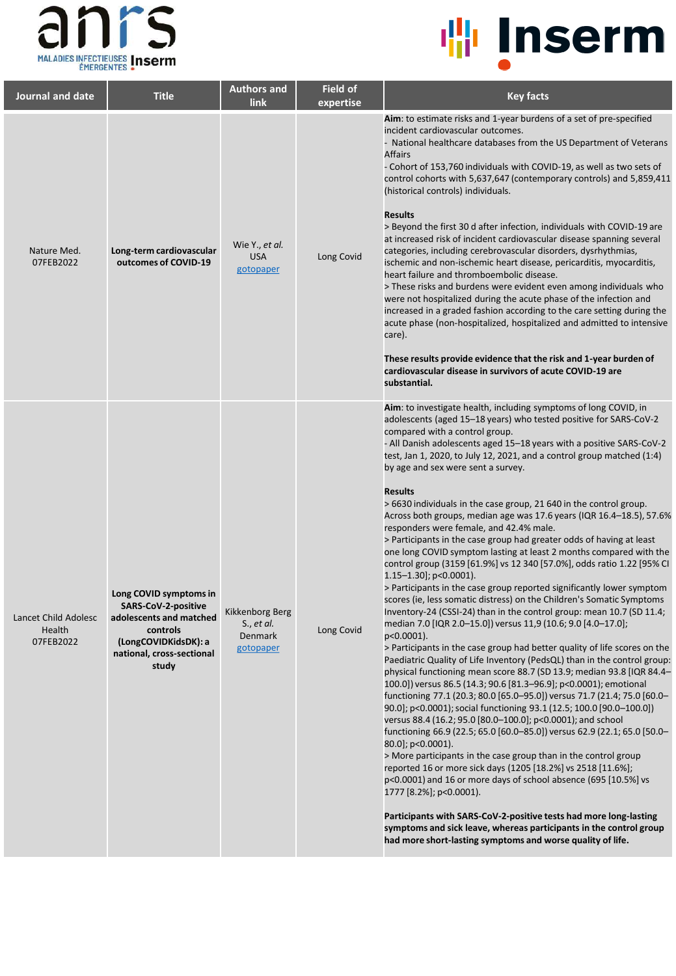

| Journal and date                            | <b>Title</b>                                                                                                                                       | <b>Authors and</b><br>link                            | <b>Field of</b><br>expertise | <b>Key facts</b>                                                                                                                                                                                                                                                                                                                                                                                                                                                                                                                                                                                                                                                                                                                                                                                                                                                                                                                                                                                                                                                                                                                                                                                                                                                                                                                                                                                                                                                                                                                                                                                                                                                                                                                                                                                                                                                                                                                                                                                                                                                                                                                                                                                                    |
|---------------------------------------------|----------------------------------------------------------------------------------------------------------------------------------------------------|-------------------------------------------------------|------------------------------|---------------------------------------------------------------------------------------------------------------------------------------------------------------------------------------------------------------------------------------------------------------------------------------------------------------------------------------------------------------------------------------------------------------------------------------------------------------------------------------------------------------------------------------------------------------------------------------------------------------------------------------------------------------------------------------------------------------------------------------------------------------------------------------------------------------------------------------------------------------------------------------------------------------------------------------------------------------------------------------------------------------------------------------------------------------------------------------------------------------------------------------------------------------------------------------------------------------------------------------------------------------------------------------------------------------------------------------------------------------------------------------------------------------------------------------------------------------------------------------------------------------------------------------------------------------------------------------------------------------------------------------------------------------------------------------------------------------------------------------------------------------------------------------------------------------------------------------------------------------------------------------------------------------------------------------------------------------------------------------------------------------------------------------------------------------------------------------------------------------------------------------------------------------------------------------------------------------------|
| Nature Med.<br>07FEB2022                    | Long-term cardiovascular<br>outcomes of COVID-19                                                                                                   | Wie Y., et al.<br><b>USA</b><br>gotopaper             | Long Covid                   | Aim: to estimate risks and 1-year burdens of a set of pre-specified<br>incident cardiovascular outcomes.<br>- National healthcare databases from the US Department of Veterans<br>Affairs<br>- Cohort of 153,760 individuals with COVID-19, as well as two sets of<br>control cohorts with 5,637,647 (contemporary controls) and 5,859,411<br>(historical controls) individuals.<br><b>Results</b><br>> Beyond the first 30 d after infection, individuals with COVID-19 are<br>at increased risk of incident cardiovascular disease spanning several<br>categories, including cerebrovascular disorders, dysrhythmias,<br>ischemic and non-ischemic heart disease, pericarditis, myocarditis,<br>heart failure and thromboembolic disease.<br>> These risks and burdens were evident even among individuals who<br>were not hospitalized during the acute phase of the infection and<br>increased in a graded fashion according to the care setting during the<br>acute phase (non-hospitalized, hospitalized and admitted to intensive<br>care).<br>These results provide evidence that the risk and 1-year burden of<br>cardiovascular disease in survivors of acute COVID-19 are<br>substantial.                                                                                                                                                                                                                                                                                                                                                                                                                                                                                                                                                                                                                                                                                                                                                                                                                                                                                                                                                                                                                |
| Lancet Child Adolesc<br>Health<br>07FEB2022 | Long COVID symptoms in<br>SARS-CoV-2-positive<br>adolescents and matched<br>controls<br>(LongCOVIDKidsDK): a<br>national, cross-sectional<br>study | Kikkenborg Berg<br>S., et al.<br>Denmark<br>gotopaper | Long Covid                   | Aim: to investigate health, including symptoms of long COVID, in<br>adolescents (aged 15-18 years) who tested positive for SARS-CoV-2<br>compared with a control group.<br>- All Danish adolescents aged 15–18 years with a positive SARS-CoV-2<br>test, Jan 1, 2020, to July 12, 2021, and a control group matched $(1:4)$<br>by age and sex were sent a survey.<br><b>Results</b><br>>6630 individuals in the case group, 21 640 in the control group.<br>Across both groups, median age was 17.6 years (IQR 16.4-18.5), 57.6%<br>responders were female, and 42.4% male.<br>> Participants in the case group had greater odds of having at least<br>one long COVID symptom lasting at least 2 months compared with the<br>control group (3159 [61.9%] vs 12 340 [57.0%], odds ratio 1.22 [95% CI<br>$1.15 - 1.30$ ; p<0.0001).<br>> Participants in the case group reported significantly lower symptom<br>scores (ie, less somatic distress) on the Children's Somatic Symptoms<br>Inventory-24 (CSSI-24) than in the control group: mean 10.7 (SD 11.4;<br>median 7.0 [IQR 2.0-15.0]) versus 11,9 (10.6; 9.0 [4.0-17.0];<br>p<0.0001).<br>> Participants in the case group had better quality of life scores on the<br>Paediatric Quality of Life Inventory (PedsQL) than in the control group:<br>physical functioning mean score 88.7 (SD 13.9; median 93.8 [IQR 84.4–<br>100.0]) versus 86.5 (14.3; 90.6 [81.3-96.9]; p<0.0001); emotional<br>functioning 77.1 (20.3; 80.0 [65.0-95.0]) versus 71.7 (21.4; 75.0 [60.0-<br>90.0]; p<0.0001); social functioning 93.1 (12.5; 100.0 [90.0-100.0])<br>versus 88.4 (16.2; 95.0 [80.0-100.0]; p<0.0001); and school<br>functioning 66.9 (22.5; 65.0 [60.0-85.0]) versus 62.9 (22.1; 65.0 [50.0-<br>80.0]; p<0.0001).<br>> More participants in the case group than in the control group<br>reported 16 or more sick days (1205 [18.2%] vs 2518 [11.6%];<br>$p<0.0001$ ) and 16 or more days of school absence (695 [10.5%] vs<br>1777 [8.2%]; p<0.0001).<br>Participants with SARS-CoV-2-positive tests had more long-lasting<br>symptoms and sick leave, whereas participants in the control group<br>had more short-lasting symptoms and worse quality of life. |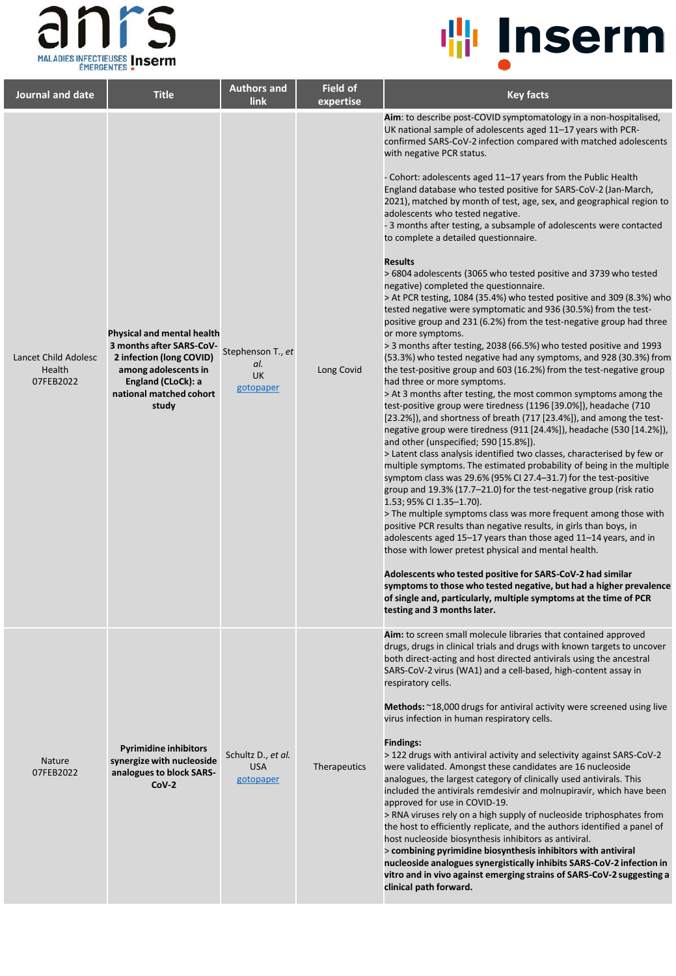

| Journal and date                            | <b>Title</b>                                                                                                                                                                | <b>Authors and</b><br>link                         | <b>Field of</b><br>expertise | <b>Key facts</b>                                                                                                                                                                                                                                                                                                                                                                                                                                                                                                                                                                                                                                                                                                                                                                                                                                                                                                                                                                                                                                                                                                                                                                                                                                                                                                                                                                                                                                                                                                                                                                                                                                                                                                                                                                                                                                                                                                                                                                                                                                                                                                                                                                                                                                                                                                                                                                                              |
|---------------------------------------------|-----------------------------------------------------------------------------------------------------------------------------------------------------------------------------|----------------------------------------------------|------------------------------|---------------------------------------------------------------------------------------------------------------------------------------------------------------------------------------------------------------------------------------------------------------------------------------------------------------------------------------------------------------------------------------------------------------------------------------------------------------------------------------------------------------------------------------------------------------------------------------------------------------------------------------------------------------------------------------------------------------------------------------------------------------------------------------------------------------------------------------------------------------------------------------------------------------------------------------------------------------------------------------------------------------------------------------------------------------------------------------------------------------------------------------------------------------------------------------------------------------------------------------------------------------------------------------------------------------------------------------------------------------------------------------------------------------------------------------------------------------------------------------------------------------------------------------------------------------------------------------------------------------------------------------------------------------------------------------------------------------------------------------------------------------------------------------------------------------------------------------------------------------------------------------------------------------------------------------------------------------------------------------------------------------------------------------------------------------------------------------------------------------------------------------------------------------------------------------------------------------------------------------------------------------------------------------------------------------------------------------------------------------------------------------------------------------|
| Lancet Child Adolesc<br>Health<br>07FEB2022 | <b>Physical and mental health</b><br>3 months after SARS-CoV-<br>2 infection (long COVID)<br>among adolescents in<br>England (CLoCk): a<br>national matched cohort<br>study | Stephenson T., et<br>al.<br><b>UK</b><br>gotopaper | Long Covid                   | Aim: to describe post-COVID symptomatology in a non-hospitalised,<br>UK national sample of adolescents aged 11-17 years with PCR-<br>confirmed SARS-CoV-2 infection compared with matched adolescents<br>with negative PCR status.<br>- Cohort: adolescents aged 11–17 years from the Public Health<br>England database who tested positive for SARS-CoV-2 (Jan-March,<br>2021), matched by month of test, age, sex, and geographical region to<br>adolescents who tested negative.<br>- 3 months after testing, a subsample of adolescents were contacted<br>to complete a detailed questionnaire.<br><b>Results</b><br>> 6804 adolescents (3065 who tested positive and 3739 who tested<br>negative) completed the questionnaire.<br>> At PCR testing, 1084 (35.4%) who tested positive and 309 (8.3%) who<br>tested negative were symptomatic and 936 (30.5%) from the test-<br>positive group and 231 (6.2%) from the test-negative group had three<br>or more symptoms.<br>> 3 months after testing, 2038 (66.5%) who tested positive and 1993<br>(53.3%) who tested negative had any symptoms, and 928 (30.3%) from<br>the test-positive group and 603 (16.2%) from the test-negative group<br>had three or more symptoms.<br>> At 3 months after testing, the most common symptoms among the<br>test-positive group were tiredness (1196 [39.0%]), headache (710<br>$[23.2\%]$ ), and shortness of breath (717 [23.4%]), and among the test-<br>negative group were tiredness (911 [24.4%]), headache (530 [14.2%]),<br>and other (unspecified; 590 [15.8%]).<br>> Latent class analysis identified two classes, characterised by few or<br>multiple symptoms. The estimated probability of being in the multiple<br>symptom class was 29.6% (95% CI 27.4-31.7) for the test-positive<br>group and 19.3% (17.7–21.0) for the test-negative group (risk ratio<br>1.53; 95% CI 1.35-1.70).<br>> The multiple symptoms class was more frequent among those with<br>positive PCR results than negative results, in girls than boys, in<br>adolescents aged 15–17 years than those aged 11–14 years, and in<br>those with lower pretest physical and mental health.<br>Adolescents who tested positive for SARS-CoV-2 had similar<br>symptoms to those who tested negative, but had a higher prevalence<br>of single and, particularly, multiple symptoms at the time of PCR<br>testing and 3 months later. |
| Nature<br>07FEB2022                         | <b>Pyrimidine inhibitors</b><br>synergize with nucleoside<br>analogues to block SARS-<br>$Cov-2$                                                                            | Schultz D., et al.<br><b>USA</b><br>gotopaper      | Therapeutics                 | Aim: to screen small molecule libraries that contained approved<br>drugs, drugs in clinical trials and drugs with known targets to uncover<br>both direct-acting and host directed antivirals using the ancestral<br>SARS-CoV-2 virus (WA1) and a cell-based, high-content assay in<br>respiratory cells.<br>Methods: ~18,000 drugs for antiviral activity were screened using live<br>virus infection in human respiratory cells.<br><b>Findings:</b><br>> 122 drugs with antiviral activity and selectivity against SARS-CoV-2<br>were validated. Amongst these candidates are 16 nucleoside<br>analogues, the largest category of clinically used antivirals. This<br>included the antivirals remdesivir and molnupiravir, which have been<br>approved for use in COVID-19.<br>> RNA viruses rely on a high supply of nucleoside triphosphates from<br>the host to efficiently replicate, and the authors identified a panel of<br>host nucleoside biosynthesis inhibitors as antiviral.<br>> combining pyrimidine biosynthesis inhibitors with antiviral<br>nucleoside analogues synergistically inhibits SARS-CoV-2 infection in<br>vitro and in vivo against emerging strains of SARS-CoV-2 suggesting a<br>clinical path forward.                                                                                                                                                                                                                                                                                                                                                                                                                                                                                                                                                                                                                                                                                                                                                                                                                                                                                                                                                                                                                                                                                                                                                                      |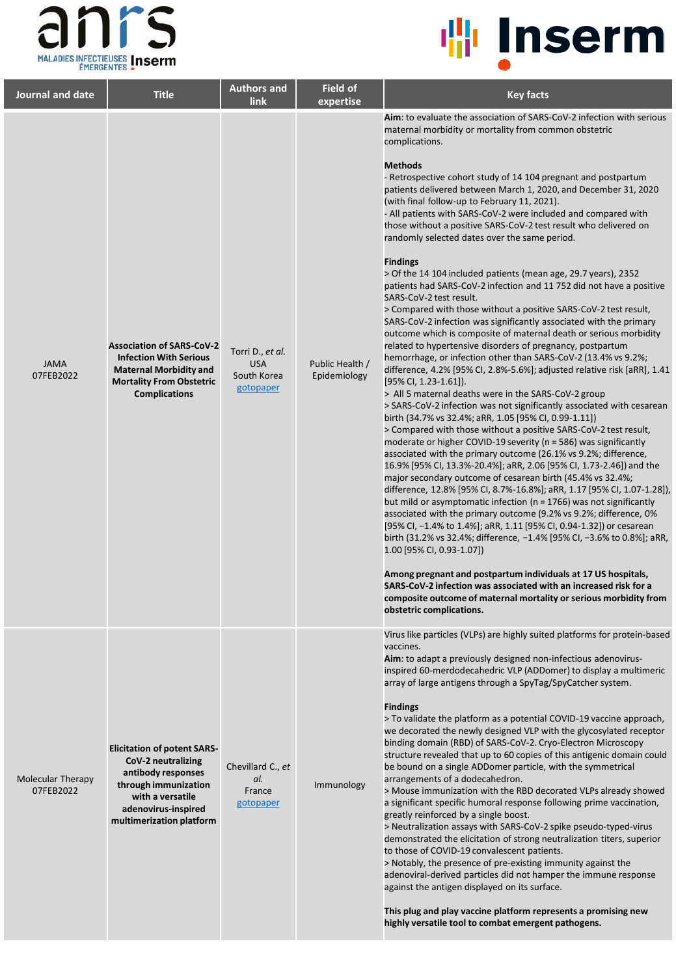

| Journal and date               | <b>Title</b>                                                                                                                                                                  | <b>Authors and</b><br>link                                 | <b>Field of</b><br>expertise    | <b>Key facts</b>                                                                                                                                                                                                                                                                                                                                                                                                                                                                                                                                                                                                                                                                                                                                                                                                                                                                                                                                                                                                                                                                                                                                                                                                                                                                                                                                                                                                                                                                                                                                                                                                                                                                                                                                                                                                                                                                                                                                                                                                                                                                                                                                                                                                                                                                                                                                                                          |
|--------------------------------|-------------------------------------------------------------------------------------------------------------------------------------------------------------------------------|------------------------------------------------------------|---------------------------------|-------------------------------------------------------------------------------------------------------------------------------------------------------------------------------------------------------------------------------------------------------------------------------------------------------------------------------------------------------------------------------------------------------------------------------------------------------------------------------------------------------------------------------------------------------------------------------------------------------------------------------------------------------------------------------------------------------------------------------------------------------------------------------------------------------------------------------------------------------------------------------------------------------------------------------------------------------------------------------------------------------------------------------------------------------------------------------------------------------------------------------------------------------------------------------------------------------------------------------------------------------------------------------------------------------------------------------------------------------------------------------------------------------------------------------------------------------------------------------------------------------------------------------------------------------------------------------------------------------------------------------------------------------------------------------------------------------------------------------------------------------------------------------------------------------------------------------------------------------------------------------------------------------------------------------------------------------------------------------------------------------------------------------------------------------------------------------------------------------------------------------------------------------------------------------------------------------------------------------------------------------------------------------------------------------------------------------------------------------------------------------------------|
| <b>JAMA</b><br>07FEB2022       | <b>Association of SARS-CoV-2</b><br><b>Infection With Serious</b><br><b>Maternal Morbidity and</b><br><b>Mortality From Obstetric</b><br><b>Complications</b>                 | Torri D., et al.<br><b>USA</b><br>South Korea<br>gotopaper | Public Health /<br>Epidemiology | Aim: to evaluate the association of SARS-CoV-2 infection with serious<br>maternal morbidity or mortality from common obstetric<br>complications.<br><b>Methods</b><br>- Retrospective cohort study of 14 104 pregnant and postpartum<br>patients delivered between March 1, 2020, and December 31, 2020<br>(with final follow-up to February 11, 2021).<br>- All patients with SARS-CoV-2 were included and compared with<br>those without a positive SARS-CoV-2 test result who delivered on<br>randomly selected dates over the same period.<br><b>Findings</b><br>> Of the 14 104 included patients (mean age, 29.7 years), 2352<br>patients had SARS-CoV-2 infection and 11752 did not have a positive<br>SARS-CoV-2 test result.<br>> Compared with those without a positive SARS-CoV-2 test result,<br>SARS-CoV-2 infection was significantly associated with the primary<br>outcome which is composite of maternal death or serious morbidity<br>related to hypertensive disorders of pregnancy, postpartum<br>hemorrhage, or infection other than SARS-CoV-2 (13.4% vs 9.2%;<br>difference, 4.2% [95% CI, 2.8%-5.6%]; adjusted relative risk [aRR], 1.41<br>$[95\%$ CI, 1.23-1.61]).<br>> All 5 maternal deaths were in the SARS-CoV-2 group<br>> SARS-CoV-2 infection was not significantly associated with cesarean<br>birth (34.7% vs 32.4%; aRR, 1.05 [95% CI, 0.99-1.11])<br>> Compared with those without a positive SARS-CoV-2 test result,<br>moderate or higher COVID-19 severity ( $n = 586$ ) was significantly<br>associated with the primary outcome (26.1% vs 9.2%; difference,<br>16.9% [95% CI, 13.3%-20.4%]; aRR, 2.06 [95% CI, 1.73-2.46]) and the<br>major secondary outcome of cesarean birth (45.4% vs 32.4%;<br>difference, 12.8% [95% CI, 8.7%-16.8%]; aRR, 1.17 [95% CI, 1.07-1.28]),<br>but mild or asymptomatic infection ( $n = 1766$ ) was not significantly<br>associated with the primary outcome (9.2% vs 9.2%; difference, 0%<br>[95% CI, -1.4% to 1.4%]; aRR, 1.11 [95% CI, 0.94-1.32]) or cesarean<br>birth (31.2% vs 32.4%; difference, -1.4% [95% CI, -3.6% to 0.8%]; aRR,<br>1.00 [95% CI, 0.93-1.07])<br>Among pregnant and postpartum individuals at 17 US hospitals,<br>SARS-CoV-2 infection was associated with an increased risk for a<br>composite outcome of maternal mortality or serious morbidity from<br>obstetric complications. |
| Molecular Therapy<br>07FEB2022 | <b>Elicitation of potent SARS-</b><br>CoV-2 neutralizing<br>antibody responses<br>through immunization<br>with a versatile<br>adenovirus-inspired<br>multimerization platform | Chevillard C., et<br>al.<br>France<br>gotopaper            | Immunology                      | Virus like particles (VLPs) are highly suited platforms for protein-based<br>vaccines.<br>Aim: to adapt a previously designed non-infectious adenovirus-<br>inspired 60-merdodecahedric VLP (ADDomer) to display a multimeric<br>array of large antigens through a SpyTag/SpyCatcher system.<br><b>Findings</b><br>> To validate the platform as a potential COVID-19 vaccine approach,<br>we decorated the newly designed VLP with the glycosylated receptor<br>binding domain (RBD) of SARS-CoV-2. Cryo-Electron Microscopy<br>structure revealed that up to 60 copies of this antigenic domain could<br>be bound on a single ADDomer particle, with the symmetrical<br>arrangements of a dodecahedron.<br>> Mouse immunization with the RBD decorated VLPs already showed<br>a significant specific humoral response following prime vaccination,<br>greatly reinforced by a single boost.<br>> Neutralization assays with SARS-CoV-2 spike pseudo-typed-virus<br>demonstrated the elicitation of strong neutralization titers, superior<br>to those of COVID-19 convalescent patients.<br>> Notably, the presence of pre-existing immunity against the<br>adenoviral-derived particles did not hamper the immune response<br>against the antigen displayed on its surface.<br>This plug and play vaccine platform represents a promising new<br>highly versatile tool to combat emergent pathogens.                                                                                                                                                                                                                                                                                                                                                                                                                                                                                                                                                                                                                                                                                                                                                                                                                                                                                                                                                                                   |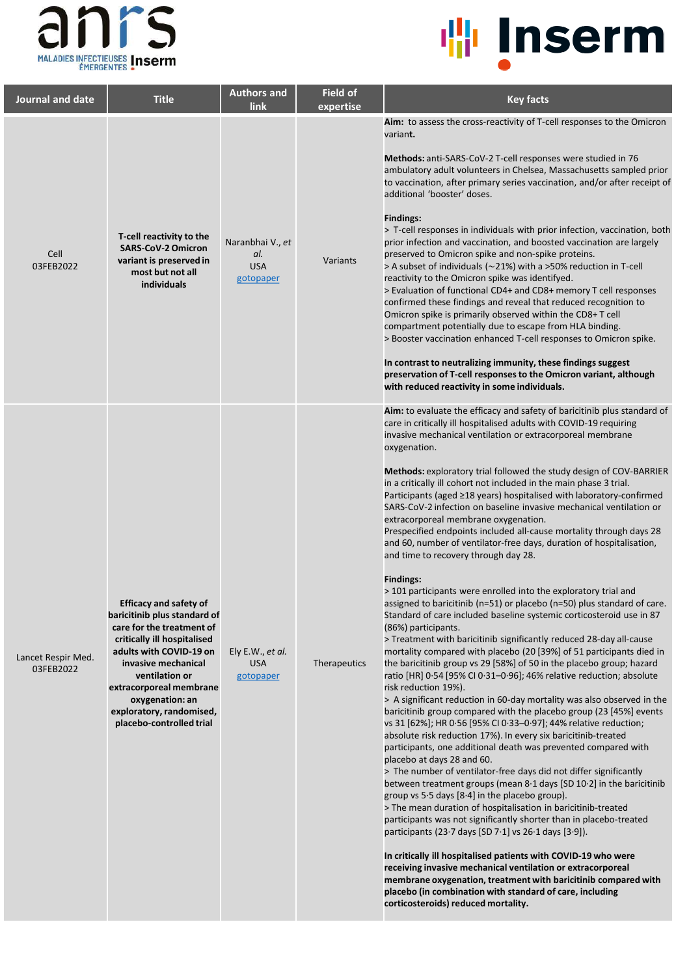

| Journal and date                | <b>Title</b>                                                                                                                                                                                                                                                                                        | <b>Authors and</b><br><b>link</b>                  | <b>Field of</b><br>expertise | <b>Key facts</b>                                                                                                                                                                                                                                                                                                                                                                                                                                                                                                                                                                                                                                                                                                                                                                                                                                                                                                                                                                                                                                                                                                                                                                                                                                                                                                                                                                                                                                                                                                                                                                                                                                                                                                                                                                                                                                                                                                                                                                                                                                                                                                                                                                                                                                                                                                                                                                                                                                                 |
|---------------------------------|-----------------------------------------------------------------------------------------------------------------------------------------------------------------------------------------------------------------------------------------------------------------------------------------------------|----------------------------------------------------|------------------------------|------------------------------------------------------------------------------------------------------------------------------------------------------------------------------------------------------------------------------------------------------------------------------------------------------------------------------------------------------------------------------------------------------------------------------------------------------------------------------------------------------------------------------------------------------------------------------------------------------------------------------------------------------------------------------------------------------------------------------------------------------------------------------------------------------------------------------------------------------------------------------------------------------------------------------------------------------------------------------------------------------------------------------------------------------------------------------------------------------------------------------------------------------------------------------------------------------------------------------------------------------------------------------------------------------------------------------------------------------------------------------------------------------------------------------------------------------------------------------------------------------------------------------------------------------------------------------------------------------------------------------------------------------------------------------------------------------------------------------------------------------------------------------------------------------------------------------------------------------------------------------------------------------------------------------------------------------------------------------------------------------------------------------------------------------------------------------------------------------------------------------------------------------------------------------------------------------------------------------------------------------------------------------------------------------------------------------------------------------------------------------------------------------------------------------------------------------------------|
| Cell<br>03FEB2022               | T-cell reactivity to the<br><b>SARS-CoV-2 Omicron</b><br>variant is preserved in<br>most but not all<br>individuals                                                                                                                                                                                 | Naranbhai V., et<br>al.<br><b>USA</b><br>gotopaper | Variants                     | Aim: to assess the cross-reactivity of T-cell responses to the Omicron<br>variant.<br><b>Methods:</b> anti-SARS-CoV-2 T-cell responses were studied in 76<br>ambulatory adult volunteers in Chelsea, Massachusetts sampled prior<br>to vaccination, after primary series vaccination, and/or after receipt of<br>additional 'booster' doses.<br><b>Findings:</b><br>> T-cell responses in individuals with prior infection, vaccination, both<br>prior infection and vaccination, and boosted vaccination are largely<br>preserved to Omicron spike and non-spike proteins.<br>$>$ A subset of individuals ( $\sim$ 21%) with a $>$ 50% reduction in T-cell<br>reactivity to the Omicron spike was identifyed.<br>> Evaluation of functional CD4+ and CD8+ memory T cell responses<br>confirmed these findings and reveal that reduced recognition to<br>Omicron spike is primarily observed within the CD8+T cell<br>compartment potentially due to escape from HLA binding.<br>> Booster vaccination enhanced T-cell responses to Omicron spike.<br>In contrast to neutralizing immunity, these findings suggest<br>preservation of T-cell responses to the Omicron variant, although<br>with reduced reactivity in some individuals.                                                                                                                                                                                                                                                                                                                                                                                                                                                                                                                                                                                                                                                                                                                                                                                                                                                                                                                                                                                                                                                                                                                                                                                                                          |
| Lancet Respir Med.<br>03FEB2022 | <b>Efficacy and safety of</b><br>baricitinib plus standard of<br>care for the treatment of<br>critically ill hospitalised<br>adults with COVID-19 on<br>invasive mechanical<br>ventilation or<br>extracorporeal membrane<br>oxygenation: an<br>exploratory, randomised,<br>placebo-controlled trial | Ely E.W., et al.<br><b>USA</b><br>gotopaper        | Therapeutics                 | Aim: to evaluate the efficacy and safety of baricitinib plus standard of<br>care in critically ill hospitalised adults with COVID-19 requiring<br>invasive mechanical ventilation or extracorporeal membrane<br>oxygenation.<br><b>Methods:</b> exploratory trial followed the study design of COV-BARRIER<br>in a critically ill cohort not included in the main phase 3 trial.<br>Participants (aged $\geq$ 18 years) hospitalised with laboratory-confirmed<br>SARS-CoV-2 infection on baseline invasive mechanical ventilation or<br>extracorporeal membrane oxygenation.<br>Prespecified endpoints included all-cause mortality through days 28<br>and 60, number of ventilator-free days, duration of hospitalisation,<br>and time to recovery through day 28.<br><b>Findings:</b><br>>101 participants were enrolled into the exploratory trial and<br>assigned to baricitinib (n=51) or placebo (n=50) plus standard of care.<br>Standard of care included baseline systemic corticosteroid use in 87<br>(86%) participants.<br>> Treatment with baricitinib significantly reduced 28-day all-cause<br>mortality compared with placebo (20 [39%] of 51 participants died in<br>the baricitinib group vs 29 [58%] of 50 in the placebo group; hazard<br>ratio [HR] 0.54 [95% CI 0.31-0.96]; 46% relative reduction; absolute<br>risk reduction 19%).<br>> A significant reduction in 60-day mortality was also observed in the<br>baricitinib group compared with the placebo group (23 [45%] events<br>vs 31 [62%]; HR 0.56 [95% CI 0.33–0.97]; 44% relative reduction;<br>absolute risk reduction 17%). In every six baricitinib-treated<br>participants, one additional death was prevented compared with<br>placebo at days 28 and 60.<br>> The number of ventilator-free days did not differ significantly<br>between treatment groups (mean $8.1$ days [SD 10 $\cdot$ 2] in the baricitinib<br>group vs 5.5 days [8.4] in the placebo group).<br>> The mean duration of hospitalisation in baricitinib-treated<br>participants was not significantly shorter than in placebo-treated<br>participants (23.7 days [SD 7.1] vs 26.1 days [3.9]).<br>In critically ill hospitalised patients with COVID-19 who were<br>receiving invasive mechanical ventilation or extracorporeal<br>membrane oxygenation, treatment with baricitinib compared with<br>placebo (in combination with standard of care, including<br>corticosteroids) reduced mortality. |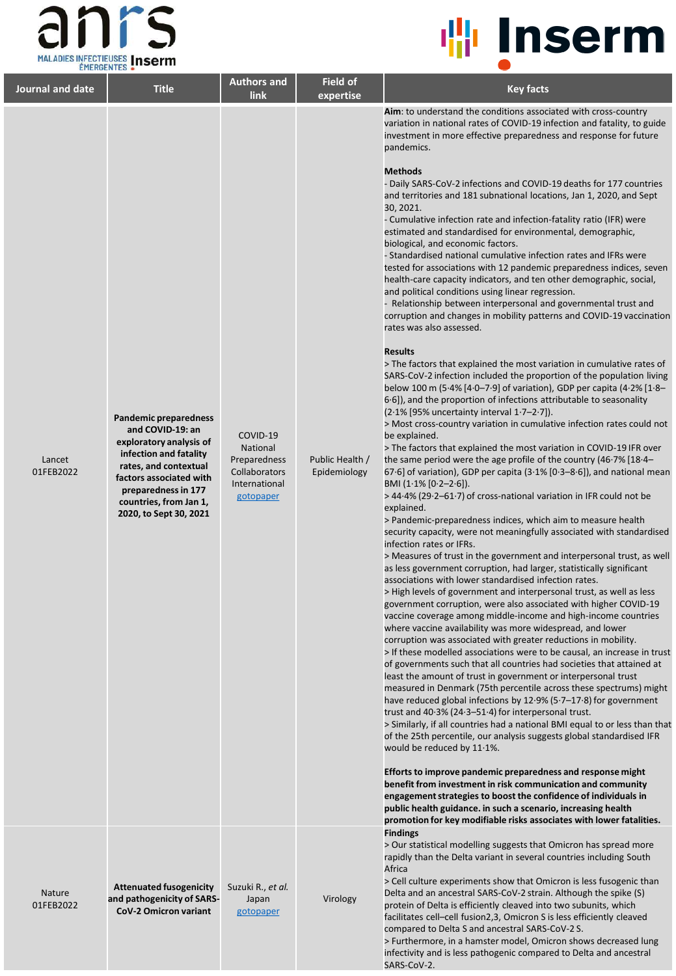## **WILLER**

|                            | <b>EMERGENTES</b> •                                                                                                                                                                                                           |                                                                                     |                                 |                                                                                                                                                                                                                                                                                                                                                                                                                                                                                                                                                                                                                                                                                                                                                                                                                                                                                                                                                                                                                                                                                                                                                                                                                                                                                                                                                                                                                                                                                                                                                                                                                                                                                                                                                                                                                                                                                                                                                                                                                                                                                                                                                                                                                                                                                                                                                                                                                                                                                                                                                                                                                                                                                                                                                                                                                                                                                                                                                                                                                                                                                                                                                                                                                                                                                                                                                                                                                                                                                                                                                            |
|----------------------------|-------------------------------------------------------------------------------------------------------------------------------------------------------------------------------------------------------------------------------|-------------------------------------------------------------------------------------|---------------------------------|------------------------------------------------------------------------------------------------------------------------------------------------------------------------------------------------------------------------------------------------------------------------------------------------------------------------------------------------------------------------------------------------------------------------------------------------------------------------------------------------------------------------------------------------------------------------------------------------------------------------------------------------------------------------------------------------------------------------------------------------------------------------------------------------------------------------------------------------------------------------------------------------------------------------------------------------------------------------------------------------------------------------------------------------------------------------------------------------------------------------------------------------------------------------------------------------------------------------------------------------------------------------------------------------------------------------------------------------------------------------------------------------------------------------------------------------------------------------------------------------------------------------------------------------------------------------------------------------------------------------------------------------------------------------------------------------------------------------------------------------------------------------------------------------------------------------------------------------------------------------------------------------------------------------------------------------------------------------------------------------------------------------------------------------------------------------------------------------------------------------------------------------------------------------------------------------------------------------------------------------------------------------------------------------------------------------------------------------------------------------------------------------------------------------------------------------------------------------------------------------------------------------------------------------------------------------------------------------------------------------------------------------------------------------------------------------------------------------------------------------------------------------------------------------------------------------------------------------------------------------------------------------------------------------------------------------------------------------------------------------------------------------------------------------------------------------------------------------------------------------------------------------------------------------------------------------------------------------------------------------------------------------------------------------------------------------------------------------------------------------------------------------------------------------------------------------------------------------------------------------------------------------------------------------------------|
| Journal and date           | <b>Title</b>                                                                                                                                                                                                                  | <b>Authors and</b><br>link                                                          | <b>Field of</b><br>expertise    | <b>Key facts</b>                                                                                                                                                                                                                                                                                                                                                                                                                                                                                                                                                                                                                                                                                                                                                                                                                                                                                                                                                                                                                                                                                                                                                                                                                                                                                                                                                                                                                                                                                                                                                                                                                                                                                                                                                                                                                                                                                                                                                                                                                                                                                                                                                                                                                                                                                                                                                                                                                                                                                                                                                                                                                                                                                                                                                                                                                                                                                                                                                                                                                                                                                                                                                                                                                                                                                                                                                                                                                                                                                                                                           |
| Lancet<br>01FEB2022        | Pandemic preparedness<br>and COVID-19: an<br>exploratory analysis of<br>infection and fatality<br>rates, and contextual<br>factors associated with<br>preparedness in 177<br>countries, from Jan 1,<br>2020, to Sept 30, 2021 | COVID-19<br>National<br>Preparedness<br>Collaborators<br>International<br>gotopaper | Public Health /<br>Epidemiology | Aim: to understand the conditions associated with cross-country<br>variation in national rates of COVID-19 infection and fatality, to guide<br>investment in more effective preparedness and response for future<br>pandemics.<br><b>Methods</b><br>- Daily SARS-CoV-2 infections and COVID-19 deaths for 177 countries<br>and territories and 181 subnational locations, Jan 1, 2020, and Sept<br>30, 2021.<br>- Cumulative infection rate and infection-fatality ratio (IFR) were<br>estimated and standardised for environmental, demographic,<br>biological, and economic factors.<br>- Standardised national cumulative infection rates and IFRs were<br>tested for associations with 12 pandemic preparedness indices, seven<br>health-care capacity indicators, and ten other demographic, social,<br>and political conditions using linear regression.<br>- Relationship between interpersonal and governmental trust and<br>corruption and changes in mobility patterns and COVID-19 vaccination<br>rates was also assessed.<br><b>Results</b><br>> The factors that explained the most variation in cumulative rates of<br>SARS-CoV-2 infection included the proportion of the population living<br>below 100 m (5.4% [4.0-7.9] of variation), GDP per capita (4.2% [1.8-<br>6.6]), and the proportion of infections attributable to seasonality<br>$(2.1\%$ [95% uncertainty interval $1.7-2.7$ ]).<br>> Most cross-country variation in cumulative infection rates could not<br>be explained.<br>> The factors that explained the most variation in COVID-19 IFR over<br>the same period were the age profile of the country (46.7% [18.4-<br>$67.6$ ] of variation), GDP per capita $(3.1\%$ [0.3–8.6]), and national mean<br>BMI $(1.1\% [0.2 - 2.6])$ .<br>$>$ 44.4% (29.2–61.7) of cross-national variation in IFR could not be<br>explained.<br>> Pandemic-preparedness indices, which aim to measure health<br>security capacity, were not meaningfully associated with standardised<br>infection rates or IFRs.<br>> Measures of trust in the government and interpersonal trust, as well<br>as less government corruption, had larger, statistically significant<br>associations with lower standardised infection rates.<br>> High levels of government and interpersonal trust, as well as less<br>government corruption, were also associated with higher COVID-19<br>vaccine coverage among middle-income and high-income countries<br>where vaccine availability was more widespread, and lower<br>corruption was associated with greater reductions in mobility.<br>> If these modelled associations were to be causal, an increase in trust<br>of governments such that all countries had societies that attained at<br>least the amount of trust in government or interpersonal trust<br>measured in Denmark (75th percentile across these spectrums) might<br>have reduced global infections by $12.9\%$ (5.7–17.8) for government<br>trust and $40.3\%$ (24.3–51.4) for interpersonal trust.<br>> Similarly, if all countries had a national BMI equal to or less than that<br>of the 25th percentile, our analysis suggests global standardised IFR<br>would be reduced by 11.1%.<br>Efforts to improve pandemic preparedness and response might<br>benefit from investment in risk communication and community<br>engagement strategies to boost the confidence of individuals in<br>public health guidance. in such a scenario, increasing health<br>promotion for key modifiable risks associates with lower fatalities. |
| <b>Nature</b><br>01FEB2022 | <b>Attenuated fusogenicity</b><br>and pathogenicity of SARS-<br>CoV-2 Omicron variant                                                                                                                                         | Suzuki R., et al.<br>Japan<br>gotopaper                                             | Virology                        | <b>Findings</b><br>> Our statistical modelling suggests that Omicron has spread more<br>rapidly than the Delta variant in several countries including South<br>Africa<br>> Cell culture experiments show that Omicron is less fusogenic than<br>Delta and an ancestral SARS-CoV-2 strain. Although the spike (S)<br>protein of Delta is efficiently cleaved into two subunits, which<br>facilitates cell-cell fusion2,3, Omicron S is less efficiently cleaved<br>compared to Delta S and ancestral SARS-CoV-2 S.<br>> Furthermore, in a hamster model, Omicron shows decreased lung<br>infectivity and is less pathogenic compared to Delta and ancestral                                                                                                                                                                                                                                                                                                                                                                                                                                                                                                                                                                                                                                                                                                                                                                                                                                                                                                                                                                                                                                                                                                                                                                                                                                                                                                                                                                                                                                                                                                                                                                                                                                                                                                                                                                                                                                                                                                                                                                                                                                                                                                                                                                                                                                                                                                                                                                                                                                                                                                                                                                                                                                                                                                                                                                                                                                                                                                 |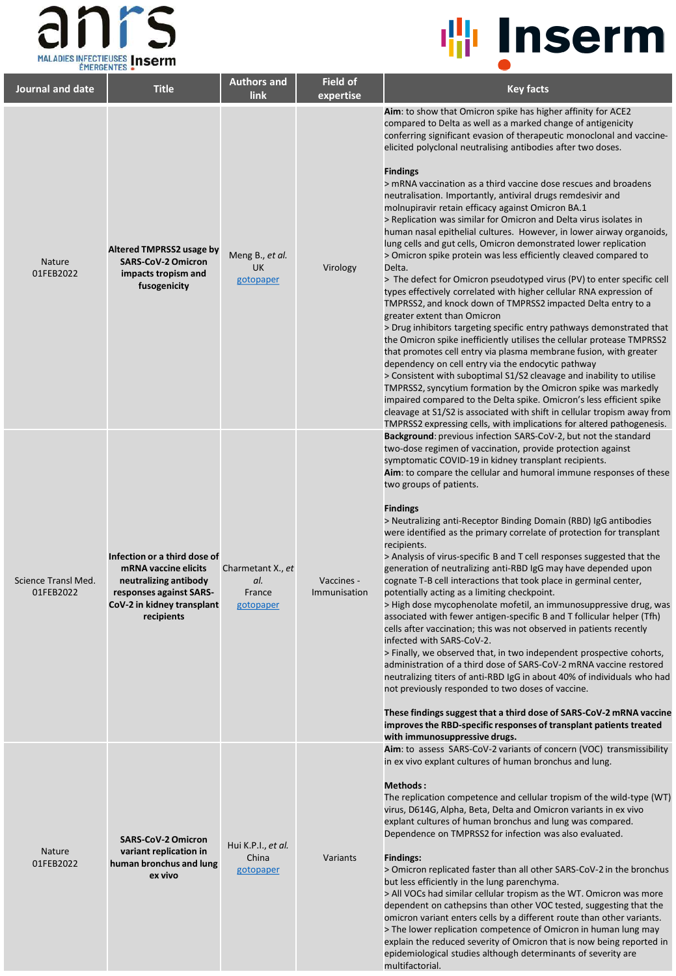## **Will Inserm**

|                                  | <b>EMERGENIES O</b>                                                                                                                                  | <b>Authors and</b>                              | <b>Field of</b>            |                                                                                                                                                                                                                                                                                                                                                                                                                                                                                                                                                                                                                                                                                                                                                                                                                                                                                                                                                                                                                                                                                                                                                                                                                                                                                                                                                                                                                                                                                                                                                                                                                                                                                     |
|----------------------------------|------------------------------------------------------------------------------------------------------------------------------------------------------|-------------------------------------------------|----------------------------|-------------------------------------------------------------------------------------------------------------------------------------------------------------------------------------------------------------------------------------------------------------------------------------------------------------------------------------------------------------------------------------------------------------------------------------------------------------------------------------------------------------------------------------------------------------------------------------------------------------------------------------------------------------------------------------------------------------------------------------------------------------------------------------------------------------------------------------------------------------------------------------------------------------------------------------------------------------------------------------------------------------------------------------------------------------------------------------------------------------------------------------------------------------------------------------------------------------------------------------------------------------------------------------------------------------------------------------------------------------------------------------------------------------------------------------------------------------------------------------------------------------------------------------------------------------------------------------------------------------------------------------------------------------------------------------|
| Journal and date                 | <b>Title</b>                                                                                                                                         | link                                            | expertise                  | <b>Key facts</b>                                                                                                                                                                                                                                                                                                                                                                                                                                                                                                                                                                                                                                                                                                                                                                                                                                                                                                                                                                                                                                                                                                                                                                                                                                                                                                                                                                                                                                                                                                                                                                                                                                                                    |
| Nature<br>01FEB2022              | <b>Altered TMPRSS2 usage by</b><br><b>SARS-CoV-2 Omicron</b><br>impacts tropism and<br>fusogenicity                                                  | Meng B., et al.<br><b>UK</b><br>gotopaper       | Virology                   | Aim: to show that Omicron spike has higher affinity for ACE2<br>compared to Delta as well as a marked change of antigenicity<br>conferring significant evasion of therapeutic monoclonal and vaccine-<br>elicited polyclonal neutralising antibodies after two doses.<br><b>Findings</b><br>> mRNA vaccination as a third vaccine dose rescues and broadens<br>neutralisation. Importantly, antiviral drugs remdesivir and<br>molnupiravir retain efficacy against Omicron BA.1<br>> Replication was similar for Omicron and Delta virus isolates in<br>human nasal epithelial cultures. However, in lower airway organoids,<br>lung cells and gut cells, Omicron demonstrated lower replication<br>> Omicron spike protein was less efficiently cleaved compared to<br>Delta.<br>> The defect for Omicron pseudotyped virus (PV) to enter specific cell<br>types effectively correlated with higher cellular RNA expression of<br>TMPRSS2, and knock down of TMPRSS2 impacted Delta entry to a<br>greater extent than Omicron<br>> Drug inhibitors targeting specific entry pathways demonstrated that<br>the Omicron spike inefficiently utilises the cellular protease TMPRSS2<br>that promotes cell entry via plasma membrane fusion, with greater<br>dependency on cell entry via the endocytic pathway<br>> Consistent with suboptimal S1/S2 cleavage and inability to utilise<br>TMPRSS2, syncytium formation by the Omicron spike was markedly<br>impaired compared to the Delta spike. Omicron's less efficient spike<br>cleavage at S1/S2 is associated with shift in cellular tropism away from<br>TMPRSS2 expressing cells, with implications for altered pathogenesis. |
| Science Transl Med.<br>01FEB2022 | Infection or a third dose of<br>mRNA vaccine elicits<br>neutralizing antibody<br>responses against SARS-<br>CoV-2 in kidney transplant<br>recipients | Charmetant X., et<br>al.<br>France<br>gotopaper | Vaccines -<br>Immunisation | Background: previous infection SARS-CoV-2, but not the standard<br>two-dose regimen of vaccination, provide protection against<br>symptomatic COVID-19 in kidney transplant recipients.<br>Aim: to compare the cellular and humoral immune responses of these<br>two groups of patients.<br><b>Findings</b><br>> Neutralizing anti-Receptor Binding Domain (RBD) IgG antibodies<br>were identified as the primary correlate of protection for transplant<br>recipients.<br>> Analysis of virus-specific B and T cell responses suggested that the<br>generation of neutralizing anti-RBD IgG may have depended upon<br>cognate T-B cell interactions that took place in germinal center,<br>potentially acting as a limiting checkpoint.<br>> High dose mycophenolate mofetil, an immunosuppressive drug, was<br>associated with fewer antigen-specific B and T follicular helper (Tfh)<br>cells after vaccination; this was not observed in patients recently<br>infected with SARS-CoV-2.<br>> Finally, we observed that, in two independent prospective cohorts,<br>administration of a third dose of SARS-CoV-2 mRNA vaccine restored<br>neutralizing titers of anti-RBD IgG in about 40% of individuals who had<br>not previously responded to two doses of vaccine.<br>These findings suggest that a third dose of SARS-CoV-2 mRNA vaccine<br>improves the RBD-specific responses of transplant patients treated<br>with immunosuppressive drugs.                                                                                                                                                                                                                             |
| <b>Nature</b><br>01FEB2022       | <b>SARS-CoV-2 Omicron</b><br>variant replication in<br>human bronchus and lung<br>ex vivo                                                            | Hui K.P.I., et al.<br>China<br>gotopaper        | Variants                   | Aim: to assess SARS-CoV-2 variants of concern (VOC) transmissibility<br>in ex vivo explant cultures of human bronchus and lung.<br><b>Methods:</b><br>The replication competence and cellular tropism of the wild-type (WT)<br>virus, D614G, Alpha, Beta, Delta and Omicron variants in ex vivo<br>explant cultures of human bronchus and lung was compared.<br>Dependence on TMPRSS2 for infection was also evaluated.<br>Findings:<br>> Omicron replicated faster than all other SARS-CoV-2 in the bronchus<br>but less efficiently in the lung parenchyma.<br>> All VOCs had similar cellular tropism as the WT. Omicron was more<br>dependent on cathepsins than other VOC tested, suggesting that the<br>omicron variant enters cells by a different route than other variants.<br>> The lower replication competence of Omicron in human lung may<br>explain the reduced severity of Omicron that is now being reported in<br>epidemiological studies although determinants of severity are                                                                                                                                                                                                                                                                                                                                                                                                                                                                                                                                                                                                                                                                                   |

multifactorial.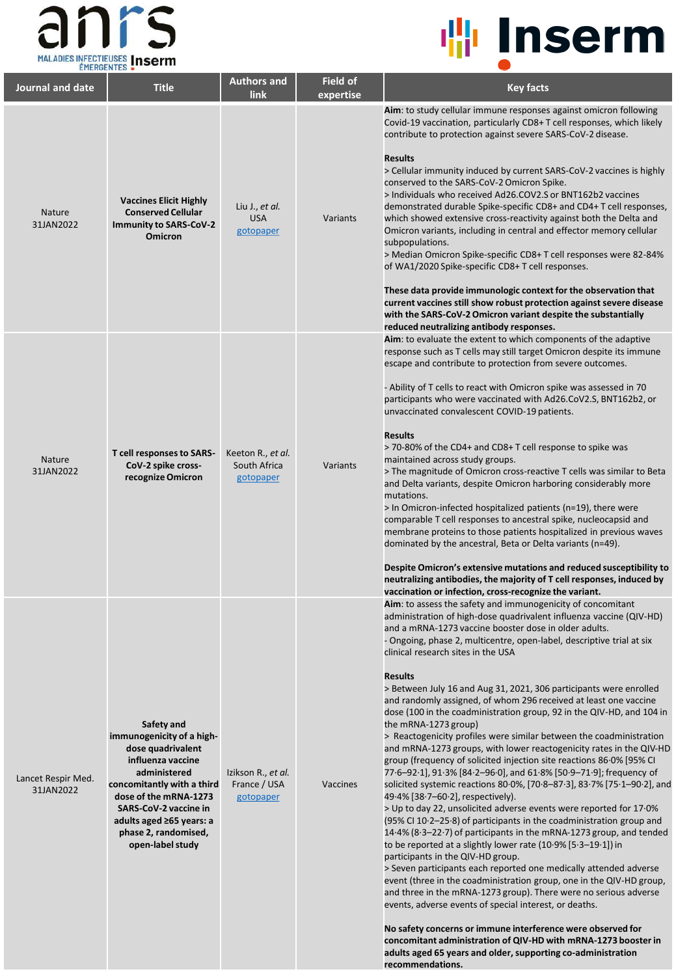| Journal and date                | LULIVULIVILU B<br><b>Title</b>                                                                                                                                                                                                                            | <b>Authors and</b><br>link                      | Field of<br>expertise | <b>Key facts</b>                                                                                                                                                                                                                                                                                                                                                                                                                                                                                                                                                                                                                                                                                                                                                                                                                                                                                                                                                                                                                                                                                                                                                                                                                                                                                                                                                                                                                                                                                                                                                                                                                                                                                                                                                                                                 |
|---------------------------------|-----------------------------------------------------------------------------------------------------------------------------------------------------------------------------------------------------------------------------------------------------------|-------------------------------------------------|-----------------------|------------------------------------------------------------------------------------------------------------------------------------------------------------------------------------------------------------------------------------------------------------------------------------------------------------------------------------------------------------------------------------------------------------------------------------------------------------------------------------------------------------------------------------------------------------------------------------------------------------------------------------------------------------------------------------------------------------------------------------------------------------------------------------------------------------------------------------------------------------------------------------------------------------------------------------------------------------------------------------------------------------------------------------------------------------------------------------------------------------------------------------------------------------------------------------------------------------------------------------------------------------------------------------------------------------------------------------------------------------------------------------------------------------------------------------------------------------------------------------------------------------------------------------------------------------------------------------------------------------------------------------------------------------------------------------------------------------------------------------------------------------------------------------------------------------------|
| <b>Nature</b><br>31JAN2022      | <b>Vaccines Elicit Highly</b><br><b>Conserved Cellular</b><br><b>Immunity to SARS-CoV-2</b><br><b>Omicron</b>                                                                                                                                             | Liu J., et al.<br><b>USA</b><br>gotopaper       | Variants              | Aim: to study cellular immune responses against omicron following<br>Covid-19 vaccination, particularly CD8+ T cell responses, which likely<br>contribute to protection against severe SARS-CoV-2 disease.<br>Results<br>> Cellular immunity induced by current SARS-CoV-2 vaccines is highly<br>conserved to the SARS-CoV-2 Omicron Spike.<br>> Individuals who received Ad26.COV2.S or BNT162b2 vaccines<br>demonstrated durable Spike-specific CD8+ and CD4+ T cell responses,<br>which showed extensive cross-reactivity against both the Delta and<br>Omicron variants, including in central and effector memory cellular<br>subpopulations.<br>> Median Omicron Spike-specific CD8+ T cell responses were 82-84%<br>of WA1/2020 Spike-specific CD8+ T cell responses.<br>These data provide immunologic context for the observation that<br>current vaccines still show robust protection against severe disease<br>with the SARS-CoV-2 Omicron variant despite the substantially<br>reduced neutralizing antibody responses.                                                                                                                                                                                                                                                                                                                                                                                                                                                                                                                                                                                                                                                                                                                                                                              |
| Nature<br>31JAN2022             | T cell responses to SARS-<br>CoV-2 spike cross-<br>recognize Omicron                                                                                                                                                                                      | Keeton R., et al.<br>South Africa<br>gotopaper  | Variants              | Aim: to evaluate the extent to which components of the adaptive<br>response such as T cells may still target Omicron despite its immune<br>escape and contribute to protection from severe outcomes.<br>- Ability of T cells to react with Omicron spike was assessed in 70<br>participants who were vaccinated with Ad26.CoV2.S, BNT162b2, or<br>unvaccinated convalescent COVID-19 patients.<br><b>Results</b><br>>70-80% of the CD4+ and CD8+T cell response to spike was<br>maintained across study groups.<br>> The magnitude of Omicron cross-reactive T cells was similar to Beta<br>and Delta variants, despite Omicron harboring considerably more<br>mutations.<br>> In Omicron-infected hospitalized patients (n=19), there were<br>comparable T cell responses to ancestral spike, nucleocapsid and<br>membrane proteins to those patients hospitalized in previous waves<br>dominated by the ancestral, Beta or Delta variants (n=49).<br>Despite Omicron's extensive mutations and reduced susceptibility to<br>neutralizing antibodies, the majority of T cell responses, induced by<br>vaccination or infection, cross-recognize the variant.                                                                                                                                                                                                                                                                                                                                                                                                                                                                                                                                                                                                                                                    |
| Lancet Respir Med.<br>31JAN2022 | Safety and<br>immunogenicity of a high-<br>dose quadrivalent<br>influenza vaccine<br>administered<br>concomitantly with a third<br>dose of the mRNA-1273<br>SARS-CoV-2 vaccine in<br>adults aged ≥65 years: a<br>phase 2, randomised,<br>open-label study | Izikson R., et al.<br>France / USA<br>gotopaper | Vaccines              | Aim: to assess the safety and immunogenicity of concomitant<br>administration of high-dose quadrivalent influenza vaccine (QIV-HD)<br>and a mRNA-1273 vaccine booster dose in older adults.<br>- Ongoing, phase 2, multicentre, open-label, descriptive trial at six<br>clinical research sites in the USA<br><b>Results</b><br>> Between July 16 and Aug 31, 2021, 306 participants were enrolled<br>and randomly assigned, of whom 296 received at least one vaccine<br>dose (100 in the coadministration group, 92 in the QIV-HD, and 104 in<br>the mRNA-1273 group)<br>> Reactogenicity profiles were similar between the coadministration<br>and mRNA-1273 groups, with lower reactogenicity rates in the QIV-HD<br>group (frequency of solicited injection site reactions 86.0% [95% CI<br>77.6-92.1], 91.3% [84.2-96.0], and 61.8% [50.9-71.9]; frequency of<br>solicited systemic reactions 80 0%, [70 8-87 3], 83 7% [75 1-90 2], and<br>49.4% [38.7-60.2], respectively).<br>> Up to day 22, unsolicited adverse events were reported for 17.0%<br>(95% CI 10.2-25.8) of participants in the coadministration group and<br>$14.4\%$ (8.3–22.7) of participants in the mRNA-1273 group, and tended<br>to be reported at a slightly lower rate (10.9% [5.3-19.1]) in<br>participants in the QIV-HD group.<br>> Seven participants each reported one medically attended adverse<br>event (three in the coadministration group, one in the QIV-HD group,<br>and three in the mRNA-1273 group). There were no serious adverse<br>events, adverse events of special interest, or deaths.<br>No safety concerns or immune interference were observed for<br>concomitant administration of QIV-HD with mRNA-1273 booster in<br>adults aged 65 years and older, supporting co-administration<br>rocommondations |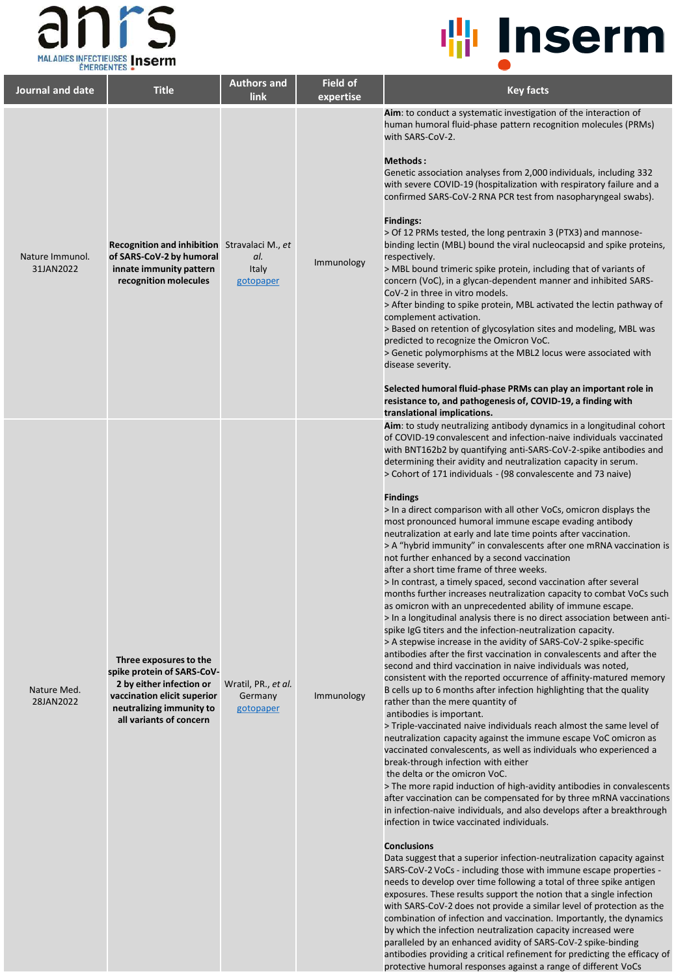|                              | <b>EMERGENTES</b> •                                                                                                                                                    |                                                |                              |                                                                                                                                                                                                                                                                                                                                                                                                                                                                                                                                                                                                                                                                                                                                                                                                                                                                                                                                                                                                                                                                                                                                                                                                                                                                                                                                                                                                                                                                                                                                                                                                                                                                                                                                                                                                                                                                                                                                                                                                                                                                                                                                                                                                                                                                                                                                                                                                                                                                                                                                                                                                                                                                                                                                                                                                                                                          |
|------------------------------|------------------------------------------------------------------------------------------------------------------------------------------------------------------------|------------------------------------------------|------------------------------|----------------------------------------------------------------------------------------------------------------------------------------------------------------------------------------------------------------------------------------------------------------------------------------------------------------------------------------------------------------------------------------------------------------------------------------------------------------------------------------------------------------------------------------------------------------------------------------------------------------------------------------------------------------------------------------------------------------------------------------------------------------------------------------------------------------------------------------------------------------------------------------------------------------------------------------------------------------------------------------------------------------------------------------------------------------------------------------------------------------------------------------------------------------------------------------------------------------------------------------------------------------------------------------------------------------------------------------------------------------------------------------------------------------------------------------------------------------------------------------------------------------------------------------------------------------------------------------------------------------------------------------------------------------------------------------------------------------------------------------------------------------------------------------------------------------------------------------------------------------------------------------------------------------------------------------------------------------------------------------------------------------------------------------------------------------------------------------------------------------------------------------------------------------------------------------------------------------------------------------------------------------------------------------------------------------------------------------------------------------------------------------------------------------------------------------------------------------------------------------------------------------------------------------------------------------------------------------------------------------------------------------------------------------------------------------------------------------------------------------------------------------------------------------------------------------------------------------------------------|
| Journal and date             | <b>Title</b>                                                                                                                                                           | <b>Authors and</b><br>link                     | <b>Field of</b><br>expertise | <b>Key facts</b>                                                                                                                                                                                                                                                                                                                                                                                                                                                                                                                                                                                                                                                                                                                                                                                                                                                                                                                                                                                                                                                                                                                                                                                                                                                                                                                                                                                                                                                                                                                                                                                                                                                                                                                                                                                                                                                                                                                                                                                                                                                                                                                                                                                                                                                                                                                                                                                                                                                                                                                                                                                                                                                                                                                                                                                                                                         |
| Nature Immunol.<br>31JAN2022 | <b>Recognition and inhibition</b><br>of SARS-CoV-2 by humoral<br>innate immunity pattern<br>recognition molecules                                                      | Stravalaci M., et<br>al.<br>Italy<br>gotopaper | Immunology                   | Aim: to conduct a systematic investigation of the interaction of<br>human humoral fluid-phase pattern recognition molecules (PRMs)<br>with SARS-CoV-2.<br><b>Methods:</b><br>Genetic association analyses from 2,000 individuals, including 332<br>with severe COVID-19 (hospitalization with respiratory failure and a<br>confirmed SARS-CoV-2 RNA PCR test from nasopharyngeal swabs).<br><b>Findings:</b><br>> Of 12 PRMs tested, the long pentraxin 3 (PTX3) and mannose-<br>binding lectin (MBL) bound the viral nucleocapsid and spike proteins,<br>respectively.<br>> MBL bound trimeric spike protein, including that of variants of<br>concern (VoC), in a glycan-dependent manner and inhibited SARS-<br>CoV-2 in three in vitro models.<br>> After binding to spike protein, MBL activated the lectin pathway of<br>complement activation.<br>> Based on retention of glycosylation sites and modeling, MBL was<br>predicted to recognize the Omicron VoC.<br>> Genetic polymorphisms at the MBL2 locus were associated with<br>disease severity.<br>Selected humoral fluid-phase PRMs can play an important role in<br>resistance to, and pathogenesis of, COVID-19, a finding with<br>translational implications.                                                                                                                                                                                                                                                                                                                                                                                                                                                                                                                                                                                                                                                                                                                                                                                                                                                                                                                                                                                                                                                                                                                                                                                                                                                                                                                                                                                                                                                                                                                                                                                                                           |
| Nature Med.<br>28JAN2022     | Three exposures to the<br>spike protein of SARS-CoV-<br>2 by either infection or<br>vaccination elicit superior<br>neutralizing immunity to<br>all variants of concern | Wratil, PR., et al.<br>Germany<br>gotopaper    | Immunology                   | Aim: to study neutralizing antibody dynamics in a longitudinal cohort<br>of COVID-19 convalescent and infection-naive individuals vaccinated<br>with BNT162b2 by quantifying anti-SARS-CoV-2-spike antibodies and<br>determining their avidity and neutralization capacity in serum.<br>> Cohort of 171 individuals - (98 convalescente and 73 naive)<br><b>Findings</b><br>> In a direct comparison with all other VoCs, omicron displays the<br>most pronounced humoral immune escape evading antibody<br>neutralization at early and late time points after vaccination.<br>> A "hybrid immunity" in convalescents after one mRNA vaccination is<br>not further enhanced by a second vaccination<br>after a short time frame of three weeks.<br>> In contrast, a timely spaced, second vaccination after several<br>months further increases neutralization capacity to combat VoCs such<br>as omicron with an unprecedented ability of immune escape.<br>> In a longitudinal analysis there is no direct association between anti-<br>spike IgG titers and the infection-neutralization capacity.<br>> A stepwise increase in the avidity of SARS-CoV-2 spike-specific<br>antibodies after the first vaccination in convalescents and after the<br>second and third vaccination in naive individuals was noted,<br>consistent with the reported occurrence of affinity-matured memory<br>B cells up to 6 months after infection highlighting that the quality<br>rather than the mere quantity of<br>antibodies is important.<br>> Triple-vaccinated naive individuals reach almost the same level of<br>neutralization capacity against the immune escape VoC omicron as<br>vaccinated convalescents, as well as individuals who experienced a<br>break-through infection with either<br>the delta or the omicron VoC.<br>> The more rapid induction of high-avidity antibodies in convalescents<br>after vaccination can be compensated for by three mRNA vaccinations<br>in infection-naive individuals, and also develops after a breakthrough<br>infection in twice vaccinated individuals.<br><b>Conclusions</b><br>Data suggest that a superior infection-neutralization capacity against<br>SARS-CoV-2 VoCs - including those with immune escape properties -<br>needs to develop over time following a total of three spike antigen<br>exposures. These results support the notion that a single infection<br>with SARS-CoV-2 does not provide a similar level of protection as the<br>combination of infection and vaccination. Importantly, the dynamics<br>by which the infection neutralization capacity increased were<br>paralleled by an enhanced avidity of SARS-CoV-2 spike-binding<br>antibodies providing a critical refinement for predicting the efficacy of<br>protective humoral responses against a range of different VoCs |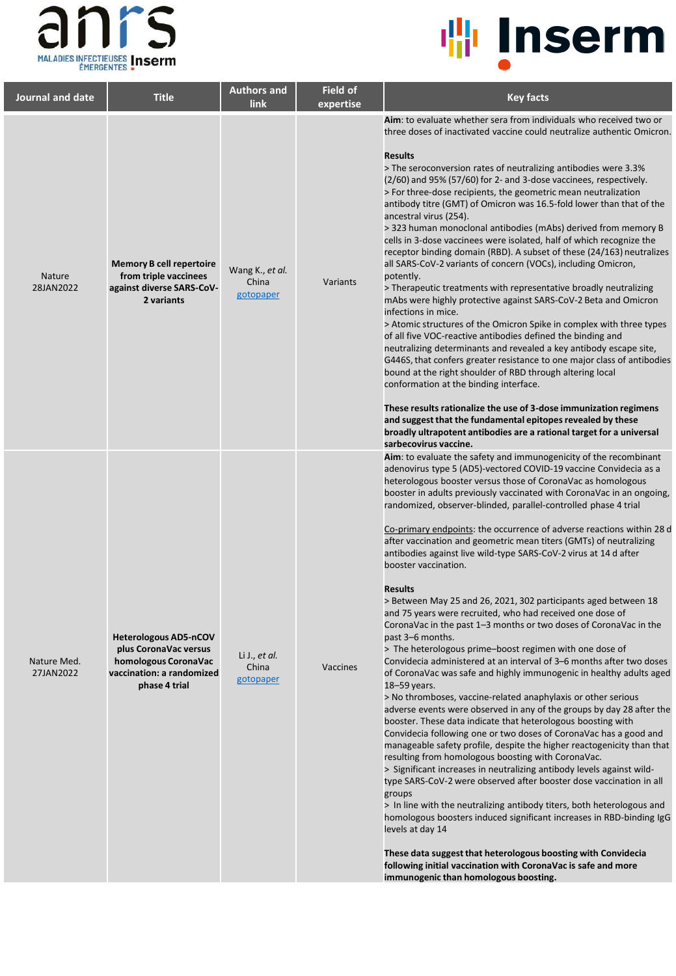

| Journal and date         | <b>Title</b>                                                                                                                | <b>Authors and</b><br><b>link</b>     | <b>Field of</b><br>expertise | <b>Key facts</b>                                                                                                                                                                                                                                                                                                                                                                                                                                                                                                                                                                                                                                                                                                                                                                                                                                                                                                                                                                                                                                                                                                                                                                                                                                                                                                                                                                                                                                                                                                                                                                                                                                                                                                                                                                                                                                                                                                                                                                             |
|--------------------------|-----------------------------------------------------------------------------------------------------------------------------|---------------------------------------|------------------------------|----------------------------------------------------------------------------------------------------------------------------------------------------------------------------------------------------------------------------------------------------------------------------------------------------------------------------------------------------------------------------------------------------------------------------------------------------------------------------------------------------------------------------------------------------------------------------------------------------------------------------------------------------------------------------------------------------------------------------------------------------------------------------------------------------------------------------------------------------------------------------------------------------------------------------------------------------------------------------------------------------------------------------------------------------------------------------------------------------------------------------------------------------------------------------------------------------------------------------------------------------------------------------------------------------------------------------------------------------------------------------------------------------------------------------------------------------------------------------------------------------------------------------------------------------------------------------------------------------------------------------------------------------------------------------------------------------------------------------------------------------------------------------------------------------------------------------------------------------------------------------------------------------------------------------------------------------------------------------------------------|
| Nature<br>28JAN2022      | <b>Memory B cell repertoire</b><br>from triple vaccinees<br>against diverse SARS-CoV-<br>2 variants                         | Wang K., et al.<br>China<br>gotopaper | Variants                     | Aim: to evaluate whether sera from individuals who received two or<br>three doses of inactivated vaccine could neutralize authentic Omicron.<br><b>Results</b><br>> The seroconversion rates of neutralizing antibodies were 3.3%<br>(2/60) and 95% (57/60) for 2- and 3-dose vaccinees, respectively.<br>> For three-dose recipients, the geometric mean neutralization<br>antibody titre (GMT) of Omicron was 16.5-fold lower than that of the<br>ancestral virus (254).<br>> 323 human monoclonal antibodies (mAbs) derived from memory B<br>cells in 3-dose vaccinees were isolated, half of which recognize the<br>receptor binding domain (RBD). A subset of these (24/163) neutralizes<br>all SARS-CoV-2 variants of concern (VOCs), including Omicron,<br>potently.<br>> Therapeutic treatments with representative broadly neutralizing<br>mAbs were highly protective against SARS-CoV-2 Beta and Omicron<br>infections in mice.<br>> Atomic structures of the Omicron Spike in complex with three types<br>of all five VOC-reactive antibodies defined the binding and<br>neutralizing determinants and revealed a key antibody escape site,<br>G446S, that confers greater resistance to one major class of antibodies<br>bound at the right shoulder of RBD through altering local<br>conformation at the binding interface.<br>These results rationalize the use of 3-dose immunization regimens<br>and suggest that the fundamental epitopes revealed by these<br>broadly ultrapotent antibodies are a rational target for a universal<br>sarbecovirus vaccine.                                                                                                                                                                                                                                                                                                                                                                                                               |
| Nature Med.<br>27JAN2022 | <b>Heterologous AD5-nCOV</b><br>plus CoronaVac versus<br>homologous CoronaVac<br>vaccination: a randomized<br>phase 4 trial | Li J., et al.<br>China<br>gotopaper   | Vaccines                     | Aim: to evaluate the safety and immunogenicity of the recombinant<br>adenovirus type 5 (AD5)-vectored COVID-19 vaccine Convidecia as a<br>heterologous booster versus those of CoronaVac as homologous<br>booster in adults previously vaccinated with CoronaVac in an ongoing,<br>randomized, observer-blinded, parallel-controlled phase 4 trial<br>Co-primary endpoints: the occurrence of adverse reactions within 28 d<br>after vaccination and geometric mean titers (GMTs) of neutralizing<br>antibodies against live wild-type SARS-CoV-2 virus at 14 d after<br>booster vaccination.<br><b>Results</b><br>> Between May 25 and 26, 2021, 302 participants aged between 18<br>and 75 years were recruited, who had received one dose of<br>CoronaVac in the past 1–3 months or two doses of CoronaVac in the<br>past 3–6 months.<br>> The heterologous prime-boost regimen with one dose of<br>Convidecia administered at an interval of 3–6 months after two doses<br>of CoronaVac was safe and highly immunogenic in healthy adults aged<br>18–59 years.<br>> No thromboses, vaccine-related anaphylaxis or other serious<br>adverse events were observed in any of the groups by day 28 after the<br>booster. These data indicate that heterologous boosting with<br>Convidecia following one or two doses of CoronaVac has a good and<br>manageable safety profile, despite the higher reactogenicity than that<br>resulting from homologous boosting with CoronaVac.<br>> Significant increases in neutralizing antibody levels against wild-<br>type SARS-CoV-2 were observed after booster dose vaccination in all<br>groups<br>> In line with the neutralizing antibody titers, both heterologous and<br>homologous boosters induced significant increases in RBD-binding IgG<br>levels at day 14<br>These data suggest that heterologous boosting with Convidecia<br>following initial vaccination with CoronaVac is safe and more<br>immunogenic than homologous boosting. |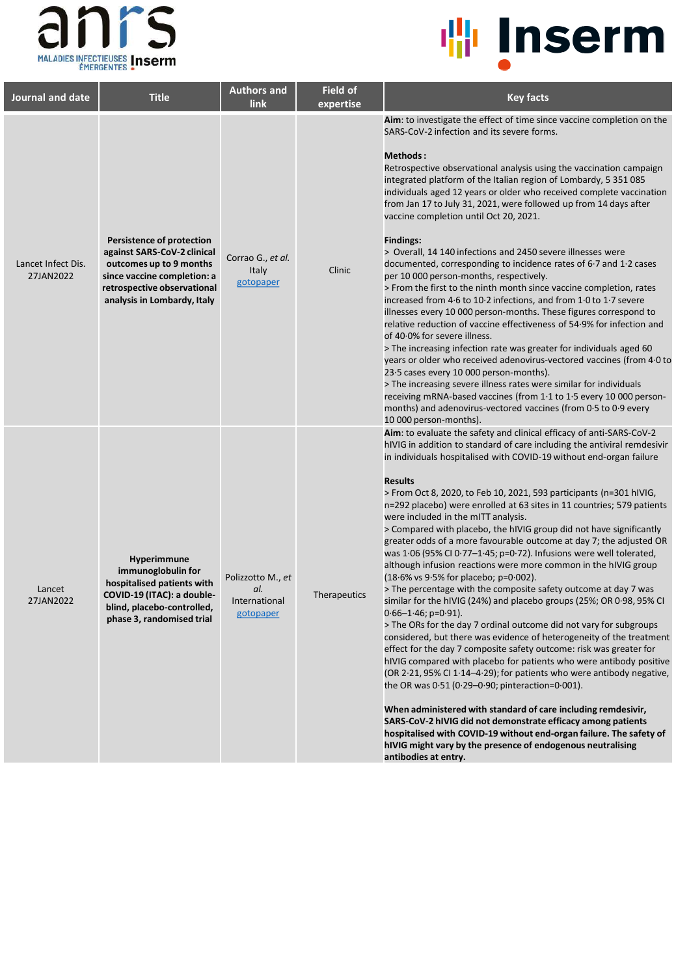

| Journal and date                | <b>Title</b>                                                                                                                                                                            | <b>Authors and</b><br>link                             | <b>Field of</b><br>expertise | <b>Key facts</b>                                                                                                                                                                                                                                                                                                                                                                                                                                                                                                                                                                                                                                                                                                                                                                                                                                                                                                                                                                                                                                                                                                                                                                                                                                                                                                                                                                                                                                                                                                                                                                                                                                                                                           |
|---------------------------------|-----------------------------------------------------------------------------------------------------------------------------------------------------------------------------------------|--------------------------------------------------------|------------------------------|------------------------------------------------------------------------------------------------------------------------------------------------------------------------------------------------------------------------------------------------------------------------------------------------------------------------------------------------------------------------------------------------------------------------------------------------------------------------------------------------------------------------------------------------------------------------------------------------------------------------------------------------------------------------------------------------------------------------------------------------------------------------------------------------------------------------------------------------------------------------------------------------------------------------------------------------------------------------------------------------------------------------------------------------------------------------------------------------------------------------------------------------------------------------------------------------------------------------------------------------------------------------------------------------------------------------------------------------------------------------------------------------------------------------------------------------------------------------------------------------------------------------------------------------------------------------------------------------------------------------------------------------------------------------------------------------------------|
| Lancet Infect Dis.<br>27JAN2022 | <b>Persistence of protection</b><br>against SARS-CoV-2 clinical<br>outcomes up to 9 months<br>since vaccine completion: a<br>retrospective observational<br>analysis in Lombardy, Italy | Corrao G., et al.<br>Italy<br>gotopaper                | Clinic                       | Aim: to investigate the effect of time since vaccine completion on the<br>SARS-CoV-2 infection and its severe forms.<br><b>Methods :</b><br>Retrospective observational analysis using the vaccination campaign<br>integrated platform of the Italian region of Lombardy, 5 351 085<br>individuals aged 12 years or older who received complete vaccination<br>from Jan 17 to July 31, 2021, were followed up from 14 days after<br>vaccine completion until Oct 20, 2021.<br><b>Findings:</b><br>> Overall, 14 140 infections and 2450 severe illnesses were<br>documented, corresponding to incidence rates of $6-7$ and $1-2$ cases<br>per 10 000 person-months, respectively.<br>> From the first to the ninth month since vaccine completion, rates<br>increased from 4.6 to 10.2 infections, and from 1.0 to 1.7 severe<br>illnesses every 10 000 person-months. These figures correspond to<br>relative reduction of vaccine effectiveness of 54.9% for infection and<br>of 40.0% for severe illness.<br>> The increasing infection rate was greater for individuals aged 60<br>years or older who received adenovirus-vectored vaccines (from 4.0 to<br>23.5 cases every 10 000 person-months).<br>> The increasing severe illness rates were similar for individuals<br>receiving mRNA-based vaccines (from 1.1 to 1.5 every 10 000 person-<br>months) and adenovirus-vectored vaccines (from $0.5$ to $0.9$ every<br>10 000 person-months).                                                                                                                                                                                                                                                      |
| Lancet<br>27JAN2022             | Hyperimmune<br>immunoglobulin for<br>hospitalised patients with<br>COVID-19 (ITAC): a double-<br>blind, placebo-controlled,<br>phase 3, randomised trial                                | Polizzotto M., et<br>al.<br>International<br>gotopaper | Therapeutics                 | Aim: to evaluate the safety and clinical efficacy of anti-SARS-CoV-2<br>hIVIG in addition to standard of care including the antiviral remdesivir<br>in individuals hospitalised with COVID-19 without end-organ failure<br><b>Results</b><br>> From Oct 8, 2020, to Feb 10, 2021, 593 participants (n=301 hIVIG,<br>n=292 placebo) were enrolled at 63 sites in 11 countries; 579 patients<br>were included in the mITT analysis.<br>> Compared with placebo, the hIVIG group did not have significantly<br>greater odds of a more favourable outcome at day 7; the adjusted OR<br>was 1.06 (95% CI 0.77-1.45; p=0.72). Infusions were well tolerated,<br>although infusion reactions were more common in the hIVIG group<br>$(18.6\% \text{ vs } 9.5\% \text{ for } \text{placebo}; \text{ p=0.002}).$<br>> The percentage with the composite safety outcome at day 7 was<br>similar for the hIVIG (24%) and placebo groups (25%; OR 0.98, 95% CI<br>$0.66 - 1.46$ ; p= $0.91$ ).<br>> The ORs for the day 7 ordinal outcome did not vary for subgroups<br>considered, but there was evidence of heterogeneity of the treatment<br>effect for the day 7 composite safety outcome: risk was greater for<br>hIVIG compared with placebo for patients who were antibody positive<br>(OR 2.21, 95% CI 1.14-4.29); for patients who were antibody negative,<br>the OR was 0.51 (0.29-0.90; pinteraction=0.001).<br>When administered with standard of care including remdesivir,<br>SARS-CoV-2 hIVIG did not demonstrate efficacy among patients<br>hospitalised with COVID-19 without end-organ failure. The safety of<br>hIVIG might vary by the presence of endogenous neutralising<br>antibodies at entry. |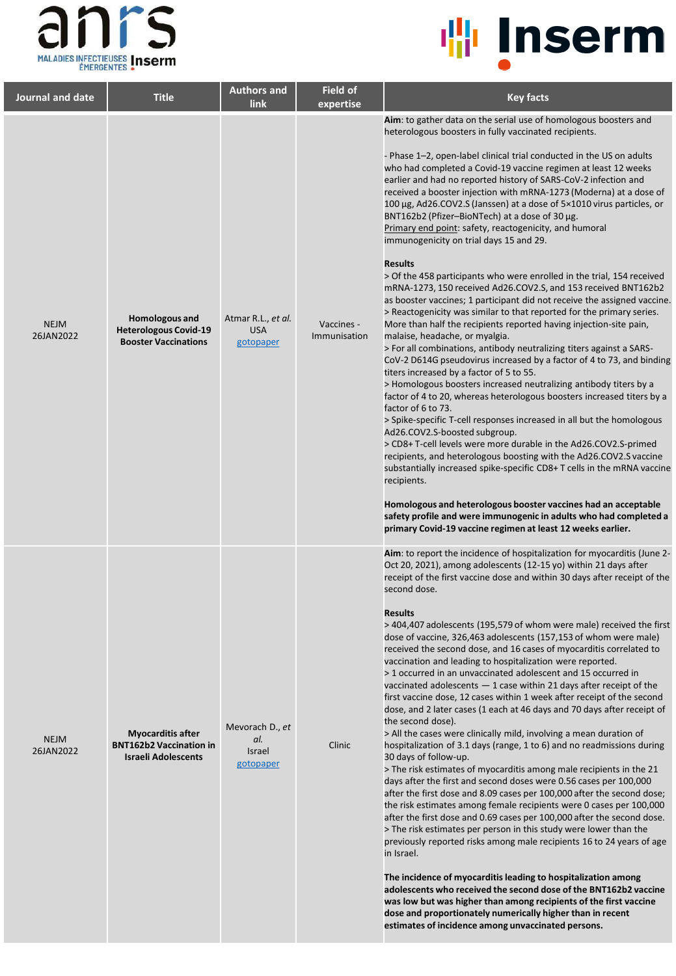

 $\overline{\phantom{a}}$ 

| Journal and date         | <b>Title</b>                                                                             | <b>Authors and</b><br>link                    | <b>Field of</b><br>expertise | <b>Key facts</b>                                                                                                                                                                                                                                                                                                                                                                                                                                                                                                                                                                                                                                                                                                                                                                                                                                                                                                                                                                                                                                                                                                                                                                                                                                                                                                                                                                                                                                                                                                                                                                                                                                                                                                                                                                                                                                                                                                                                                                             |
|--------------------------|------------------------------------------------------------------------------------------|-----------------------------------------------|------------------------------|----------------------------------------------------------------------------------------------------------------------------------------------------------------------------------------------------------------------------------------------------------------------------------------------------------------------------------------------------------------------------------------------------------------------------------------------------------------------------------------------------------------------------------------------------------------------------------------------------------------------------------------------------------------------------------------------------------------------------------------------------------------------------------------------------------------------------------------------------------------------------------------------------------------------------------------------------------------------------------------------------------------------------------------------------------------------------------------------------------------------------------------------------------------------------------------------------------------------------------------------------------------------------------------------------------------------------------------------------------------------------------------------------------------------------------------------------------------------------------------------------------------------------------------------------------------------------------------------------------------------------------------------------------------------------------------------------------------------------------------------------------------------------------------------------------------------------------------------------------------------------------------------------------------------------------------------------------------------------------------------|
| <b>NEJM</b><br>26JAN2022 | Homologous and<br><b>Heterologous Covid-19</b><br><b>Booster Vaccinations</b>            | Atmar R.L., et al.<br><b>USA</b><br>gotopaper | Vaccines -<br>Immunisation   | Aim: to gather data on the serial use of homologous boosters and<br>heterologous boosters in fully vaccinated recipients.<br>- Phase 1–2, open-label clinical trial conducted in the US on adults<br>who had completed a Covid-19 vaccine regimen at least 12 weeks<br>earlier and had no reported history of SARS-CoV-2 infection and<br>received a booster injection with mRNA-1273 (Moderna) at a dose of<br>100 μg, Ad26.COV2.S (Janssen) at a dose of 5×1010 virus particles, or<br>BNT162b2 (Pfizer-BioNTech) at a dose of 30 µg.<br>Primary end point: safety, reactogenicity, and humoral<br>immunogenicity on trial days 15 and 29.<br><b>Results</b><br>> Of the 458 participants who were enrolled in the trial, 154 received<br>mRNA-1273, 150 received Ad26.COV2.S, and 153 received BNT162b2<br>as booster vaccines; 1 participant did not receive the assigned vaccine.<br>> Reactogenicity was similar to that reported for the primary series.<br>More than half the recipients reported having injection-site pain,<br>malaise, headache, or myalgia.<br>> For all combinations, antibody neutralizing titers against a SARS-<br>CoV-2 D614G pseudovirus increased by a factor of 4 to 73, and binding<br>titers increased by a factor of 5 to 55.<br>> Homologous boosters increased neutralizing antibody titers by a<br>factor of 4 to 20, whereas heterologous boosters increased titers by a<br>factor of 6 to 73.<br>> Spike-specific T-cell responses increased in all but the homologous<br>Ad26.COV2.S-boosted subgroup.<br>> CD8+ T-cell levels were more durable in the Ad26.COV2.S-primed<br>recipients, and heterologous boosting with the Ad26.COV2.S vaccine<br>substantially increased spike-specific CD8+T cells in the mRNA vaccine<br>recipients.<br>Homologous and heterologous booster vaccines had an acceptable<br>safety profile and were immunogenic in adults who had completed a<br>primary Covid-19 vaccine regimen at least 12 weeks earlier. |
| <b>NEJM</b><br>26JAN2022 | <b>Myocarditis after</b><br><b>BNT162b2 Vaccination in</b><br><b>Israeli Adolescents</b> | Mevorach D., et<br>al.<br>Israel<br>gotopaper | Clinic                       | Aim: to report the incidence of hospitalization for myocarditis (June 2-<br>Oct 20, 2021), among adolescents (12-15 yo) within 21 days after<br>receipt of the first vaccine dose and within 30 days after receipt of the<br>second dose.<br><b>Results</b><br>> 404,407 adolescents (195,579 of whom were male) received the first<br>dose of vaccine, 326,463 adolescents (157,153 of whom were male)<br>received the second dose, and 16 cases of myocarditis correlated to<br>vaccination and leading to hospitalization were reported.<br>>1 occurred in an unvaccinated adolescent and 15 occurred in<br>vaccinated adolescents $-1$ case within 21 days after receipt of the<br>first vaccine dose, 12 cases within 1 week after receipt of the second<br>dose, and 2 later cases (1 each at 46 days and 70 days after receipt of<br>the second dose).<br>> All the cases were clinically mild, involving a mean duration of<br>hospitalization of 3.1 days (range, 1 to 6) and no readmissions during<br>30 days of follow-up.<br>> The risk estimates of myocarditis among male recipients in the 21<br>days after the first and second doses were 0.56 cases per 100,000<br>after the first dose and 8.09 cases per 100,000 after the second dose;<br>the risk estimates among female recipients were 0 cases per 100,000<br>after the first dose and 0.69 cases per 100,000 after the second dose.<br>> The risk estimates per person in this study were lower than the<br>previously reported risks among male recipients 16 to 24 years of age<br>in Israel.<br>The incidence of myocarditis leading to hospitalization among<br>adolescents who received the second dose of the BNT162b2 vaccine<br>was low but was higher than among recipients of the first vaccine<br>dose and proportionately numerically higher than in recent<br>estimates of incidence among unvaccinated persons.                                                                                      |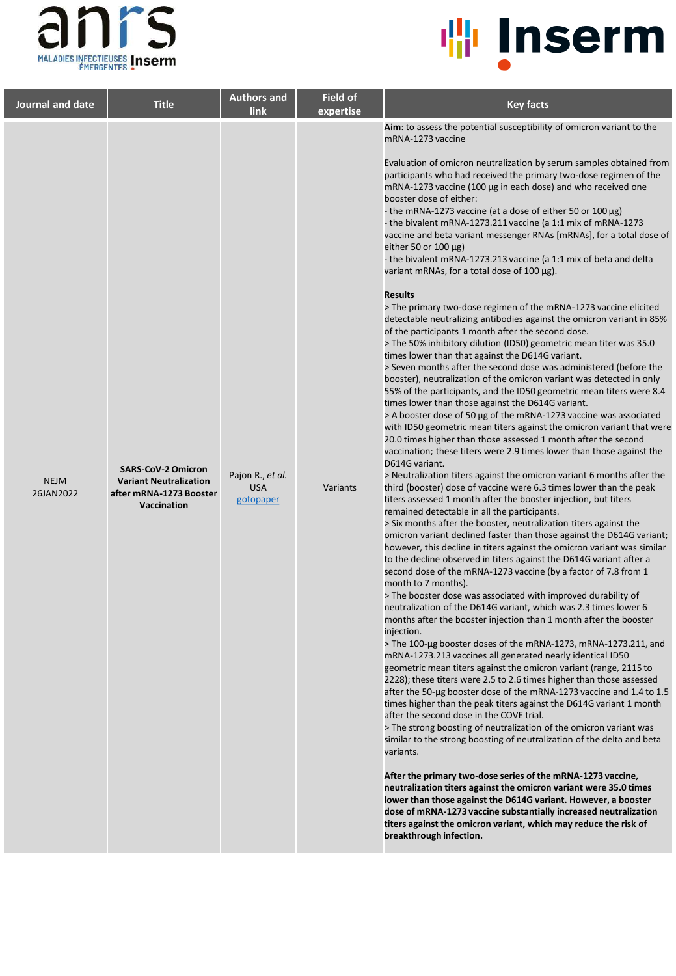

L

| Journal and date         | <b>Title</b>                                                                                         | <b>Authors and</b><br>link                  | <b>Field of</b><br>expertise | <b>Key facts</b>                                                                                                                                                                                                                                                                                                                                                                                                                                                                                                                                                                                                                                                                                                                                                                                                                                                                                                                                                                                                                                                                                                                                                                                                                                                                                                                                                                                                                                                                                                                                                                                                                                                                                                                                                                                                                                                                                                                                                                                                                                                                                                                                                                                                                                                                                                                                                                                                                                                                                                                                                                                                                                                                                                                                                                                                                                                                                                                                                                                                                                                                                                                                                                                                                                                                                                                                                                                                                                                                                                                       |
|--------------------------|------------------------------------------------------------------------------------------------------|---------------------------------------------|------------------------------|----------------------------------------------------------------------------------------------------------------------------------------------------------------------------------------------------------------------------------------------------------------------------------------------------------------------------------------------------------------------------------------------------------------------------------------------------------------------------------------------------------------------------------------------------------------------------------------------------------------------------------------------------------------------------------------------------------------------------------------------------------------------------------------------------------------------------------------------------------------------------------------------------------------------------------------------------------------------------------------------------------------------------------------------------------------------------------------------------------------------------------------------------------------------------------------------------------------------------------------------------------------------------------------------------------------------------------------------------------------------------------------------------------------------------------------------------------------------------------------------------------------------------------------------------------------------------------------------------------------------------------------------------------------------------------------------------------------------------------------------------------------------------------------------------------------------------------------------------------------------------------------------------------------------------------------------------------------------------------------------------------------------------------------------------------------------------------------------------------------------------------------------------------------------------------------------------------------------------------------------------------------------------------------------------------------------------------------------------------------------------------------------------------------------------------------------------------------------------------------------------------------------------------------------------------------------------------------------------------------------------------------------------------------------------------------------------------------------------------------------------------------------------------------------------------------------------------------------------------------------------------------------------------------------------------------------------------------------------------------------------------------------------------------------------------------------------------------------------------------------------------------------------------------------------------------------------------------------------------------------------------------------------------------------------------------------------------------------------------------------------------------------------------------------------------------------------------------------------------------------------------------------------------------|
| <b>NEJM</b><br>26JAN2022 | <b>SARS-CoV-2 Omicron</b><br><b>Variant Neutralization</b><br>after mRNA-1273 Booster<br>Vaccination | Pajon R., et al.<br><b>USA</b><br>gotopaper | Variants                     | Aim: to assess the potential susceptibility of omicron variant to the<br>mRNA-1273 vaccine<br>Evaluation of omicron neutralization by serum samples obtained from<br>participants who had received the primary two-dose regimen of the<br>mRNA-1273 vaccine (100 µg in each dose) and who received one<br>booster dose of either:<br>- the mRNA-1273 vaccine (at a dose of either 50 or $100 \mu g$ )<br>- the bivalent mRNA-1273.211 vaccine (a 1:1 mix of mRNA-1273<br>vaccine and beta variant messenger RNAs [mRNAs], for a total dose of<br>either 50 or 100 $\mu$ g)<br>- the bivalent mRNA-1273.213 vaccine (a 1:1 mix of beta and delta<br>variant mRNAs, for a total dose of 100 μg).<br><b>Results</b><br>> The primary two-dose regimen of the mRNA-1273 vaccine elicited<br>detectable neutralizing antibodies against the omicron variant in 85%<br>of the participants 1 month after the second dose.<br>> The 50% inhibitory dilution (ID50) geometric mean titer was 35.0<br>times lower than that against the D614G variant.<br>> Seven months after the second dose was administered (before the<br>booster), neutralization of the omicron variant was detected in only<br>55% of the participants, and the ID50 geometric mean titers were 8.4<br>times lower than those against the D614G variant.<br>> A booster dose of 50 μg of the mRNA-1273 vaccine was associated<br>with ID50 geometric mean titers against the omicron variant that were<br>20.0 times higher than those assessed 1 month after the second<br>vaccination; these titers were 2.9 times lower than those against the<br>D614G variant.<br>> Neutralization titers against the omicron variant 6 months after the<br>third (booster) dose of vaccine were 6.3 times lower than the peak<br>titers assessed 1 month after the booster injection, but titers<br>remained detectable in all the participants.<br>> Six months after the booster, neutralization titers against the<br>omicron variant declined faster than those against the D614G variant;<br>however, this decline in titers against the omicron variant was similar<br>to the decline observed in titers against the D614G variant after a<br>second dose of the mRNA-1273 vaccine (by a factor of 7.8 from 1<br>month to 7 months).<br>> The booster dose was associated with improved durability of<br>neutralization of the D614G variant, which was 2.3 times lower 6<br>months after the booster injection than 1 month after the booster<br>injection.<br>> The 100-μg booster doses of the mRNA-1273, mRNA-1273.211, and<br>mRNA-1273.213 vaccines all generated nearly identical ID50<br>geometric mean titers against the omicron variant (range, 2115 to<br>2228); these titers were 2.5 to 2.6 times higher than those assessed<br>after the 50-µg booster dose of the mRNA-1273 vaccine and 1.4 to 1.5<br>times higher than the peak titers against the D614G variant 1 month<br>after the second dose in the COVE trial.<br>> The strong boosting of neutralization of the omicron variant was<br>similar to the strong boosting of neutralization of the delta and beta<br>variants.<br>After the primary two-dose series of the mRNA-1273 vaccine,<br>neutralization titers against the omicron variant were 35.0 times<br>lower than those against the D614G variant. However, a booster<br>dose of mRNA-1273 vaccine substantially increased neutralization<br>titers against the omicron variant, which may reduce the risk of<br>breakthrough infection. |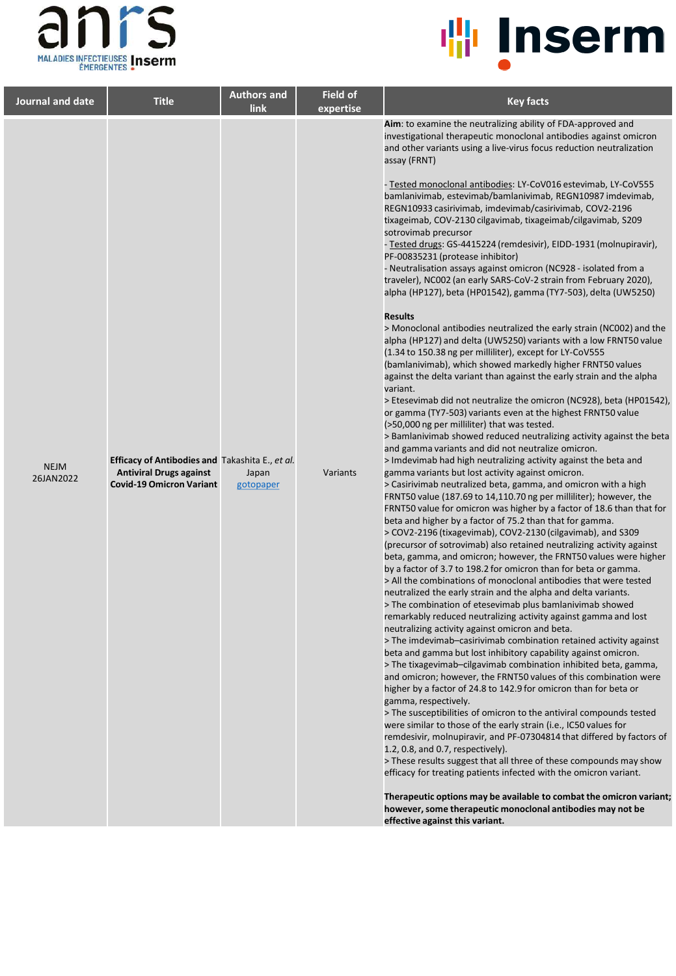

| Journal and date         | <b>Title</b>                                                                                                                | <b>Authors and</b><br><b>link</b> | <b>Field of</b><br>expertise | <b>Key facts</b>                                                                                                                                                                                                                                                                                                                                                                                                                                                                                                                                                                                                                                                                                                                                                                                                                                                                                                                                                                                                                                                                                                                                                                                                                                                                                                                                                                                                                                                                                                                                                                                                                                                                                                                                                                                                                                                                                                                                                                                                                                                                                                                                                                                                                                                                                                                                                                                                                                                                                                                                                                                                                                                                                                                                                                                                                                                                                                                                                                                                                                                                                                                                                                                                                                                                                                                                                                                                                                                                                      |
|--------------------------|-----------------------------------------------------------------------------------------------------------------------------|-----------------------------------|------------------------------|-------------------------------------------------------------------------------------------------------------------------------------------------------------------------------------------------------------------------------------------------------------------------------------------------------------------------------------------------------------------------------------------------------------------------------------------------------------------------------------------------------------------------------------------------------------------------------------------------------------------------------------------------------------------------------------------------------------------------------------------------------------------------------------------------------------------------------------------------------------------------------------------------------------------------------------------------------------------------------------------------------------------------------------------------------------------------------------------------------------------------------------------------------------------------------------------------------------------------------------------------------------------------------------------------------------------------------------------------------------------------------------------------------------------------------------------------------------------------------------------------------------------------------------------------------------------------------------------------------------------------------------------------------------------------------------------------------------------------------------------------------------------------------------------------------------------------------------------------------------------------------------------------------------------------------------------------------------------------------------------------------------------------------------------------------------------------------------------------------------------------------------------------------------------------------------------------------------------------------------------------------------------------------------------------------------------------------------------------------------------------------------------------------------------------------------------------------------------------------------------------------------------------------------------------------------------------------------------------------------------------------------------------------------------------------------------------------------------------------------------------------------------------------------------------------------------------------------------------------------------------------------------------------------------------------------------------------------------------------------------------------------------------------------------------------------------------------------------------------------------------------------------------------------------------------------------------------------------------------------------------------------------------------------------------------------------------------------------------------------------------------------------------------------------------------------------------------------------------------------------------------|
| <b>NEJM</b><br>26JAN2022 | <b>Efficacy of Antibodies and Takashita E., et al.</b><br><b>Antiviral Drugs against</b><br><b>Covid-19 Omicron Variant</b> | Japan<br>gotopaper                | Variants                     | Aim: to examine the neutralizing ability of FDA-approved and<br>investigational therapeutic monoclonal antibodies against omicron<br>and other variants using a live-virus focus reduction neutralization<br>assay (FRNT)<br>- Tested monoclonal antibodies: LY-CoV016 estevimab, LY-CoV555<br>bamlanivimab, estevimab/bamlanivimab, REGN10987 imdevimab,<br>REGN10933 casirivimab, imdevimab/casirivimab, COV2-2196<br>tixageimab, COV-2130 cilgavimab, tixageimab/cilgavimab, S209<br>sotrovimab precursor<br>- Tested drugs: GS-4415224 (remdesivir), EIDD-1931 (molnupiravir),<br>PF-00835231 (protease inhibitor)<br>- Neutralisation assays against omicron (NC928 - isolated from a<br>traveler), NC002 (an early SARS-CoV-2 strain from February 2020),<br>alpha (HP127), beta (HP01542), gamma (TY7-503), delta (UW5250)<br><b>Results</b><br>> Monoclonal antibodies neutralized the early strain (NC002) and the<br>alpha (HP127) and delta (UW5250) variants with a low FRNT50 value<br>(1.34 to 150.38 ng per milliliter), except for LY-CoV555<br>(bamlanivimab), which showed markedly higher FRNT50 values<br>against the delta variant than against the early strain and the alpha<br>variant.<br>> Etesevimab did not neutralize the omicron (NC928), beta (HP01542)<br>or gamma (TY7-503) variants even at the highest FRNT50 value<br>(>50,000 ng per milliliter) that was tested.<br>> Bamlanivimab showed reduced neutralizing activity against the beta<br>and gamma variants and did not neutralize omicron.<br>> Imdevimab had high neutralizing activity against the beta and<br>gamma variants but lost activity against omicron.<br>> Casirivimab neutralized beta, gamma, and omicron with a high<br>FRNT50 value (187.69 to 14,110.70 ng per milliliter); however, the<br>FRNT50 value for omicron was higher by a factor of 18.6 than that for<br>beta and higher by a factor of 75.2 than that for gamma.<br>> COV2-2196 (tixagevimab), COV2-2130 (cilgavimab), and S309<br>(precursor of sotrovimab) also retained neutralizing activity against<br>beta, gamma, and omicron; however, the FRNT50 values were higher<br>by a factor of 3.7 to 198.2 for omicron than for beta or gamma.<br>> All the combinations of monoclonal antibodies that were tested<br>neutralized the early strain and the alpha and delta variants.<br>> The combination of etesevimab plus bamlanivimab showed<br>remarkably reduced neutralizing activity against gamma and lost<br>neutralizing activity against omicron and beta.<br>> The imdevimab-casirivimab combination retained activity against<br>beta and gamma but lost inhibitory capability against omicron.<br>> The tixagevimab-cilgavimab combination inhibited beta, gamma,<br>and omicron; however, the FRNT50 values of this combination were<br>higher by a factor of 24.8 to 142.9 for omicron than for beta or<br>gamma, respectively.<br>> The susceptibilities of omicron to the antiviral compounds tested<br>were similar to those of the early strain (i.e., IC50 values for<br>remdesivir, molnupiravir, and PF-07304814 that differed by factors of<br>1.2, 0.8, and 0.7, respectively).<br>> These results suggest that all three of these compounds may show<br>efficacy for treating patients infected with the omicron variant.<br>Therapeutic options may be available to combat the omicron variant<br>however, some therapeutic monoclonal antibodies may not be<br>effective against this variant. |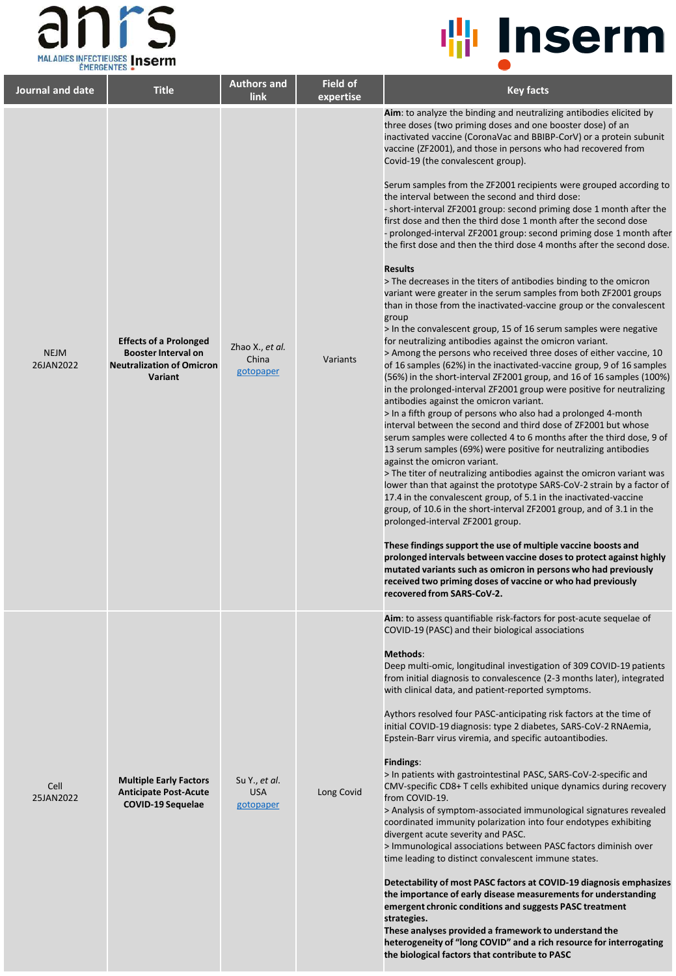| Journal and date         | <b>Title</b>                                                                                               | <b>Authors and</b><br>link                       | <b>Field of</b><br>expertise | <b>Key facts</b>                                                                                                                                                                                                                                                                                                                                                                                                                                                                                                                                                                                                                                                                                                                                                                                                                                                                                                                                                                                                                                                                                                                                                                                                                                                                                                                                                                                                                                                                                                                                                                                                                                                                                                                                                                                                                                                                                                                                                                                                                                                                                                                                                                                                                                                                                                                                                                                                               |
|--------------------------|------------------------------------------------------------------------------------------------------------|--------------------------------------------------|------------------------------|--------------------------------------------------------------------------------------------------------------------------------------------------------------------------------------------------------------------------------------------------------------------------------------------------------------------------------------------------------------------------------------------------------------------------------------------------------------------------------------------------------------------------------------------------------------------------------------------------------------------------------------------------------------------------------------------------------------------------------------------------------------------------------------------------------------------------------------------------------------------------------------------------------------------------------------------------------------------------------------------------------------------------------------------------------------------------------------------------------------------------------------------------------------------------------------------------------------------------------------------------------------------------------------------------------------------------------------------------------------------------------------------------------------------------------------------------------------------------------------------------------------------------------------------------------------------------------------------------------------------------------------------------------------------------------------------------------------------------------------------------------------------------------------------------------------------------------------------------------------------------------------------------------------------------------------------------------------------------------------------------------------------------------------------------------------------------------------------------------------------------------------------------------------------------------------------------------------------------------------------------------------------------------------------------------------------------------------------------------------------------------------------------------------------------------|
| <b>NEJM</b><br>26JAN2022 | <b>Effects of a Prolonged</b><br><b>Booster Interval on</b><br><b>Neutralization of Omicron</b><br>Variant | Zhao X., et al.<br>China<br>gotopaper            | Variants                     | Aim: to analyze the binding and neutralizing antibodies elicited by<br>three doses (two priming doses and one booster dose) of an<br>inactivated vaccine (CoronaVac and BBIBP-CorV) or a protein subunit<br>vaccine (ZF2001), and those in persons who had recovered from<br>Covid-19 (the convalescent group).<br>Serum samples from the ZF2001 recipients were grouped according to<br>the interval between the second and third dose:<br>- short-interval ZF2001 group: second priming dose 1 month after the<br>first dose and then the third dose 1 month after the second dose<br>- prolonged-interval ZF2001 group: second priming dose 1 month after<br>the first dose and then the third dose 4 months after the second dose.<br><b>Results</b><br>> The decreases in the titers of antibodies binding to the omicron<br>variant were greater in the serum samples from both ZF2001 groups<br>than in those from the inactivated-vaccine group or the convalescent<br>group<br>> In the convalescent group, 15 of 16 serum samples were negative<br>for neutralizing antibodies against the omicron variant.<br>> Among the persons who received three doses of either vaccine, 10<br>of 16 samples (62%) in the inactivated-vaccine group, 9 of 16 samples<br>(56%) in the short-interval ZF2001 group, and 16 of 16 samples (100%)<br>in the prolonged-interval ZF2001 group were positive for neutralizing<br>antibodies against the omicron variant.<br>> In a fifth group of persons who also had a prolonged 4-month<br>interval between the second and third dose of ZF2001 but whose<br>serum samples were collected 4 to 6 months after the third dose, 9 of<br>13 serum samples (69%) were positive for neutralizing antibodies<br>against the omicron variant.<br>> The titer of neutralizing antibodies against the omicron variant was<br>lower than that against the prototype SARS-CoV-2 strain by a factor of<br>17.4 in the convalescent group, of 5.1 in the inactivated-vaccine<br>group, of 10.6 in the short-interval ZF2001 group, and of 3.1 in the<br>prolonged-interval ZF2001 group.<br>These findings support the use of multiple vaccine boosts and<br>prolonged intervals between vaccine doses to protect against highly<br>mutated variants such as omicron in persons who had previously<br>received two priming doses of vaccine or who had previously<br>recovered from SARS-CoV-2. |
| Cell<br>25JAN2022        | <b>Multiple Early Factors</b><br><b>Anticipate Post-Acute</b><br><b>COVID-19 Sequelae</b>                  | Su Y., <i>et al</i> .<br><b>USA</b><br>gotopaper | Long Covid                   | Aim: to assess quantifiable risk-factors for post-acute sequelae of<br>COVID-19 (PASC) and their biological associations<br>Methods:<br>Deep multi-omic, longitudinal investigation of 309 COVID-19 patients<br>from initial diagnosis to convalescence (2-3 months later), integrated<br>with clinical data, and patient-reported symptoms.<br>Aythors resolved four PASC-anticipating risk factors at the time of<br>initial COVID-19 diagnosis: type 2 diabetes, SARS-CoV-2 RNAemia,<br>Epstein-Barr virus viremia, and specific autoantibodies.<br>Findings:<br>> In patients with gastrointestinal PASC, SARS-CoV-2-specific and<br>CMV-specific CD8+ T cells exhibited unique dynamics during recovery<br>from COVID-19.<br>> Analysis of symptom-associated immunological signatures revealed<br>coordinated immunity polarization into four endotypes exhibiting<br>divergent acute severity and PASC.<br>> Immunological associations between PASC factors diminish over<br>time leading to distinct convalescent immune states.<br>Detectability of most PASC factors at COVID-19 diagnosis emphasizes<br>the importance of early disease measurements for understanding<br>emergent chronic conditions and suggests PASC treatment<br>strategies.<br>These analyses provided a framework to understand the<br>heterogeneity of "long COVID" and a rich resource for interrogating<br>the biological factors that contribute to PASC                                                                                                                                                                                                                                                                                                                                                                                                                                                                                                                                                                                                                                                                                                                                                                                                                                                                                                                                                                                 |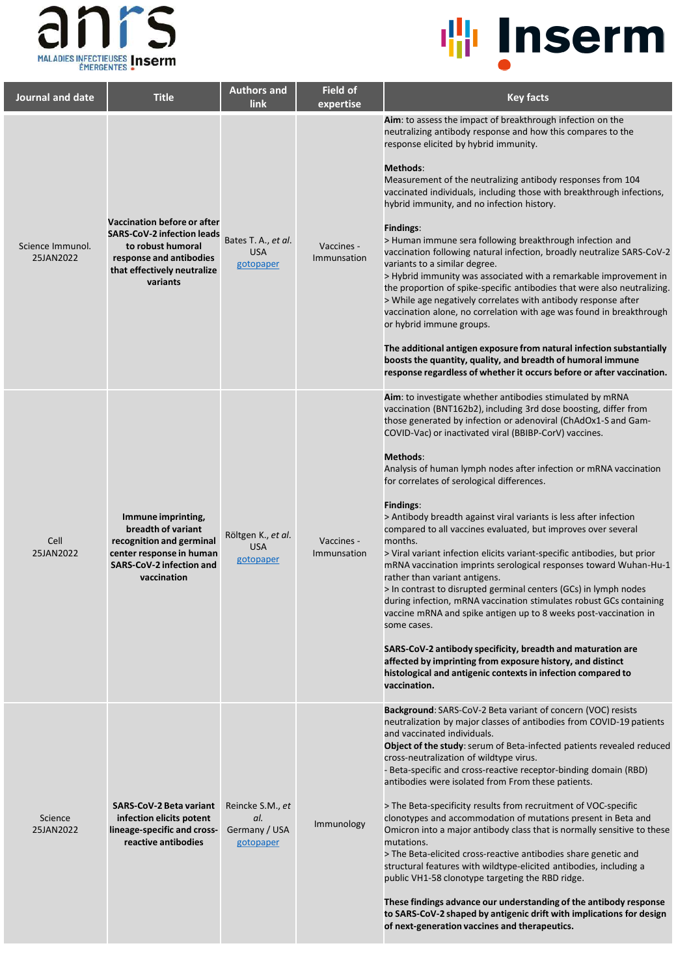

| Journal and date              | <b>Title</b>                                                                                                                                                       | <b>Authors and</b><br>link                            | <b>Field of</b><br>expertise | <b>Key facts</b>                                                                                                                                                                                                                                                                                                                                                                                                                                                                                                                                                                                                                                                                                                                                                                                                                                                                                                                                                                                                                                                                                                                                                                    |
|-------------------------------|--------------------------------------------------------------------------------------------------------------------------------------------------------------------|-------------------------------------------------------|------------------------------|-------------------------------------------------------------------------------------------------------------------------------------------------------------------------------------------------------------------------------------------------------------------------------------------------------------------------------------------------------------------------------------------------------------------------------------------------------------------------------------------------------------------------------------------------------------------------------------------------------------------------------------------------------------------------------------------------------------------------------------------------------------------------------------------------------------------------------------------------------------------------------------------------------------------------------------------------------------------------------------------------------------------------------------------------------------------------------------------------------------------------------------------------------------------------------------|
| Science Immunol.<br>25JAN2022 | <b>Vaccination before or after</b><br><b>SARS-CoV-2 infection leads</b><br>to robust humoral<br>response and antibodies<br>that effectively neutralize<br>variants | Bates T. A., et al.<br><b>USA</b><br>gotopaper        | Vaccines -<br>Immunsation    | Aim: to assess the impact of breakthrough infection on the<br>neutralizing antibody response and how this compares to the<br>response elicited by hybrid immunity.<br><b>Methods:</b><br>Measurement of the neutralizing antibody responses from 104<br>vaccinated individuals, including those with breakthrough infections,<br>hybrid immunity, and no infection history.<br>Findings:<br>> Human immune sera following breakthrough infection and<br>vaccination following natural infection, broadly neutralize SARS-CoV-2<br>variants to a similar degree.<br>> Hybrid immunity was associated with a remarkable improvement in<br>the proportion of spike-specific antibodies that were also neutralizing.<br>> While age negatively correlates with antibody response after<br>vaccination alone, no correlation with age was found in breakthrough<br>or hybrid immune groups.<br>The additional antigen exposure from natural infection substantially<br>boosts the quantity, quality, and breadth of humoral immune<br>response regardless of whether it occurs before or after vaccination.                                                                              |
| Cell<br>25JAN2022             | Immune imprinting,<br>breadth of variant<br>recognition and germinal<br>center response in human<br>SARS-CoV-2 infection and<br>vaccination                        | Röltgen K., et al.<br><b>USA</b><br>gotopaper         | Vaccines -<br>Immunsation    | Aim: to investigate whether antibodies stimulated by mRNA<br>vaccination (BNT162b2), including 3rd dose boosting, differ from<br>those generated by infection or adenoviral (ChAdOx1-S and Gam-<br>COVID-Vac) or inactivated viral (BBIBP-CorV) vaccines.<br>Methods:<br>Analysis of human lymph nodes after infection or mRNA vaccination<br>for correlates of serological differences.<br>Findings:<br>> Antibody breadth against viral variants is less after infection<br>compared to all vaccines evaluated, but improves over several<br>months.<br>> Viral variant infection elicits variant-specific antibodies, but prior<br>mRNA vaccination imprints serological responses toward Wuhan-Hu-1<br>rather than variant antigens.<br>> In contrast to disrupted germinal centers (GCs) in lymph nodes<br>during infection, mRNA vaccination stimulates robust GCs containing<br>vaccine mRNA and spike antigen up to 8 weeks post-vaccination in<br>some cases.<br>SARS-CoV-2 antibody specificity, breadth and maturation are<br>affected by imprinting from exposure history, and distinct<br>histological and antigenic contexts in infection compared to<br>vaccination. |
| Science<br>25JAN2022          | <b>SARS-CoV-2 Beta variant</b><br>infection elicits potent<br>lineage-specific and cross-<br>reactive antibodies                                                   | Reincke S.M., et<br>al.<br>Germany / USA<br>gotopaper | Immunology                   | <b>Background:</b> SARS-CoV-2 Beta variant of concern (VOC) resists<br>neutralization by major classes of antibodies from COVID-19 patients<br>and vaccinated individuals.<br><b>Object of the study:</b> serum of Beta-infected patients revealed reduced<br>cross-neutralization of wildtype virus.<br>- Beta-specific and cross-reactive receptor-binding domain (RBD)<br>antibodies were isolated from From these patients.<br>> The Beta-specificity results from recruitment of VOC-specific<br>clonotypes and accommodation of mutations present in Beta and<br>Omicron into a major antibody class that is normally sensitive to these<br>mutations.<br>> The Beta-elicited cross-reactive antibodies share genetic and<br>structural features with wildtype-elicited antibodies, including a<br>public VH1-58 clonotype targeting the RBD ridge.<br>These findings advance our understanding of the antibody response<br>to SARS-CoV-2 shaped by antigenic drift with implications for design<br>of next-generation vaccines and therapeutics.                                                                                                                             |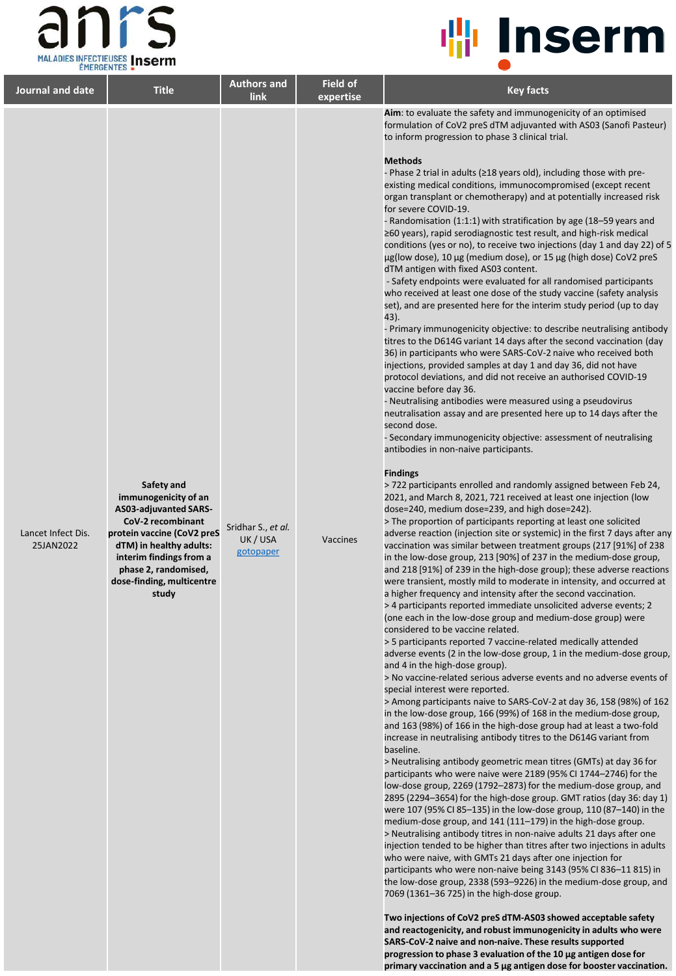|                                 | <b>EMERGENIES</b> .                                                                                                                                                                                                                |                                             |                              |                                                                                                                                                                                                                                                                                                                                                                                                                                                                                                                                                                                                                                                                                                                                                                                                                                                                                                                                                                                                                                                                                                                                                                                                                                                                                                                                                                                                                                                                                                                                                                                                                                                                                                                                                                                                                                                                                                                                                                                                                                                                                                                                                                                                                                                                                                                                                                                                                                                                                                                                                                                                                                                                                                                                                                                                                                                                                                                                                                                                                                                                                                                                                                                                                                                                                                                                                                                                                                                                                                                                                                                                                                                                                                                                                                                                                                                                                                                                                                                                                                                                                                                                                                                                                                                                                                                                                                    |
|---------------------------------|------------------------------------------------------------------------------------------------------------------------------------------------------------------------------------------------------------------------------------|---------------------------------------------|------------------------------|--------------------------------------------------------------------------------------------------------------------------------------------------------------------------------------------------------------------------------------------------------------------------------------------------------------------------------------------------------------------------------------------------------------------------------------------------------------------------------------------------------------------------------------------------------------------------------------------------------------------------------------------------------------------------------------------------------------------------------------------------------------------------------------------------------------------------------------------------------------------------------------------------------------------------------------------------------------------------------------------------------------------------------------------------------------------------------------------------------------------------------------------------------------------------------------------------------------------------------------------------------------------------------------------------------------------------------------------------------------------------------------------------------------------------------------------------------------------------------------------------------------------------------------------------------------------------------------------------------------------------------------------------------------------------------------------------------------------------------------------------------------------------------------------------------------------------------------------------------------------------------------------------------------------------------------------------------------------------------------------------------------------------------------------------------------------------------------------------------------------------------------------------------------------------------------------------------------------------------------------------------------------------------------------------------------------------------------------------------------------------------------------------------------------------------------------------------------------------------------------------------------------------------------------------------------------------------------------------------------------------------------------------------------------------------------------------------------------------------------------------------------------------------------------------------------------------------------------------------------------------------------------------------------------------------------------------------------------------------------------------------------------------------------------------------------------------------------------------------------------------------------------------------------------------------------------------------------------------------------------------------------------------------------------------------------------------------------------------------------------------------------------------------------------------------------------------------------------------------------------------------------------------------------------------------------------------------------------------------------------------------------------------------------------------------------------------------------------------------------------------------------------------------------------------------------------------------------------------------------------------------------------------------------------------------------------------------------------------------------------------------------------------------------------------------------------------------------------------------------------------------------------------------------------------------------------------------------------------------------------------------------------------------------------------------------------------------------------------------------------|
| Journal and date                | <b>Title</b>                                                                                                                                                                                                                       | <b>Authors and</b><br>link                  | <b>Field of</b><br>expertise | <b>Key facts</b>                                                                                                                                                                                                                                                                                                                                                                                                                                                                                                                                                                                                                                                                                                                                                                                                                                                                                                                                                                                                                                                                                                                                                                                                                                                                                                                                                                                                                                                                                                                                                                                                                                                                                                                                                                                                                                                                                                                                                                                                                                                                                                                                                                                                                                                                                                                                                                                                                                                                                                                                                                                                                                                                                                                                                                                                                                                                                                                                                                                                                                                                                                                                                                                                                                                                                                                                                                                                                                                                                                                                                                                                                                                                                                                                                                                                                                                                                                                                                                                                                                                                                                                                                                                                                                                                                                                                                   |
| Lancet Infect Dis.<br>25JAN2022 | Safety and<br>immunogenicity of an<br>AS03-adjuvanted SARS-<br>CoV-2 recombinant<br>protein vaccine (CoV2 preS<br>dTM) in healthy adults:<br>interim findings from a<br>phase 2, randomised,<br>dose-finding, multicentre<br>study | Sridhar S., et al.<br>UK / USA<br>gotopaper | Vaccines                     | Aim: to evaluate the safety and immunogenicity of an optimised<br>formulation of CoV2 preS dTM adjuvanted with AS03 (Sanofi Pasteur)<br>to inform progression to phase 3 clinical trial.<br><b>Methods</b><br>- Phase 2 trial in adults (≥18 years old), including those with pre-<br>existing medical conditions, immunocompromised (except recent<br>organ transplant or chemotherapy) and at potentially increased risk<br>for severe COVID-19.<br>- Randomisation (1:1:1) with stratification by age (18–59 years and<br>≥60 years), rapid serodiagnostic test result, and high-risk medical<br>conditions (yes or no), to receive two injections (day 1 and day 22) of !<br>μg(low dose), 10 μg (medium dose), or 15 μg (high dose) CoV2 preS<br>dTM antigen with fixed AS03 content.<br>- Safety endpoints were evaluated for all randomised participants<br>who received at least one dose of the study vaccine (safety analysis<br>set), and are presented here for the interim study period (up to day<br>43).<br>- Primary immunogenicity objective: to describe neutralising antibody<br>titres to the D614G variant 14 days after the second vaccination (day<br>36) in participants who were SARS-CoV-2 naive who received both<br>injections, provided samples at day 1 and day 36, did not have<br>protocol deviations, and did not receive an authorised COVID-19<br>vaccine before day 36.<br>- Neutralising antibodies were measured using a pseudovirus<br>neutralisation assay and are presented here up to 14 days after the<br>second dose.<br>- Secondary immunogenicity objective: assessment of neutralising<br>antibodies in non-naive participants.<br><b>Findings</b><br>>722 participants enrolled and randomly assigned between Feb 24,<br>2021, and March 8, 2021, 721 received at least one injection (low<br>dose=240, medium dose=239, and high dose=242).<br>> The proportion of participants reporting at least one solicited<br>adverse reaction (injection site or systemic) in the first 7 days after an<br>vaccination was similar between treatment groups (217 [91%] of 238<br>in the low-dose group, 213 [90%] of 237 in the medium-dose group,<br>and 218 [91%] of 239 in the high-dose group); these adverse reactions<br>were transient, mostly mild to moderate in intensity, and occurred at<br>a higher frequency and intensity after the second vaccination.<br>>4 participants reported immediate unsolicited adverse events; 2<br>(one each in the low-dose group and medium-dose group) were<br>considered to be vaccine related.<br>>5 participants reported 7 vaccine-related medically attended<br>adverse events (2 in the low-dose group, 1 in the medium-dose group<br>and 4 in the high-dose group).<br>> No vaccine-related serious adverse events and no adverse events of<br>special interest were reported.<br>> Among participants naive to SARS-CoV-2 at day 36, 158 (98%) of 162<br>in the low-dose group, 166 (99%) of 168 in the medium-dose group,<br>and 163 (98%) of 166 in the high-dose group had at least a two-fold<br>increase in neutralising antibody titres to the D614G variant from<br>baseline.<br>> Neutralising antibody geometric mean titres (GMTs) at day 36 for<br>participants who were naive were 2189 (95% CI 1744-2746) for the<br>low-dose group, 2269 (1792–2873) for the medium-dose group, and<br>2895 (2294-3654) for the high-dose group. GMT ratios (day 36: day 1)<br>were 107 (95% CI 85-135) in the low-dose group, 110 (87-140) in the<br>medium-dose group, and 141 (111–179) in the high-dose group.<br>> Neutralising antibody titres in non-naive adults 21 days after one<br>injection tended to be higher than titres after two injections in adults<br>who were naive, with GMTs 21 days after one injection for<br>participants who were non-naive being 3143 (95% CI 836-11 815) in<br>the low-dose group, 2338 (593–9226) in the medium-dose group, and<br>7069 (1361-36 725) in the high-dose group.<br>Two injections of CoV2 preS dTM-AS03 showed acceptable safety<br>and reactogenicity, and robust immunogenicity in adults who were<br>SARS-CoV-2 naive and non-naive. These results supported<br>progression to phase 3 evaluation of the 10 µg antigen dose for<br>primary vaccination and a 5 us antigen dose for booster vaccination. |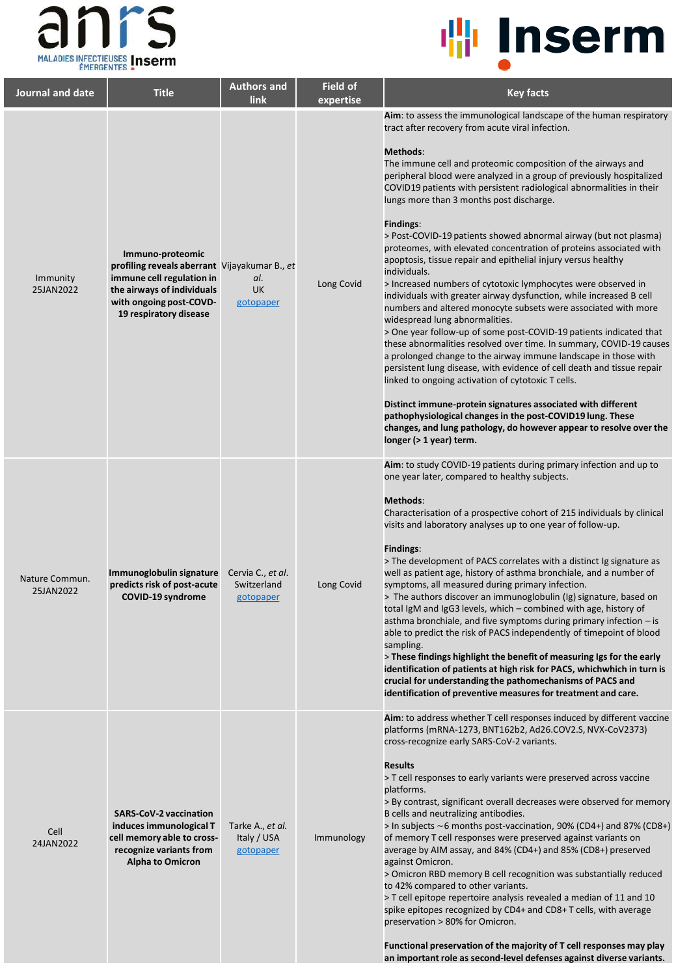I

| Journal and date            | <b>Title</b>                                                                                                                                                                      | <b>Authors and</b><br>link                    | <b>Field of</b><br>expertise | <b>Key facts</b>                                                                                                                                                                                                                                                                                                                                                                                                                                                                                                                                                                                                                                                                                                                                                                                                                                                                                                                                                                                                                                                                                                                                                                                                                                                                                                                                                                                                                                                   |
|-----------------------------|-----------------------------------------------------------------------------------------------------------------------------------------------------------------------------------|-----------------------------------------------|------------------------------|--------------------------------------------------------------------------------------------------------------------------------------------------------------------------------------------------------------------------------------------------------------------------------------------------------------------------------------------------------------------------------------------------------------------------------------------------------------------------------------------------------------------------------------------------------------------------------------------------------------------------------------------------------------------------------------------------------------------------------------------------------------------------------------------------------------------------------------------------------------------------------------------------------------------------------------------------------------------------------------------------------------------------------------------------------------------------------------------------------------------------------------------------------------------------------------------------------------------------------------------------------------------------------------------------------------------------------------------------------------------------------------------------------------------------------------------------------------------|
| Immunity<br>25JAN2022       | Immuno-proteomic<br>profiling reveals aberrant Vijayakumar B., et<br>immune cell regulation in<br>the airways of individuals<br>with ongoing post-COVD-<br>19 respiratory disease | al.<br>UK<br>gotopaper                        | Long Covid                   | Aim: to assess the immunological landscape of the human respiratory<br>tract after recovery from acute viral infection.<br>Methods:<br>The immune cell and proteomic composition of the airways and<br>peripheral blood were analyzed in a group of previously hospitalized<br>COVID19 patients with persistent radiological abnormalities in their<br>lungs more than 3 months post discharge.<br>Findings:<br>> Post-COVID-19 patients showed abnormal airway (but not plasma)<br>proteomes, with elevated concentration of proteins associated with<br>apoptosis, tissue repair and epithelial injury versus healthy<br>individuals.<br>> Increased numbers of cytotoxic lymphocytes were observed in<br>individuals with greater airway dysfunction, while increased B cell<br>numbers and altered monocyte subsets were associated with more<br>widespread lung abnormalities.<br>> One year follow-up of some post-COVID-19 patients indicated that<br>these abnormalities resolved over time. In summary, COVID-19 causes<br>a prolonged change to the airway immune landscape in those with<br>persistent lung disease, with evidence of cell death and tissue repair<br>linked to ongoing activation of cytotoxic T cells.<br>Distinct immune-protein signatures associated with different<br>pathophysiological changes in the post-COVID19 lung. These<br>changes, and lung pathology, do however appear to resolve over the<br>longer (> 1 year) term. |
| Nature Commun.<br>25JAN2022 | Immunoglobulin signature<br>predicts risk of post-acute<br>COVID-19 syndrome                                                                                                      | Cervia C., et al.<br>Switzerland<br>gotopaper | Long Covid                   | Aim: to study COVID-19 patients during primary infection and up to<br>one year later, compared to healthy subjects.<br>Methods:<br>Characterisation of a prospective cohort of 215 individuals by clinical<br>visits and laboratory analyses up to one year of follow-up.<br>Findings:<br>> The development of PACS correlates with a distinct Ig signature as<br>well as patient age, history of asthma bronchiale, and a number of<br>symptoms, all measured during primary infection.<br>> The authors discover an immunoglobulin (Ig) signature, based on<br>total IgM and IgG3 levels, which - combined with age, history of<br>asthma bronchiale, and five symptoms during primary infection - is<br>able to predict the risk of PACS independently of timepoint of blood<br>sampling.<br>> These findings highlight the benefit of measuring Igs for the early<br>identification of patients at high risk for PACS, whichwhich in turn is<br>crucial for understanding the pathomechanisms of PACS and<br>identification of preventive measures for treatment and care.                                                                                                                                                                                                                                                                                                                                                                                     |
| Cell<br>24JAN2022           | <b>SARS-CoV-2 vaccination</b><br>induces immunological T<br>cell memory able to cross-<br>recognize variants from<br><b>Alpha to Omicron</b>                                      | Tarke A., et al.<br>Italy / USA<br>gotopaper  | Immunology                   | Aim: to address whether T cell responses induced by different vaccine<br>platforms (mRNA-1273, BNT162b2, Ad26.COV2.S, NVX-CoV2373)<br>cross-recognize early SARS-CoV-2 variants.<br><b>Results</b><br>> T cell responses to early variants were preserved across vaccine<br>platforms.<br>> By contrast, significant overall decreases were observed for memory<br>B cells and neutralizing antibodies.<br>$>$ In subjects $\sim$ 6 months post-vaccination, 90% (CD4+) and 87% (CD8+)<br>of memory T cell responses were preserved against variants on<br>average by AIM assay, and 84% (CD4+) and 85% (CD8+) preserved<br>against Omicron.<br>> Omicron RBD memory B cell recognition was substantially reduced<br>to 42% compared to other variants.<br>> T cell epitope repertoire analysis revealed a median of 11 and 10<br>spike epitopes recognized by CD4+ and CD8+ T cells, with average<br>preservation > 80% for Omicron.<br>Functional preservation of the majority of T cell responses may play<br>an important role as second-level defenses against diverse variants.                                                                                                                                                                                                                                                                                                                                                                              |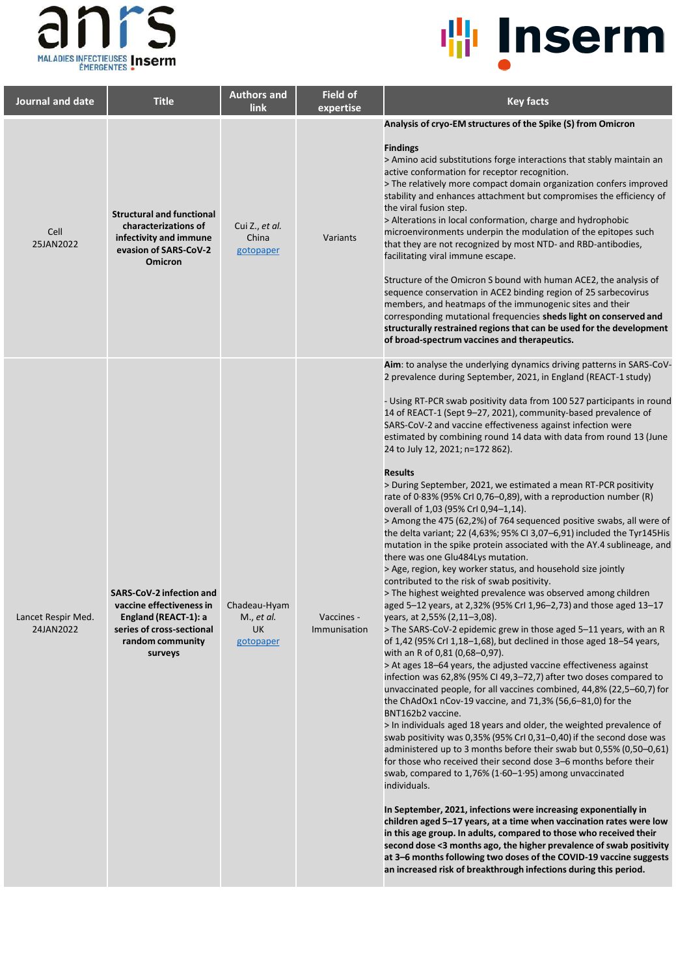

| Journal and date                | <b>Title</b>                                                                                                                                    | <b>Authors and</b><br>link                    | Field of<br>expertise      | <b>Key facts</b>                                                                                                                                                                                                                                                                                                                                                                                                                                                                                                                                                                                                                                                                                                                                                                                                                                                                                                                                                                                                                                                                                                                                                                                                                                                                                                                                                                                                                                                                                                                                                                                                                                                                                                                                                                                                                                                                                                                                                                                                                                                                                                                                                                                                                                                                                                                                                                                                                                                                                                      |
|---------------------------------|-------------------------------------------------------------------------------------------------------------------------------------------------|-----------------------------------------------|----------------------------|-----------------------------------------------------------------------------------------------------------------------------------------------------------------------------------------------------------------------------------------------------------------------------------------------------------------------------------------------------------------------------------------------------------------------------------------------------------------------------------------------------------------------------------------------------------------------------------------------------------------------------------------------------------------------------------------------------------------------------------------------------------------------------------------------------------------------------------------------------------------------------------------------------------------------------------------------------------------------------------------------------------------------------------------------------------------------------------------------------------------------------------------------------------------------------------------------------------------------------------------------------------------------------------------------------------------------------------------------------------------------------------------------------------------------------------------------------------------------------------------------------------------------------------------------------------------------------------------------------------------------------------------------------------------------------------------------------------------------------------------------------------------------------------------------------------------------------------------------------------------------------------------------------------------------------------------------------------------------------------------------------------------------------------------------------------------------------------------------------------------------------------------------------------------------------------------------------------------------------------------------------------------------------------------------------------------------------------------------------------------------------------------------------------------------------------------------------------------------------------------------------------------------|
| Cell<br>25JAN2022               | <b>Structural and functional</b><br>characterizations of<br>infectivity and immune<br>evasion of SARS-CoV-2<br>Omicron                          | Cui Z., et al.<br>China<br>gotopaper          | Variants                   | Analysis of cryo-EM structures of the Spike (S) from Omicron<br><b>Findings</b><br>> Amino acid substitutions forge interactions that stably maintain an<br>active conformation for receptor recognition.<br>> The relatively more compact domain organization confers improved<br>stability and enhances attachment but compromises the efficiency of<br>the viral fusion step.<br>> Alterations in local conformation, charge and hydrophobic<br>microenvironments underpin the modulation of the epitopes such<br>that they are not recognized by most NTD- and RBD-antibodies,<br>facilitating viral immune escape.<br>Structure of the Omicron S bound with human ACE2, the analysis of<br>sequence conservation in ACE2 binding region of 25 sarbecovirus<br>members, and heatmaps of the immunogenic sites and their<br>corresponding mutational frequencies sheds light on conserved and<br>structurally restrained regions that can be used for the development<br>of broad-spectrum vaccines and therapeutics.                                                                                                                                                                                                                                                                                                                                                                                                                                                                                                                                                                                                                                                                                                                                                                                                                                                                                                                                                                                                                                                                                                                                                                                                                                                                                                                                                                                                                                                                                              |
| Lancet Respir Med.<br>24JAN2022 | <b>SARS-CoV-2 infection and</b><br>vaccine effectiveness in<br>England (REACT-1): a<br>series of cross-sectional<br>random community<br>surveys | Chadeau-Hyam<br>M., et al.<br>UK<br>gotopaper | Vaccines -<br>Immunisation | Aim: to analyse the underlying dynamics driving patterns in SARS-CoV-<br>2 prevalence during September, 2021, in England (REACT-1 study)<br>- Using RT-PCR swab positivity data from 100 527 participants in round<br>14 of REACT-1 (Sept 9-27, 2021), community-based prevalence of<br>SARS-CoV-2 and vaccine effectiveness against infection were<br>estimated by combining round 14 data with data from round 13 (June<br>24 to July 12, 2021; n=172 862).<br><b>Results</b><br>> During September, 2021, we estimated a mean RT-PCR positivity<br>rate of 0.83% (95% CrI 0,76–0,89), with a reproduction number $(R)$<br>overall of 1,03 (95% Crl 0,94-1,14).<br>> Among the 475 (62,2%) of 764 sequenced positive swabs, all were of<br>the delta variant; 22 (4,63%; 95% CI 3,07-6,91) included the Tyr145His<br>mutation in the spike protein associated with the AY.4 sublineage, and<br>there was one Glu484Lys mutation.<br>> Age, region, key worker status, and household size jointly<br>contributed to the risk of swab positivity.<br>> The highest weighted prevalence was observed among children<br>aged 5-12 years, at 2,32% (95% Crl 1,96-2,73) and those aged 13-17<br>years, at 2,55% (2,11–3,08).<br>> The SARS-CoV-2 epidemic grew in those aged 5–11 years, with an R<br>of 1,42 (95% Crl 1,18–1,68), but declined in those aged 18–54 years,<br>with an R of 0,81 (0,68-0,97).<br>> At ages 18-64 years, the adjusted vaccine effectiveness against<br>infection was 62,8% (95% CI 49,3-72,7) after two doses compared to<br>unvaccinated people, for all vaccines combined, 44,8% (22,5–60,7) for<br>the ChAdOx1 nCov-19 vaccine, and 71,3% (56,6-81,0) for the<br>BNT162b2 vaccine.<br>> In individuals aged 18 years and older, the weighted prevalence of<br>swab positivity was 0,35% (95% CrI 0,31–0,40) if the second dose was<br>administered up to 3 months before their swab but 0,55% (0,50-0,61)<br>for those who received their second dose 3-6 months before their<br>swab, compared to 1,76% (1.60-1.95) among unvaccinated<br>individuals.<br>In September, 2021, infections were increasing exponentially in<br>children aged 5-17 years, at a time when vaccination rates were low<br>in this age group. In adults, compared to those who received their<br>second dose <3 months ago, the higher prevalence of swab positivity<br>at 3-6 months following two doses of the COVID-19 vaccine suggests<br>an increased risk of breakthrough infections during this period. |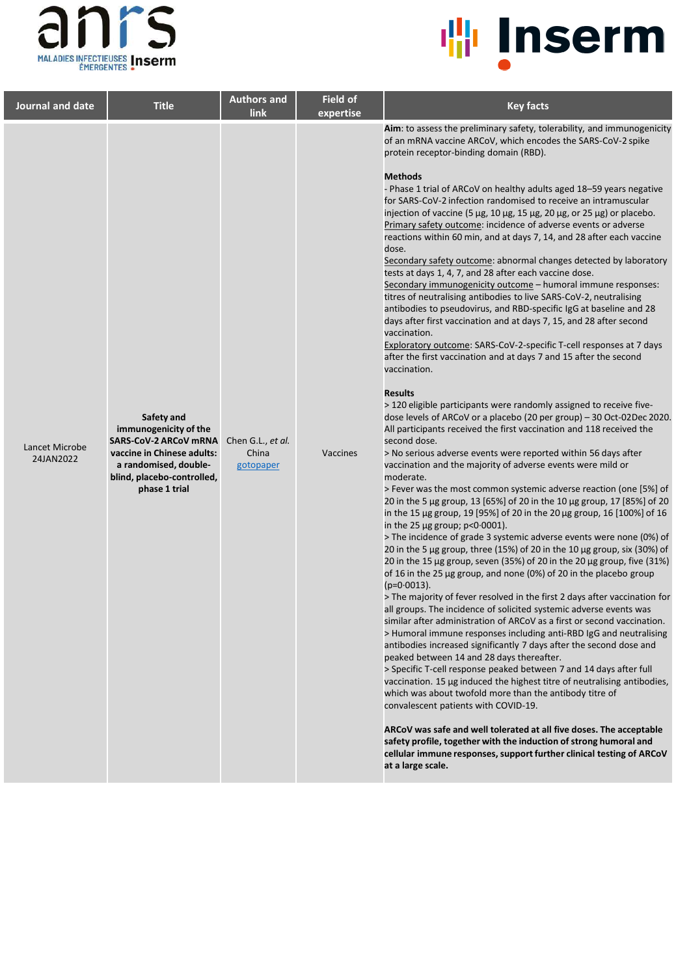

n m

| Journal and date            | <b>Title</b>                                                                                                                                                              | <b>Authors and</b><br>link              | Field of<br>expertise | <b>Key facts</b>                                                                                                                                                                                                                                                                                                                                                                                                                                                                                                                                                                                                                                                                                                                                                                                                                                                                                                                                                                                                                                                                                                                                                                                                                                                                                                                                                                                                                                                                                                                                                                                                                                                                                                                                                                                                                                                                                                                                                                                                                                                                                                                                                                                                                                                                                                                                                                                                                                                                                                                                                                                                                                                                                                                                                                                                                                                                                                                                                                                                                                                                                                                                   |
|-----------------------------|---------------------------------------------------------------------------------------------------------------------------------------------------------------------------|-----------------------------------------|-----------------------|----------------------------------------------------------------------------------------------------------------------------------------------------------------------------------------------------------------------------------------------------------------------------------------------------------------------------------------------------------------------------------------------------------------------------------------------------------------------------------------------------------------------------------------------------------------------------------------------------------------------------------------------------------------------------------------------------------------------------------------------------------------------------------------------------------------------------------------------------------------------------------------------------------------------------------------------------------------------------------------------------------------------------------------------------------------------------------------------------------------------------------------------------------------------------------------------------------------------------------------------------------------------------------------------------------------------------------------------------------------------------------------------------------------------------------------------------------------------------------------------------------------------------------------------------------------------------------------------------------------------------------------------------------------------------------------------------------------------------------------------------------------------------------------------------------------------------------------------------------------------------------------------------------------------------------------------------------------------------------------------------------------------------------------------------------------------------------------------------------------------------------------------------------------------------------------------------------------------------------------------------------------------------------------------------------------------------------------------------------------------------------------------------------------------------------------------------------------------------------------------------------------------------------------------------------------------------------------------------------------------------------------------------------------------------------------------------------------------------------------------------------------------------------------------------------------------------------------------------------------------------------------------------------------------------------------------------------------------------------------------------------------------------------------------------------------------------------------------------------------------------------------------------|
| Lancet Microbe<br>24JAN2022 | Safety and<br>immunogenicity of the<br><b>SARS-CoV-2 ARCoV mRNA</b><br>vaccine in Chinese adults:<br>a randomised, double-<br>blind, placebo-controlled,<br>phase 1 trial | Chen G.L., et al.<br>China<br>gotopaper | Vaccines              | Aim: to assess the preliminary safety, tolerability, and immunogenicity<br>of an mRNA vaccine ARCoV, which encodes the SARS-CoV-2 spike<br>protein receptor-binding domain (RBD).<br><b>Methods</b><br>- Phase 1 trial of ARCoV on healthy adults aged 18-59 years negative<br>for SARS-CoV-2 infection randomised to receive an intramuscular<br>injection of vaccine $(5 \mu g, 10 \mu g, 15 \mu g, 20 \mu g,$ or $25 \mu g$ ) or placebo.<br>Primary safety outcome: incidence of adverse events or adverse<br>reactions within 60 min, and at days 7, 14, and 28 after each vaccine<br>dose.<br>Secondary safety outcome: abnormal changes detected by laboratory<br>tests at days 1, 4, 7, and 28 after each vaccine dose.<br>Secondary immunogenicity outcome - humoral immune responses:<br>titres of neutralising antibodies to live SARS-CoV-2, neutralising<br>antibodies to pseudovirus, and RBD-specific IgG at baseline and 28<br>days after first vaccination and at days 7, 15, and 28 after second<br>vaccination.<br>Exploratory outcome: SARS-CoV-2-specific T-cell responses at 7 days<br>after the first vaccination and at days 7 and 15 after the second<br>vaccination.<br><b>Results</b><br>> 120 eligible participants were randomly assigned to receive five-<br>dose levels of ARCoV or a placebo (20 per group) - 30 Oct-02Dec 2020.<br>All participants received the first vaccination and 118 received the<br>second dose.<br>> No serious adverse events were reported within 56 days after<br>vaccination and the majority of adverse events were mild or<br>moderate.<br>> Fever was the most common systemic adverse reaction (one [5%] of<br>20 in the 5 μg group, 13 [65%] of 20 in the 10 μg group, 17 [85%] of 20<br>in the 15 µg group, 19 [95%] of 20 in the 20 µg group, 16 [100%] of 16<br>in the 25 $\mu$ g group; p<0 $\cdot$ 0001).<br>> The incidence of grade 3 systemic adverse events were none (0%) of<br>20 in the 5 $\mu$ g group, three (15%) of 20 in the 10 $\mu$ g group, six (30%) of<br>20 in the 15 $\mu$ g group, seven (35%) of 20 in the 20 $\mu$ g group, five (31%)<br>of 16 in the 25 µg group, and none (0%) of 20 in the placebo group<br>$(p=0.0013)$ .<br>> The majority of fever resolved in the first 2 days after vaccination for<br>all groups. The incidence of solicited systemic adverse events was<br>similar after administration of ARCoV as a first or second vaccination.<br>> Humoral immune responses including anti-RBD IgG and neutralising<br>antibodies increased significantly 7 days after the second dose and<br>peaked between 14 and 28 days thereafter.<br>> Specific T-cell response peaked between 7 and 14 days after full<br>vaccination. 15 µg induced the highest titre of neutralising antibodies,<br>which was about twofold more than the antibody titre of<br>convalescent patients with COVID-19.<br>ARCoV was safe and well tolerated at all five doses. The acceptable<br>safety profile, together with the induction of strong humoral and<br>cellular immune responses, support further clinical testing of ARCoV<br>at a large scale. |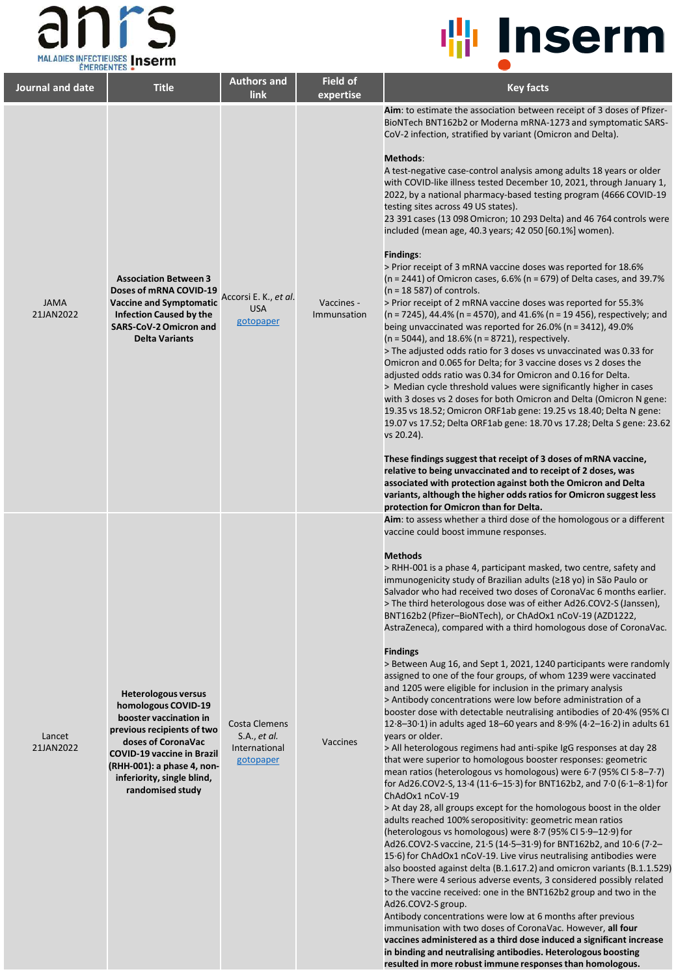| Journal and date         | EMERGENTES O<br><b>Title</b>                                                                                                                                                                                                                         | <b>Authors and</b><br>link                                  | <b>Field of</b><br>expertise | <b>Key facts</b>                                                                                                                                                                                                                                                                                                                                                                                                                                                                                                                                                                                                                                                                                                                                                                                                                                                                                                                                                                                                                                                                                                                                                                                                                                                                                                                                                                                                                                                                                                                                                                                                                                                                                                                                                                                                                                                                                                                                                                                                                                                                                                                                                                                                                                                 |
|--------------------------|------------------------------------------------------------------------------------------------------------------------------------------------------------------------------------------------------------------------------------------------------|-------------------------------------------------------------|------------------------------|------------------------------------------------------------------------------------------------------------------------------------------------------------------------------------------------------------------------------------------------------------------------------------------------------------------------------------------------------------------------------------------------------------------------------------------------------------------------------------------------------------------------------------------------------------------------------------------------------------------------------------------------------------------------------------------------------------------------------------------------------------------------------------------------------------------------------------------------------------------------------------------------------------------------------------------------------------------------------------------------------------------------------------------------------------------------------------------------------------------------------------------------------------------------------------------------------------------------------------------------------------------------------------------------------------------------------------------------------------------------------------------------------------------------------------------------------------------------------------------------------------------------------------------------------------------------------------------------------------------------------------------------------------------------------------------------------------------------------------------------------------------------------------------------------------------------------------------------------------------------------------------------------------------------------------------------------------------------------------------------------------------------------------------------------------------------------------------------------------------------------------------------------------------------------------------------------------------------------------------------------------------|
| <b>JAMA</b><br>21JAN2022 | <b>Association Between 3</b><br>Doses of mRNA COVID-19<br><b>Vaccine and Symptomatic</b><br><b>Infection Caused by the</b><br>SARS-CoV-2 Omicron and<br><b>Delta Variants</b>                                                                        | Accorsi E. K., et al.<br><b>USA</b><br>gotopaper            | Vaccines -<br>Immunsation    | Aim: to estimate the association between receipt of 3 doses of Pfizer-<br>BioNTech BNT162b2 or Moderna mRNA-1273 and symptomatic SARS-<br>CoV-2 infection, stratified by variant (Omicron and Delta).<br>Methods:<br>A test-negative case-control analysis among adults 18 years or older<br>with COVID-like illness tested December 10, 2021, through January 1,<br>2022, by a national pharmacy-based testing program (4666 COVID-19<br>testing sites across 49 US states).<br>23 391 cases (13 098 Omicron; 10 293 Delta) and 46 764 controls were<br>included (mean age, 40.3 years; 42 050 [60.1%] women).<br>Findings:<br>> Prior receipt of 3 mRNA vaccine doses was reported for 18.6%<br>$(n = 2441)$ of Omicron cases, 6.6% (n = 679) of Delta cases, and 39.7%<br>$(n = 18587)$ of controls.<br>> Prior receipt of 2 mRNA vaccine doses was reported for 55.3%<br>(n = 7245), 44.4% (n = 4570), and 41.6% (n = 19 456), respectively; and<br>being unvaccinated was reported for $26.0\%$ (n = 3412), 49.0%<br>$(n = 5044)$ , and 18.6% (n = 8721), respectively.<br>> The adjusted odds ratio for 3 doses vs unvaccinated was 0.33 for<br>Omicron and 0.065 for Delta; for 3 vaccine doses vs 2 doses the<br>adjusted odds ratio was 0.34 for Omicron and 0.16 for Delta.<br>> Median cycle threshold values were significantly higher in cases<br>with 3 doses vs 2 doses for both Omicron and Delta (Omicron N gene:<br>19.35 vs 18.52; Omicron ORF1ab gene: 19.25 vs 18.40; Delta N gene:<br>19.07 vs 17.52; Delta ORF1ab gene: 18.70 vs 17.28; Delta S gene: 23.62<br>vs 20.24).<br>These findings suggest that receipt of 3 doses of mRNA vaccine,<br>relative to being unvaccinated and to receipt of 2 doses, was<br>associated with protection against both the Omicron and Delta<br>variants, although the higher odds ratios for Omicron suggest less<br>protection for Omicron than for Delta.                                                                                                                                                                                                                                                                                                                                            |
| Lancet<br>21JAN2022      | <b>Heterologous versus</b><br>homologous COVID-19<br>booster vaccination in<br>previous recipients of two<br>doses of CoronaVac<br><b>COVID-19 vaccine in Brazil</b><br>(RHH-001): a phase 4, non-<br>inferiority, single blind,<br>randomised study | Costa Clemens<br>S.A., et al.<br>International<br>gotopaper | Vaccines                     | Aim: to assess whether a third dose of the homologous or a different<br>vaccine could boost immune responses.<br>Methods<br>> RHH-001 is a phase 4, participant masked, two centre, safety and<br>immunogenicity study of Brazilian adults (≥18 yo) in São Paulo or<br>Salvador who had received two doses of CoronaVac 6 months earlier.<br>> The third heterologous dose was of either Ad26.COV2-S (Janssen),<br>BNT162b2 (Pfizer-BioNTech), or ChAdOx1 nCoV-19 (AZD1222,<br>AstraZeneca), compared with a third homologous dose of CoronaVac.<br><b>Findings</b><br>> Between Aug 16, and Sept 1, 2021, 1240 participants were randomly<br>assigned to one of the four groups, of whom 1239 were vaccinated<br>and 1205 were eligible for inclusion in the primary analysis<br>> Antibody concentrations were low before administration of a<br>booster dose with detectable neutralising antibodies of 20.4% (95% CI<br>12.8-30.1) in adults aged 18-60 years and 8.9% (4.2-16.2) in adults 61<br>years or older.<br>> All heterologous regimens had anti-spike IgG responses at day 28<br>that were superior to homologous booster responses: geometric<br>mean ratios (heterologous vs homologous) were 6.7 (95% CI 5.8-7.7)<br>for Ad26.COV2-S, 13.4 (11.6-15.3) for BNT162b2, and 7.0 (6.1-8.1) for<br>ChAdOx1 nCoV-19<br>> At day 28, all groups except for the homologous boost in the older<br>adults reached 100% seropositivity: geometric mean ratios<br>(heterologous vs homologous) were 8.7 (95% CI 5.9-12.9) for<br>Ad26.COV2-S vaccine, 21.5 (14.5-31.9) for BNT162b2, and 10.6 (7.2-<br>15.6) for ChAdOx1 nCoV-19. Live virus neutralising antibodies were<br>also boosted against delta (B.1.617.2) and omicron variants (B.1.1.529)<br>> There were 4 serious adverse events, 3 considered possibly related<br>to the vaccine received: one in the BNT162b2 group and two in the<br>Ad26.COV2-S group.<br>Antibody concentrations were low at 6 months after previous<br>immunisation with two doses of CoronaVac. However, all four<br>vaccines administered as a third dose induced a significant increase<br>in binding and neutralising antibodies. Heterologous boosting<br>resulted in more robust immune responses than homologous. |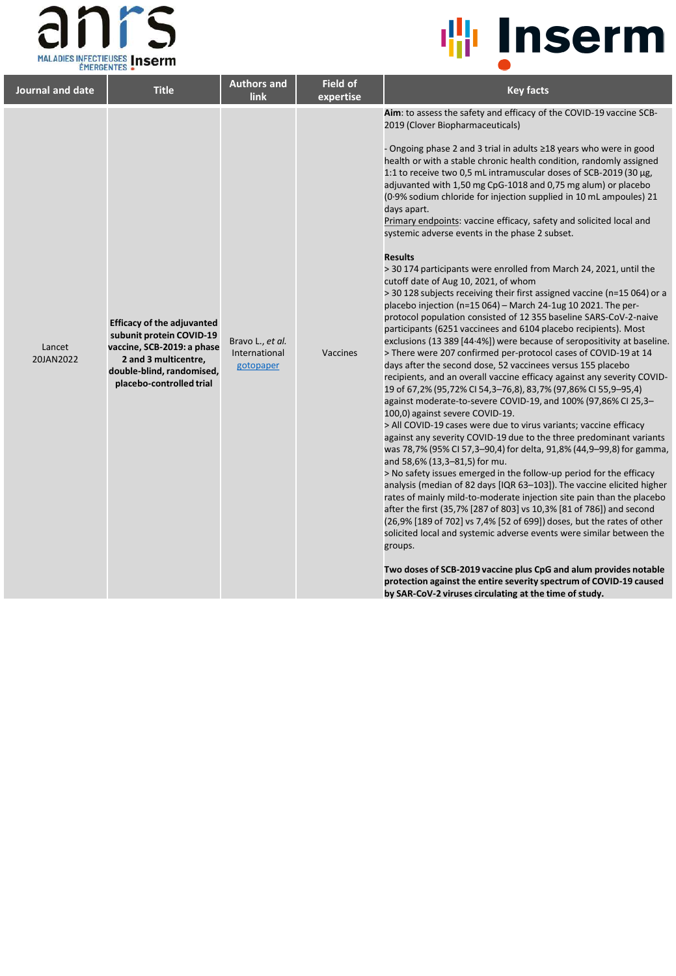

| <b>Journal and date</b> | <b>Title</b>                                                                                                                                                                 | <b>Authors and</b><br>link                     | <b>Field of</b><br>expertise | <b>Key facts</b>                                                                                                                                                                                                                                                                                                                                                                                                                                                                                                                                                                                                                                                                                                                                                                                                                                                                                                                                                                                                                                                                                                                                                                                                                                                                                                                                                                                                                                                                                                                                                                                                                                                                                                                                                                                                                                                                                                                                                                                                                                                                                                                                                                                                                                                                                                                                                                                                     |
|-------------------------|------------------------------------------------------------------------------------------------------------------------------------------------------------------------------|------------------------------------------------|------------------------------|----------------------------------------------------------------------------------------------------------------------------------------------------------------------------------------------------------------------------------------------------------------------------------------------------------------------------------------------------------------------------------------------------------------------------------------------------------------------------------------------------------------------------------------------------------------------------------------------------------------------------------------------------------------------------------------------------------------------------------------------------------------------------------------------------------------------------------------------------------------------------------------------------------------------------------------------------------------------------------------------------------------------------------------------------------------------------------------------------------------------------------------------------------------------------------------------------------------------------------------------------------------------------------------------------------------------------------------------------------------------------------------------------------------------------------------------------------------------------------------------------------------------------------------------------------------------------------------------------------------------------------------------------------------------------------------------------------------------------------------------------------------------------------------------------------------------------------------------------------------------------------------------------------------------------------------------------------------------------------------------------------------------------------------------------------------------------------------------------------------------------------------------------------------------------------------------------------------------------------------------------------------------------------------------------------------------------------------------------------------------------------------------------------------------|
| Lancet<br>20JAN2022     | <b>Efficacy of the adjuvanted</b><br>subunit protein COVID-19<br>vaccine, SCB-2019: a phase<br>2 and 3 multicentre,<br>double-blind, randomised,<br>placebo-controlled trial | Bravo L., et al.<br>International<br>gotopaper | Vaccines                     | Aim: to assess the safety and efficacy of the COVID-19 vaccine SCB-<br>2019 (Clover Biopharmaceuticals)<br>- Ongoing phase 2 and 3 trial in adults ≥18 years who were in good<br>health or with a stable chronic health condition, randomly assigned<br>1:1 to receive two 0,5 mL intramuscular doses of SCB-2019 (30 µg,<br>adjuvanted with 1,50 mg CpG-1018 and 0,75 mg alum) or placebo<br>(0.9% sodium chloride for injection supplied in 10 mL ampoules) 21<br>days apart.<br>Primary endpoints: vaccine efficacy, safety and solicited local and<br>systemic adverse events in the phase 2 subset.<br><b>Results</b><br>> 30 174 participants were enrolled from March 24, 2021, until the<br>cutoff date of Aug 10, 2021, of whom<br>> 30 128 subjects receiving their first assigned vaccine (n=15 064) or a<br>placebo injection (n=15 064) - March 24-1ug 10 2021. The per-<br>protocol population consisted of 12 355 baseline SARS-CoV-2-naive<br>participants (6251 vaccinees and 6104 placebo recipients). Most<br>exclusions (13 389 [44.4%]) were because of seropositivity at baseline.<br>> There were 207 confirmed per-protocol cases of COVID-19 at 14<br>days after the second dose, 52 vaccinees versus 155 placebo<br>recipients, and an overall vaccine efficacy against any severity COVID-<br>19 of 67,2% (95,72% CI 54,3-76,8), 83,7% (97,86% CI 55,9-95,4)<br>against moderate-to-severe COVID-19, and 100% (97,86% CI 25,3-<br>100,0) against severe COVID-19.<br>> All COVID-19 cases were due to virus variants; vaccine efficacy<br>against any severity COVID-19 due to the three predominant variants<br>was 78,7% (95% CI 57,3-90,4) for delta, 91,8% (44,9-99,8) for gamma,<br>and 58,6% (13,3-81,5) for mu.<br>> No safety issues emerged in the follow-up period for the efficacy<br>analysis (median of 82 days [IQR 63-103]). The vaccine elicited higher<br>rates of mainly mild-to-moderate injection site pain than the placebo<br>after the first (35,7% [287 of 803] vs 10,3% [81 of 786]) and second<br>(26,9% [189 of 702] vs 7,4% [52 of 699]) doses, but the rates of other<br>solicited local and systemic adverse events were similar between the<br>groups.<br>Two doses of SCB-2019 vaccine plus CpG and alum provides notable<br>protection against the entire severity spectrum of COVID-19 caused<br>by SAR-CoV-2 viruses circulating at the time of study. |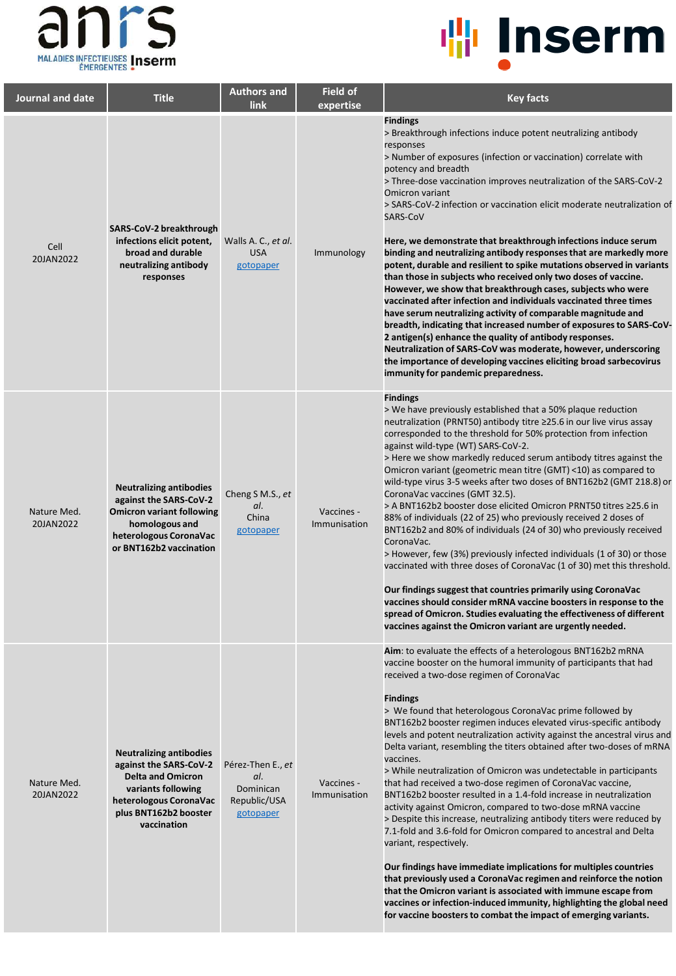

I

| Journal and date         | <b>Title</b>                                                                                                                                                                 | <b>Authors and</b><br><b>link</b>                                  | <b>Field of</b><br>expertise | <b>Key facts</b>                                                                                                                                                                                                                                                                                                                                                                                                                                                                                                                                                                                                                                                                                                                                                                                                                                                                                                                                                                                                                                                                                                                                                                                                                                                                                           |
|--------------------------|------------------------------------------------------------------------------------------------------------------------------------------------------------------------------|--------------------------------------------------------------------|------------------------------|------------------------------------------------------------------------------------------------------------------------------------------------------------------------------------------------------------------------------------------------------------------------------------------------------------------------------------------------------------------------------------------------------------------------------------------------------------------------------------------------------------------------------------------------------------------------------------------------------------------------------------------------------------------------------------------------------------------------------------------------------------------------------------------------------------------------------------------------------------------------------------------------------------------------------------------------------------------------------------------------------------------------------------------------------------------------------------------------------------------------------------------------------------------------------------------------------------------------------------------------------------------------------------------------------------|
| Cell<br>20JAN2022        | SARS-CoV-2 breakthrough<br>infections elicit potent,<br>broad and durable<br>neutralizing antibody<br>responses                                                              | Walls A. C., et al.<br><b>USA</b><br>gotopaper                     | Immunology                   | <b>Findings</b><br>> Breakthrough infections induce potent neutralizing antibody<br>responses<br>> Number of exposures (infection or vaccination) correlate with<br>potency and breadth<br>> Three-dose vaccination improves neutralization of the SARS-CoV-2<br>Omicron variant<br>> SARS-CoV-2 infection or vaccination elicit moderate neutralization of<br>SARS-CoV<br>Here, we demonstrate that breakthrough infections induce serum<br>binding and neutralizing antibody responses that are markedly more<br>potent, durable and resilient to spike mutations observed in variants<br>than those in subjects who received only two doses of vaccine.<br>However, we show that breakthrough cases, subjects who were<br>vaccinated after infection and individuals vaccinated three times<br>have serum neutralizing activity of comparable magnitude and<br>breadth, indicating that increased number of exposures to SARS-CoV-<br>2 antigen(s) enhance the quality of antibody responses.<br>Neutralization of SARS-CoV was moderate, however, underscoring<br>the importance of developing vaccines eliciting broad sarbecovirus<br>immunity for pandemic preparedness.                                                                                                                            |
| Nature Med.<br>20JAN2022 | <b>Neutralizing antibodies</b><br>against the SARS-CoV-2<br><b>Omicron variant following</b><br>homologous and<br>heterologous CoronaVac<br>or BNT162b2 vaccination          | Cheng S M.S., et<br>al.<br>China<br>gotopaper                      | Vaccines -<br>Immunisation   | <b>Findings</b><br>> We have previously established that a 50% plaque reduction<br>neutralization (PRNT50) antibody titre ≥25.6 in our live virus assay<br>corresponded to the threshold for 50% protection from infection<br>against wild-type (WT) SARS-CoV-2.<br>> Here we show markedly reduced serum antibody titres against the<br>Omicron variant (geometric mean titre (GMT) <10) as compared to<br>wild-type virus 3-5 weeks after two doses of BNT162b2 (GMT 218.8) or<br>CoronaVac vaccines (GMT 32.5).<br>> A BNT162b2 booster dose elicited Omicron PRNT50 titres ≥25.6 in<br>88% of individuals (22 of 25) who previously received 2 doses of<br>BNT162b2 and 80% of individuals (24 of 30) who previously received<br>CoronaVac.<br>> However, few (3%) previously infected individuals (1 of 30) or those<br>vaccinated with three doses of CoronaVac (1 of 30) met this threshold.<br>Our findings suggest that countries primarily using CoronaVac<br>vaccines should consider mRNA vaccine boosters in response to the<br>spread of Omicron. Studies evaluating the effectiveness of different<br>vaccines against the Omicron variant are urgently needed.                                                                                                                             |
| Nature Med.<br>20JAN2022 | <b>Neutralizing antibodies</b><br>against the SARS-CoV-2<br><b>Delta and Omicron</b><br>variants following<br>heterologous CoronaVac<br>plus BNT162b2 booster<br>vaccination | Pérez-Then E., et<br>al.<br>Dominican<br>Republic/USA<br>gotopaper | Vaccines -<br>Immunisation   | Aim: to evaluate the effects of a heterologous BNT162b2 mRNA<br>vaccine booster on the humoral immunity of participants that had<br>received a two-dose regimen of CoronaVac<br><b>Findings</b><br>> We found that heterologous CoronaVac prime followed by<br>BNT162b2 booster regimen induces elevated virus-specific antibody<br>levels and potent neutralization activity against the ancestral virus and<br>Delta variant, resembling the titers obtained after two-doses of mRNA<br>vaccines.<br>> While neutralization of Omicron was undetectable in participants<br>that had received a two-dose regimen of CoronaVac vaccine,<br>BNT162b2 booster resulted in a 1.4-fold increase in neutralization<br>activity against Omicron, compared to two-dose mRNA vaccine<br>> Despite this increase, neutralizing antibody titers were reduced by<br>7.1-fold and 3.6-fold for Omicron compared to ancestral and Delta<br>variant, respectively.<br>Our findings have immediate implications for multiples countries<br>that previously used a CoronaVac regimen and reinforce the notion<br>that the Omicron variant is associated with immune escape from<br>vaccines or infection-induced immunity, highlighting the global need<br>for vaccine boosters to combat the impact of emerging variants. |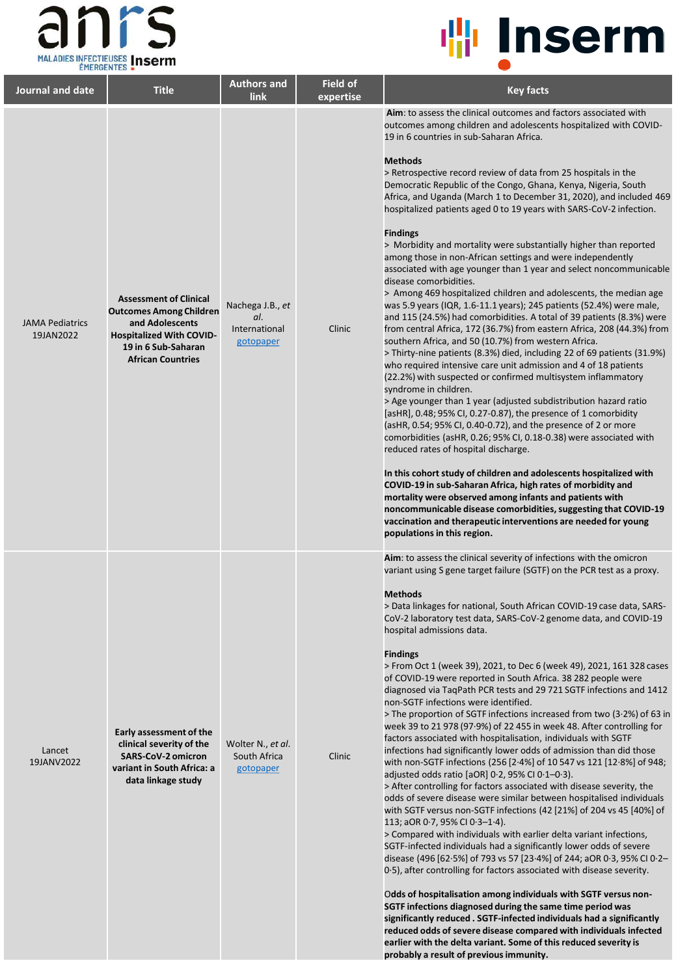| Journal and date                    | <b>Title</b>                                                                                                                                                             | <b>Authors and</b><br>link                            | <b>Field of</b><br>expertise | <b>Key facts</b>                                                                                                                                                                                                                                                                                                                                                                                                                                                                                                                                                                                                                                                                                                                                                                                                                                                                                                                                                                                                                                                                                                                                                                                                                                                                                                                                                                                                                                                                                                                                                                                                                                                                                                                                                                                                                                                                                                                                                                                                              |
|-------------------------------------|--------------------------------------------------------------------------------------------------------------------------------------------------------------------------|-------------------------------------------------------|------------------------------|-------------------------------------------------------------------------------------------------------------------------------------------------------------------------------------------------------------------------------------------------------------------------------------------------------------------------------------------------------------------------------------------------------------------------------------------------------------------------------------------------------------------------------------------------------------------------------------------------------------------------------------------------------------------------------------------------------------------------------------------------------------------------------------------------------------------------------------------------------------------------------------------------------------------------------------------------------------------------------------------------------------------------------------------------------------------------------------------------------------------------------------------------------------------------------------------------------------------------------------------------------------------------------------------------------------------------------------------------------------------------------------------------------------------------------------------------------------------------------------------------------------------------------------------------------------------------------------------------------------------------------------------------------------------------------------------------------------------------------------------------------------------------------------------------------------------------------------------------------------------------------------------------------------------------------------------------------------------------------------------------------------------------------|
| <b>JAMA Pediatrics</b><br>19JAN2022 | <b>Assessment of Clinical</b><br><b>Outcomes Among Children</b><br>and Adolescents<br><b>Hospitalized With COVID-</b><br>19 in 6 Sub-Saharan<br><b>African Countries</b> | Nachega J.B., et<br>al.<br>International<br>gotopaper | Clinic                       | Aim: to assess the clinical outcomes and factors associated with<br>outcomes among children and adolescents hospitalized with COVID-<br>19 in 6 countries in sub-Saharan Africa.<br>Methods<br>> Retrospective record review of data from 25 hospitals in the<br>Democratic Republic of the Congo, Ghana, Kenya, Nigeria, South<br>Africa, and Uganda (March 1 to December 31, 2020), and included 469<br>hospitalized patients aged 0 to 19 years with SARS-CoV-2 infection.<br><b>Findings</b><br>> Morbidity and mortality were substantially higher than reported<br>among those in non-African settings and were independently<br>associated with age younger than 1 year and select noncommunicable<br>disease comorbidities.<br>> Among 469 hospitalized children and adolescents, the median age<br>was 5.9 years (IQR, 1.6-11.1 years); 245 patients (52.4%) were male,<br>and 115 (24.5%) had comorbidities. A total of 39 patients (8.3%) were<br>from central Africa, 172 (36.7%) from eastern Africa, 208 (44.3%) from<br>southern Africa, and 50 (10.7%) from western Africa.<br>> Thirty-nine patients (8.3%) died, including 22 of 69 patients (31.9%)<br>who required intensive care unit admission and 4 of 18 patients<br>(22.2%) with suspected or confirmed multisystem inflammatory<br>syndrome in children.<br>> Age younger than 1 year (adjusted subdistribution hazard ratio<br>[asHR], 0.48; 95% CI, 0.27-0.87), the presence of 1 comorbidity<br>(asHR, 0.54; 95% CI, 0.40-0.72), and the presence of 2 or more<br>comorbidities (asHR, 0.26; 95% CI, 0.18-0.38) were associated with<br>reduced rates of hospital discharge.<br>In this cohort study of children and adolescents hospitalized with<br>COVID-19 in sub-Saharan Africa, high rates of morbidity and<br>mortality were observed among infants and patients with<br>noncommunicable disease comorbidities, suggesting that COVID-19<br>vaccination and therapeutic interventions are needed for young<br>populations in this region. |
| Lancet<br>19JANV2022                | Early assessment of the<br>clinical severity of the<br><b>SARS-CoV-2 omicron</b><br>variant in South Africa: a<br>data linkage study                                     | Wolter N., et al.<br>South Africa<br>gotopaper        | Clinic                       | Aim: to assess the clinical severity of infections with the omicron<br>variant using S gene target failure (SGTF) on the PCR test as a proxy.<br>Methods<br>> Data linkages for national, South African COVID-19 case data, SARS-<br>CoV-2 laboratory test data, SARS-CoV-2 genome data, and COVID-19<br>hospital admissions data.<br><b>Findings</b><br>> From Oct 1 (week 39), 2021, to Dec 6 (week 49), 2021, 161 328 cases<br>of COVID-19 were reported in South Africa. 38 282 people were<br>diagnosed via TaqPath PCR tests and 29 721 SGTF infections and 1412<br>non-SGTF infections were identified.<br>> The proportion of SGTF infections increased from two (3.2%) of 63 in<br>week 39 to 21 978 (97.9%) of 22 455 in week 48. After controlling for<br>factors associated with hospitalisation, individuals with SGTF<br>infections had significantly lower odds of admission than did those<br>with non-SGTF infections (256 [2.4%] of 10 547 vs 121 [12.8%] of 948;<br>adjusted odds ratio [aOR] $0.2$ , 95% CI $0.1 - 0.3$ ).<br>> After controlling for factors associated with disease severity, the<br>odds of severe disease were similar between hospitalised individuals<br>with SGTF versus non-SGTF infections (42 [21%] of 204 vs 45 [40%] of<br>113; aOR 0.7, 95% CI 0.3-1.4).<br>> Compared with individuals with earlier delta variant infections,<br>SGTF-infected individuals had a significantly lower odds of severe<br>disease (496 [62.5%] of 793 vs 57 [23.4%] of 244; aOR 0.3, 95% CI 0.2-<br>0.5), after controlling for factors associated with disease severity.<br>Odds of hospitalisation among individuals with SGTF versus non-<br>SGTF infections diagnosed during the same time period was<br>significantly reduced. SGTF-infected individuals had a significantly<br>reduced odds of severe disease compared with individuals infected<br>earlier with the delta variant. Some of this reduced severity is<br>probably a result of previous immunity.                          |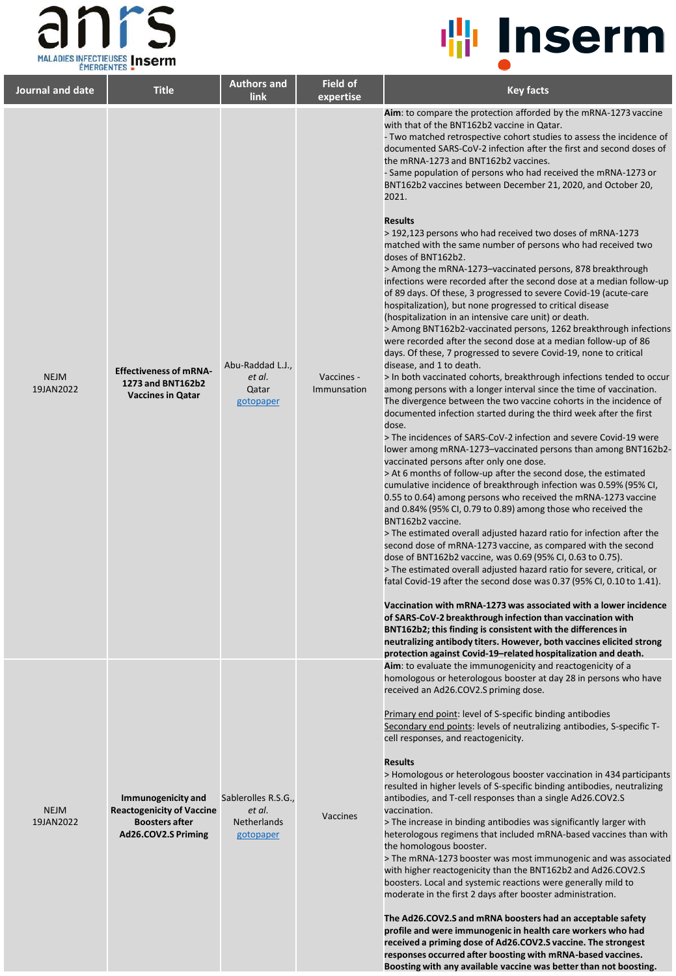| Journal and date         | <b>Title</b>                                                                                                  | <b>Authors and</b><br><b>link</b>                                | <b>Field of</b><br>expertise | <b>Key facts</b>                                                                                                                                                                                                                                                                                                                                                                                                                                                                                                                                                                                                                                                                                                                                                                                                                                                                                                                                                                                                                                                                                                                                                                                                                                                                                                                                                                                                                                                                                                                                                                                                                                                                                                                                                                                                                                                                                                                                                                                                                                                                                                                                                                                                                                                                                                                                                                                                                                                                                                                                                                                                                                                                              |
|--------------------------|---------------------------------------------------------------------------------------------------------------|------------------------------------------------------------------|------------------------------|-----------------------------------------------------------------------------------------------------------------------------------------------------------------------------------------------------------------------------------------------------------------------------------------------------------------------------------------------------------------------------------------------------------------------------------------------------------------------------------------------------------------------------------------------------------------------------------------------------------------------------------------------------------------------------------------------------------------------------------------------------------------------------------------------------------------------------------------------------------------------------------------------------------------------------------------------------------------------------------------------------------------------------------------------------------------------------------------------------------------------------------------------------------------------------------------------------------------------------------------------------------------------------------------------------------------------------------------------------------------------------------------------------------------------------------------------------------------------------------------------------------------------------------------------------------------------------------------------------------------------------------------------------------------------------------------------------------------------------------------------------------------------------------------------------------------------------------------------------------------------------------------------------------------------------------------------------------------------------------------------------------------------------------------------------------------------------------------------------------------------------------------------------------------------------------------------------------------------------------------------------------------------------------------------------------------------------------------------------------------------------------------------------------------------------------------------------------------------------------------------------------------------------------------------------------------------------------------------------------------------------------------------------------------------------------------------|
| <b>NEJM</b><br>19JAN2022 | <b>Effectiveness of mRNA-</b><br>1273 and BNT162b2<br><b>Vaccines in Qatar</b>                                | Abu-Raddad L.J.,<br>et al.<br>Qatar<br>gotopaper                 | Vaccines -<br>Immunsation    | Aim: to compare the protection afforded by the mRNA-1273 vaccine<br>with that of the BNT162b2 vaccine in Qatar.<br>- Two matched retrospective cohort studies to assess the incidence of<br>documented SARS-CoV-2 infection after the first and second doses of<br>the mRNA-1273 and BNT162b2 vaccines.<br>- Same population of persons who had received the mRNA-1273 or<br>BNT162b2 vaccines between December 21, 2020, and October 20,<br>2021.<br><b>Results</b><br>>192,123 persons who had received two doses of mRNA-1273<br>matched with the same number of persons who had received two<br>doses of BNT162b2.<br>> Among the mRNA-1273-vaccinated persons, 878 breakthrough<br>infections were recorded after the second dose at a median follow-up<br>of 89 days. Of these, 3 progressed to severe Covid-19 (acute-care<br>hospitalization), but none progressed to critical disease<br>(hospitalization in an intensive care unit) or death.<br>> Among BNT162b2-vaccinated persons, 1262 breakthrough infections<br>were recorded after the second dose at a median follow-up of 86<br>days. Of these, 7 progressed to severe Covid-19, none to critical<br>disease, and 1 to death.<br>> In both vaccinated cohorts, breakthrough infections tended to occur<br>among persons with a longer interval since the time of vaccination.<br>The divergence between the two vaccine cohorts in the incidence of<br>documented infection started during the third week after the first<br>dose.<br>> The incidences of SARS-CoV-2 infection and severe Covid-19 were<br>lower among mRNA-1273-vaccinated persons than among BNT162b2-<br>vaccinated persons after only one dose.<br>> At 6 months of follow-up after the second dose, the estimated<br>cumulative incidence of breakthrough infection was 0.59% (95% CI,<br>0.55 to 0.64) among persons who received the mRNA-1273 vaccine<br>and 0.84% (95% CI, 0.79 to 0.89) among those who received the<br>BNT162b2 vaccine.<br>> The estimated overall adjusted hazard ratio for infection after the<br>second dose of mRNA-1273 vaccine, as compared with the second<br>dose of BNT162b2 vaccine, was 0.69 (95% CI, 0.63 to 0.75).<br>> The estimated overall adjusted hazard ratio for severe, critical, or<br>fatal Covid-19 after the second dose was 0.37 (95% CI, 0.10 to 1.41).<br>Vaccination with mRNA-1273 was associated with a lower incidence<br>of SARS-CoV-2 breakthrough infection than vaccination with<br>BNT162b2; this finding is consistent with the differences in<br>neutralizing antibody titers. However, both vaccines elicited strong<br>protection against Covid-19-related hospitalization and death. |
| <b>NEJM</b><br>19JAN2022 | <b>Immunogenicity and</b><br><b>Reactogenicity of Vaccine</b><br><b>Boosters after</b><br>Ad26.COV2.S Priming | Sablerolles R.S.G.,<br>et al.<br><b>Netherlands</b><br>gotopaper | Vaccines                     | Aim: to evaluate the immunogenicity and reactogenicity of a<br>homologous or heterologous booster at day 28 in persons who have<br>received an Ad26.COV2.S priming dose.<br>Primary end point: level of S-specific binding antibodies<br>Secondary end points: levels of neutralizing antibodies, S-specific T-<br>cell responses, and reactogenicity.<br><b>Results</b><br>> Homologous or heterologous booster vaccination in 434 participants<br>resulted in higher levels of S-specific binding antibodies, neutralizing<br>antibodies, and T-cell responses than a single Ad26.COV2.S<br>vaccination.<br>> The increase in binding antibodies was significantly larger with<br>heterologous regimens that included mRNA-based vaccines than with<br>the homologous booster.<br>> The mRNA-1273 booster was most immunogenic and was associated<br>with higher reactogenicity than the BNT162b2 and Ad26.COV2.S<br>boosters. Local and systemic reactions were generally mild to<br>moderate in the first 2 days after booster administration.<br>The Ad26.COV2.S and mRNA boosters had an acceptable safety<br>profile and were immunogenic in health care workers who had<br>received a priming dose of Ad26.COV2.S vaccine. The strongest<br>responses occurred after boosting with mRNA-based vaccines.<br>Boosting with any available vaccine was better than not boosting.                                                                                                                                                                                                                                                                                                                                                                                                                                                                                                                                                                                                                                                                                                                                                                                                                                                                                                                                                                                                                                                                                                                                                                                                                                                                                                          |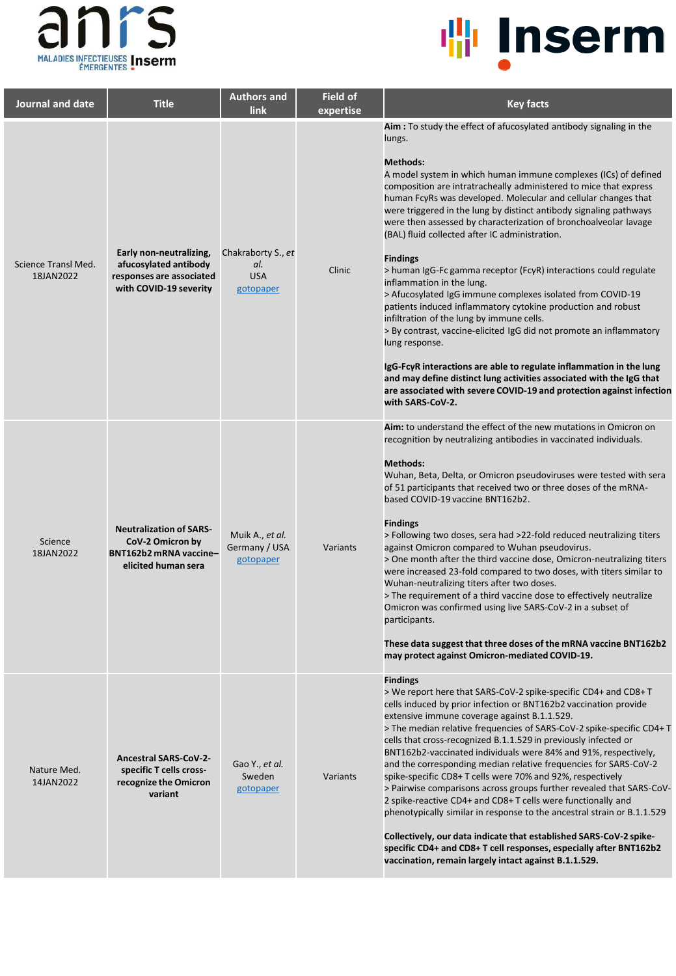



| Journal and date                 | <b>Title</b>                                                                                           | <b>Authors and</b><br>link                           | <b>Field of</b><br>expertise | <b>Key facts</b>                                                                                                                                                                                                                                                                                                                                                                                                                                                                                                                                                                                                                                                                                                                                                                                                                                                                                                                                                                                                                                                                                                                         |
|----------------------------------|--------------------------------------------------------------------------------------------------------|------------------------------------------------------|------------------------------|------------------------------------------------------------------------------------------------------------------------------------------------------------------------------------------------------------------------------------------------------------------------------------------------------------------------------------------------------------------------------------------------------------------------------------------------------------------------------------------------------------------------------------------------------------------------------------------------------------------------------------------------------------------------------------------------------------------------------------------------------------------------------------------------------------------------------------------------------------------------------------------------------------------------------------------------------------------------------------------------------------------------------------------------------------------------------------------------------------------------------------------|
| Science Transl Med.<br>18JAN2022 | Early non-neutralizing,<br>afucosylated antibody<br>responses are associated<br>with COVID-19 severity | Chakraborty S., et<br>al.<br><b>USA</b><br>gotopaper | Clinic                       | Aim: To study the effect of afucosylated antibody signaling in the<br>lungs.<br><b>Methods:</b><br>A model system in which human immune complexes (ICs) of defined<br>composition are intratracheally administered to mice that express<br>human FcyRs was developed. Molecular and cellular changes that<br>were triggered in the lung by distinct antibody signaling pathways<br>were then assessed by characterization of bronchoalveolar lavage<br>(BAL) fluid collected after IC administration.<br><b>Findings</b><br>> human IgG-Fc gamma receptor (FcγR) interactions could regulate<br>inflammation in the lung.<br>> Afucosylated IgG immune complexes isolated from COVID-19<br>patients induced inflammatory cytokine production and robust<br>infiltration of the lung by immune cells.<br>> By contrast, vaccine-elicited IgG did not promote an inflammatory<br>lung response.<br>IgG-FcyR interactions are able to regulate inflammation in the lung<br>and may define distinct lung activities associated with the IgG that<br>are associated with severe COVID-19 and protection against infection<br>with SARS-CoV-2. |
| Science<br>18JAN2022             | <b>Neutralization of SARS-</b><br>CoV-2 Omicron by<br>BNT162b2 mRNA vaccine-<br>elicited human sera    | Muik A., et al.<br>Germany / USA<br>gotopaper        | Variants                     | Aim: to understand the effect of the new mutations in Omicron on<br>recognition by neutralizing antibodies in vaccinated individuals.<br><b>Methods:</b><br>Wuhan, Beta, Delta, or Omicron pseudoviruses were tested with sera<br>of 51 participants that received two or three doses of the mRNA-<br>based COVID-19 vaccine BNT162b2.<br><b>Findings</b><br>> Following two doses, sera had >22-fold reduced neutralizing titers<br>against Omicron compared to Wuhan pseudovirus.<br>> One month after the third vaccine dose, Omicron-neutralizing titers<br>were increased 23-fold compared to two doses, with titers similar to<br>Wuhan-neutralizing titers after two doses.<br>> The requirement of a third vaccine dose to effectively neutralize<br>Omicron was confirmed using live SARS-CoV-2 in a subset of<br>participants.<br>These data suggest that three doses of the mRNA vaccine BNT162b2<br>may protect against Omicron-mediated COVID-19.                                                                                                                                                                           |
| Nature Med.<br>14JAN2022         | <b>Ancestral SARS-CoV-2-</b><br>specific T cells cross-<br>recognize the Omicron<br>variant            | Gao Y., et al.<br>Sweden<br>gotopaper                | Variants                     | <b>Findings</b><br>> We report here that SARS-CoV-2 spike-specific CD4+ and CD8+ T<br>cells induced by prior infection or BNT162b2 vaccination provide<br>extensive immune coverage against B.1.1.529.<br>> The median relative frequencies of SARS-CoV-2 spike-specific CD4+ T<br>cells that cross-recognized B.1.1.529 in previously infected or<br>BNT162b2-vaccinated individuals were 84% and 91%, respectively,<br>and the corresponding median relative frequencies for SARS-CoV-2<br>spike-specific CD8+T cells were 70% and 92%, respectively<br>> Pairwise comparisons across groups further revealed that SARS-CoV-<br>2 spike-reactive CD4+ and CD8+ T cells were functionally and<br>phenotypically similar in response to the ancestral strain or B.1.1.529<br>Collectively, our data indicate that established SARS-CoV-2 spike-<br>specific CD4+ and CD8+ T cell responses, especially after BNT162b2<br>vaccination, remain largely intact against B.1.1.529.                                                                                                                                                           |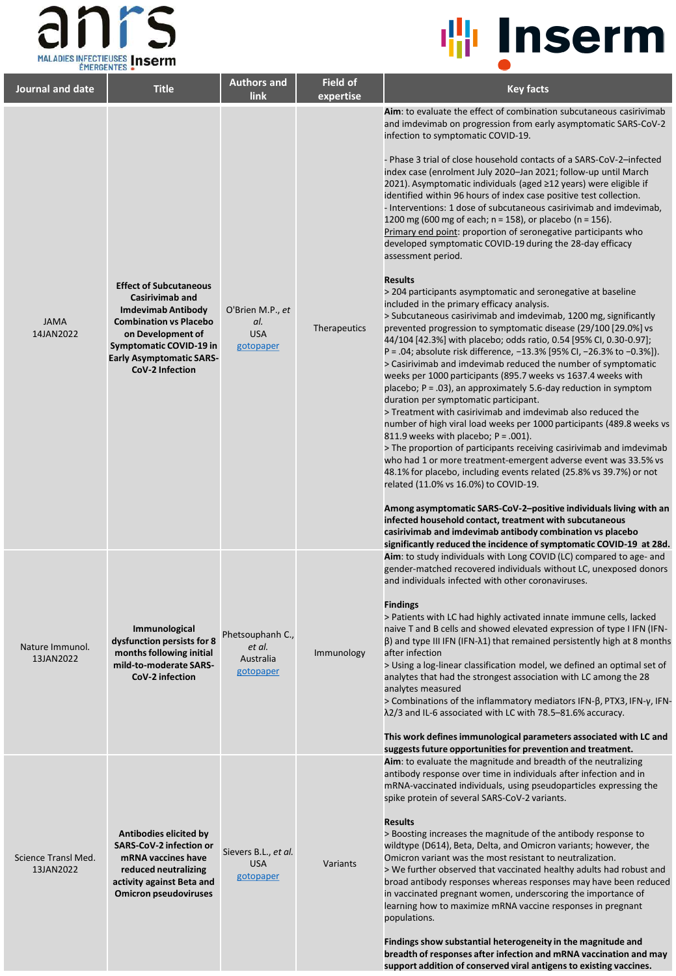### **Will Inserm**

| <b>EMERGENIES</b> .              |                                                                                                                                                                                                                      |                                                      |                              |                                                                                                                                                                                                                                                                                                                                                                                                                                                                                                                                                                                                                                                                                                                                                                                                                                                                                                                                                                                                                                                                                                                                                                                                                                                                                                                                                                                                                                                                                                                                                                                                                                                                                                                                                                                                                                                                                                                                                                                                                                                                                     |
|----------------------------------|----------------------------------------------------------------------------------------------------------------------------------------------------------------------------------------------------------------------|------------------------------------------------------|------------------------------|-------------------------------------------------------------------------------------------------------------------------------------------------------------------------------------------------------------------------------------------------------------------------------------------------------------------------------------------------------------------------------------------------------------------------------------------------------------------------------------------------------------------------------------------------------------------------------------------------------------------------------------------------------------------------------------------------------------------------------------------------------------------------------------------------------------------------------------------------------------------------------------------------------------------------------------------------------------------------------------------------------------------------------------------------------------------------------------------------------------------------------------------------------------------------------------------------------------------------------------------------------------------------------------------------------------------------------------------------------------------------------------------------------------------------------------------------------------------------------------------------------------------------------------------------------------------------------------------------------------------------------------------------------------------------------------------------------------------------------------------------------------------------------------------------------------------------------------------------------------------------------------------------------------------------------------------------------------------------------------------------------------------------------------------------------------------------------------|
| Journal and date                 | <b>Title</b>                                                                                                                                                                                                         | <b>Authors and</b><br>link                           | <b>Field of</b><br>expertise | <b>Key facts</b>                                                                                                                                                                                                                                                                                                                                                                                                                                                                                                                                                                                                                                                                                                                                                                                                                                                                                                                                                                                                                                                                                                                                                                                                                                                                                                                                                                                                                                                                                                                                                                                                                                                                                                                                                                                                                                                                                                                                                                                                                                                                    |
| <b>JAMA</b><br>14JAN2022         | <b>Effect of Subcutaneous</b><br>Casirivimab and<br><b>Imdevimab Antibody</b><br><b>Combination vs Placebo</b><br>on Development of<br>Symptomatic COVID-19 in<br><b>Early Asymptomatic SARS-</b><br>CoV-2 Infection | O'Brien M.P., et<br>al.<br><b>USA</b><br>gotopaper   | Therapeutics                 | <b>Aim:</b> to evaluate the effect of combination subcutaneous casirivimab<br>and imdevimab on progression from early asymptomatic SARS-CoV-2<br>infection to symptomatic COVID-19.<br>- Phase 3 trial of close household contacts of a SARS-CoV-2-infected<br>index case (enrolment July 2020-Jan 2021; follow-up until March<br>2021). Asymptomatic individuals (aged ≥12 years) were eligible if<br>identified within 96 hours of index case positive test collection.<br>- Interventions: 1 dose of subcutaneous casirivimab and imdevimab,<br>1200 mg (600 mg of each; n = 158), or placebo (n = 156).<br>Primary end point: proportion of seronegative participants who<br>developed symptomatic COVID-19 during the 28-day efficacy<br>assessment period.<br><b>Results</b><br>> 204 participants asymptomatic and seronegative at baseline<br>included in the primary efficacy analysis.<br>> Subcutaneous casirivimab and imdevimab, 1200 mg, significantly<br>prevented progression to symptomatic disease (29/100 [29.0%] vs<br>44/104 [42.3%] with placebo; odds ratio, 0.54 [95% CI, 0.30-0.97];<br>P = .04; absolute risk difference, -13.3% [95% CI, -26.3% to -0.3%]).<br>> Casirivimab and imdevimab reduced the number of symptomatic<br>weeks per 1000 participants (895.7 weeks vs 1637.4 weeks with<br>placebo; $P = .03$ ), an approximately 5.6-day reduction in symptom<br>duration per symptomatic participant.<br>> Treatment with casirivimab and imdevimab also reduced the<br>number of high viral load weeks per 1000 participants (489.8 weeks vs<br>811.9 weeks with placebo; $P = .001$ ).<br>> The proportion of participants receiving casirivimab and imdevimab<br>who had 1 or more treatment-emergent adverse event was 33.5% vs<br>48.1% for placebo, including events related (25.8% vs 39.7%) or not<br>related (11.0% vs 16.0%) to COVID-19.<br>Among asymptomatic SARS-CoV-2-positive individuals living with an<br>infected household contact, treatment with subcutaneous<br>casirivimab and imdevimab antibody combination vs placebo |
| Nature Immunol.<br>13JAN2022     | Immunological<br>dysfunction persists for 8<br>months following initial<br>mild-to-moderate SARS-<br>CoV-2 infection                                                                                                 | Phetsouphanh C.,<br>et al.<br>Australia<br>gotopaper | Immunology                   | significantly reduced the incidence of symptomatic COVID-19 at 28d.<br>Aim: to study individuals with Long COVID (LC) compared to age- and<br>gender-matched recovered individuals without LC, unexposed donors<br>and individuals infected with other coronaviruses.<br><b>Findings</b><br>> Patients with LC had highly activated innate immune cells, lacked<br>naive T and B cells and showed elevated expression of type I IFN (IFN-<br>$\beta$ ) and type III IFN (IFN- $\lambda$ 1) that remained persistently high at 8 months<br>after infection<br>> Using a log-linear classification model, we defined an optimal set of<br>analytes that had the strongest association with LC among the 28<br>analytes measured<br>> Combinations of the inflammatory mediators IFN-β, PTX3, IFN-γ, IFN-<br>λ2/3 and IL-6 associated with LC with 78.5-81.6% accuracy.<br>This work defines immunological parameters associated with LC and<br>suggests future opportunities for prevention and treatment.                                                                                                                                                                                                                                                                                                                                                                                                                                                                                                                                                                                                                                                                                                                                                                                                                                                                                                                                                                                                                                                                            |
| Science Transl Med.<br>13JAN2022 | Antibodies elicited by<br><b>SARS-CoV-2 infection or</b><br>mRNA vaccines have<br>reduced neutralizing<br>activity against Beta and<br><b>Omicron pseudoviruses</b>                                                  | Sievers B.L., et al.<br><b>USA</b><br>gotopaper      | Variants                     | Aim: to evaluate the magnitude and breadth of the neutralizing<br>antibody response over time in individuals after infection and in<br>mRNA-vaccinated individuals, using pseudoparticles expressing the<br>spike protein of several SARS-CoV-2 variants.<br><b>Results</b><br>> Boosting increases the magnitude of the antibody response to<br>wildtype (D614), Beta, Delta, and Omicron variants; however, the<br>Omicron variant was the most resistant to neutralization.<br>> We further observed that vaccinated healthy adults had robust and<br>broad antibody responses whereas responses may have been reduced<br>in vaccinated pregnant women, underscoring the importance of<br>learning how to maximize mRNA vaccine responses in pregnant<br>populations.<br>Findings show substantial heterogeneity in the magnitude and<br>hreadth of responses after infection and mRNA vaccination and may                                                                                                                                                                                                                                                                                                                                                                                                                                                                                                                                                                                                                                                                                                                                                                                                                                                                                                                                                                                                                                                                                                                                                                       |

**breadth of responses after infection and mRNA vaccination and may support addition of conserved viral antigens to existing vaccines.**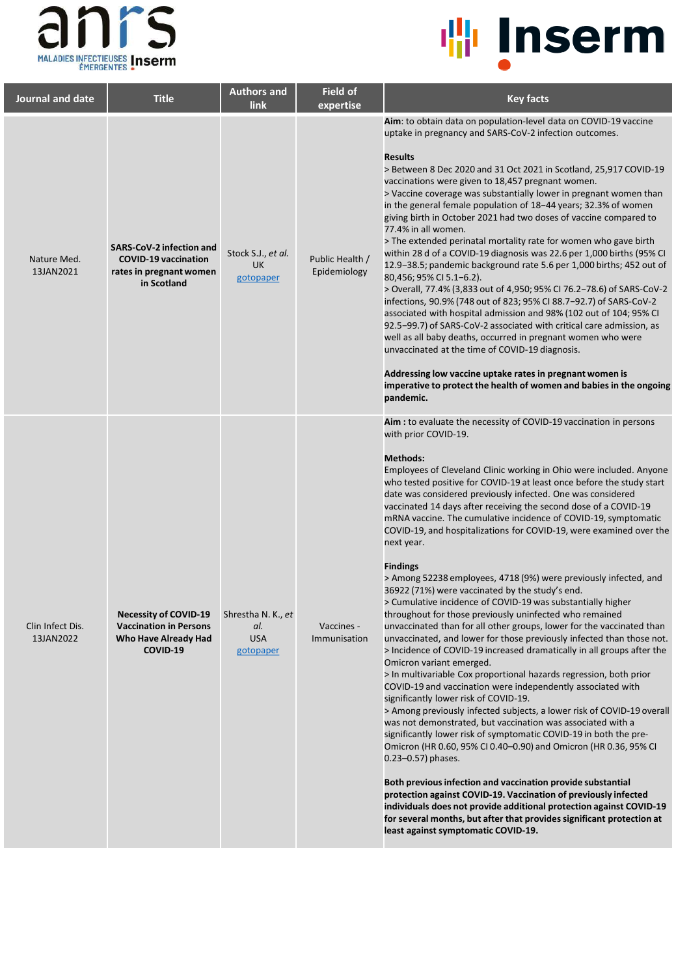

| Journal and date              | <b>Title</b>                                                                                      | <b>Authors and</b><br>link                           | <b>Field of</b><br>expertise    | <b>Key facts</b>                                                                                                                                                                                                                                                                                                                                                                                                                                                                                                                                                                                                                                                                                                                                                                                                                                                                                                                                                                                                                                                                                                                                                                                                                                                                                                                                                                                                                                                                                                                                                                                                                                                                                                                                                                                                                                                                                         |
|-------------------------------|---------------------------------------------------------------------------------------------------|------------------------------------------------------|---------------------------------|----------------------------------------------------------------------------------------------------------------------------------------------------------------------------------------------------------------------------------------------------------------------------------------------------------------------------------------------------------------------------------------------------------------------------------------------------------------------------------------------------------------------------------------------------------------------------------------------------------------------------------------------------------------------------------------------------------------------------------------------------------------------------------------------------------------------------------------------------------------------------------------------------------------------------------------------------------------------------------------------------------------------------------------------------------------------------------------------------------------------------------------------------------------------------------------------------------------------------------------------------------------------------------------------------------------------------------------------------------------------------------------------------------------------------------------------------------------------------------------------------------------------------------------------------------------------------------------------------------------------------------------------------------------------------------------------------------------------------------------------------------------------------------------------------------------------------------------------------------------------------------------------------------|
| Nature Med.<br>13JAN2021      | SARS-CoV-2 infection and<br><b>COVID-19 vaccination</b><br>rates in pregnant women<br>in Scotland | Stock S.J., et al.<br><b>UK</b><br>gotopaper         | Public Health /<br>Epidemiology | Aim: to obtain data on population-level data on COVID-19 vaccine<br>uptake in pregnancy and SARS-CoV-2 infection outcomes.<br><b>Results</b><br>> Between 8 Dec 2020 and 31 Oct 2021 in Scotland, 25,917 COVID-19<br>vaccinations were given to 18,457 pregnant women.<br>> Vaccine coverage was substantially lower in pregnant women than<br>in the general female population of 18-44 years; 32.3% of women<br>giving birth in October 2021 had two doses of vaccine compared to<br>77.4% in all women.<br>> The extended perinatal mortality rate for women who gave birth<br>within 28 d of a COVID-19 diagnosis was 22.6 per 1,000 births (95% CI<br>12.9-38.5; pandemic background rate 5.6 per 1,000 births; 452 out of<br>80,456; 95% CI 5.1-6.2).<br>> Overall, 77.4% (3,833 out of 4,950; 95% CI 76.2–78.6) of SARS-CoV-2<br>infections, 90.9% (748 out of 823; 95% CI 88.7-92.7) of SARS-CoV-2<br>associated with hospital admission and 98% (102 out of 104; 95% CI<br>92.5-99.7) of SARS-CoV-2 associated with critical care admission, as<br>well as all baby deaths, occurred in pregnant women who were<br>unvaccinated at the time of COVID-19 diagnosis.<br>Addressing low vaccine uptake rates in pregnant women is<br>imperative to protect the health of women and babies in the ongoing<br>pandemic.                                                                                                                                                                                                                                                                                                                                                                                                                                                                                                                                                                              |
| Clin Infect Dis.<br>13JAN2022 | <b>Necessity of COVID-19</b><br><b>Vaccination in Persons</b><br>Who Have Already Had<br>COVID-19 | Shrestha N. K., et<br>al.<br><b>USA</b><br>gotopaper | Vaccines -<br>Immunisation      | Aim : to evaluate the necessity of COVID-19 vaccination in persons<br>with prior COVID-19.<br><b>Methods:</b><br>Employees of Cleveland Clinic working in Ohio were included. Anyone<br>who tested positive for COVID-19 at least once before the study start<br>date was considered previously infected. One was considered<br>vaccinated 14 days after receiving the second dose of a COVID-19<br>mRNA vaccine. The cumulative incidence of COVID-19, symptomatic<br>COVID-19, and hospitalizations for COVID-19, were examined over the<br>next year.<br><b>Findings</b><br>> Among 52238 employees, 4718 (9%) were previously infected, and<br>36922 (71%) were vaccinated by the study's end.<br>> Cumulative incidence of COVID-19 was substantially higher<br>throughout for those previously uninfected who remained<br>unvaccinated than for all other groups, lower for the vaccinated than<br>unvaccinated, and lower for those previously infected than those not.<br>> Incidence of COVID-19 increased dramatically in all groups after the<br>Omicron variant emerged.<br>> In multivariable Cox proportional hazards regression, both prior<br>COVID-19 and vaccination were independently associated with<br>significantly lower risk of COVID-19.<br>> Among previously infected subjects, a lower risk of COVID-19 overall<br>was not demonstrated, but vaccination was associated with a<br>significantly lower risk of symptomatic COVID-19 in both the pre-<br>Omicron (HR 0.60, 95% CI 0.40-0.90) and Omicron (HR 0.36, 95% CI<br>$0.23 - 0.57$ ) phases.<br>Both previous infection and vaccination provide substantial<br>protection against COVID-19. Vaccination of previously infected<br>individuals does not provide additional protection against COVID-19<br>for several months, but after that provides significant protection at<br>least against symptomatic COVID-19. |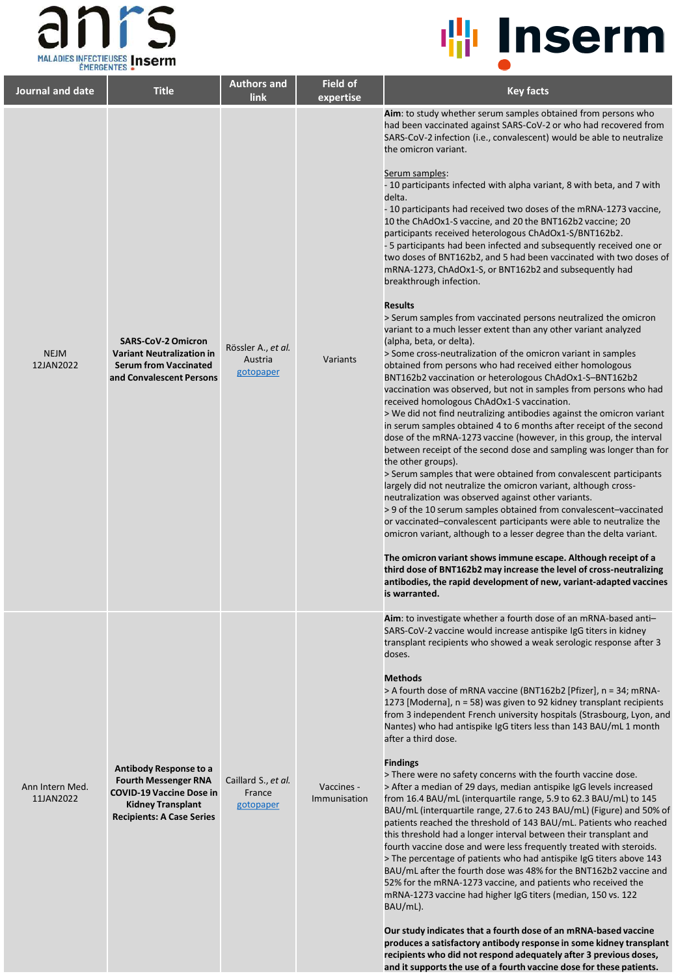## **Will Inserm**

|                              |                                                                                                                                                          | <b>Authors and</b>                                | <b>Field of</b>            |                                                                                                                                                                                                                                                                                                                                                                                                                                                                                                                                                                                                                                                                                                                                                                                                                                                                                                                                                                                                                                                                                                                                                                                                                                                                                                                                                                                                                                                                                                                                                                                                                                                                                                                                                                                                                                                                                                                                                                                                                                                                                                                                                                                                                                            |
|------------------------------|----------------------------------------------------------------------------------------------------------------------------------------------------------|---------------------------------------------------|----------------------------|--------------------------------------------------------------------------------------------------------------------------------------------------------------------------------------------------------------------------------------------------------------------------------------------------------------------------------------------------------------------------------------------------------------------------------------------------------------------------------------------------------------------------------------------------------------------------------------------------------------------------------------------------------------------------------------------------------------------------------------------------------------------------------------------------------------------------------------------------------------------------------------------------------------------------------------------------------------------------------------------------------------------------------------------------------------------------------------------------------------------------------------------------------------------------------------------------------------------------------------------------------------------------------------------------------------------------------------------------------------------------------------------------------------------------------------------------------------------------------------------------------------------------------------------------------------------------------------------------------------------------------------------------------------------------------------------------------------------------------------------------------------------------------------------------------------------------------------------------------------------------------------------------------------------------------------------------------------------------------------------------------------------------------------------------------------------------------------------------------------------------------------------------------------------------------------------------------------------------------------------|
| Journal and date             | <b>Title</b>                                                                                                                                             | <b>link</b>                                       | expertise                  | <b>Key facts</b>                                                                                                                                                                                                                                                                                                                                                                                                                                                                                                                                                                                                                                                                                                                                                                                                                                                                                                                                                                                                                                                                                                                                                                                                                                                                                                                                                                                                                                                                                                                                                                                                                                                                                                                                                                                                                                                                                                                                                                                                                                                                                                                                                                                                                           |
| <b>NEJM</b><br>12JAN2022     | <b>SARS-CoV-2 Omicron</b><br><b>Variant Neutralization in</b><br><b>Serum from Vaccinated</b><br>and Convalescent Persons                                | Rössler A., <i>et al.</i><br>Austria<br>gotopaper | Variants                   | Aim: to study whether serum samples obtained from persons who<br>had been vaccinated against SARS-CoV-2 or who had recovered from<br>SARS-CoV-2 infection (i.e., convalescent) would be able to neutralize<br>the omicron variant.<br>Serum samples:<br>-10 participants infected with alpha variant, 8 with beta, and 7 with<br>delta.<br>-10 participants had received two doses of the mRNA-1273 vaccine,<br>10 the ChAdOx1-S vaccine, and 20 the BNT162b2 vaccine; 20<br>participants received heterologous ChAdOx1-S/BNT162b2.<br>- 5 participants had been infected and subsequently received one or<br>two doses of BNT162b2, and 5 had been vaccinated with two doses of<br>mRNA-1273, ChAdOx1-S, or BNT162b2 and subsequently had<br>breakthrough infection.<br><b>Results</b><br>> Serum samples from vaccinated persons neutralized the omicron<br>variant to a much lesser extent than any other variant analyzed<br>(alpha, beta, or delta).<br>> Some cross-neutralization of the omicron variant in samples<br>obtained from persons who had received either homologous<br>BNT162b2 vaccination or heterologous ChAdOx1-S-BNT162b2<br>vaccination was observed, but not in samples from persons who had<br>received homologous ChAdOx1-S vaccination.<br>> We did not find neutralizing antibodies against the omicron variant<br>in serum samples obtained 4 to 6 months after receipt of the second<br>dose of the mRNA-1273 vaccine (however, in this group, the interval<br>between receipt of the second dose and sampling was longer than for<br>the other groups).<br>> Serum samples that were obtained from convalescent participants<br>largely did not neutralize the omicron variant, although cross-<br>neutralization was observed against other variants.<br>>9 of the 10 serum samples obtained from convalescent-vaccinated<br>or vaccinated–convalescent participants were able to neutralize the<br>omicron variant, although to a lesser degree than the delta variant.<br>The omicron variant shows immune escape. Although receipt of a<br>third dose of BNT162b2 may increase the level of cross-neutralizing<br>antibodies, the rapid development of new, variant-adapted vaccines<br>is warranted. |
| Ann Intern Med.<br>11JAN2022 | Antibody Response to a<br><b>Fourth Messenger RNA</b><br><b>COVID-19 Vaccine Dose in</b><br><b>Kidney Transplant</b><br><b>Recipients: A Case Series</b> | Caillard S., et al.<br>France<br>gotopaper        | Vaccines -<br>Immunisation | Aim: to investigate whether a fourth dose of an mRNA-based anti-<br>SARS-CoV-2 vaccine would increase antispike IgG titers in kidney<br>transplant recipients who showed a weak serologic response after 3<br>doses.<br><b>Methods</b><br>> A fourth dose of mRNA vaccine (BNT162b2 [Pfizer], n = 34; mRNA-<br>1273 [Moderna], n = 58) was given to 92 kidney transplant recipients<br>from 3 independent French university hospitals (Strasbourg, Lyon, and<br>Nantes) who had antispike IgG titers less than 143 BAU/mL 1 month<br>after a third dose.<br><b>Findings</b><br>> There were no safety concerns with the fourth vaccine dose.<br>> After a median of 29 days, median antispike IgG levels increased<br>from 16.4 BAU/mL (interquartile range, 5.9 to 62.3 BAU/mL) to 145<br>BAU/mL (interquartile range, 27.6 to 243 BAU/mL) (Figure) and 50% of<br>patients reached the threshold of 143 BAU/mL. Patients who reached<br>this threshold had a longer interval between their transplant and<br>fourth vaccine dose and were less frequently treated with steroids.<br>> The percentage of patients who had antispike IgG titers above 143<br>BAU/mL after the fourth dose was 48% for the BNT162b2 vaccine and<br>52% for the mRNA-1273 vaccine, and patients who received the<br>mRNA-1273 vaccine had higher IgG titers (median, 150 vs. 122<br>BAU/mL).<br>Our study indicates that a fourth dose of an mRNA-based vaccine                                                                                                                                                                                                                                                                                                                                                                                                                                                                                                                                                                                                                                                                                                                                                                                               |

**produces a satisfactory antibody response in some kidney transplant recipients who did not respond adequately after 3 previous doses, and it supports the use of a fourth vaccine dose for these patients.**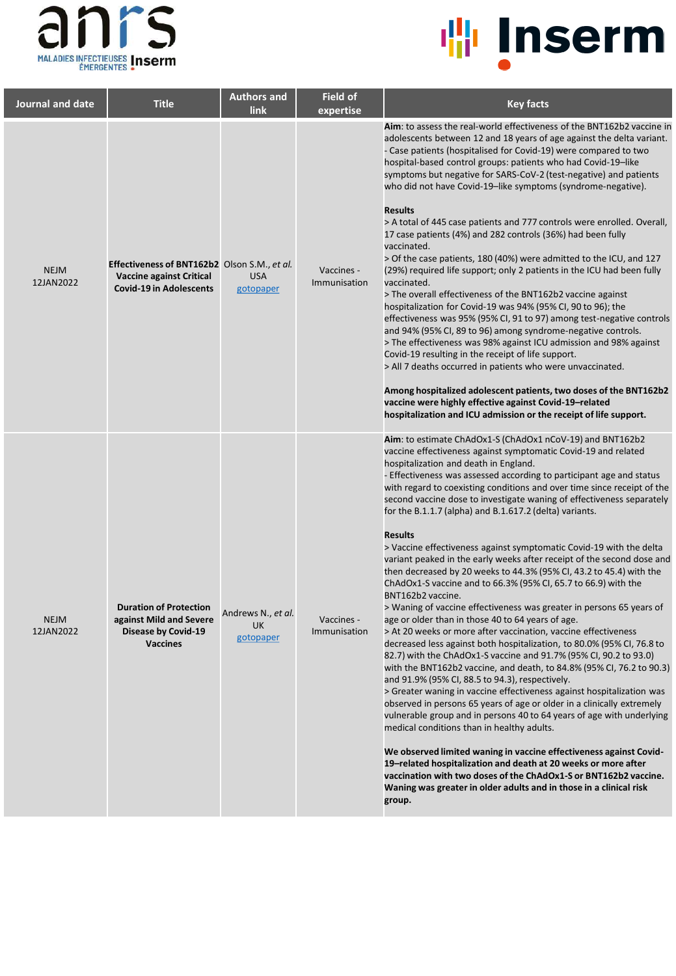

I

# **WE Inserm**

| Journal and date         | <b>Title</b>                                                                                                             | <b>Authors and</b><br><b>link</b>     | <b>Field of</b><br>expertise | <b>Key facts</b>                                                                                                                                                                                                                                                                                                                                                                                                                                                                                                                                                                                                                                                                                                                                                                                                                                                                                                                                                                                                                                                                                                                                                                                                                                                                                                                                                                                                                                                                                                                                                                                                                                                                                                                                                                                                                                 |
|--------------------------|--------------------------------------------------------------------------------------------------------------------------|---------------------------------------|------------------------------|--------------------------------------------------------------------------------------------------------------------------------------------------------------------------------------------------------------------------------------------------------------------------------------------------------------------------------------------------------------------------------------------------------------------------------------------------------------------------------------------------------------------------------------------------------------------------------------------------------------------------------------------------------------------------------------------------------------------------------------------------------------------------------------------------------------------------------------------------------------------------------------------------------------------------------------------------------------------------------------------------------------------------------------------------------------------------------------------------------------------------------------------------------------------------------------------------------------------------------------------------------------------------------------------------------------------------------------------------------------------------------------------------------------------------------------------------------------------------------------------------------------------------------------------------------------------------------------------------------------------------------------------------------------------------------------------------------------------------------------------------------------------------------------------------------------------------------------------------|
| <b>NEJM</b><br>12JAN2022 | <b>Effectiveness of BNT162b2</b> Olson S.M., et al.<br><b>Vaccine against Critical</b><br><b>Covid-19 in Adolescents</b> | <b>USA</b><br>gotopaper               | Vaccines -<br>Immunisation   | Aim: to assess the real-world effectiveness of the BNT162b2 vaccine in<br>adolescents between 12 and 18 years of age against the delta variant.<br>- Case patients (hospitalised for Covid-19) were compared to two<br>hospital-based control groups: patients who had Covid-19-like<br>symptoms but negative for SARS-CoV-2 (test-negative) and patients<br>who did not have Covid-19–like symptoms (syndrome-negative).<br><b>Results</b><br>> A total of 445 case patients and 777 controls were enrolled. Overall,<br>17 case patients (4%) and 282 controls (36%) had been fully<br>vaccinated.<br>> Of the case patients, 180 (40%) were admitted to the ICU, and 127<br>(29%) required life support; only 2 patients in the ICU had been fully<br>vaccinated.<br>> The overall effectiveness of the BNT162b2 vaccine against<br>hospitalization for Covid-19 was 94% (95% CI, 90 to 96); the<br>effectiveness was 95% (95% CI, 91 to 97) among test-negative controls<br>and 94% (95% CI, 89 to 96) among syndrome-negative controls.<br>> The effectiveness was 98% against ICU admission and 98% against<br>Covid-19 resulting in the receipt of life support.<br>> All 7 deaths occurred in patients who were unvaccinated.<br>Among hospitalized adolescent patients, two doses of the BNT162b2<br>vaccine were highly effective against Covid-19-related<br>hospitalization and ICU admission or the receipt of life support.                                                                                                                                                                                                                                                                                                                                                                                                        |
| <b>NEJM</b><br>12JAN2022 | <b>Duration of Protection</b><br>against Mild and Severe<br>Disease by Covid-19<br><b>Vaccines</b>                       | Andrews N., et al.<br>UK<br>gotopaper | Vaccines -<br>Immunisation   | Aim: to estimate ChAdOx1-S (ChAdOx1 nCoV-19) and BNT162b2<br>vaccine effectiveness against symptomatic Covid-19 and related<br>hospitalization and death in England.<br>- Effectiveness was assessed according to participant age and status<br>with regard to coexisting conditions and over time since receipt of the<br>second vaccine dose to investigate waning of effectiveness separately<br>for the $B.1.1.7$ (alpha) and $B.1.617.2$ (delta) variants.<br><b>Results</b><br>> Vaccine effectiveness against symptomatic Covid-19 with the delta<br>variant peaked in the early weeks after receipt of the second dose and<br>then decreased by 20 weeks to 44.3% (95% CI, 43.2 to 45.4) with the<br>ChAdOx1-S vaccine and to 66.3% (95% CI, 65.7 to 66.9) with the<br>BNT162b2 vaccine.<br>> Waning of vaccine effectiveness was greater in persons 65 years of<br>age or older than in those 40 to 64 years of age.<br>> At 20 weeks or more after vaccination, vaccine effectiveness<br>decreased less against both hospitalization, to 80.0% (95% CI, 76.8 to<br>82.7) with the ChAdOx1-S vaccine and 91.7% (95% CI, 90.2 to 93.0)<br>with the BNT162b2 vaccine, and death, to 84.8% (95% CI, 76.2 to 90.3)<br>and 91.9% (95% CI, 88.5 to 94.3), respectively.<br>> Greater waning in vaccine effectiveness against hospitalization was<br>observed in persons 65 years of age or older in a clinically extremely<br>vulnerable group and in persons 40 to 64 years of age with underlying<br>medical conditions than in healthy adults.<br>We observed limited waning in vaccine effectiveness against Covid-<br>19-related hospitalization and death at 20 weeks or more after<br>vaccination with two doses of the ChAdOx1-S or BNT162b2 vaccine.<br>Waning was greater in older adults and in those in a clinical risk<br>group. |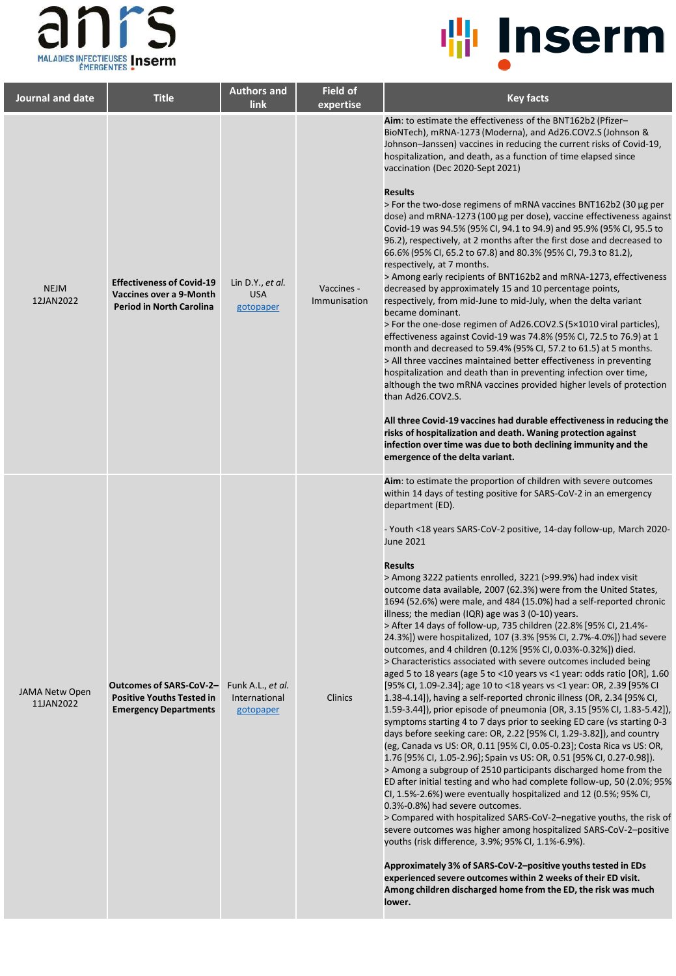

| Journal and date                   | <b>Title</b>                                                                                   | <b>Authors and</b><br>link                          | <b>Field of</b><br>expertise | <b>Key facts</b>                                                                                                                                                                                                                                                                                                                                                                                                                                                                                                                                                                                                                                                                                                                                                                                                                                                                                                                                                                                                                                                                                                                                                                                                                                                                                                                                                                                                                                                                                                                                                                                                                                                                                                                                                                                                                                                                                                                                                                                                                                                                                         |
|------------------------------------|------------------------------------------------------------------------------------------------|-----------------------------------------------------|------------------------------|----------------------------------------------------------------------------------------------------------------------------------------------------------------------------------------------------------------------------------------------------------------------------------------------------------------------------------------------------------------------------------------------------------------------------------------------------------------------------------------------------------------------------------------------------------------------------------------------------------------------------------------------------------------------------------------------------------------------------------------------------------------------------------------------------------------------------------------------------------------------------------------------------------------------------------------------------------------------------------------------------------------------------------------------------------------------------------------------------------------------------------------------------------------------------------------------------------------------------------------------------------------------------------------------------------------------------------------------------------------------------------------------------------------------------------------------------------------------------------------------------------------------------------------------------------------------------------------------------------------------------------------------------------------------------------------------------------------------------------------------------------------------------------------------------------------------------------------------------------------------------------------------------------------------------------------------------------------------------------------------------------------------------------------------------------------------------------------------------------|
| <b>NEJM</b><br>12JAN2022           | <b>Effectiveness of Covid-19</b><br>Vaccines over a 9-Month<br><b>Period in North Carolina</b> | Lin D.Y. <i>, et al.</i><br><b>USA</b><br>gotopaper | Vaccines -<br>Immunisation   | Aim: to estimate the effectiveness of the BNT162b2 (Pfizer-<br>BioNTech), mRNA-1273 (Moderna), and Ad26.COV2.S (Johnson &<br>Johnson-Janssen) vaccines in reducing the current risks of Covid-19,<br>hospitalization, and death, as a function of time elapsed since<br>vaccination (Dec 2020-Sept 2021)<br><b>Results</b><br>> For the two-dose regimens of mRNA vaccines BNT162b2 (30 μg per<br>dose) and mRNA-1273 (100 μg per dose), vaccine effectiveness against<br>Covid-19 was 94.5% (95% CI, 94.1 to 94.9) and 95.9% (95% CI, 95.5 to<br>96.2), respectively, at 2 months after the first dose and decreased to<br>66.6% (95% CI, 65.2 to 67.8) and 80.3% (95% CI, 79.3 to 81.2),<br>respectively, at 7 months.<br>> Among early recipients of BNT162b2 and mRNA-1273, effectiveness<br>decreased by approximately 15 and 10 percentage points,<br>respectively, from mid-June to mid-July, when the delta variant<br>became dominant.<br>> For the one-dose regimen of Ad26.COV2.S (5×1010 viral particles),<br>effectiveness against Covid-19 was 74.8% (95% CI, 72.5 to 76.9) at 1<br>month and decreased to 59.4% (95% CI, 57.2 to 61.5) at 5 months.<br>> All three vaccines maintained better effectiveness in preventing<br>hospitalization and death than in preventing infection over time,<br>although the two mRNA vaccines provided higher levels of protection<br>than Ad26.COV2.S.<br>All three Covid-19 vaccines had durable effectiveness in reducing the<br>risks of hospitalization and death. Waning protection against<br>infection over time was due to both declining immunity and the<br>emergence of the delta variant.                                                                                                                                                                                                                                                                                                                                                                                                                                                 |
| <b>JAMA Netw Open</b><br>11JAN2022 | Outcomes of SARS-CoV-2-<br><b>Positive Youths Tested in</b><br><b>Emergency Departments</b>    | Funk A.L., et al.<br>International<br>gotopaper     | Clinics                      | Aim: to estimate the proportion of children with severe outcomes<br>within 14 days of testing positive for SARS-CoV-2 in an emergency<br>department (ED).<br>- Youth <18 years SARS-CoV-2 positive, 14-day follow-up, March 2020-<br>June 2021<br><b>Results</b><br>> Among 3222 patients enrolled, 3221 (>99.9%) had index visit<br>outcome data available, 2007 (62.3%) were from the United States,<br>1694 (52.6%) were male, and 484 (15.0%) had a self-reported chronic<br>illness; the median (IQR) age was 3 (0-10) years.<br>> After 14 days of follow-up, 735 children (22.8% [95% CI, 21.4%-<br>24.3%]) were hospitalized, 107 (3.3% [95% CI, 2.7%-4.0%]) had severe<br>outcomes, and 4 children (0.12% [95% CI, 0.03%-0.32%]) died.<br>> Characteristics associated with severe outcomes included being<br>aged 5 to 18 years (age 5 to <10 years vs <1 year: odds ratio [OR], 1.60<br>[95% CI, 1.09-2.34]; age 10 to <18 years vs <1 year: OR, 2.39 [95% CI<br>1.38-4.14]), having a self-reported chronic illness (OR, 2.34 [95% CI,<br>1.59-3.44]), prior episode of pneumonia (OR, 3.15 [95% CI, 1.83-5.42]),<br>symptoms starting 4 to 7 days prior to seeking ED care (vs starting 0-3<br>days before seeking care: OR, 2.22 [95% CI, 1.29-3.82]), and country<br>(eg, Canada vs US: OR, 0.11 [95% CI, 0.05-0.23]; Costa Rica vs US: OR,<br>1.76 [95% CI, 1.05-2.96]; Spain vs US: OR, 0.51 [95% CI, 0.27-0.98]).<br>> Among a subgroup of 2510 participants discharged home from the<br>ED after initial testing and who had complete follow-up, 50 (2.0%; 95%<br>CI, 1.5%-2.6%) were eventually hospitalized and 12 (0.5%; 95% CI,<br>0.3%-0.8%) had severe outcomes.<br>> Compared with hospitalized SARS-CoV-2-negative youths, the risk of<br>severe outcomes was higher among hospitalized SARS-CoV-2-positive<br>youths (risk difference, 3.9%; 95% CI, 1.1%-6.9%).<br>Approximately 3% of SARS-CoV-2-positive youths tested in EDs<br>experienced severe outcomes within 2 weeks of their ED visit.<br>Among children discharged home from the ED, the risk was much<br>lower. |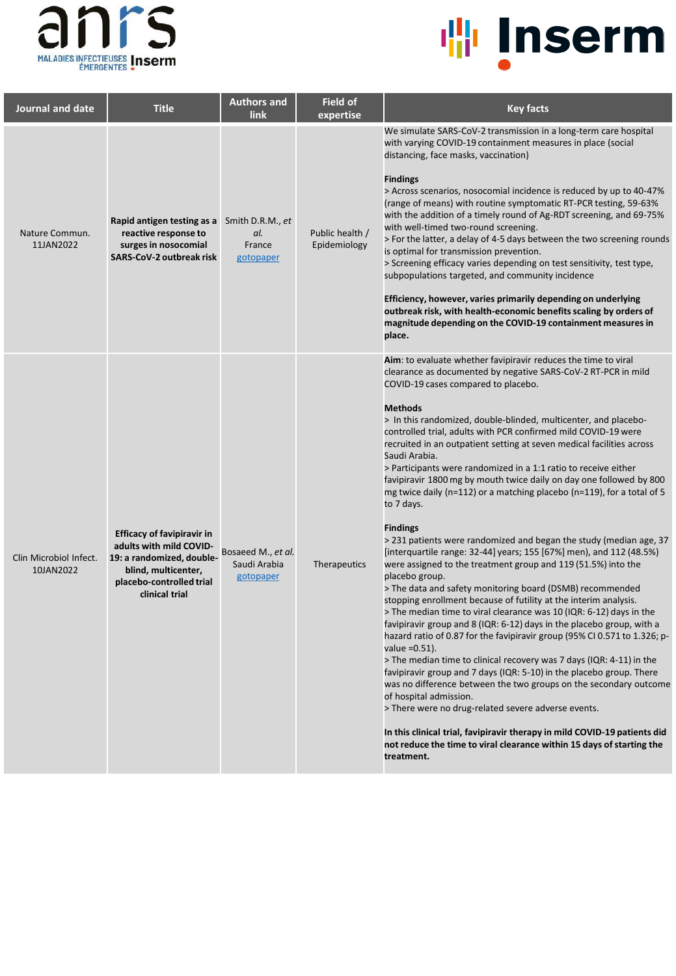



| Journal and date                    | <b>Title</b>                                                                                                                                                   | <b>Authors and</b><br>link                      | <b>Field of</b><br>expertise    | <b>Key facts</b>                                                                                                                                                                                                                                                                                                                                                                                                                                                                                                                                                                                                                                                                                                                                                                                                                                                                                                                                                                                                                                                                                                                                                                                                                                                                                                                                                                                                                                                                                                                                                                                                                                                                                                                                                       |
|-------------------------------------|----------------------------------------------------------------------------------------------------------------------------------------------------------------|-------------------------------------------------|---------------------------------|------------------------------------------------------------------------------------------------------------------------------------------------------------------------------------------------------------------------------------------------------------------------------------------------------------------------------------------------------------------------------------------------------------------------------------------------------------------------------------------------------------------------------------------------------------------------------------------------------------------------------------------------------------------------------------------------------------------------------------------------------------------------------------------------------------------------------------------------------------------------------------------------------------------------------------------------------------------------------------------------------------------------------------------------------------------------------------------------------------------------------------------------------------------------------------------------------------------------------------------------------------------------------------------------------------------------------------------------------------------------------------------------------------------------------------------------------------------------------------------------------------------------------------------------------------------------------------------------------------------------------------------------------------------------------------------------------------------------------------------------------------------------|
| Nature Commun.<br>11JAN2022         | Rapid antigen testing as a<br>reactive response to<br>surges in nosocomial<br>SARS-CoV-2 outbreak risk                                                         | Smith D.R.M., et<br>al.<br>France<br>gotopaper  | Public health /<br>Epidemiology | We simulate SARS-CoV-2 transmission in a long-term care hospital<br>with varying COVID-19 containment measures in place (social<br>distancing, face masks, vaccination)<br><b>Findings</b><br>> Across scenarios, nosocomial incidence is reduced by up to 40-47%<br>(range of means) with routine symptomatic RT-PCR testing, 59-63%<br>with the addition of a timely round of Ag-RDT screening, and 69-75%<br>with well-timed two-round screening.<br>> For the latter, a delay of 4-5 days between the two screening rounds<br>is optimal for transmission prevention.<br>> Screening efficacy varies depending on test sensitivity, test type,<br>subpopulations targeted, and community incidence<br>Efficiency, however, varies primarily depending on underlying<br>outbreak risk, with health-economic benefits scaling by orders of<br>magnitude depending on the COVID-19 containment measures in<br>place.                                                                                                                                                                                                                                                                                                                                                                                                                                                                                                                                                                                                                                                                                                                                                                                                                                                  |
| Clin Microbiol Infect.<br>10JAN2022 | <b>Efficacy of favipiravir in</b><br>adults with mild COVID-<br>19: a randomized, double-<br>blind, multicenter,<br>placebo-controlled trial<br>clinical trial | Bosaeed M., et al.<br>Saudi Arabia<br>gotopaper | Therapeutics                    | Aim: to evaluate whether favipiravir reduces the time to viral<br>clearance as documented by negative SARS-CoV-2 RT-PCR in mild<br>COVID-19 cases compared to placebo.<br><b>Methods</b><br>> In this randomized, double-blinded, multicenter, and placebo-<br>controlled trial, adults with PCR confirmed mild COVID-19 were<br>recruited in an outpatient setting at seven medical facilities across<br>Saudi Arabia.<br>> Participants were randomized in a 1:1 ratio to receive either<br>favipiravir 1800 mg by mouth twice daily on day one followed by 800<br>mg twice daily (n=112) or a matching placebo (n=119), for a total of 5<br>to 7 days.<br><b>Findings</b><br>> 231 patients were randomized and began the study (median age, 37<br>[interquartile range: 32-44] years; 155 [67%] men), and 112 (48.5%)<br>were assigned to the treatment group and 119 (51.5%) into the<br>placebo group.<br>> The data and safety monitoring board (DSMB) recommended<br>stopping enrollment because of futility at the interim analysis.<br>> The median time to viral clearance was 10 (IQR: 6-12) days in the<br>favipiravir group and 8 (IQR: 6-12) days in the placebo group, with a<br>hazard ratio of 0.87 for the favipiravir group (95% CI 0.571 to 1.326; p-<br>value = 0.51).<br>> The median time to clinical recovery was 7 days (IQR: 4-11) in the<br>favipiravir group and 7 days (IQR: 5-10) in the placebo group. There<br>was no difference between the two groups on the secondary outcome<br>of hospital admission.<br>> There were no drug-related severe adverse events.<br>In this clinical trial, favipiravir therapy in mild COVID-19 patients did<br>not reduce the time to viral clearance within 15 days of starting the<br>treatment. |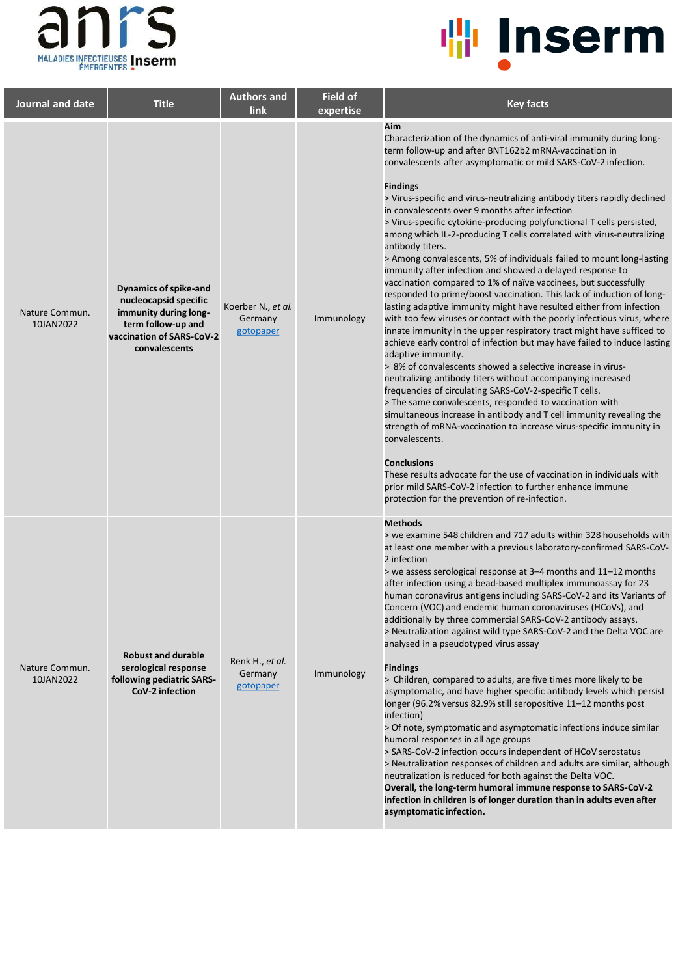

| Journal and date            | <b>Title</b>                                                                                                                                       | <b>Authors and</b><br>link                 | <b>Field of</b><br>expertise | <b>Key facts</b>                                                                                                                                                                                                                                                                                                                                                                                                                                                                                                                                                                                                                                                                                                                                                                                                                                                                                                                                                                                                                                                                                                                                                                                                                                                                                                                                                                                                                                                                                                                                                                                                                                                                                                                                                               |
|-----------------------------|----------------------------------------------------------------------------------------------------------------------------------------------------|--------------------------------------------|------------------------------|--------------------------------------------------------------------------------------------------------------------------------------------------------------------------------------------------------------------------------------------------------------------------------------------------------------------------------------------------------------------------------------------------------------------------------------------------------------------------------------------------------------------------------------------------------------------------------------------------------------------------------------------------------------------------------------------------------------------------------------------------------------------------------------------------------------------------------------------------------------------------------------------------------------------------------------------------------------------------------------------------------------------------------------------------------------------------------------------------------------------------------------------------------------------------------------------------------------------------------------------------------------------------------------------------------------------------------------------------------------------------------------------------------------------------------------------------------------------------------------------------------------------------------------------------------------------------------------------------------------------------------------------------------------------------------------------------------------------------------------------------------------------------------|
| Nature Commun.<br>10JAN2022 | <b>Dynamics of spike-and</b><br>nucleocapsid specific<br>immunity during long-<br>term follow-up and<br>vaccination of SARS-CoV-2<br>convalescents | Koerber N., et al.<br>Germany<br>gotopaper | Immunology                   | Aim<br>Characterization of the dynamics of anti-viral immunity during long-<br>term follow-up and after BNT162b2 mRNA-vaccination in<br>convalescents after asymptomatic or mild SARS-CoV-2 infection.<br><b>Findings</b><br>> Virus-specific and virus-neutralizing antibody titers rapidly declined<br>in convalescents over 9 months after infection<br>> Virus-specific cytokine-producing polyfunctional T cells persisted,<br>among which IL-2-producing T cells correlated with virus-neutralizing<br>antibody titers.<br>> Among convalescents, 5% of individuals failed to mount long-lasting<br>immunity after infection and showed a delayed response to<br>vaccination compared to 1% of naïve vaccinees, but successfully<br>responded to prime/boost vaccination. This lack of induction of long-<br>lasting adaptive immunity might have resulted either from infection<br>with too few viruses or contact with the poorly infectious virus, where<br>innate immunity in the upper respiratory tract might have sufficed to<br>achieve early control of infection but may have failed to induce lasting<br>adaptive immunity.<br>> 8% of convalescents showed a selective increase in virus-<br>neutralizing antibody titers without accompanying increased<br>frequencies of circulating SARS-CoV-2-specific T cells.<br>> The same convalescents, responded to vaccination with<br>simultaneous increase in antibody and T cell immunity revealing the<br>strength of mRNA-vaccination to increase virus-specific immunity in<br>convalescents.<br><b>Conclusions</b><br>These results advocate for the use of vaccination in individuals with<br>prior mild SARS-CoV-2 infection to further enhance immune<br>protection for the prevention of re-infection. |
| Nature Commun.<br>10JAN2022 | <b>Robust and durable</b><br>serological response<br>following pediatric SARS-<br>CoV-2 infection                                                  | Renk H., et al.<br>Germany<br>gotopaper    | Immunology                   | <b>Methods</b><br>> we examine 548 children and 717 adults within 328 households with<br>at least one member with a previous laboratory-confirmed SARS-CoV-<br>2 infection<br>> we assess serological response at 3–4 months and 11–12 months<br>after infection using a bead-based multiplex immunoassay for 23<br>human coronavirus antigens including SARS-CoV-2 and its Variants of<br>Concern (VOC) and endemic human coronaviruses (HCoVs), and<br>additionally by three commercial SARS-CoV-2 antibody assays.<br>> Neutralization against wild type SARS-CoV-2 and the Delta VOC are<br>analysed in a pseudotyped virus assay<br><b>Findings</b><br>> Children, compared to adults, are five times more likely to be<br>asymptomatic, and have higher specific antibody levels which persist<br>longer (96.2% versus 82.9% still seropositive 11-12 months post<br>infection)<br>> Of note, symptomatic and asymptomatic infections induce similar<br>humoral responses in all age groups<br>> SARS-CoV-2 infection occurs independent of HCoV serostatus<br>> Neutralization responses of children and adults are similar, although<br>neutralization is reduced for both against the Delta VOC.<br>Overall, the long-term humoral immune response to SARS-CoV-2<br>infection in children is of longer duration than in adults even after<br>asymptomatic infection.                                                                                                                                                                                                                                                                                                                                                                                                  |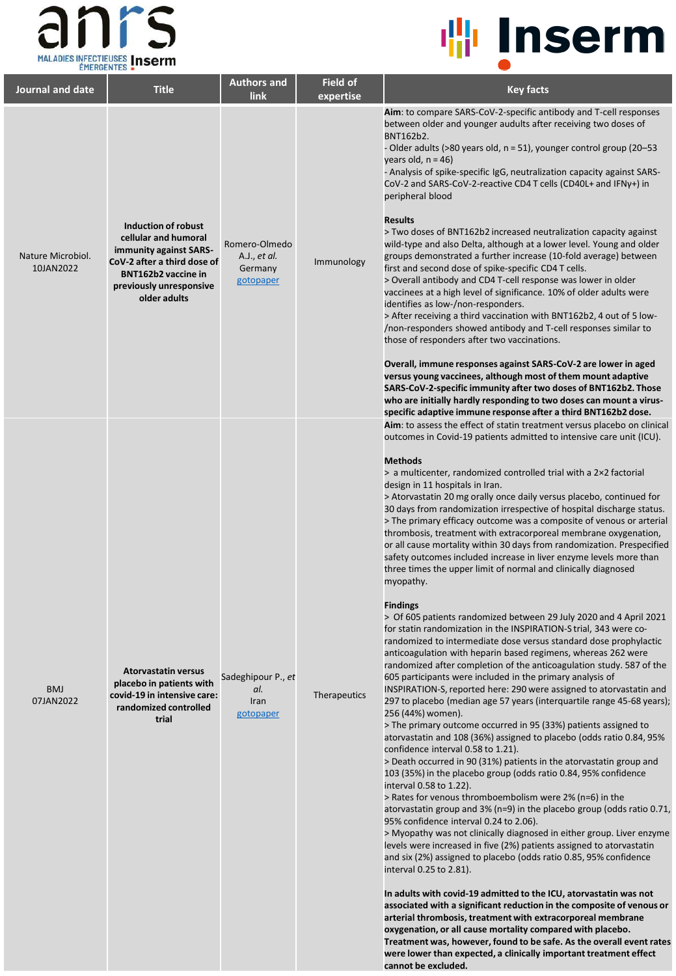|                                | <b>EMERGENTES .</b>                                                                                                                                                                  |                                                       |                              |                                                                                                                                                                                                                                                                                                                                                                                                                                                                                                                                                                                                                                                                                                                                                                                                                                                                                                                                                                                                                                                                                                                                                                                                                                                                                                                                                                                                                                                                                                                                                                                                                                                                                                                                                                                                                                                                                                                                                                                                                                                                                                                                                                                                                                                                                                                                                                                                                                                                                                                                                                                                                                                                                                         |
|--------------------------------|--------------------------------------------------------------------------------------------------------------------------------------------------------------------------------------|-------------------------------------------------------|------------------------------|---------------------------------------------------------------------------------------------------------------------------------------------------------------------------------------------------------------------------------------------------------------------------------------------------------------------------------------------------------------------------------------------------------------------------------------------------------------------------------------------------------------------------------------------------------------------------------------------------------------------------------------------------------------------------------------------------------------------------------------------------------------------------------------------------------------------------------------------------------------------------------------------------------------------------------------------------------------------------------------------------------------------------------------------------------------------------------------------------------------------------------------------------------------------------------------------------------------------------------------------------------------------------------------------------------------------------------------------------------------------------------------------------------------------------------------------------------------------------------------------------------------------------------------------------------------------------------------------------------------------------------------------------------------------------------------------------------------------------------------------------------------------------------------------------------------------------------------------------------------------------------------------------------------------------------------------------------------------------------------------------------------------------------------------------------------------------------------------------------------------------------------------------------------------------------------------------------------------------------------------------------------------------------------------------------------------------------------------------------------------------------------------------------------------------------------------------------------------------------------------------------------------------------------------------------------------------------------------------------------------------------------------------------------------------------------------------------|
| Journal and date               | <b>Title</b>                                                                                                                                                                         | <b>Authors and</b><br>link                            | <b>Field of</b><br>expertise | <b>Key facts</b>                                                                                                                                                                                                                                                                                                                                                                                                                                                                                                                                                                                                                                                                                                                                                                                                                                                                                                                                                                                                                                                                                                                                                                                                                                                                                                                                                                                                                                                                                                                                                                                                                                                                                                                                                                                                                                                                                                                                                                                                                                                                                                                                                                                                                                                                                                                                                                                                                                                                                                                                                                                                                                                                                        |
| Nature Microbiol.<br>10JAN2022 | <b>Induction of robust</b><br>cellular and humoral<br>immunity against SARS-<br>CoV-2 after a third dose of<br><b>BNT162b2 vaccine in</b><br>previously unresponsive<br>older adults | Romero-Olmedo<br>A.J., et al.<br>Germany<br>gotopaper | Immunology                   | Aim: to compare SARS-CoV-2-specific antibody and T-cell responses<br>between older and younger audults after receiving two doses of<br>BNT162b2.<br>- Older adults (>80 years old, n = 51), younger control group (20–53<br>years old, $n = 46$ )<br>- Analysis of spike-specific IgG, neutralization capacity against SARS-<br>CoV-2 and SARS-CoV-2-reactive CD4 T cells (CD40L+ and IFNy+) in<br>peripheral blood<br><b>Results</b><br>> Two doses of BNT162b2 increased neutralization capacity against<br>wild-type and also Delta, although at a lower level. Young and older<br>groups demonstrated a further increase (10-fold average) between<br>first and second dose of spike-specific CD4 T cells.<br>> Overall antibody and CD4 T-cell response was lower in older<br>vaccinees at a high level of significance. 10% of older adults were<br>identifies as low-/non-responders.<br>> After receiving a third vaccination with BNT162b2, 4 out of 5 low-<br>/non-responders showed antibody and T-cell responses similar to<br>those of responders after two vaccinations.<br>Overall, immune responses against SARS-CoV-2 are lower in aged<br>versus young vaccinees, although most of them mount adaptive<br>SARS-CoV-2-specific immunity after two doses of BNT162b2. Those<br>who are initially hardly responding to two doses can mount a virus-                                                                                                                                                                                                                                                                                                                                                                                                                                                                                                                                                                                                                                                                                                                                                                                                                                                                                                                                                                                                                                                                                                                                                                                                                                                                                                                                      |
| <b>BMJ</b><br>07JAN2022        | <b>Atorvastatin versus</b><br>placebo in patients with<br>covid-19 in intensive care:<br>randomized controlled<br>trial                                                              | Sadeghipour P., et<br>al.<br>Iran<br>gotopaper        | Therapeutics                 | specific adaptive immune response after a third BNT162b2 dose.<br>Aim: to assess the effect of statin treatment versus placebo on clinical<br>outcomes in Covid-19 patients admitted to intensive care unit (ICU).<br><b>Methods</b><br>> a multicenter, randomized controlled trial with a 2×2 factorial<br>design in 11 hospitals in Iran.<br>> Atorvastatin 20 mg orally once daily versus placebo, continued for<br>30 days from randomization irrespective of hospital discharge status.<br>> The primary efficacy outcome was a composite of venous or arterial<br>thrombosis, treatment with extracorporeal membrane oxygenation,<br>or all cause mortality within 30 days from randomization. Prespecified<br>safety outcomes included increase in liver enzyme levels more than<br>three times the upper limit of normal and clinically diagnosed<br>myopathy.<br><b>Findings</b><br>> Of 605 patients randomized between 29 July 2020 and 4 April 2021<br>for statin randomization in the INSPIRATION-S trial, 343 were co-<br>randomized to intermediate dose versus standard dose prophylactic<br>anticoagulation with heparin based regimens, whereas 262 were<br>randomized after completion of the anticoagulation study. 587 of the<br>605 participants were included in the primary analysis of<br>INSPIRATION-S, reported here: 290 were assigned to atorvastatin and<br>297 to placebo (median age 57 years (interquartile range 45-68 years);<br>256 (44%) women).<br>> The primary outcome occurred in 95 (33%) patients assigned to<br>atorvastatin and 108 (36%) assigned to placebo (odds ratio 0.84, 95%<br>confidence interval 0.58 to 1.21).<br>> Death occurred in 90 (31%) patients in the atorvastatin group and<br>103 (35%) in the placebo group (odds ratio 0.84, 95% confidence<br>interval 0.58 to 1.22).<br>> Rates for venous thromboembolism were 2% (n=6) in the<br>atorvastatin group and $3\%$ (n=9) in the placebo group (odds ratio 0.71,<br>95% confidence interval 0.24 to 2.06).<br>> Myopathy was not clinically diagnosed in either group. Liver enzyme<br>levels were increased in five (2%) patients assigned to atorvastatin<br>and six (2%) assigned to placebo (odds ratio 0.85, 95% confidence<br>interval 0.25 to 2.81).<br>In adults with covid-19 admitted to the ICU, atorvastatin was not<br>associated with a significant reduction in the composite of venous or<br>arterial thrombosis, treatment with extracorporeal membrane<br>oxygenation, or all cause mortality compared with placebo.<br>Treatment was, however, found to be safe. As the overall event rates<br>were lower than expected, a clinically important treatment effect |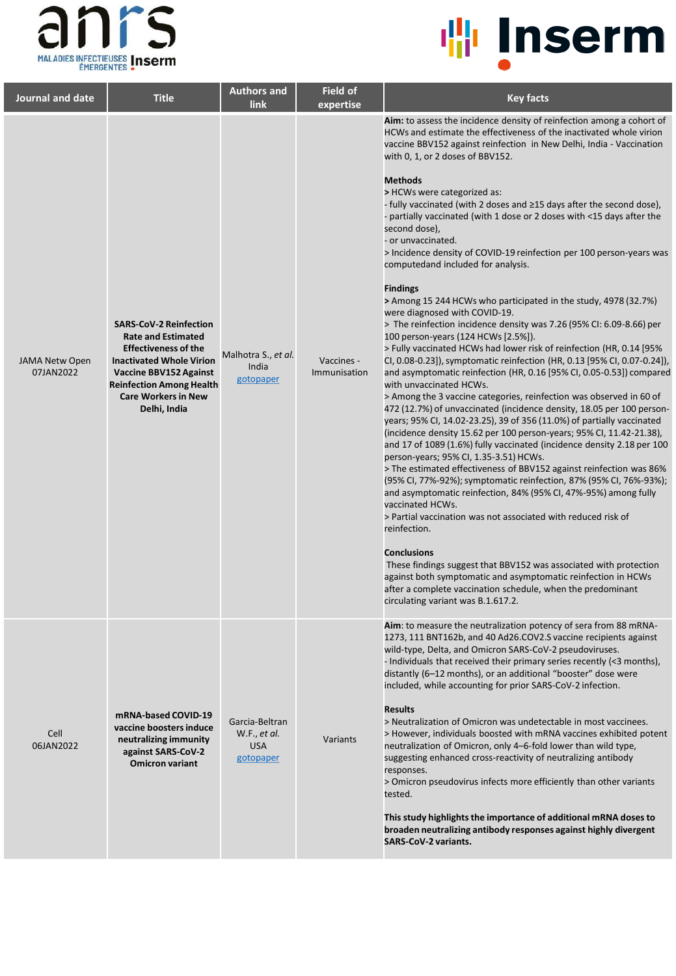

I



| Journal and date                   | <b>Title</b>                                                                                                                                                                                                                                   | <b>Authors and</b><br><b>link</b>                         | <b>Field of</b><br>expertise | <b>Key facts</b>                                                                                                                                                                                                                                                                                                                                                                                                                                                                                                                                                                                                                                                                                                                                                                                                                                                                                                                                                                                                                                                                                                                                                                                                                                                                                                                                                                                                                                                                                                                                                                                                                                                                                                                                                                                                                                                                                                                                                                                                                                                                                                           |
|------------------------------------|------------------------------------------------------------------------------------------------------------------------------------------------------------------------------------------------------------------------------------------------|-----------------------------------------------------------|------------------------------|----------------------------------------------------------------------------------------------------------------------------------------------------------------------------------------------------------------------------------------------------------------------------------------------------------------------------------------------------------------------------------------------------------------------------------------------------------------------------------------------------------------------------------------------------------------------------------------------------------------------------------------------------------------------------------------------------------------------------------------------------------------------------------------------------------------------------------------------------------------------------------------------------------------------------------------------------------------------------------------------------------------------------------------------------------------------------------------------------------------------------------------------------------------------------------------------------------------------------------------------------------------------------------------------------------------------------------------------------------------------------------------------------------------------------------------------------------------------------------------------------------------------------------------------------------------------------------------------------------------------------------------------------------------------------------------------------------------------------------------------------------------------------------------------------------------------------------------------------------------------------------------------------------------------------------------------------------------------------------------------------------------------------------------------------------------------------------------------------------------------------|
| <b>JAMA Netw Open</b><br>07JAN2022 | <b>SARS-CoV-2 Reinfection</b><br><b>Rate and Estimated</b><br><b>Effectiveness of the</b><br><b>Inactivated Whole Virion</b><br><b>Vaccine BBV152 Against</b><br><b>Reinfection Among Health</b><br><b>Care Workers in New</b><br>Delhi, India | Malhotra S., et al.<br>India<br>gotopaper                 | Vaccines -<br>Immunisation   | Aim: to assess the incidence density of reinfection among a cohort of<br>HCWs and estimate the effectiveness of the inactivated whole virion<br>vaccine BBV152 against reinfection in New Delhi, India - Vaccination<br>with 0, 1, or 2 doses of BBV152.<br><b>Methods</b><br>> HCWs were categorized as:<br>- fully vaccinated (with 2 doses and ≥15 days after the second dose),<br>- partially vaccinated (with 1 dose or 2 doses with <15 days after the<br>second dose),<br>- or unvaccinated.<br>> Incidence density of COVID-19 reinfection per 100 person-years was<br>computedand included for analysis.<br><b>Findings</b><br>> Among 15 244 HCWs who participated in the study, 4978 (32.7%)<br>were diagnosed with COVID-19.<br>> The reinfection incidence density was 7.26 (95% CI: 6.09-8.66) per<br>100 person-years (124 HCWs [2.5%]).<br>> Fully vaccinated HCWs had lower risk of reinfection (HR, 0.14 [95%<br>CI, 0.08-0.23]), symptomatic reinfection (HR, 0.13 [95% CI, 0.07-0.24]),<br>and asymptomatic reinfection (HR, 0.16 [95% CI, 0.05-0.53]) compared<br>with unvaccinated HCWs.<br>> Among the 3 vaccine categories, reinfection was observed in 60 of<br>472 (12.7%) of unvaccinated (incidence density, 18.05 per 100 person-<br>years; 95% CI, 14.02-23.25), 39 of 356 (11.0%) of partially vaccinated<br>(incidence density 15.62 per 100 person-years; 95% CI, 11.42-21.38),<br>and 17 of 1089 (1.6%) fully vaccinated (incidence density 2.18 per 100<br>person-years; 95% CI, 1.35-3.51) HCWs.<br>> The estimated effectiveness of BBV152 against reinfection was 86%<br>(95% CI, 77%-92%); symptomatic reinfection, 87% (95% CI, 76%-93%);<br>and asymptomatic reinfection, 84% (95% CI, 47%-95%) among fully<br>vaccinated HCWs.<br>> Partial vaccination was not associated with reduced risk of<br>reinfection.<br><b>Conclusions</b><br>These findings suggest that BBV152 was associated with protection<br>against both symptomatic and asymptomatic reinfection in HCWs<br>after a complete vaccination schedule, when the predominant<br>circulating variant was B.1.617.2. |
| Cell<br>06JAN2022                  | mRNA-based COVID-19<br>vaccine boosters induce<br>neutralizing immunity<br>against SARS-CoV-2<br><b>Omicron variant</b>                                                                                                                        | Garcia-Beltran<br>W.F., et al.<br><b>USA</b><br>gotopaper | Variants                     | Aim: to measure the neutralization potency of sera from 88 mRNA-<br>1273, 111 BNT162b, and 40 Ad26.COV2.S vaccine recipients against<br>wild-type, Delta, and Omicron SARS-CoV-2 pseudoviruses.<br>- Individuals that received their primary series recently (<3 months),<br>distantly (6-12 months), or an additional "booster" dose were<br>included, while accounting for prior SARS-CoV-2 infection.<br><b>Results</b><br>> Neutralization of Omicron was undetectable in most vaccinees.<br>> However, individuals boosted with mRNA vaccines exhibited potent<br>neutralization of Omicron, only 4–6-fold lower than wild type,<br>suggesting enhanced cross-reactivity of neutralizing antibody<br>responses.<br>> Omicron pseudovirus infects more efficiently than other variants<br>tested.<br>This study highlights the importance of additional mRNA doses to<br>broaden neutralizing antibody responses against highly divergent<br><b>SARS-CoV-2 variants.</b>                                                                                                                                                                                                                                                                                                                                                                                                                                                                                                                                                                                                                                                                                                                                                                                                                                                                                                                                                                                                                                                                                                                                               |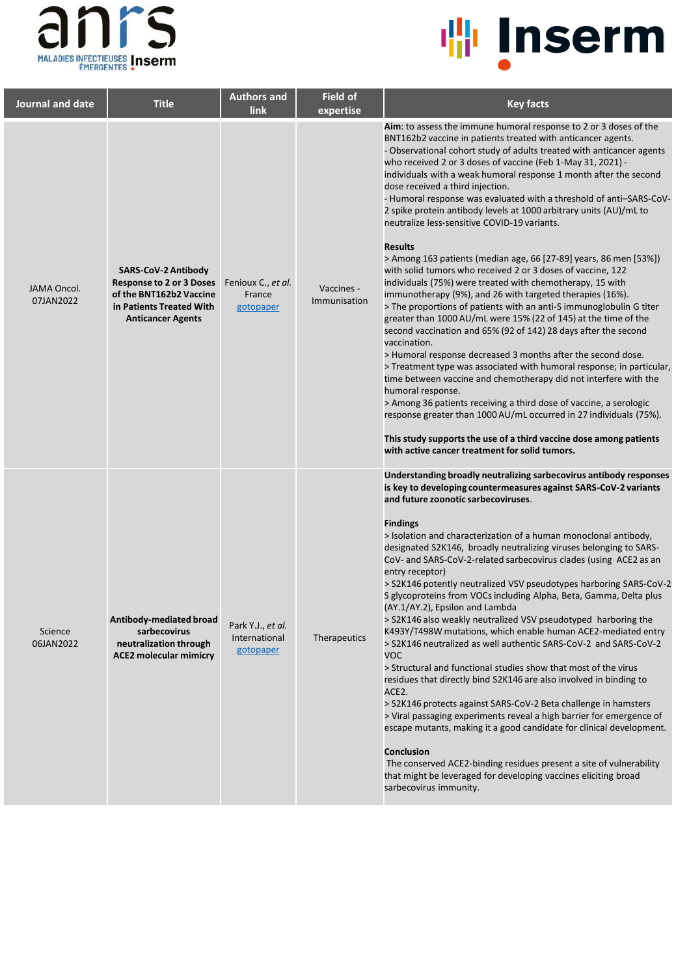

| Journal and date         | <b>Title</b>                                                                                                                                     | <b>Authors and</b><br>link                      | <b>Field of</b><br>expertise | <b>Key facts</b>                                                                                                                                                                                                                                                                                                                                                                                                                                                                                                                                                                                                                                                                                                                                                                                                                                                                                                                                                                                                                                                                                                                                                                                                                                                                                                                                                                                                                                                                                                                                                                                 |
|--------------------------|--------------------------------------------------------------------------------------------------------------------------------------------------|-------------------------------------------------|------------------------------|--------------------------------------------------------------------------------------------------------------------------------------------------------------------------------------------------------------------------------------------------------------------------------------------------------------------------------------------------------------------------------------------------------------------------------------------------------------------------------------------------------------------------------------------------------------------------------------------------------------------------------------------------------------------------------------------------------------------------------------------------------------------------------------------------------------------------------------------------------------------------------------------------------------------------------------------------------------------------------------------------------------------------------------------------------------------------------------------------------------------------------------------------------------------------------------------------------------------------------------------------------------------------------------------------------------------------------------------------------------------------------------------------------------------------------------------------------------------------------------------------------------------------------------------------------------------------------------------------|
| JAMA Oncol.<br>07JAN2022 | <b>SARS-CoV-2 Antibody</b><br><b>Response to 2 or 3 Doses</b><br>of the BNT162b2 Vaccine<br>in Patients Treated With<br><b>Anticancer Agents</b> | Fenioux C., et al.<br>France<br>gotopaper       | Vaccines -<br>Immunisation   | Aim: to assess the immune humoral response to 2 or 3 doses of the<br>BNT162b2 vaccine in patients treated with anticancer agents.<br>- Observational cohort study of adults treated with anticancer agents<br>who received 2 or 3 doses of vaccine (Feb 1-May 31, 2021) -<br>individuals with a weak humoral response 1 month after the second<br>dose received a third injection.<br>- Humoral response was evaluated with a threshold of anti-SARS-CoV<br>2 spike protein antibody levels at 1000 arbitrary units (AU)/mL to<br>neutralize less-sensitive COVID-19 variants.<br><b>Results</b><br>> Among 163 patients (median age, 66 [27-89] years, 86 men [53%])<br>with solid tumors who received 2 or 3 doses of vaccine, 122<br>individuals (75%) were treated with chemotherapy, 15 with<br>immunotherapy (9%), and 26 with targeted therapies (16%).<br>> The proportions of patients with an anti-S immunoglobulin G titer<br>greater than 1000 AU/mL were 15% (22 of 145) at the time of the<br>second vaccination and 65% (92 of 142) 28 days after the second<br>vaccination.<br>> Humoral response decreased 3 months after the second dose.<br>> Treatment type was associated with humoral response; in particular<br>time between vaccine and chemotherapy did not interfere with the<br>humoral response.<br>> Among 36 patients receiving a third dose of vaccine, a serologic<br>response greater than 1000 AU/mL occurred in 27 individuals (75%).<br>This study supports the use of a third vaccine dose among patients<br>with active cancer treatment for solid tumors. |
| Science<br>06JAN2022     | Antibody-mediated broad<br>sarbecovirus<br>neutralization through<br><b>ACE2</b> molecular mimicry                                               | Park Y.J., et al.<br>International<br>gotopaper | Therapeutics                 | Understanding broadly neutralizing sarbecovirus antibody responses<br>is key to developing countermeasures against SARS-CoV-2 variants<br>and future zoonotic sarbecoviruses.<br><b>Findings</b><br>> Isolation and characterization of a human monoclonal antibody,<br>designated S2K146, broadly neutralizing viruses belonging to SARS-<br>CoV- and SARS-CoV-2-related sarbecovirus clades (using ACE2 as an<br>entry receptor)<br>> S2K146 potently neutralized VSV pseudotypes harboring SARS-CoV-2<br>S glycoproteins from VOCs including Alpha, Beta, Gamma, Delta plus<br>(AY.1/AY.2), Epsilon and Lambda<br>> S2K146 also weakly neutralized VSV pseudotyped harboring the<br>K493Y/T498W mutations, which enable human ACE2-mediated entry<br>> S2K146 neutralized as well authentic SARS-CoV-2 and SARS-CoV-2<br><b>VOC</b><br>> Structural and functional studies show that most of the virus<br>residues that directly bind S2K146 are also involved in binding to<br>ACE2.<br>> S2K146 protects against SARS-CoV-2 Beta challenge in hamsters<br>> Viral passaging experiments reveal a high barrier for emergence of<br>escape mutants, making it a good candidate for clinical development.<br>Conclusion<br>The conserved ACE2-binding residues present a site of vulnerability<br>that might be leveraged for developing vaccines eliciting broad<br>sarbecovirus immunity.                                                                                                                                                                                                    |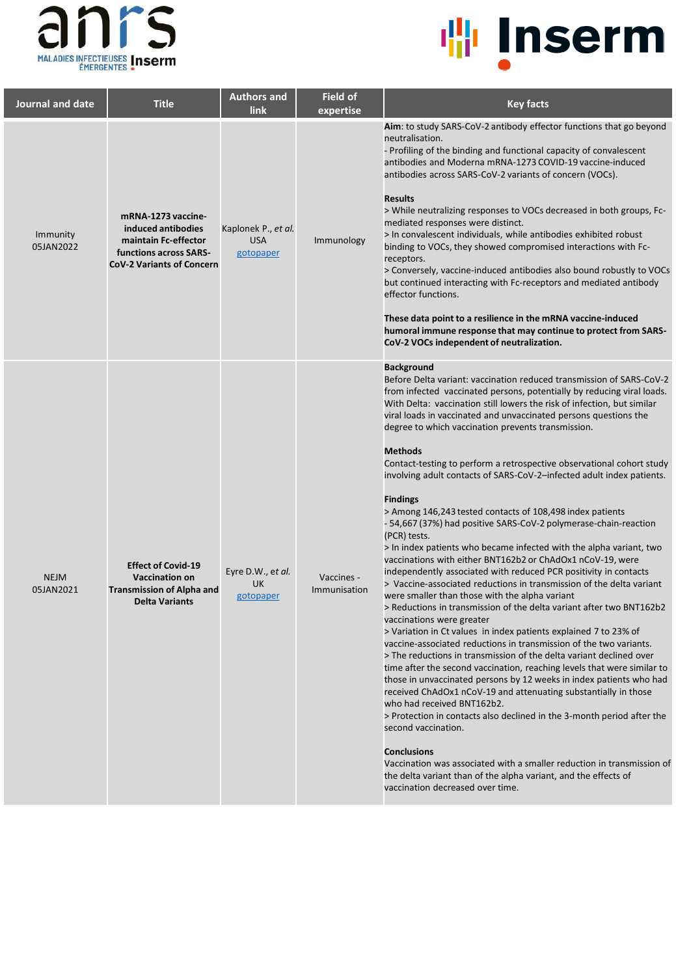



| Journal and date         | <b>Title</b>                                                                                                                   | <b>Authors and</b><br><b>link</b>              | <b>Field of</b><br>expertise | <b>Key facts</b>                                                                                                                                                                                                                                                                                                                                                                                                                                                                                                                                                                                                                                                                                                                                                                                                                                                                                                                                                                                                                                                                                                                                                                                                                                                                                                                                                                                                                                                                                                                                                                                                                                                                                                                                                                                                                                                                                                                     |
|--------------------------|--------------------------------------------------------------------------------------------------------------------------------|------------------------------------------------|------------------------------|--------------------------------------------------------------------------------------------------------------------------------------------------------------------------------------------------------------------------------------------------------------------------------------------------------------------------------------------------------------------------------------------------------------------------------------------------------------------------------------------------------------------------------------------------------------------------------------------------------------------------------------------------------------------------------------------------------------------------------------------------------------------------------------------------------------------------------------------------------------------------------------------------------------------------------------------------------------------------------------------------------------------------------------------------------------------------------------------------------------------------------------------------------------------------------------------------------------------------------------------------------------------------------------------------------------------------------------------------------------------------------------------------------------------------------------------------------------------------------------------------------------------------------------------------------------------------------------------------------------------------------------------------------------------------------------------------------------------------------------------------------------------------------------------------------------------------------------------------------------------------------------------------------------------------------------|
| Immunity<br>05JAN2022    | mRNA-1273 vaccine-<br>induced antibodies<br>maintain Fc-effector<br>functions across SARS-<br><b>CoV-2 Variants of Concern</b> | Kaplonek P., et al.<br><b>USA</b><br>gotopaper | Immunology                   | Aim: to study SARS-CoV-2 antibody effector functions that go beyond<br>neutralisation.<br>- Profiling of the binding and functional capacity of convalescent<br>antibodies and Moderna mRNA-1273 COVID-19 vaccine-induced<br>antibodies across SARS-CoV-2 variants of concern (VOCs).<br><b>Results</b><br>> While neutralizing responses to VOCs decreased in both groups, Fc-<br>mediated responses were distinct.<br>> In convalescent individuals, while antibodies exhibited robust<br>binding to VOCs, they showed compromised interactions with Fc-<br>receptors.<br>> Conversely, vaccine-induced antibodies also bound robustly to VOCs<br>but continued interacting with Fc-receptors and mediated antibody<br>effector functions.<br>These data point to a resilience in the mRNA vaccine-induced<br>humoral immune response that may continue to protect from SARS-<br>CoV-2 VOCs independent of neutralization.                                                                                                                                                                                                                                                                                                                                                                                                                                                                                                                                                                                                                                                                                                                                                                                                                                                                                                                                                                                                         |
| <b>NEJM</b><br>05JAN2021 | <b>Effect of Covid-19</b><br><b>Vaccination on</b><br><b>Transmission of Alpha and</b><br><b>Delta Variants</b>                | Eyre D.W., et al.<br><b>UK</b><br>gotopaper    | Vaccines -<br>Immunisation   | <b>Background</b><br>Before Delta variant: vaccination reduced transmission of SARS-CoV-2<br>from infected vaccinated persons, potentially by reducing viral loads.<br>With Delta: vaccination still lowers the risk of infection, but similar<br>viral loads in vaccinated and unvaccinated persons questions the<br>degree to which vaccination prevents transmission.<br><b>Methods</b><br>Contact-testing to perform a retrospective observational cohort study<br>involving adult contacts of SARS-CoV-2-infected adult index patients.<br><b>Findings</b><br>> Among 146,243 tested contacts of 108,498 index patients<br>- 54,667 (37%) had positive SARS-CoV-2 polymerase-chain-reaction<br>(PCR) tests.<br>> In index patients who became infected with the alpha variant, two<br>vaccinations with either BNT162b2 or ChAdOx1 nCoV-19, were<br>independently associated with reduced PCR positivity in contacts<br>> Vaccine-associated reductions in transmission of the delta variant<br>were smaller than those with the alpha variant<br>> Reductions in transmission of the delta variant after two BNT162b2<br>vaccinations were greater<br>> Variation in Ct values in index patients explained 7 to 23% of<br>vaccine-associated reductions in transmission of the two variants.<br>> The reductions in transmission of the delta variant declined over<br>time after the second vaccination, reaching levels that were similar to<br>those in unvaccinated persons by 12 weeks in index patients who had<br>received ChAdOx1 nCoV-19 and attenuating substantially in those<br>who had received BNT162b2.<br>> Protection in contacts also declined in the 3-month period after the<br>second vaccination.<br><b>Conclusions</b><br>Vaccination was associated with a smaller reduction in transmission of<br>the delta variant than of the alpha variant, and the effects of<br>vaccination decreased over time. |